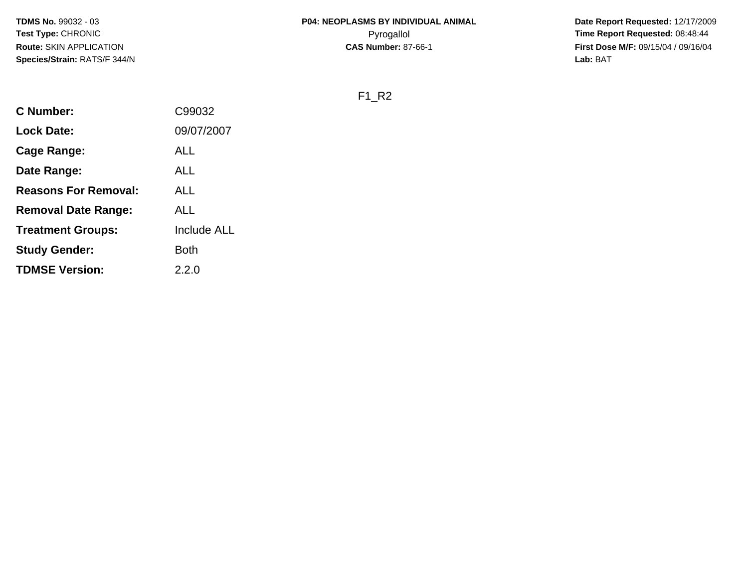**Date Report Requested:** 12/17/2009 **First Dose M/F:** 09/15/04 / 09/16/04<br>Lab: BAT **Lab:** BAT

F1\_R2

| <b>C</b> Number:            | C99032             |
|-----------------------------|--------------------|
| <b>Lock Date:</b>           | 09/07/2007         |
| Cage Range:                 | ALL                |
| Date Range:                 | ALL                |
| <b>Reasons For Removal:</b> | ALL                |
| <b>Removal Date Range:</b>  | ALL                |
| <b>Treatment Groups:</b>    | <b>Include ALL</b> |
| <b>Study Gender:</b>        | Both               |
| <b>TDMSE Version:</b>       | 2.2.0              |
|                             |                    |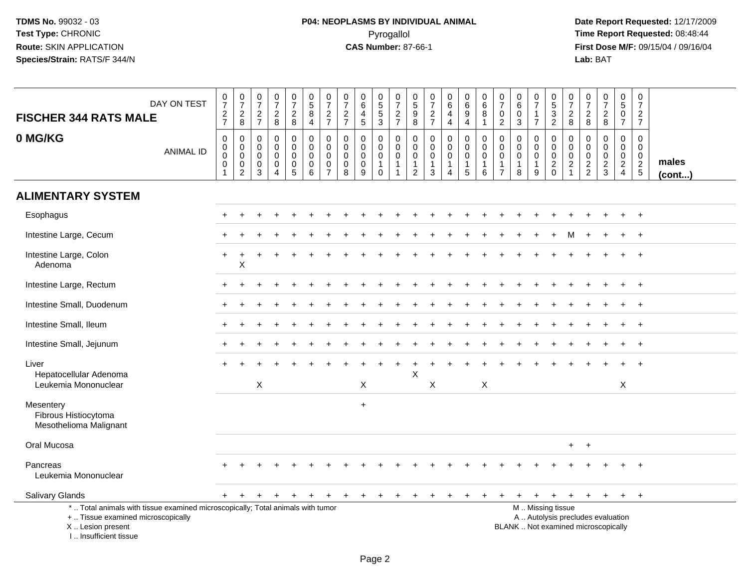| <b>FISCHER 344 RATS MALE</b>                                                                                                                                        | DAY ON TEST      | 0727                                                         | $\begin{array}{c} 0 \\ 7 \end{array}$<br>$_{8}^2$                          | $\frac{0}{7}$<br>$rac{2}{7}$                        | $\begin{array}{c} 0 \\ 7 \end{array}$<br>$\frac{2}{8}$                           | $\begin{array}{c} 0 \\ 7 \end{array}$<br>$\frac{2}{8}$ | $\begin{array}{c} 0 \\ 5 \\ 8 \end{array}$<br>$\overline{4}$ | $\frac{0}{7}$<br>$\frac{2}{7}$                         | $\frac{0}{7}$<br>$\frac{2}{7}$                                | $\begin{array}{c} 0 \\ 6 \end{array}$<br>$\overline{4}$<br>$\overline{5}$ | $\begin{array}{c} 0 \\ 5 \\ 3 \end{array}$                           | $\frac{0}{7}$<br>$\frac{2}{7}$                  | 0<br>9<br>9<br>8                                           | $\begin{array}{c} 0 \\ 7 \end{array}$<br>$\frac{2}{7}$ | $\begin{array}{c} 0 \\ 6 \end{array}$<br>$\overline{\mathbf{4}}$<br>$\overline{4}$ | $\begin{array}{c} 0 \\ 6 \end{array}$<br>$\boldsymbol{9}$<br>$\overline{4}$ | $\begin{array}{c} 0 \\ 6 \end{array}$<br>$\bar{8}$<br>$\mathbf{1}$ | $\frac{0}{7}$<br>$\pmb{0}$<br>$\overline{2}$                                | $\begin{array}{c} 0 \\ 6 \end{array}$<br>$\pmb{0}$<br>$\mathbf{3}$ | $\begin{array}{c} 0 \\ 7 \end{array}$<br>$\mathbf{1}$<br>$\overline{7}$ | $\begin{array}{c} 0 \\ 5 \\ 2 \end{array}$                 | 0<br>$\overline{7}$<br>$\sqrt{2}$<br>8                                      | $\frac{0}{7}$<br>$\frac{2}{8}$                             | $\frac{0}{7}$<br>$\frac{2}{8}$                   | $\begin{array}{c} 0 \\ 5 \end{array}$<br>$\frac{0}{7}$                        | $\pmb{0}$<br>$\overline{7}$<br>$\overline{c}$<br>$\overline{7}$ |                       |
|---------------------------------------------------------------------------------------------------------------------------------------------------------------------|------------------|--------------------------------------------------------------|----------------------------------------------------------------------------|-----------------------------------------------------|----------------------------------------------------------------------------------|--------------------------------------------------------|--------------------------------------------------------------|--------------------------------------------------------|---------------------------------------------------------------|---------------------------------------------------------------------------|----------------------------------------------------------------------|-------------------------------------------------|------------------------------------------------------------|--------------------------------------------------------|------------------------------------------------------------------------------------|-----------------------------------------------------------------------------|--------------------------------------------------------------------|-----------------------------------------------------------------------------|--------------------------------------------------------------------|-------------------------------------------------------------------------|------------------------------------------------------------|-----------------------------------------------------------------------------|------------------------------------------------------------|--------------------------------------------------|-------------------------------------------------------------------------------|-----------------------------------------------------------------|-----------------------|
| 0 MG/KG                                                                                                                                                             | <b>ANIMAL ID</b> | $\pmb{0}$<br>$\overline{0}$<br>$\mathbf 0$<br>$\overline{1}$ | $\mathbf 0$<br>$\mathbf 0$<br>$\mathsf 0$<br>$\mathbf 0$<br>$\overline{c}$ | $\mathbf 0$<br>$\mathbf 0$<br>$\mathbf 0$<br>0<br>3 | $\mathbf 0$<br>$\mathsf{O}\xspace$<br>$\mathbf 0$<br>$\pmb{0}$<br>$\overline{A}$ | 0<br>$\mathbf 0$<br>0<br>$\pmb{0}$<br>5                | $\pmb{0}$<br>$\mathbf 0$<br>$\mathbf 0$<br>$\mathbf 0$<br>6  | 0<br>$\mathbf 0$<br>$\mathbf 0$<br>0<br>$\overline{7}$ | $\mathbf 0$<br>$\mathbf 0$<br>$\mathbf 0$<br>$\mathbf 0$<br>8 | 0<br>$\mathbf 0$<br>$\mathbf 0$<br>$\pmb{0}$<br>9                         | 0<br>$\mathsf{O}\xspace$<br>$\pmb{0}$<br>$\mathbf{1}$<br>$\mathbf 0$ | 0<br>$\mathbf 0$<br>$\mathsf 0$<br>$\mathbf{1}$ | $\mathbf 0$<br>$\mathbf 0$<br>$\mathbf 0$<br>$\frac{1}{2}$ | $\pmb{0}$<br>$\mathbf 0$<br>0<br>$\mathbf{1}$<br>3     | 0<br>$\mathbf 0$<br>$\mathbf 0$<br>$\mathbf{1}$<br>4                               | $\mathbf 0$<br>$\mathbf 0$<br>0<br>$\mathbf{1}$<br>5                        | $\mathbf 0$<br>$\pmb{0}$<br>0<br>1<br>6                            | $\mathbf 0$<br>$\mathbf 0$<br>$\mathbf 0$<br>$\mathbf{1}$<br>$\overline{7}$ | $\mathbf 0$<br>$\mathsf{O}\xspace$<br>$\mathbf 0$<br>1<br>8        | 0<br>$\mathbf 0$<br>$\mathbf 0$<br>$\mathbf{1}$<br>9                    | $\mathbf 0$<br>$\mathbf 0$<br>$\mathbf 0$<br>$\frac{2}{0}$ | $\mathbf 0$<br>$\mathbf 0$<br>$\mathbf 0$<br>$\overline{2}$<br>$\mathbf{1}$ | $\mathbf 0$<br>$\mathbf 0$<br>$\mathbf 0$<br>$\frac{2}{2}$ | 0<br>$\mathbf 0$<br>$\mathbf 0$<br>$\frac{2}{3}$ | $\mathbf 0$<br>$\mathbf 0$<br>$\mathbf 0$<br>$\overline{2}$<br>$\overline{4}$ | $\mathbf 0$<br>$\mathbf 0$<br>$\mathbf 0$<br>$\frac{2}{5}$      | males<br>$($ cont $)$ |
| <b>ALIMENTARY SYSTEM</b>                                                                                                                                            |                  |                                                              |                                                                            |                                                     |                                                                                  |                                                        |                                                              |                                                        |                                                               |                                                                           |                                                                      |                                                 |                                                            |                                                        |                                                                                    |                                                                             |                                                                    |                                                                             |                                                                    |                                                                         |                                                            |                                                                             |                                                            |                                                  |                                                                               |                                                                 |                       |
| Esophagus                                                                                                                                                           |                  |                                                              |                                                                            |                                                     |                                                                                  |                                                        |                                                              |                                                        |                                                               |                                                                           |                                                                      |                                                 |                                                            |                                                        |                                                                                    |                                                                             |                                                                    |                                                                             |                                                                    |                                                                         |                                                            |                                                                             |                                                            |                                                  |                                                                               | $\overline{+}$                                                  |                       |
| Intestine Large, Cecum                                                                                                                                              |                  |                                                              |                                                                            |                                                     |                                                                                  |                                                        |                                                              |                                                        |                                                               |                                                                           |                                                                      |                                                 |                                                            |                                                        |                                                                                    |                                                                             |                                                                    |                                                                             |                                                                    |                                                                         |                                                            | м                                                                           |                                                            |                                                  |                                                                               | $\overline{+}$                                                  |                       |
| Intestine Large, Colon<br>Adenoma                                                                                                                                   |                  |                                                              | Χ                                                                          |                                                     |                                                                                  |                                                        |                                                              |                                                        |                                                               |                                                                           |                                                                      |                                                 |                                                            |                                                        |                                                                                    |                                                                             |                                                                    |                                                                             |                                                                    |                                                                         |                                                            |                                                                             |                                                            |                                                  |                                                                               |                                                                 |                       |
| Intestine Large, Rectum                                                                                                                                             |                  |                                                              |                                                                            |                                                     |                                                                                  |                                                        |                                                              |                                                        |                                                               |                                                                           |                                                                      |                                                 |                                                            |                                                        |                                                                                    |                                                                             |                                                                    |                                                                             |                                                                    |                                                                         |                                                            |                                                                             |                                                            |                                                  |                                                                               | $\ddot{}$                                                       |                       |
| Intestine Small, Duodenum                                                                                                                                           |                  |                                                              |                                                                            |                                                     |                                                                                  |                                                        |                                                              |                                                        |                                                               |                                                                           |                                                                      |                                                 |                                                            |                                                        |                                                                                    |                                                                             |                                                                    |                                                                             |                                                                    |                                                                         |                                                            |                                                                             |                                                            |                                                  |                                                                               |                                                                 |                       |
| Intestine Small, Ileum                                                                                                                                              |                  |                                                              |                                                                            |                                                     |                                                                                  |                                                        |                                                              |                                                        |                                                               |                                                                           |                                                                      |                                                 |                                                            |                                                        |                                                                                    |                                                                             |                                                                    |                                                                             |                                                                    |                                                                         |                                                            |                                                                             |                                                            |                                                  |                                                                               |                                                                 |                       |
| Intestine Small, Jejunum                                                                                                                                            |                  |                                                              |                                                                            |                                                     |                                                                                  |                                                        |                                                              |                                                        |                                                               |                                                                           |                                                                      |                                                 |                                                            |                                                        |                                                                                    |                                                                             |                                                                    |                                                                             |                                                                    |                                                                         |                                                            |                                                                             |                                                            |                                                  |                                                                               | $\ddot{}$                                                       |                       |
| Liver<br>Hepatocellular Adenoma                                                                                                                                     |                  |                                                              |                                                                            |                                                     |                                                                                  |                                                        |                                                              |                                                        |                                                               |                                                                           |                                                                      |                                                 | X                                                          |                                                        |                                                                                    |                                                                             |                                                                    |                                                                             |                                                                    |                                                                         |                                                            |                                                                             |                                                            |                                                  |                                                                               |                                                                 |                       |
| Leukemia Mononuclear                                                                                                                                                |                  |                                                              |                                                                            | X                                                   |                                                                                  |                                                        |                                                              |                                                        |                                                               | X                                                                         |                                                                      |                                                 |                                                            | X                                                      |                                                                                    |                                                                             | $\mathsf X$                                                        |                                                                             |                                                                    |                                                                         |                                                            |                                                                             |                                                            |                                                  | X                                                                             |                                                                 |                       |
| Mesentery<br>Fibrous Histiocytoma<br>Mesothelioma Malignant                                                                                                         |                  |                                                              |                                                                            |                                                     |                                                                                  |                                                        |                                                              |                                                        |                                                               | $\ddot{}$                                                                 |                                                                      |                                                 |                                                            |                                                        |                                                                                    |                                                                             |                                                                    |                                                                             |                                                                    |                                                                         |                                                            |                                                                             |                                                            |                                                  |                                                                               |                                                                 |                       |
| Oral Mucosa                                                                                                                                                         |                  |                                                              |                                                                            |                                                     |                                                                                  |                                                        |                                                              |                                                        |                                                               |                                                                           |                                                                      |                                                 |                                                            |                                                        |                                                                                    |                                                                             |                                                                    |                                                                             |                                                                    |                                                                         |                                                            | $\ddot{}$                                                                   | $\ddot{}$                                                  |                                                  |                                                                               |                                                                 |                       |
| Pancreas<br>Leukemia Mononuclear                                                                                                                                    |                  |                                                              |                                                                            |                                                     |                                                                                  |                                                        |                                                              |                                                        |                                                               |                                                                           |                                                                      |                                                 |                                                            |                                                        |                                                                                    |                                                                             |                                                                    |                                                                             |                                                                    |                                                                         |                                                            |                                                                             |                                                            |                                                  |                                                                               |                                                                 |                       |
| Salivary Glands                                                                                                                                                     |                  | $+$                                                          | $+$                                                                        | $\pm$                                               |                                                                                  | ÷                                                      |                                                              |                                                        |                                                               | $+$                                                                       | $+$                                                                  | $+$                                             | $\pm$                                                      | $\ddot{}$                                              | $+$                                                                                | $\pm$                                                                       | $\pm$                                                              | $\ddot{}$                                                                   | $\pm$                                                              | $\pm$                                                                   | $\ddot{}$                                                  | $\ddot{}$                                                                   | $\ddot{}$                                                  | $+$                                              |                                                                               | $+$ $+$                                                         |                       |
| *  Total animals with tissue examined microscopically; Total animals with tumor<br>+  Tissue examined microscopically<br>X  Lesion present<br>I Insufficient tissue |                  |                                                              |                                                                            |                                                     |                                                                                  |                                                        |                                                              |                                                        |                                                               |                                                                           |                                                                      |                                                 |                                                            |                                                        |                                                                                    |                                                                             |                                                                    |                                                                             | BLANK  Not examined microscopically                                |                                                                         | M  Missing tissue<br>A  Autolysis precludes evaluation     |                                                                             |                                                            |                                                  |                                                                               |                                                                 |                       |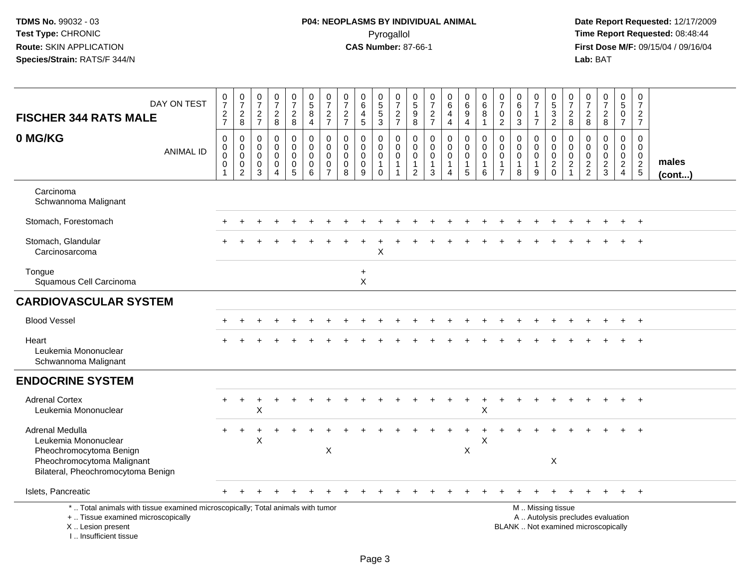# **P04: NEOPLASMS BY INDIVIDUAL ANIMAL**Pyrogallol Pyrogallol **Pyrogallol Time Report Requested:** 08:48:44<br>**CAS Number:** 87-66-1 **Time Report Requested:** 08/15/04 / 09/16/04

| DAY ON TEST<br><b>FISCHER 344 RATS MALE</b>                                                                                                                           | $\begin{smallmatrix}0\\7\end{smallmatrix}$<br>$\frac{2}{7}$ | $\frac{0}{7}$<br>$\overline{c}$<br>8                                 | $\frac{0}{7}$<br>$\frac{2}{7}$                    | $\frac{0}{7}$<br>$\frac{2}{8}$                       | $\begin{array}{c} 0 \\ 7 \end{array}$<br>$\frac{2}{8}$                         | $\begin{array}{c} 0 \\ 5 \end{array}$<br>$\bf 8$<br>4                  | $\frac{0}{7}$<br>$\frac{2}{7}$                                 | $\begin{array}{c} 0 \\ 7 \end{array}$<br>$\frac{2}{7}$   | 0<br>$\overline{6}$<br>$\overline{4}$<br>$\sqrt{5}$ | $\,0\,$<br>$\overline{5}$<br>$\sqrt{5}$<br>$\mathbf{3}$        | $\frac{0}{7}$<br>$\frac{2}{7}$                 | $\begin{array}{c} 0 \\ 5 \end{array}$<br>$\boldsymbol{9}$<br>8 | $\frac{0}{7}$<br>$\frac{2}{7}$                                 | 0<br>$6\overline{6}$<br>$\overline{4}$<br>4                       | $\pmb{0}$<br>$\overline{6}$<br>$9\,$<br>$\overline{4}$         | 0<br>$\,6\,$<br>$\bf8$<br>$\mathbf{1}$         | $\pmb{0}$<br>$\overline{7}$<br>$\mathbf 0$<br>$\overline{2}$             | 0<br>$\overline{6}$<br>$\mathbf 0$<br>3   | $\begin{array}{c} 0 \\ 7 \end{array}$<br>$\mathbf{1}$<br>$\overline{7}$ | $\begin{array}{c} 0 \\ 5 \\ 3 \\ 2 \end{array}$                                               | 0<br>$\overline{7}$<br>$\overline{\mathbf{c}}$<br>8           | $\begin{array}{c} 0 \\ 7 \end{array}$<br>$\frac{2}{8}$          | $\begin{array}{c} 0 \\ 7 \end{array}$<br>$\overline{\mathbf{c}}$<br>8 | $\mathbf 0$<br>$\overline{5}$<br>$\mathbf 0$<br>$\overline{7}$            | 0<br>$\overline{7}$<br>$\overline{c}$<br>$\overline{7}$ |                       |
|-----------------------------------------------------------------------------------------------------------------------------------------------------------------------|-------------------------------------------------------------|----------------------------------------------------------------------|---------------------------------------------------|------------------------------------------------------|--------------------------------------------------------------------------------|------------------------------------------------------------------------|----------------------------------------------------------------|----------------------------------------------------------|-----------------------------------------------------|----------------------------------------------------------------|------------------------------------------------|----------------------------------------------------------------|----------------------------------------------------------------|-------------------------------------------------------------------|----------------------------------------------------------------|------------------------------------------------|--------------------------------------------------------------------------|-------------------------------------------|-------------------------------------------------------------------------|-----------------------------------------------------------------------------------------------|---------------------------------------------------------------|-----------------------------------------------------------------|-----------------------------------------------------------------------|---------------------------------------------------------------------------|---------------------------------------------------------|-----------------------|
| 0 MG/KG<br><b>ANIMAL ID</b>                                                                                                                                           | $\mathbf 0$<br>$\mathbf 0$<br>0<br>0<br>$\overline{1}$      | $\mathbf 0$<br>$\pmb{0}$<br>$\mathbf 0$<br>$\,0\,$<br>$\overline{c}$ | 0<br>$\mathbf 0$<br>$\mathbf 0$<br>$\pmb{0}$<br>3 | 0<br>$\mathbf 0$<br>$\mathbf 0$<br>$\mathsf{O}$<br>4 | 0<br>$\mathbf 0$<br>$\mathbf 0$<br>$\begin{smallmatrix}0\0\5\end{smallmatrix}$ | $\mathbf 0$<br>$\pmb{0}$<br>$\mathbf 0$<br>$\pmb{0}$<br>$6\phantom{1}$ | 0<br>$\mathbf 0$<br>$\mathbf 0$<br>$\pmb{0}$<br>$\overline{7}$ | $\mathbf 0$<br>$\Omega$<br>$\mathbf 0$<br>$\pmb{0}$<br>8 | 0<br>$\mathbf 0$<br>$\pmb{0}$<br>$\pmb{0}$<br>9     | 0<br>$\mathbf 0$<br>$\mathbf 0$<br>$\mathbf{1}$<br>$\mathbf 0$ | $\mathbf 0$<br>$\mathbf 0$<br>$\mathbf 0$<br>1 | $\mathbf 0$<br>$\Omega$<br>0<br>$\mathbf{1}$<br>$\overline{c}$ | $\mathbf 0$<br>$\mathbf 0$<br>$\mathbf 0$<br>$\mathbf{1}$<br>3 | 0<br>$\mathbf 0$<br>$\mathbf 0$<br>$\mathbf{1}$<br>$\overline{4}$ | $\mathbf 0$<br>$\mathbf 0$<br>$\mathbf 0$<br>$\mathbf{1}$<br>5 | 0<br>$\Omega$<br>$\Omega$<br>$\mathbf{1}$<br>6 | $\mathbf 0$<br>$\mathbf 0$<br>$\Omega$<br>$\mathbf{1}$<br>$\overline{7}$ | 0<br>$\mathbf 0$<br>$\mathbf 0$<br>1<br>8 | 0<br>$\mathbf 0$<br>$\mathbf 0$<br>$\mathbf{1}$<br>$\overline{9}$       | 0<br>$\pmb{0}$<br>0<br>$\frac{2}{0}$                                                          | $\mathbf 0$<br>$\mathbf 0$<br>$\mathbf 0$<br>$\boldsymbol{2}$ | $\mathbf 0$<br>$\mathbf 0$<br>$\boldsymbol{0}$<br>$\frac{2}{2}$ | 0<br>$\mathbf 0$<br>0<br>$\frac{2}{3}$                                | $\mathbf 0$<br>$\mathbf 0$<br>$\mathbf 0$<br>$\sqrt{2}$<br>$\overline{4}$ | 0<br>$\Omega$<br>$\mathbf 0$<br>$rac{2}{5}$             | males<br>$($ cont $)$ |
| Carcinoma<br>Schwannoma Malignant                                                                                                                                     |                                                             |                                                                      |                                                   |                                                      |                                                                                |                                                                        |                                                                |                                                          |                                                     |                                                                |                                                |                                                                |                                                                |                                                                   |                                                                |                                                |                                                                          |                                           |                                                                         |                                                                                               |                                                               |                                                                 |                                                                       |                                                                           |                                                         |                       |
| Stomach, Forestomach                                                                                                                                                  |                                                             |                                                                      |                                                   |                                                      |                                                                                |                                                                        |                                                                |                                                          |                                                     |                                                                |                                                |                                                                |                                                                |                                                                   |                                                                |                                                |                                                                          |                                           |                                                                         |                                                                                               |                                                               |                                                                 |                                                                       |                                                                           |                                                         |                       |
| Stomach, Glandular<br>Carcinosarcoma                                                                                                                                  |                                                             |                                                                      |                                                   |                                                      |                                                                                |                                                                        |                                                                |                                                          |                                                     | X                                                              |                                                |                                                                |                                                                |                                                                   |                                                                |                                                |                                                                          |                                           |                                                                         |                                                                                               |                                                               |                                                                 |                                                                       |                                                                           |                                                         |                       |
| Tongue<br>Squamous Cell Carcinoma                                                                                                                                     |                                                             |                                                                      |                                                   |                                                      |                                                                                |                                                                        |                                                                |                                                          | $\ddot{}$<br>X                                      |                                                                |                                                |                                                                |                                                                |                                                                   |                                                                |                                                |                                                                          |                                           |                                                                         |                                                                                               |                                                               |                                                                 |                                                                       |                                                                           |                                                         |                       |
| <b>CARDIOVASCULAR SYSTEM</b>                                                                                                                                          |                                                             |                                                                      |                                                   |                                                      |                                                                                |                                                                        |                                                                |                                                          |                                                     |                                                                |                                                |                                                                |                                                                |                                                                   |                                                                |                                                |                                                                          |                                           |                                                                         |                                                                                               |                                                               |                                                                 |                                                                       |                                                                           |                                                         |                       |
| <b>Blood Vessel</b>                                                                                                                                                   |                                                             |                                                                      |                                                   |                                                      |                                                                                |                                                                        |                                                                |                                                          |                                                     |                                                                |                                                |                                                                |                                                                |                                                                   |                                                                |                                                |                                                                          |                                           |                                                                         |                                                                                               |                                                               |                                                                 |                                                                       |                                                                           | $^{+}$                                                  |                       |
| Heart<br>Leukemia Mononuclear<br>Schwannoma Malignant                                                                                                                 |                                                             |                                                                      |                                                   |                                                      |                                                                                |                                                                        |                                                                |                                                          |                                                     |                                                                |                                                |                                                                |                                                                |                                                                   |                                                                |                                                |                                                                          |                                           |                                                                         |                                                                                               |                                                               |                                                                 |                                                                       |                                                                           |                                                         |                       |
| <b>ENDOCRINE SYSTEM</b>                                                                                                                                               |                                                             |                                                                      |                                                   |                                                      |                                                                                |                                                                        |                                                                |                                                          |                                                     |                                                                |                                                |                                                                |                                                                |                                                                   |                                                                |                                                |                                                                          |                                           |                                                                         |                                                                                               |                                                               |                                                                 |                                                                       |                                                                           |                                                         |                       |
| <b>Adrenal Cortex</b><br>Leukemia Mononuclear                                                                                                                         |                                                             | $\ddot{}$                                                            | х                                                 |                                                      |                                                                                |                                                                        |                                                                |                                                          |                                                     |                                                                |                                                |                                                                |                                                                |                                                                   |                                                                | $\ddot{}$<br>Χ                                 |                                                                          |                                           |                                                                         |                                                                                               |                                                               |                                                                 |                                                                       |                                                                           | $\ddot{}$                                               |                       |
| <b>Adrenal Medulla</b><br>Leukemia Mononuclear<br>Pheochromocytoma Benign<br>Pheochromocytoma Malignant<br>Bilateral, Pheochromocytoma Benign                         |                                                             | $\ddot{}$                                                            | X                                                 |                                                      |                                                                                |                                                                        | X                                                              |                                                          |                                                     |                                                                |                                                |                                                                |                                                                |                                                                   | X                                                              | X                                              |                                                                          |                                           |                                                                         | X                                                                                             |                                                               |                                                                 |                                                                       |                                                                           | $\overline{+}$                                          |                       |
| Islets, Pancreatic                                                                                                                                                    |                                                             |                                                                      |                                                   |                                                      |                                                                                |                                                                        |                                                                |                                                          |                                                     |                                                                |                                                |                                                                |                                                                |                                                                   |                                                                |                                                |                                                                          |                                           |                                                                         |                                                                                               |                                                               |                                                                 |                                                                       |                                                                           | $\ddot{}$                                               |                       |
| *  Total animals with tissue examined microscopically; Total animals with tumor<br>+  Tissue examined microscopically<br>X  Lesion present<br>I., Insufficient tissue |                                                             |                                                                      |                                                   |                                                      |                                                                                |                                                                        |                                                                |                                                          |                                                     |                                                                |                                                |                                                                |                                                                |                                                                   |                                                                |                                                |                                                                          |                                           |                                                                         | M  Missing tissue<br>A  Autolysis precludes evaluation<br>BLANK  Not examined microscopically |                                                               |                                                                 |                                                                       |                                                                           |                                                         |                       |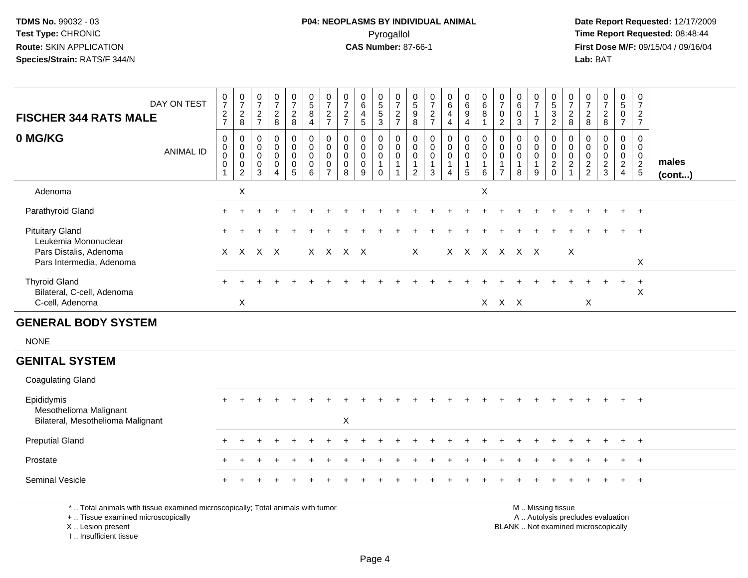I .. Insufficient tissue

# **P04: NEOPLASMS BY INDIVIDUAL ANIMAL**Pyrogallol Pyrogallol **Pyrogallol Time Report Requested:** 08:48:44<br>**CAS Number:** 87-66-1 **Time Report Requested:** 08/15/04 / 09/16/04

| <b>FISCHER 344 RATS MALE</b>                                                                                                               | DAY ON TEST      | $\frac{0}{7}$<br>$\frac{2}{7}$                              | $\frac{0}{7}$<br>$_{\rm 8}^2$                                         | $\frac{0}{7}$<br>$\overline{c}$<br>$\overline{7}$ | 0<br>$\overline{7}$<br>$\frac{2}{8}$   | $\frac{0}{7}$<br>$\frac{2}{8}$                                             | $\begin{array}{c} 0 \\ 5 \end{array}$<br>$\bf 8$<br>$\overline{4}$ | $\frac{0}{7}$<br>$\frac{2}{7}$                                              | $\frac{0}{7}$<br>$\overline{c}$<br>$\overline{7}$    | $\begin{array}{c} 0 \\ 6 \end{array}$<br>$\frac{4}{5}$                     | $\begin{array}{c} 0 \\ 5 \end{array}$<br>5<br>3       | $\frac{0}{7}$<br>$\frac{2}{7}$                        | $\begin{array}{c} 0 \\ 5 \end{array}$<br>$\boldsymbol{9}$<br>$\,8\,$ | $\frac{0}{7}$<br>$\frac{2}{7}$                                 | 0<br>$6\phantom{1}$<br>$\overline{4}$<br>$\overline{4}$                     | $\begin{array}{c} 0 \\ 6 \end{array}$<br>$\boldsymbol{9}$<br>$\overline{4}$ | $\begin{array}{c} 0 \\ 6 \end{array}$<br>8<br>$\mathbf{1}$ | $\frac{0}{7}$<br>$\mathbf 0$<br>$\overline{2}$                           | 0<br>$\,6\,$<br>0<br>$\mathbf{3}$              | $\frac{0}{7}$<br>$\mathbf{1}$<br>$\overline{7}$                    | $\begin{array}{c} 0 \\ 5 \end{array}$<br>$\frac{3}{2}$ | $\frac{0}{7}$<br>$\sqrt{2}$<br>8                                            | 0<br>$\overline{7}$<br>$\overline{c}$<br>8    | $\frac{0}{7}$<br>$\frac{2}{8}$                | $\begin{array}{c} 0 \\ 5 \end{array}$<br>$\pmb{0}$<br>$\overline{7}$   | 0<br>$\overline{7}$<br>$rac{2}{7}$               |                       |
|--------------------------------------------------------------------------------------------------------------------------------------------|------------------|-------------------------------------------------------------|-----------------------------------------------------------------------|---------------------------------------------------|----------------------------------------|----------------------------------------------------------------------------|--------------------------------------------------------------------|-----------------------------------------------------------------------------|------------------------------------------------------|----------------------------------------------------------------------------|-------------------------------------------------------|-------------------------------------------------------|----------------------------------------------------------------------|----------------------------------------------------------------|-----------------------------------------------------------------------------|-----------------------------------------------------------------------------|------------------------------------------------------------|--------------------------------------------------------------------------|------------------------------------------------|--------------------------------------------------------------------|--------------------------------------------------------|-----------------------------------------------------------------------------|-----------------------------------------------|-----------------------------------------------|------------------------------------------------------------------------|--------------------------------------------------|-----------------------|
| 0 MG/KG                                                                                                                                    | <b>ANIMAL ID</b> | $\mathbf 0$<br>$\pmb{0}$<br>$\mathbf 0$<br>$\mathbf 0$<br>1 | 0<br>$\mathbf 0$<br>$\mathbf 0$<br>$\boldsymbol{0}$<br>$\overline{2}$ | $\mathbf 0$<br>$\Omega$<br>0<br>0<br>3            | $\mathbf 0$<br>$\Omega$<br>0<br>0<br>4 | $\mathbf 0$<br>$\mathbf 0$<br>$\mathbf 0$<br>$\mathbf 0$<br>$\overline{5}$ | $\mathbf 0$<br>$\pmb{0}$<br>$\mathbf 0$<br>$\mathbf 0$<br>6        | $\mathbf 0$<br>$\mathbf{0}$<br>$\mathbf 0$<br>$\mathbf 0$<br>$\overline{7}$ | $\mathbf 0$<br>$\mathbf{0}$<br>0<br>$\mathbf 0$<br>8 | $\mathbf 0$<br>$\mathbf 0$<br>$\mathbf 0$<br>$\mathbf 0$<br>$\overline{9}$ | $\Omega$<br>$\Omega$<br>0<br>$\mathbf{1}$<br>$\Omega$ | 0<br>$\mathbf 0$<br>$\mathsf{O}$<br>1<br>$\mathbf{1}$ | 0<br>$\mathbf 0$<br>0<br>$\mathbf{1}$<br>$\overline{2}$              | $\mathbf 0$<br>$\mathbf 0$<br>$\mathbf 0$<br>$\mathbf{1}$<br>3 | $\mathbf 0$<br>$\mathbf 0$<br>$\mathbf 0$<br>$\mathbf{1}$<br>$\overline{4}$ | $\mathbf 0$<br>$\mathbf 0$<br>0<br>$\mathbf{1}$<br>5                        | 0<br>$\mathbf 0$<br>$\mathbf 0$<br>$\mathbf{1}$<br>$\,6\,$ | $\mathbf 0$<br>$\Omega$<br>$\mathbf 0$<br>$\mathbf{1}$<br>$\overline{7}$ | $\Omega$<br>$\Omega$<br>0<br>$\mathbf{1}$<br>8 | $\mathbf 0$<br>$\mathbf 0$<br>$\mathbf 0$<br>$\mathbf{1}$<br>$9\,$ | 0<br>$\mathbf 0$<br>$\mathbf 0$<br>$^2_{\rm 0}$        | $\mathbf 0$<br>$\mathbf 0$<br>$\mathbf 0$<br>$\overline{c}$<br>$\mathbf{1}$ | $\mathbf 0$<br>$\Omega$<br>0<br>$\frac{2}{2}$ | $\Omega$<br>$\mathbf 0$<br>0<br>$\frac{2}{3}$ | 0<br>$\overline{0}$<br>$\mathbf 0$<br>$\overline{2}$<br>$\overline{4}$ | $\mathbf 0$<br>$\mathbf 0$<br>0<br>$\frac{2}{5}$ | males<br>$($ cont $)$ |
| Adenoma                                                                                                                                    |                  |                                                             | $\mathsf{X}$                                                          |                                                   |                                        |                                                                            |                                                                    |                                                                             |                                                      |                                                                            |                                                       |                                                       |                                                                      |                                                                |                                                                             |                                                                             | $\mathsf{X}$                                               |                                                                          |                                                |                                                                    |                                                        |                                                                             |                                               |                                               |                                                                        |                                                  |                       |
| Parathyroid Gland                                                                                                                          |                  |                                                             |                                                                       |                                                   |                                        |                                                                            |                                                                    |                                                                             |                                                      |                                                                            |                                                       |                                                       |                                                                      |                                                                |                                                                             |                                                                             |                                                            |                                                                          |                                                |                                                                    |                                                        |                                                                             |                                               |                                               |                                                                        | $\ddot{}$                                        |                       |
| <b>Pituitary Gland</b><br>Leukemia Mononuclear                                                                                             |                  |                                                             |                                                                       |                                                   |                                        |                                                                            |                                                                    |                                                                             |                                                      |                                                                            |                                                       |                                                       |                                                                      |                                                                |                                                                             |                                                                             |                                                            |                                                                          |                                                |                                                                    |                                                        |                                                                             |                                               |                                               |                                                                        | $\ddot{}$                                        |                       |
| Pars Distalis, Adenoma<br>Pars Intermedia, Adenoma                                                                                         |                  |                                                             |                                                                       | X X X X                                           |                                        |                                                                            |                                                                    |                                                                             | X X X X                                              |                                                                            |                                                       |                                                       | X                                                                    |                                                                |                                                                             | X X X X X X                                                                 |                                                            |                                                                          |                                                |                                                                    |                                                        | X                                                                           |                                               |                                               |                                                                        | X                                                |                       |
| <b>Thyroid Gland</b><br>Bilateral, C-cell, Adenoma                                                                                         |                  |                                                             |                                                                       |                                                   |                                        |                                                                            |                                                                    |                                                                             |                                                      |                                                                            |                                                       |                                                       |                                                                      |                                                                |                                                                             |                                                                             |                                                            |                                                                          |                                                |                                                                    |                                                        |                                                                             |                                               |                                               | $\ddot{}$                                                              | $\ddot{}$<br>X                                   |                       |
| C-cell, Adenoma<br><b>GENERAL BODY SYSTEM</b>                                                                                              |                  |                                                             | X                                                                     |                                                   |                                        |                                                                            |                                                                    |                                                                             |                                                      |                                                                            |                                                       |                                                       |                                                                      |                                                                |                                                                             |                                                                             |                                                            | X X X                                                                    |                                                |                                                                    |                                                        |                                                                             | X                                             |                                               |                                                                        |                                                  |                       |
| <b>NONE</b>                                                                                                                                |                  |                                                             |                                                                       |                                                   |                                        |                                                                            |                                                                    |                                                                             |                                                      |                                                                            |                                                       |                                                       |                                                                      |                                                                |                                                                             |                                                                             |                                                            |                                                                          |                                                |                                                                    |                                                        |                                                                             |                                               |                                               |                                                                        |                                                  |                       |
| <b>GENITAL SYSTEM</b>                                                                                                                      |                  |                                                             |                                                                       |                                                   |                                        |                                                                            |                                                                    |                                                                             |                                                      |                                                                            |                                                       |                                                       |                                                                      |                                                                |                                                                             |                                                                             |                                                            |                                                                          |                                                |                                                                    |                                                        |                                                                             |                                               |                                               |                                                                        |                                                  |                       |
| <b>Coagulating Gland</b>                                                                                                                   |                  |                                                             |                                                                       |                                                   |                                        |                                                                            |                                                                    |                                                                             |                                                      |                                                                            |                                                       |                                                       |                                                                      |                                                                |                                                                             |                                                                             |                                                            |                                                                          |                                                |                                                                    |                                                        |                                                                             |                                               |                                               |                                                                        |                                                  |                       |
| Epididymis<br>Mesothelioma Malignant<br>Bilateral, Mesothelioma Malignant                                                                  |                  |                                                             |                                                                       |                                                   |                                        |                                                                            |                                                                    |                                                                             | $\boldsymbol{\mathsf{X}}$                            |                                                                            |                                                       |                                                       |                                                                      |                                                                |                                                                             |                                                                             |                                                            |                                                                          |                                                |                                                                    |                                                        |                                                                             |                                               |                                               |                                                                        | $\overline{+}$                                   |                       |
| <b>Preputial Gland</b>                                                                                                                     |                  | ÷                                                           |                                                                       |                                                   |                                        |                                                                            |                                                                    |                                                                             |                                                      |                                                                            |                                                       |                                                       |                                                                      |                                                                |                                                                             |                                                                             |                                                            |                                                                          |                                                |                                                                    |                                                        |                                                                             |                                               |                                               | $\pm$                                                                  | $\ddot{}$                                        |                       |
| Prostate                                                                                                                                   |                  |                                                             |                                                                       |                                                   |                                        |                                                                            |                                                                    |                                                                             |                                                      |                                                                            |                                                       |                                                       |                                                                      |                                                                |                                                                             |                                                                             |                                                            |                                                                          |                                                |                                                                    |                                                        |                                                                             |                                               |                                               |                                                                        |                                                  |                       |
| Seminal Vesicle                                                                                                                            |                  |                                                             |                                                                       |                                                   |                                        |                                                                            |                                                                    |                                                                             |                                                      |                                                                            |                                                       |                                                       |                                                                      |                                                                |                                                                             |                                                                             |                                                            |                                                                          |                                                |                                                                    |                                                        |                                                                             |                                               |                                               |                                                                        |                                                  |                       |
| *  Total animals with tissue examined microscopically; Total animals with tumor<br>+  Tissue examined microscopically<br>X  Lesion present |                  |                                                             |                                                                       |                                                   |                                        |                                                                            |                                                                    |                                                                             |                                                      |                                                                            |                                                       |                                                       |                                                                      |                                                                |                                                                             |                                                                             |                                                            |                                                                          | BLANK  Not examined microscopically            |                                                                    | M  Missing tissue<br>A  Autolysis precludes evaluation |                                                                             |                                               |                                               |                                                                        |                                                  |                       |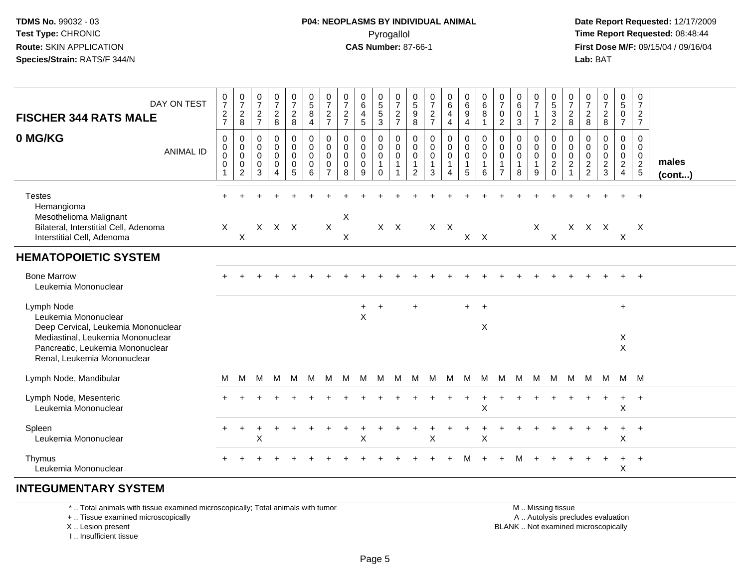## **P04: NEOPLASMS BY INDIVIDUAL ANIMAL**Pyrogallol Pyrogallol **Pyrogallol Time Report Requested:** 08:48:44<br>**CAS Number:** 87-66-1 **Time Report Requested:** 09/15/04 / 09/16/04

 **Date Report Requested:** 12/17/2009 **First Dose M/F:** 09/15/04 / 09/16/04 Lab: BAT **Lab:** BAT

| DAY ON TEST<br><b>FISCHER 344 RATS MALE</b>                                                                                                                                       | $\frac{0}{7}$<br>$\frac{2}{7}$                       | $\begin{array}{c} 0 \\ 7 \end{array}$<br>$\mathbf{2}$<br>8     | 0<br>$\overline{7}$<br>$\overline{2}$<br>$\overline{7}$ | $\frac{0}{7}$<br>$\frac{2}{8}$                                           | $\frac{0}{7}$<br>$\boldsymbol{2}$<br>$\,8\,$ | 0<br>$\overline{5}$<br>8<br>$\overline{4}$                    | 0<br>$\overline{7}$<br>$\overline{c}$<br>$\overline{7}$                     | $\frac{0}{7}$<br>$\frac{2}{7}$            | 0<br>$6\overline{6}$<br>4<br>5  | 0<br>$\frac{5}{3}$                                    | 0<br>$\overline{7}$<br>$\frac{2}{7}$  | 0<br>$\sqrt{5}$<br>$\boldsymbol{9}$<br>$\overline{8}$  | $\frac{0}{7}$<br>$\frac{2}{7}$                                 | 0<br>$6\phantom{a}$<br>4<br>4 | 0<br>$6\phantom{a}$<br>$\boldsymbol{9}$<br>$\overline{\mathbf{4}}$ | $\begin{array}{c} 0 \\ 6 \end{array}$<br>8<br>$\mathbf{1}$ | 0<br>$\overline{7}$<br>0<br>$\overline{2}$      | $\begin{array}{c} 0 \\ 6 \end{array}$<br>$\pmb{0}$<br>$\mathbf{3}$ | $\frac{0}{7}$<br>$\mathbf{1}$<br>$\overline{7}$ | $\mathbf 0$<br>$\overline{5}$<br>$\mathbf{3}$<br>$\overline{2}$             | 0<br>$\overline{7}$<br>$\overline{c}$<br>8 | $\frac{0}{7}$<br>$_{\rm 8}^2$                            | $\frac{0}{7}$<br>$_{\rm 8}^2$                     | 0<br>$\overline{5}$<br>$\overline{0}$<br>$\overline{7}$   | 0<br>$\overline{7}$<br>$\frac{2}{7}$                                     |                 |
|-----------------------------------------------------------------------------------------------------------------------------------------------------------------------------------|------------------------------------------------------|----------------------------------------------------------------|---------------------------------------------------------|--------------------------------------------------------------------------|----------------------------------------------|---------------------------------------------------------------|-----------------------------------------------------------------------------|-------------------------------------------|---------------------------------|-------------------------------------------------------|---------------------------------------|--------------------------------------------------------|----------------------------------------------------------------|-------------------------------|--------------------------------------------------------------------|------------------------------------------------------------|-------------------------------------------------|--------------------------------------------------------------------|-------------------------------------------------|-----------------------------------------------------------------------------|--------------------------------------------|----------------------------------------------------------|---------------------------------------------------|-----------------------------------------------------------|--------------------------------------------------------------------------|-----------------|
| 0 MG/KG<br><b>ANIMAL ID</b>                                                                                                                                                       | $\mathbf 0$<br>$\pmb{0}$<br>$\mathbf 0$<br>$\pmb{0}$ | $\mathbf 0$<br>$\mathbf 0$<br>$\pmb{0}$<br>0<br>$\overline{2}$ | $\mathbf 0$<br>0<br>$\mathbf 0$<br>0<br>3               | $\mathbf 0$<br>$\mathbf 0$<br>$\pmb{0}$<br>$\mathbf 0$<br>$\overline{4}$ | 0<br>0<br>0<br>$\mathbf 0$<br>5              | $\mathbf 0$<br>$\mathbf 0$<br>$\mathbf 0$<br>$\mathbf 0$<br>6 | $\mathbf 0$<br>$\mathbf 0$<br>$\mathbf{0}$<br>$\mathbf 0$<br>$\overline{7}$ | 0<br>$\mathbf 0$<br>$\mathbf 0$<br>0<br>8 | 0<br>0<br>$\mathbf 0$<br>0<br>9 | 0<br>$\mathsf{O}$<br>0<br>$\mathbf{1}$<br>$\mathbf 0$ | $\mathbf 0$<br>0<br>0<br>$\mathbf{1}$ | $\mathbf 0$<br>$\mathbf 0$<br>0<br>$\overline{1}$<br>2 | $\mathbf 0$<br>$\mathbf 0$<br>$\mathbf 0$<br>$\mathbf{1}$<br>3 | 0<br>0<br>0<br>1<br>4         | $\mathbf 0$<br>$\mathbf 0$<br>$\pmb{0}$<br>$\mathbf{1}$<br>5       | 0<br>$\mathbf 0$<br>0<br>$\mathbf{1}$<br>6                 | $\mathbf 0$<br>$\mathbf 0$<br>$\mathbf 0$<br>-1 | $\mathbf 0$<br>$\mathbf 0$<br>$\mathbf 0$<br>$\mathbf{1}$<br>8     | 0<br>$\mathbf 0$<br>0<br>-1<br>9                | $\mathbf 0$<br>$\mathbf 0$<br>$\mathbf 0$<br>$\overline{c}$<br>$\mathbf{0}$ | 0<br>0<br>$\mathbf 0$<br>$\overline{2}$    | $\mathbf 0$<br>$\mathbf 0$<br>$\pmb{0}$<br>$\frac{2}{2}$ | $\mathbf{0}$<br>0<br>$\mathbf 0$<br>$\frac{2}{3}$ | 0<br>$\mathbf 0$<br>0<br>$\overline{2}$<br>$\overline{4}$ | $\mathbf 0$<br>$\mathbf 0$<br>$\begin{array}{c} 0 \\ 2 \\ 5 \end{array}$ | males<br>(cont) |
| <b>Testes</b><br>Hemangioma<br>Mesothelioma Malignant<br>Bilateral, Interstitial Cell, Adenoma                                                                                    | $\mathsf{X}$                                         |                                                                |                                                         | X X X                                                                    |                                              |                                                               | $\sf X$                                                                     | $\boldsymbol{\mathsf{X}}$                 |                                 |                                                       | $X$ $X$                               |                                                        |                                                                | $X$ $X$                       |                                                                    |                                                            |                                                 |                                                                    | $\mathsf{X}$                                    |                                                                             |                                            | X X X                                                    |                                                   |                                                           | $\mathsf{X}$                                                             |                 |
| Interstitial Cell, Adenoma                                                                                                                                                        |                                                      | $\boldsymbol{\mathsf{X}}$                                      |                                                         |                                                                          |                                              |                                                               |                                                                             | X                                         |                                 |                                                       |                                       |                                                        |                                                                |                               |                                                                    | $X$ $X$                                                    |                                                 |                                                                    |                                                 | $\boldsymbol{X}$                                                            |                                            |                                                          |                                                   | X                                                         |                                                                          |                 |
| <b>HEMATOPOIETIC SYSTEM</b>                                                                                                                                                       |                                                      |                                                                |                                                         |                                                                          |                                              |                                                               |                                                                             |                                           |                                 |                                                       |                                       |                                                        |                                                                |                               |                                                                    |                                                            |                                                 |                                                                    |                                                 |                                                                             |                                            |                                                          |                                                   |                                                           |                                                                          |                 |
| <b>Bone Marrow</b><br>Leukemia Mononuclear                                                                                                                                        |                                                      |                                                                |                                                         |                                                                          |                                              |                                                               |                                                                             |                                           |                                 |                                                       |                                       |                                                        |                                                                |                               |                                                                    |                                                            |                                                 |                                                                    |                                                 |                                                                             |                                            |                                                          |                                                   |                                                           |                                                                          |                 |
| Lymph Node<br>Leukemia Mononuclear<br>Deep Cervical, Leukemia Mononuclear<br>Mediastinal, Leukemia Mononuclear<br>Pancreatic, Leukemia Mononuclear<br>Renal, Leukemia Mononuclear |                                                      |                                                                |                                                         |                                                                          |                                              |                                                               |                                                                             |                                           | $+$<br>$\pmb{\times}$           | $\ddot{}$                                             |                                       | $\ddot{}$                                              |                                                                |                               | $+$                                                                | $^{+}$<br>X                                                |                                                 |                                                                    |                                                 |                                                                             |                                            |                                                          |                                                   | $\ddot{}$<br>X<br>$\mathsf X$                             |                                                                          |                 |
| Lymph Node, Mandibular                                                                                                                                                            | M                                                    | M                                                              | м                                                       | M                                                                        | M                                            | M                                                             | M                                                                           | M                                         | M                               | M                                                     | м                                     | м                                                      | M                                                              | M                             | M                                                                  | M                                                          | M                                               | M                                                                  | M                                               | M                                                                           | M                                          | M                                                        | M                                                 | M M                                                       |                                                                          |                 |
| Lymph Node, Mesenteric<br>Leukemia Mononuclear                                                                                                                                    |                                                      |                                                                |                                                         |                                                                          |                                              |                                                               |                                                                             |                                           |                                 |                                                       |                                       |                                                        |                                                                |                               |                                                                    | $\sf X$                                                    |                                                 |                                                                    |                                                 |                                                                             |                                            |                                                          |                                                   | $\ddot{}$<br>X                                            | $^{+}$                                                                   |                 |
| Spleen<br>Leukemia Mononuclear                                                                                                                                                    |                                                      | $\ddot{}$                                                      | X                                                       |                                                                          |                                              |                                                               |                                                                             |                                           | $\mathsf X$                     |                                                       |                                       |                                                        | X                                                              |                               |                                                                    | $\sf X$                                                    |                                                 |                                                                    |                                                 |                                                                             |                                            |                                                          | $\ddot{}$                                         | $+$<br>X                                                  | $+$                                                                      |                 |
| <b>Thymus</b><br>Leukemia Mononuclear                                                                                                                                             |                                                      |                                                                |                                                         |                                                                          |                                              |                                                               |                                                                             |                                           |                                 |                                                       |                                       |                                                        |                                                                |                               |                                                                    |                                                            |                                                 | м                                                                  |                                                 |                                                                             |                                            |                                                          |                                                   | $\ddot{}$<br>X                                            | $^{+}$                                                                   |                 |

#### **INTEGUMENTARY SYSTEM**

\* .. Total animals with tissue examined microscopically; Total animals with tumor

+ .. Tissue examined microscopically

X .. Lesion present

I .. Insufficient tissue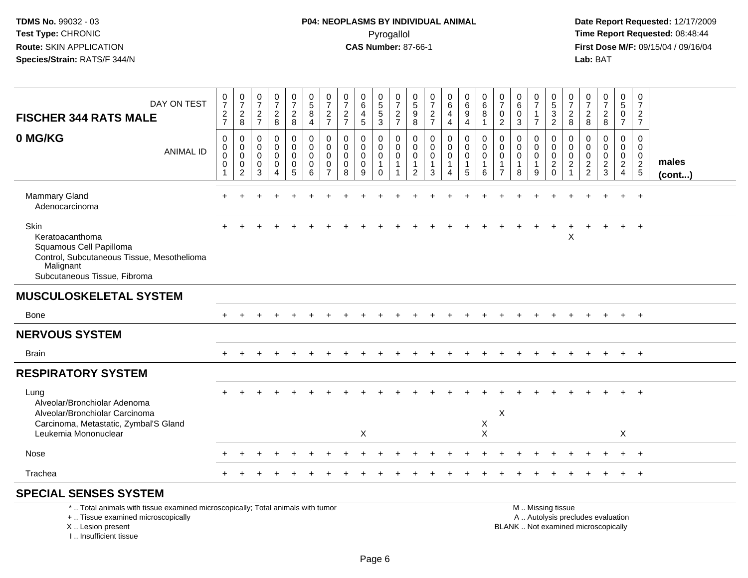# **P04: NEOPLASMS BY INDIVIDUAL ANIMAL**Pyrogallol Pyrogallol **Pyrogallol Time Report Requested:** 08:48:44<br>**CAS Number:** 87-66-1 **Time Report Requested:** 09/15/04 / 09/16/04

 **Date Report Requested:** 12/17/2009 **First Dose M/F:** 09/15/04 / 09/16/04<br>Lab: BAT **Lab:** BAT

| DAY ON TEST                                                                                                                                   | $\frac{0}{7}$                                          | $\frac{0}{7}$                                | 0<br>$\boldsymbol{7}$               | $\frac{0}{7}$                                                    | $\frac{0}{7}$                                               | $\begin{array}{c} 0 \\ 5 \end{array}$                         | 0<br>$\overline{7}$                                                     | 0<br>$\overline{7}$                                           | 0<br>$6\phantom{a}$             | 0<br>$\overline{5}$                                         | 0<br>$\overline{7}$                            | 0<br>$\,$ 5 $\,$                                    | $\frac{0}{7}$                                                  | 0<br>$\,6\,$                                         | 0<br>$\,6\,$                                                     | 0<br>$\,6$                           | 0<br>$\overline{7}$                                                   | 0<br>$6\overline{6}$                        | 0<br>$\overline{7}$ | $\mathbf 0$<br>$\overline{5}$                                                | 0<br>$\overline{7}$                                       | $\frac{0}{7}$                                    | $\frac{0}{7}$                                                     | 0<br>$\overline{5}$                                        | 0<br>$\overline{7}$                     |                       |
|-----------------------------------------------------------------------------------------------------------------------------------------------|--------------------------------------------------------|----------------------------------------------|-------------------------------------|------------------------------------------------------------------|-------------------------------------------------------------|---------------------------------------------------------------|-------------------------------------------------------------------------|---------------------------------------------------------------|---------------------------------|-------------------------------------------------------------|------------------------------------------------|-----------------------------------------------------|----------------------------------------------------------------|------------------------------------------------------|------------------------------------------------------------------|--------------------------------------|-----------------------------------------------------------------------|---------------------------------------------|---------------------|------------------------------------------------------------------------------|-----------------------------------------------------------|--------------------------------------------------|-------------------------------------------------------------------|------------------------------------------------------------|-----------------------------------------|-----------------------|
| <b>FISCHER 344 RATS MALE</b>                                                                                                                  | $\frac{2}{7}$                                          | $\overline{a}$<br>8                          | $\overline{2}$<br>$\overline{7}$    | $\frac{2}{8}$                                                    | $\frac{2}{8}$                                               | 8<br>$\overline{4}$                                           | $\overline{c}$<br>$\overline{7}$                                        | $\boldsymbol{2}$<br>$\overline{7}$                            | 4<br>5                          | 5<br>3                                                      | $\overline{c}$<br>$\overline{7}$               | $\boldsymbol{9}$<br>8                               | $\sqrt{2}$<br>$\overline{7}$                                   | $\overline{4}$<br>$\overline{4}$                     | 9<br>$\overline{4}$                                              | 8<br>1                               | $\mathbf 0$<br>$\overline{2}$                                         | $\mathbf 0$<br>3                            | 1<br>$\overline{7}$ | $\ensuremath{\mathsf{3}}$<br>$\overline{2}$                                  | $\frac{2}{8}$                                             | $\overline{c}$<br>8                              | $\boldsymbol{2}$<br>8                                             | $\mathbf 0$<br>$\overline{7}$                              | $\overline{2}$<br>$\overline{7}$        |                       |
| 0 MG/KG<br><b>ANIMAL ID</b>                                                                                                                   | $\mathbf 0$<br>0<br>$\overline{0}$<br>$\mathbf 0$<br>1 | 0<br>$\mathbf 0$<br>0<br>0<br>$\overline{2}$ | $\Omega$<br>$\Omega$<br>0<br>0<br>3 | $\mathbf 0$<br>$\mathbf 0$<br>$\mathbf 0$<br>0<br>$\overline{A}$ | $\mathbf 0$<br>$\mathbf 0$<br>$\mathbf 0$<br>$\pmb{0}$<br>5 | $\mathbf 0$<br>$\mathbf 0$<br>$\mathbf 0$<br>$\mathbf 0$<br>6 | $\mathbf 0$<br>$\Omega$<br>$\mathbf 0$<br>$\mathbf 0$<br>$\overline{7}$ | $\mathbf 0$<br>$\mathbf 0$<br>$\mathbf 0$<br>$\mathbf 0$<br>8 | 0<br>0<br>$\mathbf 0$<br>0<br>9 | 0<br>$\mathbf 0$<br>$\mathbf 0$<br>$\mathbf{1}$<br>$\Omega$ | 0<br>$\mathbf 0$<br>$\mathbf 0$<br>$\mathbf 1$ | $\mathbf 0$<br>$\Omega$<br>0<br>$\overline{1}$<br>2 | $\mathbf 0$<br>$\mathbf 0$<br>$\mathbf 0$<br>$\mathbf{1}$<br>3 | 0<br>$\mathbf 0$<br>$\mathbf 0$<br>$\mathbf{1}$<br>4 | $\mathbf 0$<br>$\mathbf 0$<br>$\mathbf 0$<br>$\overline{1}$<br>5 | 0<br>0<br>0<br>6                     | $\Omega$<br>$\Omega$<br>$\mathbf 0$<br>$\mathbf{1}$<br>$\overline{7}$ | $\mathbf{0}$<br>0<br>0<br>$\mathbf{1}$<br>8 | 0<br>0<br>0<br>9    | $\mathbf 0$<br>$\mathbf 0$<br>$\mathsf 0$<br>$\boldsymbol{2}$<br>$\mathbf 0$ | 0<br>$\mathbf 0$<br>0<br>$\overline{c}$<br>$\overline{1}$ | 0<br>$\mathbf 0$<br>$\mathbf 0$<br>$\frac{2}{2}$ | 0<br>$\mathbf 0$<br>$\mathbf 0$<br>$\overline{c}$<br>$\mathbf{3}$ | $\mathbf 0$<br>$\mathbf 0$<br>$\mathbf 0$<br>$\frac{2}{4}$ | 0<br>$\mathbf{0}$<br>0<br>$\frac{2}{5}$ | males<br>$($ cont $)$ |
| Mammary Gland<br>Adenocarcinoma                                                                                                               |                                                        |                                              |                                     |                                                                  |                                                             |                                                               |                                                                         |                                                               |                                 |                                                             |                                                |                                                     |                                                                |                                                      |                                                                  |                                      |                                                                       |                                             |                     |                                                                              |                                                           |                                                  |                                                                   |                                                            | $+$                                     |                       |
| Skin<br>Keratoacanthoma<br>Squamous Cell Papilloma<br>Control, Subcutaneous Tissue, Mesothelioma<br>Malignant<br>Subcutaneous Tissue, Fibroma |                                                        |                                              |                                     |                                                                  |                                                             |                                                               |                                                                         |                                                               |                                 |                                                             |                                                |                                                     |                                                                |                                                      |                                                                  |                                      |                                                                       |                                             |                     |                                                                              | X                                                         |                                                  |                                                                   |                                                            |                                         |                       |
| <b>MUSCULOSKELETAL SYSTEM</b>                                                                                                                 |                                                        |                                              |                                     |                                                                  |                                                             |                                                               |                                                                         |                                                               |                                 |                                                             |                                                |                                                     |                                                                |                                                      |                                                                  |                                      |                                                                       |                                             |                     |                                                                              |                                                           |                                                  |                                                                   |                                                            |                                         |                       |
| Bone                                                                                                                                          |                                                        |                                              |                                     |                                                                  |                                                             |                                                               |                                                                         |                                                               |                                 |                                                             |                                                |                                                     |                                                                |                                                      |                                                                  |                                      |                                                                       |                                             |                     |                                                                              |                                                           |                                                  |                                                                   |                                                            | $+$                                     |                       |
| <b>NERVOUS SYSTEM</b>                                                                                                                         |                                                        |                                              |                                     |                                                                  |                                                             |                                                               |                                                                         |                                                               |                                 |                                                             |                                                |                                                     |                                                                |                                                      |                                                                  |                                      |                                                                       |                                             |                     |                                                                              |                                                           |                                                  |                                                                   |                                                            |                                         |                       |
| <b>Brain</b>                                                                                                                                  |                                                        |                                              |                                     |                                                                  |                                                             |                                                               |                                                                         |                                                               |                                 |                                                             |                                                |                                                     |                                                                |                                                      |                                                                  |                                      |                                                                       |                                             |                     |                                                                              |                                                           |                                                  |                                                                   |                                                            | $+$                                     |                       |
| <b>RESPIRATORY SYSTEM</b>                                                                                                                     |                                                        |                                              |                                     |                                                                  |                                                             |                                                               |                                                                         |                                                               |                                 |                                                             |                                                |                                                     |                                                                |                                                      |                                                                  |                                      |                                                                       |                                             |                     |                                                                              |                                                           |                                                  |                                                                   |                                                            |                                         |                       |
| Lung<br>Alveolar/Bronchiolar Adenoma<br>Alveolar/Bronchiolar Carcinoma<br>Carcinoma, Metastatic, Zymbal'S Gland<br>Leukemia Mononuclear       |                                                        |                                              |                                     |                                                                  |                                                             |                                                               |                                                                         |                                                               | X                               |                                                             |                                                |                                                     |                                                                |                                                      |                                                                  | $\boldsymbol{\mathsf{X}}$<br>$\sf X$ | X                                                                     |                                             |                     |                                                                              |                                                           |                                                  |                                                                   | X                                                          |                                         |                       |
| Nose                                                                                                                                          |                                                        |                                              |                                     |                                                                  |                                                             |                                                               |                                                                         |                                                               |                                 |                                                             |                                                |                                                     |                                                                |                                                      |                                                                  |                                      |                                                                       |                                             |                     |                                                                              |                                                           |                                                  |                                                                   |                                                            |                                         |                       |
| Trachea                                                                                                                                       |                                                        |                                              |                                     |                                                                  |                                                             |                                                               |                                                                         |                                                               |                                 |                                                             |                                                |                                                     |                                                                |                                                      |                                                                  |                                      |                                                                       |                                             |                     |                                                                              |                                                           |                                                  |                                                                   | $+$                                                        | $+$                                     |                       |
| <b>SPECIAL SENSES SYSTEM</b><br>*  Total animals with tissue examined microscopically; Total animals with tumor                               |                                                        |                                              |                                     |                                                                  |                                                             |                                                               |                                                                         |                                                               |                                 |                                                             |                                                |                                                     |                                                                |                                                      |                                                                  |                                      |                                                                       |                                             |                     | M  Missing tissue                                                            |                                                           |                                                  |                                                                   |                                                            |                                         |                       |
| +  Tissue examined microscopically                                                                                                            |                                                        |                                              |                                     |                                                                  |                                                             |                                                               |                                                                         |                                                               |                                 |                                                             |                                                |                                                     |                                                                |                                                      |                                                                  |                                      |                                                                       |                                             |                     | A  Autolysis precludes evaluation                                            |                                                           |                                                  |                                                                   |                                                            |                                         |                       |

X .. Lesion present

I .. Insufficient tissue

Lesion present BLANK .. Not examined microscopically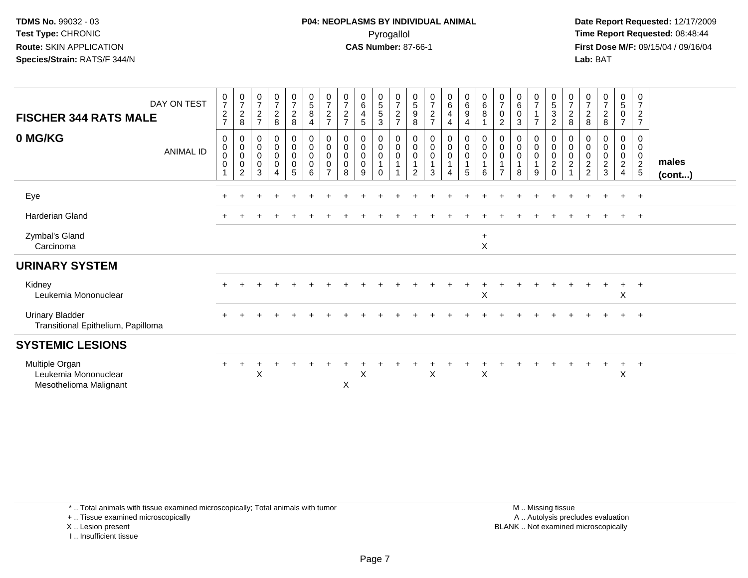**Date Report Requested:** 12/17/2009 **First Dose M/F:** 09/15/04 / 09/16/04 Lab: BAT **Lab:** BAT

| DAY ON TEST<br><b>FISCHER 344 RATS MALE</b><br>0 MG/KG<br><b>ANIMAL ID</b> | $\frac{0}{7}$<br>$\overline{c}$<br>$\overline{7}$<br>0<br>$\pmb{0}$<br>$\mathbf 0$<br>$\mathbf 0$ | $\frac{0}{7}$<br>$\overline{2}$<br>8<br>0<br>$\pmb{0}$<br>$\pmb{0}$<br>0<br>2 | $\frac{0}{7}$<br>$\overline{2}$<br>$\overline{7}$<br>0<br>$\boldsymbol{0}$<br>$\boldsymbol{0}$<br>$\mathbf 0$<br>3 | $\frac{0}{7}$<br>$\overline{a}$<br>8<br>0<br>$\mathbf 0$<br>0<br>0<br>4 | $\frac{0}{7}$<br>$\frac{2}{8}$<br>0<br>$\pmb{0}$<br>$\pmb{0}$<br>$\pmb{0}$<br>$\sqrt{5}$ | $\begin{smallmatrix} 0\\5 \end{smallmatrix}$<br>8<br>4<br>0<br>$\pmb{0}$<br>$\mathbf 0$<br>$\mathbf 0$<br>6 | $\begin{array}{c} 0 \\ 7 \end{array}$<br>$\frac{2}{7}$<br>0<br>$\pmb{0}$<br>$\mathbf 0$<br>0<br>$\overline{7}$ | $\frac{0}{7}$<br>$\sqrt{2}$<br>$\overline{7}$<br>0<br>$\pmb{0}$<br>$\pmb{0}$<br>$\mathbf 0$<br>8 | 0<br>$\,6$<br>$\overline{4}$<br>5<br>0<br>0<br>0<br>$\mathbf 0$<br>9 | $\begin{array}{c} 0 \\ 5 \\ 5 \end{array}$<br>$\ensuremath{\mathsf{3}}$<br>0<br>$\mathbf 0$<br>$\pmb{0}$<br>$\mathbf{1}$<br>$\mathbf 0$ | $\frac{0}{7}$<br>$\boldsymbol{2}$<br>$\overline{7}$<br>0<br>$\mathsf{O}\xspace$<br>$\pmb{0}$<br>$\mathbf{1}$ | $\frac{0}{5}$<br>9<br>8<br>0<br>0<br>0<br>$\overline{2}$ | $\frac{0}{7}$<br>$\frac{2}{7}$<br>$\pmb{0}$<br>$\pmb{0}$<br>$\pmb{0}$<br>1<br>$\mathbf{3}$ | $\mathbf 0$<br>$\,6\,$<br>$\overline{\mathbf{4}}$<br>4<br>0<br>$\pmb{0}$<br>$\pmb{0}$<br>1<br>$\overline{4}$ | 0<br>$\,6\,$<br>9<br>4<br>0<br>$\pmb{0}$<br>0<br>1<br>$5\phantom{.0}$ | 0<br>$\,6\,$<br>8<br>0<br>0<br>0<br>6 | $\frac{0}{7}$<br>$\pmb{0}$<br>$\overline{c}$<br>0<br>0<br>0<br>$\mathbf 1$<br>$\overline{7}$ | $\begin{array}{c} 0 \\ 6 \end{array}$<br>$\pmb{0}$<br>$\mathbf{3}$<br>$\boldsymbol{0}$<br>$\mathsf 0$<br>$\pmb{0}$<br>8 | $\frac{0}{7}$<br>$\overline{1}$<br>$\overline{7}$<br>0<br>$\mathbf 0$<br>$\mathsf{O}\xspace$<br>$\overline{1}$<br>9 | $\begin{array}{c} 0 \\ 5 \\ 3 \end{array}$<br>$\overline{2}$<br>0<br>$\mathbf 0$<br>$\pmb{0}$<br>$\sqrt{2}$<br>$\mathbf 0$ | 0<br>$\overline{7}$<br>$\overline{c}$<br>8<br>0<br>0<br>0<br>$\overline{c}$ | $\frac{0}{7}$<br>$_{8}^{\rm 2}$<br>0<br>0<br>$\pmb{0}$<br>$\frac{2}{2}$ | $\frac{0}{7}$<br>$\overline{c}$<br>8<br>0<br>0<br>$\pmb{0}$<br>$\frac{2}{3}$ | $\begin{matrix} 0 \\ 5 \end{matrix}$<br>$\pmb{0}$<br>$\overline{7}$<br>0<br>$\mathbf 0$<br>0<br>$\overline{a}$<br>$\overline{4}$ | 0<br>$\overline{7}$<br>$\overline{2}$<br>$\overline{7}$<br>0<br>$\mathbf 0$<br>$\mathbf 0$<br>$\frac{2}{5}$ | males<br>(cont) |
|----------------------------------------------------------------------------|---------------------------------------------------------------------------------------------------|-------------------------------------------------------------------------------|--------------------------------------------------------------------------------------------------------------------|-------------------------------------------------------------------------|------------------------------------------------------------------------------------------|-------------------------------------------------------------------------------------------------------------|----------------------------------------------------------------------------------------------------------------|--------------------------------------------------------------------------------------------------|----------------------------------------------------------------------|-----------------------------------------------------------------------------------------------------------------------------------------|--------------------------------------------------------------------------------------------------------------|----------------------------------------------------------|--------------------------------------------------------------------------------------------|--------------------------------------------------------------------------------------------------------------|-----------------------------------------------------------------------|---------------------------------------|----------------------------------------------------------------------------------------------|-------------------------------------------------------------------------------------------------------------------------|---------------------------------------------------------------------------------------------------------------------|----------------------------------------------------------------------------------------------------------------------------|-----------------------------------------------------------------------------|-------------------------------------------------------------------------|------------------------------------------------------------------------------|----------------------------------------------------------------------------------------------------------------------------------|-------------------------------------------------------------------------------------------------------------|-----------------|
| Eye                                                                        |                                                                                                   |                                                                               |                                                                                                                    |                                                                         |                                                                                          |                                                                                                             |                                                                                                                |                                                                                                  |                                                                      |                                                                                                                                         |                                                                                                              |                                                          |                                                                                            |                                                                                                              |                                                                       |                                       |                                                                                              |                                                                                                                         |                                                                                                                     |                                                                                                                            |                                                                             |                                                                         |                                                                              | $\ddot{}$                                                                                                                        | $+$                                                                                                         |                 |
| <b>Harderian Gland</b>                                                     |                                                                                                   |                                                                               |                                                                                                                    |                                                                         |                                                                                          |                                                                                                             |                                                                                                                |                                                                                                  |                                                                      |                                                                                                                                         |                                                                                                              |                                                          |                                                                                            |                                                                                                              |                                                                       |                                       |                                                                                              |                                                                                                                         |                                                                                                                     |                                                                                                                            |                                                                             |                                                                         |                                                                              | $\ddot{}$                                                                                                                        | $+$                                                                                                         |                 |
| Zymbal's Gland<br>Carcinoma                                                |                                                                                                   |                                                                               |                                                                                                                    |                                                                         |                                                                                          |                                                                                                             |                                                                                                                |                                                                                                  |                                                                      |                                                                                                                                         |                                                                                                              |                                                          |                                                                                            |                                                                                                              |                                                                       | $\ddot{}$<br>X                        |                                                                                              |                                                                                                                         |                                                                                                                     |                                                                                                                            |                                                                             |                                                                         |                                                                              |                                                                                                                                  |                                                                                                             |                 |
| <b>URINARY SYSTEM</b>                                                      |                                                                                                   |                                                                               |                                                                                                                    |                                                                         |                                                                                          |                                                                                                             |                                                                                                                |                                                                                                  |                                                                      |                                                                                                                                         |                                                                                                              |                                                          |                                                                                            |                                                                                                              |                                                                       |                                       |                                                                                              |                                                                                                                         |                                                                                                                     |                                                                                                                            |                                                                             |                                                                         |                                                                              |                                                                                                                                  |                                                                                                             |                 |
| Kidney<br>Leukemia Mononuclear                                             |                                                                                                   |                                                                               |                                                                                                                    |                                                                         |                                                                                          |                                                                                                             |                                                                                                                |                                                                                                  |                                                                      |                                                                                                                                         |                                                                                                              |                                                          |                                                                                            |                                                                                                              |                                                                       | X                                     |                                                                                              |                                                                                                                         |                                                                                                                     |                                                                                                                            |                                                                             |                                                                         |                                                                              | $\pm$<br>X                                                                                                                       | $^{+}$                                                                                                      |                 |
| <b>Urinary Bladder</b><br>Transitional Epithelium, Papilloma               |                                                                                                   |                                                                               |                                                                                                                    |                                                                         |                                                                                          |                                                                                                             |                                                                                                                |                                                                                                  |                                                                      |                                                                                                                                         |                                                                                                              |                                                          |                                                                                            |                                                                                                              |                                                                       |                                       |                                                                                              |                                                                                                                         |                                                                                                                     |                                                                                                                            |                                                                             |                                                                         |                                                                              |                                                                                                                                  | $+$                                                                                                         |                 |
| <b>SYSTEMIC LESIONS</b>                                                    |                                                                                                   |                                                                               |                                                                                                                    |                                                                         |                                                                                          |                                                                                                             |                                                                                                                |                                                                                                  |                                                                      |                                                                                                                                         |                                                                                                              |                                                          |                                                                                            |                                                                                                              |                                                                       |                                       |                                                                                              |                                                                                                                         |                                                                                                                     |                                                                                                                            |                                                                             |                                                                         |                                                                              |                                                                                                                                  |                                                                                                             |                 |
| Multiple Organ<br>Leukemia Mononuclear<br>Mesothelioma Malignant           |                                                                                                   |                                                                               | X                                                                                                                  |                                                                         |                                                                                          |                                                                                                             |                                                                                                                | X                                                                                                | X                                                                    |                                                                                                                                         |                                                                                                              |                                                          | X                                                                                          |                                                                                                              |                                                                       | $\boldsymbol{\mathsf{X}}$             |                                                                                              |                                                                                                                         |                                                                                                                     |                                                                                                                            |                                                                             |                                                                         |                                                                              | $\ddot{}$<br>X                                                                                                                   | $+$                                                                                                         |                 |

+ .. Tissue examined microscopically

X .. Lesion present

I .. Insufficient tissue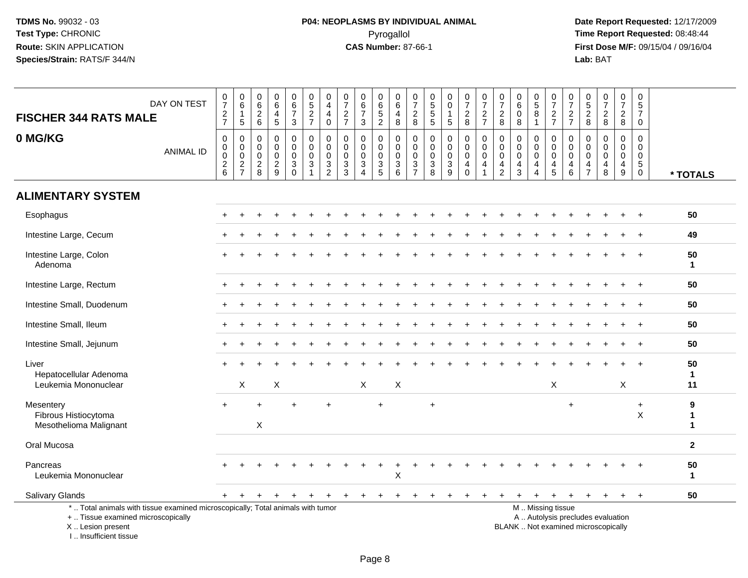| <b>FISCHER 344 RATS MALE</b>                                                                                                                                        | DAY ON TEST      | $\begin{array}{c} 0 \\ 7 \end{array}$<br>$\frac{2}{7}$         | $\begin{array}{c} 0 \\ 6 \end{array}$<br>$\overline{1}$<br>$\sqrt{5}$ | $\mathbf 0$<br>$6\phantom{1}6$<br>$\frac{2}{6}$            | $\mathbf 0$<br>$\,6\,$<br>4<br>$\sqrt{5}$                  | $\begin{array}{c} 0 \\ 6 \\ 7 \end{array}$<br>3     | $0$<br>5<br>2<br>7                                                                   | 0<br>$\overline{4}$<br>$\overline{4}$<br>0 | $\frac{0}{7}$<br>$\frac{2}{7}$                   | $\mathbf 0$<br>$\overline{6}$<br>$\overline{7}$<br>$\mathbf{3}$                                  | 0<br>$\overline{6}$<br>$\frac{5}{2}$   | $_{6}^{\rm 0}$<br>$\begin{array}{c} 4 \\ 8 \end{array}$  | $\frac{0}{7}$<br>$_{\rm 8}^2$                    | 0<br>5<br>5<br>5                          | $\begin{smallmatrix} 0\\0 \end{smallmatrix}$<br>$\overline{1}$<br>$5\phantom{.0}$ | $\frac{0}{7}$<br>$_{\rm 8}^2$                                    | $\begin{array}{c} 0 \\ 7 \end{array}$<br>$\frac{2}{7}$                         | $\frac{0}{7}$<br>$\overline{\mathbf{c}}$<br>8                       | $\mathbf 0$<br>$\overline{6}$<br>$\mathbf 0$<br>8       | $\begin{array}{c} 0 \\ 5 \end{array}$<br>8<br>$\mathbf{1}$                    | $\begin{array}{c} 0 \\ 7 \end{array}$<br>$\frac{2}{7}$ | $\frac{0}{7}$<br>$\frac{2}{7}$                                                | $\mathbf 0$<br>$\overline{5}$<br>$\frac{2}{8}$             | $\begin{array}{c} 0 \\ 7 \end{array}$<br>$\frac{2}{8}$                   | $\frac{0}{7}$<br>$\frac{2}{8}$                             | $\begin{array}{c} 0 \\ 5 \\ 7 \end{array}$<br>$\mathbf 0$              |                          |
|---------------------------------------------------------------------------------------------------------------------------------------------------------------------|------------------|----------------------------------------------------------------|-----------------------------------------------------------------------|------------------------------------------------------------|------------------------------------------------------------|-----------------------------------------------------|--------------------------------------------------------------------------------------|--------------------------------------------|--------------------------------------------------|--------------------------------------------------------------------------------------------------|----------------------------------------|----------------------------------------------------------|--------------------------------------------------|-------------------------------------------|-----------------------------------------------------------------------------------|------------------------------------------------------------------|--------------------------------------------------------------------------------|---------------------------------------------------------------------|---------------------------------------------------------|-------------------------------------------------------------------------------|--------------------------------------------------------|-------------------------------------------------------------------------------|------------------------------------------------------------|--------------------------------------------------------------------------|------------------------------------------------------------|------------------------------------------------------------------------|--------------------------|
| 0 MG/KG                                                                                                                                                             | <b>ANIMAL ID</b> | 0<br>$\mathbf 0$<br>0<br>$\begin{array}{c} 2 \\ 6 \end{array}$ | $\mathbf 0$<br>$\pmb{0}$<br>$\overline{0}$<br>$\frac{2}{7}$           | $\mathbf 0$<br>$\mathbf 0$<br>$\mathbf 0$<br>$\frac{2}{8}$ | $\mathbf 0$<br>$\mathbf 0$<br>$\mathbf 0$<br>$\frac{2}{9}$ | 0<br>$\mathbf 0$<br>$\mathbf 0$<br>$\overline{3}$ 0 | $\pmb{0}$<br>$\mathbf 0$<br>$\mathbf 0$<br>$\ensuremath{\mathsf{3}}$<br>$\mathbf{1}$ | 0<br>$\pmb{0}$<br>0<br>$\frac{3}{2}$       | 0<br>$\mathbf 0$<br>$\mathbf 0$<br>$\frac{3}{3}$ | $\mathbf 0$<br>$\mathbf 0$<br>$\mathbf 0$<br>$\ensuremath{\mathsf{3}}$<br>$\boldsymbol{\Lambda}$ | 0<br>$\mathbf 0$<br>0<br>$\frac{3}{5}$ | 0<br>$\mathbf 0$<br>$\mathsf{O}\xspace$<br>$\frac{3}{6}$ | 0<br>$\mathbf 0$<br>$\mathbf 0$<br>$\frac{3}{7}$ | $\mathbf 0$<br>$\mathbf 0$<br>0<br>$_8^3$ | $\mathbf 0$<br>$\mathbf 0$<br>$\pmb{0}$<br>$\frac{3}{9}$                          | 0<br>$\mathbf 0$<br>$\mathbf 0$<br>$\overline{4}$<br>$\mathbf 0$ | $\mathbf 0$<br>$\mathbf 0$<br>$\overline{0}$<br>$\overline{4}$<br>$\mathbf{1}$ | 0<br>$\mathbf 0$<br>$\mathbf 0$<br>$\overline{4}$<br>$\overline{2}$ | $\mathbf 0$<br>$\Omega$<br>$\mathbf 0$<br>$\frac{4}{3}$ | $\mathbf 0$<br>$\mathbf 0$<br>$\mathbf 0$<br>$\overline{4}$<br>$\overline{4}$ | 0<br>$\mathbf 0$<br>$\mathbf 0$<br>$\frac{4}{5}$       | $\mathbf 0$<br>$\mathbf 0$<br>$\mathbf 0$<br>$\overline{4}$<br>$\overline{6}$ | $\mathbf 0$<br>$\mathbf 0$<br>$\mathbf 0$<br>$\frac{4}{7}$ | $\mathbf 0$<br>$\Omega$<br>$\mathbf 0$<br>$\overline{4}$<br>8            | $\mathbf 0$<br>$\mathbf 0$<br>$\mathbf 0$<br>$\frac{4}{9}$ | $\mathbf 0$<br>$\mathbf 0$<br>$\mathbf 0$<br>$\sqrt{5}$<br>$\mathbf 0$ | * TOTALS                 |
| <b>ALIMENTARY SYSTEM</b>                                                                                                                                            |                  |                                                                |                                                                       |                                                            |                                                            |                                                     |                                                                                      |                                            |                                                  |                                                                                                  |                                        |                                                          |                                                  |                                           |                                                                                   |                                                                  |                                                                                |                                                                     |                                                         |                                                                               |                                                        |                                                                               |                                                            |                                                                          |                                                            |                                                                        |                          |
| Esophagus                                                                                                                                                           |                  |                                                                |                                                                       |                                                            |                                                            |                                                     |                                                                                      |                                            |                                                  |                                                                                                  |                                        |                                                          |                                                  |                                           |                                                                                   |                                                                  |                                                                                |                                                                     |                                                         |                                                                               |                                                        |                                                                               |                                                            |                                                                          |                                                            |                                                                        | 50                       |
| Intestine Large, Cecum                                                                                                                                              |                  |                                                                |                                                                       |                                                            |                                                            |                                                     |                                                                                      |                                            |                                                  |                                                                                                  |                                        |                                                          |                                                  |                                           |                                                                                   |                                                                  |                                                                                |                                                                     |                                                         |                                                                               |                                                        |                                                                               |                                                            |                                                                          |                                                            | $\ddot{}$                                                              | 49                       |
| Intestine Large, Colon<br>Adenoma                                                                                                                                   |                  |                                                                |                                                                       |                                                            |                                                            |                                                     |                                                                                      |                                            |                                                  |                                                                                                  |                                        |                                                          |                                                  |                                           |                                                                                   |                                                                  |                                                                                |                                                                     |                                                         |                                                                               |                                                        |                                                                               |                                                            |                                                                          |                                                            |                                                                        | 50<br>$\mathbf{1}$       |
| Intestine Large, Rectum                                                                                                                                             |                  |                                                                |                                                                       |                                                            |                                                            |                                                     |                                                                                      |                                            |                                                  |                                                                                                  |                                        |                                                          |                                                  |                                           |                                                                                   |                                                                  |                                                                                |                                                                     |                                                         |                                                                               |                                                        |                                                                               |                                                            |                                                                          |                                                            | $\ddot{}$                                                              | 50                       |
| Intestine Small, Duodenum                                                                                                                                           |                  |                                                                |                                                                       |                                                            |                                                            |                                                     |                                                                                      |                                            |                                                  |                                                                                                  |                                        |                                                          |                                                  |                                           |                                                                                   |                                                                  |                                                                                |                                                                     |                                                         |                                                                               |                                                        |                                                                               |                                                            |                                                                          |                                                            |                                                                        | 50                       |
| Intestine Small, Ileum                                                                                                                                              |                  |                                                                |                                                                       |                                                            |                                                            |                                                     |                                                                                      |                                            |                                                  |                                                                                                  |                                        |                                                          |                                                  |                                           |                                                                                   |                                                                  |                                                                                |                                                                     |                                                         |                                                                               |                                                        |                                                                               |                                                            |                                                                          |                                                            |                                                                        | 50                       |
| Intestine Small, Jejunum                                                                                                                                            |                  |                                                                |                                                                       |                                                            |                                                            |                                                     |                                                                                      |                                            |                                                  |                                                                                                  |                                        |                                                          |                                                  |                                           |                                                                                   |                                                                  |                                                                                |                                                                     |                                                         |                                                                               |                                                        |                                                                               |                                                            |                                                                          |                                                            | $\ddot{}$                                                              | 50                       |
| Liver<br>Hepatocellular Adenoma<br>Leukemia Mononuclear                                                                                                             |                  |                                                                | X                                                                     |                                                            | X                                                          |                                                     |                                                                                      |                                            |                                                  | X                                                                                                |                                        | X                                                        |                                                  |                                           |                                                                                   |                                                                  |                                                                                |                                                                     |                                                         |                                                                               | X                                                      |                                                                               |                                                            |                                                                          | X                                                          |                                                                        | 50<br>$\mathbf{1}$<br>11 |
| Mesentery<br>Fibrous Histiocytoma<br>Mesothelioma Malignant                                                                                                         |                  |                                                                |                                                                       | ÷.<br>$\boldsymbol{\mathsf{X}}$                            |                                                            |                                                     |                                                                                      | $\overline{ }$                             |                                                  |                                                                                                  | ÷                                      |                                                          |                                                  | $\ddot{}$                                 |                                                                                   |                                                                  |                                                                                |                                                                     |                                                         |                                                                               |                                                        | $+$                                                                           |                                                            |                                                                          |                                                            | $+$<br>$\boldsymbol{\mathsf{X}}$                                       | 9<br>1<br>1              |
| Oral Mucosa                                                                                                                                                         |                  |                                                                |                                                                       |                                                            |                                                            |                                                     |                                                                                      |                                            |                                                  |                                                                                                  |                                        |                                                          |                                                  |                                           |                                                                                   |                                                                  |                                                                                |                                                                     |                                                         |                                                                               |                                                        |                                                                               |                                                            |                                                                          |                                                            |                                                                        | $\mathbf{2}$             |
| Pancreas<br>Leukemia Mononuclear                                                                                                                                    |                  |                                                                |                                                                       |                                                            |                                                            |                                                     |                                                                                      |                                            |                                                  |                                                                                                  |                                        | $\sf X$                                                  |                                                  |                                           |                                                                                   |                                                                  |                                                                                |                                                                     |                                                         |                                                                               |                                                        |                                                                               |                                                            |                                                                          |                                                            |                                                                        | 50<br>$\mathbf{1}$       |
| Salivary Glands                                                                                                                                                     |                  | $+$                                                            |                                                                       |                                                            |                                                            |                                                     |                                                                                      |                                            |                                                  |                                                                                                  | $\ddot{}$                              | $+$                                                      | $\pm$                                            | ÷                                         |                                                                                   | $\pm$                                                            |                                                                                |                                                                     |                                                         | $\pm$                                                                         | $\pm$                                                  | $\ddot{}$                                                                     | ÷                                                          | ÷                                                                        | $\ddot{}$                                                  | $+$                                                                    | 50                       |
| *  Total animals with tissue examined microscopically; Total animals with tumor<br>+  Tissue examined microscopically<br>X  Lesion present<br>I Insufficient tissue |                  |                                                                |                                                                       |                                                            |                                                            |                                                     |                                                                                      |                                            |                                                  |                                                                                                  |                                        |                                                          |                                                  |                                           |                                                                                   |                                                                  |                                                                                |                                                                     |                                                         |                                                                               | M  Missing tissue                                      |                                                                               |                                                            | A  Autolysis precludes evaluation<br>BLANK  Not examined microscopically |                                                            |                                                                        |                          |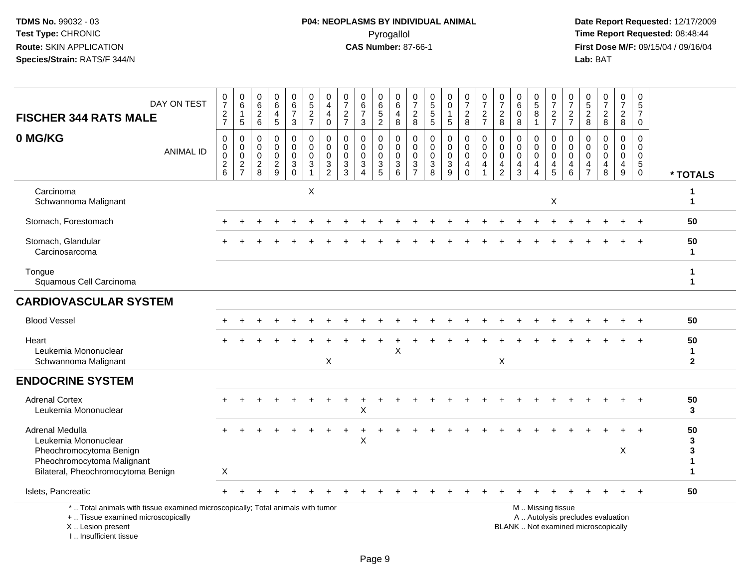# **P04: NEOPLASMS BY INDIVIDUAL ANIMAL**Pyrogallol Pyrogallol **Pyrogallol Time Report Requested:** 08:48:44<br>**CAS Number:** 87-66-1 **Time Report Requested:** 08/15/04 / 09/16/04

| <b>FISCHER 344 RATS MALE</b>                                                                                                           | DAY ON TEST                                                                     | $\begin{array}{c} 0 \\ 7 \end{array}$<br>$\frac{2}{7}$   | $\pmb{0}$<br>$\,6\,$<br>$\mathbf{1}$<br>5                  | $\begin{array}{c} 0 \\ 6 \end{array}$<br>$\overline{c}$<br>$\,6\,$ | $_{6}^{\rm 0}$<br>$\overline{\mathbf{4}}$<br>5        | 0<br>$\,6\,$<br>$\overline{7}$<br>$\mathbf{3}$                          | $\begin{array}{c} 0 \\ 5 \end{array}$<br>$\frac{2}{7}$                                   | 0<br>$\overline{4}$<br>4<br>$\mathbf 0$                                     | $\begin{array}{c} 0 \\ 7 \end{array}$<br>$\frac{2}{7}$    | $\begin{array}{c} 0 \\ 6 \\ 7 \end{array}$<br>3                 | $\begin{array}{c} 0 \\ 6 \end{array}$<br>$\overline{5}$<br>$\overline{2}$ | $\boldsymbol{0}$<br>$\,6$<br>4<br>8                             | $\frac{0}{7}$<br>$_{\rm 8}^2$                                               | $\begin{array}{c} 0 \\ 5 \\ 5 \end{array}$<br>5                | 0<br>$\mathsf{O}\xspace$<br>$\mathbf{1}$<br>$\sqrt{5}$            | $\frac{0}{7}$<br>$\frac{2}{8}$                                   | $\frac{0}{7}$<br>$\frac{2}{7}$                                 | $\frac{0}{7}$<br>$\mathbf{2}$<br>8 | $\begin{array}{c} 0 \\ 6 \end{array}$<br>$\pmb{0}$<br>8          | $\begin{array}{c} 0 \\ 5 \\ 8 \end{array}$<br>$\overline{1}$                  | $\frac{0}{7}$<br>$\frac{2}{7}$                                                                | 0<br>$\overline{7}$<br>$\frac{2}{7}$      | $0$<br>5<br>2<br>8                           | $\frac{0}{7}$<br>$\frac{2}{8}$            | $\frac{0}{7}$<br>$\overline{2}$<br>8      | 0<br>$5\phantom{.0}$<br>$\overline{7}$<br>$\mathbf 0$             |                                   |
|----------------------------------------------------------------------------------------------------------------------------------------|---------------------------------------------------------------------------------|----------------------------------------------------------|------------------------------------------------------------|--------------------------------------------------------------------|-------------------------------------------------------|-------------------------------------------------------------------------|------------------------------------------------------------------------------------------|-----------------------------------------------------------------------------|-----------------------------------------------------------|-----------------------------------------------------------------|---------------------------------------------------------------------------|-----------------------------------------------------------------|-----------------------------------------------------------------------------|----------------------------------------------------------------|-------------------------------------------------------------------|------------------------------------------------------------------|----------------------------------------------------------------|------------------------------------|------------------------------------------------------------------|-------------------------------------------------------------------------------|-----------------------------------------------------------------------------------------------|-------------------------------------------|----------------------------------------------|-------------------------------------------|-------------------------------------------|-------------------------------------------------------------------|-----------------------------------|
| 0 MG/KG                                                                                                                                | <b>ANIMAL ID</b>                                                                | $\mathbf 0$<br>$\mathbf 0$<br>0<br>$\boldsymbol{2}$<br>6 | 0<br>$\boldsymbol{0}$<br>0<br>$\sqrt{2}$<br>$\overline{7}$ | 0<br>0<br>$\mathbf 0$<br>$\overline{c}$<br>8                       | 0<br>$\pmb{0}$<br>0<br>$\sqrt{2}$<br>$\boldsymbol{9}$ | $\mathbf 0$<br>$\mathbf 0$<br>$\mathbf 0$<br>$\mathsf 3$<br>$\mathbf 0$ | $\mathbf 0$<br>$\mathbf 0$<br>$\mathbf 0$<br>$\ensuremath{\mathsf{3}}$<br>$\overline{1}$ | $\mathbf 0$<br>$\mathbf 0$<br>$\mathbf 0$<br>$\mathbf{3}$<br>$\overline{2}$ | $\Omega$<br>$\mathbf 0$<br>$\mathbf 0$<br>$\sqrt{3}$<br>3 | 0<br>$\mathbf 0$<br>$\mathbf 0$<br>3<br>$\overline{\mathbf{4}}$ | 0<br>$\mathbf 0$<br>0<br>$\ensuremath{\mathsf{3}}$<br>5                   | $\mathbf 0$<br>$\pmb{0}$<br>0<br>$\ensuremath{\mathsf{3}}$<br>6 | $\mathbf 0$<br>$\mathbf 0$<br>$\mathbf 0$<br>$\mathbf{3}$<br>$\overline{7}$ | $\mathbf 0$<br>$\mathbf 0$<br>$\mathbf 0$<br>$\mathbf{3}$<br>8 | 0<br>$\mathbf 0$<br>$\mathbf 0$<br>$\ensuremath{\mathsf{3}}$<br>9 | 0<br>$\mathbf 0$<br>$\mathbf 0$<br>$\overline{4}$<br>$\mathbf 0$ | $\mathbf 0$<br>$\mathbf 0$<br>$\mathbf 0$<br>4<br>$\mathbf{1}$ | 0<br>0<br>0<br>$\frac{4}{2}$       | $\mathbf 0$<br>$\mathbf 0$<br>$\mathbf 0$<br>$\overline{4}$<br>3 | $\mathbf 0$<br>$\mathbf 0$<br>$\mathbf 0$<br>$\overline{4}$<br>$\overline{4}$ | 0<br>$\mathbf 0$<br>$\mathbf 0$<br>4<br>$\sqrt{5}$                                            | 0<br>$\mathbf 0$<br>$\mathbf 0$<br>4<br>6 | 0<br>$\mathbf 0$<br>0<br>4<br>$\overline{7}$ | 0<br>$\mathbf 0$<br>$\mathbf 0$<br>4<br>8 | $\mathbf 0$<br>$\mathbf 0$<br>0<br>4<br>9 | $\mathbf 0$<br>$\mathbf 0$<br>0<br>$5\phantom{.0}$<br>$\mathbf 0$ | * TOTALS                          |
| Carcinoma<br>Schwannoma Malignant                                                                                                      |                                                                                 |                                                          |                                                            |                                                                    |                                                       |                                                                         | X                                                                                        |                                                                             |                                                           |                                                                 |                                                                           |                                                                 |                                                                             |                                                                |                                                                   |                                                                  |                                                                |                                    |                                                                  |                                                                               | $\times$                                                                                      |                                           |                                              |                                           |                                           |                                                                   | 1<br>$\mathbf{1}$                 |
| Stomach, Forestomach                                                                                                                   |                                                                                 |                                                          |                                                            |                                                                    |                                                       |                                                                         |                                                                                          |                                                                             |                                                           |                                                                 |                                                                           |                                                                 |                                                                             |                                                                |                                                                   |                                                                  |                                                                |                                    |                                                                  |                                                                               |                                                                                               |                                           |                                              |                                           |                                           | $\ddot{}$                                                         | 50                                |
| Stomach, Glandular<br>Carcinosarcoma                                                                                                   |                                                                                 |                                                          |                                                            |                                                                    |                                                       |                                                                         |                                                                                          |                                                                             |                                                           |                                                                 |                                                                           |                                                                 |                                                                             |                                                                |                                                                   |                                                                  |                                                                |                                    |                                                                  |                                                                               |                                                                                               |                                           |                                              |                                           |                                           |                                                                   | 50<br>1                           |
| Tongue<br>Squamous Cell Carcinoma                                                                                                      |                                                                                 |                                                          |                                                            |                                                                    |                                                       |                                                                         |                                                                                          |                                                                             |                                                           |                                                                 |                                                                           |                                                                 |                                                                             |                                                                |                                                                   |                                                                  |                                                                |                                    |                                                                  |                                                                               |                                                                                               |                                           |                                              |                                           |                                           |                                                                   | 1<br>1                            |
| <b>CARDIOVASCULAR SYSTEM</b>                                                                                                           |                                                                                 |                                                          |                                                            |                                                                    |                                                       |                                                                         |                                                                                          |                                                                             |                                                           |                                                                 |                                                                           |                                                                 |                                                                             |                                                                |                                                                   |                                                                  |                                                                |                                    |                                                                  |                                                                               |                                                                                               |                                           |                                              |                                           |                                           |                                                                   |                                   |
| <b>Blood Vessel</b>                                                                                                                    |                                                                                 |                                                          |                                                            |                                                                    |                                                       |                                                                         |                                                                                          |                                                                             |                                                           |                                                                 |                                                                           |                                                                 |                                                                             |                                                                |                                                                   |                                                                  |                                                                |                                    |                                                                  |                                                                               |                                                                                               |                                           |                                              |                                           |                                           |                                                                   | 50                                |
| Heart<br>Leukemia Mononuclear<br>Schwannoma Malignant                                                                                  |                                                                                 |                                                          |                                                            |                                                                    |                                                       |                                                                         |                                                                                          | $\pmb{\times}$                                                              |                                                           |                                                                 |                                                                           | Χ                                                               |                                                                             |                                                                |                                                                   |                                                                  |                                                                | X                                  |                                                                  |                                                                               |                                                                                               |                                           |                                              |                                           |                                           |                                                                   | 50<br>1<br>$\mathbf{2}$           |
| <b>ENDOCRINE SYSTEM</b>                                                                                                                |                                                                                 |                                                          |                                                            |                                                                    |                                                       |                                                                         |                                                                                          |                                                                             |                                                           |                                                                 |                                                                           |                                                                 |                                                                             |                                                                |                                                                   |                                                                  |                                                                |                                    |                                                                  |                                                                               |                                                                                               |                                           |                                              |                                           |                                           |                                                                   |                                   |
| <b>Adrenal Cortex</b><br>Leukemia Mononuclear                                                                                          |                                                                                 |                                                          |                                                            |                                                                    |                                                       |                                                                         |                                                                                          |                                                                             |                                                           | Χ                                                               |                                                                           |                                                                 |                                                                             |                                                                |                                                                   |                                                                  |                                                                |                                    |                                                                  |                                                                               |                                                                                               |                                           |                                              |                                           |                                           |                                                                   | 50<br>3                           |
| Adrenal Medulla<br>Leukemia Mononuclear<br>Pheochromocytoma Benign<br>Pheochromocytoma Malignant<br>Bilateral, Pheochromocytoma Benign |                                                                                 | Χ                                                        |                                                            |                                                                    |                                                       |                                                                         |                                                                                          |                                                                             |                                                           | X                                                               |                                                                           |                                                                 |                                                                             |                                                                |                                                                   |                                                                  |                                                                |                                    |                                                                  |                                                                               |                                                                                               |                                           |                                              |                                           | X                                         |                                                                   | 50<br>3<br>3<br>$\mathbf{1}$<br>1 |
| Islets, Pancreatic                                                                                                                     |                                                                                 |                                                          |                                                            |                                                                    |                                                       |                                                                         |                                                                                          |                                                                             |                                                           |                                                                 |                                                                           |                                                                 |                                                                             |                                                                |                                                                   |                                                                  |                                                                |                                    |                                                                  |                                                                               |                                                                                               |                                           |                                              |                                           |                                           |                                                                   | 50                                |
| +  Tissue examined microscopically<br>X  Lesion present<br>I Insufficient tissue                                                       | *  Total animals with tissue examined microscopically; Total animals with tumor |                                                          |                                                            |                                                                    |                                                       |                                                                         |                                                                                          |                                                                             |                                                           |                                                                 |                                                                           |                                                                 |                                                                             |                                                                |                                                                   |                                                                  |                                                                |                                    |                                                                  |                                                                               | M  Missing tissue<br>A  Autolysis precludes evaluation<br>BLANK  Not examined microscopically |                                           |                                              |                                           |                                           |                                                                   |                                   |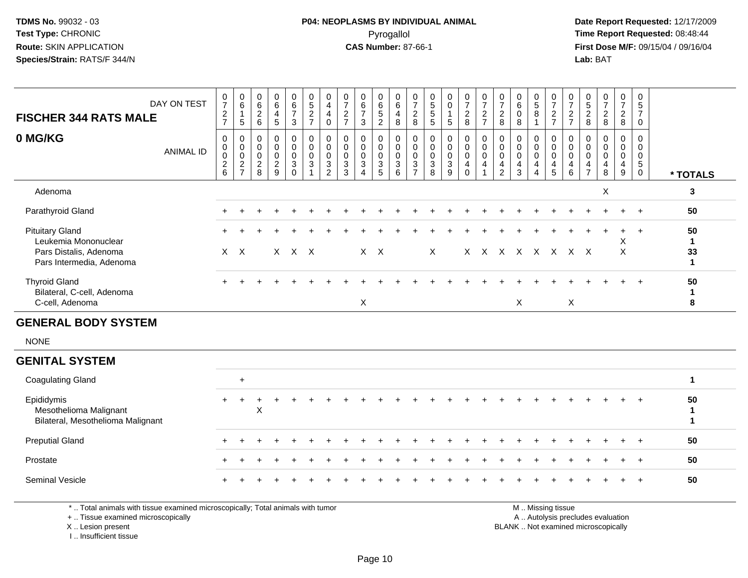#### **P04: NEOPLASMS BY INDIVIDUAL ANIMAL**Pyrogallol Pyrogallol **Pyrogallol Time Report Requested:** 08:48:44<br>**CAS Number:** 87-66-1 **Time Report Requested:** 09/15/04 / 09/16/04

 **Date Report Requested:** 12/17/2009 **First Dose M/F:** 09/15/04 / 09/16/04<br>Lab: BAT **Lab:** BAT

| <b>FISCHER 344 RATS MALE</b>                                                                         | DAY ON TEST      | $\frac{0}{7}$<br>$\frac{2}{7}$ | $_6^0$<br>$\mathbf{1}$<br>$\overline{5}$                                    | $\boldsymbol{0}$<br>$\,6\,$<br>$\begin{array}{c} 2 \\ 6 \end{array}$ | 0<br>6<br>$\overline{4}$<br>5                | $\begin{array}{c} 0 \\ 6 \end{array}$<br>$\overline{7}$<br>3          | $\frac{0}{5}$<br>$\frac{2}{7}$                                  | 0<br>$\overline{\mathbf{4}}$<br>4<br>$\mathbf 0$                     | $\frac{0}{7}$<br>$\frac{2}{7}$                                | 0<br>$\frac{6}{7}$<br>$\mathbf{3}$                              | 0<br>6<br>5<br>2                                        | $_{6}^{\rm 0}$<br>4<br>8                            | $\frac{0}{7}$<br>8                                            | 0<br>$\,$ 5 $\,$<br>$\sqrt{5}$<br>5                 | 0<br>$\mathbf 0$<br>$\overline{1}$<br>5                                           | $\frac{0}{7}$<br>$\frac{2}{8}$          | $\frac{0}{7}$<br>$\frac{2}{7}$  | $\begin{array}{c} 0 \\ 7 \end{array}$<br>$^{\,2}_{\,8}$                                         | 0<br>$\,6\,$<br>$\boldsymbol{0}$<br>8                | $\begin{array}{c} 0 \\ 5 \end{array}$<br>8                | $\begin{array}{c} 0 \\ 7 \end{array}$<br>$\frac{2}{7}$ | $\frac{0}{7}$<br>$\frac{2}{7}$                                                   | $\begin{array}{c} 0 \\ 5 \end{array}$<br>$_{\rm 8}^2$ | $\frac{0}{7}$<br>$\frac{2}{8}$                                                                                                                                                                                                        | $\pmb{0}$<br>$\overline{7}$<br>$\frac{2}{8}$ | 0<br>$\frac{5}{7}$<br>0                                 |                                          |
|------------------------------------------------------------------------------------------------------|------------------|--------------------------------|-----------------------------------------------------------------------------|----------------------------------------------------------------------|----------------------------------------------|-----------------------------------------------------------------------|-----------------------------------------------------------------|----------------------------------------------------------------------|---------------------------------------------------------------|-----------------------------------------------------------------|---------------------------------------------------------|-----------------------------------------------------|---------------------------------------------------------------|-----------------------------------------------------|-----------------------------------------------------------------------------------|-----------------------------------------|---------------------------------|-------------------------------------------------------------------------------------------------|------------------------------------------------------|-----------------------------------------------------------|--------------------------------------------------------|----------------------------------------------------------------------------------|-------------------------------------------------------|---------------------------------------------------------------------------------------------------------------------------------------------------------------------------------------------------------------------------------------|----------------------------------------------|---------------------------------------------------------|------------------------------------------|
| 0 MG/KG                                                                                              | <b>ANIMAL ID</b> | 0<br>0<br>0<br>$\frac{2}{6}$   | 0<br>$\mathbf 0$<br>$\ddot{\mathbf{0}}$<br>$\overline{c}$<br>$\overline{7}$ | 0<br>0<br>$\pmb{0}$<br>$\sqrt{2}$<br>8                               | 0<br>0<br>$\mathbf 0$<br>$\overline{c}$<br>9 | $\mathbf 0$<br>$\mathbf 0$<br>$\mathbf 0$<br>$\mathbf{3}$<br>$\Omega$ | 0<br>$\mathbf 0$<br>$\mathbf 0$<br>$\mathbf{3}$<br>$\mathbf{1}$ | 0<br>0<br>$\mathbf 0$<br>$\ensuremath{\mathsf{3}}$<br>$\overline{2}$ | 0<br>0<br>$\mathsf{O}\xspace$<br>$\sqrt{3}$<br>$\overline{3}$ | $\mathbf 0$<br>0<br>$\mathbf 0$<br>$\sqrt{3}$<br>$\overline{4}$ | 0<br>0<br>$\mathbf 0$<br>$\mathbf{3}$<br>$\overline{5}$ | $\mathbf 0$<br>$\mathbf 0$<br>$\mathbf 0$<br>3<br>6 | $\mathbf 0$<br>$\mathbf 0$<br>$\overline{0}$<br>$\frac{3}{7}$ | $\mathbf 0$<br>$\mathbf 0$<br>$\mathbf 0$<br>3<br>8 | $\mathbf 0$<br>$\mathbf 0$<br>$\mathsf{O}\xspace$<br>$\sqrt{3}$<br>$\overline{9}$ | 0<br>0<br>$\pmb{0}$<br>4<br>$\mathbf 0$ | 0<br>0<br>$\mathbf 0$<br>4<br>1 | $\mathbf 0$<br>$\begin{smallmatrix} 0\\0 \end{smallmatrix}$<br>$\overline{4}$<br>$\overline{2}$ | $\mathbf 0$<br>0<br>$\mathbf 0$<br>4<br>$\mathbf{3}$ | 0<br>$\mathbf 0$<br>$\overline{0}$<br>$\overline{4}$<br>4 | 0<br>0<br>$\mathbf 0$<br>4<br>5                        | $\mathbf 0$<br>$\mathbf 0$<br>$\overline{0}$<br>$\overline{4}$<br>$6\phantom{a}$ | 0<br>0<br>$\mathbf 0$<br>4<br>$\overline{7}$          | 0<br>0<br>$\mathbf 0$<br>4<br>8                                                                                                                                                                                                       | 0<br>0<br>$\mathbf 0$<br>4<br>9              | 0<br>0<br>$\mathbf 0$<br>$5\phantom{.0}$<br>$\mathbf 0$ | * TOTALS                                 |
| Adenoma                                                                                              |                  |                                |                                                                             |                                                                      |                                              |                                                                       |                                                                 |                                                                      |                                                               |                                                                 |                                                         |                                                     |                                                               |                                                     |                                                                                   |                                         |                                 |                                                                                                 |                                                      |                                                           |                                                        |                                                                                  |                                                       | X                                                                                                                                                                                                                                     |                                              |                                                         | 3                                        |
| Parathyroid Gland                                                                                    |                  |                                |                                                                             |                                                                      |                                              |                                                                       |                                                                 |                                                                      |                                                               |                                                                 |                                                         |                                                     |                                                               |                                                     |                                                                                   |                                         |                                 |                                                                                                 |                                                      |                                                           |                                                        |                                                                                  |                                                       |                                                                                                                                                                                                                                       | $\ddot{}$                                    | $+$                                                     | 50                                       |
| <b>Pituitary Gland</b><br>Leukemia Mononuclear<br>Pars Distalis, Adenoma<br>Pars Intermedia, Adenoma |                  |                                | $X$ $X$                                                                     |                                                                      |                                              | $X$ $X$ $X$                                                           |                                                                 |                                                                      |                                                               |                                                                 | $X$ $X$                                                 |                                                     |                                                               | $\mathsf X$                                         |                                                                                   |                                         |                                 |                                                                                                 | X X X X X X X X                                      |                                                           |                                                        |                                                                                  |                                                       |                                                                                                                                                                                                                                       | X<br>$\sf X$                                 | $\ddot{}$                                               | 50<br>$\mathbf{1}$<br>33<br>$\mathbf{1}$ |
| <b>Thyroid Gland</b><br>Bilateral, C-cell, Adenoma<br>C-cell, Adenoma                                |                  |                                |                                                                             |                                                                      |                                              |                                                                       |                                                                 |                                                                      |                                                               | $\mathsf X$                                                     |                                                         |                                                     |                                                               |                                                     |                                                                                   |                                         |                                 |                                                                                                 | $\boldsymbol{\mathsf{X}}$                            |                                                           |                                                        | $\mathsf X$                                                                      |                                                       |                                                                                                                                                                                                                                       |                                              |                                                         | 50<br>$\mathbf{1}$<br>8                  |
| <b>GENERAL BODY SYSTEM</b>                                                                           |                  |                                |                                                                             |                                                                      |                                              |                                                                       |                                                                 |                                                                      |                                                               |                                                                 |                                                         |                                                     |                                                               |                                                     |                                                                                   |                                         |                                 |                                                                                                 |                                                      |                                                           |                                                        |                                                                                  |                                                       |                                                                                                                                                                                                                                       |                                              |                                                         |                                          |
| <b>NONE</b>                                                                                          |                  |                                |                                                                             |                                                                      |                                              |                                                                       |                                                                 |                                                                      |                                                               |                                                                 |                                                         |                                                     |                                                               |                                                     |                                                                                   |                                         |                                 |                                                                                                 |                                                      |                                                           |                                                        |                                                                                  |                                                       |                                                                                                                                                                                                                                       |                                              |                                                         |                                          |
| <b>GENITAL SYSTEM</b>                                                                                |                  |                                |                                                                             |                                                                      |                                              |                                                                       |                                                                 |                                                                      |                                                               |                                                                 |                                                         |                                                     |                                                               |                                                     |                                                                                   |                                         |                                 |                                                                                                 |                                                      |                                                           |                                                        |                                                                                  |                                                       |                                                                                                                                                                                                                                       |                                              |                                                         |                                          |
| <b>Coagulating Gland</b>                                                                             |                  |                                | $\ddot{}$                                                                   |                                                                      |                                              |                                                                       |                                                                 |                                                                      |                                                               |                                                                 |                                                         |                                                     |                                                               |                                                     |                                                                                   |                                         |                                 |                                                                                                 |                                                      |                                                           |                                                        |                                                                                  |                                                       |                                                                                                                                                                                                                                       |                                              |                                                         | $\mathbf{1}$                             |
| Epididymis<br>Mesothelioma Malignant<br>Bilateral, Mesothelioma Malignant                            |                  | $\ddot{}$                      | $\ddot{}$                                                                   | ÷<br>X                                                               |                                              |                                                                       |                                                                 |                                                                      |                                                               |                                                                 |                                                         |                                                     |                                                               |                                                     |                                                                                   |                                         |                                 |                                                                                                 |                                                      |                                                           |                                                        |                                                                                  |                                                       |                                                                                                                                                                                                                                       |                                              | $\ddot{}$                                               | 50<br>$\mathbf{1}$<br>$\mathbf{1}$       |
| <b>Preputial Gland</b>                                                                               |                  | $\ddot{}$                      |                                                                             |                                                                      |                                              |                                                                       |                                                                 |                                                                      |                                                               |                                                                 |                                                         |                                                     |                                                               |                                                     |                                                                                   |                                         |                                 |                                                                                                 |                                                      |                                                           |                                                        |                                                                                  |                                                       |                                                                                                                                                                                                                                       |                                              | $\ddot{}$                                               | 50                                       |
| Prostate                                                                                             |                  |                                |                                                                             |                                                                      |                                              |                                                                       |                                                                 |                                                                      |                                                               |                                                                 |                                                         |                                                     |                                                               |                                                     |                                                                                   |                                         |                                 |                                                                                                 |                                                      |                                                           |                                                        |                                                                                  |                                                       |                                                                                                                                                                                                                                       |                                              |                                                         | 50                                       |
| Seminal Vesicle                                                                                      |                  | $\ddot{}$                      |                                                                             |                                                                      |                                              |                                                                       |                                                                 |                                                                      |                                                               |                                                                 |                                                         |                                                     |                                                               |                                                     |                                                                                   |                                         |                                 |                                                                                                 |                                                      |                                                           |                                                        |                                                                                  |                                                       |                                                                                                                                                                                                                                       | $\div$                                       | $\ddot{}$                                               | 50                                       |
| *  Total animals with tissue examined microscopically; Total animals with tumor                      |                  |                                |                                                                             |                                                                      |                                              |                                                                       |                                                                 |                                                                      |                                                               |                                                                 |                                                         |                                                     |                                                               |                                                     |                                                                                   |                                         |                                 |                                                                                                 |                                                      |                                                           | M  Missing tissue                                      |                                                                                  |                                                       | $\mathbf{r}$ and $\mathbf{r}$ are assumed to the contract of the contract of the contract of the contract of the contract of the contract of the contract of the contract of the contract of the contract of the contract of the cont |                                              |                                                         |                                          |

+ .. Tissue examined microscopicallyX .. Lesion present

I .. Insufficient tissue

y the contract of the contract of the contract of the contract of the contract of the contract of the contract of  $A$ . Autolysis precludes evaluation

Lesion present BLANK .. Not examined microscopically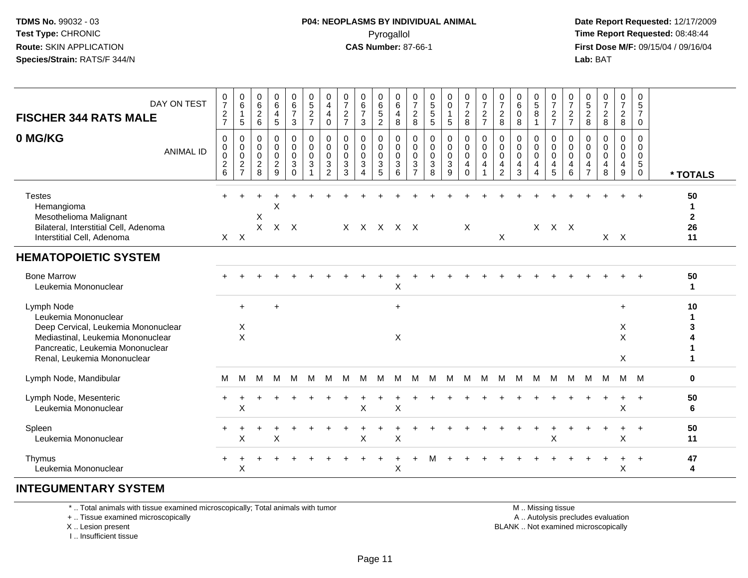#### **P04: NEOPLASMS BY INDIVIDUAL ANIMAL**Pyrogallol Pyrogallol **Pyrogallol Time Report Requested:** 08:48:44<br>**CAS Number:** 87-66-1 **Time Report Requested:** 09/15/04 / 09/16/04

 **Date Report Requested:** 12/17/2009 **First Dose M/F:** 09/15/04 / 09/16/04 Lab: BAT **Lab:** BAT

| DAY ON TEST<br><b>FISCHER 344 RATS MALE</b><br>0 MG/KG<br><b>ANIMAL ID</b>                                                                                                        | $\frac{0}{7}$<br>$\frac{2}{7}$<br>$\mathbf 0$<br>0<br>$\pmb{0}$<br>$\frac{2}{6}$ | $_{6}^{\rm 0}$<br>$\mathbf{1}$<br>5<br>$\pmb{0}$<br>0<br>$\mathbf 0$<br>$\overline{c}$<br>$\overline{7}$ | 0<br>6<br>$\sqrt{2}$<br>$6\phantom{1}$<br>$\mathbf 0$<br>0<br>$\mathbf 0$<br>$\overline{2}$<br>8 | $\begin{array}{c} 0 \\ 6 \end{array}$<br>$\overline{\mathbf{4}}$<br>5<br>$\mathbf 0$<br>$\mathbf 0$<br>$\mathbf 0$<br>$\sqrt{2}$<br>9 | $\begin{array}{c} 0 \\ 6 \end{array}$<br>$\overline{7}$<br>3<br>0<br>0<br>$\mathbf 0$<br>3<br>$\Omega$ | 0<br>5<br>$\frac{2}{7}$<br>$\mathbf 0$<br>$\mathbf 0$<br>$\mathbf 0$<br>$\mathbf{3}$ | 0<br>$\overline{\mathbf{4}}$<br>4<br>$\mathbf 0$<br>0<br>0<br>$\mathbf 0$<br>3<br>2 | 0<br>$\overline{7}$<br>$\overline{c}$<br>$\overline{7}$<br>$\mathbf 0$<br>0<br>$\Omega$<br>$\mathbf{3}$<br>3 | 0<br>$rac{6}{7}$<br>3<br>$\mathbf 0$<br>0<br>$\mathbf 0$<br>3 | 0<br>$\,6\,$<br>$\overline{5}$<br>$\overline{2}$<br>$\mathbf 0$<br>0<br>$\mathbf 0$<br>$\ensuremath{\mathsf{3}}$<br>5 | 0<br>$\,6\,$<br>$\overline{4}$<br>8<br>$\mathbf 0$<br>$\mathbf 0$<br>$\Omega$<br>$\mathbf{3}$<br>6 | 0<br>$\overline{7}$<br>$\boldsymbol{2}$<br>8<br>$\mathbf 0$<br>$\mathbf 0$<br>$\mathbf 0$<br>3<br>$\overline{7}$ | $\begin{array}{c} 0 \\ 5 \\ 5 \end{array}$<br>5<br>$\pmb{0}$<br>$\mathbf 0$<br>$\mathbf 0$<br>$\sqrt{3}$<br>8 | $_0^0$<br>$\mathbf{1}$<br>5<br>$\mathbf 0$<br>0<br>0<br>3<br>9 | $\frac{0}{7}$<br>$\frac{2}{8}$<br>0<br>$\mathbf 0$<br>$\pmb{0}$<br>$\overline{4}$<br>$\Omega$ | 0<br>$\overline{7}$<br>$\frac{2}{7}$<br>$\mathbf 0$<br>$\pmb{0}$<br>$\mathbf 0$<br>4 | $\frac{0}{7}$<br>$\overline{c}$<br>8<br>$\mathbf 0$<br>$\mathbf 0$<br>0<br>4<br>$\overline{2}$ | 0<br>$\,6\,$<br>$\boldsymbol{0}$<br>8<br>$\mathbf 0$<br>$\mathbf 0$<br>$\Omega$<br>4<br>3 | $\begin{array}{c} 0 \\ 5 \end{array}$<br>8<br>$\mathbf{1}$<br>0<br>0<br>$\mathbf 0$<br>4<br>Δ | $\frac{0}{7}$<br>$\frac{2}{7}$<br>0<br>$\mathbf 0$<br>$\mathbf 0$<br>4<br>5 | $\frac{0}{7}$<br>$\frac{2}{7}$<br>$\mathbf 0$<br>0<br>$\pmb{0}$<br>4<br>6 | $\pmb{0}$<br>$\frac{5}{2}$<br>$\mathbf{0}$<br>$\mathbf 0$<br>$\Omega$<br>4<br>$\overline{7}$ | $\frac{0}{7}$<br>$\overline{c}$<br>8<br>$\mathbf 0$<br>$\mathbf 0$<br>$\Omega$<br>4<br>8 | $\begin{array}{c} 0 \\ 7 \end{array}$<br>$\overline{c}$<br>8<br>$\mathbf 0$<br>0<br>$\pmb{0}$<br>$\overline{4}$<br>9 | 0<br>$5\phantom{.0}$<br>$\overline{7}$<br>$\mathbf 0$<br>$\mathbf 0$<br>$\mathbf{0}$<br>$\mathbf 0$<br>5<br>$\mathbf{0}$ | * TOTALS                             |
|-----------------------------------------------------------------------------------------------------------------------------------------------------------------------------------|----------------------------------------------------------------------------------|----------------------------------------------------------------------------------------------------------|--------------------------------------------------------------------------------------------------|---------------------------------------------------------------------------------------------------------------------------------------|--------------------------------------------------------------------------------------------------------|--------------------------------------------------------------------------------------|-------------------------------------------------------------------------------------|--------------------------------------------------------------------------------------------------------------|---------------------------------------------------------------|-----------------------------------------------------------------------------------------------------------------------|----------------------------------------------------------------------------------------------------|------------------------------------------------------------------------------------------------------------------|---------------------------------------------------------------------------------------------------------------|----------------------------------------------------------------|-----------------------------------------------------------------------------------------------|--------------------------------------------------------------------------------------|------------------------------------------------------------------------------------------------|-------------------------------------------------------------------------------------------|-----------------------------------------------------------------------------------------------|-----------------------------------------------------------------------------|---------------------------------------------------------------------------|----------------------------------------------------------------------------------------------|------------------------------------------------------------------------------------------|----------------------------------------------------------------------------------------------------------------------|--------------------------------------------------------------------------------------------------------------------------|--------------------------------------|
| <b>Testes</b><br>Hemangioma<br>Mesothelioma Malignant<br>Bilateral, Interstitial Cell, Adenoma<br>Interstitial Cell, Adenoma                                                      |                                                                                  | $X$ $X$                                                                                                  | X<br>X                                                                                           | X                                                                                                                                     | $X$ $X$                                                                                                |                                                                                      |                                                                                     |                                                                                                              |                                                               |                                                                                                                       | $X$ $X$ $X$ $X$ $X$                                                                                |                                                                                                                  |                                                                                                               |                                                                | X                                                                                             |                                                                                      | X                                                                                              |                                                                                           |                                                                                               | $X$ $X$ $X$                                                                 |                                                                           |                                                                                              |                                                                                          | $X$ $X$                                                                                                              |                                                                                                                          | 50<br>-1<br>$\mathbf{2}$<br>26<br>11 |
| <b>HEMATOPOIETIC SYSTEM</b><br><b>Bone Marrow</b><br>Leukemia Mononuclear                                                                                                         |                                                                                  |                                                                                                          |                                                                                                  |                                                                                                                                       |                                                                                                        |                                                                                      |                                                                                     |                                                                                                              |                                                               |                                                                                                                       |                                                                                                    |                                                                                                                  |                                                                                                               |                                                                |                                                                                               |                                                                                      |                                                                                                |                                                                                           |                                                                                               |                                                                             |                                                                           |                                                                                              |                                                                                          |                                                                                                                      |                                                                                                                          | 50                                   |
| Lymph Node<br>Leukemia Mononuclear<br>Deep Cervical, Leukemia Mononuclear<br>Mediastinal, Leukemia Mononuclear<br>Pancreatic, Leukemia Mononuclear<br>Renal, Leukemia Mononuclear |                                                                                  | $\ddot{}$<br>X<br>$\pmb{\times}$                                                                         |                                                                                                  |                                                                                                                                       |                                                                                                        |                                                                                      |                                                                                     |                                                                                                              |                                                               |                                                                                                                       | X<br>$+$<br>$\times$                                                                               |                                                                                                                  |                                                                                                               |                                                                |                                                                                               |                                                                                      |                                                                                                |                                                                                           |                                                                                               |                                                                             |                                                                           |                                                                                              |                                                                                          | $\ddot{}$<br>X<br>X<br>X                                                                                             |                                                                                                                          | $\mathbf 1$<br>10                    |
| Lymph Node, Mandibular                                                                                                                                                            | M                                                                                | м                                                                                                        | м                                                                                                | м                                                                                                                                     | M                                                                                                      | M                                                                                    | M                                                                                   | M                                                                                                            | M                                                             | м                                                                                                                     | м                                                                                                  | М                                                                                                                | M                                                                                                             | м                                                              | M                                                                                             | M                                                                                    | м                                                                                              | M                                                                                         | M                                                                                             | M                                                                           | M                                                                         | M                                                                                            | M                                                                                        |                                                                                                                      | M M                                                                                                                      | $\mathbf 0$                          |
| Lymph Node, Mesenteric<br>Leukemia Mononuclear                                                                                                                                    |                                                                                  | Χ                                                                                                        |                                                                                                  |                                                                                                                                       |                                                                                                        |                                                                                      |                                                                                     |                                                                                                              | X                                                             |                                                                                                                       | X                                                                                                  |                                                                                                                  |                                                                                                               |                                                                |                                                                                               |                                                                                      |                                                                                                |                                                                                           |                                                                                               |                                                                             |                                                                           |                                                                                              |                                                                                          | X                                                                                                                    | $\overline{1}$                                                                                                           | 50<br>6                              |
| Spleen<br>Leukemia Mononuclear                                                                                                                                                    |                                                                                  | Χ                                                                                                        |                                                                                                  | X                                                                                                                                     |                                                                                                        |                                                                                      |                                                                                     |                                                                                                              | Χ                                                             |                                                                                                                       | $\boldsymbol{\mathsf{X}}$                                                                          |                                                                                                                  |                                                                                                               |                                                                |                                                                                               |                                                                                      |                                                                                                |                                                                                           |                                                                                               | Χ                                                                           |                                                                           |                                                                                              |                                                                                          | $\ddot{}$<br>X                                                                                                       | $+$                                                                                                                      | 50<br>11                             |
| Thymus<br>Leukemia Mononuclear                                                                                                                                                    |                                                                                  | X                                                                                                        |                                                                                                  |                                                                                                                                       |                                                                                                        |                                                                                      |                                                                                     |                                                                                                              |                                                               |                                                                                                                       | X                                                                                                  |                                                                                                                  |                                                                                                               |                                                                |                                                                                               |                                                                                      |                                                                                                |                                                                                           |                                                                                               |                                                                             |                                                                           |                                                                                              |                                                                                          | Χ                                                                                                                    | $\ddot{}$                                                                                                                | 47<br>4                              |

#### **INTEGUMENTARY SYSTEM**

\* .. Total animals with tissue examined microscopically; Total animals with tumor

+ .. Tissue examined microscopically

 Lesion present BLANK .. Not examined microscopicallyX .. Lesion present

I .. Insufficient tissue

M .. Missing tissue

y the contract of the contract of the contract of the contract of the contract of the contract of the contract of  $A$ . Autolysis precludes evaluation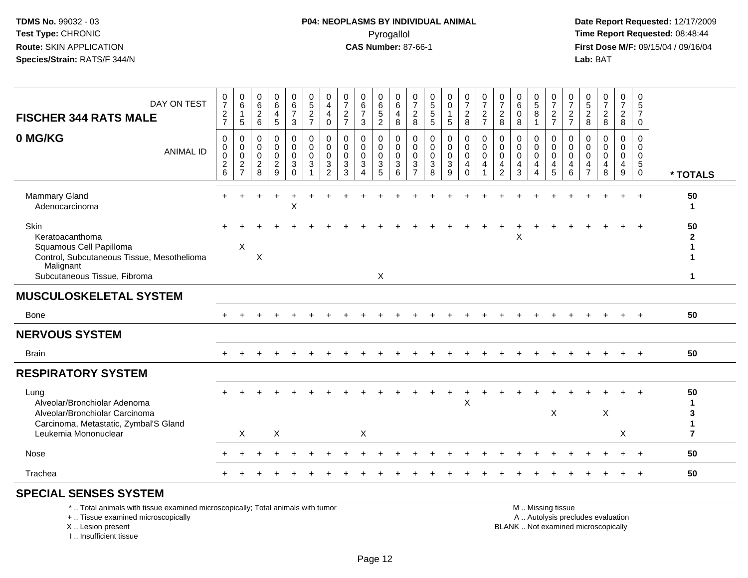## **P04: NEOPLASMS BY INDIVIDUAL ANIMAL**Pyrogallol Pyrogallol **Pyrogallol Time Report Requested:** 08:48:44<br>**CAS Number:** 87-66-1 **Time Report Requested:** 09/15/04 / 09/16/04

 **Date Report Requested:** 12/17/2009 **First Dose M/F:** 09/15/04 / 09/16/04<br>Lab: BAT **Lab:** BAT

| DAY ON TEST<br><b>FISCHER 344 RATS MALE</b>                                                                                                   | 0<br>$\overline{7}$<br>$\frac{2}{7}$           | 0<br>6<br>$\mathbf{1}$<br>5                                               | 0<br>$\,6$<br>$\overline{2}$<br>$6\phantom{1}$ | 0<br>6<br>4<br>5                   | 0<br>$6 \over 7$<br>3                                                    | $\boldsymbol{0}$<br>$\sqrt{5}$<br>$\overline{c}$<br>$\overline{7}$ | 0<br>$\overline{4}$<br>4<br>$\mathbf 0$                              | 0<br>$\overline{7}$<br>$\sqrt{2}$<br>$\overline{7}$        | 0<br>$\,6$<br>$\overline{7}$<br>3                               | 0<br>$\,6$<br>$\sqrt{5}$<br>$\overline{c}$ | 0<br>6<br>4<br>8                       | 0<br>$\overline{7}$<br>$\overline{2}$<br>8 | $\boldsymbol{0}$<br>$\sqrt{5}$<br>$\sqrt{5}$<br>5 | 0<br>$\mathsf{O}\xspace$<br>$\mathbf{1}$<br>5                     | 0<br>$\overline{7}$<br>$\overline{2}$<br>8                    | 0<br>$\overline{7}$<br>$\overline{2}$<br>$\overline{7}$ | $\frac{0}{7}$<br>$\overline{2}$<br>8                                | 0<br>6<br>$\mathbf 0$<br>8              | 0<br>$\frac{5}{8}$<br>$\mathbf{1}$           | 0<br>$\overline{7}$<br>$\frac{2}{7}$       | 0<br>$\overline{7}$<br>$\frac{2}{7}$ | 0<br>$\,$ 5 $\,$<br>$\boldsymbol{2}$<br>8                     | 0<br>$\overline{7}$<br>$\overline{2}$<br>8                               | 0<br>$\overline{7}$<br>$\overline{2}$<br>8 | 0<br>5<br>$\overline{7}$<br>$\Omega$          |                                             |
|-----------------------------------------------------------------------------------------------------------------------------------------------|------------------------------------------------|---------------------------------------------------------------------------|------------------------------------------------|------------------------------------|--------------------------------------------------------------------------|--------------------------------------------------------------------|----------------------------------------------------------------------|------------------------------------------------------------|-----------------------------------------------------------------|--------------------------------------------|----------------------------------------|--------------------------------------------|---------------------------------------------------|-------------------------------------------------------------------|---------------------------------------------------------------|---------------------------------------------------------|---------------------------------------------------------------------|-----------------------------------------|----------------------------------------------|--------------------------------------------|--------------------------------------|---------------------------------------------------------------|--------------------------------------------------------------------------|--------------------------------------------|-----------------------------------------------|---------------------------------------------|
| 0 MG/KG<br><b>ANIMAL ID</b>                                                                                                                   | 0<br>$\mathbf 0$<br>0<br>$\boldsymbol{2}$<br>6 | $\mathbf 0$<br>$\mathbf 0$<br>$\mathbf 0$<br>$\sqrt{2}$<br>$\overline{7}$ | 0<br>0<br>$\mathbf 0$<br>$\boldsymbol{2}$<br>8 | 0<br>0<br>0<br>$\overline{a}$<br>9 | 0<br>$\mathbf 0$<br>$\mathbf 0$<br>$\ensuremath{\mathsf{3}}$<br>$\Omega$ | 0<br>$\mathbf 0$<br>$\mathbf 0$<br>3                               | 0<br>$\mathbf 0$<br>0<br>$\ensuremath{\mathsf{3}}$<br>$\overline{2}$ | $\mathbf 0$<br>$\Omega$<br>$\mathbf{0}$<br>$\sqrt{3}$<br>3 | 0<br>$\mathbf 0$<br>$\mathbf 0$<br>$\sqrt{3}$<br>$\overline{4}$ | 0<br>0<br>0<br>$\sqrt{3}$<br>5             | 0<br>$\mathbf 0$<br>$\Omega$<br>3<br>6 | 0<br>0<br>0<br>3<br>$\overline{7}$         | 0<br>0<br>0<br>$\sqrt{3}$<br>8                    | 0<br>$\mathbf 0$<br>$\mathbf 0$<br>$\ensuremath{\mathsf{3}}$<br>9 | 0<br>$\mathbf 0$<br>$\mathbf 0$<br>$\overline{4}$<br>$\Omega$ | 0<br>$\Omega$<br>$\mathbf 0$<br>4                       | $\mathbf 0$<br>0<br>$\mathbf 0$<br>$\overline{4}$<br>$\overline{2}$ | 0<br>$\Omega$<br>$\mathbf{0}$<br>4<br>3 | 0<br>0<br>$\mathbf 0$<br>4<br>$\overline{4}$ | 0<br>$\mathbf{0}$<br>$\mathbf 0$<br>4<br>5 | 0<br>0<br>0<br>4<br>6                | 0<br>$\Omega$<br>$\Omega$<br>$\overline{4}$<br>$\overline{7}$ | 0<br>$\mathbf 0$<br>$\mathbf 0$<br>4<br>8                                | 0<br>0<br>$\mathbf 0$<br>4<br>9            | 0<br>$\Omega$<br>$\Omega$<br>5<br>$\mathbf 0$ | * TOTALS                                    |
| <b>Mammary Gland</b><br>Adenocarcinoma                                                                                                        |                                                |                                                                           |                                                |                                    | X                                                                        |                                                                    |                                                                      |                                                            |                                                                 |                                            |                                        |                                            |                                                   |                                                                   |                                                               |                                                         |                                                                     |                                         |                                              |                                            |                                      |                                                               |                                                                          |                                            | $+$                                           | 50<br>1                                     |
| Skin<br>Keratoacanthoma<br>Squamous Cell Papilloma<br>Control, Subcutaneous Tissue, Mesothelioma<br>Malignant<br>Subcutaneous Tissue, Fibroma |                                                | X                                                                         | X                                              |                                    |                                                                          |                                                                    |                                                                      |                                                            |                                                                 | X                                          |                                        |                                            |                                                   |                                                                   |                                                               |                                                         |                                                                     | X                                       |                                              |                                            |                                      |                                                               |                                                                          |                                            |                                               | 50<br>$\mathbf{2}$<br>1<br>1<br>$\mathbf 1$ |
| <b>MUSCULOSKELETAL SYSTEM</b>                                                                                                                 |                                                |                                                                           |                                                |                                    |                                                                          |                                                                    |                                                                      |                                                            |                                                                 |                                            |                                        |                                            |                                                   |                                                                   |                                                               |                                                         |                                                                     |                                         |                                              |                                            |                                      |                                                               |                                                                          |                                            |                                               |                                             |
| Bone                                                                                                                                          | $+$                                            |                                                                           |                                                | $\div$                             |                                                                          |                                                                    |                                                                      |                                                            |                                                                 |                                            |                                        |                                            |                                                   |                                                                   |                                                               |                                                         |                                                                     | $\div$                                  |                                              | $\div$                                     | $\pm$                                | ÷                                                             | $\ddot{}$                                                                | $+$                                        | $+$                                           | 50                                          |
| <b>NERVOUS SYSTEM</b>                                                                                                                         |                                                |                                                                           |                                                |                                    |                                                                          |                                                                    |                                                                      |                                                            |                                                                 |                                            |                                        |                                            |                                                   |                                                                   |                                                               |                                                         |                                                                     |                                         |                                              |                                            |                                      |                                                               |                                                                          |                                            |                                               |                                             |
| <b>Brain</b>                                                                                                                                  |                                                |                                                                           |                                                |                                    |                                                                          |                                                                    |                                                                      |                                                            |                                                                 |                                            |                                        |                                            |                                                   |                                                                   |                                                               |                                                         |                                                                     |                                         |                                              |                                            |                                      |                                                               |                                                                          |                                            | $\ddot{}$                                     | 50                                          |
| <b>RESPIRATORY SYSTEM</b>                                                                                                                     |                                                |                                                                           |                                                |                                    |                                                                          |                                                                    |                                                                      |                                                            |                                                                 |                                            |                                        |                                            |                                                   |                                                                   |                                                               |                                                         |                                                                     |                                         |                                              |                                            |                                      |                                                               |                                                                          |                                            |                                               |                                             |
| Lung<br>Alveolar/Bronchiolar Adenoma<br>Alveolar/Bronchiolar Carcinoma<br>Carcinoma, Metastatic, Zymbal'S Gland<br>Leukemia Mononuclear       |                                                | X                                                                         |                                                | X                                  |                                                                          |                                                                    |                                                                      |                                                            | X                                                               |                                            |                                        |                                            |                                                   |                                                                   | X                                                             |                                                         |                                                                     |                                         |                                              | $\times$                                   |                                      |                                                               | X                                                                        | X                                          |                                               | 50<br>3<br>$\mathbf 1$<br>$\overline{7}$    |
| Nose                                                                                                                                          |                                                |                                                                           |                                                |                                    |                                                                          |                                                                    |                                                                      |                                                            |                                                                 |                                            |                                        |                                            |                                                   |                                                                   |                                                               |                                                         |                                                                     |                                         |                                              |                                            |                                      |                                                               |                                                                          |                                            |                                               | 50                                          |
| Trachea                                                                                                                                       |                                                |                                                                           |                                                |                                    |                                                                          |                                                                    |                                                                      |                                                            |                                                                 |                                            |                                        |                                            |                                                   |                                                                   |                                                               |                                                         |                                                                     |                                         |                                              |                                            |                                      |                                                               |                                                                          |                                            |                                               | 50                                          |
| <b>SPECIAL SENSES SYSTEM</b>                                                                                                                  |                                                |                                                                           |                                                |                                    |                                                                          |                                                                    |                                                                      |                                                            |                                                                 |                                            |                                        |                                            |                                                   |                                                                   |                                                               |                                                         |                                                                     |                                         |                                              |                                            |                                      |                                                               |                                                                          |                                            |                                               |                                             |
| *  Total animals with tissue examined microscopically; Total animals with tumor<br>+  Tissue examined microscopically<br>X  Lesion present    |                                                |                                                                           |                                                |                                    |                                                                          |                                                                    |                                                                      |                                                            |                                                                 |                                            |                                        |                                            |                                                   |                                                                   |                                                               |                                                         |                                                                     |                                         |                                              | M  Missing tissue                          |                                      |                                                               | A  Autolysis precludes evaluation<br>BLANK  Not examined microscopically |                                            |                                               |                                             |

X .. Lesion present

I .. Insufficient tissue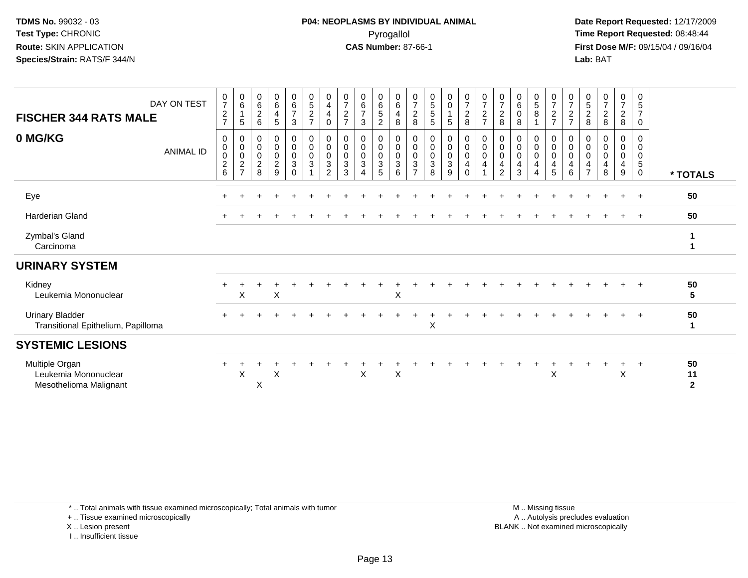**Date Report Requested:** 12/17/2009 **First Dose M/F:** 09/15/04 / 09/16/04 Lab: BAT **Lab:** BAT

| DAY ON TEST<br><b>FISCHER 344 RATS MALE</b>                      | $\frac{0}{7}$<br>$\overline{c}$                    | $\begin{array}{c} 0 \\ 6 \end{array}$<br>$\mathbf{1}$<br>$\sqrt{5}$ | $\begin{array}{c} 0 \\ 6 \end{array}$<br>$\boldsymbol{2}$<br>6 | $0\over 6$<br>4<br>5                                                  | $\begin{array}{c} 0 \\ 6 \\ 7 \end{array}$<br>$\sqrt{3}$ | $\begin{smallmatrix}0\0\5\end{smallmatrix}$<br>$\overline{c}$<br>$\overline{7}$ | 0<br>$\overline{4}$<br>4<br>0                 | $\frac{0}{7}$<br>$\overline{c}$<br>$\overline{7}$     | 0<br>$\frac{6}{7}$<br>3       | 0<br>$\,6\,$<br>$\sqrt{5}$<br>$\overline{c}$     | $\begin{matrix} 0 \\ 6 \end{matrix}$<br>4<br>8 | 0<br>$\boldsymbol{7}$<br>$\boldsymbol{2}$<br>$\,8\,$       | $\begin{array}{c} 0 \\ 5 \\ 5 \end{array}$<br>$\sqrt{5}$ | $\begin{matrix} 0 \\ 0 \end{matrix}$<br>$\mathbf{1}$<br>$\sqrt{5}$ | $\frac{0}{7}$<br>$\overline{a}$<br>8                   | $\frac{0}{7}$<br>$\overline{a}$<br>$\overline{7}$ | $\frac{0}{7}$<br>$\overline{c}$<br>8 | $\begin{smallmatrix}0\0\0\end{smallmatrix}$<br>$\pmb{0}$<br>$\bf8$     | $\begin{matrix} 0 \\ 5 \end{matrix}$<br>8<br>1 | $\frac{0}{7}$<br>$\frac{2}{7}$                                              | 0<br>$\overline{7}$<br>$\overline{c}$<br>$\overline{7}$ | $\begin{array}{c} 0 \\ 5 \end{array}$<br>$\frac{2}{8}$           | $\frac{0}{7}$<br>$_{\rm 8}^2$         | $\frac{0}{7}$<br>$\frac{2}{8}$                                  | 0<br>$\sqrt{5}$<br>$\overline{7}$<br>0           |                            |
|------------------------------------------------------------------|----------------------------------------------------|---------------------------------------------------------------------|----------------------------------------------------------------|-----------------------------------------------------------------------|----------------------------------------------------------|---------------------------------------------------------------------------------|-----------------------------------------------|-------------------------------------------------------|-------------------------------|--------------------------------------------------|------------------------------------------------|------------------------------------------------------------|----------------------------------------------------------|--------------------------------------------------------------------|--------------------------------------------------------|---------------------------------------------------|--------------------------------------|------------------------------------------------------------------------|------------------------------------------------|-----------------------------------------------------------------------------|---------------------------------------------------------|------------------------------------------------------------------|---------------------------------------|-----------------------------------------------------------------|--------------------------------------------------|----------------------------|
| 0 MG/KG<br><b>ANIMAL ID</b>                                      | 0<br>$\,0\,$<br>$\pmb{0}$<br>$\boldsymbol{2}$<br>6 | 0<br>$\pmb{0}$<br>$\pmb{0}$<br>$\boldsymbol{2}$<br>$\overline{7}$   | 0<br>0<br>$\pmb{0}$<br>$\boldsymbol{2}$<br>8                   | 0<br>$\mathbf 0$<br>$\mathbf 0$<br>$\overline{c}$<br>$\boldsymbol{9}$ | 0<br>$\pmb{0}$<br>$\pmb{0}$<br>$\mathbf{3}$<br>$\pmb{0}$ | $\pmb{0}$<br>$\pmb{0}$<br>$\pmb{0}$<br>$\ensuremath{\mathsf{3}}$<br>1           | 0<br>0<br>0<br>$\mathbf{3}$<br>$\overline{2}$ | 0<br>$\boldsymbol{0}$<br>$\pmb{0}$<br>$\sqrt{3}$<br>3 | 0<br>$\pmb{0}$<br>0<br>3<br>4 | 0<br>$\mathbf 0$<br>$\pmb{0}$<br>$\sqrt{3}$<br>5 | 0<br>$\mathbf 0$<br>$\mathbf 0$<br>3<br>6      | 0<br>0<br>0<br>$\ensuremath{\mathsf{3}}$<br>$\overline{7}$ | $\pmb{0}$<br>$\pmb{0}$<br>$\pmb{0}$<br>$\sqrt{3}$<br>8   | 0<br>$\pmb{0}$<br>$\pmb{0}$<br>$\sqrt{3}$<br>9                     | 0<br>$\mathbf 0$<br>$\mathbf 0$<br>$\overline{4}$<br>0 | 0<br>$\mathbf 0$<br>$\mathbf 0$<br>4              | 0<br>0<br>0<br>4<br>$\overline{2}$   | 0<br>$\pmb{0}$<br>$\pmb{0}$<br>$\overline{\mathbf{4}}$<br>$\mathbf{3}$ | 0<br>0<br>0<br>4<br>4                          | 0<br>$\boldsymbol{0}$<br>$\pmb{0}$<br>$\overline{\mathbf{4}}$<br>$\sqrt{5}$ | 0<br>0<br>0<br>$\overline{4}$<br>6                      | 0<br>0<br>$\pmb{0}$<br>$\overline{\mathbf{4}}$<br>$\overline{7}$ | 0<br>$\pmb{0}$<br>$\pmb{0}$<br>4<br>8 | 0<br>$\mathbf 0$<br>$\mathbf 0$<br>$\overline{\mathbf{4}}$<br>9 | 0<br>$\mathbf 0$<br>$\pmb{0}$<br>$\sqrt{5}$<br>0 | * TOTALS                   |
| Eye                                                              |                                                    |                                                                     |                                                                |                                                                       |                                                          |                                                                                 |                                               |                                                       |                               |                                                  |                                                |                                                            |                                                          |                                                                    |                                                        |                                                   |                                      |                                                                        |                                                |                                                                             |                                                         |                                                                  |                                       | $\ddot{}$                                                       | $+$                                              | 50                         |
| <b>Harderian Gland</b>                                           |                                                    |                                                                     |                                                                |                                                                       |                                                          |                                                                                 |                                               |                                                       |                               |                                                  |                                                |                                                            |                                                          |                                                                    |                                                        |                                                   |                                      |                                                                        |                                                |                                                                             |                                                         |                                                                  |                                       |                                                                 | $\overline{+}$                                   | 50                         |
| Zymbal's Gland<br>Carcinoma                                      |                                                    |                                                                     |                                                                |                                                                       |                                                          |                                                                                 |                                               |                                                       |                               |                                                  |                                                |                                                            |                                                          |                                                                    |                                                        |                                                   |                                      |                                                                        |                                                |                                                                             |                                                         |                                                                  |                                       |                                                                 |                                                  | 1<br>1                     |
| <b>URINARY SYSTEM</b>                                            |                                                    |                                                                     |                                                                |                                                                       |                                                          |                                                                                 |                                               |                                                       |                               |                                                  |                                                |                                                            |                                                          |                                                                    |                                                        |                                                   |                                      |                                                                        |                                                |                                                                             |                                                         |                                                                  |                                       |                                                                 |                                                  |                            |
| Kidney<br>Leukemia Mononuclear                                   |                                                    | X                                                                   |                                                                | X                                                                     |                                                          |                                                                                 |                                               |                                                       |                               |                                                  | X                                              |                                                            |                                                          |                                                                    |                                                        |                                                   |                                      |                                                                        |                                                |                                                                             |                                                         |                                                                  |                                       |                                                                 | $\ddot{}$                                        | 50<br>5                    |
| <b>Urinary Bladder</b><br>Transitional Epithelium, Papilloma     |                                                    |                                                                     |                                                                |                                                                       |                                                          |                                                                                 |                                               |                                                       |                               |                                                  |                                                |                                                            | X                                                        |                                                                    |                                                        |                                                   |                                      |                                                                        |                                                |                                                                             |                                                         |                                                                  |                                       | $\div$                                                          | $+$                                              | 50<br>1                    |
| <b>SYSTEMIC LESIONS</b>                                          |                                                    |                                                                     |                                                                |                                                                       |                                                          |                                                                                 |                                               |                                                       |                               |                                                  |                                                |                                                            |                                                          |                                                                    |                                                        |                                                   |                                      |                                                                        |                                                |                                                                             |                                                         |                                                                  |                                       |                                                                 |                                                  |                            |
| Multiple Organ<br>Leukemia Mononuclear<br>Mesothelioma Malignant | ÷                                                  | X                                                                   | Χ                                                              | X                                                                     |                                                          |                                                                                 |                                               |                                                       | X                             |                                                  | X                                              |                                                            |                                                          |                                                                    |                                                        |                                                   |                                      |                                                                        |                                                | X                                                                           |                                                         |                                                                  |                                       | +<br>$\boldsymbol{\mathsf{X}}$                                  | $\pm$                                            | 50<br>11<br>$\overline{2}$ |

\* .. Total animals with tissue examined microscopically; Total animals with tumor

+ .. Tissue examined microscopically

X .. Lesion present

I .. Insufficient tissue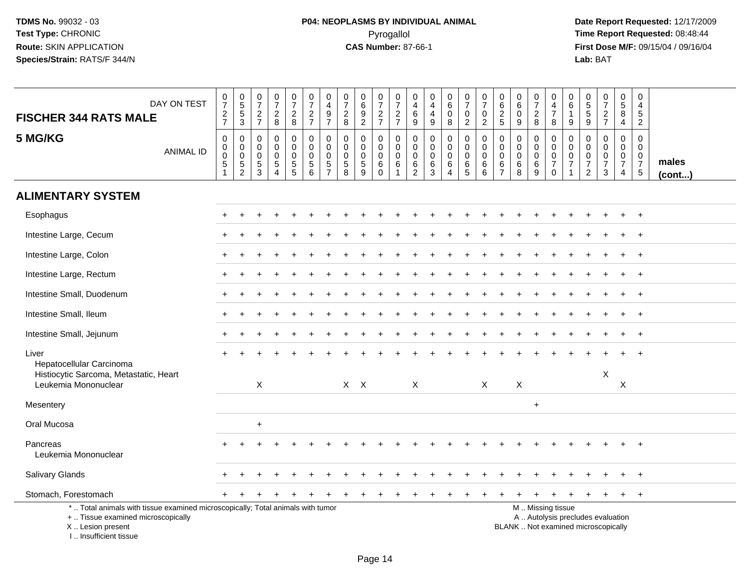| DAY ON TEST<br><b>FISCHER 344 RATS MALE</b>                                                                                                                         | $072$<br>$72$                                                         | $\begin{array}{c} 0 \\ 5 \\ 3 \end{array}$ | $\begin{smallmatrix}0\\7\end{smallmatrix}$<br>$rac{2}{7}$     | $\frac{0}{7}$<br>$_{8}^2$                                                   | $\begin{array}{c} 0 \\ 7 \end{array}$<br>$\frac{2}{8}$ | $\frac{0}{7}$<br>$\frac{2}{7}$                     | $\pmb{0}$<br>$\overline{a}$<br>$\boldsymbol{9}$<br>$\overline{7}$          | $\frac{0}{7}$<br>$\frac{2}{8}$                               | $\begin{array}{c} 0 \\ 6 \end{array}$<br>$\frac{9}{2}$ | $\begin{array}{c} 0 \\ 7 \end{array}$<br>$\frac{2}{7}$    | $\frac{0}{7}$<br>$\frac{2}{7}$                                       | 0<br>$\overline{4}$<br>$\,6\,$<br>9                       | $\mathbf 0$<br>$\overline{4}$<br>$\overline{4}$<br>9      | $\begin{array}{c} 0 \\ 6 \end{array}$<br>$\mathbf 0$<br>8    | $\frac{0}{7}$<br>$\pmb{0}$<br>$\overline{2}$                      | $\frac{0}{7}$<br>$\pmb{0}$<br>$\overline{2}$ | $\pmb{0}$<br>$\frac{6}{2}$<br>$\sqrt{5}$                      | $\begin{array}{c} 0 \\ 6 \end{array}$<br>$\pmb{0}$<br>$9\,$ | $\begin{array}{c} 0 \\ 7 \end{array}$<br>$_{\rm 8}^2$     | $\mathbf 0$<br>$\overline{4}$<br>$\overline{7}$<br>8                                          | 0<br>6<br>$\mathbf{1}$<br>9                       | $\begin{array}{c} 0 \\ 5 \end{array}$<br>$\overline{5}$<br>9                    | $\begin{array}{c} 0 \\ 7 \end{array}$<br>$\frac{2}{7}$ | $\begin{array}{c} 0 \\ 5 \end{array}$<br>$\overline{8}$<br>$\overline{4}$     | 0<br>4<br>5<br>$\overline{2}$                                             |                       |
|---------------------------------------------------------------------------------------------------------------------------------------------------------------------|-----------------------------------------------------------------------|--------------------------------------------|---------------------------------------------------------------|-----------------------------------------------------------------------------|--------------------------------------------------------|----------------------------------------------------|----------------------------------------------------------------------------|--------------------------------------------------------------|--------------------------------------------------------|-----------------------------------------------------------|----------------------------------------------------------------------|-----------------------------------------------------------|-----------------------------------------------------------|--------------------------------------------------------------|-------------------------------------------------------------------|----------------------------------------------|---------------------------------------------------------------|-------------------------------------------------------------|-----------------------------------------------------------|-----------------------------------------------------------------------------------------------|---------------------------------------------------|---------------------------------------------------------------------------------|--------------------------------------------------------|-------------------------------------------------------------------------------|---------------------------------------------------------------------------|-----------------------|
| 5 MG/KG<br><b>ANIMAL ID</b>                                                                                                                                         | $\pmb{0}$<br>$\pmb{0}$<br>$\pmb{0}$<br>$\overline{5}$<br>$\mathbf{1}$ | 0<br>$\mathbf 0$<br>0<br>$\frac{5}{2}$     | 0<br>$\mathbf 0$<br>$\mathbf 0$<br>$\sqrt{5}$<br>$\mathbf{3}$ | $\mathbf 0$<br>$\mathbf 0$<br>0<br>$\overline{5}$<br>$\boldsymbol{\Lambda}$ | 0<br>$\mathbf 0$<br>$\mathbf 0$<br>$\overline{5}$      | 0<br>$\mathbf 0$<br>$\mathbf 0$<br>$\sqrt{5}$<br>6 | $\mathbf 0$<br>$\mathbf 0$<br>$\mathbf{0}$<br>$\sqrt{5}$<br>$\overline{7}$ | $\mathbf 0$<br>$\mathbf 0$<br>$\mathbf 0$<br>$\sqrt{5}$<br>8 | 0<br>$\mathbf 0$<br>$\mathbf 0$<br>$\overline{5}$<br>9 | 0<br>$\mathbf 0$<br>$\mathbf 0$<br>$\,6\,$<br>$\mathbf 0$ | 0<br>$\mathsf{O}\xspace$<br>$\mathbf 0$<br>$\,6\,$<br>$\overline{1}$ | $\mathbf 0$<br>$\mathbf 0$<br>$\mathbf 0$<br>$\,6\,$<br>2 | $\mathbf 0$<br>$\mathbf 0$<br>$\mathbf 0$<br>$\,6\,$<br>3 | 0<br>$\mathbf 0$<br>$\mathbf 0$<br>$\,6\,$<br>$\overline{4}$ | $\mathbf 0$<br>$\mathbf 0$<br>$\mathbf 0$<br>$6\phantom{.}6$<br>5 | 0<br>0<br>0<br>6<br>6                        | $\mathbf 0$<br>$\mathbf 0$<br>$\Omega$<br>6<br>$\overline{7}$ | $\mathbf 0$<br>$\mathbf 0$<br>$\mathbf 0$<br>$\,6\,$<br>8   | $\mathbf 0$<br>$\mathbf 0$<br>$\mathbf 0$<br>$\,6\,$<br>9 | $\mathbf 0$<br>$\mathbf 0$<br>$\mathbf 0$<br>$\overline{7}$<br>$\mathbf 0$                    | 0<br>$\mathbf 0$<br>$\mathbf 0$<br>$\overline{7}$ | $\mathbf 0$<br>$\mathbf 0$<br>$\mathbf 0$<br>$\boldsymbol{7}$<br>$\overline{2}$ | 0<br>$\mathbf 0$<br>0<br>$\overline{7}$<br>3           | $\mathbf 0$<br>$\mathbf 0$<br>$\mathbf 0$<br>$\overline{7}$<br>$\overline{4}$ | $\mathbf 0$<br>$\mathbf 0$<br>$\mathbf 0$<br>$\overline{7}$<br>$\sqrt{5}$ | males<br>$($ cont $)$ |
| <b>ALIMENTARY SYSTEM</b>                                                                                                                                            |                                                                       |                                            |                                                               |                                                                             |                                                        |                                                    |                                                                            |                                                              |                                                        |                                                           |                                                                      |                                                           |                                                           |                                                              |                                                                   |                                              |                                                               |                                                             |                                                           |                                                                                               |                                                   |                                                                                 |                                                        |                                                                               |                                                                           |                       |
| Esophagus                                                                                                                                                           |                                                                       |                                            |                                                               |                                                                             |                                                        |                                                    |                                                                            |                                                              |                                                        |                                                           |                                                                      |                                                           |                                                           |                                                              |                                                                   |                                              |                                                               |                                                             |                                                           |                                                                                               |                                                   |                                                                                 |                                                        |                                                                               | $\overline{+}$                                                            |                       |
| Intestine Large, Cecum                                                                                                                                              |                                                                       |                                            |                                                               |                                                                             |                                                        |                                                    |                                                                            |                                                              |                                                        |                                                           |                                                                      |                                                           |                                                           |                                                              |                                                                   |                                              |                                                               |                                                             |                                                           |                                                                                               |                                                   |                                                                                 |                                                        |                                                                               | $\overline{+}$                                                            |                       |
| Intestine Large, Colon                                                                                                                                              |                                                                       |                                            |                                                               |                                                                             |                                                        |                                                    |                                                                            |                                                              |                                                        |                                                           |                                                                      |                                                           |                                                           |                                                              |                                                                   |                                              |                                                               |                                                             |                                                           |                                                                                               |                                                   |                                                                                 |                                                        |                                                                               | $\overline{+}$                                                            |                       |
| Intestine Large, Rectum                                                                                                                                             |                                                                       |                                            |                                                               |                                                                             |                                                        |                                                    |                                                                            |                                                              |                                                        |                                                           |                                                                      |                                                           |                                                           |                                                              |                                                                   |                                              |                                                               |                                                             |                                                           |                                                                                               |                                                   |                                                                                 |                                                        |                                                                               |                                                                           |                       |
| Intestine Small, Duodenum                                                                                                                                           |                                                                       |                                            |                                                               |                                                                             |                                                        |                                                    |                                                                            |                                                              |                                                        |                                                           |                                                                      |                                                           |                                                           |                                                              |                                                                   |                                              |                                                               |                                                             |                                                           |                                                                                               |                                                   |                                                                                 |                                                        |                                                                               | $\overline{ }$                                                            |                       |
| Intestine Small, Ileum                                                                                                                                              |                                                                       |                                            |                                                               |                                                                             |                                                        |                                                    |                                                                            |                                                              |                                                        |                                                           |                                                                      |                                                           |                                                           |                                                              |                                                                   |                                              |                                                               |                                                             |                                                           |                                                                                               |                                                   |                                                                                 |                                                        |                                                                               | $+$                                                                       |                       |
| Intestine Small, Jejunum                                                                                                                                            |                                                                       |                                            |                                                               |                                                                             |                                                        |                                                    |                                                                            |                                                              |                                                        |                                                           |                                                                      |                                                           |                                                           |                                                              |                                                                   |                                              |                                                               |                                                             |                                                           |                                                                                               |                                                   |                                                                                 |                                                        |                                                                               | $\overline{+}$                                                            |                       |
| Liver<br>Hepatocellular Carcinoma<br>Histiocytic Sarcoma, Metastatic, Heart<br>Leukemia Mononuclear                                                                 |                                                                       |                                            | $\pmb{\times}$                                                |                                                                             |                                                        |                                                    |                                                                            | $X$ $X$                                                      |                                                        |                                                           |                                                                      | X                                                         |                                                           |                                                              |                                                                   | $\boldsymbol{X}$                             |                                                               | X                                                           |                                                           |                                                                                               |                                                   |                                                                                 | X                                                      | $\times$                                                                      |                                                                           |                       |
| Mesentery                                                                                                                                                           |                                                                       |                                            |                                                               |                                                                             |                                                        |                                                    |                                                                            |                                                              |                                                        |                                                           |                                                                      |                                                           |                                                           |                                                              |                                                                   |                                              |                                                               |                                                             | $+$                                                       |                                                                                               |                                                   |                                                                                 |                                                        |                                                                               |                                                                           |                       |
| Oral Mucosa                                                                                                                                                         |                                                                       |                                            | $\ddot{}$                                                     |                                                                             |                                                        |                                                    |                                                                            |                                                              |                                                        |                                                           |                                                                      |                                                           |                                                           |                                                              |                                                                   |                                              |                                                               |                                                             |                                                           |                                                                                               |                                                   |                                                                                 |                                                        |                                                                               |                                                                           |                       |
| Pancreas<br>Leukemia Mononuclear                                                                                                                                    |                                                                       |                                            |                                                               |                                                                             |                                                        |                                                    |                                                                            |                                                              |                                                        |                                                           |                                                                      |                                                           |                                                           |                                                              |                                                                   |                                              |                                                               |                                                             |                                                           |                                                                                               |                                                   |                                                                                 |                                                        |                                                                               |                                                                           |                       |
| Salivary Glands                                                                                                                                                     |                                                                       |                                            |                                                               |                                                                             |                                                        |                                                    |                                                                            |                                                              |                                                        |                                                           |                                                                      |                                                           |                                                           |                                                              |                                                                   |                                              |                                                               |                                                             |                                                           |                                                                                               |                                                   |                                                                                 |                                                        |                                                                               |                                                                           |                       |
| Stomach, Forestomach                                                                                                                                                |                                                                       |                                            |                                                               |                                                                             |                                                        |                                                    |                                                                            |                                                              |                                                        |                                                           |                                                                      |                                                           |                                                           |                                                              |                                                                   |                                              |                                                               |                                                             |                                                           |                                                                                               |                                                   |                                                                                 | $\ddot{}$                                              | $+$                                                                           | $+$                                                                       |                       |
| *  Total animals with tissue examined microscopically; Total animals with tumor<br>+  Tissue examined microscopically<br>X  Lesion present<br>I Insufficient tissue |                                                                       |                                            |                                                               |                                                                             |                                                        |                                                    |                                                                            |                                                              |                                                        |                                                           |                                                                      |                                                           |                                                           |                                                              |                                                                   |                                              |                                                               |                                                             |                                                           | M  Missing tissue<br>A  Autolysis precludes evaluation<br>BLANK  Not examined microscopically |                                                   |                                                                                 |                                                        |                                                                               |                                                                           |                       |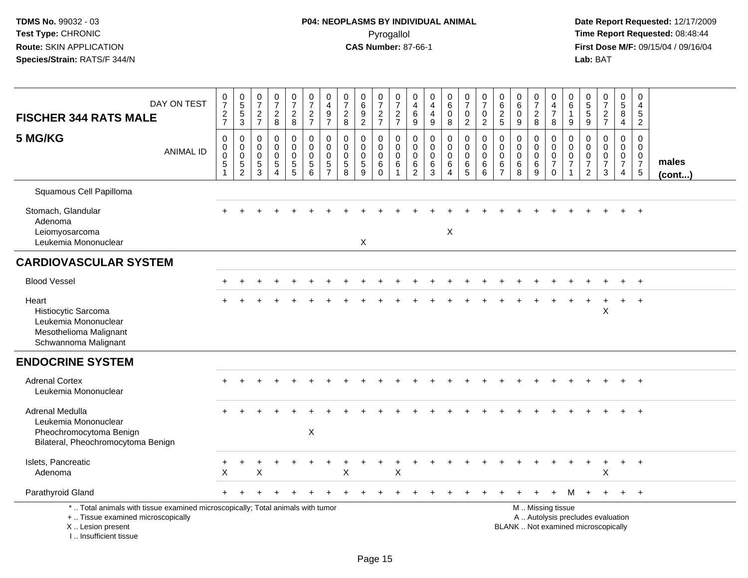| DAY ON TEST<br><b>FISCHER 344 RATS MALE</b>                                                                                                                           | $\frac{0}{7}$<br>$\frac{2}{7}$                                                  | $\begin{array}{c} 0 \\ 5 \\ 3 \end{array}$                                      | 0<br>$\overline{7}$<br>$\frac{2}{7}$                            | $\frac{0}{7}$<br>$\frac{2}{8}$                                             | $\begin{array}{c} 0 \\ 7 \end{array}$<br>$\frac{2}{8}$      | $\begin{smallmatrix}0\\7\end{smallmatrix}$<br>$\frac{2}{7}$ | 0<br>$\overline{\mathbf{4}}$<br>9<br>$\overline{7}$ | $\begin{smallmatrix}0\\7\end{smallmatrix}$<br>$\frac{2}{8}$                        | $_{6}^{\rm 0}$<br>$\frac{9}{2}$                               | $\frac{0}{7}$<br>$\frac{2}{7}$                            | $\frac{0}{7}$<br>$\frac{2}{7}$                                     | $\mathbf 0$<br>$\overline{4}$<br>6<br>$\overline{9}$                       | $\pmb{0}$<br>$\overline{4}$<br>$\overline{4}$<br>$9\,$ | $\begin{array}{c} 0 \\ 6 \end{array}$<br>$\mathbf 0$<br>8            | $\frac{0}{7}$<br>$\mathsf 0$<br>$\overline{2}$                      | $\frac{0}{7}$<br>$\pmb{0}$<br>$\overline{2}$                        | 0<br>$\,6\,$<br>$\frac{2}{5}$                                    | $\pmb{0}$<br>6<br>$\pmb{0}$<br>$\overline{9}$                  | $\begin{array}{c} 0 \\ 7 \end{array}$<br>$_{\rm 8}^2$ | 0<br>$\overline{4}$<br>$\overline{7}$<br>8                                                    | 0<br>6<br>$\mathbf{1}$<br>9                                       | 0<br>$\sqrt{5}$<br>$\sqrt{5}$<br>$\overline{9}$                              | $\frac{0}{7}$<br>$rac{2}{7}$                                             | $\pmb{0}$<br>$5\phantom{.0}$<br>8<br>4                                              | $\pmb{0}$<br>4<br>5<br>$\overline{2}$                                     |                 |
|-----------------------------------------------------------------------------------------------------------------------------------------------------------------------|---------------------------------------------------------------------------------|---------------------------------------------------------------------------------|-----------------------------------------------------------------|----------------------------------------------------------------------------|-------------------------------------------------------------|-------------------------------------------------------------|-----------------------------------------------------|------------------------------------------------------------------------------------|---------------------------------------------------------------|-----------------------------------------------------------|--------------------------------------------------------------------|----------------------------------------------------------------------------|--------------------------------------------------------|----------------------------------------------------------------------|---------------------------------------------------------------------|---------------------------------------------------------------------|------------------------------------------------------------------|----------------------------------------------------------------|-------------------------------------------------------|-----------------------------------------------------------------------------------------------|-------------------------------------------------------------------|------------------------------------------------------------------------------|--------------------------------------------------------------------------|-------------------------------------------------------------------------------------|---------------------------------------------------------------------------|-----------------|
| 5 MG/KG<br><b>ANIMAL ID</b>                                                                                                                                           | $\pmb{0}$<br>$\boldsymbol{0}$<br>$\pmb{0}$<br>$5\phantom{.0}$<br>$\overline{1}$ | $\pmb{0}$<br>$\mathbf 0$<br>$\mathsf{O}\xspace$<br>$\sqrt{5}$<br>$\overline{2}$ | $\mathbf 0$<br>0<br>$\mathbf 0$<br>$\sqrt{5}$<br>$\overline{3}$ | $\mathbf 0$<br>$\mathbf 0$<br>$\mathbf 0$<br>$\,$ 5 $\,$<br>$\overline{4}$ | $\pmb{0}$<br>0<br>$\pmb{0}$<br>$\sqrt{5}$<br>$\overline{5}$ | $\pmb{0}$<br>$\mathbf 0$<br>$\mathbf 0$<br>$\sqrt{5}$<br>6  | 0<br>$\Omega$<br>$\mathbf 0$<br>5<br>$\overline{7}$ | $\mathbf 0$<br>$\mathbf 0$<br>$\mathbf 0$<br>$\begin{array}{c} 5 \\ 8 \end{array}$ | $\mathbf 0$<br>$\Omega$<br>$\mathbf 0$<br>5<br>$\overline{9}$ | 0<br>$\mathbf 0$<br>$\pmb{0}$<br>6<br>$\ddot{\mathbf{0}}$ | $\pmb{0}$<br>$\mathbf 0$<br>$\mathbf 0$<br>$\,6\,$<br>$\mathbf{1}$ | $\boldsymbol{0}$<br>$\mathbf 0$<br>$\boldsymbol{0}$<br>6<br>$\overline{2}$ | $\mathbf 0$<br>$\Omega$<br>$\pmb{0}$<br>6<br>3         | $\pmb{0}$<br>$\mathbf 0$<br>$\mathbf 0$<br>$\,6\,$<br>$\overline{4}$ | $\boldsymbol{0}$<br>$\mathbf 0$<br>$\pmb{0}$<br>6<br>$\overline{5}$ | $\pmb{0}$<br>$\mathbf 0$<br>$\pmb{0}$<br>$\,6\,$<br>$6\overline{6}$ | $\mathbf 0$<br>$\mathbf 0$<br>$\mathbf 0$<br>6<br>$\overline{7}$ | $\mathbf 0$<br>0<br>$\mathsf{O}\xspace$<br>6<br>$\overline{8}$ | $\mathbf 0$<br>$\mathbf 0$<br>$\mathbf 0$<br>6<br>9   | $\pmb{0}$<br>$\mathbf 0$<br>$\mathsf{O}\xspace$<br>$\overline{7}$<br>$\mathbf 0$              | $\mathbf 0$<br>$\mathbf{0}$<br>$\mathbf 0$<br>$\overline{7}$<br>1 | $\Omega$<br>$\Omega$<br>$\boldsymbol{0}$<br>$\overline{7}$<br>$\overline{2}$ | $\mathbf 0$<br>$\Omega$<br>$\mathbf 0$<br>$\overline{7}$<br>$\mathbf{3}$ | $\pmb{0}$<br>$\mathbf 0$<br>$\mathsf{O}\xspace$<br>$\overline{7}$<br>$\overline{4}$ | $\mathbf 0$<br>$\mathbf 0$<br>$\mathbf 0$<br>$\overline{7}$<br>$\sqrt{5}$ | males<br>(cont) |
| Squamous Cell Papilloma                                                                                                                                               |                                                                                 |                                                                                 |                                                                 |                                                                            |                                                             |                                                             |                                                     |                                                                                    |                                                               |                                                           |                                                                    |                                                                            |                                                        |                                                                      |                                                                     |                                                                     |                                                                  |                                                                |                                                       |                                                                                               |                                                                   |                                                                              |                                                                          |                                                                                     |                                                                           |                 |
| Stomach, Glandular<br>Adenoma<br>Leiomyosarcoma<br>Leukemia Mononuclear                                                                                               |                                                                                 |                                                                                 |                                                                 |                                                                            |                                                             |                                                             |                                                     |                                                                                    | X                                                             |                                                           |                                                                    |                                                                            |                                                        | X                                                                    |                                                                     |                                                                     |                                                                  |                                                                |                                                       |                                                                                               |                                                                   |                                                                              |                                                                          |                                                                                     | $+$                                                                       |                 |
| <b>CARDIOVASCULAR SYSTEM</b>                                                                                                                                          |                                                                                 |                                                                                 |                                                                 |                                                                            |                                                             |                                                             |                                                     |                                                                                    |                                                               |                                                           |                                                                    |                                                                            |                                                        |                                                                      |                                                                     |                                                                     |                                                                  |                                                                |                                                       |                                                                                               |                                                                   |                                                                              |                                                                          |                                                                                     |                                                                           |                 |
| <b>Blood Vessel</b>                                                                                                                                                   |                                                                                 |                                                                                 |                                                                 |                                                                            |                                                             |                                                             |                                                     |                                                                                    |                                                               |                                                           |                                                                    |                                                                            |                                                        |                                                                      |                                                                     |                                                                     |                                                                  |                                                                |                                                       |                                                                                               |                                                                   |                                                                              |                                                                          |                                                                                     | $\ddot{}$                                                                 |                 |
| Heart<br>Histiocytic Sarcoma<br>Leukemia Mononuclear<br>Mesothelioma Malignant<br>Schwannoma Malignant                                                                |                                                                                 |                                                                                 |                                                                 |                                                                            |                                                             |                                                             |                                                     |                                                                                    |                                                               |                                                           |                                                                    |                                                                            |                                                        |                                                                      |                                                                     |                                                                     |                                                                  |                                                                |                                                       |                                                                                               |                                                                   |                                                                              | X                                                                        | $\ddot{}$                                                                           | $\ddot{}$                                                                 |                 |
| <b>ENDOCRINE SYSTEM</b>                                                                                                                                               |                                                                                 |                                                                                 |                                                                 |                                                                            |                                                             |                                                             |                                                     |                                                                                    |                                                               |                                                           |                                                                    |                                                                            |                                                        |                                                                      |                                                                     |                                                                     |                                                                  |                                                                |                                                       |                                                                                               |                                                                   |                                                                              |                                                                          |                                                                                     |                                                                           |                 |
| <b>Adrenal Cortex</b><br>Leukemia Mononuclear                                                                                                                         |                                                                                 |                                                                                 |                                                                 |                                                                            |                                                             |                                                             |                                                     |                                                                                    |                                                               |                                                           |                                                                    |                                                                            |                                                        |                                                                      |                                                                     |                                                                     |                                                                  |                                                                |                                                       |                                                                                               |                                                                   |                                                                              |                                                                          |                                                                                     | $+$                                                                       |                 |
| Adrenal Medulla<br>Leukemia Mononuclear<br>Pheochromocytoma Benign<br>Bilateral, Pheochromocytoma Benign                                                              |                                                                                 |                                                                                 |                                                                 |                                                                            |                                                             | $\boldsymbol{\mathsf{X}}$                                   |                                                     |                                                                                    |                                                               |                                                           |                                                                    |                                                                            |                                                        |                                                                      |                                                                     |                                                                     |                                                                  |                                                                |                                                       |                                                                                               |                                                                   |                                                                              |                                                                          |                                                                                     | $\overline{+}$                                                            |                 |
| Islets, Pancreatic<br>Adenoma                                                                                                                                         | X                                                                               |                                                                                 | X                                                               |                                                                            |                                                             |                                                             |                                                     | X                                                                                  |                                                               |                                                           | X                                                                  |                                                                            |                                                        |                                                                      |                                                                     |                                                                     |                                                                  |                                                                |                                                       |                                                                                               |                                                                   |                                                                              | Χ                                                                        |                                                                                     | $\overline{+}$                                                            |                 |
| Parathyroid Gland                                                                                                                                                     |                                                                                 |                                                                                 |                                                                 |                                                                            |                                                             |                                                             |                                                     |                                                                                    |                                                               |                                                           |                                                                    |                                                                            |                                                        |                                                                      |                                                                     |                                                                     |                                                                  |                                                                |                                                       |                                                                                               | м                                                                 |                                                                              |                                                                          |                                                                                     | $+$                                                                       |                 |
| *  Total animals with tissue examined microscopically; Total animals with tumor<br>+  Tissue examined microscopically<br>X  Lesion present<br>I., Insufficient tissue |                                                                                 |                                                                                 |                                                                 |                                                                            |                                                             |                                                             |                                                     |                                                                                    |                                                               |                                                           |                                                                    |                                                                            |                                                        |                                                                      |                                                                     |                                                                     |                                                                  |                                                                |                                                       | M  Missing tissue<br>A  Autolysis precludes evaluation<br>BLANK  Not examined microscopically |                                                                   |                                                                              |                                                                          |                                                                                     |                                                                           |                 |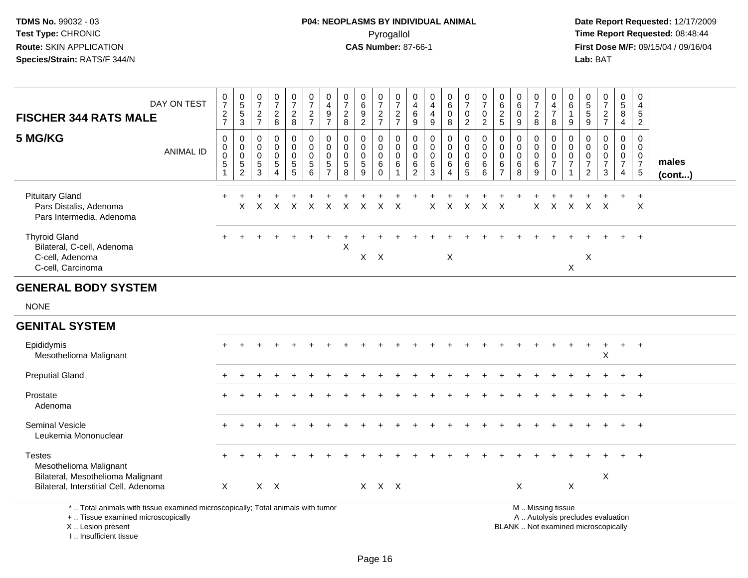## **P04: NEOPLASMS BY INDIVIDUAL ANIMAL**Pyrogallol Pyrogallol **Pyrogallol Time Report Requested:** 08:48:44<br>**CAS Number:** 87-66-1 **Time Report Requested:** 09/15/04 / 09/16/04

 **Date Report Requested:** 12/17/2009 **First Dose M/F:** 09/15/04 / 09/16/04<br>Lab: BAT **Lab:** BAT

| <b>FISCHER 344 RATS MALE</b>                                                               | DAY ON TEST      | $\frac{0}{7}$<br>$\frac{2}{7}$                       | $\begin{array}{c} 0 \\ 5 \end{array}$<br>$\sqrt{5}$<br>$\mathbf{3}$ | $\pmb{0}$<br>$\overline{7}$<br>$\boldsymbol{2}$<br>$\overline{7}$        | $\begin{smallmatrix}0\\7\end{smallmatrix}$<br>$\frac{2}{8}$              | $\frac{0}{7}$<br>$\frac{2}{8}$                                | $\frac{0}{7}$<br>$\frac{2}{7}$                              | $\pmb{0}$<br>$\overline{4}$<br>$\frac{9}{7}$               | $\frac{0}{7}$<br>$\frac{2}{8}$                     | $\begin{array}{c} 0 \\ 6 \end{array}$<br>$\frac{9}{2}$           | $\frac{0}{7}$<br>$\frac{2}{7}$                      | $\frac{0}{7}$<br>$rac{2}{7}$                                              | 0<br>4<br>6<br>9                                                 | 0<br>$\overline{4}$<br>$\overline{4}$<br>9    | $_{6}^{\rm 0}$<br>$\pmb{0}$<br>8                                               | $\begin{array}{c} 0 \\ 7 \end{array}$<br>$\mathbf 0$<br>$\overline{2}$                | $\begin{array}{c} 0 \\ 7 \end{array}$<br>$\overline{0}$<br>$\overline{2}$ | $\begin{matrix} 0 \\ 6 \end{matrix}$<br>$\frac{2}{5}$            | $\begin{array}{c} 0 \\ 6 \end{array}$<br>$\mathbf 0$<br>$\boldsymbol{9}$ | $\frac{0}{7}$<br>$\overline{\mathbf{c}}$<br>8          | 0<br>$\overline{4}$<br>$\boldsymbol{7}$<br>8                             | 0<br>$\,6$<br>$\mathbf{1}$<br>9                                          | 0<br>5<br>5<br>9                                                   | $\begin{smallmatrix} 0\\7 \end{smallmatrix}$<br>$\frac{2}{7}$               | $\frac{0}{5}$<br>8<br>$\overline{4}$                             | 0<br>$\overline{\mathbf{4}}$<br>$\overline{5}$<br>$\overline{a}$ |                 |
|--------------------------------------------------------------------------------------------|------------------|------------------------------------------------------|---------------------------------------------------------------------|--------------------------------------------------------------------------|--------------------------------------------------------------------------|---------------------------------------------------------------|-------------------------------------------------------------|------------------------------------------------------------|----------------------------------------------------|------------------------------------------------------------------|-----------------------------------------------------|---------------------------------------------------------------------------|------------------------------------------------------------------|-----------------------------------------------|--------------------------------------------------------------------------------|---------------------------------------------------------------------------------------|---------------------------------------------------------------------------|------------------------------------------------------------------|--------------------------------------------------------------------------|--------------------------------------------------------|--------------------------------------------------------------------------|--------------------------------------------------------------------------|--------------------------------------------------------------------|-----------------------------------------------------------------------------|------------------------------------------------------------------|------------------------------------------------------------------|-----------------|
| 5 MG/KG                                                                                    | <b>ANIMAL ID</b> | 0<br>$\mathbf 0$<br>$\mathbf 0$<br>$\,$ 5 $\,$<br>-1 | 0<br>$\mathbf 0$<br>$\mathbf 0$<br>$\sqrt{5}$<br>$\sqrt{2}$         | $\mathbf 0$<br>$\mathbf 0$<br>$\overline{0}$<br>$\sqrt{5}$<br>$\sqrt{3}$ | $\mathbf 0$<br>$\pmb{0}$<br>$\mathsf 0$<br>$\,$ 5 $\,$<br>$\overline{4}$ | $\mathbf 0$<br>$\mathbf 0$<br>$\overline{0}$<br>$\frac{5}{5}$ | $\pmb{0}$<br>$\boldsymbol{0}$<br>$\pmb{0}$<br>$\frac{5}{6}$ | $\mathbf 0$<br>$\mathbf 0$<br>$\mathbf 0$<br>$\frac{5}{7}$ | 0<br>$\mathbf 0$<br>$\mathbf 0$<br>$\sqrt{5}$<br>8 | $\mathbf 0$<br>$\mathbf 0$<br>$\mathbf 0$<br>$\overline{5}$<br>9 | $\mathbf 0$<br>0<br>$\mathbf 0$<br>6<br>$\mathbf 0$ | $\boldsymbol{0}$<br>$\mathbf 0$<br>$\mathsf 0$<br>$\,6\,$<br>$\mathbf{1}$ | $\mathbf 0$<br>$\mathbf 0$<br>$\mathbf 0$<br>6<br>$\overline{2}$ | 0<br>$\mathbf 0$<br>$\mathbf 0$<br>$\,6$<br>3 | $\mathbf 0$<br>$\mathsf 0$<br>$\mathsf{O}\xspace$<br>$\,6\,$<br>$\overline{4}$ | $\overline{0}$<br>$\mathbf 0$<br>$\mathsf 0$<br>$\begin{array}{c} 6 \\ 5 \end{array}$ | $\mathbf 0$<br>$\mathbf 0$<br>$\boldsymbol{0}$<br>$\,6\,$<br>6            | $\mathbf 0$<br>$\mathbf 0$<br>$\mathbf 0$<br>6<br>$\overline{7}$ | $\mathbf 0$<br>$\mathbf 0$<br>$\mathbf 0$<br>$\,6\,$<br>8                | $\mathbf 0$<br>$\mathbf 0$<br>$\overline{0}$<br>6<br>9 | $\mathbf 0$<br>$\pmb{0}$<br>$\pmb{0}$<br>$\boldsymbol{7}$<br>$\mathbf 0$ | $\mathbf 0$<br>$\Omega$<br>$\mathbf 0$<br>$\overline{7}$<br>$\mathbf{1}$ | 0<br>$\mathbf{0}$<br>$\mathbf 0$<br>$\boldsymbol{7}$<br>$\sqrt{2}$ | $\mathbf 0$<br>$\mathbf 0$<br>$\mathsf 0$<br>$\overline{7}$<br>$\mathbf{3}$ | $\mathbf 0$<br>$\mathbf 0$<br>$\mathbf 0$<br>$\overline{7}$<br>4 | $\mathbf 0$<br>$\mathbf 0$<br>$\mathbf 0$<br>$\frac{7}{5}$       | males<br>(cont) |
| <b>Pituitary Gland</b><br>Pars Distalis, Adenoma<br>Pars Intermedia, Adenoma               |                  | $\ddot{}$                                            | X                                                                   | X                                                                        | X                                                                        | $\times$                                                      | X                                                           | $\mathsf{X}$                                               | $\mathsf{X}$                                       | $\sf X$                                                          | X                                                   | $\times$                                                                  |                                                                  | X                                             | X                                                                              | $\boldsymbol{\mathsf{X}}$                                                             | $\mathsf{X}$                                                              | $\boldsymbol{\mathsf{X}}$                                        |                                                                          | $\pmb{\times}$                                         | $\mathsf{X}$                                                             | $\mathsf{X}$                                                             | $\mathsf{X}$                                                       | $\times$                                                                    |                                                                  | $\ddot{}$<br>$\times$                                            |                 |
| <b>Thyroid Gland</b><br>Bilateral, C-cell, Adenoma<br>C-cell, Adenoma<br>C-cell, Carcinoma |                  |                                                      |                                                                     |                                                                          |                                                                          |                                                               |                                                             |                                                            | $\pmb{\times}$                                     | $X$ $X$                                                          |                                                     |                                                                           |                                                                  |                                               | $\mathsf X$                                                                    |                                                                                       |                                                                           |                                                                  |                                                                          |                                                        |                                                                          | $\boldsymbol{\mathsf{X}}$                                                | X                                                                  |                                                                             |                                                                  |                                                                  |                 |
| <b>GENERAL BODY SYSTEM</b>                                                                 |                  |                                                      |                                                                     |                                                                          |                                                                          |                                                               |                                                             |                                                            |                                                    |                                                                  |                                                     |                                                                           |                                                                  |                                               |                                                                                |                                                                                       |                                                                           |                                                                  |                                                                          |                                                        |                                                                          |                                                                          |                                                                    |                                                                             |                                                                  |                                                                  |                 |
| <b>NONE</b>                                                                                |                  |                                                      |                                                                     |                                                                          |                                                                          |                                                               |                                                             |                                                            |                                                    |                                                                  |                                                     |                                                                           |                                                                  |                                               |                                                                                |                                                                                       |                                                                           |                                                                  |                                                                          |                                                        |                                                                          |                                                                          |                                                                    |                                                                             |                                                                  |                                                                  |                 |
| <b>GENITAL SYSTEM</b>                                                                      |                  |                                                      |                                                                     |                                                                          |                                                                          |                                                               |                                                             |                                                            |                                                    |                                                                  |                                                     |                                                                           |                                                                  |                                               |                                                                                |                                                                                       |                                                                           |                                                                  |                                                                          |                                                        |                                                                          |                                                                          |                                                                    |                                                                             |                                                                  |                                                                  |                 |
| Epididymis<br>Mesothelioma Malignant                                                       |                  |                                                      |                                                                     |                                                                          |                                                                          |                                                               |                                                             |                                                            |                                                    |                                                                  |                                                     |                                                                           |                                                                  |                                               |                                                                                |                                                                                       |                                                                           |                                                                  |                                                                          |                                                        |                                                                          |                                                                          | $\ddot{}$                                                          | $\ddot{}$<br>X                                                              | $\ddot{}$                                                        | $^{+}$                                                           |                 |
| <b>Preputial Gland</b>                                                                     |                  |                                                      |                                                                     |                                                                          |                                                                          |                                                               |                                                             |                                                            |                                                    |                                                                  |                                                     |                                                                           |                                                                  |                                               |                                                                                |                                                                                       |                                                                           |                                                                  |                                                                          |                                                        |                                                                          |                                                                          |                                                                    |                                                                             |                                                                  | $\ddot{}$                                                        |                 |
| Prostate<br>Adenoma                                                                        |                  |                                                      |                                                                     |                                                                          |                                                                          |                                                               |                                                             |                                                            |                                                    |                                                                  |                                                     |                                                                           |                                                                  |                                               |                                                                                |                                                                                       |                                                                           |                                                                  |                                                                          |                                                        |                                                                          |                                                                          |                                                                    |                                                                             |                                                                  |                                                                  |                 |
| Seminal Vesicle<br>Leukemia Mononuclear                                                    |                  |                                                      |                                                                     |                                                                          |                                                                          |                                                               |                                                             |                                                            |                                                    |                                                                  |                                                     |                                                                           |                                                                  |                                               |                                                                                |                                                                                       |                                                                           |                                                                  |                                                                          |                                                        |                                                                          |                                                                          |                                                                    |                                                                             |                                                                  |                                                                  |                 |
| <b>Testes</b><br>Mesothelioma Malignant<br>Bilateral, Mesothelioma Malignant               |                  |                                                      |                                                                     |                                                                          |                                                                          |                                                               |                                                             |                                                            |                                                    |                                                                  |                                                     |                                                                           |                                                                  |                                               |                                                                                |                                                                                       |                                                                           |                                                                  |                                                                          |                                                        |                                                                          |                                                                          |                                                                    | X                                                                           |                                                                  |                                                                  |                 |
| Bilateral, Interstitial Cell, Adenoma                                                      |                  | $\mathsf{X}$                                         |                                                                     |                                                                          | $X$ $X$                                                                  |                                                               |                                                             |                                                            |                                                    |                                                                  | X X X                                               |                                                                           |                                                                  |                                               |                                                                                |                                                                                       |                                                                           |                                                                  | X                                                                        |                                                        |                                                                          | $\boldsymbol{\mathsf{X}}$                                                |                                                                    |                                                                             |                                                                  |                                                                  |                 |
| *  Total animals with tissue examined microscopically; Total animals with tumor            |                  |                                                      |                                                                     |                                                                          |                                                                          |                                                               |                                                             |                                                            |                                                    |                                                                  |                                                     |                                                                           |                                                                  |                                               |                                                                                |                                                                                       |                                                                           |                                                                  |                                                                          |                                                        | M  Missing tissue                                                        |                                                                          |                                                                    |                                                                             |                                                                  |                                                                  |                 |

+ .. Tissue examined microscopically

X .. Lesion present

I .. Insufficient tissue

y the contract of the contract of the contract of the contract of the contract of the contract of the contract of  $A$ . Autolysis precludes evaluation

Lesion present BLANK .. Not examined microscopically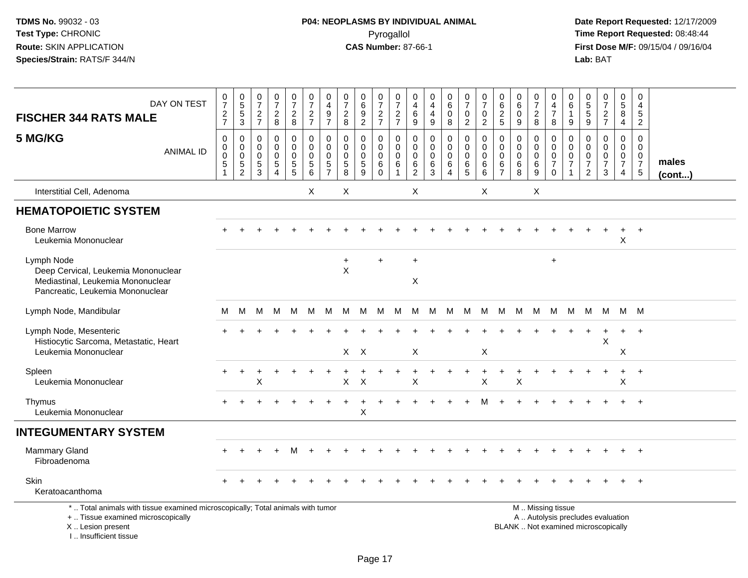# **P04: NEOPLASMS BY INDIVIDUAL ANIMAL**Pyrogallol Pyrogallol **Pyrogallol Time Report Requested:** 08:48:44<br>**CAS Number:** 87-66-1 **Time Report Requested:** 08/15/04 / 09/16/04

| DAY ON TEST<br><b>FISCHER 344 RATS MALE</b>                                                                                                                           | 0<br>$\overline{7}$<br>$\frac{2}{7}$                         | 0<br>5<br>5<br>3                                            | $\frac{0}{7}$<br>$\frac{2}{7}$                                                | $\frac{0}{7}$<br>$\frac{2}{8}$                                                | $\frac{0}{7}$<br>$\overline{a}$<br>8   | $\frac{0}{7}$<br>$\frac{2}{7}$                                        | 0<br>$\overline{\mathbf{4}}$<br>$\frac{9}{7}$          | 0<br>$\overline{7}$<br>$\overline{2}$<br>8          | $\begin{array}{c} 0 \\ 6 \end{array}$<br>$\frac{9}{2}$     | 0<br>$\overline{7}$<br>$\frac{2}{7}$                | 0<br>$\overline{7}$<br>$\frac{2}{7}$                                | 0<br>4<br>6<br>$\boldsymbol{9}$                        | 0<br>4<br>4<br>$\boldsymbol{9}$                               | 0<br>$6\overline{6}$<br>$\pmb{0}$<br>8                 | 0<br>$\overline{7}$<br>$\mathbf 0$<br>$\overline{2}$       | $\boldsymbol{0}$<br>$\overline{7}$<br>$\mathbf 0$<br>$\overline{2}$ | 0<br>6<br>$\overline{c}$<br>$\sqrt{5}$                           | 0<br>6<br>$\mathbf 0$<br>9                          | 0<br>$\overline{7}$<br>$\overline{\mathbf{c}}$<br>8            | 0<br>4<br>$\overline{7}$<br>8                          | 0<br>$\,6\,$<br>1<br>$\boldsymbol{9}$                     | $\begin{array}{c} 0 \\ 5 \\ 5 \end{array}$<br>$\overline{9}$                       | $\frac{0}{7}$<br>$\frac{2}{7}$                                           | $\pmb{0}$<br>$\overline{5}$<br>$\overline{8}$<br>$\overline{4}$     | 0<br>4<br>$\sqrt{5}$<br>$\overline{2}$                                        |                       |
|-----------------------------------------------------------------------------------------------------------------------------------------------------------------------|--------------------------------------------------------------|-------------------------------------------------------------|-------------------------------------------------------------------------------|-------------------------------------------------------------------------------|----------------------------------------|-----------------------------------------------------------------------|--------------------------------------------------------|-----------------------------------------------------|------------------------------------------------------------|-----------------------------------------------------|---------------------------------------------------------------------|--------------------------------------------------------|---------------------------------------------------------------|--------------------------------------------------------|------------------------------------------------------------|---------------------------------------------------------------------|------------------------------------------------------------------|-----------------------------------------------------|----------------------------------------------------------------|--------------------------------------------------------|-----------------------------------------------------------|------------------------------------------------------------------------------------|--------------------------------------------------------------------------|---------------------------------------------------------------------|-------------------------------------------------------------------------------|-----------------------|
| 5 MG/KG<br><b>ANIMAL ID</b>                                                                                                                                           | 0<br>$\mathbf 0$<br>$\pmb{0}$<br>$\,$ 5 $\,$<br>$\mathbf{1}$ | 0<br>$\mathbf 0$<br>$\mathbf 0$<br>$\sqrt{5}$<br>$\sqrt{2}$ | $\mathbf 0$<br>$\mathbf 0$<br>$\mathbf 0$<br>$\overline{5}$<br>$\overline{3}$ | $\mathbf 0$<br>$\mathbf 0$<br>$\mathbf 0$<br>$\overline{5}$<br>$\overline{4}$ | 0<br>0<br>$\mathbf 0$<br>$\frac{5}{5}$ | $\pmb{0}$<br>$\ddot{\mathbf{0}}$<br>$\pmb{0}$<br>5<br>$6\overline{6}$ | 0<br>$\mathbf 0$<br>$\mathbf 0$<br>5<br>$\overline{7}$ | $\mathbf 0$<br>0<br>$\mathbf 0$<br>$\,$ 5 $\,$<br>8 | $\mathbf 0$<br>$\mathbf 0$<br>$\pmb{0}$<br>$\sqrt{5}$<br>9 | 0<br>$\mathbf 0$<br>$\mathbf 0$<br>6<br>$\mathbf 0$ | $\mathbf 0$<br>$\mathbf 0$<br>$\overline{0}$<br>6<br>$\overline{1}$ | 0<br>$\mathbf 0$<br>$\mathbf 0$<br>6<br>$\overline{2}$ | $\mathbf 0$<br>$\mathbf 0$<br>$\Omega$<br>6<br>$\mathfrak{Z}$ | 0<br>$\mathbf 0$<br>$\mathbf 0$<br>6<br>$\overline{4}$ | 0<br>$\overline{0}$<br>$\mathbf 0$<br>6<br>$5\phantom{.0}$ | $\mathbf 0$<br>$\mathbf 0$<br>$\mathbf 0$<br>6<br>$\,6\,$           | $\mathbf 0$<br>$\mathbf 0$<br>$\mathbf 0$<br>6<br>$\overline{7}$ | $\mathbf 0$<br>$\mathbf 0$<br>$\mathbf 0$<br>6<br>8 | 0<br>$\mathbf 0$<br>$\mathbf 0$<br>$\,6\,$<br>$\boldsymbol{9}$ | 0<br>$\mathbf 0$<br>$\mathbf 0$<br>$\overline{7}$<br>0 | $\mathbf 0$<br>$\mathbf 0$<br>$\pmb{0}$<br>$\overline{7}$ | $\mathbf 0$<br>$\mathbf 0$<br>$\boldsymbol{0}$<br>$\overline{7}$<br>$\overline{2}$ | $\Omega$<br>$\Omega$<br>$\mathbf 0$<br>$\overline{7}$<br>$\mathbf{3}$    | $\mathbf 0$<br>$\overline{0}$<br>$\mathbf 0$<br>$\overline{7}$<br>4 | $\mathbf 0$<br>$\mathbf 0$<br>$\mathbf 0$<br>$\overline{7}$<br>$\overline{5}$ | males<br>$($ cont $)$ |
| Interstitial Cell, Adenoma                                                                                                                                            |                                                              |                                                             |                                                                               |                                                                               |                                        | $\times$                                                              |                                                        | X                                                   |                                                            |                                                     |                                                                     | X                                                      |                                                               |                                                        |                                                            | X                                                                   |                                                                  |                                                     | X                                                              |                                                        |                                                           |                                                                                    |                                                                          |                                                                     |                                                                               |                       |
| <b>HEMATOPOIETIC SYSTEM</b>                                                                                                                                           |                                                              |                                                             |                                                                               |                                                                               |                                        |                                                                       |                                                        |                                                     |                                                            |                                                     |                                                                     |                                                        |                                                               |                                                        |                                                            |                                                                     |                                                                  |                                                     |                                                                |                                                        |                                                           |                                                                                    |                                                                          |                                                                     |                                                                               |                       |
| <b>Bone Marrow</b><br>Leukemia Mononuclear                                                                                                                            |                                                              |                                                             |                                                                               |                                                                               |                                        |                                                                       |                                                        |                                                     |                                                            |                                                     |                                                                     |                                                        |                                                               |                                                        |                                                            |                                                                     |                                                                  |                                                     |                                                                |                                                        |                                                           |                                                                                    |                                                                          | $\div$<br>X                                                         | $\overline{+}$                                                                |                       |
| Lymph Node<br>Deep Cervical, Leukemia Mononuclear<br>Mediastinal, Leukemia Mononuclear<br>Pancreatic, Leukemia Mononuclear                                            |                                                              |                                                             |                                                                               |                                                                               |                                        |                                                                       |                                                        | $+$<br>$\mathsf{X}$                                 |                                                            | $+$                                                 |                                                                     | $\ddot{}$<br>X                                         |                                                               |                                                        |                                                            |                                                                     |                                                                  |                                                     |                                                                | $\ddot{}$                                              |                                                           |                                                                                    |                                                                          |                                                                     |                                                                               |                       |
| Lymph Node, Mandibular                                                                                                                                                | M                                                            | м                                                           | м                                                                             | M                                                                             | M                                      | M                                                                     | M                                                      | M                                                   | M                                                          | м                                                   | M                                                                   | M                                                      | M                                                             | M                                                      | M                                                          | M                                                                   | M                                                                | M                                                   | M                                                              | M                                                      | M                                                         | M                                                                                  | М                                                                        |                                                                     | M M                                                                           |                       |
| Lymph Node, Mesenteric<br>Histiocytic Sarcoma, Metastatic, Heart<br>Leukemia Mononuclear                                                                              |                                                              |                                                             |                                                                               |                                                                               |                                        |                                                                       |                                                        |                                                     | $X$ $X$                                                    |                                                     |                                                                     | X                                                      |                                                               |                                                        |                                                            | $\boldsymbol{\mathsf{X}}$                                           |                                                                  |                                                     |                                                                |                                                        |                                                           |                                                                                    | X                                                                        | Χ                                                                   |                                                                               |                       |
| Spleen<br>Leukemia Mononuclear                                                                                                                                        |                                                              | $\ddot{}$                                                   | X                                                                             |                                                                               |                                        |                                                                       |                                                        | X                                                   | X                                                          |                                                     |                                                                     | X                                                      |                                                               |                                                        |                                                            | X                                                                   |                                                                  | X                                                   |                                                                |                                                        |                                                           |                                                                                    |                                                                          | $\ddot{}$<br>X                                                      | $+$                                                                           |                       |
| Thymus<br>Leukemia Mononuclear                                                                                                                                        |                                                              |                                                             |                                                                               |                                                                               |                                        |                                                                       |                                                        |                                                     | X                                                          |                                                     |                                                                     |                                                        |                                                               |                                                        |                                                            |                                                                     |                                                                  |                                                     |                                                                |                                                        |                                                           |                                                                                    |                                                                          |                                                                     |                                                                               |                       |
| <b>INTEGUMENTARY SYSTEM</b>                                                                                                                                           |                                                              |                                                             |                                                                               |                                                                               |                                        |                                                                       |                                                        |                                                     |                                                            |                                                     |                                                                     |                                                        |                                                               |                                                        |                                                            |                                                                     |                                                                  |                                                     |                                                                |                                                        |                                                           |                                                                                    |                                                                          |                                                                     |                                                                               |                       |
| <b>Mammary Gland</b><br>Fibroadenoma                                                                                                                                  |                                                              |                                                             |                                                                               |                                                                               |                                        |                                                                       |                                                        |                                                     |                                                            |                                                     |                                                                     |                                                        |                                                               |                                                        |                                                            |                                                                     |                                                                  |                                                     |                                                                |                                                        |                                                           |                                                                                    |                                                                          |                                                                     |                                                                               |                       |
| <b>Skin</b><br>Keratoacanthoma                                                                                                                                        |                                                              |                                                             |                                                                               |                                                                               |                                        |                                                                       |                                                        |                                                     |                                                            |                                                     |                                                                     |                                                        |                                                               |                                                        |                                                            |                                                                     |                                                                  |                                                     |                                                                |                                                        |                                                           |                                                                                    |                                                                          |                                                                     |                                                                               |                       |
| *  Total animals with tissue examined microscopically; Total animals with tumor<br>+  Tissue examined microscopically<br>X  Lesion present<br>I., Insufficient tissue |                                                              |                                                             |                                                                               |                                                                               |                                        |                                                                       |                                                        |                                                     |                                                            |                                                     |                                                                     |                                                        |                                                               |                                                        |                                                            |                                                                     |                                                                  |                                                     |                                                                | M  Missing tissue                                      |                                                           |                                                                                    | A  Autolysis precludes evaluation<br>BLANK  Not examined microscopically |                                                                     |                                                                               |                       |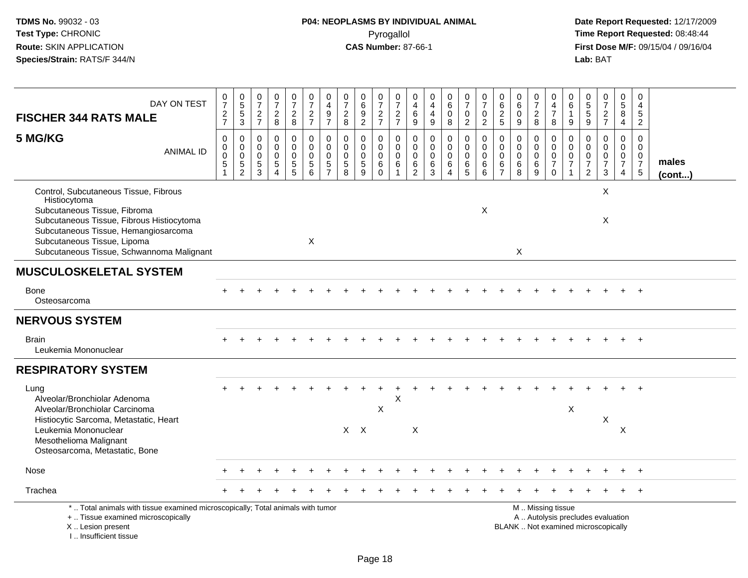| DAY ON TEST<br><b>FISCHER 344 RATS MALE</b>                                                                                                                                                                                                            | $\frac{0}{7}$<br>$\frac{2}{7}$               | 0<br>5<br>5<br>3                                         | $\begin{array}{c} 0 \\ 7 \end{array}$<br>$\frac{2}{7}$ | $\frac{0}{7}$<br>$\frac{2}{8}$                                                    | $\frac{0}{7}$<br>$\sqrt{2}$<br>8       | $\frac{0}{7}$<br>$\frac{2}{7}$                             | 0<br>$\overline{4}$<br>$\boldsymbol{9}$<br>$\overline{7}$              | $\frac{0}{7}$<br>$_{\rm 8}^2$                              | $_6^0$<br>$\overline{9}$<br>$\overline{2}$   | $\frac{0}{7}$<br>$\frac{2}{7}$                         | $\begin{array}{c} 0 \\ 7 \end{array}$<br>$\frac{2}{7}$ | 0<br>4<br>$\,6\,$<br>$\boldsymbol{9}$  | $\begin{smallmatrix}0\0\4\end{smallmatrix}$<br>$\overline{4}$<br>$9\,$ | $\begin{array}{c} 0 \\ 6 \end{array}$<br>0<br>8    | $\frac{0}{7}$<br>$\mathbf 0$<br>$\overline{2}$                  | 0<br>$\overline{7}$<br>$\mathbf 0$<br>$\overline{2}$ | $\begin{array}{c} 0 \\ 6 \end{array}$<br>$\frac{2}{5}$              | $_6^0$<br>0<br>9                          | 0<br>$\overline{7}$<br>$\overline{c}$<br>8      | 0<br>4<br>$\overline{7}$<br>8                                                                 | 0<br>6<br>$\boldsymbol{9}$               | $\begin{array}{c} 0 \\ 5 \\ 5 \end{array}$<br>9               | $\begin{smallmatrix}0\\7\end{smallmatrix}$<br>$\frac{2}{7}$                 | 0<br>$\overline{5}$<br>8<br>$\overline{4}$                                     | 0<br>$\overline{4}$<br>5<br>$\overline{2}$                    |                       |
|--------------------------------------------------------------------------------------------------------------------------------------------------------------------------------------------------------------------------------------------------------|----------------------------------------------|----------------------------------------------------------|--------------------------------------------------------|-----------------------------------------------------------------------------------|----------------------------------------|------------------------------------------------------------|------------------------------------------------------------------------|------------------------------------------------------------|----------------------------------------------|--------------------------------------------------------|--------------------------------------------------------|----------------------------------------|------------------------------------------------------------------------|----------------------------------------------------|-----------------------------------------------------------------|------------------------------------------------------|---------------------------------------------------------------------|-------------------------------------------|-------------------------------------------------|-----------------------------------------------------------------------------------------------|------------------------------------------|---------------------------------------------------------------|-----------------------------------------------------------------------------|--------------------------------------------------------------------------------|---------------------------------------------------------------|-----------------------|
| 5 MG/KG<br><b>ANIMAL ID</b>                                                                                                                                                                                                                            | $\pmb{0}$<br>$\pmb{0}$<br>$\pmb{0}$<br>$5\,$ | $\mathbf 0$<br>$\pmb{0}$<br>$\mathbf 0$<br>$\frac{5}{2}$ | 0<br>$\mathbf 0$<br>$\mathbf 0$<br>$\,$ 5 $\,$<br>3    | $\mathbf 0$<br>$\mathbf 0$<br>$\mathbf 0$<br>$\sqrt{5}$<br>$\boldsymbol{\Lambda}$ | 0<br>$\mathbf 0$<br>0<br>$\frac{5}{5}$ | $\pmb{0}$<br>$\mathbf 0$<br>$\mathbf 0$<br>$\sqrt{5}$<br>6 | $\mathbf 0$<br>$\Omega$<br>$\mathbf 0$<br>$\sqrt{5}$<br>$\overline{7}$ | $\mathbf 0$<br>$\mathbf 0$<br>$\pmb{0}$<br>$\sqrt{5}$<br>8 | 0<br>$\mathbf 0$<br>0<br>$\overline{5}$<br>9 | 0<br>$\mathbf 0$<br>$\mathbf 0$<br>$\,6\,$<br>$\Omega$ | $\mathbf 0$<br>$\mathbf 0$<br>$\pmb{0}$<br>$\,6$       | 0<br>$\mathbf 0$<br>0<br>$\frac{6}{2}$ | $\mathbf 0$<br>$\mathbf 0$<br>$\pmb{0}$<br>$\frac{6}{3}$               | 0<br>$\mathbf 0$<br>0<br>$\,6\,$<br>$\overline{4}$ | $\pmb{0}$<br>$\mathbf 0$<br>$\mathbf 0$<br>$6\phantom{1}6$<br>5 | $\mathbf 0$<br>$\Omega$<br>$\Omega$<br>6<br>6        | $\mathbf 0$<br>$\Omega$<br>$\mathbf 0$<br>$\,6\,$<br>$\overline{7}$ | 0<br>$\mathbf 0$<br>$\mathbf 0$<br>6<br>8 | $\mathbf 0$<br>$\mathbf 0$<br>0<br>$\,6\,$<br>9 | 0<br>$\mathbf 0$<br>$\pmb{0}$<br>$\overline{7}$<br>$\Omega$                                   | 0<br>$\mathbf{0}$<br>0<br>$\overline{7}$ | $\mathbf 0$<br>$\mathbf 0$<br>$\frac{0}{7}$<br>$\overline{2}$ | $\mathbf 0$<br>$\mathbf 0$<br>$\mathbf 0$<br>$\overline{7}$<br>$\mathbf{3}$ | $\mathbf 0$<br>$\mathbf{0}$<br>$\mathbf 0$<br>$\overline{7}$<br>$\overline{4}$ | $\mathbf 0$<br>$\Omega$<br>$\mathbf 0$<br>$\overline{7}$<br>5 | males<br>$($ cont $)$ |
| Control, Subcutaneous Tissue, Fibrous<br>Histiocytoma<br>Subcutaneous Tissue, Fibroma<br>Subcutaneous Tissue, Fibrous Histiocytoma<br>Subcutaneous Tissue, Hemangiosarcoma<br>Subcutaneous Tissue, Lipoma<br>Subcutaneous Tissue, Schwannoma Malignant |                                              |                                                          |                                                        |                                                                                   |                                        | X                                                          |                                                                        |                                                            |                                              |                                                        |                                                        |                                        |                                                                        |                                                    |                                                                 | X                                                    |                                                                     | Χ                                         |                                                 |                                                                                               |                                          |                                                               | X<br>$\boldsymbol{\mathsf{X}}$                                              |                                                                                |                                                               |                       |
| <b>MUSCULOSKELETAL SYSTEM</b>                                                                                                                                                                                                                          |                                              |                                                          |                                                        |                                                                                   |                                        |                                                            |                                                                        |                                                            |                                              |                                                        |                                                        |                                        |                                                                        |                                                    |                                                                 |                                                      |                                                                     |                                           |                                                 |                                                                                               |                                          |                                                               |                                                                             |                                                                                |                                                               |                       |
| <b>Bone</b><br>Osteosarcoma                                                                                                                                                                                                                            |                                              |                                                          |                                                        |                                                                                   |                                        |                                                            |                                                                        |                                                            |                                              |                                                        |                                                        |                                        |                                                                        |                                                    |                                                                 |                                                      |                                                                     |                                           |                                                 |                                                                                               |                                          |                                                               |                                                                             |                                                                                |                                                               |                       |
| <b>NERVOUS SYSTEM</b>                                                                                                                                                                                                                                  |                                              |                                                          |                                                        |                                                                                   |                                        |                                                            |                                                                        |                                                            |                                              |                                                        |                                                        |                                        |                                                                        |                                                    |                                                                 |                                                      |                                                                     |                                           |                                                 |                                                                                               |                                          |                                                               |                                                                             |                                                                                |                                                               |                       |
| <b>Brain</b><br>Leukemia Mononuclear                                                                                                                                                                                                                   |                                              |                                                          |                                                        |                                                                                   |                                        |                                                            |                                                                        |                                                            |                                              |                                                        |                                                        |                                        |                                                                        |                                                    |                                                                 |                                                      |                                                                     |                                           |                                                 |                                                                                               |                                          |                                                               |                                                                             |                                                                                |                                                               |                       |
| <b>RESPIRATORY SYSTEM</b>                                                                                                                                                                                                                              |                                              |                                                          |                                                        |                                                                                   |                                        |                                                            |                                                                        |                                                            |                                              |                                                        |                                                        |                                        |                                                                        |                                                    |                                                                 |                                                      |                                                                     |                                           |                                                 |                                                                                               |                                          |                                                               |                                                                             |                                                                                |                                                               |                       |
| Lung<br>Alveolar/Bronchiolar Adenoma<br>Alveolar/Bronchiolar Carcinoma                                                                                                                                                                                 |                                              |                                                          |                                                        |                                                                                   |                                        |                                                            |                                                                        |                                                            |                                              | X                                                      | Х                                                      |                                        |                                                                        |                                                    |                                                                 |                                                      |                                                                     |                                           |                                                 |                                                                                               | X                                        |                                                               |                                                                             |                                                                                |                                                               |                       |
| Histiocytic Sarcoma, Metastatic, Heart<br>Leukemia Mononuclear<br>Mesothelioma Malignant<br>Osteosarcoma, Metastatic, Bone                                                                                                                             |                                              |                                                          |                                                        |                                                                                   |                                        |                                                            |                                                                        |                                                            | $X$ $X$                                      |                                                        |                                                        | X                                      |                                                                        |                                                    |                                                                 |                                                      |                                                                     |                                           |                                                 |                                                                                               |                                          |                                                               | $\boldsymbol{\mathsf{X}}$                                                   | X                                                                              |                                                               |                       |
| Nose                                                                                                                                                                                                                                                   |                                              |                                                          |                                                        |                                                                                   |                                        |                                                            |                                                                        |                                                            |                                              |                                                        |                                                        |                                        |                                                                        |                                                    |                                                                 |                                                      |                                                                     |                                           |                                                 |                                                                                               |                                          |                                                               |                                                                             |                                                                                |                                                               |                       |
| Trachea                                                                                                                                                                                                                                                |                                              |                                                          |                                                        |                                                                                   |                                        |                                                            |                                                                        |                                                            |                                              |                                                        |                                                        |                                        |                                                                        |                                                    |                                                                 |                                                      |                                                                     |                                           |                                                 |                                                                                               |                                          |                                                               |                                                                             |                                                                                |                                                               |                       |
| *  Total animals with tissue examined microscopically; Total animals with tumor<br>+  Tissue examined microscopically<br>X  Lesion present<br>I Insufficient tissue                                                                                    |                                              |                                                          |                                                        |                                                                                   |                                        |                                                            |                                                                        |                                                            |                                              |                                                        |                                                        |                                        |                                                                        |                                                    |                                                                 |                                                      |                                                                     |                                           |                                                 | M  Missing tissue<br>A  Autolysis precludes evaluation<br>BLANK  Not examined microscopically |                                          |                                                               |                                                                             |                                                                                |                                                               |                       |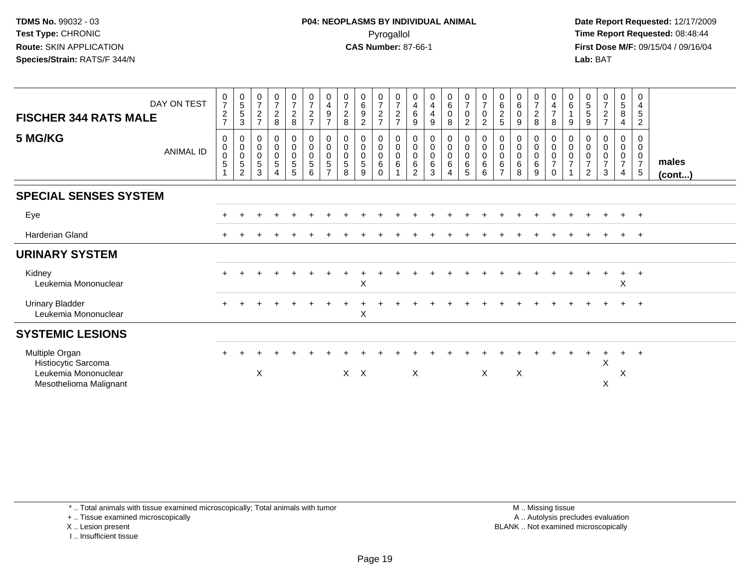**Date Report Requested:** 12/17/2009 **First Dose M/F:** 09/15/04 / 09/16/04 Lab: BAT **Lab:** BAT

| <b>FISCHER 344 RATS MALE</b><br>5 MG/KG                                                 | DAY ON TEST<br><b>ANIMAL ID</b> | $\frac{0}{7}$<br>$\sqrt{2}$<br>$\overline{7}$<br>$\mathbf 0$<br>$\pmb{0}$<br>$\mathbf 0$<br>5<br>1 | $\begin{matrix} 0 \\ 5 \end{matrix}$<br>$5\,$<br>3<br>0<br>$\mathbf 0$<br>$\mathbf 0$<br>$\,$ 5 $\,$<br>2 | $\frac{0}{7}$<br>$\frac{2}{7}$<br>0<br>$\overline{0}$<br>5<br>3 | $\frac{0}{7}$<br>$\frac{2}{8}$<br>0<br>$\pmb{0}$<br>$\begin{array}{c} 0 \\ 5 \end{array}$<br>$\overline{4}$ | $\frac{0}{7}$<br>$\frac{2}{8}$<br>$\overline{0}$<br>$\mathsf{O}\xspace$<br>$\begin{array}{c} 0 \\ 5 \end{array}$<br>$5\phantom{.0}$ | $\frac{0}{7}$<br>$\frac{2}{7}$<br>$\pmb{0}$<br>$\mathbf 0$<br>$\mathbf 0$<br>$\,$ 5 $\,$<br>6 | $\begin{smallmatrix}0\0\4\end{smallmatrix}$<br>$\boldsymbol{9}$<br>$\overline{7}$<br>0<br>$\mathbf 0$<br>$\mathbf 0$<br>5<br>$\overline{7}$ | $\begin{array}{c} 0 \\ 7 \\ 2 \\ 8 \end{array}$<br>$\mathbf 0$<br>$\pmb{0}$<br>$\pmb{0}$<br>$\,$ 5 $\,$<br>8 | $\begin{matrix} 0 \ 6 \ 9 \end{matrix}$<br>$\overline{c}$<br>0<br>$\overline{0}$<br>$\mathbf 0$<br>5<br>9 | $\frac{0}{7}$<br>$\frac{2}{7}$<br>0<br>$\overline{0}$<br>0<br>$\,6\,$<br>$\mathbf 0$ | $\frac{0}{7}$<br>$\frac{2}{7}$<br>0<br>$\pmb{0}$<br>$\overline{0}$<br>$\,6\,$ | $\begin{array}{c} 0 \\ 4 \\ 6 \end{array}$<br>$\boldsymbol{9}$<br>0<br>$\pmb{0}$<br>$\pmb{0}$<br>$\,6$<br>$\overline{2}$ | $\begin{smallmatrix} 0\\4 \end{smallmatrix}$<br>$\overline{4}$<br>$9\,$<br>$\pmb{0}$<br>$\overline{0}$<br>$\,6\,$<br>$\mathbf{3}$ | $_6^0$<br>$\pmb{0}$<br>8<br>0<br>$\mathsf{O}\xspace$<br>$\mathbf 0$<br>$\,6\,$<br>$\overline{4}$ | $\frac{0}{7}$<br>$\pmb{0}$<br>$\overline{a}$<br>$\pmb{0}$<br>$\ddot{\mathbf{0}}$<br>$\ddot{\mathbf{0}}$<br>$6\phantom{a}$<br>$5\phantom{.0}$ | $\frac{0}{7}$<br>$\pmb{0}$<br>$\overline{c}$<br>$\pmb{0}$<br>$\pmb{0}$<br>$\pmb{0}$<br>$\,6\,$<br>6 | 0<br>6<br>2<br>5<br>0<br>0<br>0<br>6<br>$\overline{7}$ | $\begin{matrix} 0 \\ 6 \\ 0 \end{matrix}$<br>$9$<br>0<br>$\pmb{0}$<br>$\pmb{0}$<br>$\,6\,$<br>8 | $\frac{0}{7}$<br>$\frac{2}{8}$<br>0<br>$\mathbf 0$<br>0<br>$\,6\,$<br>9 | 0<br>$\overline{4}$<br>$\overline{7}$<br>$\, 8$<br>0<br>$\,0\,$<br>$\pmb{0}$<br>$\overline{7}$<br>$\mathbf 0$ | 0<br>6<br>9<br>0<br>$\mathbf 0$<br>0<br>$\overline{7}$ | $\begin{array}{c} 0 \\ 5 \\ 5 \end{array}$<br>$\boldsymbol{9}$<br>0<br>0<br>$\,0\,$<br>$\overline{7}$<br>$\overline{2}$ | $\frac{0}{7}$<br>$\frac{2}{7}$<br>0<br>$\pmb{0}$<br>$\pmb{0}$<br>$\overline{7}$<br>3 | $\begin{array}{c} 0 \\ 5 \\ 8 \end{array}$<br>4<br>0<br>$\mathbf 0$<br>$\mathbf 0$<br>$\overline{7}$<br>$\overline{4}$ | 0<br>$\overline{4}$<br>$\sqrt{5}$<br>$\overline{2}$<br>0<br>0<br>$\mathbf 0$<br>$\overline{7}$<br>$5\phantom{.0}$ | males        |
|-----------------------------------------------------------------------------------------|---------------------------------|----------------------------------------------------------------------------------------------------|-----------------------------------------------------------------------------------------------------------|-----------------------------------------------------------------|-------------------------------------------------------------------------------------------------------------|-------------------------------------------------------------------------------------------------------------------------------------|-----------------------------------------------------------------------------------------------|---------------------------------------------------------------------------------------------------------------------------------------------|--------------------------------------------------------------------------------------------------------------|-----------------------------------------------------------------------------------------------------------|--------------------------------------------------------------------------------------|-------------------------------------------------------------------------------|--------------------------------------------------------------------------------------------------------------------------|-----------------------------------------------------------------------------------------------------------------------------------|--------------------------------------------------------------------------------------------------|----------------------------------------------------------------------------------------------------------------------------------------------|-----------------------------------------------------------------------------------------------------|--------------------------------------------------------|-------------------------------------------------------------------------------------------------|-------------------------------------------------------------------------|---------------------------------------------------------------------------------------------------------------|--------------------------------------------------------|-------------------------------------------------------------------------------------------------------------------------|--------------------------------------------------------------------------------------|------------------------------------------------------------------------------------------------------------------------|-------------------------------------------------------------------------------------------------------------------|--------------|
|                                                                                         |                                 |                                                                                                    |                                                                                                           |                                                                 |                                                                                                             |                                                                                                                                     |                                                                                               |                                                                                                                                             |                                                                                                              |                                                                                                           |                                                                                      |                                                                               |                                                                                                                          |                                                                                                                                   |                                                                                                  |                                                                                                                                              |                                                                                                     |                                                        |                                                                                                 |                                                                         |                                                                                                               |                                                        |                                                                                                                         |                                                                                      |                                                                                                                        |                                                                                                                   | $($ cont $)$ |
| <b>SPECIAL SENSES SYSTEM</b>                                                            |                                 |                                                                                                    |                                                                                                           |                                                                 |                                                                                                             |                                                                                                                                     |                                                                                               |                                                                                                                                             |                                                                                                              |                                                                                                           |                                                                                      |                                                                               |                                                                                                                          |                                                                                                                                   |                                                                                                  |                                                                                                                                              |                                                                                                     |                                                        |                                                                                                 |                                                                         |                                                                                                               |                                                        |                                                                                                                         |                                                                                      |                                                                                                                        |                                                                                                                   |              |
| Eye                                                                                     |                                 |                                                                                                    |                                                                                                           |                                                                 |                                                                                                             |                                                                                                                                     |                                                                                               |                                                                                                                                             |                                                                                                              |                                                                                                           |                                                                                      |                                                                               |                                                                                                                          |                                                                                                                                   |                                                                                                  |                                                                                                                                              |                                                                                                     |                                                        |                                                                                                 |                                                                         |                                                                                                               |                                                        |                                                                                                                         |                                                                                      |                                                                                                                        | $+$                                                                                                               |              |
| <b>Harderian Gland</b>                                                                  |                                 | $+$                                                                                                |                                                                                                           |                                                                 |                                                                                                             |                                                                                                                                     |                                                                                               |                                                                                                                                             |                                                                                                              |                                                                                                           |                                                                                      |                                                                               |                                                                                                                          |                                                                                                                                   |                                                                                                  |                                                                                                                                              |                                                                                                     |                                                        |                                                                                                 |                                                                         |                                                                                                               |                                                        |                                                                                                                         | $\pm$                                                                                | $+$                                                                                                                    | $+$                                                                                                               |              |
| <b>URINARY SYSTEM</b>                                                                   |                                 |                                                                                                    |                                                                                                           |                                                                 |                                                                                                             |                                                                                                                                     |                                                                                               |                                                                                                                                             |                                                                                                              |                                                                                                           |                                                                                      |                                                                               |                                                                                                                          |                                                                                                                                   |                                                                                                  |                                                                                                                                              |                                                                                                     |                                                        |                                                                                                 |                                                                         |                                                                                                               |                                                        |                                                                                                                         |                                                                                      |                                                                                                                        |                                                                                                                   |              |
| Kidney<br>Leukemia Mononuclear                                                          |                                 |                                                                                                    |                                                                                                           |                                                                 |                                                                                                             |                                                                                                                                     |                                                                                               |                                                                                                                                             |                                                                                                              | X                                                                                                         |                                                                                      |                                                                               |                                                                                                                          |                                                                                                                                   |                                                                                                  |                                                                                                                                              |                                                                                                     |                                                        |                                                                                                 |                                                                         |                                                                                                               |                                                        |                                                                                                                         |                                                                                      | $+$<br>$\boldsymbol{\mathsf{X}}$                                                                                       | $+$                                                                                                               |              |
| <b>Urinary Bladder</b><br>Leukemia Mononuclear                                          |                                 |                                                                                                    |                                                                                                           |                                                                 |                                                                                                             |                                                                                                                                     |                                                                                               |                                                                                                                                             |                                                                                                              | X                                                                                                         |                                                                                      |                                                                               |                                                                                                                          |                                                                                                                                   |                                                                                                  |                                                                                                                                              |                                                                                                     |                                                        |                                                                                                 |                                                                         |                                                                                                               |                                                        |                                                                                                                         |                                                                                      | $+$                                                                                                                    | $+$                                                                                                               |              |
| <b>SYSTEMIC LESIONS</b>                                                                 |                                 |                                                                                                    |                                                                                                           |                                                                 |                                                                                                             |                                                                                                                                     |                                                                                               |                                                                                                                                             |                                                                                                              |                                                                                                           |                                                                                      |                                                                               |                                                                                                                          |                                                                                                                                   |                                                                                                  |                                                                                                                                              |                                                                                                     |                                                        |                                                                                                 |                                                                         |                                                                                                               |                                                        |                                                                                                                         |                                                                                      |                                                                                                                        |                                                                                                                   |              |
| Multiple Organ<br>Histiocytic Sarcoma<br>Leukemia Mononuclear<br>Mesothelioma Malignant |                                 |                                                                                                    |                                                                                                           | X                                                               |                                                                                                             |                                                                                                                                     |                                                                                               |                                                                                                                                             | $X$ $X$                                                                                                      |                                                                                                           |                                                                                      |                                                                               | $\boldsymbol{\mathsf{X}}$                                                                                                |                                                                                                                                   |                                                                                                  |                                                                                                                                              | X                                                                                                   |                                                        | $\pmb{\times}$                                                                                  |                                                                         |                                                                                                               |                                                        |                                                                                                                         | X<br>X                                                                               | $\ddot{}$<br>X                                                                                                         | $+$                                                                                                               |              |

\* .. Total animals with tissue examined microscopically; Total animals with tumor

+ .. Tissue examined microscopically

X .. Lesion present

I .. Insufficient tissue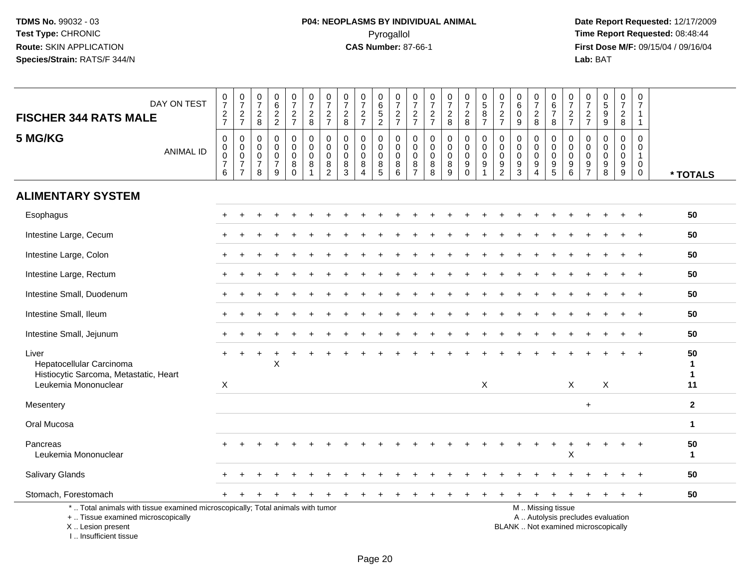**Date Report Requested:** 12/17/2009 **First Dose M/F:** 09/15/04 / 09/16/04<br>Lab: BAT **Lab:** BAT

| DAY ON TEST<br><b>FISCHER 344 RATS MALE</b>                                                                                                | $\frac{0}{7}$<br>$\frac{2}{7}$                           | $\frac{0}{7}$<br>$\frac{2}{7}$                                        | $\frac{0}{7}$<br>$\frac{2}{8}$                         | 0<br>$\,6\,$<br>$\frac{2}{2}$                                    | $\frac{0}{7}$<br>$rac{2}{7}$                        | $\frac{0}{7}$<br>$_{8}^{\rm 2}$      | $\begin{array}{c} 0 \\ 7 \end{array}$<br>$\frac{2}{7}$               | $\pmb{0}$<br>$\overline{7}$<br>$\frac{2}{8}$            | $\frac{0}{7}$<br>$\frac{2}{7}$                                   | $\pmb{0}$<br>$\,6\,$<br>$\frac{5}{2}$                                  | 0<br>$\overline{7}$<br>$\frac{2}{7}$      | $\frac{0}{7}$<br>$\frac{2}{7}$                               | 0<br>$\overline{7}$<br>$\frac{2}{7}$      | $\frac{0}{7}$<br>$_{\rm 8}^2$                                                  | $\frac{0}{7}$<br>$\frac{2}{8}$                           | $\begin{array}{c} 0 \\ 5 \end{array}$<br>$\bf 8$<br>$\overline{7}$ | $\frac{0}{7}$<br>$\frac{2}{7}$                                        | 0<br>$\,6\,$<br>$\pmb{0}$<br>$9\,$                        | $\frac{0}{7}$<br>$\overline{2}$<br>8                                | 0<br>$6\phantom{1}$<br>$\overline{7}$<br>8        | $\frac{0}{7}$<br>$\frac{2}{7}$                                           | 0<br>$\overline{7}$<br>$\frac{2}{7}$                                 | 0<br>$\overline{5}$<br>$\boldsymbol{9}$<br>$9\,$                         | $\frac{0}{7}$<br>$\frac{2}{8}$                           | 0<br>$\overline{7}$<br>$\mathbf{1}$<br>$\mathbf{1}$            |                                         |
|--------------------------------------------------------------------------------------------------------------------------------------------|----------------------------------------------------------|-----------------------------------------------------------------------|--------------------------------------------------------|------------------------------------------------------------------|-----------------------------------------------------|--------------------------------------|----------------------------------------------------------------------|---------------------------------------------------------|------------------------------------------------------------------|------------------------------------------------------------------------|-------------------------------------------|--------------------------------------------------------------|-------------------------------------------|--------------------------------------------------------------------------------|----------------------------------------------------------|--------------------------------------------------------------------|-----------------------------------------------------------------------|-----------------------------------------------------------|---------------------------------------------------------------------|---------------------------------------------------|--------------------------------------------------------------------------|----------------------------------------------------------------------|--------------------------------------------------------------------------|----------------------------------------------------------|----------------------------------------------------------------|-----------------------------------------|
| 5 MG/KG<br><b>ANIMAL ID</b>                                                                                                                | $\mathbf 0$<br>0<br>$\mathbf 0$<br>$\boldsymbol{7}$<br>6 | $\mathbf 0$<br>$\mathsf{O}\xspace$<br>$\frac{0}{7}$<br>$\overline{7}$ | $\mathbf 0$<br>$\mathbf 0$<br>0<br>$\overline{7}$<br>8 | $\mathbf 0$<br>$\mathbf 0$<br>$\mathbf 0$<br>$\overline{7}$<br>9 | 0<br>$\mathbf 0$<br>$\mathbf 0$<br>8<br>$\mathbf 0$ | $\mathbf 0$<br>$\mathbf 0$<br>0<br>8 | $\mathbf 0$<br>$\mathbf 0$<br>$\pmb{0}$<br>$\,8\,$<br>$\overline{c}$ | $\mathbf 0$<br>$\mathbf 0$<br>0<br>$\bf8$<br>$\sqrt{3}$ | $\mathbf 0$<br>$\mathbf 0$<br>$\mathbf 0$<br>8<br>$\overline{A}$ | $\mathbf 0$<br>$\mathbf 0$<br>$\mathbf 0$<br>$\bf 8$<br>$\overline{5}$ | 0<br>$\mathbf 0$<br>$\mathbf 0$<br>8<br>6 | 0<br>$\mathbf 0$<br>$\mathbf 0$<br>$\bf 8$<br>$\overline{7}$ | $\mathbf 0$<br>0<br>$\pmb{0}$<br>$_{8}^8$ | $\mathbf 0$<br>$\mathsf{O}\xspace$<br>$\pmb{0}$<br>$\bf 8$<br>$\boldsymbol{9}$ | 0<br>$\mathbf 0$<br>0<br>$\boldsymbol{9}$<br>$\mathbf 0$ | $\mathbf 0$<br>$\mathbf 0$<br>$\mathbf 0$<br>9<br>$\overline{1}$   | $\mathbf 0$<br>$\mathbf 0$<br>0<br>$\boldsymbol{9}$<br>$\overline{2}$ | $\mathbf 0$<br>0<br>0<br>$\boldsymbol{9}$<br>$\mathbf{3}$ | $\mathbf 0$<br>0<br>$\pmb{0}$<br>$\boldsymbol{9}$<br>$\overline{A}$ | 0<br>$\mathbf 0$<br>0<br>$9\,$<br>$5\phantom{.0}$ | $\mathbf 0$<br>$\mathbf 0$<br>$\mathbf 0$<br>$\boldsymbol{9}$<br>$\,6\,$ | $\mathbf 0$<br>$\mathbf 0$<br>$\mathbf 0$<br>$9\,$<br>$\overline{7}$ | $\Omega$<br>$\mathbf{0}$<br>$\mathbf 0$<br>9<br>8                        | $\mathbf 0$<br>$\mathbf 0$<br>0<br>$\boldsymbol{9}$<br>9 | $\mathbf 0$<br>0<br>$\mathbf{1}$<br>$\mathbf 0$<br>$\mathbf 0$ | * TOTALS                                |
| <b>ALIMENTARY SYSTEM</b>                                                                                                                   |                                                          |                                                                       |                                                        |                                                                  |                                                     |                                      |                                                                      |                                                         |                                                                  |                                                                        |                                           |                                                              |                                           |                                                                                |                                                          |                                                                    |                                                                       |                                                           |                                                                     |                                                   |                                                                          |                                                                      |                                                                          |                                                          |                                                                |                                         |
| Esophagus                                                                                                                                  |                                                          |                                                                       |                                                        |                                                                  |                                                     |                                      |                                                                      |                                                         |                                                                  |                                                                        |                                           |                                                              |                                           |                                                                                |                                                          |                                                                    |                                                                       |                                                           |                                                                     |                                                   |                                                                          |                                                                      |                                                                          |                                                          |                                                                | 50                                      |
| Intestine Large, Cecum                                                                                                                     |                                                          |                                                                       |                                                        |                                                                  |                                                     |                                      |                                                                      |                                                         |                                                                  |                                                                        |                                           |                                                              |                                           |                                                                                |                                                          |                                                                    |                                                                       |                                                           |                                                                     |                                                   |                                                                          |                                                                      |                                                                          |                                                          |                                                                | 50                                      |
| Intestine Large, Colon                                                                                                                     |                                                          |                                                                       |                                                        |                                                                  |                                                     |                                      |                                                                      |                                                         |                                                                  |                                                                        |                                           |                                                              |                                           |                                                                                |                                                          |                                                                    |                                                                       |                                                           |                                                                     |                                                   |                                                                          |                                                                      |                                                                          |                                                          |                                                                | 50                                      |
| Intestine Large, Rectum                                                                                                                    |                                                          |                                                                       |                                                        |                                                                  |                                                     |                                      |                                                                      |                                                         |                                                                  |                                                                        |                                           |                                                              |                                           |                                                                                |                                                          |                                                                    |                                                                       |                                                           |                                                                     |                                                   |                                                                          |                                                                      |                                                                          |                                                          |                                                                | 50                                      |
| Intestine Small, Duodenum                                                                                                                  |                                                          |                                                                       |                                                        |                                                                  |                                                     |                                      |                                                                      |                                                         |                                                                  |                                                                        |                                           |                                                              |                                           |                                                                                |                                                          |                                                                    |                                                                       |                                                           |                                                                     |                                                   |                                                                          |                                                                      |                                                                          |                                                          |                                                                | 50                                      |
| Intestine Small, Ileum                                                                                                                     |                                                          |                                                                       |                                                        |                                                                  |                                                     |                                      |                                                                      |                                                         |                                                                  |                                                                        |                                           |                                                              |                                           |                                                                                |                                                          |                                                                    |                                                                       |                                                           |                                                                     |                                                   |                                                                          |                                                                      |                                                                          |                                                          |                                                                | 50                                      |
| Intestine Small, Jejunum                                                                                                                   |                                                          |                                                                       |                                                        |                                                                  |                                                     |                                      |                                                                      |                                                         |                                                                  |                                                                        |                                           |                                                              |                                           |                                                                                |                                                          |                                                                    |                                                                       |                                                           |                                                                     |                                                   |                                                                          |                                                                      |                                                                          |                                                          |                                                                | 50                                      |
| Liver<br>Hepatocellular Carcinoma<br>Histiocytic Sarcoma, Metastatic, Heart<br>Leukemia Mononuclear                                        | $+$<br>X                                                 | $\ddot{}$                                                             |                                                        | X                                                                |                                                     |                                      |                                                                      |                                                         |                                                                  |                                                                        |                                           |                                                              |                                           |                                                                                |                                                          | $\mathsf X$                                                        |                                                                       |                                                           |                                                                     |                                                   | $\mathsf{X}$                                                             |                                                                      | X                                                                        |                                                          |                                                                | 50<br>$\mathbf 1$<br>$\mathbf{1}$<br>11 |
| Mesentery                                                                                                                                  |                                                          |                                                                       |                                                        |                                                                  |                                                     |                                      |                                                                      |                                                         |                                                                  |                                                                        |                                           |                                                              |                                           |                                                                                |                                                          |                                                                    |                                                                       |                                                           |                                                                     |                                                   |                                                                          | $\ddot{}$                                                            |                                                                          |                                                          |                                                                | $\mathbf{2}$                            |
| Oral Mucosa                                                                                                                                |                                                          |                                                                       |                                                        |                                                                  |                                                     |                                      |                                                                      |                                                         |                                                                  |                                                                        |                                           |                                                              |                                           |                                                                                |                                                          |                                                                    |                                                                       |                                                           |                                                                     |                                                   |                                                                          |                                                                      |                                                                          |                                                          |                                                                | $\mathbf{1}$                            |
| Pancreas<br>Leukemia Mononuclear                                                                                                           |                                                          |                                                                       |                                                        |                                                                  |                                                     |                                      |                                                                      |                                                         |                                                                  |                                                                        |                                           |                                                              |                                           |                                                                                |                                                          |                                                                    |                                                                       |                                                           |                                                                     |                                                   | Χ                                                                        |                                                                      |                                                                          |                                                          |                                                                | 50<br>$\mathbf{1}$                      |
| Salivary Glands                                                                                                                            |                                                          |                                                                       |                                                        |                                                                  |                                                     |                                      |                                                                      |                                                         |                                                                  |                                                                        |                                           |                                                              |                                           |                                                                                |                                                          |                                                                    |                                                                       |                                                           |                                                                     |                                                   |                                                                          |                                                                      |                                                                          |                                                          |                                                                | 50                                      |
| Stomach, Forestomach                                                                                                                       |                                                          |                                                                       |                                                        |                                                                  |                                                     |                                      |                                                                      |                                                         |                                                                  |                                                                        |                                           |                                                              |                                           |                                                                                |                                                          |                                                                    |                                                                       |                                                           |                                                                     |                                                   |                                                                          |                                                                      |                                                                          | $\ddot{}$                                                | $\ddot{}$                                                      | 50                                      |
| *  Total animals with tissue examined microscopically; Total animals with tumor<br>+  Tissue examined microscopically<br>X  Lesion present |                                                          |                                                                       |                                                        |                                                                  |                                                     |                                      |                                                                      |                                                         |                                                                  |                                                                        |                                           |                                                              |                                           |                                                                                |                                                          |                                                                    |                                                                       |                                                           |                                                                     | M  Missing tissue                                 |                                                                          |                                                                      | A  Autolysis precludes evaluation<br>BLANK  Not examined microscopically |                                                          |                                                                |                                         |

I .. Insufficient tissue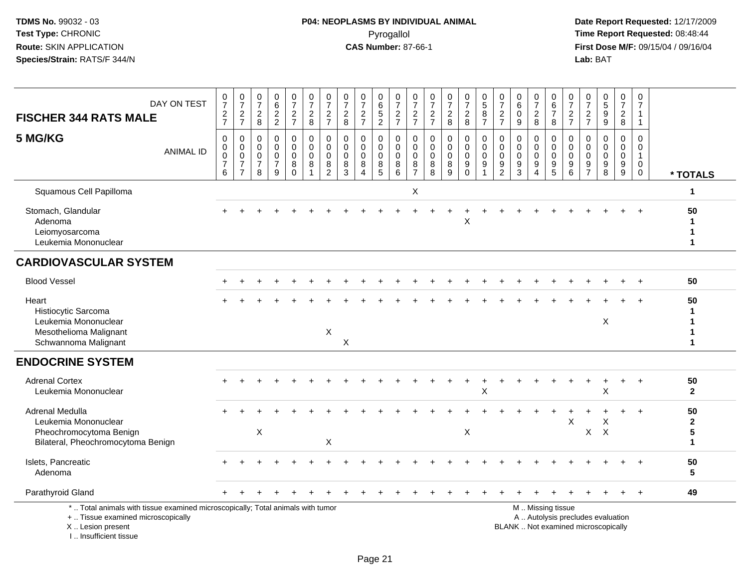# **P04: NEOPLASMS BY INDIVIDUAL ANIMAL**Pyrogallol Pyrogallol **Pyrogallol Time Report Requested:** 08:48:44<br>**CAS Number:** 87-66-1 **Time Report Requested:** 08/15/04 / 09/16/04

| <b>FISCHER 344 RATS MALE</b>                                                                                                                                        | DAY ON TEST      | $\frac{0}{7}$<br>$\frac{2}{7}$               | $\frac{0}{7}$<br>$\frac{2}{7}$                                                             | $\begin{matrix} 0 \\ 7 \end{matrix}$<br>$\frac{2}{8}$            | 0<br>$\overline{6}$<br>$\frac{2}{2}$                            | $\frac{0}{7}$<br>$\frac{2}{7}$                          | $\begin{smallmatrix}0\\7\end{smallmatrix}$<br>$_{8}^2$       | $\begin{array}{c} 0 \\ 7 \end{array}$<br>$\frac{2}{7}$     | $\begin{array}{c} 0 \\ 7 \end{array}$<br>$_{\rm 8}^2$ | $\frac{0}{7}$<br>$\frac{2}{7}$                              | $\begin{array}{c} 0 \\ 6 \end{array}$<br>$\frac{5}{2}$ | $\frac{0}{7}$<br>$\frac{2}{7}$                              | $\frac{0}{7}$<br>$\frac{2}{7}$                          | $\frac{0}{7}$<br>$\frac{2}{7}$               | $\frac{0}{7}$<br>$\frac{2}{8}$                                       | $\frac{0}{7}$<br>$_{8}^{\rm 2}$                                 | $\begin{array}{c} 0 \\ 5 \end{array}$<br>$\bf 8$<br>$\overline{7}$ | $\frac{0}{7}$<br>$\frac{2}{7}$                             | 0<br>$\,6$<br>$\pmb{0}$<br>$\boldsymbol{9}$                            | $\begin{array}{c} 0 \\ 7 \end{array}$<br>$\boldsymbol{2}$<br>$\overline{8}$ | 0<br>$6\overline{6}$<br>$\overline{7}$<br>8                                     | $\frac{0}{7}$<br>$\frac{2}{7}$                                      | $\boldsymbol{0}$<br>$\overline{7}$<br>$\frac{2}{7}$               | $\begin{array}{c} 0 \\ 5 \end{array}$<br>$\mathsf g$<br>$\boldsymbol{9}$ | $\frac{0}{7}$<br>$\frac{2}{8}$                                                  | $\pmb{0}$<br>$\overline{7}$<br>$\mathbf{1}$<br>$\mathbf{1}$    |                                                       |
|---------------------------------------------------------------------------------------------------------------------------------------------------------------------|------------------|----------------------------------------------|--------------------------------------------------------------------------------------------|------------------------------------------------------------------|-----------------------------------------------------------------|---------------------------------------------------------|--------------------------------------------------------------|------------------------------------------------------------|-------------------------------------------------------|-------------------------------------------------------------|--------------------------------------------------------|-------------------------------------------------------------|---------------------------------------------------------|----------------------------------------------|----------------------------------------------------------------------|-----------------------------------------------------------------|--------------------------------------------------------------------|------------------------------------------------------------|------------------------------------------------------------------------|-----------------------------------------------------------------------------|---------------------------------------------------------------------------------|---------------------------------------------------------------------|-------------------------------------------------------------------|--------------------------------------------------------------------------|---------------------------------------------------------------------------------|----------------------------------------------------------------|-------------------------------------------------------|
| 5 MG/KG                                                                                                                                                             | <b>ANIMAL ID</b> | 0<br>0<br>$\mathbf 0$<br>$\overline{7}$<br>6 | $\mathbf 0$<br>$\mathsf{O}\xspace$<br>$\overline{0}$<br>$\boldsymbol{7}$<br>$\overline{7}$ | $\mathbf 0$<br>$\mathbf 0$<br>$\mathbf 0$<br>$\overline{7}$<br>8 | $\mathbf 0$<br>$\Omega$<br>$\mathbf 0$<br>$\boldsymbol{7}$<br>9 | 0<br>$\mathbf 0$<br>$\mathbf 0$<br>$\bf 8$<br>$\bar{0}$ | 0<br>$\mathbf 0$<br>$\mathsf{O}\xspace$<br>8<br>$\mathbf{1}$ | 0<br>$\mathbf 0$<br>$\pmb{0}$<br>$\bf 8$<br>$\overline{2}$ | $\mathbf 0$<br>$\mathbf 0$<br>$\mathbf 0$<br>$^8_3$   | $\pmb{0}$<br>$\Omega$<br>$\mathbf 0$<br>8<br>$\overline{4}$ | 0<br>$\mathbf 0$<br>0<br>$\bf 8$<br>$\overline{5}$     | 0<br>$\mathbf 0$<br>$\mathsf{O}\xspace$<br>8<br>$6^{\circ}$ | 0<br>$\mathbf{0}$<br>$\mathbf 0$<br>8<br>$\overline{7}$ | 0<br>$\mathbf 0$<br>0<br>8<br>$\overline{8}$ | $\mathbf 0$<br>$\mathbf 0$<br>$\pmb{0}$<br>$\bf 8$<br>$\overline{9}$ | 0<br>$\mathbf 0$<br>$\mathbf 0$<br>$\boldsymbol{9}$<br>$\Omega$ | $\pmb{0}$<br>$\mathbf 0$<br>$\mathbf 0$<br>$9\,$<br>$\overline{1}$ | 0<br>$\mathbf 0$<br>$\mathbf 0$<br>$9\,$<br>$\overline{2}$ | $\mathbf 0$<br>$\mathbf{0}$<br>0<br>$\boldsymbol{9}$<br>$\overline{3}$ | 0<br>$\mathbf 0$<br>$\pmb{0}$<br>$\boldsymbol{9}$<br>$\overline{4}$         | $\mathbf 0$<br>$\mathbf 0$<br>$\mathbf 0$<br>$\boldsymbol{9}$<br>$\overline{5}$ | 0<br>$\Omega$<br>$\mathbf 0$<br>$\boldsymbol{9}$<br>$6\phantom{1}6$ | $\mathbf 0$<br>$\Omega$<br>$\mathbf 0$<br>$9\,$<br>$\overline{7}$ | $\mathbf 0$<br>$\Omega$<br>$\mathbf 0$<br>9<br>8                         | $\mathbf 0$<br>$\mathbf 0$<br>$\mathbf 0$<br>$\boldsymbol{9}$<br>$\overline{9}$ | $\mathsf 0$<br>0<br>$\mathbf{1}$<br>$\mathbf 0$<br>$\mathbf 0$ | * TOTALS                                              |
| Squamous Cell Papilloma                                                                                                                                             |                  |                                              |                                                                                            |                                                                  |                                                                 |                                                         |                                                              |                                                            |                                                       |                                                             |                                                        |                                                             | X                                                       |                                              |                                                                      |                                                                 |                                                                    |                                                            |                                                                        |                                                                             |                                                                                 |                                                                     |                                                                   |                                                                          |                                                                                 |                                                                | 1                                                     |
| Stomach, Glandular<br>Adenoma<br>Leiomyosarcoma<br>Leukemia Mononuclear                                                                                             |                  |                                              |                                                                                            |                                                                  |                                                                 |                                                         |                                                              |                                                            |                                                       |                                                             |                                                        |                                                             |                                                         |                                              |                                                                      | Χ                                                               |                                                                    |                                                            |                                                                        |                                                                             |                                                                                 |                                                                     |                                                                   |                                                                          |                                                                                 |                                                                | 50<br>1<br>1<br>1                                     |
| <b>CARDIOVASCULAR SYSTEM</b>                                                                                                                                        |                  |                                              |                                                                                            |                                                                  |                                                                 |                                                         |                                                              |                                                            |                                                       |                                                             |                                                        |                                                             |                                                         |                                              |                                                                      |                                                                 |                                                                    |                                                            |                                                                        |                                                                             |                                                                                 |                                                                     |                                                                   |                                                                          |                                                                                 |                                                                |                                                       |
| <b>Blood Vessel</b>                                                                                                                                                 |                  |                                              |                                                                                            |                                                                  |                                                                 |                                                         |                                                              |                                                            |                                                       |                                                             |                                                        |                                                             |                                                         |                                              |                                                                      |                                                                 |                                                                    |                                                            |                                                                        |                                                                             |                                                                                 |                                                                     |                                                                   |                                                                          |                                                                                 |                                                                | 50                                                    |
| Heart<br>Histiocytic Sarcoma<br>Leukemia Mononuclear<br>Mesothelioma Malignant<br>Schwannoma Malignant                                                              |                  |                                              |                                                                                            |                                                                  |                                                                 |                                                         |                                                              | X                                                          | X                                                     |                                                             |                                                        |                                                             |                                                         |                                              |                                                                      |                                                                 |                                                                    |                                                            |                                                                        |                                                                             |                                                                                 |                                                                     |                                                                   | X                                                                        |                                                                                 |                                                                | 50<br>1<br>1<br>1<br>1                                |
| <b>ENDOCRINE SYSTEM</b>                                                                                                                                             |                  |                                              |                                                                                            |                                                                  |                                                                 |                                                         |                                                              |                                                            |                                                       |                                                             |                                                        |                                                             |                                                         |                                              |                                                                      |                                                                 |                                                                    |                                                            |                                                                        |                                                                             |                                                                                 |                                                                     |                                                                   |                                                                          |                                                                                 |                                                                |                                                       |
| <b>Adrenal Cortex</b><br>Leukemia Mononuclear                                                                                                                       |                  |                                              |                                                                                            |                                                                  |                                                                 |                                                         |                                                              |                                                            |                                                       |                                                             |                                                        |                                                             |                                                         |                                              |                                                                      |                                                                 | X                                                                  |                                                            |                                                                        |                                                                             |                                                                                 |                                                                     |                                                                   | X                                                                        |                                                                                 |                                                                | 50<br>$\mathbf{2}$                                    |
| Adrenal Medulla<br>Leukemia Mononuclear<br>Pheochromocytoma Benign<br>Bilateral, Pheochromocytoma Benign                                                            |                  |                                              |                                                                                            | $\boldsymbol{\mathsf{X}}$                                        |                                                                 |                                                         |                                                              | X                                                          |                                                       |                                                             |                                                        |                                                             |                                                         |                                              |                                                                      | $\pmb{\times}$                                                  |                                                                    |                                                            |                                                                        |                                                                             |                                                                                 | X                                                                   | X                                                                 | Χ<br>$\times$                                                            |                                                                                 | $\overline{+}$                                                 | 50<br>$\mathbf{2}$<br>$5\phantom{.0}$<br>$\mathbf{1}$ |
| Islets, Pancreatic<br>Adenoma                                                                                                                                       |                  |                                              |                                                                                            |                                                                  |                                                                 |                                                         |                                                              |                                                            |                                                       |                                                             |                                                        |                                                             |                                                         |                                              |                                                                      |                                                                 |                                                                    |                                                            |                                                                        |                                                                             |                                                                                 |                                                                     |                                                                   |                                                                          |                                                                                 |                                                                | 50<br>$5\phantom{1}$                                  |
| Parathyroid Gland                                                                                                                                                   |                  |                                              |                                                                                            |                                                                  |                                                                 |                                                         |                                                              |                                                            |                                                       |                                                             |                                                        |                                                             |                                                         |                                              |                                                                      |                                                                 |                                                                    |                                                            |                                                                        |                                                                             |                                                                                 |                                                                     |                                                                   |                                                                          |                                                                                 |                                                                | 49                                                    |
| *  Total animals with tissue examined microscopically; Total animals with tumor<br>+  Tissue examined microscopically<br>X  Lesion present<br>I Insufficient tissue |                  |                                              |                                                                                            |                                                                  |                                                                 |                                                         |                                                              |                                                            |                                                       |                                                             |                                                        |                                                             |                                                         |                                              |                                                                      |                                                                 |                                                                    |                                                            | BLANK  Not examined microscopically                                    |                                                                             | M  Missing tissue                                                               |                                                                     |                                                                   | A  Autolysis precludes evaluation                                        |                                                                                 |                                                                |                                                       |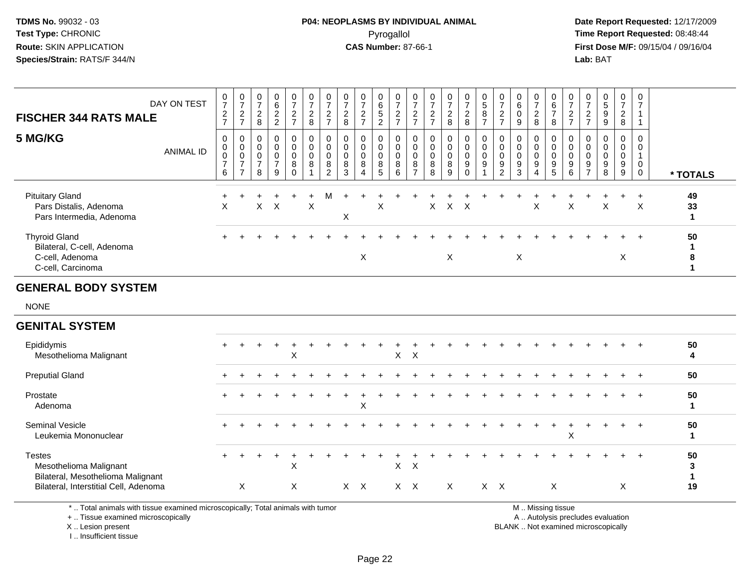# **P04: NEOPLASMS BY INDIVIDUAL ANIMAL**Pyrogallol Pyrogallol **Pyrogallol Time Report Requested:** 08:48:44<br>**CAS Number:** 87-66-1 **Time Report Requested:** 08/15/04 / 09/16/04

 **Date Report Requested:** 12/17/2009 **First Dose M/F:** 09/15/04 / 09/16/04 Lab: BAT **Lab:** BAT

| <b>FISCHER 344 RATS MALE</b>                                                               | DAY ON TEST      | $\frac{0}{7}$<br>$\overline{c}$<br>$\overline{7}$    | $\overline{ }$<br>$\overline{\mathbf{c}}$<br>$\rightarrow$ | $\rightarrow$<br>$\boldsymbol{2}$<br>8               | 0<br>$\,6\,$<br>$\overline{c}$<br>$\overline{2}$ | $\frac{0}{7}$<br>$\frac{2}{7}$                                       | $\frac{0}{7}$<br>$\sqrt{2}$<br>8                                   | $\overline{ }$<br>$\frac{2}{7}$         | $\overline{ }$<br>$\overline{c}$<br>8 | 0<br>$\rightarrow$<br>$\overline{c}$ | 0<br>6<br>5<br>$\overline{2}$ | $\frac{0}{7}$<br>$\frac{2}{7}$                                     | $\frac{0}{7}$<br>$\overline{c}$<br>$\overline{ }$                            | $\overline{ }$<br>$\frac{2}{7}$             | $\frac{0}{7}$<br>$\frac{2}{8}$ | $\frac{0}{7}$<br>$\frac{2}{8}$ | $\mathbf 0$<br>$\mathbf 5$<br>$\, 8$<br>$\rightarrow$ | $\frac{0}{7}$<br>$\overline{c}$<br>$\overline{ }$ | $\,6$<br>9                           | $\rightarrow$<br>2<br>8 | $\begin{array}{c} 0 \\ 6 \\ 7 \end{array}$<br>8            | 0<br>$\rightarrow$<br>$\overline{c}$<br>$\rightarrow$ | $\frac{0}{7}$<br>$\frac{2}{7}$                  | $\frac{0}{5}$<br>$\boldsymbol{9}$<br>9 | 0<br>$\overline{ }$<br>$\overline{\mathbf{c}}$<br>8 | 0<br>$\overline{ }$ |          |
|--------------------------------------------------------------------------------------------|------------------|------------------------------------------------------|------------------------------------------------------------|------------------------------------------------------|--------------------------------------------------|----------------------------------------------------------------------|--------------------------------------------------------------------|-----------------------------------------|---------------------------------------|--------------------------------------|-------------------------------|--------------------------------------------------------------------|------------------------------------------------------------------------------|---------------------------------------------|--------------------------------|--------------------------------|-------------------------------------------------------|---------------------------------------------------|--------------------------------------|-------------------------|------------------------------------------------------------|-------------------------------------------------------|-------------------------------------------------|----------------------------------------|-----------------------------------------------------|---------------------|----------|
| 5 MG/KG                                                                                    | <b>ANIMAL ID</b> | 0<br>$\mathbf 0$<br>$\pmb{0}$<br>$\overline{7}$<br>6 | $\pmb{0}$<br>$\pmb{0}$<br>$\overline{ }$<br>$\rightarrow$  | $\overline{0}$<br>$\mathbf 0$<br>$\overline{7}$<br>8 | $_{\rm 0}^{\rm 0}$<br>$\frac{0}{7}$<br>9         | $\begin{smallmatrix}0\0\0\0\end{smallmatrix}$<br>$\bf 8$<br>$\Omega$ | $\begin{smallmatrix} 0\\0 \end{smallmatrix}$<br>$_{\rm 8}^{\rm 0}$ | 0<br>$\mathbf 0$<br>$\pmb{0}$<br>8<br>2 | 8<br>3                                | $_0^0$<br>$\pmb{0}$<br>$\bf 8$<br>4  | 0<br>0<br>0<br>8<br>5         | $\overline{0}$<br>$\begin{smallmatrix}0\0\8\end{smallmatrix}$<br>6 | $\begin{matrix} 0 \\ 0 \end{matrix}$<br>$_{\rm 8}^{\rm 0}$<br>$\overline{ }$ | $\boldsymbol{0}$<br>$_{\rm 8}^{\rm 0}$<br>8 | $_0^0$<br>$_{8}^{\rm 0}$<br>9  | 0<br>0<br>9                    | 0<br>$\pmb{0}$<br>$\mathbf 0$<br>$\boldsymbol{9}$     | $_{9}^{\rm 0}$<br>$\overline{2}$                  | $\mathbf 0$<br>$\boldsymbol{9}$<br>3 | 0<br>9                  | $_{\rm 0}^{\rm 0}$<br>$\mathbf 0$<br>$\boldsymbol{9}$<br>5 | 0<br>$\,0\,$<br>$\boldsymbol{9}$<br>6                 | $\mathbf 0$<br>$_{9}^{\rm 0}$<br>$\overline{z}$ | $0\atop 0$<br>$_{9}^{\rm 0}$<br>8      | 0<br>$\mathbf 0$<br>0<br>9<br>9                     | $\mathbf 0$         | * TOTALS |
| <b>Pituitary Gland</b><br>Pars Distalis, Adenoma<br>Pars Intermedia, Adenoma               |                  | $\times$                                             |                                                            |                                                      | $X$ $X$                                          |                                                                      | X                                                                  | M                                       | X                                     |                                      | X                             |                                                                    |                                                                              | $\times$                                    | X X                            |                                |                                                       |                                                   |                                      | X                       |                                                            | X                                                     |                                                 | X                                      |                                                     | X                   | 49<br>33 |
| <b>Thyroid Gland</b><br>Bilateral, C-cell, Adenoma<br>C-cell, Adenoma<br>C-cell, Carcinoma |                  | $+$                                                  |                                                            |                                                      |                                                  |                                                                      |                                                                    |                                         |                                       | X                                    |                               |                                                                    |                                                                              |                                             | X                              | +                              |                                                       |                                                   | X                                    |                         |                                                            |                                                       |                                                 |                                        | $+$<br>X                                            | $+$                 | 50<br>8  |
| <b>GENERAL BODY SYSTEM</b>                                                                 |                  |                                                      |                                                            |                                                      |                                                  |                                                                      |                                                                    |                                         |                                       |                                      |                               |                                                                    |                                                                              |                                             |                                |                                |                                                       |                                                   |                                      |                         |                                                            |                                                       |                                                 |                                        |                                                     |                     |          |

NONE

#### **GENITAL SYSTEM**Epididymis $\mathsf{S}$  + <sup>+</sup> <sup>+</sup> <sup>+</sup> <sup>+</sup> <sup>+</sup> <sup>+</sup> <sup>+</sup> <sup>+</sup> <sup>+</sup> <sup>+</sup> <sup>+</sup> <sup>+</sup> <sup>+</sup> <sup>+</sup> <sup>+</sup> <sup>+</sup> <sup>+</sup> <sup>+</sup> <sup>+</sup> <sup>+</sup> <sup>+</sup> <sup>+</sup> <sup>+</sup> <sup>+</sup> **<sup>50</sup>** Mesothelioma Malignantt X <sup>X</sup> <sup>X</sup> **<sup>4</sup>** Preputial Gland $\alpha$  <sup>+</sup> <sup>+</sup> <sup>+</sup> <sup>+</sup> <sup>+</sup> <sup>+</sup> <sup>+</sup> <sup>+</sup> <sup>+</sup> <sup>+</sup> <sup>+</sup> <sup>+</sup> <sup>+</sup> <sup>+</sup> <sup>+</sup> <sup>+</sup> <sup>+</sup> <sup>+</sup> <sup>+</sup> <sup>+</sup> <sup>+</sup> <sup>+</sup> <sup>+</sup> <sup>+</sup> **<sup>50</sup>** Prostate $e$  + <sup>+</sup> <sup>+</sup> <sup>+</sup> <sup>+</sup> <sup>+</sup> <sup>+</sup> <sup>+</sup> <sup>+</sup> <sup>+</sup> <sup>+</sup> <sup>+</sup> <sup>+</sup> <sup>+</sup> <sup>+</sup> <sup>+</sup> <sup>+</sup> <sup>+</sup> <sup>+</sup> <sup>+</sup> <sup>+</sup> <sup>+</sup> <sup>+</sup> <sup>+</sup> <sup>+</sup> **<sup>50</sup>** Adenoma $\alpha$  **<sup>1</sup>** Seminal Vesiclee + <sup>+</sup> <sup>+</sup> <sup>+</sup> <sup>+</sup> <sup>+</sup> <sup>+</sup> <sup>+</sup> <sup>+</sup> <sup>+</sup> <sup>+</sup> <sup>+</sup> <sup>+</sup> <sup>+</sup> <sup>+</sup> <sup>+</sup> <sup>+</sup> <sup>+</sup> <sup>+</sup> <sup>+</sup> <sup>+</sup> <sup>+</sup> <sup>+</sup> <sup>+</sup> <sup>+</sup> **<sup>50</sup>** Leukemia Mononuclearr and the second contract of the second contract of the second contract of the second contract of the second contract of the second contract of the second contract of the second contract of the second contract of the secon **Testes**  <sup>+</sup> <sup>+</sup> <sup>+</sup> <sup>+</sup> <sup>+</sup> <sup>+</sup> <sup>+</sup> <sup>+</sup> <sup>+</sup> <sup>+</sup> <sup>+</sup> <sup>+</sup> <sup>+</sup> <sup>+</sup> <sup>+</sup> <sup>+</sup> <sup>+</sup> <sup>+</sup> <sup>+</sup> <sup>+</sup> <sup>+</sup> <sup>+</sup> <sup>+</sup> <sup>+</sup> <sup>+</sup> **<sup>50</sup>** Mesothelioma Malignantt X <sup>X</sup> <sup>X</sup> **<sup>3</sup>** Bilateral, Mesothelioma Malignant **1**Bilateral, Interstitial Cell, Adenomaa X <sup>X</sup> <sup>X</sup> <sup>X</sup> <sup>X</sup> <sup>X</sup> <sup>X</sup> <sup>X</sup> <sup>X</sup> <sup>X</sup> <sup>X</sup> **<sup>19</sup>**

\* .. Total animals with tissue examined microscopically; Total animals with tumor

+ .. Tissue examined microscopically

X .. Lesion present

I .. Insufficient tissue

M .. Missing tissue

y the contract of the contract of the contract of the contract of the contract of the contract of the contract of  $A$ . Autolysis precludes evaluation

Lesion present BLANK .. Not examined microscopically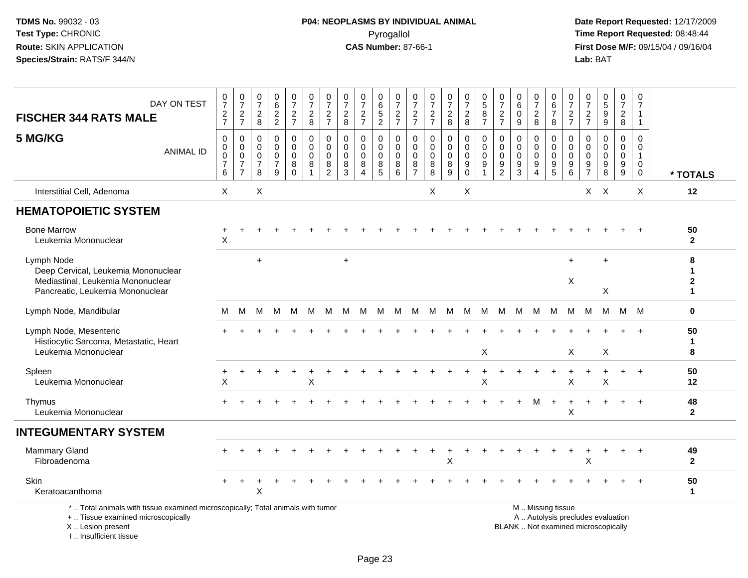I .. Insufficient tissue

# **P04: NEOPLASMS BY INDIVIDUAL ANIMAL**Pyrogallol Pyrogallol **Pyrogallol Time Report Requested:** 08:48:44<br>**CAS Number:** 87-66-1 **Time Report Requested:** 08/15/04 / 09/16/04

| DAY ON TEST<br><b>FISCHER 344 RATS MALE</b>                                                                                                | $\frac{0}{7}$<br>$\frac{2}{7}$               | $\frac{0}{7}$<br>$\frac{2}{7}$                                            | $\frac{0}{7}$<br>$_{\rm 8}^2$                                 | $\begin{array}{c} 0 \\ 6 \end{array}$<br>$\frac{2}{2}$            | $\frac{0}{7}$<br>$\frac{2}{7}$                                   | 0<br>$\overline{7}$<br>$\overline{2}$<br>8          | $\frac{0}{7}$<br>$\frac{2}{7}$               | $\frac{0}{7}$<br>$\sqrt{2}$<br>8                 | $\frac{0}{7}$<br>$\frac{2}{7}$                                 | $\begin{array}{c} 0 \\ 6 \end{array}$<br>$\frac{5}{2}$           | $\frac{0}{7}$<br>$\frac{2}{7}$                   | 0<br>$\overline{7}$<br>$\frac{2}{7}$                          | $\frac{0}{7}$<br>$\frac{2}{7}$                   | $\frac{0}{7}$<br>$\frac{2}{8}$                                   | $\frac{0}{7}$<br>$\frac{2}{8}$                 | $\begin{array}{c} 0 \\ 5 \end{array}$<br>$\overline{8}$<br>$\overline{7}$ | $\frac{0}{7}$<br>$\frac{2}{7}$                   | 0<br>$\overline{6}$<br>$\mathbf 0$<br>9                      | $\frac{0}{7}$<br>$\sqrt{2}$<br>8 | 0<br>$6\overline{6}$<br>$\boldsymbol{7}$<br>8          | $\frac{0}{7}$<br>$\frac{2}{7}$            | $\frac{0}{7}$<br>$\frac{2}{7}$      | $\begin{array}{c} 0 \\ 5 \\ 9 \end{array}$<br>$\boldsymbol{9}$        | $\begin{array}{c} 0 \\ 7 \end{array}$<br>$\sqrt{2}$<br>8 | 0<br>$\overline{7}$<br>$\mathbf{1}$<br>$\mathbf{1}$                   |                                        |
|--------------------------------------------------------------------------------------------------------------------------------------------|----------------------------------------------|---------------------------------------------------------------------------|---------------------------------------------------------------|-------------------------------------------------------------------|------------------------------------------------------------------|-----------------------------------------------------|----------------------------------------------|--------------------------------------------------|----------------------------------------------------------------|------------------------------------------------------------------|--------------------------------------------------|---------------------------------------------------------------|--------------------------------------------------|------------------------------------------------------------------|------------------------------------------------|---------------------------------------------------------------------------|--------------------------------------------------|--------------------------------------------------------------|----------------------------------|--------------------------------------------------------|-------------------------------------------|-------------------------------------|-----------------------------------------------------------------------|----------------------------------------------------------|-----------------------------------------------------------------------|----------------------------------------|
| 5 MG/KG<br><b>ANIMAL ID</b>                                                                                                                | $\mathbf 0$<br>0<br>0<br>$\overline{7}$<br>6 | $\mathbf 0$<br>$\pmb{0}$<br>$\pmb{0}$<br>$\overline{7}$<br>$\overline{7}$ | $\mathbf 0$<br>$\Omega$<br>$\mathbf 0$<br>$\overline{7}$<br>8 | $\mathbf 0$<br>$\mathbf{0}$<br>$\mathbf 0$<br>$\overline{7}$<br>9 | $\mathbf 0$<br>$\mathbf 0$<br>$\mathbf 0$<br>8<br>$\overline{0}$ | $\mathbf 0$<br>$\mathbf 0$<br>$\mathbf 0$<br>8<br>1 | 0<br>$\mathbf 0$<br>0<br>8<br>$\overline{2}$ | $\Omega$<br>$\Omega$<br>0<br>8<br>$\overline{3}$ | $\mathbf 0$<br>$\mathbf 0$<br>0<br>8<br>$\boldsymbol{\Lambda}$ | $\mathbf 0$<br>$\mathbf 0$<br>$\mathbf 0$<br>8<br>$\overline{5}$ | $\mathbf 0$<br>$\Omega$<br>$\mathbf 0$<br>8<br>6 | $\mathbf 0$<br>$\Omega$<br>$\mathbf 0$<br>8<br>$\overline{7}$ | $\mathbf 0$<br>$\Omega$<br>$\mathbf 0$<br>8<br>8 | $\mathbf 0$<br>$\mathbf 0$<br>$\mathbf 0$<br>8<br>$\overline{9}$ | 0<br>$\overline{0}$<br>0<br>$_{\rm 0}^{\rm 9}$ | $\mathbf 0$<br>$\mathbf 0$<br>$\mathbf 0$<br>$\boldsymbol{9}$<br>1        | 0<br>$\mathbf 0$<br>$\mathbf 0$<br>$\frac{9}{2}$ | $\mathbf{0}$<br>$\Omega$<br>$\mathbf 0$<br>9<br>$\mathbf{3}$ | 0<br>$\mathbf 0$<br>0<br>9<br>4  | 0<br>$\mathbf 0$<br>$\mathbf 0$<br>$\frac{9}{5}$       | 0<br>$\Omega$<br>0<br>9<br>$\overline{6}$ | 0<br>$\Omega$<br>0<br>$\frac{9}{7}$ | $\mathbf 0$<br>$\mathbf 0$<br>0<br>$\boldsymbol{9}$<br>$\overline{8}$ | $\mathbf 0$<br>$\mathbf 0$<br>$\mathbf 0$<br>$^9_9$      | $\mathbf 0$<br>$\Omega$<br>$\mathbf{1}$<br>$\mathbf 0$<br>$\mathbf 0$ | * TOTALS                               |
| Interstitial Cell, Adenoma                                                                                                                 | X                                            |                                                                           | X                                                             |                                                                   |                                                                  |                                                     |                                              |                                                  |                                                                |                                                                  |                                                  |                                                               | X                                                |                                                                  | X                                              |                                                                           |                                                  |                                                              |                                  |                                                        |                                           |                                     | $X$ $X$                                                               |                                                          | X                                                                     | 12                                     |
| <b>HEMATOPOIETIC SYSTEM</b>                                                                                                                |                                              |                                                                           |                                                               |                                                                   |                                                                  |                                                     |                                              |                                                  |                                                                |                                                                  |                                                  |                                                               |                                                  |                                                                  |                                                |                                                                           |                                                  |                                                              |                                  |                                                        |                                           |                                     |                                                                       |                                                          |                                                                       |                                        |
| <b>Bone Marrow</b><br>Leukemia Mononuclear                                                                                                 | $\mathsf X$                                  |                                                                           |                                                               |                                                                   |                                                                  |                                                     |                                              |                                                  |                                                                |                                                                  |                                                  |                                                               |                                                  |                                                                  |                                                |                                                                           |                                                  |                                                              |                                  |                                                        |                                           |                                     |                                                                       |                                                          |                                                                       | 50<br>$\mathbf{2}$                     |
| Lymph Node<br>Deep Cervical, Leukemia Mononuclear<br>Mediastinal, Leukemia Mononuclear<br>Pancreatic, Leukemia Mononuclear                 |                                              |                                                                           | $\ddot{}$                                                     |                                                                   |                                                                  |                                                     |                                              | $\ddot{}$                                        |                                                                |                                                                  |                                                  |                                                               |                                                  |                                                                  |                                                |                                                                           |                                                  |                                                              |                                  |                                                        | $\ddot{}$<br>$\boldsymbol{\mathsf{X}}$    |                                     | X                                                                     |                                                          |                                                                       | 8<br>1<br>$\mathbf{2}$<br>$\mathbf{1}$ |
| Lymph Node, Mandibular                                                                                                                     | м                                            | M                                                                         | м                                                             | м                                                                 | M                                                                | M                                                   | M                                            | M                                                | M                                                              | M                                                                | M                                                | M                                                             | M                                                | M                                                                | M                                              | M                                                                         | M                                                | M                                                            | M                                | M                                                      | M                                         | M                                   | М                                                                     | M                                                        | M                                                                     | $\mathbf 0$                            |
| Lymph Node, Mesenteric<br>Histiocytic Sarcoma, Metastatic, Heart<br>Leukemia Mononuclear                                                   |                                              |                                                                           |                                                               |                                                                   |                                                                  |                                                     |                                              |                                                  |                                                                |                                                                  |                                                  |                                                               |                                                  |                                                                  |                                                | X                                                                         |                                                  |                                                              |                                  |                                                        | X                                         |                                     | X                                                                     |                                                          |                                                                       | 50<br>1<br>8                           |
| Spleen<br>Leukemia Mononuclear                                                                                                             | X                                            |                                                                           |                                                               |                                                                   |                                                                  | Χ                                                   |                                              |                                                  |                                                                |                                                                  |                                                  |                                                               |                                                  |                                                                  |                                                | X                                                                         |                                                  |                                                              |                                  |                                                        | $\pmb{\times}$                            |                                     | X                                                                     |                                                          | $+$                                                                   | 50<br>$12 \,$                          |
| Thymus<br>Leukemia Mononuclear                                                                                                             |                                              |                                                                           |                                                               |                                                                   |                                                                  |                                                     |                                              |                                                  |                                                                |                                                                  |                                                  |                                                               |                                                  |                                                                  |                                                |                                                                           |                                                  |                                                              | м                                | $\ddot{}$                                              | $\ddot{}$<br>X                            |                                     |                                                                       |                                                          | $+$                                                                   | 48<br>$\mathbf{2}$                     |
| <b>INTEGUMENTARY SYSTEM</b>                                                                                                                |                                              |                                                                           |                                                               |                                                                   |                                                                  |                                                     |                                              |                                                  |                                                                |                                                                  |                                                  |                                                               |                                                  |                                                                  |                                                |                                                                           |                                                  |                                                              |                                  |                                                        |                                           |                                     |                                                                       |                                                          |                                                                       |                                        |
| <b>Mammary Gland</b><br>Fibroadenoma                                                                                                       |                                              |                                                                           |                                                               |                                                                   |                                                                  |                                                     |                                              |                                                  |                                                                |                                                                  |                                                  |                                                               |                                                  | +<br>X                                                           | +                                              |                                                                           |                                                  |                                                              |                                  |                                                        | $\ddot{}$                                 | X                                   | $\overline{1}$                                                        | $+$                                                      | $^{+}$                                                                | 49<br>$\overline{2}$                   |
| Skin<br>Keratoacanthoma                                                                                                                    |                                              |                                                                           | X                                                             |                                                                   |                                                                  |                                                     |                                              |                                                  |                                                                |                                                                  |                                                  |                                                               |                                                  |                                                                  |                                                |                                                                           |                                                  |                                                              |                                  |                                                        |                                           |                                     |                                                                       |                                                          |                                                                       | 50<br>1                                |
| *  Total animals with tissue examined microscopically; Total animals with tumor<br>+  Tissue examined microscopically<br>X  Lesion present |                                              |                                                                           |                                                               |                                                                   |                                                                  |                                                     |                                              |                                                  |                                                                |                                                                  |                                                  |                                                               |                                                  |                                                                  |                                                |                                                                           |                                                  | BLANK  Not examined microscopically                          |                                  | M  Missing tissue<br>A  Autolysis precludes evaluation |                                           |                                     |                                                                       |                                                          |                                                                       |                                        |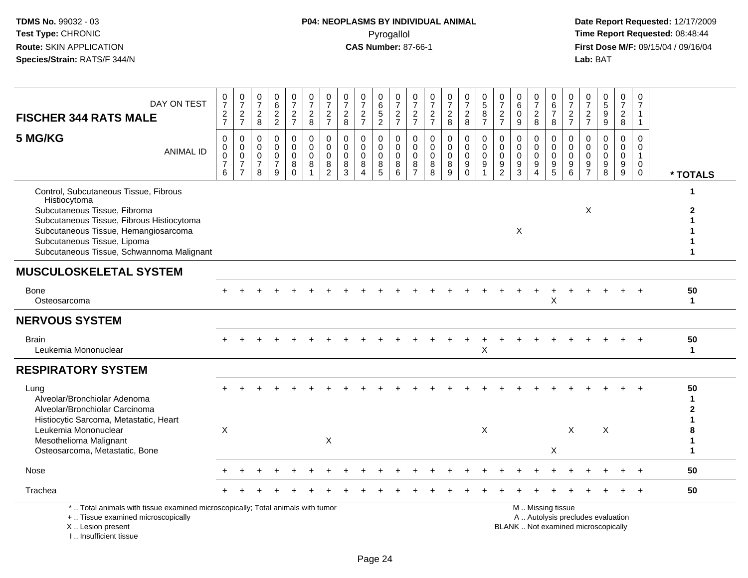| DAY ON TEST<br><b>FISCHER 344 RATS MALE</b>                                                                                                                                                                                                            | $\frac{0}{7}$<br>$\frac{2}{7}$                       | $\frac{0}{7}$<br>$rac{2}{7}$                                        | 0<br>$\overline{7}$<br>$\overline{a}$<br>8          | 0<br>6<br>$\frac{2}{2}$                              | $\frac{0}{7}$<br>$\frac{2}{7}$                              | $\frac{0}{7}$<br>$\frac{2}{8}$                               | $\frac{0}{7}$<br>$\frac{2}{7}$                         | $\begin{array}{c} 0 \\ 7 \end{array}$<br>$_{8}^{\rm 2}$ | $\frac{0}{7}$<br>$\frac{2}{7}$                                   | $_6^0$<br>$\frac{5}{2}$             | $\frac{0}{7}$<br>$\frac{2}{7}$          | $\begin{array}{c} 0 \\ 7 \end{array}$<br>$\frac{2}{7}$           | $\frac{0}{7}$<br>$\frac{2}{7}$                      | $\begin{smallmatrix}0\\7\end{smallmatrix}$<br>$\frac{2}{8}$ | $\frac{0}{7}$<br>$\frac{2}{8}$                   | $\begin{array}{c} 0 \\ 5 \end{array}$<br>$\frac{8}{7}$          | $\frac{0}{7}$<br>$\frac{2}{7}$                    | 0<br>$\,6\,$<br>$\pmb{0}$<br>9                     | $\frac{0}{7}$<br>$\boldsymbol{2}$<br>8                                                | 0<br>$6\overline{6}$<br>$\overline{7}$<br>8 | $\pmb{0}$<br>$\overline{7}$<br>$\frac{2}{7}$  | 0<br>$\overline{7}$<br>$\frac{2}{7}$      | $\frac{0}{5}$<br>$\frac{9}{9}$                  | $\frac{0}{7}$<br>$_{\rm 8}^2$                | 0<br>$\overline{7}$<br>$\mathbf{1}$<br>$\mathbf{1}$  |                    |
|--------------------------------------------------------------------------------------------------------------------------------------------------------------------------------------------------------------------------------------------------------|------------------------------------------------------|---------------------------------------------------------------------|-----------------------------------------------------|------------------------------------------------------|-------------------------------------------------------------|--------------------------------------------------------------|--------------------------------------------------------|---------------------------------------------------------|------------------------------------------------------------------|-------------------------------------|-----------------------------------------|------------------------------------------------------------------|-----------------------------------------------------|-------------------------------------------------------------|--------------------------------------------------|-----------------------------------------------------------------|---------------------------------------------------|----------------------------------------------------|---------------------------------------------------------------------------------------|---------------------------------------------|-----------------------------------------------|-------------------------------------------|-------------------------------------------------|----------------------------------------------|------------------------------------------------------|--------------------|
| 5 MG/KG<br><b>ANIMAL ID</b>                                                                                                                                                                                                                            | 0<br>0<br>$\pmb{0}$<br>$\overline{\mathcal{I}}$<br>6 | 0<br>$\mathbf 0$<br>$\pmb{0}$<br>$\boldsymbol{7}$<br>$\overline{7}$ | 0<br>$\Omega$<br>$\mathbf 0$<br>$\overline{7}$<br>8 | 0<br>$\mathbf 0$<br>$\pmb{0}$<br>$\overline{7}$<br>9 | $\mathbf 0$<br>$\mathbf 0$<br>$\pmb{0}$<br>8<br>$\mathbf 0$ | $\pmb{0}$<br>$\mathbf 0$<br>$\pmb{0}$<br>8<br>$\overline{1}$ | 0<br>$\mathbf 0$<br>$\mathbf 0$<br>8<br>$\overline{2}$ | 0<br>$\Omega$<br>$\mathbf 0$<br>8<br>3                  | $\mathbf 0$<br>$\mathbf 0$<br>$\mathbf 0$<br>8<br>$\overline{4}$ | $\Omega$<br>$\Omega$<br>0<br>8<br>5 | 0<br>$\mathbf 0$<br>$\pmb{0}$<br>8<br>6 | $\mathbf 0$<br>$\mathbf 0$<br>$\mathsf 0$<br>8<br>$\overline{7}$ | $\mathbf 0$<br>$\mathbf 0$<br>$\pmb{0}$<br>$_{8}^8$ | $\mathbf 0$<br>$\mathbf{0}$<br>$\pmb{0}$<br>8<br>9          | 0<br>$\mathbf 0$<br>$\mathbf 0$<br>9<br>$\Omega$ | $\pmb{0}$<br>$\boldsymbol{0}$<br>$\pmb{0}$<br>9<br>$\mathbf{1}$ | 0<br>$\Omega$<br>$\pmb{0}$<br>9<br>$\overline{2}$ | 0<br>$\mathbf 0$<br>$\pmb{0}$<br>9<br>$\mathbf{3}$ | $\mathbf 0$<br>$\mathbf 0$<br>$\pmb{0}$<br>$\boldsymbol{9}$<br>$\boldsymbol{\Lambda}$ | 0<br>$\mathbf 0$<br>$\pmb{0}$<br>9<br>5     | 0<br>$\mathbf 0$<br>$\mathbf 0$<br>$9\,$<br>6 | 0<br>$\Omega$<br>0<br>9<br>$\overline{7}$ | 0<br>$\mathbf 0$<br>$\pmb{0}$<br>$_{8}^{\rm 9}$ | 0<br>$\overline{0}$<br>$\mathsf 0$<br>$^9_9$ | 0<br>$\mathbf 0$<br>$\mathbf{1}$<br>$\mathbf 0$<br>0 | * TOTALS           |
| Control, Subcutaneous Tissue, Fibrous<br>Histiocytoma<br>Subcutaneous Tissue, Fibroma<br>Subcutaneous Tissue, Fibrous Histiocytoma<br>Subcutaneous Tissue, Hemangiosarcoma<br>Subcutaneous Tissue, Lipoma<br>Subcutaneous Tissue, Schwannoma Malignant |                                                      |                                                                     |                                                     |                                                      |                                                             |                                                              |                                                        |                                                         |                                                                  |                                     |                                         |                                                                  |                                                     |                                                             |                                                  |                                                                 |                                                   | X                                                  |                                                                                       |                                             |                                               | $\times$                                  |                                                 |                                              |                                                      | 1                  |
| <b>MUSCULOSKELETAL SYSTEM</b>                                                                                                                                                                                                                          |                                                      |                                                                     |                                                     |                                                      |                                                             |                                                              |                                                        |                                                         |                                                                  |                                     |                                         |                                                                  |                                                     |                                                             |                                                  |                                                                 |                                                   |                                                    |                                                                                       |                                             |                                               |                                           |                                                 |                                              |                                                      |                    |
| Bone<br>Osteosarcoma                                                                                                                                                                                                                                   |                                                      |                                                                     |                                                     |                                                      |                                                             |                                                              |                                                        |                                                         |                                                                  |                                     |                                         |                                                                  |                                                     |                                                             |                                                  |                                                                 |                                                   |                                                    |                                                                                       | ÷<br>X                                      |                                               |                                           |                                                 |                                              |                                                      | 50<br>$\mathbf{1}$ |
| <b>NERVOUS SYSTEM</b>                                                                                                                                                                                                                                  |                                                      |                                                                     |                                                     |                                                      |                                                             |                                                              |                                                        |                                                         |                                                                  |                                     |                                         |                                                                  |                                                     |                                                             |                                                  |                                                                 |                                                   |                                                    |                                                                                       |                                             |                                               |                                           |                                                 |                                              |                                                      |                    |
| <b>Brain</b><br>Leukemia Mononuclear                                                                                                                                                                                                                   |                                                      |                                                                     |                                                     |                                                      |                                                             |                                                              |                                                        |                                                         |                                                                  |                                     |                                         |                                                                  |                                                     |                                                             | $\div$                                           | Χ                                                               |                                                   |                                                    |                                                                                       |                                             |                                               |                                           |                                                 |                                              |                                                      | 50<br>$\mathbf{1}$ |
| <b>RESPIRATORY SYSTEM</b>                                                                                                                                                                                                                              |                                                      |                                                                     |                                                     |                                                      |                                                             |                                                              |                                                        |                                                         |                                                                  |                                     |                                         |                                                                  |                                                     |                                                             |                                                  |                                                                 |                                                   |                                                    |                                                                                       |                                             |                                               |                                           |                                                 |                                              |                                                      |                    |
| Lung<br>Alveolar/Bronchiolar Adenoma<br>Alveolar/Bronchiolar Carcinoma                                                                                                                                                                                 |                                                      |                                                                     |                                                     |                                                      |                                                             |                                                              |                                                        |                                                         |                                                                  |                                     |                                         |                                                                  |                                                     |                                                             |                                                  |                                                                 |                                                   |                                                    |                                                                                       |                                             |                                               |                                           |                                                 |                                              |                                                      | 50<br>1<br>2       |
| Histiocytic Sarcoma, Metastatic, Heart<br>Leukemia Mononuclear<br>Mesothelioma Malignant<br>Osteosarcoma, Metastatic, Bone                                                                                                                             | X                                                    |                                                                     |                                                     |                                                      |                                                             |                                                              | X                                                      |                                                         |                                                                  |                                     |                                         |                                                                  |                                                     |                                                             |                                                  | X                                                               |                                                   |                                                    |                                                                                       | X                                           | $\times$                                      |                                           | X                                               |                                              |                                                      | 1<br>1             |
| Nose                                                                                                                                                                                                                                                   |                                                      |                                                                     |                                                     |                                                      |                                                             |                                                              |                                                        |                                                         |                                                                  |                                     |                                         |                                                                  |                                                     |                                                             |                                                  |                                                                 |                                                   |                                                    |                                                                                       |                                             |                                               |                                           |                                                 |                                              |                                                      | 50                 |
| Trachea                                                                                                                                                                                                                                                |                                                      |                                                                     |                                                     |                                                      |                                                             |                                                              |                                                        |                                                         |                                                                  |                                     |                                         |                                                                  |                                                     |                                                             |                                                  |                                                                 |                                                   |                                                    |                                                                                       |                                             |                                               |                                           |                                                 |                                              |                                                      | 50                 |
| *  Total animals with tissue examined microscopically; Total animals with tumor<br>+  Tissue examined microscopically<br>X Lesion present<br>I., Insufficient tissue                                                                                   |                                                      |                                                                     |                                                     |                                                      |                                                             |                                                              |                                                        |                                                         |                                                                  |                                     |                                         |                                                                  |                                                     |                                                             |                                                  |                                                                 |                                                   | BLANK  Not examined microscopically                |                                                                                       | M  Missing tissue                           |                                               |                                           | A  Autolysis precludes evaluation               |                                              |                                                      |                    |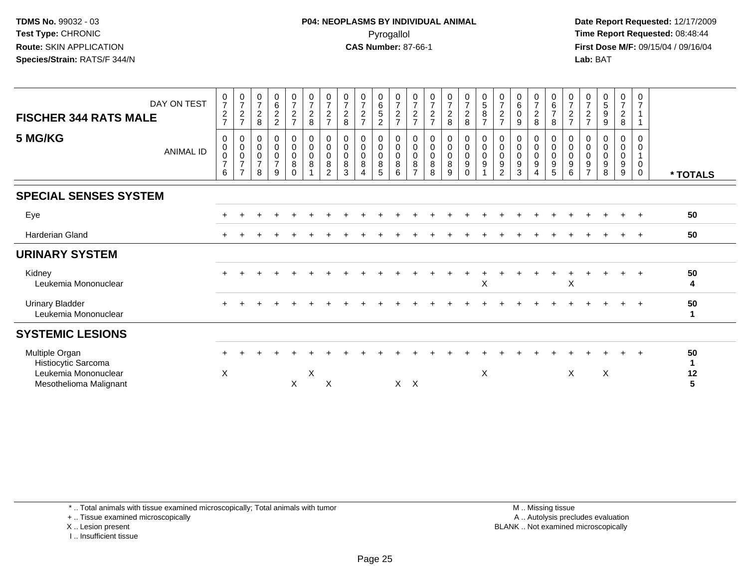**Date Report Requested:** 12/17/2009 **First Dose M/F:** 09/15/04 / 09/16/04 Lab: BAT **Lab:** BAT

| DAY ON TEST<br><b>FISCHER 344 RATS MALE</b>                                             | 0<br>$\boldsymbol{7}$<br>$\sqrt{2}$<br>$\overline{7}$ | $\frac{0}{7}$<br>$\overline{c}$<br>$\overline{7}$                      | $\frac{0}{7}$<br>$\frac{2}{8}$                     | $062$<br>22                                                               | $\frac{0}{7}$<br>$\frac{2}{7}$                                                        | $\frac{0}{7}$<br>$\frac{2}{8}$                           | 0<br>$\overline{7}$<br>$\overline{c}$<br>$\overline{7}$ | $\frac{0}{7}$<br>$\frac{2}{8}$                         | $\frac{0}{7}$<br>$\boldsymbol{2}$<br>$\overline{ }$ | $\begin{array}{c} 0 \\ 6 \\ 5 \end{array}$<br>$\sqrt{2}$ | $\frac{0}{7}$<br>$\frac{2}{7}$  | $\frac{0}{7}$<br>$\frac{2}{7}$                         | $\frac{0}{7}$<br>$\frac{2}{7}$              | $\frac{0}{7}$<br>$\frac{2}{8}$                       | $\frac{0}{7}$<br>$\frac{2}{8}$                                              | $0$<br>58<br>7                                | $\frac{0}{7}$<br>$\overline{c}$<br>$\overline{7}$        | $\begin{matrix} 0 \\ 6 \\ 0 \end{matrix}$<br>$\boldsymbol{9}$      | $\frac{0}{7}$<br>$\overline{c}$<br>8   | 0<br>$rac{6}{7}$<br>8                                                            | 0<br>$\overline{7}$<br>$\frac{2}{7}$                   | 0<br>$\overline{7}$<br>$\frac{2}{7}$ | 0<br>5<br>$\boldsymbol{9}$<br>9 | $\frac{0}{7}$<br>$\overline{a}$<br>$\bf 8$ | 0<br>$\overline{7}$<br>$\mathbf{1}$<br>$\mathbf{1}$ |                    |
|-----------------------------------------------------------------------------------------|-------------------------------------------------------|------------------------------------------------------------------------|----------------------------------------------------|---------------------------------------------------------------------------|---------------------------------------------------------------------------------------|----------------------------------------------------------|---------------------------------------------------------|--------------------------------------------------------|-----------------------------------------------------|----------------------------------------------------------|---------------------------------|--------------------------------------------------------|---------------------------------------------|------------------------------------------------------|-----------------------------------------------------------------------------|-----------------------------------------------|----------------------------------------------------------|--------------------------------------------------------------------|----------------------------------------|----------------------------------------------------------------------------------|--------------------------------------------------------|--------------------------------------|---------------------------------|--------------------------------------------|-----------------------------------------------------|--------------------|
| 5 MG/KG<br><b>ANIMAL ID</b>                                                             | 0<br>$\pmb{0}$<br>$\pmb{0}$<br>$\overline{7}$<br>6    | 0<br>$\boldsymbol{0}$<br>$\pmb{0}$<br>$\overline{7}$<br>$\overline{7}$ | 0<br>$\pmb{0}$<br>$\pmb{0}$<br>$\overline{7}$<br>8 | $\pmb{0}$<br>$\pmb{0}$<br>$\pmb{0}$<br>$\overline{7}$<br>$\boldsymbol{9}$ | $\begin{smallmatrix} 0\\0 \end{smallmatrix}$<br>$\mathbf 0$<br>$\bf 8$<br>$\mathbf 0$ | $\boldsymbol{0}$<br>$\mathbf 0$<br>$\mathbf 0$<br>$\bf8$ | 0<br>$\mathbf 0$<br>$\mathbf 0$<br>8<br>2               | $\Omega$<br>$\mathbf 0$<br>$\mathbf 0$<br>$\,8\,$<br>3 | 0<br>0<br>0<br>8<br>$\overline{4}$                  | 0<br>$\mathbf 0$<br>$\mathbf 0$<br>8<br>$\sqrt{5}$       | 0<br>$\mathbf 0$<br>0<br>8<br>6 | 0<br>$\mathbf 0$<br>$\mathbf 0$<br>8<br>$\overline{7}$ | 0<br>$\pmb{0}$<br>$\pmb{0}$<br>$\bf 8$<br>8 | 0<br>$\pmb{0}$<br>$\pmb{0}$<br>8<br>$\boldsymbol{9}$ | 0<br>$\mathsf{O}\xspace$<br>$\mathsf{O}$<br>$\boldsymbol{9}$<br>$\mathbf 0$ | 0<br>$\boldsymbol{0}$<br>$\mathbf 0$<br>$9\,$ | 0<br>$\mathbf 0$<br>$\mathbf 0$<br>$\boldsymbol{9}$<br>2 | $\mathbf 0$<br>$\mathbf 0$<br>$\mathbf 0$<br>$\boldsymbol{9}$<br>3 | 0<br>$\mathsf{O}$<br>$\mathsf{O}$<br>9 | 0<br>$\mathsf{O}\xspace$<br>$\mathbf 0$<br>$\begin{array}{c} 9 \\ 5 \end{array}$ | 0<br>$\pmb{0}$<br>$\mathbf 0$<br>$\boldsymbol{9}$<br>6 | 0<br>0<br>0<br>9<br>$\overline{7}$   | $\Omega$<br>0<br>0<br>9<br>8    | 0<br>0<br>$\boldsymbol{0}$<br>$9\,$<br>9   | 0<br>0<br>$\mathbf 1$<br>$\mathbf 0$<br>$\mathbf 0$ | * TOTALS           |
| <b>SPECIAL SENSES SYSTEM</b>                                                            |                                                       |                                                                        |                                                    |                                                                           |                                                                                       |                                                          |                                                         |                                                        |                                                     |                                                          |                                 |                                                        |                                             |                                                      |                                                                             |                                               |                                                          |                                                                    |                                        |                                                                                  |                                                        |                                      |                                 |                                            |                                                     |                    |
| Eye                                                                                     |                                                       |                                                                        |                                                    |                                                                           |                                                                                       |                                                          |                                                         |                                                        |                                                     |                                                          |                                 |                                                        |                                             |                                                      |                                                                             |                                               |                                                          |                                                                    |                                        |                                                                                  |                                                        |                                      |                                 |                                            | $\div$                                              | 50                 |
| <b>Harderian Gland</b>                                                                  |                                                       |                                                                        |                                                    |                                                                           |                                                                                       |                                                          |                                                         |                                                        |                                                     |                                                          |                                 |                                                        |                                             |                                                      |                                                                             |                                               |                                                          |                                                                    |                                        |                                                                                  |                                                        |                                      |                                 |                                            |                                                     | 50                 |
| <b>URINARY SYSTEM</b>                                                                   |                                                       |                                                                        |                                                    |                                                                           |                                                                                       |                                                          |                                                         |                                                        |                                                     |                                                          |                                 |                                                        |                                             |                                                      |                                                                             |                                               |                                                          |                                                                    |                                        |                                                                                  |                                                        |                                      |                                 |                                            |                                                     |                    |
| Kidney<br>Leukemia Mononuclear                                                          |                                                       |                                                                        |                                                    |                                                                           |                                                                                       |                                                          |                                                         |                                                        |                                                     |                                                          |                                 |                                                        |                                             |                                                      |                                                                             | X                                             |                                                          |                                                                    |                                        |                                                                                  | X                                                      |                                      |                                 |                                            | $\ddot{}$                                           | 50<br>4            |
| <b>Urinary Bladder</b><br>Leukemia Mononuclear                                          |                                                       |                                                                        |                                                    |                                                                           |                                                                                       |                                                          |                                                         |                                                        |                                                     |                                                          |                                 |                                                        |                                             |                                                      |                                                                             |                                               |                                                          |                                                                    |                                        |                                                                                  |                                                        |                                      |                                 |                                            | $\overline{+}$                                      | 50<br>$\mathbf{1}$ |
| <b>SYSTEMIC LESIONS</b>                                                                 |                                                       |                                                                        |                                                    |                                                                           |                                                                                       |                                                          |                                                         |                                                        |                                                     |                                                          |                                 |                                                        |                                             |                                                      |                                                                             |                                               |                                                          |                                                                    |                                        |                                                                                  |                                                        |                                      |                                 |                                            |                                                     |                    |
| Multiple Organ<br>Histiocytic Sarcoma<br>Leukemia Mononuclear<br>Mesothelioma Malignant | $\boldsymbol{\mathsf{X}}$                             |                                                                        |                                                    |                                                                           | X                                                                                     | X                                                        | X                                                       |                                                        |                                                     |                                                          | $\times$                        | $\mathsf{X}$                                           |                                             |                                                      |                                                                             | X                                             |                                                          |                                                                    |                                        |                                                                                  | X                                                      |                                      | X                               |                                            |                                                     | 50<br>1<br>12<br>5 |

\* .. Total animals with tissue examined microscopically; Total animals with tumor

+ .. Tissue examined microscopically

X .. Lesion present

I .. Insufficient tissue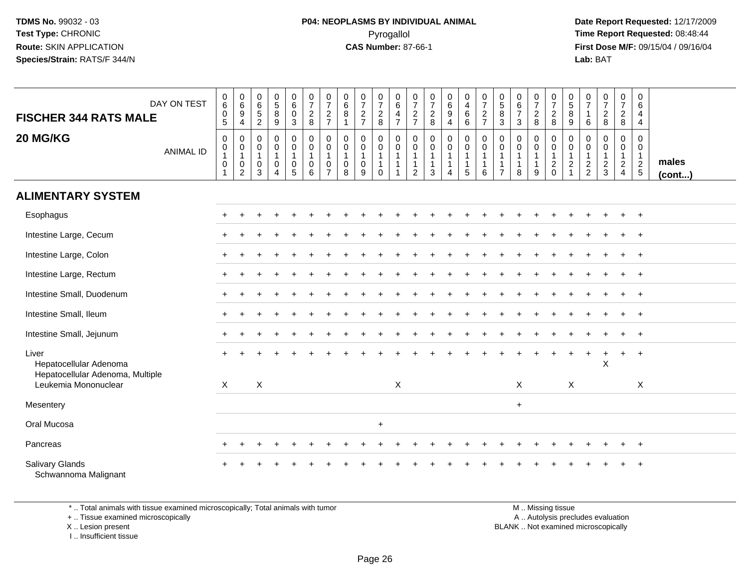**Date Report Requested:** 12/17/2009 **First Dose M/F:** 09/15/04 / 09/16/04 Lab: BAT **Lab:** BAT

| DAY ON TEST<br><b>FISCHER 344 RATS MALE</b><br>20 MG/KG<br><b>ANIMAL ID</b>                 | $\begin{matrix} 0 \\ 6 \end{matrix}$<br>$\pmb{0}$<br>$\overline{5}$<br>$\pmb{0}$<br>$\begin{smallmatrix}0\\1\end{smallmatrix}$<br>$\pmb{0}$<br>$\mathbf{1}$ | $\begin{array}{c} 0 \\ 6 \end{array}$<br>9<br>$\overline{4}$<br>$\mathbf 0$<br>$\pmb{0}$<br>$\mathbf{1}$<br>$\mathbf 0$<br>$\overline{2}$ | $\boldsymbol{0}$<br>$\,6\,$<br>$\frac{5}{2}$<br>$\mathbf{0}$<br>0<br>$\mathbf{1}$<br>0<br>3 | $\begin{array}{c} 0 \\ 5 \\ 8 \end{array}$<br>$\overline{9}$<br>$\mathbf 0$<br>$\pmb{0}$<br>$\mathbf{1}$<br>$\mathbf 0$<br>$\overline{4}$ | $\begin{matrix} 0 \\ 6 \end{matrix}$<br>$\mathbf 0$<br>$\mathfrak{S}$<br>$\mathsf 0$<br>$\pmb{0}$<br>$\mathbf{1}$<br>$\mathbf 0$<br>5 | $\frac{0}{7}$<br>$\frac{2}{8}$<br>$\mathbf 0$<br>$\pmb{0}$<br>$\mathbf{1}$<br>$\mathbf 0$<br>$\overline{6}$ | $\frac{0}{7}$<br>$\frac{2}{7}$<br>0<br>0<br>$\mathbf{1}$<br>0<br>$\overline{7}$ | 0<br>$\,6\,$<br>$\,8\,$<br>$\overline{1}$<br>$\mathbf 0$<br>$\mathbf 0$<br>$\mathbf{1}$<br>$\mathbf 0$<br>8 | $\frac{0}{7}$<br>$\frac{2}{7}$<br>0<br>0<br>$\mathbf{1}$<br>0<br>9 | $\frac{0}{7}$<br>$_{\rm 8}^2$<br>$\mathbf 0$<br>$\mathbf 0$<br>$\overline{1}$<br>$\mathbf{1}$<br>$\Omega$ | 0<br>$\,6\,$<br>$\overline{4}$<br>$\overline{7}$<br>0<br>$\mathbf 0$<br>$\overline{1}$<br>$\overline{1}$<br>$\overline{1}$ | $\frac{0}{7}$<br>$\frac{2}{7}$<br>$\mathbf 0$<br>$\pmb{0}$<br>$\mathbf{1}$<br>$\mathbf{1}$<br>$\overline{2}$ | $\begin{smallmatrix}0\\7\end{smallmatrix}$<br>$\frac{2}{8}$<br>$\mathbf 0$<br>$\pmb{0}$<br>$\mathbf{1}$<br>$\mathbf{1}$<br>$\mathbf{3}$ | $\begin{array}{c} 0 \\ 6 \\ 9 \end{array}$<br>4<br>$\mathbf 0$<br>$\ddot{\mathbf{0}}$<br>$\mathbf{1}$<br>$\mathbf{1}$<br>$\overline{4}$ | $\boldsymbol{0}$<br>$\overline{4}$<br>$\,6\,$<br>$6\overline{6}$<br>$\pmb{0}$<br>$\pmb{0}$<br>$\mathbf{1}$<br>$\mathbf{1}$<br>5 | $\frac{0}{7}$<br>$\frac{2}{7}$<br>$\pmb{0}$<br>$\overline{0}$<br>$\mathbf{1}$<br>$\mathbf{1}$<br>$6\phantom{1}6$ | $\begin{matrix} 0 \\ 5 \end{matrix}$<br>$\bf8$<br>$\mathbf{3}$<br>$\mathbf 0$<br>0<br>$\overline{1}$<br>-1<br>$\overline{7}$ | $\pmb{0}$<br>$\,6\,$<br>$\overline{7}$<br>$\mathbf{3}$<br>$\mathbf 0$<br>$\mathbf 0$<br>$\mathbf{1}$<br>$\mathbf{1}$<br>8 | $\frac{0}{7}$<br>$_{\rm 8}^2$<br>0<br>$\mathbf 0$<br>$\mathbf{1}$<br>$\mathbf 1$<br>9 | $\frac{0}{7}$<br>$_{8}^{\rm 2}$<br>0<br>$\overline{0}$<br>1<br>$\frac{2}{0}$ | $\begin{array}{c} 0 \\ 5 \\ 8 \end{array}$<br>$\boldsymbol{9}$<br>$\mathbf 0$<br>$\,0\,$<br>$\mathbf{1}$<br>$\boldsymbol{2}$<br>$\overline{1}$ | 0<br>$\overline{7}$<br>$\overline{1}$<br>6<br>$\mathbf 0$<br>0<br>$\mathbf{1}$<br>$\frac{2}{2}$ | $\frac{0}{7}$<br>$\frac{2}{8}$<br>0<br>$\mathbf 0$<br>$\mathbf{1}$<br>$\frac{2}{3}$ | $\begin{smallmatrix}0\\7\end{smallmatrix}$<br>$\frac{2}{8}$<br>0<br>$\mathbf 0$<br>$\mathbf{1}$<br>$\overline{2}$<br>$\overline{4}$ | 0<br>6<br>4<br>$\overline{4}$<br>$\mathbf 0$<br>$\mathbf 0$<br>$\mathbf{1}$<br>$rac{2}{5}$ | males<br>$($ cont $)$ |
|---------------------------------------------------------------------------------------------|-------------------------------------------------------------------------------------------------------------------------------------------------------------|-------------------------------------------------------------------------------------------------------------------------------------------|---------------------------------------------------------------------------------------------|-------------------------------------------------------------------------------------------------------------------------------------------|---------------------------------------------------------------------------------------------------------------------------------------|-------------------------------------------------------------------------------------------------------------|---------------------------------------------------------------------------------|-------------------------------------------------------------------------------------------------------------|--------------------------------------------------------------------|-----------------------------------------------------------------------------------------------------------|----------------------------------------------------------------------------------------------------------------------------|--------------------------------------------------------------------------------------------------------------|-----------------------------------------------------------------------------------------------------------------------------------------|-----------------------------------------------------------------------------------------------------------------------------------------|---------------------------------------------------------------------------------------------------------------------------------|------------------------------------------------------------------------------------------------------------------|------------------------------------------------------------------------------------------------------------------------------|---------------------------------------------------------------------------------------------------------------------------|---------------------------------------------------------------------------------------|------------------------------------------------------------------------------|------------------------------------------------------------------------------------------------------------------------------------------------|-------------------------------------------------------------------------------------------------|-------------------------------------------------------------------------------------|-------------------------------------------------------------------------------------------------------------------------------------|--------------------------------------------------------------------------------------------|-----------------------|
| <b>ALIMENTARY SYSTEM</b>                                                                    |                                                                                                                                                             |                                                                                                                                           |                                                                                             |                                                                                                                                           |                                                                                                                                       |                                                                                                             |                                                                                 |                                                                                                             |                                                                    |                                                                                                           |                                                                                                                            |                                                                                                              |                                                                                                                                         |                                                                                                                                         |                                                                                                                                 |                                                                                                                  |                                                                                                                              |                                                                                                                           |                                                                                       |                                                                              |                                                                                                                                                |                                                                                                 |                                                                                     |                                                                                                                                     |                                                                                            |                       |
| Esophagus                                                                                   |                                                                                                                                                             |                                                                                                                                           |                                                                                             |                                                                                                                                           |                                                                                                                                       |                                                                                                             |                                                                                 |                                                                                                             |                                                                    |                                                                                                           |                                                                                                                            |                                                                                                              |                                                                                                                                         |                                                                                                                                         |                                                                                                                                 |                                                                                                                  |                                                                                                                              |                                                                                                                           |                                                                                       |                                                                              |                                                                                                                                                |                                                                                                 |                                                                                     |                                                                                                                                     | $^{+}$                                                                                     |                       |
| Intestine Large, Cecum                                                                      |                                                                                                                                                             |                                                                                                                                           |                                                                                             |                                                                                                                                           |                                                                                                                                       |                                                                                                             |                                                                                 |                                                                                                             |                                                                    |                                                                                                           |                                                                                                                            |                                                                                                              |                                                                                                                                         |                                                                                                                                         |                                                                                                                                 |                                                                                                                  |                                                                                                                              |                                                                                                                           |                                                                                       |                                                                              |                                                                                                                                                |                                                                                                 |                                                                                     |                                                                                                                                     | $\overline{1}$                                                                             |                       |
| Intestine Large, Colon                                                                      |                                                                                                                                                             |                                                                                                                                           |                                                                                             |                                                                                                                                           |                                                                                                                                       |                                                                                                             |                                                                                 |                                                                                                             |                                                                    |                                                                                                           |                                                                                                                            |                                                                                                              |                                                                                                                                         |                                                                                                                                         |                                                                                                                                 |                                                                                                                  |                                                                                                                              |                                                                                                                           |                                                                                       |                                                                              |                                                                                                                                                |                                                                                                 |                                                                                     |                                                                                                                                     | $\overline{+}$                                                                             |                       |
| Intestine Large, Rectum                                                                     |                                                                                                                                                             |                                                                                                                                           |                                                                                             |                                                                                                                                           |                                                                                                                                       |                                                                                                             |                                                                                 |                                                                                                             |                                                                    |                                                                                                           |                                                                                                                            |                                                                                                              |                                                                                                                                         |                                                                                                                                         |                                                                                                                                 |                                                                                                                  |                                                                                                                              |                                                                                                                           |                                                                                       |                                                                              |                                                                                                                                                |                                                                                                 |                                                                                     |                                                                                                                                     |                                                                                            |                       |
| Intestine Small, Duodenum                                                                   |                                                                                                                                                             |                                                                                                                                           |                                                                                             |                                                                                                                                           |                                                                                                                                       |                                                                                                             |                                                                                 |                                                                                                             |                                                                    |                                                                                                           |                                                                                                                            |                                                                                                              |                                                                                                                                         |                                                                                                                                         |                                                                                                                                 |                                                                                                                  |                                                                                                                              |                                                                                                                           |                                                                                       |                                                                              |                                                                                                                                                |                                                                                                 |                                                                                     |                                                                                                                                     | $\overline{1}$                                                                             |                       |
| Intestine Small, Ileum                                                                      |                                                                                                                                                             |                                                                                                                                           |                                                                                             |                                                                                                                                           |                                                                                                                                       |                                                                                                             |                                                                                 |                                                                                                             |                                                                    |                                                                                                           |                                                                                                                            |                                                                                                              |                                                                                                                                         |                                                                                                                                         |                                                                                                                                 |                                                                                                                  |                                                                                                                              |                                                                                                                           |                                                                                       |                                                                              |                                                                                                                                                |                                                                                                 |                                                                                     |                                                                                                                                     | $+$                                                                                        |                       |
| Intestine Small, Jejunum                                                                    |                                                                                                                                                             |                                                                                                                                           |                                                                                             |                                                                                                                                           |                                                                                                                                       |                                                                                                             |                                                                                 |                                                                                                             |                                                                    |                                                                                                           |                                                                                                                            |                                                                                                              |                                                                                                                                         |                                                                                                                                         |                                                                                                                                 |                                                                                                                  |                                                                                                                              |                                                                                                                           |                                                                                       |                                                                              |                                                                                                                                                |                                                                                                 |                                                                                     |                                                                                                                                     | $\overline{1}$                                                                             |                       |
| Liver<br>Hepatocellular Adenoma<br>Hepatocellular Adenoma, Multiple<br>Leukemia Mononuclear | $\mathsf{X}$                                                                                                                                                |                                                                                                                                           | X                                                                                           |                                                                                                                                           |                                                                                                                                       |                                                                                                             |                                                                                 |                                                                                                             |                                                                    |                                                                                                           | X                                                                                                                          |                                                                                                              |                                                                                                                                         |                                                                                                                                         |                                                                                                                                 |                                                                                                                  |                                                                                                                              | $\mathsf X$                                                                                                               |                                                                                       |                                                                              | X                                                                                                                                              |                                                                                                 | $\pmb{\times}$                                                                      | $+$                                                                                                                                 | $+$<br>X                                                                                   |                       |
| Mesentery                                                                                   |                                                                                                                                                             |                                                                                                                                           |                                                                                             |                                                                                                                                           |                                                                                                                                       |                                                                                                             |                                                                                 |                                                                                                             |                                                                    |                                                                                                           |                                                                                                                            |                                                                                                              |                                                                                                                                         |                                                                                                                                         |                                                                                                                                 |                                                                                                                  |                                                                                                                              | $\ddot{}$                                                                                                                 |                                                                                       |                                                                              |                                                                                                                                                |                                                                                                 |                                                                                     |                                                                                                                                     |                                                                                            |                       |
| Oral Mucosa                                                                                 |                                                                                                                                                             |                                                                                                                                           |                                                                                             |                                                                                                                                           |                                                                                                                                       |                                                                                                             |                                                                                 |                                                                                                             |                                                                    | $\ddot{}$                                                                                                 |                                                                                                                            |                                                                                                              |                                                                                                                                         |                                                                                                                                         |                                                                                                                                 |                                                                                                                  |                                                                                                                              |                                                                                                                           |                                                                                       |                                                                              |                                                                                                                                                |                                                                                                 |                                                                                     |                                                                                                                                     |                                                                                            |                       |
| Pancreas                                                                                    |                                                                                                                                                             |                                                                                                                                           |                                                                                             |                                                                                                                                           |                                                                                                                                       |                                                                                                             |                                                                                 |                                                                                                             |                                                                    |                                                                                                           |                                                                                                                            |                                                                                                              |                                                                                                                                         |                                                                                                                                         |                                                                                                                                 |                                                                                                                  |                                                                                                                              |                                                                                                                           |                                                                                       |                                                                              |                                                                                                                                                |                                                                                                 |                                                                                     |                                                                                                                                     | $\overline{1}$                                                                             |                       |
| Salivary Glands<br>Schwannoma Malignant                                                     |                                                                                                                                                             |                                                                                                                                           |                                                                                             |                                                                                                                                           |                                                                                                                                       |                                                                                                             |                                                                                 |                                                                                                             |                                                                    |                                                                                                           |                                                                                                                            |                                                                                                              |                                                                                                                                         |                                                                                                                                         |                                                                                                                                 |                                                                                                                  |                                                                                                                              |                                                                                                                           |                                                                                       |                                                                              |                                                                                                                                                |                                                                                                 |                                                                                     |                                                                                                                                     |                                                                                            |                       |

\* .. Total animals with tissue examined microscopically; Total animals with tumor

+ .. Tissue examined microscopically

X .. Lesion present

I .. Insufficient tissue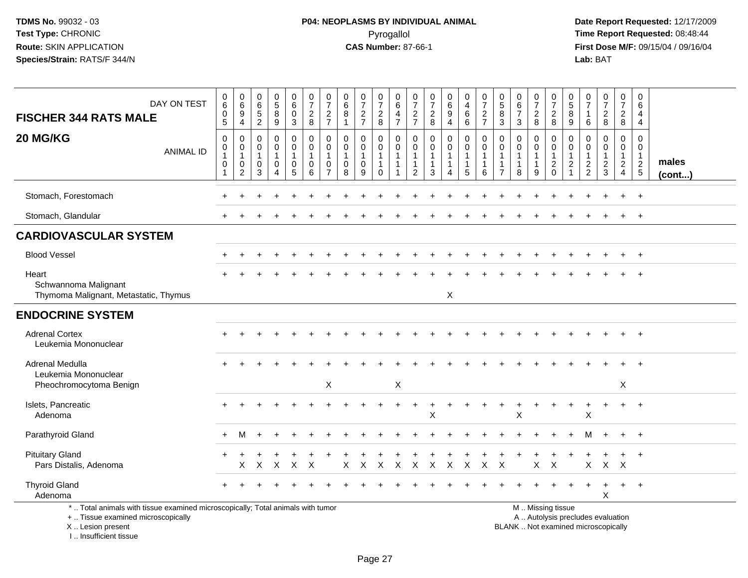**Date Report Requested:** 12/17/2009 **First Dose M/F:** 09/15/04 / 09/16/04<br>Lab: BAT **Lab:** BAT

| <b>FISCHER 344 RATS MALE</b>                                                                                                               | DAY ON TEST      | $\begin{array}{c} 0 \\ 6 \end{array}$<br>0<br>$\overline{5}$ | $\begin{array}{c} 0 \\ 6 \end{array}$<br>$\boldsymbol{9}$<br>$\overline{4}$ | 0<br>$\,6\,$<br>$\frac{5}{2}$                                    | $\begin{array}{c} 0 \\ 5 \end{array}$<br>8<br>$\overline{9}$ | 0<br>$\,6\,$<br>0<br>3                             | $\begin{smallmatrix}0\\7\end{smallmatrix}$<br>$\overline{c}$<br>$\overline{8}$ | 0<br>$\overline{7}$<br>$\frac{2}{7}$           | $\boldsymbol{0}$<br>$\,6\,$<br>8<br>$\overline{1}$   | $\frac{0}{7}$<br>$\frac{2}{7}$                     | 0<br>$\overline{7}$<br>$_{\rm 8}^2$                  | $\begin{matrix} 0 \\ 6 \end{matrix}$<br>$\frac{4}{7}$ | 0<br>$\overline{7}$<br>$\frac{2}{7}$                     | $\frac{0}{7}$<br>$\frac{2}{8}$     | $_{\rm 6}^{\rm 0}$<br>$\boldsymbol{9}$<br>$\overline{4}$                    | $\pmb{0}$<br>$\overline{4}$<br>$\,6\,$<br>$\,6\,$                            | $\frac{0}{7}$<br>$\frac{2}{7}$        | 0<br>$\overline{5}$<br>$\bf8$<br>$\overline{3}$                | $_{6}^{\rm 0}$<br>$\overline{7}$<br>3     | $\frac{0}{7}$<br>$_{8}^2$             | $\frac{0}{7}$<br>$\begin{array}{c} 2 \\ 8 \end{array}$                                        | 0<br>$\sqrt{5}$<br>8<br>9                                           | 0<br>$\overline{7}$<br>$\overline{1}$<br>$\,6$                                | $\frac{0}{7}$<br>$\frac{2}{8}$ | 0<br>$\overline{7}$<br>$\overline{2}$<br>8                        | 0<br>$\,6\,$<br>4<br>4                                            |                       |
|--------------------------------------------------------------------------------------------------------------------------------------------|------------------|--------------------------------------------------------------|-----------------------------------------------------------------------------|------------------------------------------------------------------|--------------------------------------------------------------|----------------------------------------------------|--------------------------------------------------------------------------------|------------------------------------------------|------------------------------------------------------|----------------------------------------------------|------------------------------------------------------|-------------------------------------------------------|----------------------------------------------------------|------------------------------------|-----------------------------------------------------------------------------|------------------------------------------------------------------------------|---------------------------------------|----------------------------------------------------------------|-------------------------------------------|---------------------------------------|-----------------------------------------------------------------------------------------------|---------------------------------------------------------------------|-------------------------------------------------------------------------------|--------------------------------|-------------------------------------------------------------------|-------------------------------------------------------------------|-----------------------|
| 20 MG/KG                                                                                                                                   | <b>ANIMAL ID</b> | $\pmb{0}$<br>0<br>1<br>$\mathbf 0$<br>-1                     | 0<br>$\mathbf 0$<br>$\mathbf{1}$<br>0<br>$\overline{c}$                     | $\mathbf 0$<br>$\mathbf 0$<br>$\overline{1}$<br>$\mathbf 0$<br>3 | 0<br>$\mathbf 0$<br>1<br>$\mathbf 0$<br>$\overline{4}$       | 0<br>0<br>$\mathbf{1}$<br>$\mathsf{O}\xspace$<br>5 | 0<br>0<br>$\mathbf{1}$<br>$\mathbf 0$<br>6                                     | 0<br>$\Omega$<br>$\mathbf 0$<br>$\overline{7}$ | 0<br>$\mathbf 0$<br>$\mathbf{1}$<br>$\mathbf 0$<br>8 | 0<br>$\mathbf 0$<br>$\mathbf{1}$<br>$\pmb{0}$<br>9 | 0<br>$\mathbf 0$<br>1<br>$\mathbf{1}$<br>$\mathbf 0$ | 0<br>0<br>$\mathbf{1}$<br>$\mathbf{1}$<br>1           | 0<br>0<br>$\mathbf{1}$<br>$\mathbf{1}$<br>$\overline{2}$ | $\pmb{0}$<br>$\mathbf 0$<br>1<br>3 | $\mathbf 0$<br>$\mathbf 0$<br>$\mathbf{1}$<br>$\mathbf 1$<br>$\overline{4}$ | $\mathbf 0$<br>$\mathbf 0$<br>$\mathbf{1}$<br>$\mathbf{1}$<br>$5\phantom{1}$ | 0<br>$\mathbf 0$<br>$\mathbf{1}$<br>6 | $\Omega$<br>$\mathbf 0$<br>1<br>$\mathbf{1}$<br>$\overline{7}$ | 0<br>0<br>$\mathbf 1$<br>$\mathbf 1$<br>8 | 0<br>$\mathbf 0$<br>$\mathbf{1}$<br>9 | 0<br>$\mathbf 0$<br>$\mathbf{1}$<br>$\overline{c}$<br>$\mathbf 0$                             | 0<br>$\mathbf{0}$<br>$\mathbf{1}$<br>$\overline{2}$<br>$\mathbf{1}$ | $\Omega$<br>$\mathbf 0$<br>$\mathbf{1}$<br>$\boldsymbol{2}$<br>$\overline{2}$ | 0<br>0<br>1<br>$\frac{2}{3}$   | $\Omega$<br>0<br>$\mathbf{1}$<br>$\overline{2}$<br>$\overline{4}$ | $\Omega$<br>0<br>$\mathbf{1}$<br>$\overline{c}$<br>$\overline{5}$ | males<br>$($ cont $)$ |
| Stomach, Forestomach                                                                                                                       |                  |                                                              |                                                                             |                                                                  |                                                              |                                                    |                                                                                |                                                |                                                      |                                                    |                                                      |                                                       |                                                          |                                    |                                                                             |                                                                              |                                       |                                                                |                                           |                                       |                                                                                               |                                                                     |                                                                               |                                |                                                                   | $+$                                                               |                       |
| Stomach, Glandular                                                                                                                         |                  |                                                              |                                                                             |                                                                  |                                                              |                                                    |                                                                                |                                                |                                                      |                                                    |                                                      |                                                       |                                                          |                                    |                                                                             |                                                                              |                                       |                                                                |                                           |                                       |                                                                                               |                                                                     |                                                                               |                                |                                                                   | $+$                                                               |                       |
| <b>CARDIOVASCULAR SYSTEM</b>                                                                                                               |                  |                                                              |                                                                             |                                                                  |                                                              |                                                    |                                                                                |                                                |                                                      |                                                    |                                                      |                                                       |                                                          |                                    |                                                                             |                                                                              |                                       |                                                                |                                           |                                       |                                                                                               |                                                                     |                                                                               |                                |                                                                   |                                                                   |                       |
| <b>Blood Vessel</b>                                                                                                                        |                  |                                                              |                                                                             |                                                                  |                                                              |                                                    |                                                                                |                                                |                                                      |                                                    |                                                      |                                                       |                                                          |                                    |                                                                             |                                                                              |                                       |                                                                |                                           |                                       |                                                                                               |                                                                     |                                                                               |                                |                                                                   | $+$                                                               |                       |
| Heart<br>Schwannoma Malignant<br>Thymoma Malignant, Metastatic, Thymus                                                                     |                  |                                                              |                                                                             |                                                                  |                                                              |                                                    |                                                                                |                                                |                                                      |                                                    |                                                      |                                                       |                                                          |                                    | X                                                                           |                                                                              |                                       |                                                                |                                           |                                       |                                                                                               |                                                                     |                                                                               |                                |                                                                   |                                                                   |                       |
| <b>ENDOCRINE SYSTEM</b>                                                                                                                    |                  |                                                              |                                                                             |                                                                  |                                                              |                                                    |                                                                                |                                                |                                                      |                                                    |                                                      |                                                       |                                                          |                                    |                                                                             |                                                                              |                                       |                                                                |                                           |                                       |                                                                                               |                                                                     |                                                                               |                                |                                                                   |                                                                   |                       |
| <b>Adrenal Cortex</b><br>Leukemia Mononuclear                                                                                              |                  |                                                              |                                                                             |                                                                  |                                                              |                                                    |                                                                                |                                                |                                                      |                                                    |                                                      |                                                       |                                                          |                                    |                                                                             |                                                                              |                                       |                                                                |                                           |                                       |                                                                                               |                                                                     |                                                                               |                                |                                                                   |                                                                   |                       |
| Adrenal Medulla<br>Leukemia Mononuclear                                                                                                    |                  |                                                              |                                                                             |                                                                  |                                                              |                                                    |                                                                                | X                                              |                                                      |                                                    |                                                      | X                                                     |                                                          |                                    |                                                                             |                                                                              |                                       |                                                                |                                           |                                       |                                                                                               |                                                                     |                                                                               |                                | X                                                                 | $\ddot{}$                                                         |                       |
| Pheochromocytoma Benign<br>Islets, Pancreatic<br>Adenoma                                                                                   |                  |                                                              |                                                                             |                                                                  |                                                              |                                                    |                                                                                |                                                |                                                      |                                                    |                                                      |                                                       | $\ddot{}$                                                | $\ddot{}$<br>X                     |                                                                             |                                                                              |                                       |                                                                | X                                         |                                       |                                                                                               |                                                                     | Χ                                                                             |                                | $+$                                                               | $+$                                                               |                       |
| Parathyroid Gland                                                                                                                          |                  |                                                              | м                                                                           |                                                                  |                                                              |                                                    |                                                                                |                                                |                                                      |                                                    |                                                      |                                                       |                                                          |                                    |                                                                             |                                                                              |                                       |                                                                |                                           |                                       |                                                                                               |                                                                     | м                                                                             |                                | $+$                                                               | $+$                                                               |                       |
| <b>Pituitary Gland</b><br>Pars Distalis, Adenoma                                                                                           |                  |                                                              | X                                                                           | $\times$                                                         | $\times$                                                     | $\mathsf{X}$                                       | X                                                                              |                                                | Χ                                                    | X                                                  | $\mathsf{X}$                                         | $\boldsymbol{\mathsf{X}}$                             | $\mathsf{X}$                                             | $\mathsf{X}$                       | $\mathsf{X}$                                                                | $\sf X$                                                                      | $\mathsf{X}$                          | $\mathsf{X}$                                                   |                                           | X                                     | $\mathsf{X}$                                                                                  |                                                                     | $\sf X$                                                                       | $\mathsf{X}$                   | $\mathsf{X}$                                                      | $+$                                                               |                       |
| <b>Thyroid Gland</b><br>Adenoma                                                                                                            |                  |                                                              |                                                                             |                                                                  |                                                              |                                                    |                                                                                |                                                |                                                      |                                                    |                                                      |                                                       |                                                          |                                    |                                                                             |                                                                              |                                       |                                                                |                                           |                                       |                                                                                               |                                                                     |                                                                               | $\ddot{}$<br>X                 | $+$                                                               | $+$                                                               |                       |
| *  Total animals with tissue examined microscopically; Total animals with tumor<br>+  Tissue examined microscopically<br>X  Lesion present |                  |                                                              |                                                                             |                                                                  |                                                              |                                                    |                                                                                |                                                |                                                      |                                                    |                                                      |                                                       |                                                          |                                    |                                                                             |                                                                              |                                       |                                                                |                                           |                                       | M  Missing tissue<br>A  Autolysis precludes evaluation<br>BLANK  Not examined microscopically |                                                                     |                                                                               |                                |                                                                   |                                                                   |                       |

I .. Insufficient tissue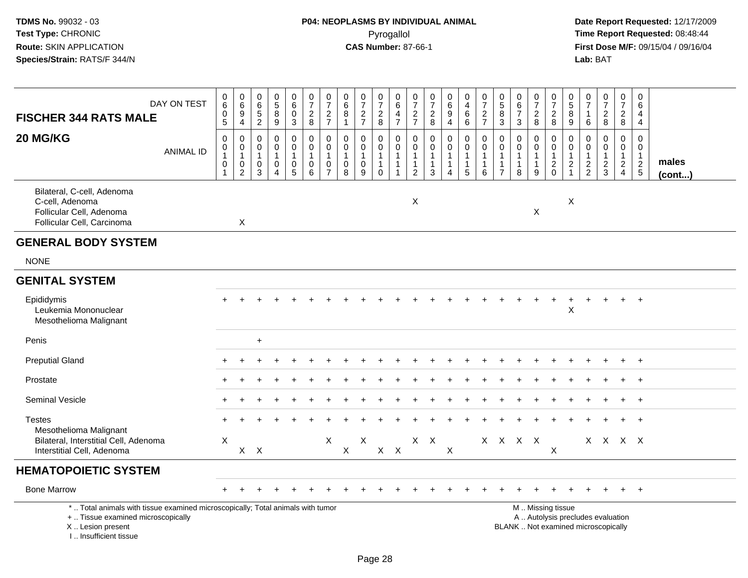| DAY ON TEST<br><b>FISCHER 344 RATS MALE</b>                                                                                                                         | $\begin{smallmatrix}0\0\0\end{smallmatrix}$<br>$\pmb{0}$<br>$\overline{5}$ | $\pmb{0}$<br>$6\phantom{a}$<br>9<br>$\overline{4}$                   | 0<br>$\,6$<br>5<br>$\overline{c}$                                         | $\pmb{0}$<br>$\overline{5}$<br>8<br>$\boldsymbol{9}$ | $_6^0$<br>0<br>$\mathbf{3}$                           | $\begin{array}{c} 0 \\ 7 \end{array}$<br>$_{8}^{\rm 2}$ | $\frac{0}{7}$<br>$\frac{2}{7}$                                          | $\pmb{0}$<br>$\,6$<br>8<br>$\mathbf{1}$           | $\begin{array}{c} 0 \\ 7 \end{array}$<br>$\frac{2}{7}$                      | $\frac{0}{7}$<br>$\frac{2}{8}$                          | $\pmb{0}$<br>$\,6\,$<br>$\overline{a}$<br>$\overline{7}$                          | $\frac{0}{7}$<br>$\frac{2}{7}$                       | $\frac{0}{7}$<br>8                                                         | $\begin{array}{c} 0 \\ 6 \\ 9 \end{array}$<br>4       | $\begin{array}{c} 0 \\ 4 \\ 6 \end{array}$<br>$6^{\circ}$                  | $\begin{array}{c} 0 \\ 7 \end{array}$<br>$\frac{2}{7}$ | $\begin{array}{c} 0 \\ 5 \\ 8 \end{array}$<br>$\overline{3}$          | $\begin{array}{c} 0 \\ 6 \end{array}$<br>$\overline{7}$<br>$\mathbf{3}$ | $\frac{0}{7}$<br>$\overline{c}$<br>$\,8\,$                           | $\frac{0}{7}$<br>$_{\rm 8}^2$                                | 0<br>$\sqrt{5}$<br>8<br>$\boldsymbol{9}$          | $\begin{smallmatrix}0\\7\end{smallmatrix}$<br>$\mathbf{1}$<br>6 | $\frac{0}{7}$<br>$\overline{c}$<br>$\bf 8$                               | $\begin{array}{c} 0 \\ 7 \end{array}$<br>$\frac{2}{8}$      | $\mathbf 0$<br>$\,6\,$<br>4<br>4                            |                       |
|---------------------------------------------------------------------------------------------------------------------------------------------------------------------|----------------------------------------------------------------------------|----------------------------------------------------------------------|---------------------------------------------------------------------------|------------------------------------------------------|-------------------------------------------------------|---------------------------------------------------------|-------------------------------------------------------------------------|---------------------------------------------------|-----------------------------------------------------------------------------|---------------------------------------------------------|-----------------------------------------------------------------------------------|------------------------------------------------------|----------------------------------------------------------------------------|-------------------------------------------------------|----------------------------------------------------------------------------|--------------------------------------------------------|-----------------------------------------------------------------------|-------------------------------------------------------------------------|----------------------------------------------------------------------|--------------------------------------------------------------|---------------------------------------------------|-----------------------------------------------------------------|--------------------------------------------------------------------------|-------------------------------------------------------------|-------------------------------------------------------------|-----------------------|
| 20 MG/KG<br><b>ANIMAL ID</b>                                                                                                                                        | $\pmb{0}$<br>$\boldsymbol{0}$<br>$\mathbf{1}$<br>$\boldsymbol{0}$<br>-1    | 0<br>$\overline{0}$<br>$\overline{1}$<br>$\pmb{0}$<br>$\overline{2}$ | $\mathbf 0$<br>$\mathbf 0$<br>$\mathbf{1}$<br>$\mathbf 0$<br>$\mathbf{3}$ | 0<br>$\mathbf 0$<br>1<br>$\mathbf 0$<br>4            | 0<br>0<br>$\mathbf{1}$<br>$\pmb{0}$<br>$\overline{5}$ | 0<br>$\mathbf 0$<br>$\mathbf{1}$<br>$\mathbf 0$<br>6    | $\mathbf 0$<br>$\pmb{0}$<br>$\mathbf{1}$<br>$\pmb{0}$<br>$\overline{7}$ | $\Omega$<br>$\mathbf 0$<br>$\mathbf{1}$<br>0<br>8 | $\mathbf 0$<br>$\mathbf 0$<br>$\mathbf{1}$<br>$\mathbf 0$<br>$\overline{9}$ | 0<br>0<br>$\mathbf{1}$<br>$\overline{1}$<br>$\mathbf 0$ | $\boldsymbol{0}$<br>$\mathsf 0$<br>$\mathbf{1}$<br>$\mathbf{1}$<br>$\overline{1}$ | $\Omega$<br>0<br>$\mathbf{1}$<br>1<br>$\overline{c}$ | $\mathbf 0$<br>$\mathbf 0$<br>$\mathbf{1}$<br>$\mathbf{1}$<br>$\mathbf{3}$ | 0<br>$\mathbf 0$<br>$\mathbf{1}$<br>$\mathbf{1}$<br>4 | $\pmb{0}$<br>$\mathbf 0$<br>$\mathbf{1}$<br>$\mathbf{1}$<br>$\overline{5}$ | $\mathbf 0$<br>$\mathbf 0$<br>1<br>1<br>$\,6\,$        | $\mathbf{0}$<br>0<br>$\overline{1}$<br>$\mathbf{1}$<br>$\overline{7}$ | $\mathbf 0$<br>$\mathbf 0$<br>$\mathbf{1}$<br>$\mathbf{1}$<br>8         | 0<br>$\mathbf 0$<br>$\mathbf{1}$<br>$\mathbf{1}$<br>$\boldsymbol{9}$ | $\mathbf 0$<br>$\mathbf 0$<br>$\overline{1}$<br>$^2_{\rm 0}$ | $\Omega$<br>$\mathbf 0$<br>1<br>2<br>$\mathbf{1}$ | $\Omega$<br>$\mathbf 0$<br>$\mathbf{1}$<br>$\frac{2}{2}$        | 0<br>0<br>$\mathbf{1}$<br>$\frac{2}{3}$                                  | $\mathbf 0$<br>$\mathbf 0$<br>$\mathbf{1}$<br>$\frac{2}{4}$ | $\mathbf 0$<br>$\mathbf 0$<br>$\mathbf{1}$<br>$\frac{2}{5}$ | males<br>$($ cont $)$ |
| Bilateral, C-cell, Adenoma<br>C-cell, Adenoma<br>Follicular Cell, Adenoma<br>Follicular Cell, Carcinoma                                                             |                                                                            | $\sf X$                                                              |                                                                           |                                                      |                                                       |                                                         |                                                                         |                                                   |                                                                             |                                                         |                                                                                   | $\times$                                             |                                                                            |                                                       |                                                                            |                                                        |                                                                       |                                                                         | $\pmb{\times}$                                                       |                                                              | Χ                                                 |                                                                 |                                                                          |                                                             |                                                             |                       |
| <b>GENERAL BODY SYSTEM</b>                                                                                                                                          |                                                                            |                                                                      |                                                                           |                                                      |                                                       |                                                         |                                                                         |                                                   |                                                                             |                                                         |                                                                                   |                                                      |                                                                            |                                                       |                                                                            |                                                        |                                                                       |                                                                         |                                                                      |                                                              |                                                   |                                                                 |                                                                          |                                                             |                                                             |                       |
| <b>NONE</b>                                                                                                                                                         |                                                                            |                                                                      |                                                                           |                                                      |                                                       |                                                         |                                                                         |                                                   |                                                                             |                                                         |                                                                                   |                                                      |                                                                            |                                                       |                                                                            |                                                        |                                                                       |                                                                         |                                                                      |                                                              |                                                   |                                                                 |                                                                          |                                                             |                                                             |                       |
| <b>GENITAL SYSTEM</b>                                                                                                                                               |                                                                            |                                                                      |                                                                           |                                                      |                                                       |                                                         |                                                                         |                                                   |                                                                             |                                                         |                                                                                   |                                                      |                                                                            |                                                       |                                                                            |                                                        |                                                                       |                                                                         |                                                                      |                                                              |                                                   |                                                                 |                                                                          |                                                             |                                                             |                       |
| Epididymis<br>Leukemia Mononuclear<br>Mesothelioma Malignant                                                                                                        |                                                                            |                                                                      |                                                                           |                                                      |                                                       |                                                         |                                                                         |                                                   |                                                                             |                                                         |                                                                                   |                                                      |                                                                            |                                                       |                                                                            |                                                        |                                                                       |                                                                         |                                                                      |                                                              | X                                                 |                                                                 | $\div$                                                                   | $+$                                                         | $+$                                                         |                       |
| Penis                                                                                                                                                               |                                                                            |                                                                      | $+$                                                                       |                                                      |                                                       |                                                         |                                                                         |                                                   |                                                                             |                                                         |                                                                                   |                                                      |                                                                            |                                                       |                                                                            |                                                        |                                                                       |                                                                         |                                                                      |                                                              |                                                   |                                                                 |                                                                          |                                                             |                                                             |                       |
| <b>Preputial Gland</b>                                                                                                                                              |                                                                            |                                                                      |                                                                           |                                                      |                                                       |                                                         |                                                                         |                                                   |                                                                             |                                                         |                                                                                   |                                                      |                                                                            |                                                       |                                                                            |                                                        |                                                                       |                                                                         |                                                                      |                                                              |                                                   |                                                                 |                                                                          |                                                             |                                                             |                       |
| Prostate                                                                                                                                                            |                                                                            |                                                                      |                                                                           |                                                      |                                                       |                                                         |                                                                         |                                                   |                                                                             |                                                         |                                                                                   |                                                      |                                                                            |                                                       |                                                                            |                                                        |                                                                       |                                                                         |                                                                      |                                                              |                                                   |                                                                 |                                                                          | $\pm$                                                       | $^{+}$                                                      |                       |
| Seminal Vesicle                                                                                                                                                     |                                                                            |                                                                      |                                                                           |                                                      |                                                       |                                                         |                                                                         |                                                   |                                                                             |                                                         |                                                                                   |                                                      |                                                                            |                                                       |                                                                            |                                                        |                                                                       |                                                                         |                                                                      |                                                              |                                                   |                                                                 |                                                                          |                                                             | $+$                                                         |                       |
| <b>Testes</b><br>Mesothelioma Malignant                                                                                                                             |                                                                            |                                                                      |                                                                           |                                                      |                                                       |                                                         |                                                                         |                                                   |                                                                             |                                                         |                                                                                   |                                                      |                                                                            |                                                       |                                                                            |                                                        |                                                                       |                                                                         |                                                                      |                                                              |                                                   |                                                                 |                                                                          | $+$                                                         | $\overline{1}$                                              |                       |
| Bilateral, Interstitial Cell, Adenoma<br>Interstitial Cell, Adenoma                                                                                                 | X                                                                          | X                                                                    | $\boldsymbol{\mathsf{X}}$                                                 |                                                      |                                                       |                                                         | X                                                                       | $\mathsf X$                                       | X                                                                           |                                                         | $X$ $X$                                                                           |                                                      | $X$ $X$                                                                    | X                                                     |                                                                            |                                                        |                                                                       | X X X X                                                                 |                                                                      | $\boldsymbol{\mathsf{X}}$                                    |                                                   |                                                                 | X X X X                                                                  |                                                             |                                                             |                       |
| <b>HEMATOPOIETIC SYSTEM</b>                                                                                                                                         |                                                                            |                                                                      |                                                                           |                                                      |                                                       |                                                         |                                                                         |                                                   |                                                                             |                                                         |                                                                                   |                                                      |                                                                            |                                                       |                                                                            |                                                        |                                                                       |                                                                         |                                                                      |                                                              |                                                   |                                                                 |                                                                          |                                                             |                                                             |                       |
| <b>Bone Marrow</b>                                                                                                                                                  |                                                                            |                                                                      |                                                                           |                                                      |                                                       |                                                         |                                                                         |                                                   |                                                                             |                                                         |                                                                                   |                                                      |                                                                            |                                                       |                                                                            |                                                        |                                                                       |                                                                         |                                                                      |                                                              |                                                   |                                                                 |                                                                          |                                                             | $\overline{+}$                                              |                       |
| *  Total animals with tissue examined microscopically; Total animals with tumor<br>+  Tissue examined microscopically<br>X  Lesion present<br>I Insufficient tissue |                                                                            |                                                                      |                                                                           |                                                      |                                                       |                                                         |                                                                         |                                                   |                                                                             |                                                         |                                                                                   |                                                      |                                                                            |                                                       |                                                                            |                                                        |                                                                       |                                                                         |                                                                      | M  Missing tissue                                            |                                                   |                                                                 | A  Autolysis precludes evaluation<br>BLANK  Not examined microscopically |                                                             |                                                             |                       |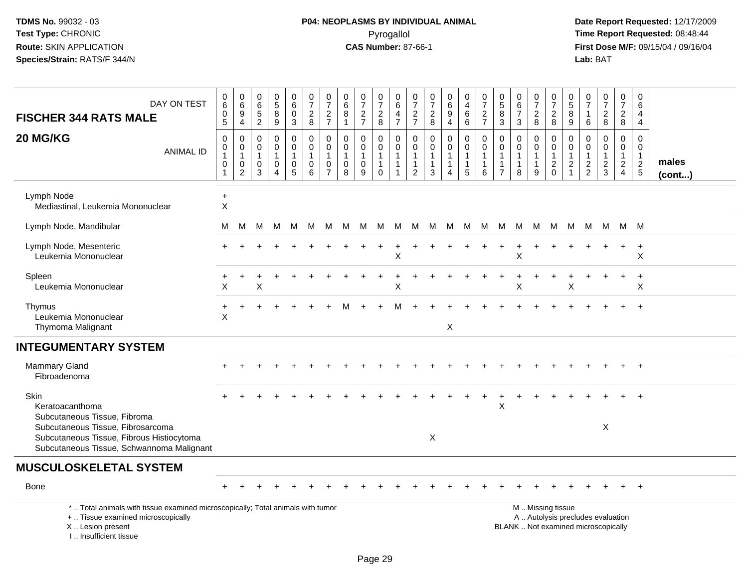# **P04: NEOPLASMS BY INDIVIDUAL ANIMAL**Pyrogallol Pyrogallol **Pyrogallol Time Report Requested:** 08:48:44<br>**CAS Number:** 87-66-1 **Time Report Requested:** 08/15/04 / 09/16/04

| DAY ON TEST<br><b>FISCHER 344 RATS MALE</b><br>20 MG/KG<br><b>ANIMAL ID</b>                                                                                          | 0<br>6<br>$\pmb{0}$<br>5<br>0<br>$\pmb{0}$<br>$\mathbf{1}$<br>$\pmb{0}$<br>$\mathbf{1}$ | 0<br>$6\overline{6}$<br>9<br>$\overline{4}$<br>0<br>0<br>$\mathbf{1}$<br>0<br>$\overline{2}$ | 0<br>6<br>$\frac{5}{2}$<br>$\mathbf 0$<br>0<br>$\mathbf{1}$<br>0<br>3 | $\begin{array}{c} 0 \\ 5 \end{array}$<br>$\,8\,$<br>9<br>$\mathbf 0$<br>$\mathsf{O}\xspace$<br>$\mathbf{1}$<br>0<br>$\Delta$ | 0<br>$\,6\,$<br>0<br>3<br>0<br>$\mathsf{O}\xspace$<br>$\mathbf{1}$<br>0<br>$\overline{5}$ | $\pmb{0}$<br>$\overline{7}$<br>$\overline{c}$<br>8<br>$\mathbf 0$<br>$\pmb{0}$<br>$\overline{1}$<br>$\mathbf 0$<br>$6\phantom{1}6$ | 0<br>$\overline{7}$<br>$\overline{c}$<br>$\overline{7}$<br>0<br>0<br>$\mathbf{1}$<br>0<br>$\overline{7}$ | 0<br>$\,6\,$<br>8<br>$\mathbf{1}$<br>$\mathbf 0$<br>$\mathbf 0$<br>$\mathbf{1}$<br>$\mathbf 0$<br>8 | $\frac{0}{7}$<br>$\overline{c}$<br>$\overline{7}$<br>$\mathbf 0$<br>$\mathbf 0$<br>0<br>9 | 0<br>$\overline{7}$<br>$_{\rm 8}^2$<br>$\mathbf 0$<br>$\mathbf 0$<br>$\mathbf{1}$<br>$\mathbf{1}$<br>$\mathbf 0$ | 0<br>$\,6\,$<br>$\overline{4}$<br>$\overline{7}$<br>$\mathbf 0$<br>$\mathbf 0$<br>$\mathbf{1}$<br>$\overline{1}$<br>$\overline{1}$ | 0<br>$\overline{7}$<br>$\frac{2}{7}$<br>$\mathbf 0$<br>$\overline{0}$<br>-1<br>$\mathbf{1}$<br>$\overline{2}$ | 0<br>$\overline{7}$<br>$\frac{2}{8}$<br>$\mathbf 0$<br>$\mathbf 0$<br>$\mathbf{1}$<br>$\mathbf{1}$<br>3 | $\begin{matrix} 0 \\ 6 \\ 9 \end{matrix}$<br>$\overline{4}$<br>0<br>$\overline{0}$<br>$\mathbf 1$<br>$\mathbf{1}$<br>$\overline{4}$ | 0<br>4<br>$\,6\,$<br>$6\phantom{1}$<br>0<br>$\mathbf 0$<br>$\mathbf{1}$<br>5 | $\pmb{0}$<br>$\overline{7}$<br>$\frac{2}{7}$<br>$\mathbf 0$<br>$\mathbf 0$<br>$\overline{1}$<br>$\mathbf{1}$<br>$6\phantom{1}6$ | 0<br>$\overline{5}$<br>$\bf 8$<br>$\mathbf{3}$<br>$\mathbf 0$<br>$\mathbf 0$<br>$\mathbf 1$<br>$\overline{1}$<br>$\overline{7}$ | $\mathbf 0$<br>$6\phantom{1}6$<br>$\overline{7}$<br>3<br>$\Omega$<br>$\mathbf 0$<br>1<br>$\mathbf{1}$<br>8 | $\frac{0}{7}$<br>$\overline{a}$<br>8<br>0<br>$\mathbf 0$<br>$\mathbf{1}$<br>9 | 0<br>$\overline{7}$<br>$\overline{a}$<br>8<br>0<br>$\mathbf 0$<br>$\mathbf{1}$<br>$\overline{c}$<br>$\mathbf 0$ | $\begin{array}{c} 0 \\ 5 \end{array}$<br>$\bf 8$<br>$\boldsymbol{9}$<br>$\mathbf 0$<br>$\mathbf 0$<br>$\overline{1}$<br>$\overline{c}$<br>$\overline{1}$ | 0<br>$\overline{7}$<br>-1<br>6<br>$\mathbf 0$<br>$\mathbf 0$<br>$\overline{1}$<br>$\frac{2}{2}$ | $\frac{0}{7}$<br>$\boldsymbol{2}$<br>8<br>$\mathbf 0$<br>$\mathbf 0$<br>$\mathbf{1}$<br>$\frac{2}{3}$ | $\pmb{0}$<br>$\overline{7}$<br>$\overline{a}$<br>8<br>0<br>$\mathbf{0}$<br>$\mathbf{1}$<br>$\overline{2}$<br>$\overline{4}$ | $\mathbf 0$<br>$\,6\,$<br>4<br>$\overline{4}$<br>0<br>$\mathbf 0$<br>$\mathbf{1}$<br>$\overline{2}$<br>$5\phantom{.0}$ | males<br>$($ cont $)$ |
|----------------------------------------------------------------------------------------------------------------------------------------------------------------------|-----------------------------------------------------------------------------------------|----------------------------------------------------------------------------------------------|-----------------------------------------------------------------------|------------------------------------------------------------------------------------------------------------------------------|-------------------------------------------------------------------------------------------|------------------------------------------------------------------------------------------------------------------------------------|----------------------------------------------------------------------------------------------------------|-----------------------------------------------------------------------------------------------------|-------------------------------------------------------------------------------------------|------------------------------------------------------------------------------------------------------------------|------------------------------------------------------------------------------------------------------------------------------------|---------------------------------------------------------------------------------------------------------------|---------------------------------------------------------------------------------------------------------|-------------------------------------------------------------------------------------------------------------------------------------|------------------------------------------------------------------------------|---------------------------------------------------------------------------------------------------------------------------------|---------------------------------------------------------------------------------------------------------------------------------|------------------------------------------------------------------------------------------------------------|-------------------------------------------------------------------------------|-----------------------------------------------------------------------------------------------------------------|----------------------------------------------------------------------------------------------------------------------------------------------------------|-------------------------------------------------------------------------------------------------|-------------------------------------------------------------------------------------------------------|-----------------------------------------------------------------------------------------------------------------------------|------------------------------------------------------------------------------------------------------------------------|-----------------------|
| Lymph Node<br>Mediastinal, Leukemia Mononuclear                                                                                                                      | $\ddot{}$<br>$\times$                                                                   |                                                                                              |                                                                       |                                                                                                                              |                                                                                           |                                                                                                                                    |                                                                                                          |                                                                                                     |                                                                                           |                                                                                                                  |                                                                                                                                    |                                                                                                               |                                                                                                         |                                                                                                                                     |                                                                              |                                                                                                                                 |                                                                                                                                 |                                                                                                            |                                                                               |                                                                                                                 |                                                                                                                                                          |                                                                                                 |                                                                                                       |                                                                                                                             |                                                                                                                        |                       |
| Lymph Node, Mandibular                                                                                                                                               | м                                                                                       | м                                                                                            | м                                                                     | м                                                                                                                            | M                                                                                         | M                                                                                                                                  | M                                                                                                        | м                                                                                                   | M                                                                                         | M                                                                                                                | M                                                                                                                                  | M                                                                                                             | M                                                                                                       | M                                                                                                                                   | M                                                                            | M                                                                                                                               | M                                                                                                                               | M                                                                                                          | M                                                                             | M                                                                                                               | M                                                                                                                                                        | M                                                                                               |                                                                                                       | M M M                                                                                                                       |                                                                                                                        |                       |
| Lymph Node, Mesenteric<br>Leukemia Mononuclear                                                                                                                       |                                                                                         |                                                                                              |                                                                       |                                                                                                                              |                                                                                           |                                                                                                                                    |                                                                                                          |                                                                                                     |                                                                                           |                                                                                                                  | $\times$                                                                                                                           |                                                                                                               |                                                                                                         |                                                                                                                                     |                                                                              |                                                                                                                                 |                                                                                                                                 | $\pmb{\times}$                                                                                             |                                                                               |                                                                                                                 |                                                                                                                                                          |                                                                                                 |                                                                                                       |                                                                                                                             | $\ddot{}$<br>$\boldsymbol{\mathsf{X}}$                                                                                 |                       |
| Spleen<br>Leukemia Mononuclear                                                                                                                                       | $\mathsf X$                                                                             | $\ddot{}$                                                                                    | X                                                                     |                                                                                                                              |                                                                                           |                                                                                                                                    |                                                                                                          |                                                                                                     |                                                                                           |                                                                                                                  | X                                                                                                                                  |                                                                                                               |                                                                                                         |                                                                                                                                     |                                                                              |                                                                                                                                 |                                                                                                                                 | Χ                                                                                                          |                                                                               |                                                                                                                 | $\sf X$                                                                                                                                                  |                                                                                                 |                                                                                                       |                                                                                                                             | $\div$<br>X                                                                                                            |                       |
| Thymus<br>Leukemia Mononuclear<br>Thymoma Malignant                                                                                                                  | $\div$<br>X                                                                             |                                                                                              |                                                                       |                                                                                                                              |                                                                                           |                                                                                                                                    |                                                                                                          |                                                                                                     |                                                                                           |                                                                                                                  | м                                                                                                                                  |                                                                                                               |                                                                                                         | X                                                                                                                                   |                                                                              |                                                                                                                                 |                                                                                                                                 |                                                                                                            |                                                                               |                                                                                                                 |                                                                                                                                                          |                                                                                                 |                                                                                                       |                                                                                                                             |                                                                                                                        |                       |
| <b>INTEGUMENTARY SYSTEM</b>                                                                                                                                          |                                                                                         |                                                                                              |                                                                       |                                                                                                                              |                                                                                           |                                                                                                                                    |                                                                                                          |                                                                                                     |                                                                                           |                                                                                                                  |                                                                                                                                    |                                                                                                               |                                                                                                         |                                                                                                                                     |                                                                              |                                                                                                                                 |                                                                                                                                 |                                                                                                            |                                                                               |                                                                                                                 |                                                                                                                                                          |                                                                                                 |                                                                                                       |                                                                                                                             |                                                                                                                        |                       |
| <b>Mammary Gland</b><br>Fibroadenoma                                                                                                                                 |                                                                                         |                                                                                              |                                                                       |                                                                                                                              |                                                                                           |                                                                                                                                    |                                                                                                          |                                                                                                     |                                                                                           |                                                                                                                  |                                                                                                                                    |                                                                                                               |                                                                                                         |                                                                                                                                     |                                                                              |                                                                                                                                 |                                                                                                                                 |                                                                                                            |                                                                               |                                                                                                                 |                                                                                                                                                          |                                                                                                 |                                                                                                       |                                                                                                                             |                                                                                                                        |                       |
| <b>Skin</b><br>Keratoacanthoma<br>Subcutaneous Tissue, Fibroma                                                                                                       |                                                                                         |                                                                                              |                                                                       |                                                                                                                              |                                                                                           |                                                                                                                                    |                                                                                                          |                                                                                                     |                                                                                           |                                                                                                                  |                                                                                                                                    |                                                                                                               |                                                                                                         |                                                                                                                                     |                                                                              |                                                                                                                                 | X                                                                                                                               |                                                                                                            |                                                                               |                                                                                                                 |                                                                                                                                                          |                                                                                                 |                                                                                                       |                                                                                                                             |                                                                                                                        |                       |
| Subcutaneous Tissue, Fibrosarcoma<br>Subcutaneous Tissue, Fibrous Histiocytoma<br>Subcutaneous Tissue, Schwannoma Malignant                                          |                                                                                         |                                                                                              |                                                                       |                                                                                                                              |                                                                                           |                                                                                                                                    |                                                                                                          |                                                                                                     |                                                                                           |                                                                                                                  |                                                                                                                                    |                                                                                                               | X                                                                                                       |                                                                                                                                     |                                                                              |                                                                                                                                 |                                                                                                                                 |                                                                                                            |                                                                               |                                                                                                                 |                                                                                                                                                          |                                                                                                 | X                                                                                                     |                                                                                                                             |                                                                                                                        |                       |
| <b>MUSCULOSKELETAL SYSTEM</b>                                                                                                                                        |                                                                                         |                                                                                              |                                                                       |                                                                                                                              |                                                                                           |                                                                                                                                    |                                                                                                          |                                                                                                     |                                                                                           |                                                                                                                  |                                                                                                                                    |                                                                                                               |                                                                                                         |                                                                                                                                     |                                                                              |                                                                                                                                 |                                                                                                                                 |                                                                                                            |                                                                               |                                                                                                                 |                                                                                                                                                          |                                                                                                 |                                                                                                       |                                                                                                                             |                                                                                                                        |                       |
| Bone                                                                                                                                                                 |                                                                                         |                                                                                              |                                                                       |                                                                                                                              |                                                                                           |                                                                                                                                    |                                                                                                          |                                                                                                     |                                                                                           |                                                                                                                  |                                                                                                                                    |                                                                                                               |                                                                                                         |                                                                                                                                     |                                                                              |                                                                                                                                 |                                                                                                                                 |                                                                                                            |                                                                               |                                                                                                                 |                                                                                                                                                          |                                                                                                 |                                                                                                       |                                                                                                                             |                                                                                                                        |                       |
| *  Total animals with tissue examined microscopically; Total animals with tumor<br>+  Tissue examined microscopically<br>X  Lesion present<br>L. Insufficient tissue |                                                                                         |                                                                                              |                                                                       |                                                                                                                              |                                                                                           |                                                                                                                                    |                                                                                                          |                                                                                                     |                                                                                           |                                                                                                                  |                                                                                                                                    |                                                                                                               |                                                                                                         |                                                                                                                                     |                                                                              |                                                                                                                                 |                                                                                                                                 | BLANK  Not examined microscopically                                                                        |                                                                               | M  Missing tissue                                                                                               |                                                                                                                                                          |                                                                                                 | A  Autolysis precludes evaluation                                                                     |                                                                                                                             |                                                                                                                        |                       |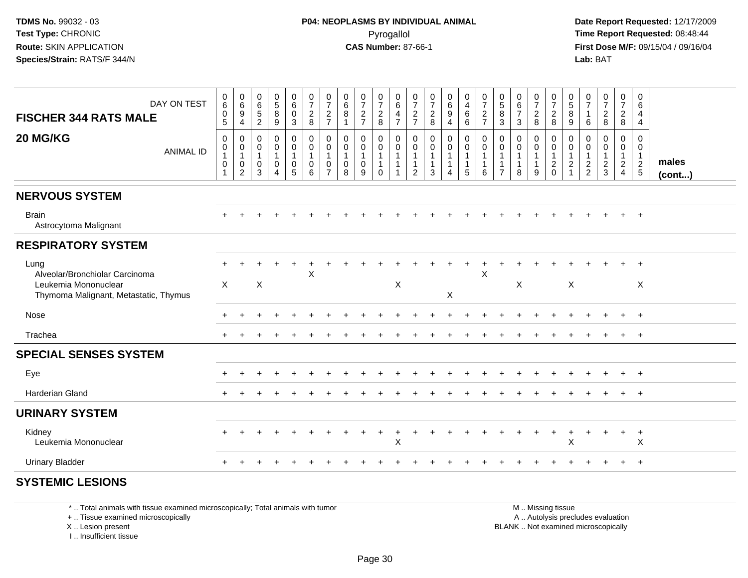**Date Report Requested:** 12/17/2009 **First Dose M/F:** 09/15/04 / 09/16/04 Lab: BAT **Lab:** BAT

| DAY ON TEST<br><b>FISCHER 344 RATS MALE</b>                                                             | $0\over 6$<br>$\pmb{0}$<br>$\overline{5}$                                   | $\begin{array}{c} 0 \\ 6 \end{array}$<br>$\boldsymbol{9}$<br>$\overline{4}$     | 0<br>6<br>$\sqrt{5}$<br>$\overline{2}$      | $\begin{array}{c} 0 \\ 5 \\ 8 \end{array}$<br>$\boldsymbol{9}$                  | $\begin{array}{c} 0 \\ 6 \end{array}$<br>$\pmb{0}$<br>$\mathfrak{S}$ | $\frac{0}{7}$<br>$\frac{2}{8}$                                      | $\frac{0}{7}$<br>$\frac{2}{7}$                        | $\boldsymbol{0}$<br>$\,6\,$<br>8<br>$\overline{1}$             | $\frac{0}{7}$<br>$\frac{2}{7}$           | $\frac{0}{7}$<br>$_{\rm 8}^2$                                     | $\begin{array}{c} 0 \\ 6 \end{array}$<br>$\overline{4}$<br>$\overline{7}$ | 0<br>$\overline{7}$<br>$\frac{2}{7}$                  | $\frac{0}{7}$<br>$\frac{2}{8}$                     | $\begin{matrix} 0 \\ 6 \end{matrix}$<br>$\boldsymbol{9}$<br>$\overline{4}$ | $\begin{smallmatrix}0\0\4\end{smallmatrix}$<br>$\,6\,$<br>$6\phantom{a}$ | $\frac{0}{7}$<br>$\frac{2}{7}$     | $\begin{array}{c} 0 \\ 5 \\ 8 \end{array}$<br>$\overline{3}$         | $\begin{array}{c} 0 \\ 6 \\ 7 \end{array}$<br>$\mathbf{3}$    | $\frac{0}{7}$<br>$\frac{2}{8}$                      | $\frac{0}{7}$<br>$_{\rm 8}^2$                                  | $\begin{array}{c} 0 \\ 5 \\ 8 \end{array}$<br>$\boldsymbol{9}$ | $\boldsymbol{0}$<br>$\overline{7}$<br>$\mathbf{1}$<br>6 | $\frac{0}{7}$<br>$\frac{2}{8}$                  | $\frac{0}{7}$<br>$\frac{2}{8}$                                     | 0<br>6<br>$\overline{4}$<br>$\overline{4}$                     |                       |
|---------------------------------------------------------------------------------------------------------|-----------------------------------------------------------------------------|---------------------------------------------------------------------------------|---------------------------------------------|---------------------------------------------------------------------------------|----------------------------------------------------------------------|---------------------------------------------------------------------|-------------------------------------------------------|----------------------------------------------------------------|------------------------------------------|-------------------------------------------------------------------|---------------------------------------------------------------------------|-------------------------------------------------------|----------------------------------------------------|----------------------------------------------------------------------------|--------------------------------------------------------------------------|------------------------------------|----------------------------------------------------------------------|---------------------------------------------------------------|-----------------------------------------------------|----------------------------------------------------------------|----------------------------------------------------------------|---------------------------------------------------------|-------------------------------------------------|--------------------------------------------------------------------|----------------------------------------------------------------|-----------------------|
| 20 MG/KG<br><b>ANIMAL ID</b>                                                                            | $\pmb{0}$<br>$\begin{smallmatrix}0\\1\end{smallmatrix}$<br>$\mathbf 0$<br>1 | $\mathsf{O}\xspace$<br>$\pmb{0}$<br>$\mathbf{1}$<br>$\pmb{0}$<br>$\overline{2}$ | $\mathbf{0}$<br>0<br>$\mathbf{1}$<br>0<br>3 | $\pmb{0}$<br>$\pmb{0}$<br>$\mathbf{1}$<br>$\mathbf 0$<br>$\boldsymbol{\Lambda}$ | 0<br>$\pmb{0}$<br>$\mathbf{1}$<br>0<br>5                             | $\mathbf 0$<br>$\boldsymbol{0}$<br>$\mathbf{1}$<br>$\mathbf 0$<br>6 | 0<br>$\pmb{0}$<br>$\mathbf{1}$<br>0<br>$\overline{7}$ | $\mathbf 0$<br>$\mathbf 0$<br>$\mathbf{1}$<br>$\mathbf 0$<br>8 | 0<br>$\pmb{0}$<br>$\mathbf{1}$<br>0<br>9 | $\mathbf 0$<br>0<br>$\mathbf{1}$<br>$\overline{1}$<br>$\mathbf 0$ | $\mathbf 0$<br>$\pmb{0}$<br>$\overline{1}$<br>$\overline{1}$              | $\mathbf 0$<br>0<br>$\mathbf{1}$<br>$\mathbf{1}$<br>2 | $\mathbf 0$<br>$\pmb{0}$<br>$\mathbf{1}$<br>1<br>3 | 0<br>$\boldsymbol{0}$<br>$\mathbf{1}$<br>$\mathbf 1$<br>4                  | $\mathsf 0$<br>$\mathbf 0$<br>$\mathbf{1}$<br>$\mathbf{1}$<br>5          | 0<br>$\pmb{0}$<br>$\mathbf 1$<br>6 | 0<br>$\pmb{0}$<br>$\overline{1}$<br>$\overline{1}$<br>$\overline{7}$ | $\mathbf 0$<br>$\pmb{0}$<br>$\mathbf{1}$<br>$\mathbf{1}$<br>8 | 0<br>$\pmb{0}$<br>$\mathbf{1}$<br>$\mathbf{1}$<br>9 | 0<br>$\pmb{0}$<br>$\mathbf{1}$<br>$\boldsymbol{2}$<br>$\Omega$ | 0<br>$\pmb{0}$<br>$\mathbf{1}$<br>$\overline{a}$               | 0<br>$\pmb{0}$<br>$\mathbf{1}$<br>$\frac{2}{2}$         | 0<br>$\pmb{0}$<br>$\mathbf{1}$<br>$\frac{2}{3}$ | 0<br>$\pmb{0}$<br>$\mathbf{1}$<br>$\overline{2}$<br>$\overline{4}$ | $\mathbf 0$<br>$\overline{0}$<br>$\mathbf{1}$<br>$\frac{2}{5}$ | males<br>$($ cont $)$ |
| <b>NERVOUS SYSTEM</b>                                                                                   |                                                                             |                                                                                 |                                             |                                                                                 |                                                                      |                                                                     |                                                       |                                                                |                                          |                                                                   |                                                                           |                                                       |                                                    |                                                                            |                                                                          |                                    |                                                                      |                                                               |                                                     |                                                                |                                                                |                                                         |                                                 |                                                                    |                                                                |                       |
| <b>Brain</b><br>Astrocytoma Malignant                                                                   |                                                                             |                                                                                 |                                             |                                                                                 |                                                                      |                                                                     |                                                       |                                                                |                                          |                                                                   |                                                                           |                                                       |                                                    |                                                                            |                                                                          |                                    |                                                                      |                                                               |                                                     |                                                                |                                                                |                                                         |                                                 |                                                                    | $\overline{+}$                                                 |                       |
| <b>RESPIRATORY SYSTEM</b>                                                                               |                                                                             |                                                                                 |                                             |                                                                                 |                                                                      |                                                                     |                                                       |                                                                |                                          |                                                                   |                                                                           |                                                       |                                                    |                                                                            |                                                                          |                                    |                                                                      |                                                               |                                                     |                                                                |                                                                |                                                         |                                                 |                                                                    |                                                                |                       |
| Lung<br>Alveolar/Bronchiolar Carcinoma<br>Leukemia Mononuclear<br>Thymoma Malignant, Metastatic, Thymus | $+$<br>$\mathsf{X}$                                                         |                                                                                 | $\boldsymbol{\mathsf{X}}$                   |                                                                                 | ÷                                                                    | X                                                                   |                                                       |                                                                |                                          |                                                                   | $\boldsymbol{\mathsf{X}}$                                                 |                                                       |                                                    | X                                                                          | $\pm$                                                                    | $\pm$<br>X                         |                                                                      | X                                                             |                                                     |                                                                | $\boldsymbol{\mathsf{X}}$                                      |                                                         |                                                 |                                                                    | X                                                              |                       |
| Nose                                                                                                    |                                                                             |                                                                                 |                                             |                                                                                 |                                                                      |                                                                     |                                                       |                                                                |                                          |                                                                   |                                                                           |                                                       |                                                    |                                                                            |                                                                          |                                    |                                                                      |                                                               |                                                     |                                                                |                                                                |                                                         |                                                 |                                                                    | $\overline{+}$                                                 |                       |
| Trachea                                                                                                 |                                                                             |                                                                                 |                                             |                                                                                 |                                                                      |                                                                     |                                                       |                                                                |                                          |                                                                   |                                                                           |                                                       |                                                    |                                                                            |                                                                          |                                    |                                                                      |                                                               |                                                     |                                                                |                                                                |                                                         |                                                 | $+$                                                                | $+$                                                            |                       |
| <b>SPECIAL SENSES SYSTEM</b>                                                                            |                                                                             |                                                                                 |                                             |                                                                                 |                                                                      |                                                                     |                                                       |                                                                |                                          |                                                                   |                                                                           |                                                       |                                                    |                                                                            |                                                                          |                                    |                                                                      |                                                               |                                                     |                                                                |                                                                |                                                         |                                                 |                                                                    |                                                                |                       |
| Eye                                                                                                     |                                                                             |                                                                                 |                                             |                                                                                 |                                                                      |                                                                     |                                                       |                                                                |                                          |                                                                   |                                                                           |                                                       |                                                    |                                                                            |                                                                          |                                    |                                                                      |                                                               |                                                     |                                                                |                                                                |                                                         |                                                 | +                                                                  | $+$                                                            |                       |
| Harderian Gland                                                                                         |                                                                             |                                                                                 |                                             |                                                                                 |                                                                      |                                                                     |                                                       |                                                                |                                          |                                                                   |                                                                           |                                                       |                                                    |                                                                            |                                                                          |                                    |                                                                      |                                                               |                                                     |                                                                |                                                                |                                                         |                                                 |                                                                    | $+$                                                            |                       |
| <b>URINARY SYSTEM</b>                                                                                   |                                                                             |                                                                                 |                                             |                                                                                 |                                                                      |                                                                     |                                                       |                                                                |                                          |                                                                   |                                                                           |                                                       |                                                    |                                                                            |                                                                          |                                    |                                                                      |                                                               |                                                     |                                                                |                                                                |                                                         |                                                 |                                                                    |                                                                |                       |
| Kidney<br>Leukemia Mononuclear                                                                          |                                                                             |                                                                                 |                                             |                                                                                 |                                                                      |                                                                     |                                                       |                                                                |                                          |                                                                   | X                                                                         |                                                       |                                                    |                                                                            |                                                                          |                                    |                                                                      |                                                               |                                                     |                                                                | X                                                              |                                                         |                                                 |                                                                    | $\ddot{}$<br>X                                                 |                       |
| <b>Urinary Bladder</b>                                                                                  |                                                                             |                                                                                 |                                             |                                                                                 |                                                                      |                                                                     |                                                       |                                                                |                                          |                                                                   |                                                                           |                                                       |                                                    |                                                                            |                                                                          |                                    |                                                                      |                                                               |                                                     |                                                                |                                                                |                                                         |                                                 | $\pm$                                                              | $+$                                                            |                       |
| <b>SYSTEMIC LESIONS</b>                                                                                 |                                                                             |                                                                                 |                                             |                                                                                 |                                                                      |                                                                     |                                                       |                                                                |                                          |                                                                   |                                                                           |                                                       |                                                    |                                                                            |                                                                          |                                    |                                                                      |                                                               |                                                     |                                                                |                                                                |                                                         |                                                 |                                                                    |                                                                |                       |

\* .. Total animals with tissue examined microscopically; Total animals with tumor

+ .. Tissue examined microscopically

X .. Lesion present

I .. Insufficient tissue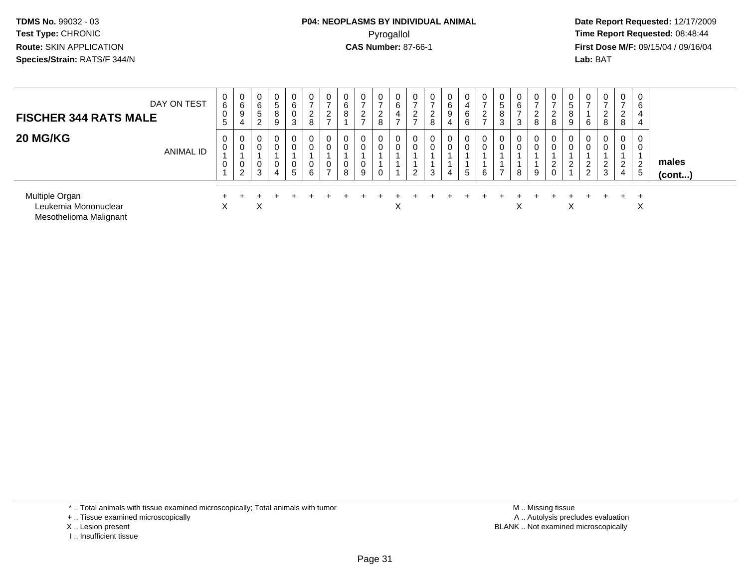## **P04: NEOPLASMS BY INDIVIDUAL ANIMAL**Pyrogallol Pyrogallol **Pyrogallol Time Report Requested:** 08:48:44<br>**CAS Number:** 87-66-1 **Time Report Requested:** 09/15/04 / 09/16/04

 **Date Report Requested:** 12/17/2009 **First Dose M/F:** 09/15/04 / 09/16/04 Lab: BAT **Lab:** BAT

| <b>FISCHER 344 RATS MALE</b>                                     | DAY ON TEST | 0<br>6<br>0<br>5              | 0<br>6<br>9<br>4 | $\mathbf 0$<br>6<br>5<br>2         | 0<br>5<br>8<br>9 | 0<br>6<br>3      | 0<br>$\overline{ }$<br>$\overline{2}$<br>8 | 0<br>$\overline{ }$<br>$\overline{2}$<br>- | 0<br>6<br>8                | -<br>ົ<br>$\epsilon$<br>- | $\mathbf 0$<br>$\rightarrow$<br>$\overline{2}$<br>8 | $\mathbf 0$<br>6<br>4     | 0<br>$\overline{ }$<br>2 | 0<br>$\overline{ }$<br>$\overline{c}$<br>8 | 0<br>6<br>9<br>4 | 0<br>4<br>6<br>6 | 0<br>$\rightarrow$<br>ົ<br>$\epsilon$<br>$\rightarrow$ | 0<br>$\sqrt{5}$<br>8<br>3 | 0<br>6<br>$\rightarrow$<br>3 | 0<br>$\rightarrow$<br>ົ<br>∠<br>8 | 0<br>$\overline{ }$<br>2<br>8 | $\overline{0}$<br>5<br>$\Omega$<br>o<br>9 | 0<br>$\rightarrow$<br>6                 | $\mathbf{0}$<br>-<br>ົ<br>L<br>8 | 0<br>$\rightarrow$<br>റ<br>$\epsilon$<br>8 | 0<br>6<br>4<br>4              |                       |
|------------------------------------------------------------------|-------------|-------------------------------|------------------|------------------------------------|------------------|------------------|--------------------------------------------|--------------------------------------------|----------------------------|---------------------------|-----------------------------------------------------|---------------------------|--------------------------|--------------------------------------------|------------------|------------------|--------------------------------------------------------|---------------------------|------------------------------|-----------------------------------|-------------------------------|-------------------------------------------|-----------------------------------------|----------------------------------|--------------------------------------------|-------------------------------|-----------------------|
| <b>20 MG/KG</b>                                                  | ANIMAL ID   | 0<br>0<br>0<br>$\overline{A}$ | 0<br>0<br>$\sim$ | $\overline{0}$<br>$\mathbf 0$<br>3 | 0<br>0<br>0<br>4 | 0<br>0<br>0<br>5 | 0<br>0<br>0<br>6                           | 0<br>0<br>0<br>$\rightarrow$               | 0<br>0<br>$\mathbf 0$<br>8 | 9                         | $\mathbf{0}$<br>0                                   | 0<br>U                    | 0<br>0<br>$\overline{2}$ | 0<br>0<br>3                                | 0<br>0<br>4      | -<br><u>5</u>    | 0<br>0<br>6                                            | 0<br>0                    | 0<br>0<br>8                  | $\mathbf 0$<br>0<br>9             | 0<br>0<br>2<br>$\mathbf 0$    | $\overline{0}$<br>∼                       | 0<br>$\mathbf 0$<br>2<br>$\overline{2}$ | 0<br>0<br>റ<br>∠<br>3            | $\mathbf{0}$<br>0<br>ົ<br>$\epsilon$<br>4  | 0<br>0<br>$\overline{2}$<br>5 | males<br>$($ cont $)$ |
| Multiple Organ<br>Leukemia Mononuclear<br>Mesothelioma Malignant |             | X                             |                  | Χ                                  |                  |                  |                                            |                                            |                            |                           |                                                     | $\checkmark$<br>$\lambda$ |                          |                                            |                  |                  |                                                        |                           | Χ                            |                                   |                               | ᄉ                                         |                                         |                                  |                                            | ∧                             |                       |

\* .. Total animals with tissue examined microscopically; Total animals with tumor

+ .. Tissue examined microscopically

- X .. Lesion present
- I .. Insufficient tissue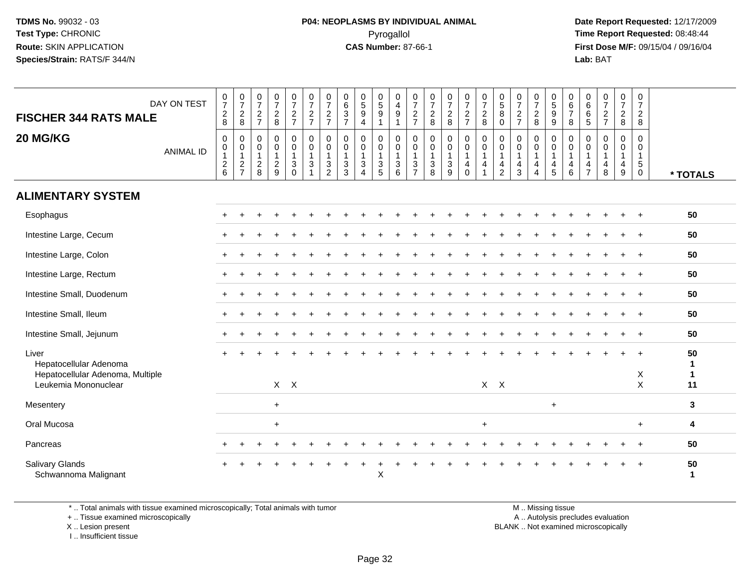#### **P04: NEOPLASMS BY INDIVIDUAL ANIMAL**Pyrogallol Pyrogallol **Pyrogallol Time Report Requested:** 08:48:44<br>**CAS Number:** 87-66-1 **Time Report Requested:** 09/15/04 / 09/16/04

 **Date Report Requested:** 12/17/2009 **First Dose M/F:** 09/15/04 / 09/16/04 Lab: BAT **Lab:** BAT

| DAY ON TEST<br><b>FISCHER 344 RATS MALE</b>                                                 | $\begin{array}{c} 0 \\ 7 \end{array}$<br>$\overline{c}$<br>8 | $\frac{0}{7}$<br>$_{8}^2$                                        | $\begin{array}{c} 0 \\ 7 \end{array}$<br>$\frac{2}{7}$ | $\begin{array}{c} 0 \\ 7 \end{array}$<br>$\frac{2}{8}$    | $\frac{0}{7}$<br>$\frac{2}{7}$                                                               | $\frac{0}{7}$<br>$\frac{2}{7}$                                     | $\frac{0}{7}$<br>$\frac{2}{7}$                                                            | $\begin{array}{c} 0 \\ 6 \\ 3 \end{array}$<br>$\overline{7}$                              | $\begin{array}{c} 0 \\ 5 \\ 9 \end{array}$<br>$\overline{4}$           | $\begin{array}{c} 0 \\ 5 \\ 9 \end{array}$<br>$\overline{1}$ | 0<br>$\overline{4}$<br>$\boldsymbol{9}$<br>$\overline{1}$ | $\frac{0}{7}$<br>$\frac{2}{7}$                  | $\frac{0}{7}$<br>8                                                    | $\frac{0}{7}$<br>$\frac{2}{8}$                                             | $\frac{0}{7}$<br>$\frac{2}{7}$             | $\begin{array}{c} 0 \\ 7 \end{array}$<br>$\frac{2}{8}$                       | $\begin{array}{c} 0 \\ 5 \end{array}$<br>8<br>$\mathbf 0$                        | $\frac{0}{7}$<br>$\overline{c}$<br>$\overline{7}$                          | $\frac{0}{7}$<br>$_{8}^2$                                         | 0<br>9<br>9                                                               | $\begin{array}{c} 0 \\ 6 \\ 7 \end{array}$<br>$\,8\,$         | $\begin{array}{c} 0 \\ 6 \end{array}$<br>$\,6\,$<br>$\sqrt{5}$ | $\frac{0}{7}$<br>$\frac{2}{7}$                                               | 0<br>$\overline{7}$<br>$\overline{c}$<br>8 | $\begin{array}{c} 0 \\ 7 \end{array}$<br>$\overline{c}$<br>8 |                                          |
|---------------------------------------------------------------------------------------------|--------------------------------------------------------------|------------------------------------------------------------------|--------------------------------------------------------|-----------------------------------------------------------|----------------------------------------------------------------------------------------------|--------------------------------------------------------------------|-------------------------------------------------------------------------------------------|-------------------------------------------------------------------------------------------|------------------------------------------------------------------------|--------------------------------------------------------------|-----------------------------------------------------------|-------------------------------------------------|-----------------------------------------------------------------------|----------------------------------------------------------------------------|--------------------------------------------|------------------------------------------------------------------------------|----------------------------------------------------------------------------------|----------------------------------------------------------------------------|-------------------------------------------------------------------|---------------------------------------------------------------------------|---------------------------------------------------------------|----------------------------------------------------------------|------------------------------------------------------------------------------|--------------------------------------------|--------------------------------------------------------------|------------------------------------------|
| 20 MG/KG<br><b>ANIMAL ID</b>                                                                | $\mathbf 0$<br>$\mathbf 0$<br>$\mathbf{1}$<br>$\frac{2}{6}$  | 0<br>$\begin{smallmatrix}0\\1\end{smallmatrix}$<br>$\frac{2}{7}$ | 0<br>$\pmb{0}$<br>$\overline{1}$<br>$_{\rm 8}^2$       | $\mathsf 0$<br>$\pmb{0}$<br>$\mathbf{1}$<br>$\frac{2}{9}$ | $\mathsf{O}\xspace$<br>$\pmb{0}$<br>$\mathbf{1}$<br>$\ensuremath{\mathsf{3}}$<br>$\mathbf 0$ | $\pmb{0}$<br>$\overline{0}$<br>1<br>$\mathbf{3}$<br>$\overline{1}$ | $\mathbf 0$<br>$\mathbf 0$<br>$\mathbf{1}$<br>$\ensuremath{\mathsf{3}}$<br>$\overline{c}$ | $\mathbf 0$<br>$\mathbf 0$<br>$\mathbf{1}$<br>$\ensuremath{\mathsf{3}}$<br>$\overline{3}$ | 0<br>$\pmb{0}$<br>$\mathbf{1}$<br>$\sqrt{3}$<br>$\boldsymbol{\Lambda}$ | $\mathbf 0$<br>$\mathbf 0$<br>$\mathbf{1}$<br>$\frac{3}{5}$  | $\mathsf 0$<br>0<br>$\overline{1}$<br>$\sqrt{3}$<br>6     | 0<br>0<br>$\overline{1}$<br>3<br>$\overline{7}$ | $\mathbf 0$<br>$\begin{array}{c} 0 \\ 1 \end{array}$<br>$\frac{3}{8}$ | $\mathsf{O}$<br>$\begin{smallmatrix}0\1\end{smallmatrix}$<br>$\frac{3}{9}$ | 0<br>0<br>$\mathbf{1}$<br>4<br>$\mathbf 0$ | $\pmb{0}$<br>$\pmb{0}$<br>$\overline{1}$<br>$\overline{4}$<br>$\overline{1}$ | $\mathbf 0$<br>$\mathbf 0$<br>$\overline{1}$<br>$\overline{4}$<br>$\overline{2}$ | $\mathbf 0$<br>$\mathbf 0$<br>$\mathbf{1}$<br>$\overline{\mathbf{4}}$<br>3 | $\mathbf 0$<br>$\mathbf 0$<br>$\mathbf{1}$<br>4<br>$\overline{4}$ | $\pmb{0}$<br>$\overline{0}$<br>1<br>$\begin{array}{c} 4 \\ 5 \end{array}$ | 0<br>$\mathbf 0$<br>$\mathbf{1}$<br>$\overline{4}$<br>$\,6\,$ | $\mathbf 0$<br>0<br>$\mathbf{1}$<br>4<br>$\overline{7}$        | $\mathbf 0$<br>$\mathbf 0$<br>$\overline{1}$<br>$\overline{\mathbf{4}}$<br>8 | $\mathbf 0$<br>0<br>$\mathbf{1}$<br>4<br>9 | $\Omega$<br>0<br>$\mathbf{1}$<br>$\sqrt{5}$<br>$\mathbf 0$   | * TOTALS                                 |
| <b>ALIMENTARY SYSTEM</b>                                                                    |                                                              |                                                                  |                                                        |                                                           |                                                                                              |                                                                    |                                                                                           |                                                                                           |                                                                        |                                                              |                                                           |                                                 |                                                                       |                                                                            |                                            |                                                                              |                                                                                  |                                                                            |                                                                   |                                                                           |                                                               |                                                                |                                                                              |                                            |                                                              |                                          |
| Esophagus                                                                                   |                                                              |                                                                  |                                                        |                                                           |                                                                                              |                                                                    |                                                                                           |                                                                                           |                                                                        |                                                              |                                                           |                                                 |                                                                       |                                                                            |                                            |                                                                              |                                                                                  |                                                                            |                                                                   |                                                                           |                                                               |                                                                |                                                                              | ÷                                          | $\ddot{}$                                                    | 50                                       |
| Intestine Large, Cecum                                                                      |                                                              |                                                                  |                                                        |                                                           |                                                                                              |                                                                    |                                                                                           |                                                                                           |                                                                        |                                                              |                                                           |                                                 |                                                                       |                                                                            |                                            |                                                                              |                                                                                  |                                                                            |                                                                   |                                                                           |                                                               |                                                                |                                                                              |                                            |                                                              | 50                                       |
| Intestine Large, Colon                                                                      |                                                              |                                                                  |                                                        |                                                           |                                                                                              |                                                                    |                                                                                           |                                                                                           |                                                                        |                                                              |                                                           |                                                 |                                                                       |                                                                            |                                            |                                                                              |                                                                                  |                                                                            |                                                                   |                                                                           |                                                               |                                                                |                                                                              |                                            | $\ddot{}$                                                    | 50                                       |
| Intestine Large, Rectum                                                                     |                                                              |                                                                  |                                                        |                                                           |                                                                                              |                                                                    |                                                                                           |                                                                                           |                                                                        |                                                              |                                                           |                                                 |                                                                       |                                                                            |                                            |                                                                              |                                                                                  |                                                                            |                                                                   |                                                                           |                                                               |                                                                |                                                                              |                                            |                                                              | 50                                       |
| Intestine Small, Duodenum                                                                   |                                                              |                                                                  |                                                        |                                                           |                                                                                              |                                                                    |                                                                                           |                                                                                           |                                                                        |                                                              |                                                           |                                                 |                                                                       |                                                                            |                                            |                                                                              |                                                                                  |                                                                            |                                                                   |                                                                           |                                                               |                                                                |                                                                              |                                            |                                                              | 50                                       |
| Intestine Small, Ileum                                                                      |                                                              |                                                                  |                                                        |                                                           |                                                                                              |                                                                    |                                                                                           |                                                                                           |                                                                        |                                                              |                                                           |                                                 |                                                                       |                                                                            |                                            |                                                                              |                                                                                  |                                                                            |                                                                   |                                                                           |                                                               |                                                                |                                                                              |                                            | $\overline{+}$                                               | 50                                       |
| Intestine Small, Jejunum                                                                    |                                                              |                                                                  |                                                        |                                                           |                                                                                              |                                                                    |                                                                                           |                                                                                           |                                                                        |                                                              |                                                           |                                                 |                                                                       |                                                                            |                                            |                                                                              |                                                                                  |                                                                            |                                                                   |                                                                           |                                                               |                                                                |                                                                              |                                            | $\ddot{}$                                                    | 50                                       |
| Liver<br>Hepatocellular Adenoma<br>Hepatocellular Adenoma, Multiple<br>Leukemia Mononuclear |                                                              |                                                                  |                                                        |                                                           | $X$ $X$                                                                                      |                                                                    |                                                                                           |                                                                                           |                                                                        |                                                              |                                                           |                                                 |                                                                       |                                                                            |                                            | $X$ $X$                                                                      |                                                                                  |                                                                            |                                                                   |                                                                           |                                                               |                                                                |                                                                              |                                            | X<br>$\mathsf X$                                             | 50<br>$\mathbf{1}$<br>$\mathbf{1}$<br>11 |
| Mesentery                                                                                   |                                                              |                                                                  |                                                        | $\ddot{}$                                                 |                                                                                              |                                                                    |                                                                                           |                                                                                           |                                                                        |                                                              |                                                           |                                                 |                                                                       |                                                                            |                                            |                                                                              |                                                                                  |                                                                            |                                                                   | $+$                                                                       |                                                               |                                                                |                                                                              |                                            |                                                              | 3                                        |
| Oral Mucosa                                                                                 |                                                              |                                                                  |                                                        | $\ddot{}$                                                 |                                                                                              |                                                                    |                                                                                           |                                                                                           |                                                                        |                                                              |                                                           |                                                 |                                                                       |                                                                            |                                            | $\ddot{}$                                                                    |                                                                                  |                                                                            |                                                                   |                                                                           |                                                               |                                                                |                                                                              |                                            | $+$                                                          | 4                                        |
| Pancreas                                                                                    |                                                              |                                                                  |                                                        |                                                           |                                                                                              |                                                                    |                                                                                           |                                                                                           |                                                                        |                                                              |                                                           |                                                 |                                                                       |                                                                            |                                            |                                                                              |                                                                                  |                                                                            |                                                                   |                                                                           |                                                               |                                                                |                                                                              |                                            |                                                              | 50                                       |
| Salivary Glands<br>Schwannoma Malignant                                                     |                                                              |                                                                  |                                                        |                                                           |                                                                                              |                                                                    |                                                                                           |                                                                                           |                                                                        | X                                                            |                                                           |                                                 |                                                                       |                                                                            |                                            |                                                                              |                                                                                  |                                                                            |                                                                   |                                                                           |                                                               |                                                                |                                                                              |                                            | $\overline{1}$                                               | 50<br>-1                                 |

\* .. Total animals with tissue examined microscopically; Total animals with tumor

+ .. Tissue examined microscopically

X .. Lesion present

I .. Insufficient tissue

 M .. Missing tissuey the contract of the contract of the contract of the contract of the contract of the contract of the contract of  $A$ . Autolysis precludes evaluation

Lesion present BLANK .. Not examined microscopically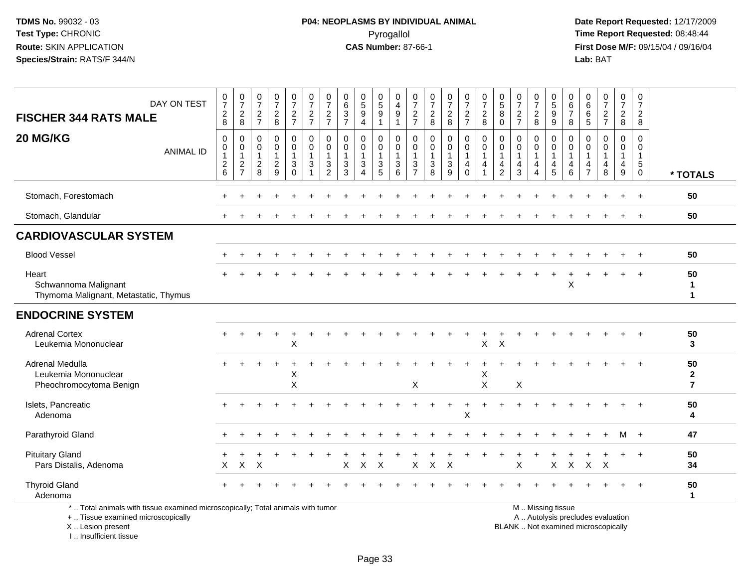**Date Report Requested:** 12/17/2009 **First Dose M/F:** 09/15/04 / 09/16/04<br>Lab: BAT **Lab:** BAT

| <b>FISCHER 344 RATS MALE</b><br>20 MG/KG                                                                                                  | DAY ON TEST<br><b>ANIMAL ID</b> | $\begin{smallmatrix}0\\7\end{smallmatrix}$<br>$\overline{c}$<br>8<br>0<br>0<br>$\mathbf{1}$ | $\frac{0}{7}$<br>$\overline{2}$<br>8<br>0<br>0<br>1 | $\frac{0}{7}$<br>$\overline{\mathbf{c}}$<br>$\overline{7}$<br>$\Omega$<br>$\Omega$<br>$\mathbf{1}$ | $\frac{0}{7}$<br>$\frac{2}{8}$<br>$\mathbf 0$<br>0<br>1 | 0<br>$\overline{7}$<br>$\overline{c}$<br>$\overline{7}$<br>0<br>$\mathbf 0$ | 0<br>$\overline{7}$<br>$\frac{2}{7}$<br>0<br>$\mathbf 0$<br>$\overline{1}$ | 0<br>$\overline{7}$<br>$\overline{2}$<br>$\overline{7}$<br>$\mathbf{0}$<br>$\Omega$<br>$\mathbf{1}$ | 0<br>6<br>3<br>$\overline{7}$<br>$\mathbf{0}$<br>$\mathbf 0$<br>$\mathbf{1}$ | 0<br>$\overline{5}$<br>9<br>$\overline{4}$<br>$\Omega$<br>0<br>1 | $\begin{array}{c} 0 \\ 5 \end{array}$<br>$\boldsymbol{9}$<br>$\mathbf{1}$<br>0<br>0<br>$\mathbf{1}$ | 0<br>$\overline{4}$<br>9<br>$\mathbf{1}$<br>0<br>$\mathbf 0$<br>$\mathbf{1}$ | 0<br>$\overline{7}$<br>$\overline{c}$<br>$\overline{7}$<br>0<br>$\Omega$<br>$\overline{1}$ | 0<br>$\overline{7}$<br>$\sqrt{2}$<br>8<br>$\Omega$<br>$\mathbf 0$<br>$\overline{1}$ | $\frac{0}{7}$<br>$\frac{2}{8}$<br>0<br>0 | $\frac{0}{7}$<br>$\overline{c}$<br>$\overline{7}$<br>0<br>0<br>$\mathbf{1}$ | $\begin{array}{c} 0 \\ 7 \end{array}$<br>$\sqrt{2}$<br>8<br>0<br>0 | $\begin{array}{c} 0 \\ 5 \end{array}$<br>$\,8\,$<br>$\Omega$<br>$\mathbf{0}$<br>$\mathbf 0$<br>$\overline{1}$ | 0<br>$\overline{7}$<br>$\sqrt{2}$<br>$\overline{7}$<br>$\Omega$<br>$\Omega$<br>$\mathbf{1}$ | 0<br>$\overline{7}$<br>$\sqrt{2}$<br>8<br>$\Omega$<br>$\mathbf 0$<br>$\mathbf{1}$ | 0<br>$\overline{5}$<br>$9\,$<br>$9\,$<br>0<br>0<br>$\mathbf{1}$ | 0<br>6<br>$\overline{7}$<br>8<br>$\Omega$<br>$\Omega$<br>$\mathbf 1$ | 0<br>6<br>6<br>$\sqrt{5}$<br>$\Omega$ | $\begin{smallmatrix}0\\7\end{smallmatrix}$<br>$\overline{a}$<br>$\overline{7}$<br>$\Omega$<br>$\mathbf 0$<br>$\mathbf{1}$ | 0<br>$\overline{7}$<br>$\overline{a}$<br>8<br>0<br>$\Omega$<br>$\mathbf{1}$ | 0<br>$\overline{7}$<br>$\overline{c}$<br>8<br>$\Omega$<br>$\Omega$<br>$\mathbf{1}$ |                                      |
|-------------------------------------------------------------------------------------------------------------------------------------------|---------------------------------|---------------------------------------------------------------------------------------------|-----------------------------------------------------|----------------------------------------------------------------------------------------------------|---------------------------------------------------------|-----------------------------------------------------------------------------|----------------------------------------------------------------------------|-----------------------------------------------------------------------------------------------------|------------------------------------------------------------------------------|------------------------------------------------------------------|-----------------------------------------------------------------------------------------------------|------------------------------------------------------------------------------|--------------------------------------------------------------------------------------------|-------------------------------------------------------------------------------------|------------------------------------------|-----------------------------------------------------------------------------|--------------------------------------------------------------------|---------------------------------------------------------------------------------------------------------------|---------------------------------------------------------------------------------------------|-----------------------------------------------------------------------------------|-----------------------------------------------------------------|----------------------------------------------------------------------|---------------------------------------|---------------------------------------------------------------------------------------------------------------------------|-----------------------------------------------------------------------------|------------------------------------------------------------------------------------|--------------------------------------|
|                                                                                                                                           |                                 | $\begin{array}{c} 2 \\ 6 \end{array}$                                                       | $\frac{2}{7}$                                       | $^2_8$                                                                                             | $\frac{2}{9}$                                           | 3<br>$\Omega$                                                               | $\mathbf{3}$<br>1                                                          | 3<br>2                                                                                              | 3<br>3                                                                       | 3<br>$\boldsymbol{\Lambda}$                                      | $\frac{3}{5}$                                                                                       | $\mathbf{3}$<br>6                                                            | 3<br>$\overline{7}$                                                                        | 3<br>8                                                                              | 3<br>9                                   | $\overline{4}$<br>$\Omega$                                                  | 4                                                                  | $\overline{4}$<br>$\overline{2}$                                                                              | 4<br>3                                                                                      | 4<br>4                                                                            | $\overline{4}$<br>5                                             | 4<br>6                                                               | 4<br>$\overline{7}$                   | $\overline{4}$<br>8                                                                                                       | 4<br>9                                                                      | $5\phantom{.0}$<br>$\mathbf 0$                                                     | * TOTALS                             |
| Stomach, Forestomach                                                                                                                      |                                 |                                                                                             |                                                     |                                                                                                    |                                                         |                                                                             |                                                                            |                                                                                                     |                                                                              |                                                                  |                                                                                                     |                                                                              |                                                                                            |                                                                                     |                                          |                                                                             | ÷                                                                  |                                                                                                               |                                                                                             |                                                                                   |                                                                 |                                                                      |                                       |                                                                                                                           | $\ddot{}$                                                                   | $\ddot{}$                                                                          | 50                                   |
| Stomach, Glandular                                                                                                                        |                                 |                                                                                             |                                                     |                                                                                                    |                                                         |                                                                             |                                                                            |                                                                                                     |                                                                              |                                                                  |                                                                                                     |                                                                              |                                                                                            |                                                                                     |                                          |                                                                             |                                                                    |                                                                                                               |                                                                                             |                                                                                   |                                                                 |                                                                      |                                       |                                                                                                                           |                                                                             |                                                                                    | 50                                   |
| <b>CARDIOVASCULAR SYSTEM</b>                                                                                                              |                                 |                                                                                             |                                                     |                                                                                                    |                                                         |                                                                             |                                                                            |                                                                                                     |                                                                              |                                                                  |                                                                                                     |                                                                              |                                                                                            |                                                                                     |                                          |                                                                             |                                                                    |                                                                                                               |                                                                                             |                                                                                   |                                                                 |                                                                      |                                       |                                                                                                                           |                                                                             |                                                                                    |                                      |
| <b>Blood Vessel</b>                                                                                                                       |                                 |                                                                                             |                                                     |                                                                                                    |                                                         |                                                                             |                                                                            |                                                                                                     |                                                                              |                                                                  |                                                                                                     |                                                                              |                                                                                            |                                                                                     |                                          |                                                                             |                                                                    |                                                                                                               |                                                                                             |                                                                                   |                                                                 |                                                                      |                                       |                                                                                                                           |                                                                             | $\ddot{}$                                                                          | 50                                   |
| Heart<br>Schwannoma Malignant<br>Thymoma Malignant, Metastatic, Thymus                                                                    |                                 |                                                                                             |                                                     |                                                                                                    |                                                         |                                                                             |                                                                            |                                                                                                     |                                                                              |                                                                  |                                                                                                     |                                                                              |                                                                                            |                                                                                     |                                          |                                                                             |                                                                    |                                                                                                               |                                                                                             |                                                                                   |                                                                 | X                                                                    |                                       |                                                                                                                           |                                                                             |                                                                                    | 50<br>1<br>$\mathbf{1}$              |
| <b>ENDOCRINE SYSTEM</b>                                                                                                                   |                                 |                                                                                             |                                                     |                                                                                                    |                                                         |                                                                             |                                                                            |                                                                                                     |                                                                              |                                                                  |                                                                                                     |                                                                              |                                                                                            |                                                                                     |                                          |                                                                             |                                                                    |                                                                                                               |                                                                                             |                                                                                   |                                                                 |                                                                      |                                       |                                                                                                                           |                                                                             |                                                                                    |                                      |
| <b>Adrenal Cortex</b><br>Leukemia Mononuclear                                                                                             |                                 |                                                                                             |                                                     |                                                                                                    |                                                         | X                                                                           |                                                                            |                                                                                                     |                                                                              |                                                                  |                                                                                                     |                                                                              |                                                                                            |                                                                                     |                                          |                                                                             | X                                                                  | X                                                                                                             |                                                                                             |                                                                                   |                                                                 |                                                                      |                                       |                                                                                                                           |                                                                             |                                                                                    | 50<br>$\mathbf{3}$                   |
| Adrenal Medulla<br>Leukemia Mononuclear<br>Pheochromocytoma Benign                                                                        |                                 |                                                                                             |                                                     |                                                                                                    |                                                         | Х<br>X                                                                      |                                                                            |                                                                                                     |                                                                              |                                                                  |                                                                                                     |                                                                              | $\boldsymbol{\mathsf{X}}$                                                                  |                                                                                     |                                          |                                                                             | Х<br>X                                                             |                                                                                                               | X                                                                                           |                                                                                   |                                                                 |                                                                      |                                       |                                                                                                                           |                                                                             |                                                                                    | 50<br>$\mathbf{2}$<br>$\overline{7}$ |
| Islets, Pancreatic<br>Adenoma                                                                                                             |                                 |                                                                                             |                                                     |                                                                                                    |                                                         |                                                                             |                                                                            |                                                                                                     |                                                                              |                                                                  |                                                                                                     |                                                                              |                                                                                            |                                                                                     |                                          | X                                                                           |                                                                    |                                                                                                               |                                                                                             |                                                                                   |                                                                 |                                                                      |                                       |                                                                                                                           |                                                                             |                                                                                    | 50<br>4                              |
| Parathyroid Gland                                                                                                                         |                                 |                                                                                             |                                                     |                                                                                                    |                                                         |                                                                             |                                                                            |                                                                                                     |                                                                              |                                                                  |                                                                                                     |                                                                              |                                                                                            |                                                                                     |                                          |                                                                             |                                                                    |                                                                                                               |                                                                                             |                                                                                   |                                                                 |                                                                      |                                       |                                                                                                                           | м                                                                           |                                                                                    | 47                                   |
| <b>Pituitary Gland</b><br>Pars Distalis, Adenoma                                                                                          |                                 | X                                                                                           | $\mathsf X$                                         | $\times$                                                                                           |                                                         |                                                                             |                                                                            |                                                                                                     | X                                                                            | $\boldsymbol{\mathsf{X}}$                                        | $\boldsymbol{\mathsf{X}}$                                                                           |                                                                              | X                                                                                          | X                                                                                   | $\times$                                 |                                                                             |                                                                    |                                                                                                               | X                                                                                           |                                                                                   | X                                                               | $\mathsf X$                                                          | $\mathsf{X}$                          | Χ                                                                                                                         |                                                                             |                                                                                    | 50<br>34                             |
| <b>Thyroid Gland</b><br>Adenoma                                                                                                           |                                 |                                                                                             |                                                     |                                                                                                    |                                                         |                                                                             |                                                                            |                                                                                                     |                                                                              |                                                                  |                                                                                                     |                                                                              |                                                                                            |                                                                                     |                                          |                                                                             |                                                                    |                                                                                                               |                                                                                             |                                                                                   |                                                                 |                                                                      |                                       |                                                                                                                           |                                                                             |                                                                                    | 50<br>$\mathbf{1}$                   |
| *  Total animals with tissue examined microscopically; Total animals with tumor<br>+  Tissue examined microscopically<br>X Lesion present |                                 |                                                                                             |                                                     |                                                                                                    |                                                         |                                                                             |                                                                            |                                                                                                     |                                                                              |                                                                  |                                                                                                     |                                                                              |                                                                                            |                                                                                     |                                          |                                                                             |                                                                    |                                                                                                               | BLANK Not examined microscopically                                                          |                                                                                   | M  Missing tissue<br>A  Autolysis precludes evaluation          |                                                                      |                                       |                                                                                                                           |                                                                             |                                                                                    |                                      |

I .. Insufficient tissue

lot examined microscopically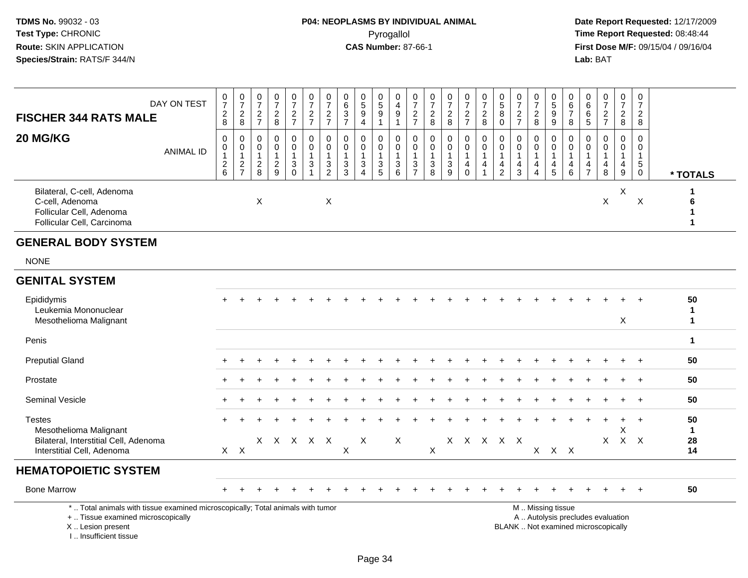| <b>FISCHER 344 RATS MALE</b>                                                                                                                                        | DAY ON TEST      | $\frac{0}{7}$<br>$\boldsymbol{2}$<br>$\bf8$       | $\begin{array}{c} 0 \\ 7 \end{array}$<br>$\overline{2}$<br>$\bf{8}$ | $\frac{0}{7}$<br>$\overline{c}$<br>$\overline{7}$ | $\frac{0}{7}$<br>$\overline{c}$<br>$\bf 8$               | $\begin{array}{c} 0 \\ 7 \end{array}$<br>$\overline{c}$<br>$\overline{7}$ | $\begin{smallmatrix}0\\7\end{smallmatrix}$<br>$\overline{c}$<br>$\overline{7}$ | $\frac{0}{7}$<br>$\overline{c}$<br>$\overline{7}$               | $\pmb{0}$<br>6<br>$\sqrt{3}$<br>$\overline{7}$    | $\begin{array}{c} 0 \\ 5 \end{array}$<br>9<br>$\overline{4}$                                  | $\begin{array}{c} 0 \\ 5 \end{array}$<br>$\overline{9}$<br>$\mathbf 1$ | $\begin{smallmatrix}0\\4\end{smallmatrix}$<br>$\boldsymbol{9}$<br>$\overline{1}$ | $\frac{0}{7}$<br>$\frac{2}{7}$                            | $\frac{0}{7}$<br>$\overline{c}$<br>8       | $\begin{smallmatrix} 0\\7 \end{smallmatrix}$<br>$\boldsymbol{2}$<br>$\, 8$ | $\frac{0}{7}$<br>$\boldsymbol{2}$<br>$\overline{7}$  | $\frac{0}{7}$<br>$\overline{2}$<br>$\bf8$                      | $\begin{array}{c} 0 \\ 5 \end{array}$<br>$\overline{8}$<br>$\mathbf 0$ | $\frac{0}{7}$<br>$\overline{2}$<br>$\overline{7}$              | $\frac{0}{7}$<br>$\boldsymbol{2}$<br>$\bf 8$                      | $\begin{array}{c} 0 \\ 5 \\ 9 \end{array}$<br>$\boldsymbol{9}$ | $\mathbf 0$<br>$\,6\,$<br>$\overline{7}$<br>8                     | 0<br>6<br>6<br>$\sqrt{5}$            | $\frac{0}{7}$<br>$\overline{c}$<br>$\overline{7}$                        | $\frac{0}{7}$<br>$\overline{c}$<br>8   |     | $\frac{0}{7}$<br>$\overline{2}$<br>8                                 |                                    |
|---------------------------------------------------------------------------------------------------------------------------------------------------------------------|------------------|---------------------------------------------------|---------------------------------------------------------------------|---------------------------------------------------|----------------------------------------------------------|---------------------------------------------------------------------------|--------------------------------------------------------------------------------|-----------------------------------------------------------------|---------------------------------------------------|-----------------------------------------------------------------------------------------------|------------------------------------------------------------------------|----------------------------------------------------------------------------------|-----------------------------------------------------------|--------------------------------------------|----------------------------------------------------------------------------|------------------------------------------------------|----------------------------------------------------------------|------------------------------------------------------------------------|----------------------------------------------------------------|-------------------------------------------------------------------|----------------------------------------------------------------|-------------------------------------------------------------------|--------------------------------------|--------------------------------------------------------------------------|----------------------------------------|-----|----------------------------------------------------------------------|------------------------------------|
| 20 MG/KG                                                                                                                                                            | <b>ANIMAL ID</b> | $\mathbf 0$<br>0<br>$\mathbf{1}$<br>$\frac{2}{6}$ | $\Omega$<br>$\mathbf 0$<br>$\mathbf{1}$<br>$\frac{2}{7}$            | $\Omega$<br>0<br>$\mathbf{1}$<br>$_{8}^2$         | $\Omega$<br>$\mathbf 0$<br>$\mathbf{1}$<br>$\frac{2}{9}$ | $\mathbf 0$<br>$\pmb{0}$<br>$\mathbf{1}$<br>$\sqrt{3}$<br>$\Omega$        | $\mathbf 0$<br>$\mathbf 0$<br>$\overline{1}$<br>$\sqrt{3}$<br>$\overline{1}$   | $\Omega$<br>$\boldsymbol{0}$<br>$\overline{1}$<br>$\frac{3}{2}$ | $\Omega$<br>$\mathbf 0$<br>$\mathbf{1}$<br>3<br>3 | $\Omega$<br>$\mathbf 0$<br>$\mathbf{1}$<br>$\ensuremath{\mathsf{3}}$<br>$\boldsymbol{\Delta}$ | $\mathbf 0$<br>0<br>$\mathbf{1}$<br>$\frac{3}{5}$                      | $\Omega$<br>0<br>$\overline{1}$<br>$\sqrt{3}$<br>6                               | $\mathbf 0$<br>$\pmb{0}$<br>$\mathbf{1}$<br>$\frac{3}{7}$ | $\mathbf 0$<br>0<br>$\mathbf{1}$<br>3<br>8 | $\mathbf 0$<br>$\mathbf 0$<br>$\overline{1}$<br>$\frac{3}{9}$              | 0<br>$\mathsf 0$<br>$\mathbf{1}$<br>4<br>$\mathbf 0$ | $\Omega$<br>$\mathbf 0$<br>$\mathbf{1}$<br>4<br>$\overline{1}$ | 0<br>$\mathbf 0$<br>$\mathbf{1}$<br>4<br>$\overline{2}$                | $\Omega$<br>$\mathbf 0$<br>$\mathbf{1}$<br>$\overline{4}$<br>3 | $\mathbf 0$<br>0<br>$\mathbf{1}$<br>4<br>$\boldsymbol{\varDelta}$ | $\Omega$<br>0<br>$\frac{4}{5}$                                 | $\Omega$<br>$\mathbf 0$<br>$\overline{1}$<br>4<br>$6\phantom{1}6$ | $\Omega$<br>0<br>4<br>$\overline{7}$ | $\Omega$<br>$\mathbf 0$<br>$\mathbf{1}$<br>$\overline{4}$<br>8           | $\Omega$<br>$\mathbf 0$<br>1<br>4<br>9 |     | $\Omega$<br>$\mathbf 0$<br>$\mathbf{1}$<br>$\sqrt{5}$<br>$\mathbf 0$ | * TOTALS                           |
| Bilateral, C-cell, Adenoma<br>C-cell, Adenoma<br>Follicular Cell, Adenoma<br>Follicular Cell, Carcinoma                                                             |                  |                                                   |                                                                     | X                                                 |                                                          |                                                                           |                                                                                | X                                                               |                                                   |                                                                                               |                                                                        |                                                                                  |                                                           |                                            |                                                                            |                                                      |                                                                |                                                                        |                                                                |                                                                   |                                                                |                                                                   |                                      | $\mathsf X$                                                              | X                                      |     | $\boldsymbol{\mathsf{X}}$                                            | 6<br>$\mathbf 1$<br>$\mathbf{1}$   |
| <b>GENERAL BODY SYSTEM</b>                                                                                                                                          |                  |                                                   |                                                                     |                                                   |                                                          |                                                                           |                                                                                |                                                                 |                                                   |                                                                                               |                                                                        |                                                                                  |                                                           |                                            |                                                                            |                                                      |                                                                |                                                                        |                                                                |                                                                   |                                                                |                                                                   |                                      |                                                                          |                                        |     |                                                                      |                                    |
| <b>NONE</b>                                                                                                                                                         |                  |                                                   |                                                                     |                                                   |                                                          |                                                                           |                                                                                |                                                                 |                                                   |                                                                                               |                                                                        |                                                                                  |                                                           |                                            |                                                                            |                                                      |                                                                |                                                                        |                                                                |                                                                   |                                                                |                                                                   |                                      |                                                                          |                                        |     |                                                                      |                                    |
| <b>GENITAL SYSTEM</b>                                                                                                                                               |                  |                                                   |                                                                     |                                                   |                                                          |                                                                           |                                                                                |                                                                 |                                                   |                                                                                               |                                                                        |                                                                                  |                                                           |                                            |                                                                            |                                                      |                                                                |                                                                        |                                                                |                                                                   |                                                                |                                                                   |                                      |                                                                          |                                        |     |                                                                      |                                    |
| Epididymis<br>Leukemia Mononuclear<br>Mesothelioma Malignant                                                                                                        |                  |                                                   |                                                                     |                                                   |                                                          |                                                                           |                                                                                |                                                                 |                                                   |                                                                                               |                                                                        |                                                                                  |                                                           |                                            |                                                                            |                                                      |                                                                |                                                                        |                                                                |                                                                   |                                                                |                                                                   |                                      |                                                                          | X                                      |     |                                                                      | 50<br>$\mathbf{1}$<br>$\mathbf{1}$ |
| Penis                                                                                                                                                               |                  |                                                   |                                                                     |                                                   |                                                          |                                                                           |                                                                                |                                                                 |                                                   |                                                                                               |                                                                        |                                                                                  |                                                           |                                            |                                                                            |                                                      |                                                                |                                                                        |                                                                |                                                                   |                                                                |                                                                   |                                      |                                                                          |                                        |     |                                                                      | $\mathbf{1}$                       |
| <b>Preputial Gland</b>                                                                                                                                              |                  |                                                   |                                                                     |                                                   |                                                          |                                                                           |                                                                                |                                                                 |                                                   |                                                                                               |                                                                        |                                                                                  |                                                           |                                            |                                                                            |                                                      |                                                                |                                                                        |                                                                |                                                                   |                                                                |                                                                   |                                      |                                                                          |                                        |     |                                                                      | 50                                 |
| Prostate                                                                                                                                                            |                  |                                                   |                                                                     |                                                   |                                                          |                                                                           |                                                                                |                                                                 |                                                   |                                                                                               |                                                                        |                                                                                  |                                                           |                                            |                                                                            |                                                      |                                                                |                                                                        |                                                                |                                                                   |                                                                |                                                                   |                                      |                                                                          |                                        |     | $\ddot{}$                                                            | 50                                 |
| Seminal Vesicle                                                                                                                                                     |                  |                                                   |                                                                     |                                                   |                                                          |                                                                           |                                                                                |                                                                 |                                                   |                                                                                               |                                                                        |                                                                                  |                                                           |                                            |                                                                            |                                                      |                                                                |                                                                        |                                                                |                                                                   |                                                                |                                                                   |                                      |                                                                          |                                        |     |                                                                      | 50                                 |
| <b>Testes</b><br>Mesothelioma Malignant<br>Bilateral, Interstitial Cell, Adenoma<br>Interstitial Cell, Adenoma                                                      |                  |                                                   | $X$ $X$                                                             |                                                   |                                                          |                                                                           | X X X X X                                                                      |                                                                 | $\mathsf X$                                       | $\boldsymbol{\mathsf{X}}$                                                                     |                                                                        | X                                                                                |                                                           | X                                          |                                                                            |                                                      | X X X X X                                                      |                                                                        |                                                                |                                                                   | $X$ $X$ $X$                                                    |                                                                   |                                      | $\mathsf{X}$                                                             | $\ddot{}$<br>X                         | X X | $+$                                                                  | 50<br>$\mathbf{1}$<br>28<br>14     |
| <b>HEMATOPOIETIC SYSTEM</b>                                                                                                                                         |                  |                                                   |                                                                     |                                                   |                                                          |                                                                           |                                                                                |                                                                 |                                                   |                                                                                               |                                                                        |                                                                                  |                                                           |                                            |                                                                            |                                                      |                                                                |                                                                        |                                                                |                                                                   |                                                                |                                                                   |                                      |                                                                          |                                        |     |                                                                      |                                    |
| <b>Bone Marrow</b>                                                                                                                                                  |                  |                                                   |                                                                     |                                                   |                                                          |                                                                           |                                                                                |                                                                 |                                                   |                                                                                               |                                                                        |                                                                                  |                                                           |                                            |                                                                            |                                                      |                                                                |                                                                        |                                                                |                                                                   |                                                                |                                                                   |                                      |                                                                          |                                        |     |                                                                      | 50                                 |
| *  Total animals with tissue examined microscopically; Total animals with tumor<br>+  Tissue examined microscopically<br>X  Lesion present<br>I Insufficient tissue |                  |                                                   |                                                                     |                                                   |                                                          |                                                                           |                                                                                |                                                                 |                                                   |                                                                                               |                                                                        |                                                                                  |                                                           |                                            |                                                                            |                                                      |                                                                |                                                                        |                                                                |                                                                   | M  Missing tissue                                              |                                                                   |                                      | A  Autolysis precludes evaluation<br>BLANK  Not examined microscopically |                                        |     |                                                                      |                                    |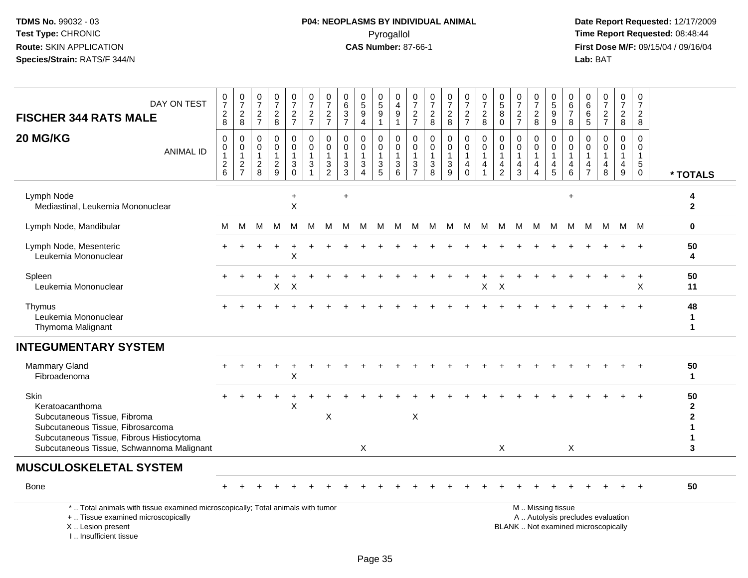# **P04: NEOPLASMS BY INDIVIDUAL ANIMAL**Pyrogallol Pyrogallol **Pyrogallol Time Report Requested:** 08:48:44<br>**CAS Number:** 87-66-1 **Time Report Requested:** 08/15/04 / 09/16/04

 **Date Report Requested:** 12/17/2009 **First Dose M/F:** 09/15/04 / 09/16/04<br>Lab: BAT **Lab:** BAT

| DAY ON TEST<br><b>FISCHER 344 RATS MALE</b>                                                                                                                                            | $\frac{0}{7}$<br>$_{8}^{2}$       | $\frac{0}{7}$<br>$\overline{c}$<br>8                      | $\frac{0}{7}$<br>$\frac{2}{7}$                      | $\frac{0}{7}$<br>$_{8}^2$                                   | $\frac{0}{7}$<br>$\frac{2}{7}$                                               | 0<br>$\overline{7}$<br>$rac{2}{7}$                                                        | 0<br>$\overline{7}$<br>$\frac{2}{7}$                 | 0<br>$\,6\,$<br>$\sqrt{3}$<br>$\overline{7}$         | $\begin{array}{c} 0 \\ 5 \end{array}$<br>$\boldsymbol{9}$<br>$\overline{4}$ | 0<br>$\overline{5}$<br>$9\,$<br>$\overline{1}$                     | 0<br>$\overline{4}$<br>$9\,$<br>$\mathbf{1}$                    | 0<br>$\overline{7}$<br>$\boldsymbol{2}$<br>$\overline{7}$ | 0<br>$\overline{7}$<br>$\overline{\mathbf{c}}$<br>8 | $\frac{0}{7}$<br>$\frac{2}{8}$                          | $\begin{smallmatrix}0\\7\end{smallmatrix}$<br>$\frac{2}{7}$ | $\frac{0}{7}$<br>$\boldsymbol{2}$<br>8                  | $\begin{array}{c} 0 \\ 5 \end{array}$<br>8<br>$\mathbf 0$         | $\frac{0}{7}$<br>$\frac{2}{7}$                                    | $\frac{0}{7}$<br>$\overline{\mathbf{c}}$<br>8     | $\begin{array}{c} 0 \\ 5 \end{array}$<br>9<br>9        | 0<br>$\,6\,$<br>$\overline{7}$<br>8                 | 0<br>6<br>6<br>$\sqrt{5}$                         | 0<br>$\overline{7}$<br>$\frac{2}{7}$ | 0<br>$\overline{7}$<br>$\frac{2}{8}$                 | 0<br>$\overline{7}$<br>$\overline{c}$<br>8                                   |                                              |
|----------------------------------------------------------------------------------------------------------------------------------------------------------------------------------------|-----------------------------------|-----------------------------------------------------------|-----------------------------------------------------|-------------------------------------------------------------|------------------------------------------------------------------------------|-------------------------------------------------------------------------------------------|------------------------------------------------------|------------------------------------------------------|-----------------------------------------------------------------------------|--------------------------------------------------------------------|-----------------------------------------------------------------|-----------------------------------------------------------|-----------------------------------------------------|---------------------------------------------------------|-------------------------------------------------------------|---------------------------------------------------------|-------------------------------------------------------------------|-------------------------------------------------------------------|---------------------------------------------------|--------------------------------------------------------|-----------------------------------------------------|---------------------------------------------------|--------------------------------------|------------------------------------------------------|------------------------------------------------------------------------------|----------------------------------------------|
| 20 MG/KG<br><b>ANIMAL ID</b>                                                                                                                                                           | $\mathbf 0$<br>0<br>$\frac{2}{6}$ | $\mathbf 0$<br>$\pmb{0}$<br>$\mathbf{1}$<br>$\frac{2}{7}$ | 0<br>$\mathbf 0$<br>$\overline{1}$<br>$\frac{2}{8}$ | $\mathbf 0$<br>$\mathbf 0$<br>$\mathbf{1}$<br>$\frac{2}{9}$ | 0<br>$\mathbf 0$<br>$\mathbf{1}$<br>$\ensuremath{\mathsf{3}}$<br>$\mathbf 0$ | $\mathbf 0$<br>$\mathbf 0$<br>$\mathbf{1}$<br>$\ensuremath{\mathsf{3}}$<br>$\overline{1}$ | $\mathbf 0$<br>$\mathbf 0$<br>$\mathbf{1}$<br>3<br>2 | $\mathbf 0$<br>$\mathbf 0$<br>$\mathbf{1}$<br>3<br>3 | 0<br>$\mathbf 0$<br>$\mathbf{1}$<br>$\ensuremath{\mathsf{3}}$<br>$\Delta$   | 0<br>$\mathbf 0$<br>$\overline{1}$<br>$\sqrt{3}$<br>$\overline{5}$ | $\mathbf 0$<br>$\mathbf 0$<br>$\overline{1}$<br>$\sqrt{3}$<br>6 | 0<br>$\mathbf 0$<br>1<br>3<br>$\overline{7}$              | $\mathbf 0$<br>$\mathbf 0$<br>1<br>3<br>8           | 0<br>$\mathbf 0$<br>1<br>$\ensuremath{\mathsf{3}}$<br>9 | 0<br>$\mathbf 0$<br>$\overline{1}$<br>4<br>$\Omega$         | 0<br>$\mathbf 0$<br>$\mathbf{1}$<br>$\overline{4}$<br>1 | $\mathbf 0$<br>$\mathbf 0$<br>$\mathbf{1}$<br>4<br>$\overline{2}$ | $\mathbf 0$<br>$\mathbf 0$<br>$\mathbf{1}$<br>$\overline{4}$<br>3 | 0<br>$\mathbf 0$<br>$\mathbf{1}$<br>4<br>$\Delta$ | 0<br>$\mathbf 0$<br>$\mathbf 1$<br>4<br>5              | $\mathbf 0$<br>$\Omega$<br>$\overline{1}$<br>4<br>6 | $\Omega$<br>$\Omega$<br>-1<br>4<br>$\overline{7}$ | $\Omega$<br>$\Omega$<br>1<br>4<br>8  | $\mathbf 0$<br>$\mathbf 0$<br>$\mathbf{1}$<br>4<br>9 | $\Omega$<br>$\mathbf 0$<br>$\mathbf{1}$<br>$\sqrt{5}$<br>$\mathsf{O}\xspace$ | * TOTALS                                     |
| Lymph Node<br>Mediastinal, Leukemia Mononuclear                                                                                                                                        |                                   |                                                           |                                                     |                                                             | $\ddot{}$<br>X                                                               |                                                                                           |                                                      | $\ddot{}$                                            |                                                                             |                                                                    |                                                                 |                                                           |                                                     |                                                         |                                                             |                                                         |                                                                   |                                                                   |                                                   |                                                        | $\ddot{}$                                           |                                                   |                                      |                                                      |                                                                              | 4<br>$\mathbf{2}$                            |
| Lymph Node, Mandibular                                                                                                                                                                 | M                                 | M                                                         | м                                                   | м                                                           | M                                                                            | М                                                                                         | M                                                    | м                                                    | M                                                                           | M                                                                  | M                                                               | M                                                         | M                                                   | M                                                       | - M                                                         | M                                                       | M                                                                 | M                                                                 | M                                                 | M                                                      | M                                                   | M                                                 |                                      | M M M                                                |                                                                              | $\mathbf 0$                                  |
| Lymph Node, Mesenteric<br>Leukemia Mononuclear                                                                                                                                         |                                   |                                                           |                                                     |                                                             | X                                                                            |                                                                                           |                                                      |                                                      |                                                                             |                                                                    |                                                                 |                                                           |                                                     |                                                         |                                                             |                                                         |                                                                   |                                                                   |                                                   |                                                        |                                                     |                                                   |                                      |                                                      |                                                                              | 50<br>4                                      |
| Spleen<br>Leukemia Mononuclear                                                                                                                                                         |                                   |                                                           |                                                     | Χ                                                           | X                                                                            |                                                                                           |                                                      |                                                      |                                                                             |                                                                    |                                                                 |                                                           |                                                     |                                                         |                                                             | X                                                       | X                                                                 |                                                                   |                                                   |                                                        |                                                     |                                                   |                                      |                                                      | $\ddot{}$<br>X                                                               | 50<br>11                                     |
| Thymus<br>Leukemia Mononuclear<br>Thymoma Malignant                                                                                                                                    |                                   |                                                           |                                                     |                                                             |                                                                              |                                                                                           |                                                      |                                                      |                                                                             |                                                                    |                                                                 |                                                           |                                                     |                                                         |                                                             |                                                         |                                                                   |                                                                   |                                                   |                                                        |                                                     |                                                   |                                      |                                                      |                                                                              | 48<br>$\mathbf 1$<br>1                       |
| <b>INTEGUMENTARY SYSTEM</b>                                                                                                                                                            |                                   |                                                           |                                                     |                                                             |                                                                              |                                                                                           |                                                      |                                                      |                                                                             |                                                                    |                                                                 |                                                           |                                                     |                                                         |                                                             |                                                         |                                                                   |                                                                   |                                                   |                                                        |                                                     |                                                   |                                      |                                                      |                                                                              |                                              |
| <b>Mammary Gland</b><br>Fibroadenoma                                                                                                                                                   |                                   |                                                           |                                                     |                                                             | Χ                                                                            |                                                                                           |                                                      |                                                      |                                                                             |                                                                    |                                                                 |                                                           |                                                     |                                                         |                                                             |                                                         |                                                                   |                                                                   |                                                   |                                                        |                                                     |                                                   |                                      |                                                      |                                                                              | 50<br>-1                                     |
| Skin<br>Keratoacanthoma<br>Subcutaneous Tissue, Fibroma<br>Subcutaneous Tissue, Fibrosarcoma<br>Subcutaneous Tissue, Fibrous Histiocytoma<br>Subcutaneous Tissue, Schwannoma Malignant |                                   |                                                           |                                                     |                                                             | Х                                                                            |                                                                                           | X                                                    |                                                      | X                                                                           |                                                                    |                                                                 | Χ                                                         |                                                     |                                                         |                                                             |                                                         | $\times$                                                          |                                                                   |                                                   |                                                        | X                                                   |                                                   |                                      |                                                      |                                                                              | 50<br>$\mathbf{2}$<br>$\mathbf{2}$<br>1<br>3 |
| <b>MUSCULOSKELETAL SYSTEM</b>                                                                                                                                                          |                                   |                                                           |                                                     |                                                             |                                                                              |                                                                                           |                                                      |                                                      |                                                                             |                                                                    |                                                                 |                                                           |                                                     |                                                         |                                                             |                                                         |                                                                   |                                                                   |                                                   |                                                        |                                                     |                                                   |                                      |                                                      |                                                                              |                                              |
| <b>Bone</b>                                                                                                                                                                            |                                   |                                                           |                                                     |                                                             |                                                                              |                                                                                           |                                                      |                                                      |                                                                             |                                                                    |                                                                 |                                                           |                                                     |                                                         |                                                             |                                                         |                                                                   |                                                                   |                                                   |                                                        |                                                     |                                                   |                                      |                                                      |                                                                              | 50                                           |
| *  Total animals with tissue examined microscopically; Total animals with tumor<br>+  Tissue examined microscopically<br>X  Lesion present                                             |                                   |                                                           |                                                     |                                                             |                                                                              |                                                                                           |                                                      |                                                      |                                                                             |                                                                    |                                                                 |                                                           |                                                     |                                                         |                                                             |                                                         |                                                                   | BLANK  Not examined microscopically                               |                                                   | M  Missing tissue<br>A  Autolysis precludes evaluation |                                                     |                                                   |                                      |                                                      |                                                                              |                                              |

I .. Insufficient tissue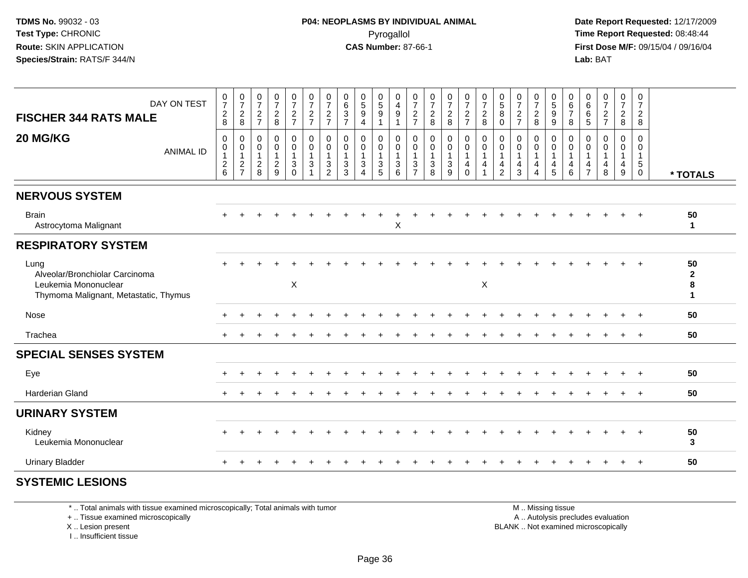**Date Report Requested:** 12/17/2009 **First Dose M/F:** 09/15/04 / 09/16/04 Lab: BAT **Lab:** BAT

| DAY ON TEST<br><b>FISCHER 344 RATS MALE</b>                                                             | $\frac{0}{7}$<br>$\frac{2}{8}$                            | $\frac{0}{7}$<br>$\frac{2}{8}$                  | $\frac{0}{7}$<br>$\frac{2}{7}$                              | $\frac{0}{7}$<br>$\frac{2}{8}$                              | $\frac{0}{7}$<br>$\frac{2}{7}$                                                    | $\frac{0}{7}$<br>$\frac{2}{7}$                                                        | $\frac{0}{7}$<br>$\frac{2}{7}$                          | $\boldsymbol{0}$<br>$\,6\,$<br>$\frac{3}{7}$                    | $\begin{array}{c} 0 \\ 5 \\ 9 \end{array}$<br>$\overline{4}$              | $\begin{array}{c} 0 \\ 5 \\ 9 \end{array}$<br>$\mathbf{1}$        | 0<br>$\frac{4}{9}$<br>$\mathbf{1}$     | $\frac{0}{7}$<br>$\frac{2}{7}$                        | $\frac{0}{7}$<br>$\frac{2}{8}$                                   | $\frac{0}{7}$<br>$\frac{2}{8}$                                           | $\frac{0}{7}$<br>$\frac{2}{7}$                                               | $\frac{0}{7}$<br>$\frac{2}{8}$                                | $\begin{array}{c} 0 \\ 5 \end{array}$<br>8<br>$\mathbf 0$          | $\frac{0}{7}$<br>$\frac{2}{7}$                       | $\frac{0}{7}$<br>$\frac{2}{8}$                     | 0<br>9<br>9                                                          | 0<br>$\,6$<br>$\overline{7}$<br>$\,8\,$               | $\begin{matrix} 0 \\ 6 \end{matrix}$<br>6<br>5 | $\frac{0}{7}$<br>$\frac{2}{7}$                       | $\frac{0}{7}$<br>$\frac{2}{8}$                                         | 0<br>$\overline{7}$<br>$_{8}^{\rm 2}$                |                                         |
|---------------------------------------------------------------------------------------------------------|-----------------------------------------------------------|-------------------------------------------------|-------------------------------------------------------------|-------------------------------------------------------------|-----------------------------------------------------------------------------------|---------------------------------------------------------------------------------------|---------------------------------------------------------|-----------------------------------------------------------------|---------------------------------------------------------------------------|-------------------------------------------------------------------|----------------------------------------|-------------------------------------------------------|------------------------------------------------------------------|--------------------------------------------------------------------------|------------------------------------------------------------------------------|---------------------------------------------------------------|--------------------------------------------------------------------|------------------------------------------------------|----------------------------------------------------|----------------------------------------------------------------------|-------------------------------------------------------|------------------------------------------------|------------------------------------------------------|------------------------------------------------------------------------|------------------------------------------------------|-----------------------------------------|
| 20 MG/KG<br><b>ANIMAL ID</b>                                                                            | $\pmb{0}$<br>$\pmb{0}$<br>$\overline{1}$<br>$\frac{2}{6}$ | 0<br>$\pmb{0}$<br>$\mathbf{1}$<br>$\frac{2}{7}$ | $\mathbf 0$<br>$\pmb{0}$<br>$\overline{1}$<br>$\frac{2}{8}$ | $\mathbf 0$<br>$\pmb{0}$<br>$\mathbf{1}$<br>$\sqrt{2}$<br>9 | 0<br>$\mathsf{O}\xspace$<br>$\mathbf{1}$<br>$\ensuremath{\mathsf{3}}$<br>$\Omega$ | $\pmb{0}$<br>$\mathsf 0$<br>$\mathbf{1}$<br>$\ensuremath{\mathsf{3}}$<br>$\mathbf{1}$ | 0<br>$\mathbf 0$<br>$\mathbf{1}$<br>3<br>$\overline{2}$ | $\Omega$<br>0<br>$\mathbf{1}$<br>$\ensuremath{\mathsf{3}}$<br>3 | 0<br>$\mathbf 0$<br>$\mathbf{1}$<br>$\mathbf 3$<br>$\boldsymbol{\Lambda}$ | 0<br>0<br>$\mathbf{1}$<br>$\ensuremath{\mathsf{3}}$<br>$\sqrt{5}$ | 0<br>$\,0\,$<br>$\mathbf{1}$<br>3<br>6 | 0<br>$\pmb{0}$<br>$\mathbf{1}$<br>3<br>$\overline{7}$ | 0<br>$\pmb{0}$<br>$\mathbf{1}$<br>$\ensuremath{\mathsf{3}}$<br>8 | $\pmb{0}$<br>$\pmb{0}$<br>$\mathbf{1}$<br>$\ensuremath{\mathsf{3}}$<br>9 | 0<br>$\boldsymbol{0}$<br>$\mathbf{1}$<br>$\overline{\mathbf{4}}$<br>$\Omega$ | $\pmb{0}$<br>$\pmb{0}$<br>$\mathbf{1}$<br>4<br>$\overline{1}$ | 0<br>$\pmb{0}$<br>$\mathbf{1}$<br>$\overline{4}$<br>$\overline{2}$ | $\Omega$<br>0<br>$\mathbf{1}$<br>$\overline{4}$<br>3 | $\mathbf 0$<br>$\pmb{0}$<br>$\mathbf{1}$<br>4<br>Δ | 0<br>$\mathbf 0$<br>$\mathbf{1}$<br>$\overline{4}$<br>$\overline{5}$ | 0<br>$\pmb{0}$<br>$\mathbf{1}$<br>$\overline{4}$<br>6 | 0<br>0<br>$\mathbf{1}$<br>4<br>$\overline{7}$  | $\Omega$<br>0<br>$\mathbf{1}$<br>$\overline{4}$<br>8 | $\mathbf 0$<br>$\boldsymbol{0}$<br>$\mathbf{1}$<br>$\overline{4}$<br>9 | $\Omega$<br>0<br>$\mathbf{1}$<br>$\overline{5}$<br>0 | * TOTALS                                |
| <b>NERVOUS SYSTEM</b>                                                                                   |                                                           |                                                 |                                                             |                                                             |                                                                                   |                                                                                       |                                                         |                                                                 |                                                                           |                                                                   |                                        |                                                       |                                                                  |                                                                          |                                                                              |                                                               |                                                                    |                                                      |                                                    |                                                                      |                                                       |                                                |                                                      |                                                                        |                                                      |                                         |
| <b>Brain</b><br>Astrocytoma Malignant                                                                   |                                                           |                                                 |                                                             |                                                             |                                                                                   |                                                                                       |                                                         |                                                                 |                                                                           |                                                                   | X                                      |                                                       |                                                                  |                                                                          |                                                                              |                                                               |                                                                    |                                                      |                                                    |                                                                      |                                                       |                                                |                                                      |                                                                        | $\ddot{}$                                            | 50<br>$\mathbf{1}$                      |
| <b>RESPIRATORY SYSTEM</b>                                                                               |                                                           |                                                 |                                                             |                                                             |                                                                                   |                                                                                       |                                                         |                                                                 |                                                                           |                                                                   |                                        |                                                       |                                                                  |                                                                          |                                                                              |                                                               |                                                                    |                                                      |                                                    |                                                                      |                                                       |                                                |                                                      |                                                                        |                                                      |                                         |
| Lung<br>Alveolar/Bronchiolar Carcinoma<br>Leukemia Mononuclear<br>Thymoma Malignant, Metastatic, Thymus |                                                           |                                                 |                                                             |                                                             | X                                                                                 |                                                                                       |                                                         |                                                                 |                                                                           |                                                                   |                                        |                                                       |                                                                  |                                                                          |                                                                              | X                                                             |                                                                    |                                                      |                                                    |                                                                      |                                                       |                                                |                                                      |                                                                        |                                                      | 50<br>$\mathbf{2}$<br>8<br>$\mathbf{1}$ |
| Nose                                                                                                    |                                                           |                                                 |                                                             |                                                             |                                                                                   |                                                                                       |                                                         |                                                                 |                                                                           |                                                                   |                                        |                                                       |                                                                  |                                                                          |                                                                              |                                                               |                                                                    |                                                      |                                                    |                                                                      |                                                       |                                                |                                                      |                                                                        |                                                      | 50                                      |
| Trachea                                                                                                 |                                                           |                                                 |                                                             |                                                             |                                                                                   |                                                                                       |                                                         |                                                                 |                                                                           |                                                                   |                                        |                                                       |                                                                  |                                                                          |                                                                              |                                                               |                                                                    |                                                      |                                                    |                                                                      |                                                       |                                                |                                                      |                                                                        | $\ddot{}$                                            | 50                                      |
| <b>SPECIAL SENSES SYSTEM</b>                                                                            |                                                           |                                                 |                                                             |                                                             |                                                                                   |                                                                                       |                                                         |                                                                 |                                                                           |                                                                   |                                        |                                                       |                                                                  |                                                                          |                                                                              |                                                               |                                                                    |                                                      |                                                    |                                                                      |                                                       |                                                |                                                      |                                                                        |                                                      |                                         |
| Eye                                                                                                     |                                                           |                                                 |                                                             |                                                             |                                                                                   |                                                                                       |                                                         |                                                                 |                                                                           |                                                                   |                                        |                                                       |                                                                  |                                                                          |                                                                              |                                                               |                                                                    |                                                      |                                                    |                                                                      |                                                       |                                                |                                                      |                                                                        |                                                      | 50                                      |
| <b>Harderian Gland</b>                                                                                  |                                                           |                                                 |                                                             |                                                             |                                                                                   |                                                                                       |                                                         |                                                                 |                                                                           |                                                                   |                                        |                                                       |                                                                  |                                                                          |                                                                              |                                                               |                                                                    |                                                      |                                                    |                                                                      |                                                       |                                                |                                                      |                                                                        |                                                      | 50                                      |
| <b>URINARY SYSTEM</b>                                                                                   |                                                           |                                                 |                                                             |                                                             |                                                                                   |                                                                                       |                                                         |                                                                 |                                                                           |                                                                   |                                        |                                                       |                                                                  |                                                                          |                                                                              |                                                               |                                                                    |                                                      |                                                    |                                                                      |                                                       |                                                |                                                      |                                                                        |                                                      |                                         |
| Kidney<br>Leukemia Mononuclear                                                                          |                                                           |                                                 |                                                             |                                                             |                                                                                   |                                                                                       |                                                         |                                                                 |                                                                           |                                                                   |                                        |                                                       |                                                                  |                                                                          |                                                                              |                                                               |                                                                    |                                                      |                                                    |                                                                      |                                                       |                                                |                                                      |                                                                        | $\ddot{}$                                            | 50<br>3                                 |
| <b>Urinary Bladder</b>                                                                                  |                                                           |                                                 |                                                             |                                                             |                                                                                   |                                                                                       |                                                         |                                                                 |                                                                           |                                                                   |                                        |                                                       |                                                                  |                                                                          |                                                                              |                                                               |                                                                    |                                                      |                                                    |                                                                      |                                                       |                                                |                                                      | $\ddot{}$                                                              | $+$                                                  | 50                                      |
| <b>SYSTEMIC LESIONS</b>                                                                                 |                                                           |                                                 |                                                             |                                                             |                                                                                   |                                                                                       |                                                         |                                                                 |                                                                           |                                                                   |                                        |                                                       |                                                                  |                                                                          |                                                                              |                                                               |                                                                    |                                                      |                                                    |                                                                      |                                                       |                                                |                                                      |                                                                        |                                                      |                                         |

\* .. Total animals with tissue examined microscopically; Total animals with tumor

+ .. Tissue examined microscopically

X .. Lesion present

I .. Insufficient tissue

 M .. Missing tissuey the contract of the contract of the contract of the contract of the contract of the contract of the contract of  $A$ . Autolysis precludes evaluation

Lesion present BLANK .. Not examined microscopically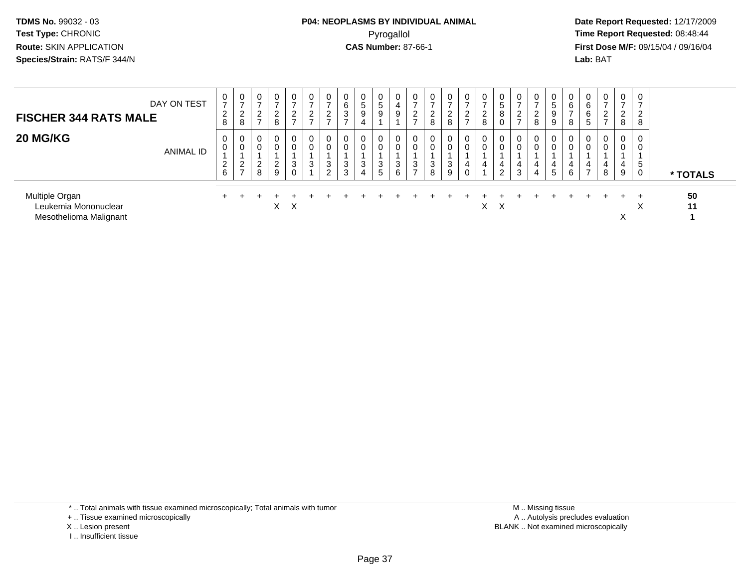# **P04: NEOPLASMS BY INDIVIDUAL ANIMAL**Pyrogallol Pyrogallol **Pyrogallol Time Report Requested:** 08:48:44<br>**CAS Number:** 87-66-1 **Time Report Requested:** 09/15/04 / 09/16/04

 **Date Report Requested:** 12/17/2009 **First Dose M/F:** 09/15/04 / 09/16/04 Lab: BAT **Lab:** BAT

| DAY ON TEST<br><b>FISCHER 344 RATS MALE</b>                      | 0<br>$\overline{ }$<br>$\overline{2}$<br>8 | $\overline{0}$<br>$\rightarrow$<br>$\sqrt{2}$<br>∼<br>8 | 0<br>-<br>2<br>$\overline{ }$ | $\overline{0}$<br>-<br>ົ<br>$\epsilon$<br>8 | 0<br>$\rightarrow$<br>C<br>$\epsilon$<br>$\rightarrow$ | 0<br>$\rightarrow$<br>$\overline{2}$<br>$\rightarrow$ | 0<br>$\rightarrow$<br>ົ<br>∼<br>$\rightarrow$ | 0<br>6<br>$\sim$<br>చ      | 5<br>9<br>4        | 5<br>9 | $\mathbf 0$<br>4<br>9 | 0<br>$\epsilon$          | 0<br>$\rightarrow$<br>2<br>8 | $\mathbf{0}$<br>$\overline{ }$<br>2<br>8 | 0<br>$\rightarrow$<br>2    | $\epsilon$<br>8 | c              | 0<br>$\sim$      | 0<br>ົດ<br>$\epsilon$<br>8 | 0<br>$\ddot{\circ}$<br>9<br>9 | 0<br>6<br>$\rightarrow$<br>8 | 0<br>6<br>6<br>$\circ$        | 0<br>$\sim$<br>$\epsilon$ | 0<br>$\overline{\phantom{a}}$<br>$\overline{2}$<br>8 | 0<br>ົ<br>∼<br>8  |          |
|------------------------------------------------------------------|--------------------------------------------|---------------------------------------------------------|-------------------------------|---------------------------------------------|--------------------------------------------------------|-------------------------------------------------------|-----------------------------------------------|----------------------------|--------------------|--------|-----------------------|--------------------------|------------------------------|------------------------------------------|----------------------------|-----------------|----------------|------------------|----------------------------|-------------------------------|------------------------------|-------------------------------|---------------------------|------------------------------------------------------|-------------------|----------|
| <b>20 MG/KG</b><br>ANIMAL ID                                     | 0<br>0<br>2<br>6                           | - 0<br>0<br>$\sim$<br>∼<br>$\rightarrow$                | 0<br>$\sim$<br>∠<br>8         | 0<br>0<br>$\Omega$<br>$\epsilon$<br>9       | 0<br>0<br>3<br>$\Omega$                                | 0<br>0<br>3                                           | 0<br>0<br>3<br>2                              | 0<br>$\mathbf 0$<br>3<br>3 | $\Omega$<br>3<br>4 | 3<br>5 | 0<br>0<br>3<br>6      | 0<br>3<br>$\overline{ }$ | 0<br>0<br>3<br>8             | $\mathbf{0}$<br>0<br>3<br>9              | 0<br>0<br>4<br>$\sim$<br>υ | 4               | $\overline{2}$ | 0<br>0<br>4<br>3 | 0<br>4<br>4                | 0<br>0<br>4<br>5              | 0<br>0<br>4<br>6             | 0<br>0<br>4<br>$\overline{ }$ | 0<br>4<br>8               | $\mathbf 0$<br>0<br>4<br>9                           | 0<br>0<br>5<br>0  | * TOTALS |
| Multiple Organ<br>Leukemia Mononuclear<br>Mesothelioma Malignant |                                            |                                                         |                               | X.                                          | $\mathsf{X}$                                           |                                                       |                                               |                            |                    |        |                       |                          |                              |                                          |                            | X.              | X              |                  |                            |                               |                              |                               |                           | ⋏                                                    | $\checkmark$<br>⌒ | 50<br>11 |

\* .. Total animals with tissue examined microscopically; Total animals with tumor

+ .. Tissue examined microscopically

- X .. Lesion present
- I .. Insufficient tissue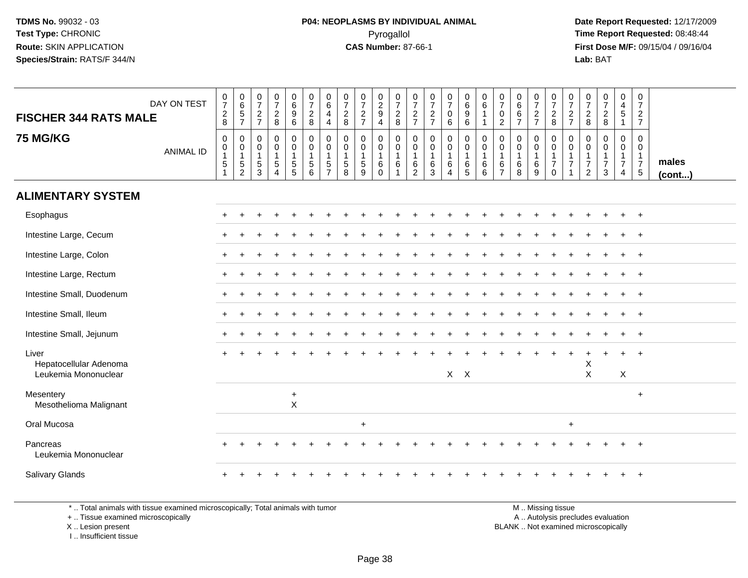**Date Report Requested:** 12/17/2009 **First Dose M/F:** 09/15/04 / 09/16/04 Lab: BAT **Lab:** BAT

| DAY ON TEST<br><b>FISCHER 344 RATS MALE</b>             | $\begin{array}{c} 0 \\ 7 \end{array}$<br>$\frac{2}{8}$                   | $\begin{matrix} 0 \\ 6 \\ 5 \end{matrix}$<br>$\overline{7}$ | $\frac{0}{7}$<br>$\frac{2}{7}$                                  | $\frac{0}{7}$<br>$\frac{2}{8}$                                                      | $\begin{matrix} 0 \\ 6 \end{matrix}$<br>$\overline{9}$<br>6 | $\frac{0}{7}$<br>$\frac{2}{8}$                                                    | 0<br>$\,6\,$<br>$\overline{4}$<br>$\overline{4}$         | $\frac{0}{7}$<br>$\overline{2}$<br>8                              | $\frac{0}{7}$<br>$\frac{2}{7}$   | $\begin{smallmatrix} 0\\2\\9 \end{smallmatrix}$<br>$\overline{4}$ | $\frac{0}{7}$<br>$_{\rm 2}^2$                                       | $\frac{0}{7}$<br>$\frac{2}{7}$                                          | $\frac{0}{7}$<br>$\frac{2}{7}$                                    | $\frac{0}{7}$<br>$\mathbf 0$<br>$\,6\,$                       | 0<br>$\,6\,$<br>$\boldsymbol{9}$<br>6                  | $\begin{array}{c} 0 \\ 6 \end{array}$<br>1<br>$\mathbf{1}$ | $\frac{0}{7}$<br>$\mathbf 0$<br>$\sqrt{2}$                        | 0<br>$6\phantom{a}$<br>$6\phantom{a}$<br>$\overline{7}$ | $\frac{0}{7}$<br>$\frac{2}{7}$                                          | $\frac{0}{7}$<br>$\frac{2}{8}$                                     | 0<br>$\overline{7}$<br>$\frac{2}{7}$                    | $\frac{0}{7}$<br>$_{\rm 8}^2$                                      | $\frac{0}{7}$<br>$\frac{2}{8}$                                    | $\begin{array}{c} 0 \\ 4 \\ 5 \end{array}$<br>$\mathbf{1}$      | 0<br>$\boldsymbol{7}$<br>$\overline{2}$<br>$\overline{7}$ |                       |
|---------------------------------------------------------|--------------------------------------------------------------------------|-------------------------------------------------------------|-----------------------------------------------------------------|-------------------------------------------------------------------------------------|-------------------------------------------------------------|-----------------------------------------------------------------------------------|----------------------------------------------------------|-------------------------------------------------------------------|----------------------------------|-------------------------------------------------------------------|---------------------------------------------------------------------|-------------------------------------------------------------------------|-------------------------------------------------------------------|---------------------------------------------------------------|--------------------------------------------------------|------------------------------------------------------------|-------------------------------------------------------------------|---------------------------------------------------------|-------------------------------------------------------------------------|--------------------------------------------------------------------|---------------------------------------------------------|--------------------------------------------------------------------|-------------------------------------------------------------------|-----------------------------------------------------------------|-----------------------------------------------------------|-----------------------|
| <b>75 MG/KG</b><br><b>ANIMAL ID</b>                     | $\pmb{0}$<br>$\pmb{0}$<br>$\mathbf{1}$<br>$\overline{5}$<br>$\mathbf{1}$ | 0<br>$\pmb{0}$<br>$\mathbf{1}$<br>5<br>$\overline{c}$       | $\pmb{0}$<br>$\pmb{0}$<br>$\mathbf{1}$<br>$5\,$<br>$\mathbf{3}$ | $\mathsf{O}$<br>$\mathsf{O}\xspace$<br>$\mathbf{1}$<br>$\sqrt{5}$<br>$\overline{4}$ | 0<br>0<br>1<br>$\frac{5}{5}$                                | $\pmb{0}$<br>$\ddot{\mathbf{0}}$<br>$\mathbf{1}$<br>$\sqrt{5}$<br>$6\phantom{1}6$ | 0<br>0<br>$\overline{1}$<br>$\sqrt{5}$<br>$\overline{7}$ | $\pmb{0}$<br>$\mathbf 0$<br>$\overline{1}$<br>$\overline{5}$<br>8 | 0<br>0<br>$\mathbf{1}$<br>5<br>9 | $\pmb{0}$<br>$\mathbf 0$<br>$\mathbf{1}$<br>6<br>$\Omega$         | $\pmb{0}$<br>$\mathbf 0$<br>$\mathbf{1}$<br>$\,6\,$<br>$\mathbf{1}$ | $\mathbf 0$<br>$\mathbf 0$<br>$\mathbf{1}$<br>$\,6\,$<br>$\overline{2}$ | $\pmb{0}$<br>$\pmb{0}$<br>$\mathbf{1}$<br>$\,6\,$<br>$\mathbf{3}$ | 0<br>$\mathbf 0$<br>$\mathbf{1}$<br>$\,6\,$<br>$\overline{4}$ | $\pmb{0}$<br>$\pmb{0}$<br>$\mathbf{1}$<br>$\,6\,$<br>5 | $\mathbf 0$<br>$\pmb{0}$<br>$\mathbf{1}$<br>$\,6\,$<br>6   | $\mathbf 0$<br>$\mathbf 0$<br>$\mathbf{1}$<br>6<br>$\overline{7}$ | $\pmb{0}$<br>0<br>$\mathbf{1}$<br>6<br>8                | $\mathbf 0$<br>$\pmb{0}$<br>$\mathbf{1}$<br>$\,6\,$<br>$\boldsymbol{9}$ | 0<br>$\mathsf{O}$<br>$\mathbf{1}$<br>$\overline{7}$<br>$\mathbf 0$ | $\mathbf 0$<br>0<br>$\mathbf{1}$<br>$\overline{7}$<br>1 | $\pmb{0}$<br>0<br>$\mathbf{1}$<br>$\overline{7}$<br>$\overline{2}$ | $\mathbf 0$<br>$\mathbf 0$<br>$\mathbf{1}$<br>$\overline{7}$<br>3 | $\pmb{0}$<br>$\mathbf 0$<br>$\mathbf{1}$<br>$\overline{7}$<br>4 | 0<br>0<br>$\mathbf{1}$<br>$\overline{7}$<br>$\sqrt{5}$    | males<br>$($ cont $)$ |
| <b>ALIMENTARY SYSTEM</b>                                |                                                                          |                                                             |                                                                 |                                                                                     |                                                             |                                                                                   |                                                          |                                                                   |                                  |                                                                   |                                                                     |                                                                         |                                                                   |                                                               |                                                        |                                                            |                                                                   |                                                         |                                                                         |                                                                    |                                                         |                                                                    |                                                                   |                                                                 |                                                           |                       |
| Esophagus                                               |                                                                          |                                                             |                                                                 |                                                                                     |                                                             |                                                                                   |                                                          |                                                                   |                                  |                                                                   |                                                                     |                                                                         |                                                                   |                                                               |                                                        |                                                            |                                                                   |                                                         |                                                                         |                                                                    |                                                         |                                                                    |                                                                   |                                                                 | $^{+}$                                                    |                       |
| Intestine Large, Cecum                                  |                                                                          |                                                             |                                                                 |                                                                                     |                                                             |                                                                                   |                                                          |                                                                   |                                  |                                                                   |                                                                     |                                                                         |                                                                   |                                                               |                                                        |                                                            |                                                                   |                                                         |                                                                         |                                                                    |                                                         |                                                                    |                                                                   |                                                                 |                                                           |                       |
| Intestine Large, Colon                                  |                                                                          |                                                             |                                                                 |                                                                                     |                                                             |                                                                                   |                                                          |                                                                   |                                  |                                                                   |                                                                     |                                                                         |                                                                   |                                                               |                                                        |                                                            |                                                                   |                                                         |                                                                         |                                                                    |                                                         |                                                                    |                                                                   |                                                                 | $\overline{+}$                                            |                       |
| Intestine Large, Rectum                                 |                                                                          |                                                             |                                                                 |                                                                                     |                                                             |                                                                                   |                                                          |                                                                   |                                  |                                                                   |                                                                     |                                                                         |                                                                   |                                                               |                                                        |                                                            |                                                                   |                                                         |                                                                         |                                                                    |                                                         |                                                                    |                                                                   |                                                                 | $\overline{1}$                                            |                       |
| Intestine Small, Duodenum                               |                                                                          |                                                             |                                                                 |                                                                                     |                                                             |                                                                                   |                                                          |                                                                   |                                  |                                                                   |                                                                     |                                                                         |                                                                   |                                                               |                                                        |                                                            |                                                                   |                                                         |                                                                         |                                                                    |                                                         |                                                                    |                                                                   |                                                                 | $+$                                                       |                       |
| Intestine Small, Ileum                                  |                                                                          |                                                             |                                                                 |                                                                                     |                                                             |                                                                                   |                                                          |                                                                   |                                  |                                                                   |                                                                     |                                                                         |                                                                   |                                                               |                                                        |                                                            |                                                                   |                                                         |                                                                         |                                                                    |                                                         |                                                                    |                                                                   |                                                                 | $+$                                                       |                       |
| Intestine Small, Jejunum                                |                                                                          |                                                             |                                                                 |                                                                                     |                                                             |                                                                                   |                                                          |                                                                   |                                  |                                                                   |                                                                     |                                                                         |                                                                   |                                                               |                                                        |                                                            |                                                                   |                                                         |                                                                         |                                                                    |                                                         |                                                                    |                                                                   |                                                                 | $^{+}$                                                    |                       |
| Liver<br>Hepatocellular Adenoma<br>Leukemia Mononuclear |                                                                          |                                                             |                                                                 |                                                                                     |                                                             |                                                                                   |                                                          |                                                                   |                                  |                                                                   |                                                                     |                                                                         |                                                                   | $X$ $X$                                                       |                                                        |                                                            |                                                                   |                                                         |                                                                         |                                                                    |                                                         | X<br>$\mathsf X$                                                   |                                                                   | $+$<br>X                                                        | $\overline{1}$                                            |                       |
| Mesentery<br>Mesothelioma Malignant                     |                                                                          |                                                             |                                                                 |                                                                                     | $\ddot{}$<br>$\mathsf{X}$                                   |                                                                                   |                                                          |                                                                   |                                  |                                                                   |                                                                     |                                                                         |                                                                   |                                                               |                                                        |                                                            |                                                                   |                                                         |                                                                         |                                                                    |                                                         |                                                                    |                                                                   |                                                                 | $+$                                                       |                       |
| Oral Mucosa                                             |                                                                          |                                                             |                                                                 |                                                                                     |                                                             |                                                                                   |                                                          |                                                                   | $\ddot{}$                        |                                                                   |                                                                     |                                                                         |                                                                   |                                                               |                                                        |                                                            |                                                                   |                                                         |                                                                         |                                                                    | $\ddot{}$                                               |                                                                    |                                                                   |                                                                 |                                                           |                       |
| Pancreas<br>Leukemia Mononuclear                        |                                                                          |                                                             |                                                                 |                                                                                     |                                                             |                                                                                   |                                                          |                                                                   |                                  |                                                                   |                                                                     |                                                                         |                                                                   |                                                               |                                                        |                                                            |                                                                   |                                                         |                                                                         |                                                                    |                                                         |                                                                    |                                                                   |                                                                 | $\overline{ }$                                            |                       |
| <b>Salivary Glands</b>                                  |                                                                          |                                                             |                                                                 |                                                                                     |                                                             |                                                                                   |                                                          |                                                                   |                                  |                                                                   |                                                                     |                                                                         |                                                                   |                                                               |                                                        |                                                            |                                                                   |                                                         |                                                                         |                                                                    |                                                         |                                                                    |                                                                   |                                                                 | $\overline{ }$                                            |                       |

\* .. Total animals with tissue examined microscopically; Total animals with tumor

+ .. Tissue examined microscopically

X .. Lesion present

I .. Insufficient tissue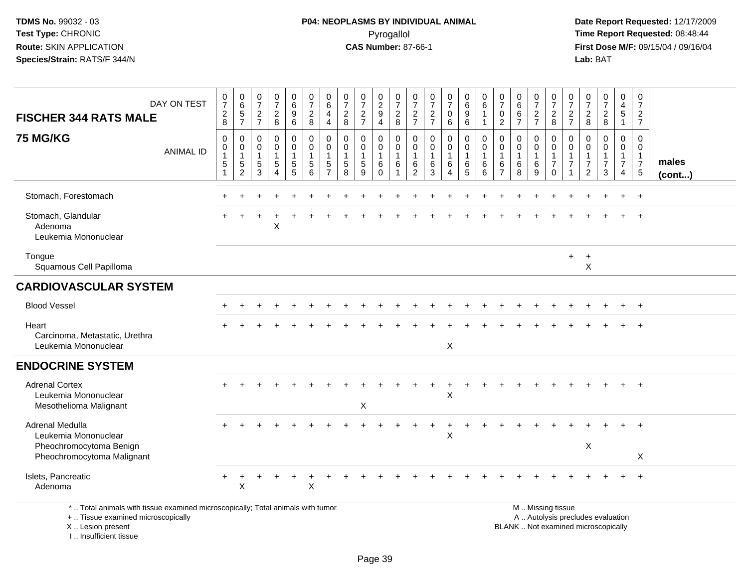**Date Report Requested:** 12/17/2009 **First Dose M/F:** 09/15/04 / 09/16/04<br>Lab: BAT **Lab:** BAT

| DAY ON TEST<br><b>FISCHER 344 RATS MALE</b>                                                                           | $\frac{0}{7}$<br>$\boldsymbol{2}$<br>8            | $_{6}^{\rm 0}$<br>$\sqrt{5}$<br>$\overline{7}$          | $\frac{0}{7}$<br>$\sqrt{2}$<br>$\overline{7}$                    | $\frac{0}{7}$<br>$\sqrt{2}$<br>8                                  | 0<br>$6\overline{6}$<br>$\boldsymbol{9}$<br>6        | $\frac{0}{7}$<br>$\frac{2}{8}$             | $^{\rm 0}_{\rm 6}$<br>$\overline{4}$<br>$\overline{4}$    | $\frac{0}{7}$<br>$\sqrt{2}$<br>8                               | $\frac{0}{7}$<br>$\sqrt{2}$<br>$\overline{7}$          | $\begin{smallmatrix} 0\\2\\9 \end{smallmatrix}$<br>$\overline{4}$      | 0<br>$\overline{7}$<br>$\sqrt{2}$<br>8 | $\frac{0}{7}$<br>$\frac{2}{7}$                    | $\frac{0}{7}$<br>$\overline{c}$<br>$\overline{7}$ | $\frac{0}{7}$<br>$\mathsf 0$<br>6                             | $\begin{array}{c} 0 \\ 6 \end{array}$<br>$\boldsymbol{9}$<br>6             | 0<br>$\,6\,$<br>$\overline{1}$<br>-1                 | $\frac{0}{7}$<br>$\pmb{0}$<br>$\sqrt{2}$                                     | 0<br>$\overline{6}$<br>6<br>$\overline{7}$           | $\frac{0}{7}$<br>$\frac{2}{7}$                 | $\frac{0}{7}$<br>$_{\rm 8}^2$                                                    | 0<br>$\overline{7}$<br>$\overline{c}$<br>$\overline{7}$        | $\frac{0}{7}$<br>$\sqrt{2}$<br>8                                                 | $\frac{0}{7}$<br>$\overline{c}$<br>8                   | 0<br>$\overline{4}$<br>$\sqrt{5}$<br>$\overline{1}$        | 0<br>$\overline{7}$<br>$\overline{c}$<br>$\overline{7}$           |                 |
|-----------------------------------------------------------------------------------------------------------------------|---------------------------------------------------|---------------------------------------------------------|------------------------------------------------------------------|-------------------------------------------------------------------|------------------------------------------------------|--------------------------------------------|-----------------------------------------------------------|----------------------------------------------------------------|--------------------------------------------------------|------------------------------------------------------------------------|----------------------------------------|---------------------------------------------------|---------------------------------------------------|---------------------------------------------------------------|----------------------------------------------------------------------------|------------------------------------------------------|------------------------------------------------------------------------------|------------------------------------------------------|------------------------------------------------|----------------------------------------------------------------------------------|----------------------------------------------------------------|----------------------------------------------------------------------------------|--------------------------------------------------------|------------------------------------------------------------|-------------------------------------------------------------------|-----------------|
| <b>75 MG/KG</b><br><b>ANIMAL ID</b>                                                                                   | 0<br>$\pmb{0}$<br>$\mathbf{1}$<br>$\sqrt{5}$<br>1 | 0<br>0<br>$\mathbf{1}$<br>$\,$ 5 $\,$<br>$\overline{2}$ | $\mathbf 0$<br>$\mathbf 0$<br>$\overline{1}$<br>$\,$ 5 $\,$<br>3 | 0<br>$\mathbf 0$<br>$\mathbf{1}$<br>$\,$ 5 $\,$<br>$\overline{4}$ | 0<br>$\mathbf 0$<br>$\mathbf{1}$<br>$\,$ 5 $\,$<br>5 | 0<br>$\mathbf 0$<br>$\mathbf{1}$<br>5<br>6 | 0<br>0<br>$\overline{1}$<br>$\,$ 5 $\,$<br>$\overline{7}$ | $\mathbf 0$<br>$\mathbf 0$<br>$\mathbf{1}$<br>$\,$ 5 $\,$<br>8 | 0<br>$\mathbf 0$<br>$\overline{1}$<br>$\,$ 5 $\,$<br>9 | $\mathbf 0$<br>$\boldsymbol{0}$<br>$\mathbf{1}$<br>$\,6\,$<br>$\Omega$ | 0<br>0<br>$\mathbf{1}$<br>6            | 0<br>0<br>$\mathbf{1}$<br>$\,6$<br>$\overline{2}$ | 0<br>$\pmb{0}$<br>$\mathbf{1}$<br>$\,6$<br>3      | 0<br>$\mathbf 0$<br>$\mathbf{1}$<br>$\,6\,$<br>$\overline{4}$ | $\mathbf 0$<br>$\mathbf 0$<br>$\overline{1}$<br>$\,6\,$<br>$5\phantom{.0}$ | $\mathbf 0$<br>$\mathbf 0$<br>$\mathbf{1}$<br>6<br>6 | $\mathbf 0$<br>$\boldsymbol{0}$<br>$\mathbf{1}$<br>$\,6\,$<br>$\overline{7}$ | $\mathbf 0$<br>$\mathbf 0$<br>$\mathbf{1}$<br>6<br>8 | 0<br>$\mathbf 0$<br>$\mathbf{1}$<br>$\,6$<br>9 | $\mathbf 0$<br>$\mathsf{O}\xspace$<br>$\mathbf{1}$<br>$\overline{7}$<br>$\Omega$ | $\mathbf 0$<br>$\mathbf 0$<br>$\overline{1}$<br>$\overline{7}$ | $\mathbf 0$<br>$\mathbf 0$<br>$\mathbf{1}$<br>$\boldsymbol{7}$<br>$\overline{2}$ | $\mathbf 0$<br>$\mathbf 0$<br>1<br>$\overline{7}$<br>3 | 0<br>0<br>$\mathbf{1}$<br>$\overline{7}$<br>$\overline{4}$ | $\mathbf 0$<br>$\mathbf 0$<br>$\mathbf{1}$<br>$\overline{7}$<br>5 | males<br>(cont) |
| Stomach, Forestomach                                                                                                  |                                                   |                                                         |                                                                  |                                                                   |                                                      |                                            |                                                           |                                                                |                                                        |                                                                        |                                        |                                                   |                                                   |                                                               |                                                                            |                                                      |                                                                              |                                                      |                                                |                                                                                  |                                                                |                                                                                  |                                                        |                                                            | $\ddot{}$                                                         |                 |
| Stomach, Glandular<br>Adenoma<br>Leukemia Mononuclear                                                                 |                                                   |                                                         |                                                                  | X                                                                 |                                                      |                                            |                                                           |                                                                |                                                        |                                                                        |                                        |                                                   |                                                   |                                                               |                                                                            |                                                      |                                                                              |                                                      |                                                |                                                                                  |                                                                |                                                                                  |                                                        |                                                            | $\ddot{}$                                                         |                 |
| Tongue<br>Squamous Cell Papilloma                                                                                     |                                                   |                                                         |                                                                  |                                                                   |                                                      |                                            |                                                           |                                                                |                                                        |                                                                        |                                        |                                                   |                                                   |                                                               |                                                                            |                                                      |                                                                              |                                                      |                                                |                                                                                  | $\ddot{}$                                                      | $+$<br>$\times$                                                                  |                                                        |                                                            |                                                                   |                 |
| <b>CARDIOVASCULAR SYSTEM</b>                                                                                          |                                                   |                                                         |                                                                  |                                                                   |                                                      |                                            |                                                           |                                                                |                                                        |                                                                        |                                        |                                                   |                                                   |                                                               |                                                                            |                                                      |                                                                              |                                                      |                                                |                                                                                  |                                                                |                                                                                  |                                                        |                                                            |                                                                   |                 |
| <b>Blood Vessel</b>                                                                                                   |                                                   |                                                         |                                                                  |                                                                   |                                                      |                                            |                                                           |                                                                |                                                        |                                                                        |                                        |                                                   |                                                   |                                                               |                                                                            |                                                      |                                                                              |                                                      |                                                |                                                                                  |                                                                |                                                                                  |                                                        |                                                            | $\overline{1}$                                                    |                 |
| Heart<br>Carcinoma, Metastatic, Urethra<br>Leukemia Mononuclear                                                       |                                                   |                                                         |                                                                  |                                                                   |                                                      |                                            |                                                           |                                                                |                                                        |                                                                        |                                        |                                                   |                                                   | X                                                             |                                                                            |                                                      |                                                                              |                                                      |                                                |                                                                                  |                                                                |                                                                                  |                                                        |                                                            | $\ddot{}$                                                         |                 |
| <b>ENDOCRINE SYSTEM</b>                                                                                               |                                                   |                                                         |                                                                  |                                                                   |                                                      |                                            |                                                           |                                                                |                                                        |                                                                        |                                        |                                                   |                                                   |                                                               |                                                                            |                                                      |                                                                              |                                                      |                                                |                                                                                  |                                                                |                                                                                  |                                                        |                                                            |                                                                   |                 |
| <b>Adrenal Cortex</b><br>Leukemia Mononuclear<br>Mesothelioma Malignant                                               |                                                   |                                                         |                                                                  |                                                                   |                                                      |                                            |                                                           |                                                                | $\boldsymbol{\mathsf{X}}$                              |                                                                        |                                        |                                                   |                                                   | X                                                             |                                                                            |                                                      |                                                                              |                                                      |                                                |                                                                                  |                                                                |                                                                                  |                                                        |                                                            |                                                                   |                 |
| Adrenal Medulla<br>Leukemia Mononuclear<br>Pheochromocytoma Benign                                                    |                                                   |                                                         |                                                                  |                                                                   |                                                      |                                            |                                                           |                                                                |                                                        |                                                                        |                                        |                                                   |                                                   | X                                                             |                                                                            |                                                      |                                                                              |                                                      |                                                |                                                                                  |                                                                | $\boldsymbol{\mathsf{X}}$                                                        |                                                        |                                                            | $\ddot{}$                                                         |                 |
| Pheochromocytoma Malignant                                                                                            |                                                   |                                                         |                                                                  |                                                                   |                                                      |                                            |                                                           |                                                                |                                                        |                                                                        |                                        |                                                   |                                                   |                                                               |                                                                            |                                                      |                                                                              |                                                      |                                                |                                                                                  |                                                                |                                                                                  |                                                        |                                                            | X                                                                 |                 |
| Islets, Pancreatic<br>Adenoma                                                                                         | $\div$                                            | X                                                       |                                                                  |                                                                   |                                                      | X                                          |                                                           |                                                                |                                                        |                                                                        |                                        |                                                   |                                                   |                                                               |                                                                            |                                                      |                                                                              |                                                      |                                                |                                                                                  |                                                                |                                                                                  |                                                        |                                                            | $+$                                                               |                 |
| *  Total animals with tissue examined microscopically; Total animals with tumor<br>+  Tissue examined microscopically |                                                   |                                                         |                                                                  |                                                                   |                                                      |                                            |                                                           |                                                                |                                                        |                                                                        |                                        |                                                   |                                                   |                                                               |                                                                            |                                                      |                                                                              |                                                      |                                                | M  Missing tissue<br>A  Autolysis precludes evaluation                           |                                                                |                                                                                  |                                                        |                                                            |                                                                   |                 |

X .. Lesion present

I .. Insufficient tissue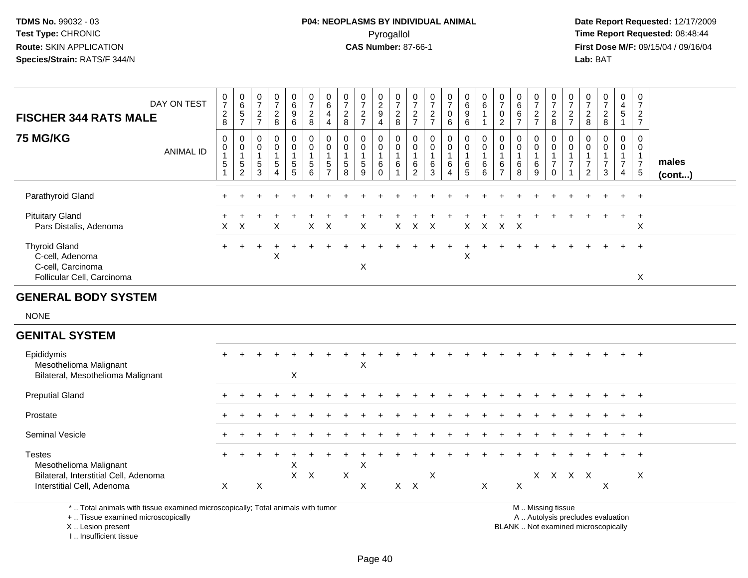# **P04: NEOPLASMS BY INDIVIDUAL ANIMAL**Pyrogallol Pyrogallol **Pyrogallol Time Report Requested:** 08:48:44<br>**CAS Number:** 87-66-1 **Time Report Requested:** 09/15/04 / 09/16/04

 **Date Report Requested:** 12/17/2009 **First Dose M/F:** 09/15/04 / 09/16/04<br>Lab: BAT **Lab:** BAT

| <b>FISCHER 344 RATS MALE</b>                                                                                                               | DAY ON TEST      | $\frac{0}{7}$<br>$_{8}^{\rm 2}$         | $\begin{array}{c} 0 \\ 6 \end{array}$<br>$\frac{5}{7}$           | 0<br>$\overline{7}$<br>$\frac{2}{7}$ | $\frac{0}{7}$<br>$\frac{2}{8}$                                   | $\begin{array}{c} 0 \\ 6 \\ 9 \end{array}$<br>6                        | $\begin{smallmatrix}0\\7\end{smallmatrix}$<br>$\overline{2}$<br>8 | $\pmb{0}$<br>$\overline{6}$<br>$\overline{4}$<br>$\overline{4}$           | 0<br>$\overline{7}$<br>$\overline{c}$<br>8            | $\begin{array}{c} 0 \\ 7 \end{array}$<br>$\sqrt{2}$<br>$\overline{7}$ | $\frac{0}{2}$<br>$\boldsymbol{9}$<br>4 | $\frac{0}{7}$<br>$_{8}^2$                             | $\frac{0}{7}$<br>$\frac{2}{7}$                                          | 0<br>$\overline{7}$<br>$\frac{2}{7}$ | $\begin{array}{c} 0 \\ 7 \end{array}$<br>$\boldsymbol{0}$<br>$6\phantom{1}6$ | $_{6}^{\rm 0}$<br>$\overline{9}$<br>$\,6\,$         | $\mathbf 0$<br>$\overline{6}$<br>1<br>$\mathbf{1}$   | $\frac{0}{7}$<br>0<br>$\overline{c}$                    | $\begin{array}{c} 0 \\ 6 \end{array}$<br>6<br>$\overline{7}$ | $\begin{array}{c} 0 \\ 7 \end{array}$<br>$\sqrt{2}$<br>$\overline{7}$ | $\frac{0}{7}$<br>$_{8}^{\rm 2}$              | $\begin{array}{c} 0 \\ 7 \end{array}$<br>$\frac{2}{7}$                       | 0<br>$\overline{7}$<br>$\overline{c}$<br>$\bf 8$                     | $\frac{0}{7}$<br>$\sqrt{2}$<br>8                                         | $\pmb{0}$<br>$\overline{4}$<br>$\overline{5}$<br>$\mathbf{1}$ | $\begin{smallmatrix}0\\7\end{smallmatrix}$<br>$\sqrt{2}$<br>$\overline{7}$ |                 |
|--------------------------------------------------------------------------------------------------------------------------------------------|------------------|-----------------------------------------|------------------------------------------------------------------|--------------------------------------|------------------------------------------------------------------|------------------------------------------------------------------------|-------------------------------------------------------------------|---------------------------------------------------------------------------|-------------------------------------------------------|-----------------------------------------------------------------------|----------------------------------------|-------------------------------------------------------|-------------------------------------------------------------------------|--------------------------------------|------------------------------------------------------------------------------|-----------------------------------------------------|------------------------------------------------------|---------------------------------------------------------|--------------------------------------------------------------|-----------------------------------------------------------------------|----------------------------------------------|------------------------------------------------------------------------------|----------------------------------------------------------------------|--------------------------------------------------------------------------|---------------------------------------------------------------|----------------------------------------------------------------------------|-----------------|
| <b>75 MG/KG</b>                                                                                                                            | <b>ANIMAL ID</b> | 0<br>0<br>$\overline{1}$<br>$\,$ 5 $\,$ | $\pmb{0}$<br>$\boldsymbol{0}$<br>$\mathbf{1}$<br>$\sqrt{5}$<br>2 | 0<br>0<br>1<br>5<br>3                | 0<br>$\mathbf 0$<br>$\mathbf{1}$<br>$\sqrt{5}$<br>$\overline{4}$ | $\mathbf 0$<br>$\mathsf{O}\xspace$<br>$\mathbf{1}$<br>$\,$ 5 $\,$<br>5 | 0<br>0<br>1<br>$\,$ 5 $\,$<br>6                                   | $\pmb{0}$<br>$\pmb{0}$<br>$\overline{1}$<br>$\,$ 5 $\,$<br>$\overline{7}$ | 0<br>$\mathbf 0$<br>$\overline{1}$<br>$\sqrt{5}$<br>8 | 0<br>$\mathbf 0$<br>$\mathbf{1}$<br>$\overline{5}$<br>9               | 0<br>$\mathbf 0$<br>1<br>6<br>$\Omega$ | 0<br>$\pmb{0}$<br>$\mathbf{1}$<br>6<br>$\overline{1}$ | $\pmb{0}$<br>$\mathsf{O}\xspace$<br>$\mathbf{1}$<br>6<br>$\overline{2}$ | 0<br>0<br>-1<br>6<br>3               | 0<br>$\mathsf{O}\xspace$<br>$\mathbf{1}$<br>$\,6$<br>$\overline{4}$          | 0<br>$\overline{0}$<br>$\mathbf{1}$<br>$\,6\,$<br>5 | $\mathbf 0$<br>$\mathbf 0$<br>$\mathbf{1}$<br>6<br>6 | 0<br>$\mathbf 0$<br>$\mathbf{1}$<br>6<br>$\overline{7}$ | 0<br>0<br>1<br>$\,6\,$<br>8                                  | 0<br>$\pmb{0}$<br>$\mathbf{1}$<br>$\,6\,$<br>9                        | 0<br>0<br>1<br>$\overline{7}$<br>$\mathbf 0$ | $\mathbf 0$<br>$\mathbf 0$<br>$\mathbf{1}$<br>$\overline{7}$<br>$\mathbf{1}$ | 0<br>$\mathbf 0$<br>$\mathbf{1}$<br>$\overline{7}$<br>$\overline{2}$ | $\mathbf 0$<br>$\mathbf 0$<br>1<br>$\overline{7}$<br>3                   | 0<br>0<br>$\mathbf{1}$<br>$\overline{7}$<br>$\overline{4}$    | 0<br>0<br>$\mathbf{1}$<br>$\overline{7}$<br>$\overline{5}$                 | males<br>(cont) |
| Parathyroid Gland                                                                                                                          |                  |                                         |                                                                  |                                      |                                                                  |                                                                        |                                                                   |                                                                           |                                                       |                                                                       |                                        |                                                       |                                                                         |                                      |                                                                              |                                                     |                                                      |                                                         |                                                              |                                                                       |                                              |                                                                              |                                                                      |                                                                          |                                                               | $+$                                                                        |                 |
| <b>Pituitary Gland</b><br>Pars Distalis, Adenoma                                                                                           |                  | X                                       | X                                                                |                                      | Х                                                                |                                                                        | X                                                                 | $\times$                                                                  |                                                       | X                                                                     |                                        | X                                                     | X                                                                       | X                                    |                                                                              | X                                                   | $\mathsf{X}$                                         | X                                                       | X                                                            |                                                                       |                                              |                                                                              |                                                                      |                                                                          | $\ddot{}$                                                     | $\ddot{}$<br>X                                                             |                 |
| <b>Thyroid Gland</b><br>C-cell, Adenoma<br>C-cell, Carcinoma<br>Follicular Cell, Carcinoma                                                 |                  | $+$                                     |                                                                  |                                      | X                                                                |                                                                        |                                                                   |                                                                           |                                                       | X                                                                     |                                        |                                                       |                                                                         |                                      |                                                                              | X                                                   |                                                      |                                                         |                                                              |                                                                       |                                              |                                                                              |                                                                      |                                                                          |                                                               | $\ddot{}$<br>X                                                             |                 |
|                                                                                                                                            |                  |                                         |                                                                  |                                      |                                                                  |                                                                        |                                                                   |                                                                           |                                                       |                                                                       |                                        |                                                       |                                                                         |                                      |                                                                              |                                                     |                                                      |                                                         |                                                              |                                                                       |                                              |                                                                              |                                                                      |                                                                          |                                                               |                                                                            |                 |
| <b>GENERAL BODY SYSTEM</b><br><b>NONE</b>                                                                                                  |                  |                                         |                                                                  |                                      |                                                                  |                                                                        |                                                                   |                                                                           |                                                       |                                                                       |                                        |                                                       |                                                                         |                                      |                                                                              |                                                     |                                                      |                                                         |                                                              |                                                                       |                                              |                                                                              |                                                                      |                                                                          |                                                               |                                                                            |                 |
| <b>GENITAL SYSTEM</b>                                                                                                                      |                  |                                         |                                                                  |                                      |                                                                  |                                                                        |                                                                   |                                                                           |                                                       |                                                                       |                                        |                                                       |                                                                         |                                      |                                                                              |                                                     |                                                      |                                                         |                                                              |                                                                       |                                              |                                                                              |                                                                      |                                                                          |                                                               |                                                                            |                 |
| Epididymis<br>Mesothelioma Malignant<br>Bilateral, Mesothelioma Malignant                                                                  |                  |                                         |                                                                  |                                      |                                                                  | X                                                                      |                                                                   |                                                                           |                                                       | $\pmb{\times}$                                                        |                                        |                                                       |                                                                         |                                      |                                                                              |                                                     |                                                      |                                                         |                                                              |                                                                       |                                              |                                                                              |                                                                      |                                                                          |                                                               | $\ddot{}$                                                                  |                 |
| <b>Preputial Gland</b>                                                                                                                     |                  |                                         |                                                                  |                                      |                                                                  |                                                                        |                                                                   |                                                                           |                                                       |                                                                       |                                        |                                                       |                                                                         |                                      |                                                                              |                                                     |                                                      |                                                         |                                                              |                                                                       |                                              |                                                                              |                                                                      |                                                                          |                                                               | $\ddot{}$                                                                  |                 |
| Prostate                                                                                                                                   |                  |                                         |                                                                  |                                      |                                                                  |                                                                        |                                                                   |                                                                           |                                                       |                                                                       |                                        |                                                       |                                                                         |                                      |                                                                              |                                                     |                                                      |                                                         |                                                              |                                                                       |                                              |                                                                              |                                                                      |                                                                          |                                                               |                                                                            |                 |
| Seminal Vesicle                                                                                                                            |                  |                                         |                                                                  |                                      |                                                                  |                                                                        |                                                                   |                                                                           |                                                       |                                                                       |                                        |                                                       |                                                                         |                                      |                                                                              |                                                     |                                                      |                                                         |                                                              |                                                                       |                                              |                                                                              |                                                                      |                                                                          |                                                               | $\ddot{}$                                                                  |                 |
| <b>Testes</b><br>Mesothelioma Malignant<br>Bilateral, Interstitial Cell, Adenoma<br>Interstitial Cell, Adenoma                             |                  | X                                       |                                                                  | $\boldsymbol{\mathsf{X}}$            |                                                                  | X                                                                      | $X$ $X$                                                           |                                                                           | X                                                     | X<br>X                                                                |                                        | $X$ $X$                                               |                                                                         | X                                    |                                                                              |                                                     | $\sf X$                                              |                                                         | $\boldsymbol{\mathsf{X}}$                                    |                                                                       | X X X X                                      |                                                                              |                                                                      | X                                                                        |                                                               | $\times$                                                                   |                 |
| *  Total animals with tissue examined microscopically; Total animals with tumor<br>+  Tissue examined microscopically<br>X  Lesion present |                  |                                         |                                                                  |                                      |                                                                  |                                                                        |                                                                   |                                                                           |                                                       |                                                                       |                                        |                                                       |                                                                         |                                      |                                                                              |                                                     |                                                      |                                                         |                                                              |                                                                       | M  Missing tissue                            |                                                                              |                                                                      | A  Autolysis precludes evaluation<br>BLANK  Not examined microscopically |                                                               |                                                                            |                 |

I .. Insufficient tissue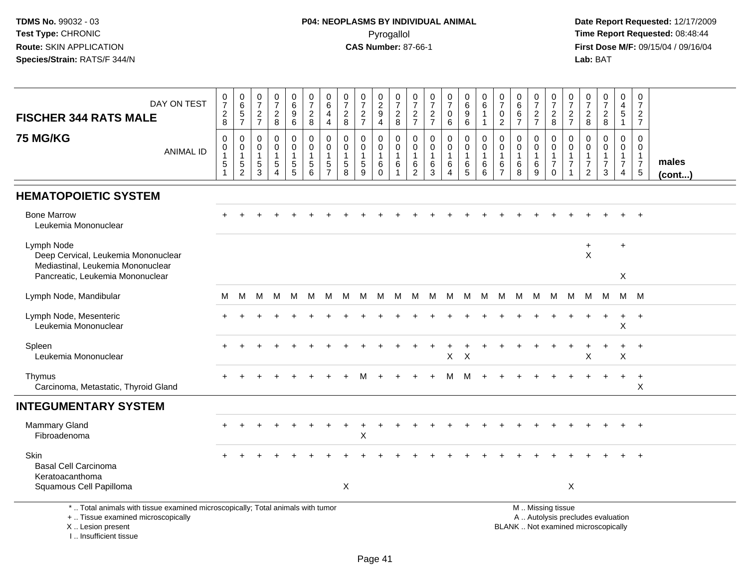**Date Report Requested:** 12/17/2009 **First Dose M/F:** 09/15/04 / 09/16/04<br>Lab: BAT **Lab:** BAT

| DAY ON TEST<br><b>FISCHER 344 RATS MALE</b>                                                                                                | $\begin{smallmatrix}0\\7\end{smallmatrix}$<br>$\frac{2}{8}$         | $\pmb{0}$<br>$\,6$<br>$\,$ 5 $\,$<br>$\overline{7}$                | $\frac{0}{7}$<br>$\frac{2}{7}$                                    | $\frac{0}{7}$<br>$\overline{c}$<br>8    | 0<br>6<br>9<br>$6\phantom{1}$            | $\frac{0}{7}$<br>$\boldsymbol{2}$<br>8                           | 0<br>$\,6\,$<br>$\overline{4}$<br>$\overline{4}$                             | $\frac{0}{7}$<br>$\overline{2}$<br>8                            | $\frac{0}{7}$<br>$\frac{2}{7}$                       | 0<br>$\overline{c}$<br>9<br>4              | $\frac{0}{7}$<br>$\overline{c}$<br>8  | 0<br>$\boldsymbol{7}$<br>$\overline{c}$<br>$\overline{7}$ | $\frac{0}{7}$<br>$\frac{2}{7}$             | $\begin{smallmatrix}0\\7\end{smallmatrix}$<br>0<br>$\,6\,$                | 0<br>$\overline{6}$<br>9<br>$6\phantom{1}6$                | 0<br>$\,6\,$<br>1<br>$\mathbf{1}$ | $\frac{0}{7}$<br>$\pmb{0}$<br>$\overline{2}$            | $_6^0$<br>$\,6\,$<br>$\overline{7}$       | $\pmb{0}$<br>$\boldsymbol{7}$<br>$\frac{2}{7}$ | 0<br>$\overline{7}$<br>$\overline{c}$<br>$\,8\,$                                              | 0<br>$\overline{7}$<br>$\frac{2}{7}$                  | $\frac{0}{7}$<br>$\boldsymbol{2}$<br>8                                      | $\frac{0}{7}$<br>$\overline{c}$<br>8      | 0<br>$\overline{4}$<br>$\sqrt{5}$<br>$\mathbf{1}$         | 0<br>$\overline{7}$<br>$\overline{a}$<br>$\overline{7}$                    |                       |
|--------------------------------------------------------------------------------------------------------------------------------------------|---------------------------------------------------------------------|--------------------------------------------------------------------|-------------------------------------------------------------------|-----------------------------------------|------------------------------------------|------------------------------------------------------------------|------------------------------------------------------------------------------|-----------------------------------------------------------------|------------------------------------------------------|--------------------------------------------|---------------------------------------|-----------------------------------------------------------|--------------------------------------------|---------------------------------------------------------------------------|------------------------------------------------------------|-----------------------------------|---------------------------------------------------------|-------------------------------------------|------------------------------------------------|-----------------------------------------------------------------------------------------------|-------------------------------------------------------|-----------------------------------------------------------------------------|-------------------------------------------|-----------------------------------------------------------|----------------------------------------------------------------------------|-----------------------|
| <b>75 MG/KG</b><br><b>ANIMAL ID</b>                                                                                                        | $\mathbf 0$<br>$\mathbf 0$<br>$\overline{1}$<br>$\overline{5}$<br>1 | 0<br>$\mathbf 0$<br>$\overline{1}$<br>$\sqrt{5}$<br>$\overline{c}$ | $\mathbf 0$<br>$\mathbf 0$<br>$\mathbf{1}$<br>$\overline{5}$<br>3 | 0<br>$\mathbf 0$<br>5<br>$\overline{4}$ | 0<br>$\mathbf 0$<br>1<br>$\sqrt{5}$<br>5 | $\mathbf 0$<br>$\mathbf 0$<br>$\overline{1}$<br>$\,$ 5 $\,$<br>6 | $\mathbf 0$<br>$\mathbf 0$<br>$\overline{1}$<br>$\sqrt{5}$<br>$\overline{7}$ | $\mathbf 0$<br>$\mathbf 0$<br>$\overline{1}$<br>$\sqrt{5}$<br>8 | 0<br>$\mathbf 0$<br>$\mathbf{1}$<br>$\,$ 5 $\,$<br>9 | 0<br>$\mathbf 0$<br>$\mathbf{1}$<br>6<br>0 | 0<br>$\mathbf 0$<br>$\mathbf{1}$<br>6 | 0<br>$\mathbf 0$<br>$\mathbf{1}$<br>$\,6$<br>2            | $\mathbf 0$<br>$\mathbf 0$<br>$\,6\,$<br>3 | $\mathbf 0$<br>$\mathbf 0$<br>$\overline{1}$<br>$\,6\,$<br>$\overline{4}$ | $\mathbf 0$<br>$\mathbf 0$<br>$\mathbf{1}$<br>$\,6\,$<br>5 | 0<br>$\mathbf 0$<br>1<br>6<br>6   | 0<br>$\mathbf 0$<br>$\mathbf{1}$<br>6<br>$\overline{7}$ | 0<br>$\mathbf 0$<br>$\mathbf 1$<br>6<br>8 | 0<br>0<br>$\mathbf{1}$<br>$\,6\,$<br>9         | $\mathbf 0$<br>$\mathbf 0$<br>$\mathbf{1}$<br>$\overline{7}$<br>$\mathbf 0$                   | 0<br>$\mathbf{0}$<br>$\overline{1}$<br>$\overline{7}$ | $\mathbf 0$<br>$\Omega$<br>$\mathbf{1}$<br>$\overline{7}$<br>$\overline{2}$ | 0<br>$\Omega$<br>1<br>$\overline{7}$<br>3 | $\mathbf 0$<br>0<br>$\mathbf{1}$<br>$\boldsymbol{7}$<br>4 | $\mathbf 0$<br>$\mathbf 0$<br>$\mathbf{1}$<br>$\overline{7}$<br>$\sqrt{5}$ | males<br>$($ cont $)$ |
| <b>HEMATOPOIETIC SYSTEM</b>                                                                                                                |                                                                     |                                                                    |                                                                   |                                         |                                          |                                                                  |                                                                              |                                                                 |                                                      |                                            |                                       |                                                           |                                            |                                                                           |                                                            |                                   |                                                         |                                           |                                                |                                                                                               |                                                       |                                                                             |                                           |                                                           |                                                                            |                       |
| <b>Bone Marrow</b><br>Leukemia Mononuclear                                                                                                 |                                                                     |                                                                    |                                                                   |                                         |                                          |                                                                  |                                                                              |                                                                 |                                                      |                                            |                                       |                                                           |                                            |                                                                           |                                                            |                                   |                                                         |                                           |                                                |                                                                                               |                                                       |                                                                             |                                           |                                                           |                                                                            |                       |
| Lymph Node<br>Deep Cervical, Leukemia Mononuclear<br>Mediastinal, Leukemia Mononuclear<br>Pancreatic, Leukemia Mononuclear                 |                                                                     |                                                                    |                                                                   |                                         |                                          |                                                                  |                                                                              |                                                                 |                                                      |                                            |                                       |                                                           |                                            |                                                                           |                                                            |                                   |                                                         |                                           |                                                |                                                                                               |                                                       | $\ddot{}$<br>X                                                              |                                           | $\ddot{}$<br>X                                            |                                                                            |                       |
| Lymph Node, Mandibular                                                                                                                     | м                                                                   | M                                                                  | M                                                                 | M                                       | M                                        | M                                                                | м                                                                            | M                                                               | M                                                    | M                                          | M                                     |                                                           | M M M                                      |                                                                           | M                                                          | M                                 | M                                                       | M                                         | M                                              | M                                                                                             | M                                                     | M M                                                                         |                                           |                                                           | M M                                                                        |                       |
| Lymph Node, Mesenteric<br>Leukemia Mononuclear                                                                                             |                                                                     |                                                                    |                                                                   |                                         |                                          |                                                                  |                                                                              |                                                                 |                                                      |                                            |                                       |                                                           |                                            |                                                                           |                                                            |                                   |                                                         |                                           |                                                |                                                                                               |                                                       |                                                                             |                                           | $\boldsymbol{\mathsf{X}}$                                 | $\ddot{}$                                                                  |                       |
| Spleen<br>Leukemia Mononuclear                                                                                                             |                                                                     |                                                                    |                                                                   |                                         |                                          |                                                                  |                                                                              |                                                                 |                                                      |                                            |                                       |                                                           | $\overline{1}$                             | $\ddot{}$<br>$\pmb{\times}$                                               | $\ddot{}$<br>$\times$                                      |                                   |                                                         |                                           |                                                |                                                                                               |                                                       | Х                                                                           |                                           | $\ddot{}$<br>X                                            | $+$                                                                        |                       |
| Thymus<br>Carcinoma, Metastatic, Thyroid Gland                                                                                             |                                                                     |                                                                    |                                                                   |                                         |                                          |                                                                  |                                                                              |                                                                 | м                                                    |                                            |                                       |                                                           |                                            | м                                                                         | M                                                          |                                   |                                                         |                                           |                                                |                                                                                               |                                                       |                                                                             |                                           |                                                           | $\ddot{}$<br>X                                                             |                       |
| <b>INTEGUMENTARY SYSTEM</b>                                                                                                                |                                                                     |                                                                    |                                                                   |                                         |                                          |                                                                  |                                                                              |                                                                 |                                                      |                                            |                                       |                                                           |                                            |                                                                           |                                                            |                                   |                                                         |                                           |                                                |                                                                                               |                                                       |                                                                             |                                           |                                                           |                                                                            |                       |
| <b>Mammary Gland</b><br>Fibroadenoma                                                                                                       |                                                                     |                                                                    |                                                                   |                                         |                                          |                                                                  |                                                                              |                                                                 | X                                                    |                                            |                                       |                                                           |                                            |                                                                           |                                                            |                                   |                                                         |                                           |                                                |                                                                                               |                                                       |                                                                             |                                           |                                                           | $+$                                                                        |                       |
| Skin<br><b>Basal Cell Carcinoma</b><br>Keratoacanthoma<br>Squamous Cell Papilloma                                                          |                                                                     |                                                                    |                                                                   |                                         |                                          |                                                                  |                                                                              | X                                                               |                                                      |                                            |                                       |                                                           |                                            |                                                                           |                                                            |                                   |                                                         |                                           |                                                |                                                                                               | $\boldsymbol{\mathsf{X}}$                             |                                                                             |                                           |                                                           |                                                                            |                       |
| *  Total animals with tissue examined microscopically; Total animals with tumor<br>+  Tissue examined microscopically<br>X  Lesion present |                                                                     |                                                                    |                                                                   |                                         |                                          |                                                                  |                                                                              |                                                                 |                                                      |                                            |                                       |                                                           |                                            |                                                                           |                                                            |                                   |                                                         |                                           |                                                | M  Missing tissue<br>A  Autolysis precludes evaluation<br>BLANK  Not examined microscopically |                                                       |                                                                             |                                           |                                                           |                                                                            |                       |

I .. Insufficient tissue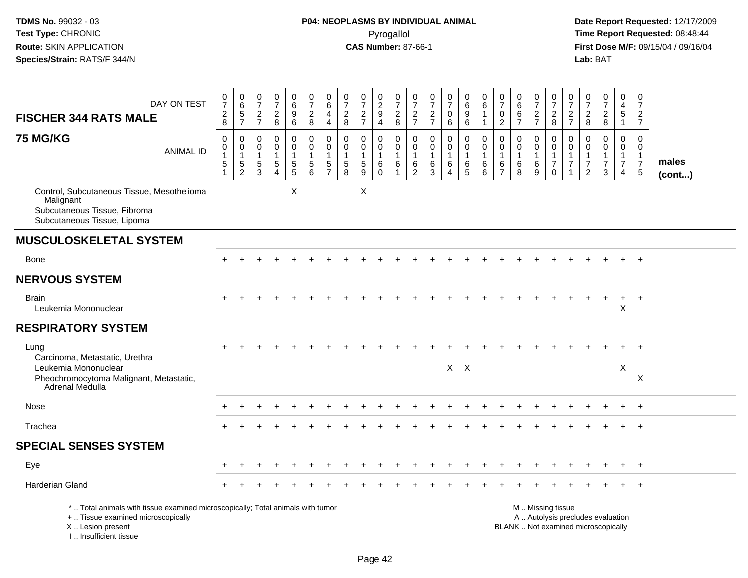| DAY ON TEST<br><b>FISCHER 344 RATS MALE</b>                                                                                                                          | $\frac{0}{7}$<br>$\frac{2}{8}$                                            | $_{6}^{\rm 0}$<br>$\frac{5}{7}$                           | 0<br>$\overline{7}$<br>$\sqrt{2}$<br>$\overline{7}$                 | $\frac{0}{7}$<br>$\frac{2}{8}$                                             | $\begin{array}{c} 0 \\ 6 \end{array}$<br>$\boldsymbol{9}$<br>$\,6\,$      | $\frac{0}{7}$<br>$\overline{c}$<br>8                          | $\begin{array}{c} 0 \\ 6 \end{array}$<br>4<br>$\overline{4}$ | 0<br>$\overline{7}$<br>$\sqrt{2}$<br>8                        | $\frac{0}{7}$<br>$\sqrt{2}$<br>$\overline{7}$ | $\begin{smallmatrix} 0\\2\\9 \end{smallmatrix}$<br>$\overline{4}$ | 0<br>$\overline{7}$<br>$\frac{2}{8}$                                | 0<br>$\overline{7}$<br>$\frac{2}{7}$                                | $\frac{0}{7}$<br>$\frac{2}{7}$                       | $\frac{0}{7}$<br>$\mathbf 0$<br>6            | $_{6}^{\rm 0}$<br>$\overline{9}$<br>$6\phantom{1}$ | 0<br>$\overline{6}$<br>$\mathbf{1}$<br>$\mathbf{1}$                                | $\frac{0}{7}$<br>$\pmb{0}$<br>2                                     | $\begin{array}{c} 0 \\ 6 \end{array}$<br>$\,6\,$<br>$\overline{7}$ | $\frac{0}{7}$<br>$\frac{2}{7}$   | $\frac{0}{7}$<br>$\frac{2}{8}$                                    | $\frac{0}{7}$<br>$\frac{2}{7}$                                               | 0<br>$\overline{7}$<br>$_{8}^2$                            | $\begin{array}{c} 0 \\ 7 \end{array}$<br>$\frac{2}{8}$                   | 0<br>$\overline{4}$<br>$\sqrt{5}$<br>$\mathbf{1}$                    | $\mathbf 0$<br>$\overline{7}$<br>$\frac{2}{7}$                          |                       |
|----------------------------------------------------------------------------------------------------------------------------------------------------------------------|---------------------------------------------------------------------------|-----------------------------------------------------------|---------------------------------------------------------------------|----------------------------------------------------------------------------|---------------------------------------------------------------------------|---------------------------------------------------------------|--------------------------------------------------------------|---------------------------------------------------------------|-----------------------------------------------|-------------------------------------------------------------------|---------------------------------------------------------------------|---------------------------------------------------------------------|------------------------------------------------------|----------------------------------------------|----------------------------------------------------|------------------------------------------------------------------------------------|---------------------------------------------------------------------|--------------------------------------------------------------------|----------------------------------|-------------------------------------------------------------------|------------------------------------------------------------------------------|------------------------------------------------------------|--------------------------------------------------------------------------|----------------------------------------------------------------------|-------------------------------------------------------------------------|-----------------------|
| <b>75 MG/KG</b><br><b>ANIMAL ID</b>                                                                                                                                  | $\pmb{0}$<br>$\mathsf 0$<br>$\mathbf{1}$<br>$\,$ 5 $\,$<br>$\overline{1}$ | 0<br>$\mathbf 0$<br>$\overline{1}$<br>5<br>$\overline{2}$ | $\mathbf 0$<br>$\mathbf 0$<br>$\overline{1}$<br>$\overline{5}$<br>3 | $\mathbf 0$<br>$\mathbf 0$<br>$\mathbf{1}$<br>$\sqrt{5}$<br>$\overline{4}$ | 0<br>$\mathbf 0$<br>$\mathbf{1}$<br>$\begin{array}{c} 5 \\ 5 \end{array}$ | $\mathbf 0$<br>$\mathbf 0$<br>$\mathbf{1}$<br>$\sqrt{5}$<br>6 | 0<br>$\pmb{0}$<br>$\mathbf{1}$<br>$\frac{5}{7}$              | $\mathbf 0$<br>$\mathbf 0$<br>$\mathbf{1}$<br>$\sqrt{5}$<br>8 | $\mathbf 0$<br>$\mathbf 0$<br>$\sqrt{5}$<br>9 | 0<br>$\mathbf 0$<br>$\mathbf{1}$<br>$\,6\,$<br>$\Omega$           | $\mathbf 0$<br>$\mathbf 0$<br>$\overline{1}$<br>6<br>$\overline{1}$ | $\mathbf 0$<br>$\mathbf 0$<br>$\overline{1}$<br>6<br>$\overline{2}$ | $\mathbf 0$<br>$\mathbf 0$<br>$\mathbf{1}$<br>6<br>3 | 0<br>$\mathbf 0$<br>1<br>6<br>$\overline{4}$ | 0<br>$\mathbf 0$<br>$\mathbf{1}$<br>$^6$ 5         | $\mathbf 0$<br>$\mathsf{O}\xspace$<br>$\overline{1}$<br>$\,6\,$<br>$6\phantom{1}6$ | $\mathbf 0$<br>$\mathbf 0$<br>$\overline{1}$<br>6<br>$\overline{7}$ | 0<br>$\mathbf 0$<br>$\mathbf{1}$<br>$\,6\,$<br>8                   | 0<br>$\mathbf 0$<br>$\,6\,$<br>9 | 0<br>$\mathbf 0$<br>$\mathbf{1}$<br>$\overline{7}$<br>$\mathbf 0$ | $\mathbf 0$<br>$\mathbf 0$<br>$\mathbf{1}$<br>$\overline{7}$<br>$\mathbf{1}$ | $\mathbf 0$<br>$\mathbf 0$<br>$\overline{7}$<br>$\sqrt{2}$ | $\mathbf 0$<br>$\mathbf 0$<br>$\mathbf{1}$<br>$\overline{7}$<br>3        | 0<br>$\mathbf 0$<br>$\mathbf{1}$<br>$\overline{7}$<br>$\overline{4}$ | $\Omega$<br>$\mathbf 0$<br>$\mathbf{1}$<br>$\overline{7}$<br>$\sqrt{5}$ | males<br>$($ cont $)$ |
| Control, Subcutaneous Tissue, Mesothelioma<br>Malignant<br>Subcutaneous Tissue, Fibroma<br>Subcutaneous Tissue, Lipoma                                               |                                                                           |                                                           |                                                                     |                                                                            | X                                                                         |                                                               |                                                              |                                                               | X                                             |                                                                   |                                                                     |                                                                     |                                                      |                                              |                                                    |                                                                                    |                                                                     |                                                                    |                                  |                                                                   |                                                                              |                                                            |                                                                          |                                                                      |                                                                         |                       |
| <b>MUSCULOSKELETAL SYSTEM</b>                                                                                                                                        |                                                                           |                                                           |                                                                     |                                                                            |                                                                           |                                                               |                                                              |                                                               |                                               |                                                                   |                                                                     |                                                                     |                                                      |                                              |                                                    |                                                                                    |                                                                     |                                                                    |                                  |                                                                   |                                                                              |                                                            |                                                                          |                                                                      |                                                                         |                       |
| Bone                                                                                                                                                                 | $+$                                                                       |                                                           |                                                                     |                                                                            |                                                                           |                                                               |                                                              |                                                               |                                               |                                                                   |                                                                     |                                                                     |                                                      |                                              |                                                    |                                                                                    |                                                                     |                                                                    |                                  |                                                                   |                                                                              |                                                            |                                                                          | $\ddot{}$                                                            | $+$                                                                     |                       |
| <b>NERVOUS SYSTEM</b>                                                                                                                                                |                                                                           |                                                           |                                                                     |                                                                            |                                                                           |                                                               |                                                              |                                                               |                                               |                                                                   |                                                                     |                                                                     |                                                      |                                              |                                                    |                                                                                    |                                                                     |                                                                    |                                  |                                                                   |                                                                              |                                                            |                                                                          |                                                                      |                                                                         |                       |
| <b>Brain</b><br>Leukemia Mononuclear                                                                                                                                 |                                                                           |                                                           |                                                                     |                                                                            |                                                                           |                                                               |                                                              |                                                               |                                               |                                                                   |                                                                     |                                                                     |                                                      |                                              |                                                    |                                                                                    |                                                                     |                                                                    |                                  |                                                                   |                                                                              |                                                            |                                                                          | $\ddot{}$<br>X                                                       | $+$                                                                     |                       |
| <b>RESPIRATORY SYSTEM</b>                                                                                                                                            |                                                                           |                                                           |                                                                     |                                                                            |                                                                           |                                                               |                                                              |                                                               |                                               |                                                                   |                                                                     |                                                                     |                                                      |                                              |                                                    |                                                                                    |                                                                     |                                                                    |                                  |                                                                   |                                                                              |                                                            |                                                                          |                                                                      |                                                                         |                       |
| Lung<br>Carcinoma, Metastatic, Urethra<br>Leukemia Mononuclear                                                                                                       |                                                                           |                                                           |                                                                     |                                                                            |                                                                           |                                                               |                                                              |                                                               |                                               |                                                                   |                                                                     |                                                                     |                                                      |                                              | $X$ $X$                                            |                                                                                    |                                                                     |                                                                    |                                  |                                                                   |                                                                              |                                                            |                                                                          | X                                                                    | $\ddot{}$                                                               |                       |
| Pheochromocytoma Malignant, Metastatic,<br>Adrenal Medulla                                                                                                           |                                                                           |                                                           |                                                                     |                                                                            |                                                                           |                                                               |                                                              |                                                               |                                               |                                                                   |                                                                     |                                                                     |                                                      |                                              |                                                    |                                                                                    |                                                                     |                                                                    |                                  |                                                                   |                                                                              |                                                            |                                                                          |                                                                      | X                                                                       |                       |
| Nose                                                                                                                                                                 |                                                                           |                                                           |                                                                     |                                                                            |                                                                           |                                                               |                                                              |                                                               |                                               |                                                                   |                                                                     |                                                                     |                                                      |                                              |                                                    |                                                                                    |                                                                     |                                                                    |                                  |                                                                   |                                                                              |                                                            |                                                                          |                                                                      | $\ddot{}$                                                               |                       |
| Trachea                                                                                                                                                              |                                                                           |                                                           |                                                                     |                                                                            |                                                                           |                                                               |                                                              |                                                               |                                               |                                                                   |                                                                     |                                                                     |                                                      |                                              |                                                    |                                                                                    |                                                                     |                                                                    |                                  |                                                                   |                                                                              |                                                            |                                                                          |                                                                      | $\ddot{+}$                                                              |                       |
| <b>SPECIAL SENSES SYSTEM</b>                                                                                                                                         |                                                                           |                                                           |                                                                     |                                                                            |                                                                           |                                                               |                                                              |                                                               |                                               |                                                                   |                                                                     |                                                                     |                                                      |                                              |                                                    |                                                                                    |                                                                     |                                                                    |                                  |                                                                   |                                                                              |                                                            |                                                                          |                                                                      |                                                                         |                       |
| Eye                                                                                                                                                                  |                                                                           |                                                           |                                                                     |                                                                            |                                                                           |                                                               |                                                              |                                                               |                                               |                                                                   |                                                                     |                                                                     |                                                      |                                              |                                                    |                                                                                    |                                                                     |                                                                    |                                  |                                                                   |                                                                              |                                                            |                                                                          | $\ddot{}$                                                            | $+$                                                                     |                       |
| Harderian Gland                                                                                                                                                      |                                                                           |                                                           |                                                                     |                                                                            |                                                                           |                                                               |                                                              |                                                               |                                               |                                                                   |                                                                     |                                                                     |                                                      |                                              |                                                    |                                                                                    |                                                                     |                                                                    |                                  |                                                                   |                                                                              |                                                            |                                                                          |                                                                      | $\overline{+}$                                                          |                       |
| *  Total animals with tissue examined microscopically; Total animals with tumor<br>+  Tissue examined microscopically<br>X  Lesion present<br>L. Insufficient tissue |                                                                           |                                                           |                                                                     |                                                                            |                                                                           |                                                               |                                                              |                                                               |                                               |                                                                   |                                                                     |                                                                     |                                                      |                                              |                                                    |                                                                                    |                                                                     |                                                                    |                                  | M  Missing tissue                                                 |                                                                              |                                                            | A  Autolysis precludes evaluation<br>BLANK  Not examined microscopically |                                                                      |                                                                         |                       |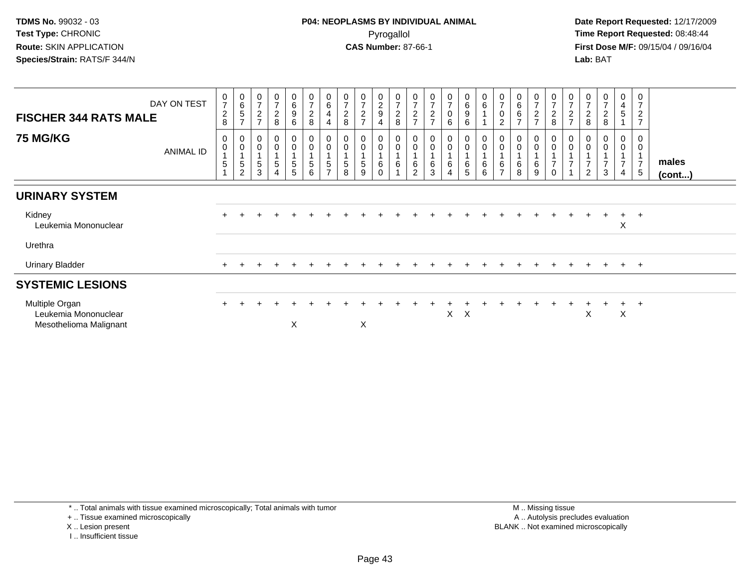**Date Report Requested:** 12/17/2009 **First Dose M/F:** 09/15/04 / 09/16/04 Lab: BAT **Lab:** BAT

| <b>FISCHER 344 RATS MALE</b>                                     | DAY ON TEST | $\frac{0}{7}$<br>$\frac{2}{8}$                                    | $\begin{matrix} 0 \\ 6 \\ 5 \end{matrix}$<br>$\overline{ }$                  | $\frac{0}{7}$<br>$\overline{c}$<br>$\overline{7}$                               | $\frac{0}{7}$<br>$\boldsymbol{2}$<br>8                                                       | 0<br>6<br>9<br>6 | $\pmb{0}$<br>$\overline{7}$<br>$\overline{c}$<br>$\bf 8$               | 0<br>$\,6\,$<br>$\overline{4}$<br>$\overline{4}$                   | $\overline{7}$<br>$\boldsymbol{2}$<br>$\,8\,$ | $\frac{0}{7}$<br>$\sqrt{2}$<br>$\overline{ }$                  | $\begin{smallmatrix} 0\\2\\9 \end{smallmatrix}$<br>$\overline{4}$                  | $\frac{0}{7}$<br>$\boldsymbol{2}$<br>$\,8\,$                                              | 0<br>$\overline{7}$<br>$\overline{c}$<br>$\overline{ }$ | $\overline{7}$<br>$\boldsymbol{2}$<br>$\overline{7}$ | 0<br>$\overline{7}$<br>0<br>6 | $\begin{matrix} 0 \\ 6 \\ 9 \end{matrix}$<br>$\,6\,$ | $\begin{matrix} 0 \\ 6 \end{matrix}$                               | $\frac{0}{7}$<br>$\mathbf 0$<br>$\sqrt{2}$                                          | $\begin{matrix} 0 \\ 6 \\ 6 \end{matrix}$<br>$\overline{ }$                  | $\frac{0}{7}$<br>$\overline{c}$<br>$\overline{ }$ | $\frac{0}{7}$<br>$\overline{c}$<br>8                                                          | 0<br>$\overline{7}$<br>$\overline{c}$<br>$\overline{ }$ | $\boldsymbol{2}$<br>8                 | 0<br>$\overline{7}$<br>$\overline{2}$<br>8                          | $\mathbf 0$<br>4<br>$\overline{5}$                                                                 | 0<br>$\overline{7}$<br>$\overline{c}$<br>$\overline{7}$ |                 |
|------------------------------------------------------------------|-------------|-------------------------------------------------------------------|------------------------------------------------------------------------------|---------------------------------------------------------------------------------|----------------------------------------------------------------------------------------------|------------------|------------------------------------------------------------------------|--------------------------------------------------------------------|-----------------------------------------------|----------------------------------------------------------------|------------------------------------------------------------------------------------|-------------------------------------------------------------------------------------------|---------------------------------------------------------|------------------------------------------------------|-------------------------------|------------------------------------------------------|--------------------------------------------------------------------|-------------------------------------------------------------------------------------|------------------------------------------------------------------------------|---------------------------------------------------|-----------------------------------------------------------------------------------------------|---------------------------------------------------------|---------------------------------------|---------------------------------------------------------------------|----------------------------------------------------------------------------------------------------|---------------------------------------------------------|-----------------|
| <b>75 MG/KG</b>                                                  | ANIMAL ID   | 0<br>$\pmb{0}$<br>$\overline{4}$<br>$\,$ 5 $\,$<br>$\overline{A}$ | $\begin{smallmatrix}0\0\0\end{smallmatrix}$<br>$\,$ 5 $\,$<br>$\overline{c}$ | $\begin{smallmatrix} 0\\0 \end{smallmatrix}$<br>$\overline{1}$<br>$\frac{5}{3}$ | $\begin{smallmatrix} 0\\0 \end{smallmatrix}$<br>$\mathbf{1}$<br>$\sqrt{5}$<br>$\overline{4}$ | $_0^0$<br>5<br>5 | $\begin{smallmatrix} 0\\0 \end{smallmatrix}$<br>$\mathbf{1}$<br>5<br>6 | $\begin{smallmatrix}0\0\0\end{smallmatrix}$<br>5<br>$\overline{ }$ | 0<br>5<br>8                                   | $\begin{smallmatrix}0\0\0\end{smallmatrix}$<br>$\sqrt{5}$<br>9 | $\begin{smallmatrix} 0\\0 \end{smallmatrix}$<br>$\overline{ }$<br>6<br>$\mathbf 0$ | $\begin{smallmatrix} 0\\0 \end{smallmatrix}$<br>$\mathbf{1}$<br>$\,6\,$<br>$\overline{A}$ | 0<br>$\overline{0}$<br>$\,6\,$<br>2                     | 0<br>$\pmb{0}$<br>1<br>6<br>3                        | $_0^0$<br>6<br>4              | $_{\rm 0}^{\rm 0}$<br>$\,6$<br>5                     | $\begin{smallmatrix} 0\\0 \end{smallmatrix}$<br>$\,6\,$<br>$\,6\,$ | $\begin{smallmatrix} 0\\0 \end{smallmatrix}$<br>$\,6\,$<br>$\overline{\phantom{0}}$ | $\begin{smallmatrix} 0\\0 \end{smallmatrix}$<br>$\mathbf{1}$<br>$\,6\,$<br>8 | 0<br>$\ddot{\mathbf{0}}$<br>6<br>9                | $\begin{smallmatrix} 0\\0 \end{smallmatrix}$<br>$\mathbf{1}$<br>$\overline{7}$<br>$\mathbf 0$ | $_0^0$<br>$\overline{ }$                                | 0<br>$\overline{7}$<br>$\overline{c}$ | $\begin{smallmatrix} 0\\0 \end{smallmatrix}$<br>$\overline{ }$<br>3 | $\begin{smallmatrix} 0\\0 \end{smallmatrix}$<br>$\overline{A}$<br>$\overline{7}$<br>$\overline{4}$ | 0<br>$\mathbf 0$<br>$\mathbf{1}$<br>$\overline{7}$<br>5 | males<br>(cont) |
| <b>URINARY SYSTEM</b>                                            |             |                                                                   |                                                                              |                                                                                 |                                                                                              |                  |                                                                        |                                                                    |                                               |                                                                |                                                                                    |                                                                                           |                                                         |                                                      |                               |                                                      |                                                                    |                                                                                     |                                                                              |                                                   |                                                                                               |                                                         |                                       |                                                                     |                                                                                                    |                                                         |                 |
| Kidney<br>Leukemia Mononuclear                                   |             |                                                                   |                                                                              |                                                                                 |                                                                                              |                  |                                                                        |                                                                    |                                               |                                                                |                                                                                    |                                                                                           |                                                         |                                                      |                               |                                                      |                                                                    |                                                                                     |                                                                              |                                                   |                                                                                               |                                                         |                                       |                                                                     | $+$<br>X                                                                                           | $+$                                                     |                 |
| Urethra                                                          |             |                                                                   |                                                                              |                                                                                 |                                                                                              |                  |                                                                        |                                                                    |                                               |                                                                |                                                                                    |                                                                                           |                                                         |                                                      |                               |                                                      |                                                                    |                                                                                     |                                                                              |                                                   |                                                                                               |                                                         |                                       |                                                                     |                                                                                                    |                                                         |                 |
| <b>Urinary Bladder</b>                                           |             |                                                                   |                                                                              |                                                                                 |                                                                                              |                  |                                                                        |                                                                    |                                               |                                                                |                                                                                    |                                                                                           |                                                         |                                                      |                               |                                                      |                                                                    |                                                                                     |                                                                              |                                                   |                                                                                               | $\div$                                                  | $+$                                   | $\pm$                                                               | $+$                                                                                                | $+$                                                     |                 |
| <b>SYSTEMIC LESIONS</b>                                          |             |                                                                   |                                                                              |                                                                                 |                                                                                              |                  |                                                                        |                                                                    |                                               |                                                                |                                                                                    |                                                                                           |                                                         |                                                      |                               |                                                      |                                                                    |                                                                                     |                                                                              |                                                   |                                                                                               |                                                         |                                       |                                                                     |                                                                                                    |                                                         |                 |
| Multiple Organ<br>Leukemia Mononuclear<br>Mesothelioma Malignant |             |                                                                   |                                                                              |                                                                                 |                                                                                              | X                |                                                                        |                                                                    |                                               | X                                                              |                                                                                    |                                                                                           |                                                         |                                                      | X.                            | $\mathsf{X}$                                         |                                                                    |                                                                                     |                                                                              |                                                   |                                                                                               |                                                         | X                                     |                                                                     | $\pm$<br>X                                                                                         | $+$                                                     |                 |

\* .. Total animals with tissue examined microscopically; Total animals with tumor

+ .. Tissue examined microscopically

X .. Lesion present

I .. Insufficient tissue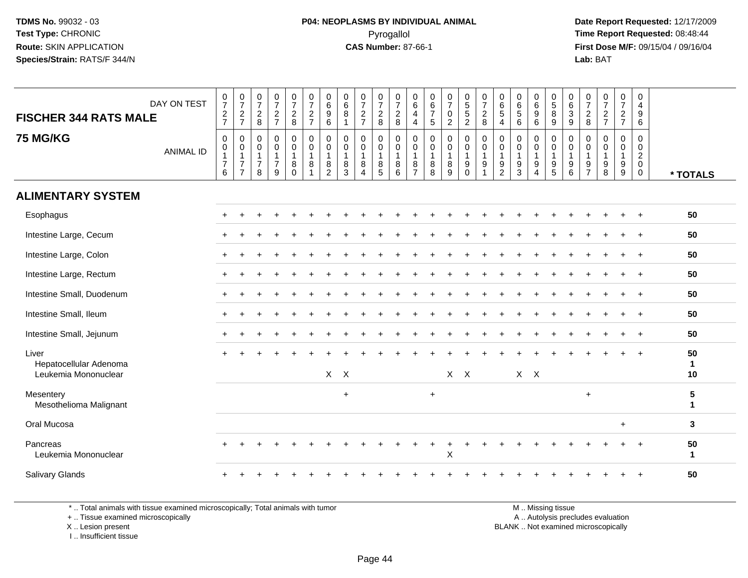**Date Report Requested:** 12/17/2009 **First Dose M/F:** 09/15/04 / 09/16/04 Lab: BAT **Lab:** BAT

| <b>FISCHER 344 RATS MALE</b><br><b>75 MG/KG</b>         | DAY ON TEST<br><b>ANIMAL ID</b> | $\begin{array}{c} 0 \\ 7 \end{array}$<br>$\frac{2}{7}$<br>$\mathbf 0$<br>$\pmb{0}$<br>$\overline{1}$<br>$\boldsymbol{7}$<br>$6\phantom{a}$ | $\begin{smallmatrix}0\\7\end{smallmatrix}$<br>$\frac{2}{7}$<br>0<br>$\pmb{0}$<br>$\mathbf{1}$<br>$\overline{7}$<br>$\overline{7}$ | $\frac{0}{7}$<br>$\overline{c}$<br>8<br>$\mathbf 0$<br>0<br>$\mathbf{1}$<br>$\overline{7}$<br>8 | $\frac{0}{7}$<br>$\frac{2}{7}$<br>$\mathbf 0$<br>$\mathbf 0$<br>$\mathbf{1}$<br>$\overline{7}$<br>9 | $\begin{array}{c} 0 \\ 7 \end{array}$<br>$\frac{2}{8}$<br>$\mathbf 0$<br>$\mathbf 0$<br>$\mathbf{1}$<br>8<br>$\Omega$ | $\begin{array}{c} 0 \\ 7 \end{array}$<br>$\frac{2}{7}$<br>$\mathbf 0$<br>$\pmb{0}$<br>$\mathbf{1}$<br>8<br>$\overline{1}$ | $\pmb{0}$<br>$\,6\,$<br>$\boldsymbol{9}$<br>6<br>$\mathbf 0$<br>$\mathbf 0$<br>$\mathbf{1}$<br>8<br>$\overline{c}$ | $\begin{array}{c} 0 \\ 6 \end{array}$<br>$\overline{8}$<br>$\mathbf{1}$<br>$\mathbf 0$<br>$\mathbf 0$<br>$\mathbf{1}$<br>$\,8\,$<br>3 | $\frac{0}{7}$<br>$\frac{2}{7}$<br>$\mathbf 0$<br>$\mathbf 0$<br>$\mathbf{1}$<br>8<br>$\overline{4}$ | $\begin{smallmatrix}0\\7\end{smallmatrix}$<br>$\frac{2}{8}$<br>$\pmb{0}$<br>$\pmb{0}$<br>$\overline{1}$<br>$\begin{array}{c} 8 \\ 5 \end{array}$ | $\frac{0}{7}$<br>$\frac{2}{8}$<br>0<br>$\mathsf 0$<br>$\mathbf{1}$<br>$\,8\,$<br>6 | $\begin{array}{c} 0 \\ 6 \end{array}$<br>$\overline{a}$<br>$\overline{4}$<br>$\mathbf 0$<br>$\mathbf 0$<br>$\overline{1}$<br>8<br>$\overline{7}$ | $\begin{array}{c} 0 \\ 6 \\ 7 \end{array}$<br>$\overline{5}$<br>$\mathbf 0$<br>$\mathbf 0$<br>$\mathbf{1}$<br>$\, 8$<br>8 | $\frac{0}{7}$<br>$\mathsf{O}$<br>$\overline{2}$<br>$\mathbf 0$<br>$\mathbf 0$<br>1<br>8<br>9 | 0<br>5<br>5<br>2<br>$\mathbf 0$<br>$\mathsf{O}\xspace$<br>$\mathbf{1}$<br>$_{0}^{9}$ | $\begin{array}{c} 0 \\ 7 \end{array}$<br>$\overline{c}$<br>8<br>0<br>$\pmb{0}$<br>$\mathbf{1}$<br>$\boldsymbol{9}$<br>$\mathbf{1}$ | $\begin{array}{c} 0 \\ 6 \\ 5 \end{array}$<br>4<br>$\mathbf 0$<br>$\mathbf 0$<br>$\mathbf{1}$<br>9<br>$\overline{2}$ | $\begin{matrix} 0 \\ 6 \\ 5 \end{matrix}$<br>6<br>$\mathbf 0$<br>$\boldsymbol{0}$<br>$\overline{1}$<br>9<br>$\overline{3}$ | 0<br>$\,6\,$<br>$\overline{9}$<br>$\,6\,$<br>0<br>0<br>$\mathbf{1}$<br>9<br>$\overline{4}$ | $\,0\,$<br>$\overline{5}$ 8<br>$9\,$<br>$\mathbf 0$<br>$\boldsymbol{0}$<br>$\mathbf{1}$<br>$\boldsymbol{9}$<br>$\overline{5}$ | 0<br>$\,6\,$<br>$\overline{3}$<br>$9\,$<br>$\mathbf 0$<br>$\mathbf 0$<br>$\mathbf{1}$<br>9<br>6 | $\frac{0}{7}$<br>$\sqrt{2}$<br>8<br>$\mathbf 0$<br>0<br>$\mathbf{1}$<br>$\frac{9}{7}$ | $\frac{0}{7}$<br>$\frac{2}{7}$<br>$\mathbf 0$<br>$\mathbf 0$<br>$\mathbf{1}$<br>$_{8}^{\rm 9}$ | $\mathbf 0$<br>$\overline{7}$<br>$\frac{2}{7}$<br>$\mathbf 0$<br>$\mathbf 0$<br>$\mathbf{1}$<br>$^9_9$ | $\pmb{0}$<br>$\overline{4}$<br>$\boldsymbol{9}$<br>6<br>$\mathbf 0$<br>$\mathbf 0$<br>$\overline{2}$<br>$\mathbf 0$<br>0 |                           |
|---------------------------------------------------------|---------------------------------|--------------------------------------------------------------------------------------------------------------------------------------------|-----------------------------------------------------------------------------------------------------------------------------------|-------------------------------------------------------------------------------------------------|-----------------------------------------------------------------------------------------------------|-----------------------------------------------------------------------------------------------------------------------|---------------------------------------------------------------------------------------------------------------------------|--------------------------------------------------------------------------------------------------------------------|---------------------------------------------------------------------------------------------------------------------------------------|-----------------------------------------------------------------------------------------------------|--------------------------------------------------------------------------------------------------------------------------------------------------|------------------------------------------------------------------------------------|--------------------------------------------------------------------------------------------------------------------------------------------------|---------------------------------------------------------------------------------------------------------------------------|----------------------------------------------------------------------------------------------|--------------------------------------------------------------------------------------|------------------------------------------------------------------------------------------------------------------------------------|----------------------------------------------------------------------------------------------------------------------|----------------------------------------------------------------------------------------------------------------------------|--------------------------------------------------------------------------------------------|-------------------------------------------------------------------------------------------------------------------------------|-------------------------------------------------------------------------------------------------|---------------------------------------------------------------------------------------|------------------------------------------------------------------------------------------------|--------------------------------------------------------------------------------------------------------|--------------------------------------------------------------------------------------------------------------------------|---------------------------|
| <b>ALIMENTARY SYSTEM</b>                                |                                 |                                                                                                                                            |                                                                                                                                   |                                                                                                 |                                                                                                     |                                                                                                                       |                                                                                                                           |                                                                                                                    |                                                                                                                                       |                                                                                                     |                                                                                                                                                  |                                                                                    |                                                                                                                                                  |                                                                                                                           |                                                                                              |                                                                                      |                                                                                                                                    |                                                                                                                      |                                                                                                                            |                                                                                            |                                                                                                                               |                                                                                                 |                                                                                       |                                                                                                |                                                                                                        |                                                                                                                          | * TOTALS                  |
|                                                         |                                 |                                                                                                                                            |                                                                                                                                   |                                                                                                 |                                                                                                     |                                                                                                                       |                                                                                                                           |                                                                                                                    |                                                                                                                                       |                                                                                                     |                                                                                                                                                  |                                                                                    |                                                                                                                                                  |                                                                                                                           |                                                                                              |                                                                                      |                                                                                                                                    |                                                                                                                      |                                                                                                                            |                                                                                            |                                                                                                                               |                                                                                                 |                                                                                       |                                                                                                |                                                                                                        |                                                                                                                          | 50                        |
| Esophagus                                               |                                 |                                                                                                                                            |                                                                                                                                   |                                                                                                 |                                                                                                     |                                                                                                                       |                                                                                                                           |                                                                                                                    |                                                                                                                                       |                                                                                                     |                                                                                                                                                  |                                                                                    |                                                                                                                                                  |                                                                                                                           |                                                                                              |                                                                                      |                                                                                                                                    |                                                                                                                      |                                                                                                                            |                                                                                            |                                                                                                                               |                                                                                                 |                                                                                       |                                                                                                |                                                                                                        |                                                                                                                          |                           |
| Intestine Large, Cecum                                  |                                 |                                                                                                                                            |                                                                                                                                   |                                                                                                 |                                                                                                     |                                                                                                                       |                                                                                                                           |                                                                                                                    |                                                                                                                                       |                                                                                                     |                                                                                                                                                  |                                                                                    |                                                                                                                                                  |                                                                                                                           |                                                                                              |                                                                                      |                                                                                                                                    |                                                                                                                      |                                                                                                                            |                                                                                            |                                                                                                                               |                                                                                                 |                                                                                       |                                                                                                |                                                                                                        |                                                                                                                          | 50                        |
| Intestine Large, Colon                                  |                                 |                                                                                                                                            |                                                                                                                                   |                                                                                                 |                                                                                                     |                                                                                                                       |                                                                                                                           |                                                                                                                    |                                                                                                                                       |                                                                                                     |                                                                                                                                                  |                                                                                    |                                                                                                                                                  |                                                                                                                           |                                                                                              |                                                                                      |                                                                                                                                    |                                                                                                                      |                                                                                                                            |                                                                                            |                                                                                                                               |                                                                                                 |                                                                                       |                                                                                                |                                                                                                        |                                                                                                                          | 50                        |
| Intestine Large, Rectum                                 |                                 |                                                                                                                                            |                                                                                                                                   |                                                                                                 |                                                                                                     |                                                                                                                       |                                                                                                                           |                                                                                                                    |                                                                                                                                       |                                                                                                     |                                                                                                                                                  |                                                                                    |                                                                                                                                                  |                                                                                                                           |                                                                                              |                                                                                      |                                                                                                                                    |                                                                                                                      |                                                                                                                            |                                                                                            |                                                                                                                               |                                                                                                 |                                                                                       |                                                                                                |                                                                                                        | $+$                                                                                                                      | 50                        |
| Intestine Small, Duodenum                               |                                 |                                                                                                                                            |                                                                                                                                   |                                                                                                 |                                                                                                     |                                                                                                                       |                                                                                                                           |                                                                                                                    |                                                                                                                                       |                                                                                                     |                                                                                                                                                  |                                                                                    |                                                                                                                                                  |                                                                                                                           |                                                                                              |                                                                                      |                                                                                                                                    |                                                                                                                      |                                                                                                                            |                                                                                            |                                                                                                                               |                                                                                                 |                                                                                       |                                                                                                |                                                                                                        | $+$                                                                                                                      | 50                        |
| Intestine Small, Ileum                                  |                                 |                                                                                                                                            |                                                                                                                                   |                                                                                                 |                                                                                                     |                                                                                                                       |                                                                                                                           |                                                                                                                    |                                                                                                                                       |                                                                                                     |                                                                                                                                                  |                                                                                    |                                                                                                                                                  |                                                                                                                           |                                                                                              |                                                                                      |                                                                                                                                    |                                                                                                                      |                                                                                                                            |                                                                                            |                                                                                                                               |                                                                                                 |                                                                                       |                                                                                                |                                                                                                        | $+$                                                                                                                      | 50                        |
| Intestine Small, Jejunum                                |                                 |                                                                                                                                            |                                                                                                                                   |                                                                                                 |                                                                                                     |                                                                                                                       |                                                                                                                           |                                                                                                                    |                                                                                                                                       |                                                                                                     |                                                                                                                                                  |                                                                                    |                                                                                                                                                  |                                                                                                                           |                                                                                              |                                                                                      |                                                                                                                                    |                                                                                                                      |                                                                                                                            |                                                                                            |                                                                                                                               |                                                                                                 |                                                                                       |                                                                                                |                                                                                                        | $+$                                                                                                                      | 50                        |
| Liver<br>Hepatocellular Adenoma<br>Leukemia Mononuclear |                                 |                                                                                                                                            |                                                                                                                                   |                                                                                                 |                                                                                                     |                                                                                                                       |                                                                                                                           |                                                                                                                    | $X$ $X$                                                                                                                               |                                                                                                     |                                                                                                                                                  |                                                                                    |                                                                                                                                                  |                                                                                                                           |                                                                                              | $X$ $X$                                                                              |                                                                                                                                    |                                                                                                                      | $X \times X$                                                                                                               |                                                                                            |                                                                                                                               |                                                                                                 |                                                                                       |                                                                                                |                                                                                                        | $+$                                                                                                                      | 50<br>$\mathbf 1$<br>10   |
| Mesentery<br>Mesothelioma Malignant                     |                                 |                                                                                                                                            |                                                                                                                                   |                                                                                                 |                                                                                                     |                                                                                                                       |                                                                                                                           |                                                                                                                    | $\ddot{}$                                                                                                                             |                                                                                                     |                                                                                                                                                  |                                                                                    |                                                                                                                                                  | $\ddot{}$                                                                                                                 |                                                                                              |                                                                                      |                                                                                                                                    |                                                                                                                      |                                                                                                                            |                                                                                            |                                                                                                                               |                                                                                                 | $+$                                                                                   |                                                                                                |                                                                                                        |                                                                                                                          | ${\bf 5}$<br>$\mathbf{1}$ |
| Oral Mucosa                                             |                                 |                                                                                                                                            |                                                                                                                                   |                                                                                                 |                                                                                                     |                                                                                                                       |                                                                                                                           |                                                                                                                    |                                                                                                                                       |                                                                                                     |                                                                                                                                                  |                                                                                    |                                                                                                                                                  |                                                                                                                           |                                                                                              |                                                                                      |                                                                                                                                    |                                                                                                                      |                                                                                                                            |                                                                                            |                                                                                                                               |                                                                                                 |                                                                                       |                                                                                                | $\ddot{}$                                                                                              |                                                                                                                          | $\mathbf{3}$              |
| Pancreas<br>Leukemia Mononuclear                        |                                 |                                                                                                                                            |                                                                                                                                   |                                                                                                 |                                                                                                     |                                                                                                                       |                                                                                                                           |                                                                                                                    |                                                                                                                                       |                                                                                                     |                                                                                                                                                  |                                                                                    |                                                                                                                                                  |                                                                                                                           | X                                                                                            |                                                                                      |                                                                                                                                    |                                                                                                                      |                                                                                                                            |                                                                                            |                                                                                                                               |                                                                                                 |                                                                                       |                                                                                                |                                                                                                        |                                                                                                                          | 50<br>$\mathbf{1}$        |
| <b>Salivary Glands</b>                                  |                                 |                                                                                                                                            |                                                                                                                                   |                                                                                                 |                                                                                                     |                                                                                                                       |                                                                                                                           |                                                                                                                    |                                                                                                                                       |                                                                                                     |                                                                                                                                                  |                                                                                    |                                                                                                                                                  |                                                                                                                           |                                                                                              |                                                                                      |                                                                                                                                    |                                                                                                                      |                                                                                                                            |                                                                                            |                                                                                                                               |                                                                                                 |                                                                                       |                                                                                                |                                                                                                        |                                                                                                                          | 50                        |

\* .. Total animals with tissue examined microscopically; Total animals with tumor

+ .. Tissue examined microscopically

X .. Lesion present

I .. Insufficient tissue

M .. Missing tissue

y the contract of the contract of the contract of the contract of the contract of the contract of the contract of  $A$ . Autolysis precludes evaluation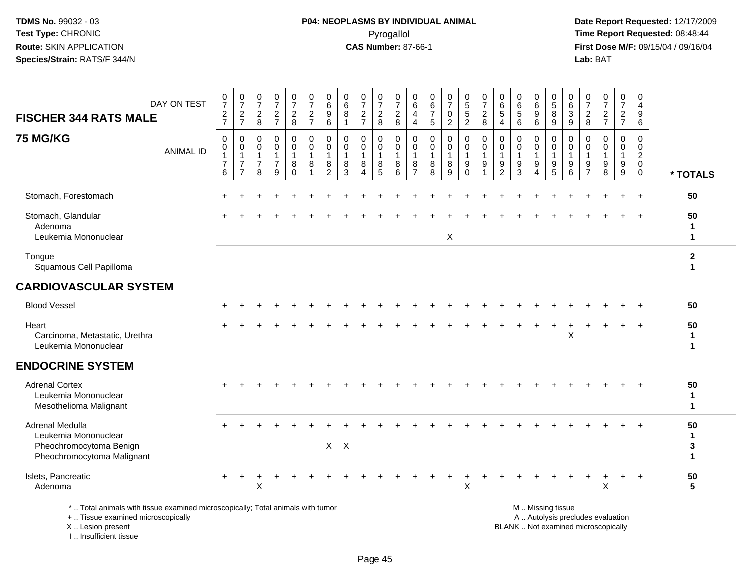**Date Report Requested:** 12/17/2009 **First Dose M/F:** 09/15/04 / 09/16/04 Lab: BAT **Lab:** BAT

| DAY ON TEST<br><b>FISCHER 344 RATS MALE</b>                                                                                                                                                                                    | $\frac{0}{7}$<br>$\frac{2}{7}$                | $\frac{0}{7}$<br>$\overline{c}$<br>$\overline{7}$                              | $\frac{0}{7}$<br>$\sqrt{2}$<br>8                               | $\frac{0}{7}$<br>$\frac{2}{7}$                                          | 0<br>$\overline{7}$<br>$\sqrt{2}$<br>8               | $\frac{0}{7}$<br>$\frac{2}{7}$                                    | 0<br>$\,6\,$<br>9<br>$\,6\,$                          | 0<br>$\,6\,$<br>8<br>$\mathbf{1}$                  | $\frac{0}{7}$<br>$\overline{c}$<br>$\overline{7}$                | 0<br>$\overline{7}$<br>$\overline{c}$<br>8 | $\mathbf 0$<br>$\overline{7}$<br>$\sqrt{2}$<br>$\,8\,$ | 0<br>$\,6\,$<br>$\overline{4}$<br>$\overline{4}$                  | 0<br>$\,6\,$<br>$\overline{7}$<br>5 | $\frac{0}{7}$<br>$\mathsf{O}$<br>$\overline{a}$ | $\begin{array}{c} 0 \\ 5 \end{array}$<br>$\sqrt{5}$<br>$\overline{2}$ | $\mathbf 0$<br>$\overline{7}$<br>$\sqrt{2}$<br>$\,8\,$                           | 0<br>$\,6\,$<br>$\sqrt{5}$<br>$\overline{4}$    | 0<br>$\,6\,$<br>$\sqrt{5}$<br>6                                     | 0<br>$\,6\,$<br>$\boldsymbol{9}$<br>$\,6\,$ | $\begin{array}{c} 0 \\ 5 \\ 8 \end{array}$<br>9                                   | 0<br>$\frac{6}{3}$<br>9                    | 0<br>$\overline{7}$<br>$\overline{2}$<br>8      | $\frac{0}{7}$<br>$\frac{2}{7}$         | 0<br>$\overline{7}$<br>$\frac{2}{7}$ | 0<br>$\overline{4}$<br>9<br>6                                                    |                              |
|--------------------------------------------------------------------------------------------------------------------------------------------------------------------------------------------------------------------------------|-----------------------------------------------|--------------------------------------------------------------------------------|----------------------------------------------------------------|-------------------------------------------------------------------------|------------------------------------------------------|-------------------------------------------------------------------|-------------------------------------------------------|----------------------------------------------------|------------------------------------------------------------------|--------------------------------------------|--------------------------------------------------------|-------------------------------------------------------------------|-------------------------------------|-------------------------------------------------|-----------------------------------------------------------------------|----------------------------------------------------------------------------------|-------------------------------------------------|---------------------------------------------------------------------|---------------------------------------------|-----------------------------------------------------------------------------------|--------------------------------------------|-------------------------------------------------|----------------------------------------|--------------------------------------|----------------------------------------------------------------------------------|------------------------------|
| <b>75 MG/KG</b><br><b>ANIMAL ID</b>                                                                                                                                                                                            | 0<br>0<br>$\mathbf{1}$<br>$\overline{7}$<br>6 | $\mathbf 0$<br>$\mathbf 0$<br>$\mathbf{1}$<br>$\overline{7}$<br>$\overline{7}$ | 0<br>$\boldsymbol{0}$<br>$\mathbf{1}$<br>$\boldsymbol{7}$<br>8 | $\pmb{0}$<br>$\mathsf{O}\xspace$<br>$\mathbf{1}$<br>$\overline{7}$<br>9 | 0<br>$\mathsf{O}\xspace$<br>1<br>$\bf 8$<br>$\Omega$ | $\pmb{0}$<br>$\mathsf 0$<br>$\overline{1}$<br>8<br>$\overline{1}$ | 0<br>$\pmb{0}$<br>$\mathbf{1}$<br>8<br>$\overline{2}$ | $\pmb{0}$<br>$\mathbf 0$<br>$\mathbf{1}$<br>8<br>3 | 0<br>$\mathsf{O}$<br>$\mathbf{1}$<br>8<br>$\boldsymbol{\Lambda}$ | 0<br>$\mathsf{O}\xspace$<br>1<br>8<br>5    | 0<br>$\mathbf 0$<br>$\mathbf{1}$<br>8<br>6             | $\mathbf 0$<br>$\mathbf 0$<br>$\mathbf{1}$<br>8<br>$\overline{7}$ | 0<br>$\mathbf 0$<br>1<br>8<br>8     | 0<br>$\mathbf 0$<br>$\mathbf 1$<br>8<br>9       | $\pmb{0}$<br>$\pmb{0}$<br>$\mathbf{1}$<br>$9\,$<br>$\mathbf 0$        | $\pmb{0}$<br>$\mathsf{O}\xspace$<br>$\mathbf{1}$<br>9<br>$\overline{\mathbf{1}}$ | 0<br>0<br>$\overline{1}$<br>9<br>$\overline{2}$ | $\mathbf 0$<br>$\mathbf 0$<br>$\mathbf{1}$<br>$\boldsymbol{9}$<br>3 | 0<br>0<br>1<br>9<br>$\boldsymbol{\Lambda}$  | $\pmb{0}$<br>$\mathbf 0$<br>$\mathbf{1}$<br>$\begin{array}{c} 9 \\ 5 \end{array}$ | 0<br>$\mathbf 0$<br>$\mathbf{1}$<br>9<br>6 | 0<br>0<br>$\overline{1}$<br>9<br>$\overline{7}$ | $\Omega$<br>$\mathbf 0$<br>1<br>9<br>8 | 0<br>0<br>$\mathbf{1}$<br>9<br>9     | $\mathsf 0$<br>$\pmb{0}$<br>$\overline{c}$<br>$\mathsf{O}\xspace$<br>$\mathbf 0$ | * TOTALS                     |
| Stomach, Forestomach                                                                                                                                                                                                           |                                               |                                                                                |                                                                |                                                                         |                                                      |                                                                   |                                                       |                                                    |                                                                  |                                            |                                                        |                                                                   |                                     |                                                 |                                                                       |                                                                                  |                                                 |                                                                     |                                             |                                                                                   |                                            |                                                 |                                        |                                      | $\div$                                                                           | 50                           |
| Stomach, Glandular<br>Adenoma<br>Leukemia Mononuclear                                                                                                                                                                          |                                               |                                                                                |                                                                |                                                                         |                                                      |                                                                   |                                                       |                                                    |                                                                  |                                            |                                                        |                                                                   |                                     | X                                               |                                                                       |                                                                                  |                                                 |                                                                     |                                             |                                                                                   |                                            |                                                 |                                        |                                      |                                                                                  | 50<br>1<br>$\mathbf{1}$      |
| Tongue<br>Squamous Cell Papilloma                                                                                                                                                                                              |                                               |                                                                                |                                                                |                                                                         |                                                      |                                                                   |                                                       |                                                    |                                                                  |                                            |                                                        |                                                                   |                                     |                                                 |                                                                       |                                                                                  |                                                 |                                                                     |                                             |                                                                                   |                                            |                                                 |                                        |                                      |                                                                                  | $\mathbf{2}$<br>$\mathbf{1}$ |
| <b>CARDIOVASCULAR SYSTEM</b>                                                                                                                                                                                                   |                                               |                                                                                |                                                                |                                                                         |                                                      |                                                                   |                                                       |                                                    |                                                                  |                                            |                                                        |                                                                   |                                     |                                                 |                                                                       |                                                                                  |                                                 |                                                                     |                                             |                                                                                   |                                            |                                                 |                                        |                                      |                                                                                  |                              |
| <b>Blood Vessel</b>                                                                                                                                                                                                            |                                               |                                                                                |                                                                |                                                                         |                                                      |                                                                   |                                                       |                                                    |                                                                  |                                            |                                                        |                                                                   |                                     |                                                 |                                                                       |                                                                                  |                                                 |                                                                     |                                             |                                                                                   |                                            |                                                 |                                        |                                      |                                                                                  | 50                           |
| Heart<br>Carcinoma, Metastatic, Urethra<br>Leukemia Mononuclear                                                                                                                                                                |                                               |                                                                                |                                                                |                                                                         |                                                      |                                                                   |                                                       |                                                    |                                                                  |                                            |                                                        |                                                                   |                                     |                                                 |                                                                       |                                                                                  |                                                 |                                                                     |                                             |                                                                                   | X                                          |                                                 |                                        |                                      |                                                                                  | 50<br>$\mathbf 1$<br>1       |
| <b>ENDOCRINE SYSTEM</b>                                                                                                                                                                                                        |                                               |                                                                                |                                                                |                                                                         |                                                      |                                                                   |                                                       |                                                    |                                                                  |                                            |                                                        |                                                                   |                                     |                                                 |                                                                       |                                                                                  |                                                 |                                                                     |                                             |                                                                                   |                                            |                                                 |                                        |                                      |                                                                                  |                              |
| <b>Adrenal Cortex</b><br>Leukemia Mononuclear<br>Mesothelioma Malignant                                                                                                                                                        |                                               |                                                                                |                                                                |                                                                         |                                                      |                                                                   |                                                       |                                                    |                                                                  |                                            |                                                        |                                                                   |                                     |                                                 |                                                                       |                                                                                  |                                                 |                                                                     |                                             |                                                                                   |                                            |                                                 |                                        |                                      |                                                                                  | 50<br>$\mathbf{1}$<br>1      |
| Adrenal Medulla<br>Leukemia Mononuclear<br>Pheochromocytoma Benign<br>Pheochromocytoma Malignant                                                                                                                               |                                               |                                                                                |                                                                |                                                                         |                                                      |                                                                   |                                                       | $X$ $X$                                            |                                                                  |                                            |                                                        |                                                                   |                                     |                                                 |                                                                       |                                                                                  |                                                 |                                                                     |                                             |                                                                                   |                                            |                                                 |                                        |                                      | $\ddot{}$                                                                        | 50<br>$\mathbf{1}$<br>3<br>1 |
| Islets, Pancreatic<br>Adenoma                                                                                                                                                                                                  |                                               |                                                                                | Χ                                                              |                                                                         |                                                      |                                                                   |                                                       |                                                    |                                                                  |                                            |                                                        |                                                                   |                                     |                                                 | ٠<br>X                                                                |                                                                                  |                                                 |                                                                     |                                             |                                                                                   |                                            |                                                 | Χ                                      | $\ddot{}$                            | $+$                                                                              | 50<br>5                      |
| 14 The Contract Contract Contract Contract Contract Contract Contract Contract Contract Contract Contract Contract Contract Contract Contract Contract Contract Contract Contract Contract Contract Contract Contract Contract |                                               |                                                                                | アンスリー・エンティー                                                    |                                                                         |                                                      |                                                                   |                                                       |                                                    |                                                                  |                                            |                                                        |                                                                   |                                     |                                                 |                                                                       |                                                                                  |                                                 |                                                                     | <b>BALLAND COLLECT</b>                      |                                                                                   |                                            |                                                 |                                        |                                      |                                                                                  |                              |

\* .. Total animals with tissue examined microscopically; Total animals with tumor

+ .. Tissue examined microscopically

X .. Lesion present

I .. Insufficient tissue

M .. Missing tissue

y the contract of the contract of the contract of the contract of the contract of the contract of the contract of  $A$ . Autolysis precludes evaluation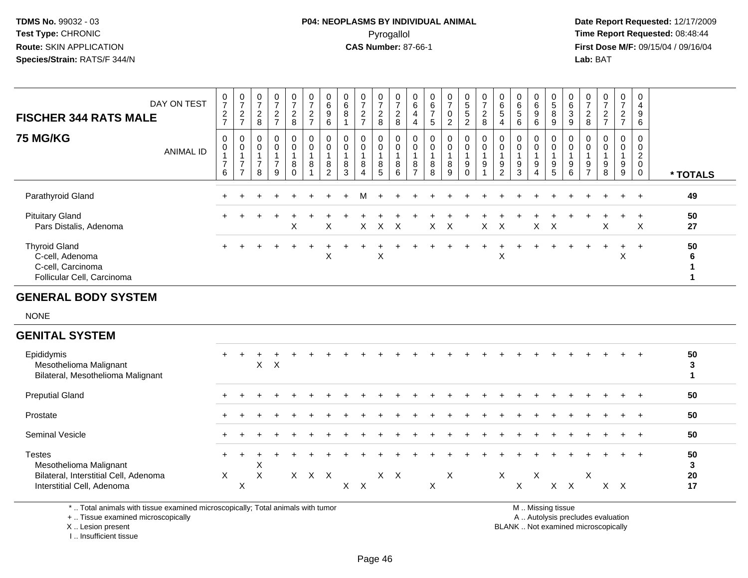# **P04: NEOPLASMS BY INDIVIDUAL ANIMAL**Pyrogallol Pyrogallol **Pyrogallol Time Report Requested:** 08:48:44<br>**CAS Number:** 87-66-1 **Time Report Requested:** 09/15/04 / 09/16/04

 **Date Report Requested:** 12/17/2009 **First Dose M/F:** 09/15/04 / 09/16/04 Lab: BAT **Lab:** BAT

| <b>FISCHER 344 RATS MALE</b>                                                               | DAY ON TEST      | $\frac{0}{7}$<br>$\boldsymbol{2}$<br>$\overline{7}$ | $\mathbf 0$<br>$\overline{ }$<br>$\overline{c}$<br>$\rightarrow$ | 0<br>$\overline{z}$<br>$\boldsymbol{2}$<br>8 | 0<br>$\rightarrow$<br>$\overline{c}$<br>$\rightarrow$ | $\frac{0}{7}$<br>$\frac{2}{8}$                 | $\frac{0}{7}$<br>$\sqrt{2}$<br>$\overline{z}$                           | 0<br>$\,6$<br>$\boldsymbol{9}$<br>6 | 0<br>6<br>8                          | 0<br>$\rightarrow$<br>$\overline{2}$<br>$\rightarrow$ | $\frac{0}{7}$<br>$\overline{c}$<br>8 | $\frac{0}{7}$<br>$\boldsymbol{2}$<br>$\,8\,$ | 0<br>$\,6$<br>4<br>4                   | $\begin{matrix} 0 \\ 6 \end{matrix}$<br>$\overline{ }$<br>5 | $\frac{0}{7}$<br>$\pmb{0}$<br>$\overline{c}$ | 0<br>$5\phantom{.0}$<br>$\sqrt{5}$<br>$\overline{2}$ | $\frac{0}{7}$<br>$\frac{2}{8}$               | 0<br>6<br>5<br>4                        | $\begin{matrix} 0 \\ 6 \end{matrix}$<br>$\sqrt{5}$<br>6 | $_6^0$<br>9<br>6              | 0<br>5<br>8<br>9 | $\begin{array}{c} 0 \\ 6 \end{array}$<br>$\sqrt{3}$<br>$\boldsymbol{9}$ | $\frac{0}{7}$<br>$\overline{2}$<br>8  | 0<br>$\overline{7}$<br>$\boldsymbol{2}$<br>$\overline{ }$ | $\frac{0}{7}$<br>$\overline{c}$<br>$\overline{ }$ | 0<br>4<br>9<br>6                             |          |
|--------------------------------------------------------------------------------------------|------------------|-----------------------------------------------------|------------------------------------------------------------------|----------------------------------------------|-------------------------------------------------------|------------------------------------------------|-------------------------------------------------------------------------|-------------------------------------|--------------------------------------|-------------------------------------------------------|--------------------------------------|----------------------------------------------|----------------------------------------|-------------------------------------------------------------|----------------------------------------------|------------------------------------------------------|----------------------------------------------|-----------------------------------------|---------------------------------------------------------|-------------------------------|------------------|-------------------------------------------------------------------------|---------------------------------------|-----------------------------------------------------------|---------------------------------------------------|----------------------------------------------|----------|
| <b>75 MG/KG</b>                                                                            | <b>ANIMAL ID</b> | 0<br>$\pmb{0}$<br>$\overline{7}$<br>6               | 0<br>$\mathbf 0$<br>$\overline{ }$<br>$\overline{ }$             | 0<br>$\pmb{0}$<br>$\overline{7}$<br>8        | 0<br>0<br>$\overline{ }$<br>$\overline{9}$            | $\mathbf 0$<br>$\pmb{0}$<br>$_{\rm 0}^{\rm 8}$ | $\begin{smallmatrix}0\\0\end{smallmatrix}$<br>$\overline{A}$<br>$\,8\,$ | 0<br>$\pmb{0}$<br>8<br>$\Omega$     | 0<br>$\mathbf 0$<br>$\,$ 8 $\,$<br>3 | 0<br>0<br>8<br>4                                      | 0<br>$\mathbf 0$<br>8<br>5           | 0<br>$\pmb{0}$<br>$\,8\,$<br>6               | 0<br>$\mathbf 0$<br>8<br>$\rightarrow$ | $\mathbf 0$<br>$\bf 8$<br>8                                 | 0<br>0<br>8<br>9                             | 0<br>0<br>9<br>$\overline{0}$                        | $\mathbf 0$<br>$\pmb{0}$<br>$\boldsymbol{9}$ | 0<br>$\mathbf 0$<br>9<br>$\overline{2}$ | $\boldsymbol{0}$<br>9<br>3                              | 0<br>0<br>9<br>$\overline{4}$ | 0<br>0<br>9<br>5 | 0<br>$\boldsymbol{0}$<br>$\boldsymbol{9}$<br>6                          | 0<br>$\pmb{0}$<br>9<br>$\overline{ }$ | 0<br>$\mathbf 0$<br>9<br>8                                | $\mathbf 0$<br>$\mathsf 0$<br>9<br>9              | 0<br>0<br>$\overline{c}$<br>0<br>$\mathbf 0$ | * TOTALS |
| Parathyroid Gland                                                                          |                  |                                                     |                                                                  |                                              |                                                       |                                                |                                                                         |                                     |                                      | м                                                     |                                      |                                              |                                        |                                                             |                                              |                                                      |                                              |                                         |                                                         |                               |                  |                                                                         |                                       |                                                           | $+$                                               | $+$                                          | 49       |
| <b>Pituitary Gland</b><br>Pars Distalis, Adenoma                                           |                  |                                                     |                                                                  |                                              |                                                       | X                                              |                                                                         | X                                   |                                      | X.                                                    |                                      | $X$ $X$                                      |                                        | $X$ $X$                                                     |                                              |                                                      | $X$ $X$                                      |                                         |                                                         | $X$ $X$                       |                  |                                                                         |                                       | X                                                         |                                                   | $\pm$<br>X                                   | 50<br>27 |
| <b>Thyroid Gland</b><br>C-cell, Adenoma<br>C-cell, Carcinoma<br>Follicular Cell, Carcinoma |                  | $+$                                                 |                                                                  |                                              |                                                       |                                                |                                                                         | X                                   |                                      |                                                       | X                                    |                                              |                                        |                                                             |                                              |                                                      |                                              | X                                       |                                                         |                               |                  |                                                                         |                                       |                                                           | $+$<br>Ā                                          | $+$                                          | 50<br>6  |

#### **GENERAL BODY SYSTEM**

NONE

#### **GENITAL SYSTEM**

| Epididymis<br>Mesothelioma Malignant<br>Bilateral, Mesothelioma Malignant                                      | ÷.         |                        | X                   | $\mathsf{X}$ |              |            |  |            |   |          |  |          |   |   |   |   |   |            | 50<br>3             |
|----------------------------------------------------------------------------------------------------------------|------------|------------------------|---------------------|--------------|--------------|------------|--|------------|---|----------|--|----------|---|---|---|---|---|------------|---------------------|
| <b>Preputial Gland</b>                                                                                         | $+$        |                        |                     |              |              |            |  |            |   |          |  |          |   |   |   |   |   |            | 50                  |
| Prostate                                                                                                       | $+$        |                        |                     |              |              |            |  |            |   |          |  |          |   |   |   |   |   |            | 50                  |
| <b>Seminal Vesicle</b>                                                                                         |            |                        |                     |              |              |            |  |            |   |          |  |          |   |   |   |   |   |            | 50                  |
| <b>Testes</b><br>Mesothelioma Malignant<br>Bilateral, Interstitial Cell, Adenoma<br>Interstitial Cell, Adenoma | $\pm$<br>X | $\checkmark$<br>$\sim$ | $\lambda$<br>∧<br>X |              | $X \times X$ | $X \times$ |  | $X \times$ | X | $\times$ |  | $\times$ | X | X | X | X | X | $X \times$ | 50<br>3<br>20<br>17 |

\* .. Total animals with tissue examined microscopically; Total animals with tumor

+ .. Tissue examined microscopically

X .. Lesion present

I .. Insufficient tissue

M .. Missing tissue

y the contract of the contract of the contract of the contract of the contract of the contract of the contract of  $A$ . Autolysis precludes evaluation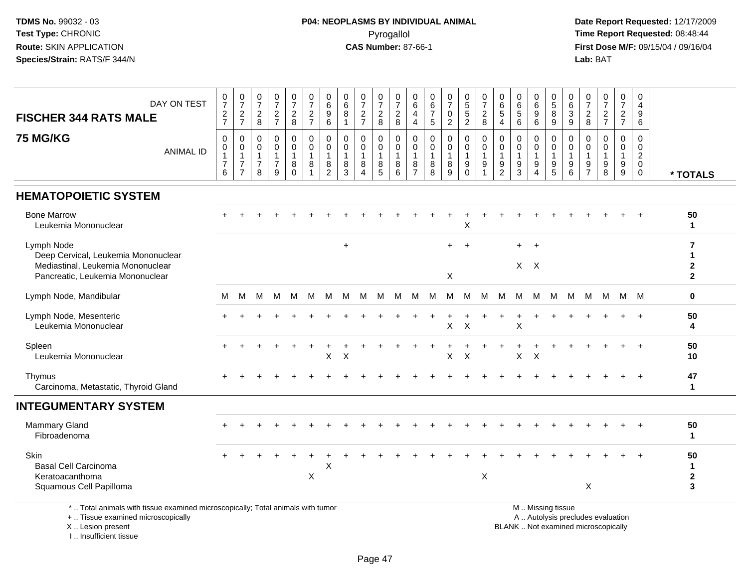# **P04: NEOPLASMS BY INDIVIDUAL ANIMAL**Pyrogallol Pyrogallol **Pyrogallol Time Report Requested:** 08:48:44<br>**CAS Number:** 87-66-1 **Time Report Requested:** 09/15/04 / 09/16/04

 **Date Report Requested:** 12/17/2009 **First Dose M/F:** 09/15/04 / 09/16/04<br>Lab: BAT **Lab:** BAT

| DAY ON TEST<br><b>FISCHER 344 RATS MALE</b>                                                                                | $\frac{0}{7}$<br>$\frac{2}{7}$                              | $\begin{array}{c} 0 \\ 7 \end{array}$<br>$\frac{2}{7}$     | $\frac{0}{7}$<br>$_{\rm 8}^2$                                     | $\begin{array}{c} 0 \\ 7 \end{array}$<br>$\frac{2}{7}$            | $\frac{0}{7}$<br>$\frac{2}{8}$                    | 0<br>$\overline{7}$<br>$\frac{2}{7}$             | 0<br>$6\overline{6}$<br>9<br>6                | $\pmb{0}$<br>$6\phantom{a}$<br>$\bf 8$<br>$\overline{1}$ | $\frac{0}{7}$<br>$\frac{2}{7}$                                        | 0<br>$\overline{7}$<br>$\sqrt{2}$<br>$\,8\,$              | 0<br>$\overline{7}$<br>$\overline{c}$<br>$\,8\,$          | 0<br>6<br>4<br>$\overline{4}$                           | 0<br>$\,6\,$<br>$\overline{7}$<br>$\sqrt{5}$ | $\begin{array}{c} 0 \\ 7 \end{array}$<br>$\pmb{0}$<br>$\overline{c}$ | $\begin{array}{c} 0 \\ 5 \\ 5 \end{array}$<br>$\sqrt{2}$   | $\frac{0}{7}$<br>$\boldsymbol{2}$<br>8                                             | 0<br>$\,6$<br>5<br>4                                    | 0<br>$\,6\,$<br>$\sqrt{5}$<br>$\,6\,$      | $\pmb{0}$<br>$6\phantom{a}$<br>$\boldsymbol{9}$<br>$\,6\,$                    | $\begin{array}{c} 0 \\ 5 \end{array}$<br>$\overline{8}$<br>9                       | 0<br>6<br>$\sqrt{3}$<br>$9\,$                                         | 0<br>$\overline{7}$<br>$\sqrt{2}$<br>$\,8\,$                        | $\frac{0}{7}$<br>$\frac{2}{7}$                                 | $\frac{0}{7}$<br>$\frac{2}{7}$                       | 0<br>$\overline{4}$<br>9<br>6                                              |                                        |
|----------------------------------------------------------------------------------------------------------------------------|-------------------------------------------------------------|------------------------------------------------------------|-------------------------------------------------------------------|-------------------------------------------------------------------|---------------------------------------------------|--------------------------------------------------|-----------------------------------------------|----------------------------------------------------------|-----------------------------------------------------------------------|-----------------------------------------------------------|-----------------------------------------------------------|---------------------------------------------------------|----------------------------------------------|----------------------------------------------------------------------|------------------------------------------------------------|------------------------------------------------------------------------------------|---------------------------------------------------------|--------------------------------------------|-------------------------------------------------------------------------------|------------------------------------------------------------------------------------|-----------------------------------------------------------------------|---------------------------------------------------------------------|----------------------------------------------------------------|------------------------------------------------------|----------------------------------------------------------------------------|----------------------------------------|
| <b>75 MG/KG</b><br><b>ANIMAL ID</b>                                                                                        | $\pmb{0}$<br>$\,0\,$<br>$\mathbf{1}$<br>$\overline{7}$<br>6 | 0<br>0<br>$\mathbf{1}$<br>$\overline{7}$<br>$\overline{7}$ | $\mathbf 0$<br>$\mathbf 0$<br>$\mathbf{1}$<br>$\overline{7}$<br>8 | $\pmb{0}$<br>$\mathbf 0$<br>$\overline{1}$<br>$\overline{7}$<br>9 | 0<br>$\mathbf 0$<br>$\mathbf{1}$<br>8<br>$\Omega$ | 0<br>0<br>$\mathbf{1}$<br>$\bf 8$<br>$\mathbf 1$ | 0<br>0<br>$\mathbf{1}$<br>8<br>$\overline{2}$ | $\mathbf 0$<br>$\mathbf 0$<br>$\mathbf{1}$<br>8<br>3     | $\mathbf 0$<br>$\pmb{0}$<br>$\mathbf{1}$<br>$\bf 8$<br>$\overline{4}$ | 0<br>$\mathbf 0$<br>$\overline{1}$<br>8<br>$\overline{5}$ | $\mathbf 0$<br>$\mathbf 0$<br>$\mathbf{1}$<br>$\, 8$<br>6 | 0<br>$\mathbf 0$<br>$\mathbf{1}$<br>8<br>$\overline{7}$ | $\mathbf 0$<br>0<br>$\overline{1}$<br>8<br>8 | $\mathbf 0$<br>$\mathbf 0$<br>$\mathbf{1}$<br>8<br>$\overline{9}$    | $\mathbf 0$<br>$\mathbf 0$<br>$\overline{1}$<br>$_{0}^{9}$ | $\mathbf 0$<br>$\mathbf 0$<br>$\overline{1}$<br>$\boldsymbol{9}$<br>$\overline{1}$ | $\mathbf 0$<br>0<br>$\mathbf{1}$<br>9<br>$\overline{2}$ | $\mathbf 0$<br>0<br>$\mathbf{1}$<br>9<br>3 | $\mathbf 0$<br>$\mathbf 0$<br>1<br>$\boldsymbol{9}$<br>$\boldsymbol{\Lambda}$ | $\mathbf 0$<br>$\mathbf 0$<br>$\mathbf 1$<br>$\begin{array}{c} 9 \\ 5 \end{array}$ | $\mathbf 0$<br>$\mathbf 0$<br>$\overline{1}$<br>$\boldsymbol{9}$<br>6 | $\mathbf 0$<br>$\Omega$<br>-1<br>$\boldsymbol{9}$<br>$\overline{7}$ | $\mathbf 0$<br>$\Omega$<br>$\mathbf{1}$<br>9<br>$\overline{8}$ | $\mathbf 0$<br>$\mathbf 0$<br>$\mathbf{1}$<br>$^9_9$ | $\mathbf 0$<br>$\mathbf 0$<br>$\overline{2}$<br>$\mathbf 0$<br>$\mathbf 0$ | * TOTALS                               |
| <b>HEMATOPOIETIC SYSTEM</b>                                                                                                |                                                             |                                                            |                                                                   |                                                                   |                                                   |                                                  |                                               |                                                          |                                                                       |                                                           |                                                           |                                                         |                                              |                                                                      |                                                            |                                                                                    |                                                         |                                            |                                                                               |                                                                                    |                                                                       |                                                                     |                                                                |                                                      |                                                                            |                                        |
| <b>Bone Marrow</b><br>Leukemia Mononuclear                                                                                 |                                                             |                                                            |                                                                   |                                                                   |                                                   |                                                  |                                               |                                                          |                                                                       |                                                           |                                                           |                                                         |                                              |                                                                      | X                                                          |                                                                                    |                                                         |                                            |                                                                               |                                                                                    |                                                                       |                                                                     |                                                                |                                                      |                                                                            | 50<br>$\mathbf{1}$                     |
| Lymph Node<br>Deep Cervical, Leukemia Mononuclear<br>Mediastinal, Leukemia Mononuclear<br>Pancreatic, Leukemia Mononuclear |                                                             |                                                            |                                                                   |                                                                   |                                                   |                                                  |                                               | $\ddot{}$                                                |                                                                       |                                                           |                                                           |                                                         |                                              | $\ddot{}$<br>X                                                       | $\ddot{}$                                                  |                                                                                    |                                                         | $+$                                        | $+$<br>$X$ $X$                                                                |                                                                                    |                                                                       |                                                                     |                                                                |                                                      |                                                                            | 7<br>1<br>$\mathbf{2}$<br>$\mathbf{2}$ |
| Lymph Node, Mandibular                                                                                                     | М                                                           | м                                                          | м                                                                 | м                                                                 | м                                                 | M                                                | M                                             | M                                                        | м                                                                     | M                                                         | M                                                         | M                                                       | M                                            | м                                                                    | M                                                          | М                                                                                  | М                                                       | M                                          | M                                                                             | M                                                                                  | М                                                                     | M                                                                   | M                                                              |                                                      | M M                                                                        | 0                                      |
| Lymph Node, Mesenteric<br>Leukemia Mononuclear                                                                             |                                                             |                                                            |                                                                   |                                                                   |                                                   |                                                  |                                               |                                                          |                                                                       |                                                           |                                                           |                                                         |                                              | X                                                                    | $\times$                                                   |                                                                                    |                                                         | X                                          |                                                                               |                                                                                    |                                                                       |                                                                     |                                                                |                                                      | $\overline{1}$                                                             | 50<br>4                                |
| Spleen<br>Leukemia Mononuclear                                                                                             |                                                             |                                                            |                                                                   |                                                                   |                                                   |                                                  | X                                             | X                                                        |                                                                       |                                                           |                                                           |                                                         |                                              | X                                                                    | X                                                          |                                                                                    |                                                         | X                                          | X                                                                             |                                                                                    |                                                                       |                                                                     |                                                                |                                                      | $\ddot{}$                                                                  | 50<br>10                               |
| Thymus<br>Carcinoma, Metastatic, Thyroid Gland                                                                             |                                                             |                                                            |                                                                   |                                                                   |                                                   |                                                  |                                               |                                                          |                                                                       |                                                           |                                                           |                                                         |                                              |                                                                      |                                                            |                                                                                    |                                                         |                                            |                                                                               |                                                                                    |                                                                       |                                                                     |                                                                |                                                      |                                                                            | 47<br>$\mathbf 1$                      |
| <b>INTEGUMENTARY SYSTEM</b>                                                                                                |                                                             |                                                            |                                                                   |                                                                   |                                                   |                                                  |                                               |                                                          |                                                                       |                                                           |                                                           |                                                         |                                              |                                                                      |                                                            |                                                                                    |                                                         |                                            |                                                                               |                                                                                    |                                                                       |                                                                     |                                                                |                                                      |                                                                            |                                        |
| <b>Mammary Gland</b><br>Fibroadenoma                                                                                       |                                                             |                                                            |                                                                   |                                                                   |                                                   |                                                  |                                               |                                                          |                                                                       |                                                           |                                                           |                                                         |                                              |                                                                      |                                                            |                                                                                    |                                                         |                                            |                                                                               |                                                                                    |                                                                       |                                                                     |                                                                |                                                      |                                                                            | 50<br>1                                |
| Skin<br><b>Basal Cell Carcinoma</b><br>Keratoacanthoma<br>Squamous Cell Papilloma                                          |                                                             |                                                            |                                                                   |                                                                   |                                                   | X                                                | X                                             |                                                          |                                                                       |                                                           |                                                           |                                                         |                                              |                                                                      |                                                            | X                                                                                  |                                                         |                                            |                                                                               |                                                                                    |                                                                       | $\boldsymbol{\mathsf{X}}$                                           |                                                                |                                                      |                                                                            | 50<br>1<br>$\mathbf 2$<br>3            |
| *  Total animals with tissue examined microscopically; Total animals with tumor<br>+  Tissue examined microscopically      |                                                             |                                                            |                                                                   |                                                                   |                                                   |                                                  |                                               |                                                          |                                                                       |                                                           |                                                           |                                                         |                                              |                                                                      |                                                            |                                                                                    |                                                         |                                            |                                                                               | M  Missing tissue                                                                  |                                                                       |                                                                     |                                                                | A  Autolysis precludes evaluation                    |                                                                            |                                        |

X .. Lesion present

I .. Insufficient tissue

y the contract of the contract of the contract of the contract of the contract of the contract of the contract of  $A$ . Autolysis precludes evaluation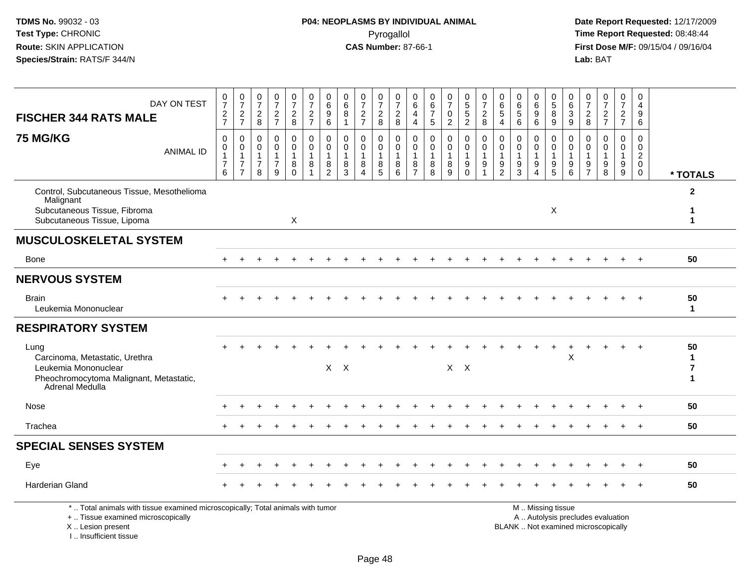I .. Insufficient tissue

| DAY ON TEST<br><b>FISCHER 344 RATS MALE</b>                                                                                                |                  | $\frac{0}{7}$<br>$\frac{2}{7}$                             | $\frac{0}{7}$<br>$\frac{2}{7}$                                     | $\frac{0}{7}$<br>$_{8}^2$                                 | $\frac{0}{7}$<br>$\frac{2}{7}$                          | $\frac{0}{7}$<br>$\frac{2}{8}$         | $\frac{0}{7}$<br>$\frac{2}{7}$                           | $\begin{array}{c} 0 \\ 6 \end{array}$<br>$\boldsymbol{9}$<br>$6\phantom{1}$ | $\begin{array}{c} 0 \\ 6 \end{array}$<br>8             | $\frac{0}{7}$<br>$\frac{2}{7}$                      | 0<br>$\overline{7}$<br>$\boldsymbol{2}$<br>8  | 0<br>$\overline{7}$<br>$\boldsymbol{2}$<br>8 | 0<br>$\,6$<br>$\overline{4}$<br>4             | 0<br>6<br>$\overline{7}$<br>5           | $\frac{0}{7}$<br>$\pmb{0}$<br>$\overline{2}$ | $\begin{array}{c} 0 \\ 5 \\ 5 \end{array}$<br>$\overline{2}$     | $\frac{0}{7}$<br>$\overline{c}$<br>8                      | 0<br>$\,6$<br>$\mathbf 5$<br>$\overline{4}$                 | $\begin{array}{c} 0 \\ 6 \end{array}$<br>$\sqrt{5}$<br>6 | 0<br>$\overline{6}$<br>9<br>6                                    | $\begin{array}{c} 0 \\ 5 \end{array}$<br>$\overline{8}$<br>9              | 0<br>$\,6\,$<br>$\sqrt{3}$<br>9                        | 0<br>$\overline{7}$<br>$\overline{2}$<br>8                  | 0<br>$\overline{7}$<br>$\frac{2}{7}$                                     | $\frac{0}{7}$<br>$\frac{2}{7}$                        | 0<br>$\overline{4}$<br>9<br>6                                           |                                     |
|--------------------------------------------------------------------------------------------------------------------------------------------|------------------|------------------------------------------------------------|--------------------------------------------------------------------|-----------------------------------------------------------|---------------------------------------------------------|----------------------------------------|----------------------------------------------------------|-----------------------------------------------------------------------------|--------------------------------------------------------|-----------------------------------------------------|-----------------------------------------------|----------------------------------------------|-----------------------------------------------|-----------------------------------------|----------------------------------------------|------------------------------------------------------------------|-----------------------------------------------------------|-------------------------------------------------------------|----------------------------------------------------------|------------------------------------------------------------------|---------------------------------------------------------------------------|--------------------------------------------------------|-------------------------------------------------------------|--------------------------------------------------------------------------|-------------------------------------------------------|-------------------------------------------------------------------------|-------------------------------------|
| <b>75 MG/KG</b>                                                                                                                            | <b>ANIMAL ID</b> | 0<br>0<br>$\mathbf{1}$<br>$\overline{7}$<br>$6\phantom{a}$ | 0<br>$\pmb{0}$<br>$\mathbf{1}$<br>$\overline{7}$<br>$\overline{7}$ | $\mathbf 0$<br>0<br>$\overline{1}$<br>$\overline{7}$<br>8 | $\mathbf 0$<br>0<br>$\mathbf{1}$<br>$\overline{7}$<br>9 | 0<br>$\mathbf 0$<br>1<br>8<br>$\Omega$ | 0<br>$\mathsf{O}\xspace$<br>$\mathbf{1}$<br>$\bf 8$<br>1 | 0<br>$\mathbf 0$<br>$\mathbf{1}$<br>$\bf 8$<br>$\overline{2}$               | $\mathbf{0}$<br>$\mathbf{0}$<br>$\mathbf{1}$<br>8<br>3 | 0<br>$\mathbf 0$<br>$\overline{1}$<br>8<br>$\Delta$ | 0<br>0<br>$\mathbf{1}$<br>8<br>$\overline{5}$ | 0<br>$\mathbf 0$<br>$\mathbf{1}$<br>8<br>6   | 0<br>0<br>$\mathbf{1}$<br>8<br>$\overline{7}$ | $\Omega$<br>0<br>$\mathbf{1}$<br>8<br>8 | 0<br>0<br>1<br>8<br>9                        | 0<br>$\mathbf 0$<br>$\mathbf{1}$<br>$\boldsymbol{9}$<br>$\Omega$ | 0<br>$\mathbf 0$<br>$\mathbf{1}$<br>$9\,$<br>$\mathbf{1}$ | 0<br>$\mathbf 0$<br>$\mathbf{1}$<br>$9\,$<br>$\overline{2}$ | $\Omega$<br>$\mathbf 0$<br>$\mathbf{1}$<br>$\frac{9}{3}$ | $\mathbf{0}$<br>0<br>$\mathbf{1}$<br>9<br>$\boldsymbol{\Lambda}$ | 0<br>$\mathbf 0$<br>$\mathbf{1}$<br>$\begin{array}{c} 9 \\ 5 \end{array}$ | $\mathbf 0$<br>$\mathbf 0$<br>$\overline{1}$<br>9<br>6 | $\Omega$<br>$\Omega$<br>$\mathbf{1}$<br>9<br>$\overline{7}$ | $\Omega$<br>$\Omega$<br>1<br>9<br>8                                      | $\Omega$<br>$\Omega$<br>$\mathbf{1}$<br>$\frac{9}{9}$ | $\Omega$<br>$\mathbf 0$<br>$\overline{2}$<br>$\mathbf 0$<br>$\mathbf 0$ | * TOTALS                            |
| Control, Subcutaneous Tissue, Mesothelioma<br>Malignant<br>Subcutaneous Tissue, Fibroma<br>Subcutaneous Tissue, Lipoma                     |                  |                                                            |                                                                    |                                                           |                                                         | X                                      |                                                          |                                                                             |                                                        |                                                     |                                               |                                              |                                               |                                         |                                              |                                                                  |                                                           |                                                             |                                                          |                                                                  | X                                                                         |                                                        |                                                             |                                                                          |                                                       |                                                                         | $\overline{2}$<br>1<br>$\mathbf{1}$ |
| <b>MUSCULOSKELETAL SYSTEM</b>                                                                                                              |                  |                                                            |                                                                    |                                                           |                                                         |                                        |                                                          |                                                                             |                                                        |                                                     |                                               |                                              |                                               |                                         |                                              |                                                                  |                                                           |                                                             |                                                          |                                                                  |                                                                           |                                                        |                                                             |                                                                          |                                                       |                                                                         |                                     |
| <b>Bone</b>                                                                                                                                |                  |                                                            |                                                                    |                                                           |                                                         |                                        |                                                          |                                                                             |                                                        |                                                     |                                               |                                              |                                               |                                         |                                              |                                                                  |                                                           |                                                             |                                                          |                                                                  |                                                                           |                                                        |                                                             |                                                                          |                                                       |                                                                         | 50                                  |
| <b>NERVOUS SYSTEM</b>                                                                                                                      |                  |                                                            |                                                                    |                                                           |                                                         |                                        |                                                          |                                                                             |                                                        |                                                     |                                               |                                              |                                               |                                         |                                              |                                                                  |                                                           |                                                             |                                                          |                                                                  |                                                                           |                                                        |                                                             |                                                                          |                                                       |                                                                         |                                     |
| <b>Brain</b><br>Leukemia Mononuclear                                                                                                       |                  |                                                            |                                                                    |                                                           |                                                         |                                        |                                                          |                                                                             |                                                        |                                                     |                                               |                                              |                                               |                                         |                                              |                                                                  |                                                           |                                                             |                                                          |                                                                  |                                                                           |                                                        |                                                             |                                                                          |                                                       |                                                                         | 50<br>$\mathbf{1}$                  |
| <b>RESPIRATORY SYSTEM</b>                                                                                                                  |                  |                                                            |                                                                    |                                                           |                                                         |                                        |                                                          |                                                                             |                                                        |                                                     |                                               |                                              |                                               |                                         |                                              |                                                                  |                                                           |                                                             |                                                          |                                                                  |                                                                           |                                                        |                                                             |                                                                          |                                                       |                                                                         |                                     |
| Lung<br>Carcinoma, Metastatic, Urethra<br>Leukemia Mononuclear<br>Pheochromocytoma Malignant, Metastatic,<br>Adrenal Medulla               |                  |                                                            |                                                                    |                                                           |                                                         |                                        |                                                          |                                                                             | $X$ $X$                                                |                                                     |                                               |                                              |                                               |                                         |                                              | $X$ $X$                                                          |                                                           |                                                             |                                                          |                                                                  |                                                                           | X                                                      |                                                             |                                                                          |                                                       |                                                                         | 50<br>$\mathbf 1$<br>7<br>1         |
| Nose                                                                                                                                       |                  |                                                            |                                                                    |                                                           |                                                         |                                        |                                                          |                                                                             |                                                        |                                                     |                                               |                                              |                                               |                                         |                                              |                                                                  |                                                           |                                                             |                                                          |                                                                  |                                                                           |                                                        |                                                             |                                                                          |                                                       |                                                                         | 50                                  |
| Trachea                                                                                                                                    |                  |                                                            |                                                                    |                                                           |                                                         |                                        |                                                          |                                                                             |                                                        |                                                     |                                               |                                              |                                               |                                         |                                              |                                                                  |                                                           |                                                             |                                                          |                                                                  |                                                                           |                                                        |                                                             |                                                                          |                                                       |                                                                         | 50                                  |
| <b>SPECIAL SENSES SYSTEM</b>                                                                                                               |                  |                                                            |                                                                    |                                                           |                                                         |                                        |                                                          |                                                                             |                                                        |                                                     |                                               |                                              |                                               |                                         |                                              |                                                                  |                                                           |                                                             |                                                          |                                                                  |                                                                           |                                                        |                                                             |                                                                          |                                                       |                                                                         |                                     |
| Eye                                                                                                                                        |                  |                                                            |                                                                    |                                                           |                                                         |                                        |                                                          |                                                                             |                                                        |                                                     |                                               |                                              |                                               |                                         |                                              |                                                                  |                                                           |                                                             |                                                          |                                                                  |                                                                           |                                                        |                                                             |                                                                          |                                                       |                                                                         | 50                                  |
| <b>Harderian Gland</b>                                                                                                                     |                  |                                                            |                                                                    |                                                           |                                                         |                                        |                                                          |                                                                             |                                                        |                                                     |                                               |                                              |                                               |                                         |                                              |                                                                  |                                                           |                                                             |                                                          |                                                                  |                                                                           |                                                        |                                                             |                                                                          |                                                       |                                                                         | 50                                  |
| *  Total animals with tissue examined microscopically; Total animals with tumor<br>+  Tissue examined microscopically<br>X  Lesion present |                  |                                                            |                                                                    |                                                           |                                                         |                                        |                                                          |                                                                             |                                                        |                                                     |                                               |                                              |                                               |                                         |                                              |                                                                  |                                                           |                                                             |                                                          |                                                                  | M  Missing tissue                                                         |                                                        |                                                             | A  Autolysis precludes evaluation<br>BLANK  Not examined microscopically |                                                       |                                                                         |                                     |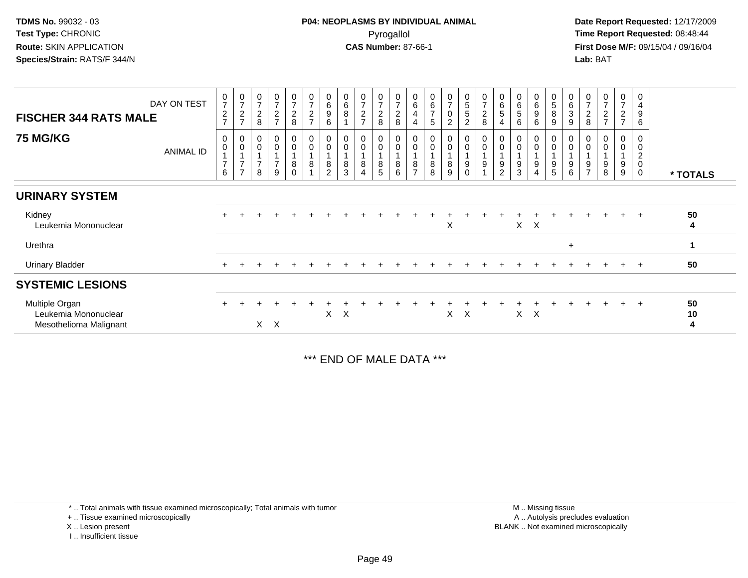**Date Report Requested:** 12/17/2009 **First Dose M/F:** 09/15/04 / 09/16/04 Lab: BAT **Lab:** BAT

| <b>FISCHER 344 RATS MALE</b>                                     | DAY ON TEST | $\frac{0}{7}$<br>$\frac{2}{7}$                                       | $\frac{0}{7}$<br>$\overline{c}$<br>$\overline{ }$                      | 0<br>$\overline{ }$<br>$\boldsymbol{2}$<br>8 | $\frac{0}{7}$<br>$\frac{2}{7}$                | $\frac{0}{7}$<br>$_{\rm 8}^2$ | $\mathbf 0$<br>$\overline{7}$<br>$\boldsymbol{2}$<br>$\overline{7}$ | $_6^0$<br>9<br>6         | 0<br>6<br>8           | $\frac{0}{7}$<br>$\sqrt{2}$<br>$\rightarrow$ | $\begin{smallmatrix}0\\7\end{smallmatrix}$<br>$\frac{2}{8}$ | $\frac{0}{7}$<br>$\boldsymbol{2}$<br>$\,8\,$ | 0<br>6<br>4<br>4             | 0<br>6<br>$\overline{7}$<br>5 | $\frac{0}{7}$<br>0<br>2 | $\begin{array}{c} 0 \\ 5 \end{array}$<br>$\sqrt{5}$<br>$\overline{2}$ | $\frac{0}{7}$<br>$\frac{2}{8}$             | $\pmb{0}$<br>$\,6\,$<br>$\sqrt{5}$<br>4 | $\boldsymbol{0}$<br>$\,6$<br>5<br>6 | 0<br>6<br>9<br>6          | $\begin{array}{c} 0 \\ 5 \\ 8 \end{array}$<br>$\boldsymbol{9}$ | $_{6}^{\rm 0}$<br>$\ensuremath{\mathsf{3}}$<br>9 | 0<br>$\overline{7}$<br>$\overline{c}$<br>8 | $\pmb{0}$<br>$\overline{7}$<br>$\overline{c}$<br>$\overline{7}$ | 0<br>$\overline{7}$<br>$\overline{a}$<br>$\overline{7}$ | 0<br>4<br>$\boldsymbol{9}$<br>6              |               |
|------------------------------------------------------------------|-------------|----------------------------------------------------------------------|------------------------------------------------------------------------|----------------------------------------------|-----------------------------------------------|-------------------------------|---------------------------------------------------------------------|--------------------------|-----------------------|----------------------------------------------|-------------------------------------------------------------|----------------------------------------------|------------------------------|-------------------------------|-------------------------|-----------------------------------------------------------------------|--------------------------------------------|-----------------------------------------|-------------------------------------|---------------------------|----------------------------------------------------------------|--------------------------------------------------|--------------------------------------------|-----------------------------------------------------------------|---------------------------------------------------------|----------------------------------------------|---------------|
| <b>75 MG/KG</b>                                                  | ANIMAL ID   | $\boldsymbol{0}$<br>$\pmb{0}$<br>$\mathbf{1}$<br>$\overline{7}$<br>6 | 0<br>0<br>$\overline{A}$<br>$\overline{ }$<br>$\overline{\phantom{a}}$ | 0<br>$\overline{ }$<br>8                     | $\pmb{0}$<br>$\pmb{0}$<br>$\overline{7}$<br>9 | 0<br>0<br>8<br>0              | $\pmb{0}$<br>$\mathbf 0$<br>8                                       | 0<br>8<br>$\overline{2}$ | $\mathsf 0$<br>8<br>3 | 0<br>$\pmb{0}$<br>8<br>$\overline{4}$        | 0<br>$\ddot{\mathbf{0}}$<br>$\bf 8$<br>5                    | $_{\rm 0}^{\rm 0}$<br>1<br>$\, 8$<br>6       | 0<br>0<br>8<br>$\rightarrow$ | $\mathbf 0$<br>8<br>8         | 0<br>0<br>8<br>9        | 0<br>$\boldsymbol{0}$<br>9<br>0                                       | $\pmb{0}$<br>$\pmb{0}$<br>$\boldsymbol{9}$ | 0<br>$\pmb{0}$<br>9<br>2                | $\pmb{0}$<br>9<br>3                 | 0<br>0<br>9<br>4          | $_{0}^{0}$<br>9<br>5                                           | 0<br>$\pmb{0}$<br>$\boldsymbol{9}$<br>6          | 9<br>$\overline{ }$                        | 9<br>8                                                          | 0<br>0<br>9<br>9                                        | 0<br>0<br>$\boldsymbol{2}$<br>$\pmb{0}$<br>0 | * TOTALS      |
| <b>URINARY SYSTEM</b>                                            |             |                                                                      |                                                                        |                                              |                                               |                               |                                                                     |                          |                       |                                              |                                                             |                                              |                              |                               |                         |                                                                       |                                            |                                         |                                     |                           |                                                                |                                                  |                                            |                                                                 |                                                         |                                              |               |
| Kidney<br>Leukemia Mononuclear                                   |             |                                                                      |                                                                        |                                              |                                               |                               |                                                                     |                          |                       |                                              |                                                             |                                              |                              |                               | X                       |                                                                       |                                            |                                         | $\sf X$                             | $\boldsymbol{\mathsf{X}}$ |                                                                |                                                  |                                            |                                                                 | $\ddot{}$                                               | $+$                                          | 50<br>4       |
| Urethra                                                          |             |                                                                      |                                                                        |                                              |                                               |                               |                                                                     |                          |                       |                                              |                                                             |                                              |                              |                               |                         |                                                                       |                                            |                                         |                                     |                           |                                                                | $\ddot{}$                                        |                                            |                                                                 |                                                         |                                              | 1             |
| <b>Urinary Bladder</b>                                           |             | $+$                                                                  |                                                                        |                                              |                                               |                               |                                                                     |                          |                       |                                              |                                                             |                                              |                              |                               |                         |                                                                       |                                            |                                         |                                     |                           |                                                                |                                                  |                                            | $+$                                                             | $\pm$                                                   | $+$                                          | 50            |
| <b>SYSTEMIC LESIONS</b>                                          |             |                                                                      |                                                                        |                                              |                                               |                               |                                                                     |                          |                       |                                              |                                                             |                                              |                              |                               |                         |                                                                       |                                            |                                         |                                     |                           |                                                                |                                                  |                                            |                                                                 |                                                         |                                              |               |
| Multiple Organ<br>Leukemia Mononuclear<br>Mesothelioma Malignant |             |                                                                      |                                                                        | X.                                           | $\times$                                      |                               |                                                                     | X                        | X                     |                                              |                                                             |                                              |                              |                               | X                       | X                                                                     |                                            |                                         | X.                                  | $\times$                  |                                                                |                                                  |                                            |                                                                 | $+$                                                     | $+$                                          | 50<br>10<br>4 |

\*\*\* END OF MALE DATA \*\*\*

\* .. Total animals with tissue examined microscopically; Total animals with tumor

+ .. Tissue examined microscopically

X .. Lesion present

I .. Insufficient tissue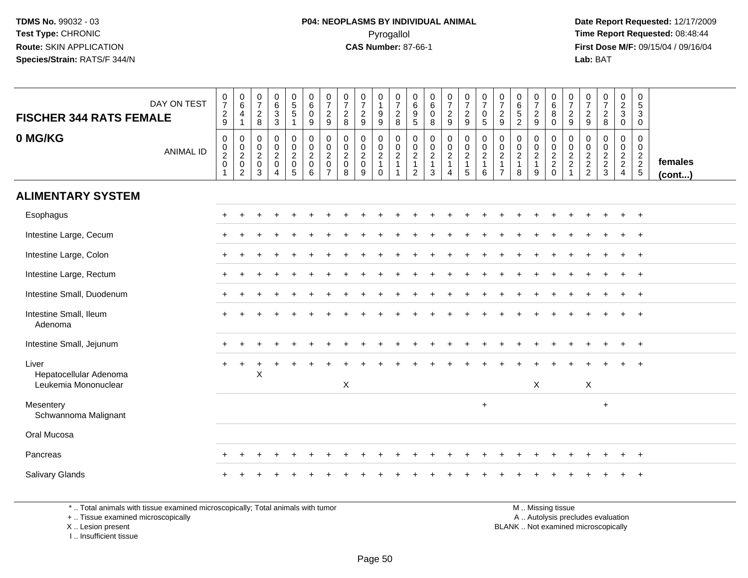**Date Report Requested:** 12/17/2009 **First Dose M/F:** 09/15/04 / 09/16/04 Lab: BAT **Lab:** BAT

| <b>FISCHER 344 RATS FEMALE</b><br>0 MG/KG               | DAY ON TEST      | $\frac{0}{7}$<br>$\frac{2}{9}$<br>$\,0\,$ | $\begin{array}{c} 0 \\ 6 \end{array}$<br>4<br>$\mathbf{1}$<br>$\mathbf 0$ | $\frac{0}{7}$<br>$\boldsymbol{2}$<br>8<br>0 | $\begin{array}{c} 0 \\ 6 \\ 3 \\ 3 \end{array}$<br>$\mathbf 0$ | $\begin{matrix} 0 \\ 5 \end{matrix}$<br>$\overline{5}$<br>$\overline{1}$<br>0 | 0<br>$6\phantom{1}6$<br>$\mathbf 0$<br>9                                           | 0<br>$\overline{7}$<br>$\overline{c}$<br>9<br>0                | $\frac{0}{7}$<br>$\sqrt{2}$<br>8<br>0             | $\frac{0}{7}$<br>$\overline{\mathbf{c}}$<br>9<br>$\pmb{0}$ | 0<br>$\mathbf{1}$<br>$9\,$<br>9<br>0                        | $\frac{0}{7}$<br>8                                                            | 0<br>$\,6\,$<br>$\overline{9}$<br>$\sqrt{5}$<br>0           | 0<br>$\overline{6}$<br>$\mathbf 0$<br>8<br>$\pmb{0}$ | $\frac{0}{7}$<br>$\frac{2}{9}$<br>0                                  | $\frac{0}{7}$<br>$\frac{2}{9}$<br>$\pmb{0}$                | $\frac{0}{7}$<br>$\pmb{0}$<br>$\sqrt{5}$<br>0 | $\frac{0}{7}$<br>$\frac{2}{9}$<br>0                             | 0<br>$6\phantom{a}$<br>$\overline{5}$<br>$\overline{2}$<br>$\mathbf 0$ | $\frac{0}{7}$<br>$\frac{2}{9}$<br>0                | 0<br>$6\overline{6}$<br>$\overline{8}$<br>$\mathbf 0$<br>0 | $\frac{0}{7}$<br>$\frac{2}{9}$<br>0                          | $\frac{0}{7}$<br>$\frac{2}{9}$<br>$\pmb{0}$ | $\frac{0}{7}$<br>$_{\rm 8}^2$<br>$\mathbf 0$         | $\begin{smallmatrix} 0\\2\\3 \end{smallmatrix}$<br>$\mathbf 0$<br>$\mathbf 0$ | 0<br>$\overline{5}$<br>3<br>$\mathbf 0$<br>0 |                         |
|---------------------------------------------------------|------------------|-------------------------------------------|---------------------------------------------------------------------------|---------------------------------------------|----------------------------------------------------------------|-------------------------------------------------------------------------------|------------------------------------------------------------------------------------|----------------------------------------------------------------|---------------------------------------------------|------------------------------------------------------------|-------------------------------------------------------------|-------------------------------------------------------------------------------|-------------------------------------------------------------|------------------------------------------------------|----------------------------------------------------------------------|------------------------------------------------------------|-----------------------------------------------|-----------------------------------------------------------------|------------------------------------------------------------------------|----------------------------------------------------|------------------------------------------------------------|--------------------------------------------------------------|---------------------------------------------|------------------------------------------------------|-------------------------------------------------------------------------------|----------------------------------------------|-------------------------|
|                                                         | <b>ANIMAL ID</b> | $\frac{0}{2}$<br>$\overline{1}$           | $\frac{0}{2}$<br>$\overline{2}$                                           | 0<br>$\overline{c}$<br>0<br>3               | $\frac{0}{2}$<br>$\overline{A}$                                | $\mathbf 0$<br>$\boldsymbol{2}$<br>$\mathbf 0$<br>5                           | $\begin{smallmatrix} 0\\0 \end{smallmatrix}$<br>$\overline{2}$<br>$\mathbf 0$<br>6 | $\mathbf 0$<br>$\overline{c}$<br>$\mathbf 0$<br>$\overline{7}$ | $\mathbf 0$<br>$\overline{2}$<br>$\mathbf 0$<br>8 | $\pmb{0}$<br>$\overline{2}$<br>$\mathsf{O}\xspace$<br>9    | $\mathbf 0$<br>$\overline{2}$<br>$\overline{1}$<br>$\Omega$ | $\begin{matrix} 0 \\ 0 \\ 2 \end{matrix}$<br>$\overline{1}$<br>$\overline{1}$ | $\mathsf 0$<br>$\sqrt{2}$<br>$\mathbf{1}$<br>$\overline{c}$ | $\mathbf 0$<br>$\overline{c}$<br>$\mathbf{1}$<br>3   | $\boldsymbol{0}$<br>$\overline{c}$<br>$\mathbf{1}$<br>$\overline{4}$ | $\ddot{\mathbf{0}}$<br>$\overline{2}$<br>$\mathbf{1}$<br>5 | $\frac{0}{2}$<br>$\overline{1}$<br>6          | $\mathbf 0$<br>$\overline{2}$<br>$\mathbf{1}$<br>$\overline{7}$ | $\mathbf 0$<br>$\overline{2}$<br>$\mathbf{1}$<br>8                     | $\mathbf 0$<br>$\overline{2}$<br>$\mathbf{1}$<br>9 | $\overline{0}$<br>$\frac{2}{2}$<br>$\mathbf 0$             | $\mathsf{O}\xspace$<br>$\frac{2}{2}$<br>$\blacktriangleleft$ | $\frac{0}{2}$<br>2<br>2                     | $\ddot{\mathbf{0}}$<br>$\frac{2}{2}$<br>$\mathbf{3}$ | $\ddot{\mathbf{0}}$<br>$\frac{2}{2}$<br>4                                     | $\mathbf 0$<br>$\frac{2}{2}$<br>5            | females<br>$($ cont $)$ |
| <b>ALIMENTARY SYSTEM</b>                                |                  |                                           |                                                                           |                                             |                                                                |                                                                               |                                                                                    |                                                                |                                                   |                                                            |                                                             |                                                                               |                                                             |                                                      |                                                                      |                                                            |                                               |                                                                 |                                                                        |                                                    |                                                            |                                                              |                                             |                                                      |                                                                               |                                              |                         |
| Esophagus                                               |                  | $+$                                       | $\ddot{}$                                                                 |                                             |                                                                |                                                                               |                                                                                    |                                                                |                                                   |                                                            |                                                             |                                                                               |                                                             |                                                      |                                                                      |                                                            |                                               |                                                                 |                                                                        |                                                    |                                                            |                                                              |                                             |                                                      | $+$                                                                           | $+$                                          |                         |
| Intestine Large, Cecum                                  |                  |                                           |                                                                           |                                             |                                                                |                                                                               |                                                                                    |                                                                |                                                   |                                                            |                                                             |                                                                               |                                                             |                                                      |                                                                      |                                                            |                                               |                                                                 |                                                                        |                                                    |                                                            |                                                              |                                             |                                                      |                                                                               |                                              |                         |
| Intestine Large, Colon                                  |                  |                                           |                                                                           |                                             |                                                                |                                                                               |                                                                                    |                                                                |                                                   |                                                            |                                                             |                                                                               |                                                             |                                                      |                                                                      |                                                            |                                               |                                                                 |                                                                        |                                                    |                                                            |                                                              |                                             |                                                      |                                                                               | $+$                                          |                         |
| Intestine Large, Rectum                                 |                  |                                           |                                                                           |                                             |                                                                |                                                                               |                                                                                    |                                                                |                                                   |                                                            |                                                             |                                                                               |                                                             |                                                      |                                                                      |                                                            |                                               |                                                                 |                                                                        |                                                    |                                                            |                                                              |                                             |                                                      |                                                                               | $+$                                          |                         |
| Intestine Small, Duodenum                               |                  |                                           |                                                                           |                                             |                                                                |                                                                               |                                                                                    |                                                                |                                                   |                                                            |                                                             |                                                                               |                                                             |                                                      |                                                                      |                                                            |                                               |                                                                 |                                                                        |                                                    |                                                            |                                                              |                                             |                                                      |                                                                               | $+$                                          |                         |
| Intestine Small, Ileum<br>Adenoma                       |                  |                                           |                                                                           |                                             |                                                                |                                                                               |                                                                                    |                                                                |                                                   |                                                            |                                                             |                                                                               |                                                             |                                                      |                                                                      |                                                            |                                               |                                                                 |                                                                        |                                                    |                                                            |                                                              |                                             |                                                      |                                                                               | $+$                                          |                         |
| Intestine Small, Jejunum                                |                  |                                           |                                                                           |                                             |                                                                |                                                                               |                                                                                    |                                                                |                                                   |                                                            |                                                             |                                                                               |                                                             |                                                      |                                                                      |                                                            |                                               |                                                                 |                                                                        |                                                    |                                                            |                                                              |                                             |                                                      |                                                                               |                                              |                         |
| Liver<br>Hepatocellular Adenoma<br>Leukemia Mononuclear |                  |                                           |                                                                           | X                                           |                                                                |                                                                               |                                                                                    |                                                                | $\boldsymbol{\mathsf{X}}$                         |                                                            |                                                             |                                                                               |                                                             |                                                      |                                                                      |                                                            |                                               |                                                                 |                                                                        | X                                                  |                                                            |                                                              | X                                           |                                                      |                                                                               |                                              |                         |
| Mesentery<br>Schwannoma Malignant                       |                  |                                           |                                                                           |                                             |                                                                |                                                                               |                                                                                    |                                                                |                                                   |                                                            |                                                             |                                                                               |                                                             |                                                      |                                                                      |                                                            | $\ddot{}$                                     |                                                                 |                                                                        |                                                    |                                                            |                                                              |                                             | $\ddot{}$                                            |                                                                               |                                              |                         |
| Oral Mucosa                                             |                  |                                           |                                                                           |                                             |                                                                |                                                                               |                                                                                    |                                                                |                                                   |                                                            |                                                             |                                                                               |                                                             |                                                      |                                                                      |                                                            |                                               |                                                                 |                                                                        |                                                    |                                                            |                                                              |                                             |                                                      |                                                                               |                                              |                         |
| Pancreas                                                |                  |                                           |                                                                           |                                             |                                                                |                                                                               |                                                                                    |                                                                |                                                   |                                                            |                                                             |                                                                               |                                                             |                                                      |                                                                      |                                                            |                                               |                                                                 |                                                                        |                                                    |                                                            |                                                              |                                             |                                                      |                                                                               | $+$                                          |                         |
| Salivary Glands                                         |                  |                                           |                                                                           |                                             |                                                                |                                                                               |                                                                                    |                                                                |                                                   |                                                            |                                                             |                                                                               |                                                             |                                                      |                                                                      |                                                            |                                               |                                                                 |                                                                        |                                                    |                                                            |                                                              |                                             |                                                      |                                                                               | $^{+}$                                       |                         |

\* .. Total animals with tissue examined microscopically; Total animals with tumor

+ .. Tissue examined microscopically

X .. Lesion present

I .. Insufficient tissue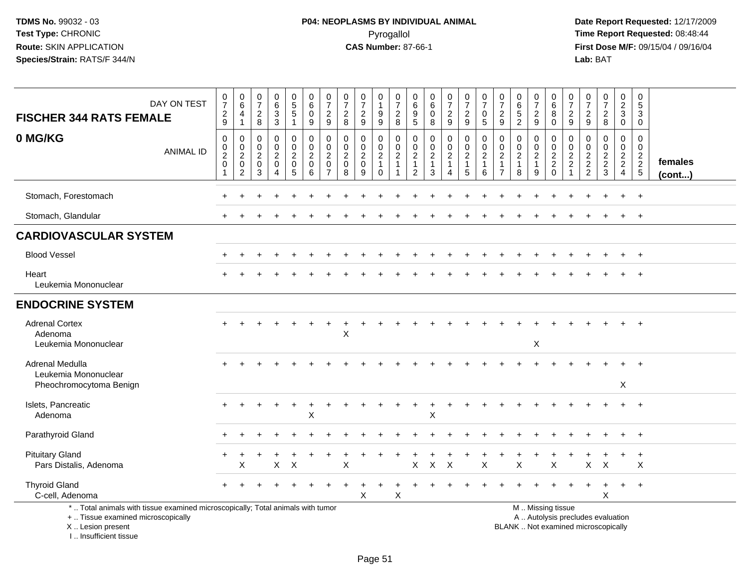| <b>FISCHER 344 RATS FEMALE</b>                                                                                                                                       | DAY ON TEST      | $\frac{0}{7}$<br>$\frac{2}{9}$                                            | $\begin{array}{c} 0 \\ 6 \end{array}$<br>4<br>$\overline{1}$                                 | $\frac{0}{7}$<br>$_{\rm 8}^2$                       | $\begin{matrix} 0 \\ 6 \\ 3 \end{matrix}$<br>3                      | $\begin{array}{c} 0 \\ 5 \\ 5 \end{array}$<br>$\mathbf{1}$ | $\begin{array}{c} 0 \\ 6 \end{array}$<br>$\pmb{0}$<br>$9\,$ | $\frac{0}{7}$<br>$\overline{c}$<br>9                                | $\begin{array}{c} 0 \\ 7 \end{array}$<br>$\sqrt{2}$<br>8 | $\frac{0}{7}$<br>$\boldsymbol{2}$<br>$\boldsymbol{9}$    | $\pmb{0}$<br>$\mathbf{1}$<br>$\frac{9}{9}$        | $\begin{array}{c} 0 \\ 7 \end{array}$<br>$\overline{\mathbf{c}}$<br>8      | 0<br>$\,6$<br>$\frac{9}{5}$                                    | $\begin{array}{c} 0 \\ 6 \end{array}$<br>$\pmb{0}$<br>8 | $\frac{0}{7}$<br>$\sqrt{2}$<br>$\boldsymbol{9}$                     | $\begin{array}{c} 0 \\ 7 \end{array}$<br>$\sqrt{2}$<br>9 | $\frac{0}{7}$<br>0<br>5                      | $\frac{0}{7}$<br>$\sqrt{2}$<br>9                                       | $\begin{array}{c} 0 \\ 6 \end{array}$<br>$\overline{5}$<br>$\overline{c}$ | $\frac{0}{7}$<br>$\frac{2}{9}$                          | $\begin{array}{c} 0 \\ 6 \end{array}$<br>$\, 8$<br>$\mathbf 0$ | 0<br>$\overline{7}$<br>$\overline{c}$<br>9                                 | $\frac{0}{7}$<br>$\sqrt{2}$<br>9                                             | $\frac{0}{7}$<br>$\frac{2}{8}$                      | $\pmb{0}$<br>$\frac{2}{3}$<br>$\mathbf 0$           | $\pmb{0}$<br>$\sqrt{5}$<br>$\sqrt{3}$<br>$\mathbf 0$     |                   |
|----------------------------------------------------------------------------------------------------------------------------------------------------------------------|------------------|---------------------------------------------------------------------------|----------------------------------------------------------------------------------------------|-----------------------------------------------------|---------------------------------------------------------------------|------------------------------------------------------------|-------------------------------------------------------------|---------------------------------------------------------------------|----------------------------------------------------------|----------------------------------------------------------|---------------------------------------------------|----------------------------------------------------------------------------|----------------------------------------------------------------|---------------------------------------------------------|---------------------------------------------------------------------|----------------------------------------------------------|----------------------------------------------|------------------------------------------------------------------------|---------------------------------------------------------------------------|---------------------------------------------------------|----------------------------------------------------------------|----------------------------------------------------------------------------|------------------------------------------------------------------------------|-----------------------------------------------------|-----------------------------------------------------|----------------------------------------------------------|-------------------|
| 0 MG/KG                                                                                                                                                              | <b>ANIMAL ID</b> | 0<br>$\mathsf{O}\xspace$<br>$\boldsymbol{2}$<br>$\pmb{0}$<br>$\mathbf{1}$ | $\mathbf 0$<br>$\begin{smallmatrix} 0\\2 \end{smallmatrix}$<br>$\pmb{0}$<br>$\boldsymbol{2}$ | 0<br>$^{\rm 0}_{\rm 2}$<br>$\mathsf{O}\xspace$<br>3 | 0<br>$\mathbf 0$<br>$\overline{a}$<br>$\mathbf 0$<br>$\overline{4}$ | 0<br>$\frac{0}{2}$<br>$\mathsf{O}\xspace$<br>$\sqrt{5}$    | 0<br>$\frac{0}{2}$<br>$\pmb{0}$<br>6                        | 0<br>$\mathbf 0$<br>$\overline{2}$<br>$\mathbf 0$<br>$\overline{7}$ | 0<br>$\mathsf 0$<br>$\overline{2}$<br>$\mathbf 0$<br>8   | 0<br>$\mathbf 0$<br>$\boldsymbol{2}$<br>$\mathbf 0$<br>9 | 0<br>$\frac{0}{2}$<br>$\mathbf{1}$<br>$\mathbf 0$ | 0<br>$\mathsf{O}\xspace$<br>$\overline{2}$<br>$\mathbf{1}$<br>$\mathbf{1}$ | 0<br>$\pmb{0}$<br>$\sqrt{2}$<br>$\mathbf{1}$<br>$\overline{2}$ | 0<br>$\frac{0}{2}$<br>$\mathbf{1}$<br>3                 | 0<br>$\mathsf{O}\xspace$<br>$\boldsymbol{2}$<br>$\overline{1}$<br>4 | $\mathbf 0$<br>$\frac{0}{2}$<br>$\mathbf{1}$<br>5        | 0<br>$\mathbf 0$<br>$\overline{c}$<br>1<br>6 | 0<br>$\mathbf 0$<br>$\overline{2}$<br>$\overline{1}$<br>$\overline{7}$ | 0<br>$\pmb{0}$<br>$\overline{c}$<br>$\mathbf{1}$<br>8                     | 0<br>$\mathbf 0$<br>$\overline{2}$<br>$\mathbf{1}$<br>9 | $\mathbf 0$<br>$\frac{0}{2}$<br>$\mathbf 0$                    | $\mathbf 0$<br>$\mathbf 0$<br>$\sqrt{2}$<br>$\overline{2}$<br>$\mathbf{1}$ | $\mathbf 0$<br>$\mathbf 0$<br>$\sqrt{2}$<br>$\overline{2}$<br>$\overline{2}$ | 0<br>$\mathbf 0$<br>$\overline{2}$<br>$\frac{2}{3}$ | 0<br>$\mathbf 0$<br>$\frac{2}{2}$<br>$\overline{4}$ | $\mathbf 0$<br>$\pmb{0}$<br>$\frac{2}{2}$<br>$\,$ 5 $\,$ | females<br>(cont) |
| Stomach, Forestomach                                                                                                                                                 |                  |                                                                           |                                                                                              |                                                     |                                                                     |                                                            |                                                             |                                                                     |                                                          |                                                          |                                                   |                                                                            |                                                                |                                                         |                                                                     |                                                          |                                              |                                                                        |                                                                           |                                                         |                                                                |                                                                            |                                                                              |                                                     |                                                     | $\div$                                                   |                   |
| Stomach, Glandular                                                                                                                                                   |                  |                                                                           |                                                                                              |                                                     |                                                                     |                                                            |                                                             |                                                                     |                                                          |                                                          |                                                   |                                                                            |                                                                |                                                         |                                                                     |                                                          |                                              |                                                                        |                                                                           |                                                         |                                                                |                                                                            |                                                                              |                                                     | $\pm$                                               | $^{+}$                                                   |                   |
| <b>CARDIOVASCULAR SYSTEM</b>                                                                                                                                         |                  |                                                                           |                                                                                              |                                                     |                                                                     |                                                            |                                                             |                                                                     |                                                          |                                                          |                                                   |                                                                            |                                                                |                                                         |                                                                     |                                                          |                                              |                                                                        |                                                                           |                                                         |                                                                |                                                                            |                                                                              |                                                     |                                                     |                                                          |                   |
| <b>Blood Vessel</b>                                                                                                                                                  |                  |                                                                           |                                                                                              |                                                     |                                                                     |                                                            |                                                             |                                                                     |                                                          |                                                          |                                                   |                                                                            |                                                                |                                                         |                                                                     |                                                          |                                              |                                                                        |                                                                           |                                                         |                                                                |                                                                            |                                                                              |                                                     |                                                     | $\overline{1}$                                           |                   |
| Heart<br>Leukemia Mononuclear                                                                                                                                        |                  |                                                                           |                                                                                              |                                                     |                                                                     |                                                            |                                                             |                                                                     |                                                          |                                                          |                                                   |                                                                            |                                                                |                                                         |                                                                     |                                                          |                                              |                                                                        |                                                                           |                                                         |                                                                |                                                                            |                                                                              |                                                     |                                                     |                                                          |                   |
| <b>ENDOCRINE SYSTEM</b>                                                                                                                                              |                  |                                                                           |                                                                                              |                                                     |                                                                     |                                                            |                                                             |                                                                     |                                                          |                                                          |                                                   |                                                                            |                                                                |                                                         |                                                                     |                                                          |                                              |                                                                        |                                                                           |                                                         |                                                                |                                                                            |                                                                              |                                                     |                                                     |                                                          |                   |
| <b>Adrenal Cortex</b><br>Adenoma<br>Leukemia Mononuclear                                                                                                             |                  |                                                                           |                                                                                              |                                                     |                                                                     |                                                            |                                                             |                                                                     | X                                                        |                                                          |                                                   |                                                                            |                                                                |                                                         |                                                                     |                                                          |                                              |                                                                        |                                                                           | X                                                       |                                                                |                                                                            |                                                                              |                                                     |                                                     | $\overline{ }$                                           |                   |
| Adrenal Medulla<br>Leukemia Mononuclear<br>Pheochromocytoma Benign                                                                                                   |                  |                                                                           |                                                                                              |                                                     |                                                                     |                                                            |                                                             |                                                                     |                                                          |                                                          |                                                   |                                                                            |                                                                |                                                         |                                                                     |                                                          |                                              |                                                                        |                                                                           |                                                         |                                                                |                                                                            |                                                                              |                                                     | X                                                   |                                                          |                   |
| Islets, Pancreatic<br>Adenoma                                                                                                                                        |                  |                                                                           |                                                                                              |                                                     |                                                                     |                                                            | X                                                           |                                                                     |                                                          |                                                          |                                                   |                                                                            |                                                                | X                                                       |                                                                     |                                                          |                                              |                                                                        |                                                                           |                                                         |                                                                |                                                                            |                                                                              |                                                     |                                                     | $\overline{+}$                                           |                   |
| Parathyroid Gland                                                                                                                                                    |                  |                                                                           |                                                                                              |                                                     |                                                                     |                                                            |                                                             |                                                                     |                                                          |                                                          |                                                   |                                                                            |                                                                |                                                         |                                                                     |                                                          |                                              |                                                                        |                                                                           |                                                         |                                                                |                                                                            |                                                                              |                                                     |                                                     | $+$                                                      |                   |
| <b>Pituitary Gland</b><br>Pars Distalis, Adenoma                                                                                                                     |                  |                                                                           | х                                                                                            |                                                     | X                                                                   | $\boldsymbol{\mathsf{X}}$                                  |                                                             |                                                                     | Χ                                                        |                                                          |                                                   |                                                                            | X                                                              | X                                                       | $\boldsymbol{\mathsf{X}}$                                           |                                                          | Χ                                            |                                                                        | $\mathsf X$                                                               |                                                         | X                                                              |                                                                            | X                                                                            | $\times$                                            |                                                     | $\ddot{}$<br>Χ                                           |                   |
| <b>Thyroid Gland</b><br>C-cell, Adenoma                                                                                                                              |                  |                                                                           |                                                                                              |                                                     |                                                                     |                                                            |                                                             |                                                                     |                                                          | Χ                                                        |                                                   | X                                                                          |                                                                |                                                         |                                                                     |                                                          |                                              |                                                                        |                                                                           |                                                         |                                                                |                                                                            |                                                                              | $\div$<br>Χ                                         | $+$                                                 | $+$                                                      |                   |
| *  Total animals with tissue examined microscopically; Total animals with tumor<br>+  Tissue examined microscopically<br>X  Lesion present<br>L. Insufficient tissue |                  |                                                                           |                                                                                              |                                                     |                                                                     |                                                            |                                                             |                                                                     |                                                          |                                                          |                                                   |                                                                            |                                                                |                                                         |                                                                     |                                                          |                                              |                                                                        | BLANK  Not examined microscopically                                       |                                                         | M  Missing tissue<br>A  Autolysis precludes evaluation         |                                                                            |                                                                              |                                                     |                                                     |                                                          |                   |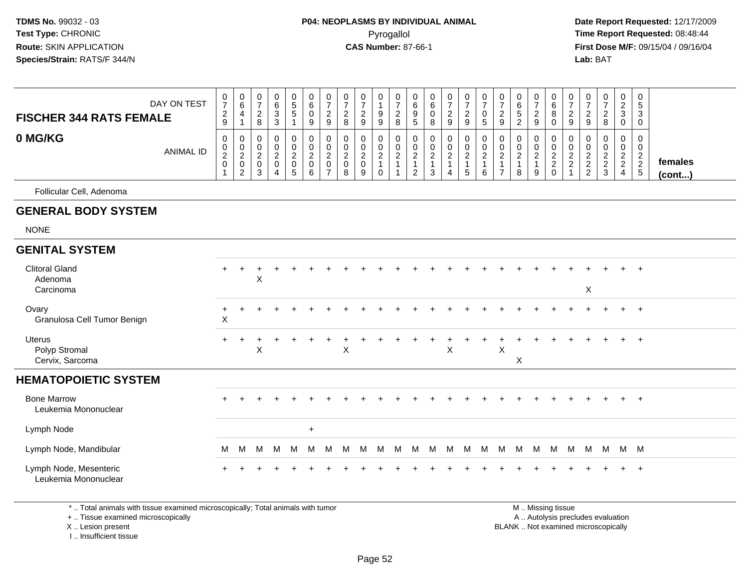**Date Report Requested:** 12/17/2009 **First Dose M/F:** 09/15/04 / 09/16/04 Lab: BAT **Lab:** BAT

| <b>FISCHER 344 RATS FEMALE</b>                 | DAY ON TEST      | 0<br>$\overline{7}$<br>$\frac{2}{9}$ | $\mathbf 0$<br>6<br>$\overline{4}$<br>$\overline{1}$                 | 0<br>$\overline{7}$<br>$^2_{\bf 8}$                            | $\pmb{0}$<br>$\,6\,$<br>$\sqrt{3}$<br>$\mathfrak{Z}$ | $\begin{array}{c} 0 \\ 5 \\ 5 \end{array}$<br>$\mathbf{1}$ | 0<br>6<br>0<br>9                     | $\frac{0}{7}$<br>$\frac{2}{9}$                            | $\pmb{0}$<br>$\overline{7}$<br>$\frac{2}{8}$ | $\frac{0}{7}$<br>$\sqrt{2}$<br>9                | 0<br>$\mathbf{1}$<br>9<br>$\boldsymbol{9}$                          | $\frac{0}{7}$<br>$\frac{2}{8}$                                  | 0<br>$\,6\,$<br>9<br>5                              | $\pmb{0}$<br>$\,6$<br>$\mathsf 0$<br>8               | $\frac{0}{7}$<br>$\boldsymbol{2}$<br>$\boldsymbol{9}$ | $\pmb{0}$<br>$\boldsymbol{7}$<br>$\frac{2}{9}$      | $\pmb{0}$<br>$\overline{7}$<br>$\mathbf 0$<br>5          | $\pmb{0}$<br>$\overline{7}$<br>$\sqrt{2}$<br>9             | 0<br>$\,6\,$<br>$\sqrt{5}$<br>$\overline{2}$                       | 0<br>$\overline{7}$<br>$\overline{2}$<br>9 | 0<br>6<br>8<br>$\mathbf 0$                                       | $\frac{0}{7}$<br>$\frac{2}{9}$ | 0<br>$\overline{7}$<br>$\boldsymbol{2}$<br>$9\,$ | $\begin{array}{c} 0 \\ 7 \end{array}$<br>$\frac{2}{8}$ | $\pmb{0}$<br>$\frac{2}{3}$<br>$\mathbf 0$ | $\mathbf 0$<br>$\sqrt{5}$<br>$\sqrt{3}$<br>$\mathbf 0$        |                   |
|------------------------------------------------|------------------|--------------------------------------|----------------------------------------------------------------------|----------------------------------------------------------------|------------------------------------------------------|------------------------------------------------------------|--------------------------------------|-----------------------------------------------------------|----------------------------------------------|-------------------------------------------------|---------------------------------------------------------------------|-----------------------------------------------------------------|-----------------------------------------------------|------------------------------------------------------|-------------------------------------------------------|-----------------------------------------------------|----------------------------------------------------------|------------------------------------------------------------|--------------------------------------------------------------------|--------------------------------------------|------------------------------------------------------------------|--------------------------------|--------------------------------------------------|--------------------------------------------------------|-------------------------------------------|---------------------------------------------------------------|-------------------|
| 0 MG/KG                                        | <b>ANIMAL ID</b> | 0<br>$_{2}^{\rm 0}$<br>$\mathsf 0$   | $\mathbf 0$<br>$\begin{matrix}0\\2\\0\end{matrix}$<br>$\overline{2}$ | $\mathbf 0$<br>$\mathbf 0$<br>$\overline{c}$<br>$\pmb{0}$<br>3 | $\mathbf 0$<br>$\mathbf 0$<br>$^2_{\rm 0}$<br>4      | 0<br>0<br>$\frac{2}{0}$<br>$\overline{5}$                  | 0<br>$\pmb{0}$<br>$\frac{2}{0}$<br>6 | $\pmb{0}$<br>$\pmb{0}$<br>$\frac{2}{0}$<br>$\overline{7}$ | 0<br>$\mathbf 0$<br>$^2_{\rm 0}$<br>8        | $\mathbf 0$<br>$\mathbf 0$<br>$^2_{\rm 0}$<br>9 | 0<br>$\pmb{0}$<br>$\begin{array}{c} 2 \\ 1 \end{array}$<br>$\Omega$ | 0<br>$\begin{array}{c} 0 \\ 2 \\ 1 \end{array}$<br>$\mathbf{1}$ | 0<br>$\mathbf 0$<br>$\frac{2}{1}$<br>$\overline{2}$ | 0<br>0<br>$\begin{array}{c} 2 \\ 1 \end{array}$<br>3 | 0<br>$\pmb{0}$<br>$\sqrt{2}$<br>$\mathbf{1}$<br>4     | 0<br>$\begin{matrix} 0 \\ 2 \\ 1 \end{matrix}$<br>5 | 0<br>$\boldsymbol{0}$<br>$\sqrt{2}$<br>$\mathbf{1}$<br>6 | 0<br>0<br>$\overline{2}$<br>$\mathbf{1}$<br>$\overline{7}$ | $\mathbf 0$<br>$\boldsymbol{0}$<br>$\sqrt{2}$<br>$\mathbf{1}$<br>8 | 0<br>$\mathbf 0$<br>$\frac{2}{1}$<br>9     | 0<br>$\begin{smallmatrix} 0\\2\\2 \end{smallmatrix}$<br>$\Omega$ | 0<br>$\pmb{0}$<br>$_2^2$<br>1  | 0<br>0<br>$\frac{2}{2}$                          | 0<br>$\mathbf 0$<br>$\frac{2}{3}$                      | 0<br>$\pmb{0}$<br>$\frac{2}{2}$<br>4      | $\mathbf 0$<br>$\mathbf 0$<br>$\overline{c}$<br>$\frac{2}{5}$ | females<br>(cont) |
| Follicular Cell, Adenoma                       |                  |                                      |                                                                      |                                                                |                                                      |                                                            |                                      |                                                           |                                              |                                                 |                                                                     |                                                                 |                                                     |                                                      |                                                       |                                                     |                                                          |                                                            |                                                                    |                                            |                                                                  |                                |                                                  |                                                        |                                           |                                                               |                   |
| <b>GENERAL BODY SYSTEM</b>                     |                  |                                      |                                                                      |                                                                |                                                      |                                                            |                                      |                                                           |                                              |                                                 |                                                                     |                                                                 |                                                     |                                                      |                                                       |                                                     |                                                          |                                                            |                                                                    |                                            |                                                                  |                                |                                                  |                                                        |                                           |                                                               |                   |
| <b>NONE</b>                                    |                  |                                      |                                                                      |                                                                |                                                      |                                                            |                                      |                                                           |                                              |                                                 |                                                                     |                                                                 |                                                     |                                                      |                                                       |                                                     |                                                          |                                                            |                                                                    |                                            |                                                                  |                                |                                                  |                                                        |                                           |                                                               |                   |
| <b>GENITAL SYSTEM</b>                          |                  |                                      |                                                                      |                                                                |                                                      |                                                            |                                      |                                                           |                                              |                                                 |                                                                     |                                                                 |                                                     |                                                      |                                                       |                                                     |                                                          |                                                            |                                                                    |                                            |                                                                  |                                |                                                  |                                                        |                                           |                                                               |                   |
| <b>Clitoral Gland</b><br>Adenoma<br>Carcinoma  |                  | $+$                                  | $\ddot{}$                                                            | X                                                              |                                                      |                                                            |                                      |                                                           |                                              |                                                 |                                                                     |                                                                 |                                                     |                                                      |                                                       |                                                     |                                                          |                                                            |                                                                    |                                            |                                                                  |                                | $\mathsf X$                                      |                                                        |                                           | $\div$                                                        |                   |
| Ovary<br>Granulosa Cell Tumor Benign           |                  | $\ddot{}$<br>$\mathsf X$             |                                                                      |                                                                |                                                      |                                                            |                                      |                                                           |                                              |                                                 |                                                                     |                                                                 |                                                     |                                                      |                                                       |                                                     |                                                          |                                                            |                                                                    |                                            |                                                                  |                                |                                                  |                                                        | $+$                                       | $+$                                                           |                   |
| Uterus<br>Polyp Stromal<br>Cervix, Sarcoma     |                  | $\ddot{}$                            |                                                                      | $\mathsf{X}$                                                   |                                                      |                                                            |                                      |                                                           | $\times$                                     |                                                 |                                                                     |                                                                 |                                                     |                                                      | X                                                     |                                                     |                                                          | $\times$                                                   | X                                                                  |                                            |                                                                  |                                |                                                  |                                                        |                                           | $\div$                                                        |                   |
| <b>HEMATOPOIETIC SYSTEM</b>                    |                  |                                      |                                                                      |                                                                |                                                      |                                                            |                                      |                                                           |                                              |                                                 |                                                                     |                                                                 |                                                     |                                                      |                                                       |                                                     |                                                          |                                                            |                                                                    |                                            |                                                                  |                                |                                                  |                                                        |                                           |                                                               |                   |
| <b>Bone Marrow</b><br>Leukemia Mononuclear     |                  |                                      |                                                                      |                                                                |                                                      |                                                            |                                      |                                                           |                                              |                                                 |                                                                     |                                                                 |                                                     |                                                      |                                                       |                                                     |                                                          |                                                            |                                                                    |                                            |                                                                  |                                |                                                  |                                                        |                                           | $+$                                                           |                   |
| Lymph Node                                     |                  |                                      |                                                                      |                                                                |                                                      |                                                            | $+$                                  |                                                           |                                              |                                                 |                                                                     |                                                                 |                                                     |                                                      |                                                       |                                                     |                                                          |                                                            |                                                                    |                                            |                                                                  |                                |                                                  |                                                        |                                           |                                                               |                   |
| Lymph Node, Mandibular                         |                  | м                                    | M                                                                    | M                                                              | M                                                    | M                                                          | м                                    | м                                                         | м                                            | м                                               | M                                                                   | M                                                               | M                                                   | M                                                    | M                                                     | M                                                   | M                                                        | M                                                          | M                                                                  | M                                          | M                                                                | M                              | M                                                | M M M                                                  |                                           |                                                               |                   |
| Lymph Node, Mesenteric<br>Leukemia Mononuclear |                  |                                      |                                                                      |                                                                |                                                      |                                                            |                                      |                                                           |                                              |                                                 |                                                                     |                                                                 |                                                     |                                                      |                                                       |                                                     |                                                          |                                                            |                                                                    |                                            |                                                                  |                                |                                                  |                                                        |                                           | $\div$                                                        |                   |

\* .. Total animals with tissue examined microscopically; Total animals with tumor

+ .. Tissue examined microscopically

X .. Lesion present

I .. Insufficient tissue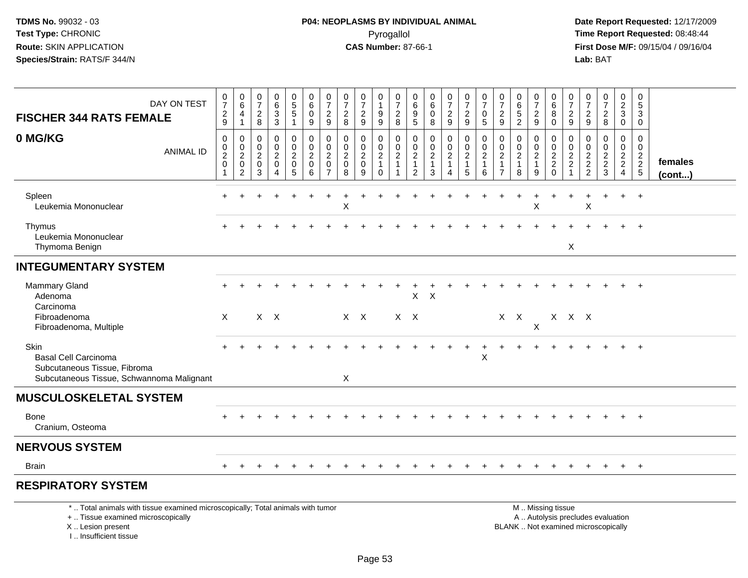**Date Report Requested:** 12/17/2009 **First Dose M/F:** 09/15/04 / 09/16/04<br>Lab: BAT **Lab:** BAT

| DAY ON TEST<br><b>FISCHER 344 RATS FEMALE</b>                                                                    | 0<br>$\overline{7}$<br>$\sqrt{2}$<br>9     | 0<br>$\,6\,$<br>$\overline{4}$<br>$\mathbf{1}$                                  | 0<br>$\overline{7}$<br>$\overline{\mathbf{c}}$<br>8    | 0<br>6<br>3<br>$\mathbf{3}$   | 0<br>5<br>$5\phantom{.0}$<br>$\mathbf{1}$                      | 0<br>$\,6$<br>0<br>9                                   | 0<br>$\overline{7}$<br>$\overline{2}$<br>9                  | 0<br>$\overline{7}$<br>$\overline{c}$<br>8                               | 0<br>$\overline{7}$<br>$\sqrt{2}$<br>$\boldsymbol{9}$ | 0<br>1<br>9<br>$\boldsymbol{9}$                                | 0<br>$\overline{7}$<br>$\overline{c}$<br>8       | 0<br>6<br>9<br>5                                                              | 0<br>$\,6$<br>$\pmb{0}$<br>$\bf 8$           | 0<br>$\overline{7}$<br>$\overline{a}$<br>9 | 0<br>$\overline{7}$<br>$\overline{c}$<br>9    | 0<br>$\overline{7}$<br>0<br>5                             | 0<br>$\overline{7}$<br>$\overline{c}$<br>$9$                           | 0<br>6<br>$\sqrt{5}$<br>$\overline{2}$        | 0<br>$\overline{7}$<br>$\overline{c}$<br>9                | 0<br>6<br>8<br>0                                                 | 0<br>7<br>$\overline{c}$<br>$\boldsymbol{9}$ | 0<br>$\overline{7}$<br>$\overline{c}$<br>$\boldsymbol{9}$ | 0<br>$\boldsymbol{7}$<br>$\sqrt{2}$<br>8            | 0<br>$\overline{2}$<br>3<br>$\overline{0}$                             | 0<br>5<br>3<br>0                                            |                   |
|------------------------------------------------------------------------------------------------------------------|--------------------------------------------|---------------------------------------------------------------------------------|--------------------------------------------------------|-------------------------------|----------------------------------------------------------------|--------------------------------------------------------|-------------------------------------------------------------|--------------------------------------------------------------------------|-------------------------------------------------------|----------------------------------------------------------------|--------------------------------------------------|-------------------------------------------------------------------------------|----------------------------------------------|--------------------------------------------|-----------------------------------------------|-----------------------------------------------------------|------------------------------------------------------------------------|-----------------------------------------------|-----------------------------------------------------------|------------------------------------------------------------------|----------------------------------------------|-----------------------------------------------------------|-----------------------------------------------------|------------------------------------------------------------------------|-------------------------------------------------------------|-------------------|
| 0 MG/KG<br><b>ANIMAL ID</b>                                                                                      | $\mathbf 0$<br>0<br>$\sqrt{2}$<br>$\Omega$ | $\mathbf 0$<br>$\mathbf 0$<br>$\boldsymbol{2}$<br>$\mathbf 0$<br>$\overline{2}$ | 0<br>$\mathbf 0$<br>$\overline{c}$<br>$\mathbf 0$<br>3 | 0<br>0<br>$\overline{c}$<br>0 | $\pmb{0}$<br>$\mathbf 0$<br>$\overline{2}$<br>$\mathbf 0$<br>5 | 0<br>$\pmb{0}$<br>$\boldsymbol{2}$<br>$\mathbf 0$<br>6 | $\mathbf 0$<br>$\mathbf 0$<br>$\overline{2}$<br>$\mathbf 0$ | $\mathbf 0$<br>$\mathbf 0$<br>$\overline{c}$<br>$\Omega$<br>$\mathsf{R}$ | 0<br>0<br>$\sqrt{2}$<br>$\pmb{0}$<br>9                | 0<br>$\mathbf 0$<br>$\overline{c}$<br>$\mathbf{1}$<br>$\Omega$ | 0<br>$\mathbf 0$<br>$\overline{\mathbf{c}}$<br>1 | $\mathbf 0$<br>$\mathbf 0$<br>$\overline{c}$<br>$\mathbf{1}$<br>$\mathcal{P}$ | 0<br>$\pmb{0}$<br>$\boldsymbol{2}$<br>1<br>3 | 0<br>$\mathbf 0$<br>$\overline{2}$         | 0<br>$\mathbf 0$<br>$\overline{2}$<br>-1<br>5 | 0<br>$\mathbf 0$<br>$\overline{2}$<br>$\overline{1}$<br>6 | 0<br>$\mathbf 0$<br>$\boldsymbol{2}$<br>$\mathbf{1}$<br>$\overline{7}$ | 0<br>0<br>$\overline{c}$<br>$\mathbf{1}$<br>8 | 0<br>$\mathbf 0$<br>$\boldsymbol{2}$<br>$\mathbf{1}$<br>9 | 0<br>$\mathbf 0$<br>$\overline{c}$<br>$\overline{2}$<br>$\Omega$ | 0<br>0<br>$\overline{c}$<br>$\sqrt{2}$       | 0<br>$\mathbf 0$<br>$\boldsymbol{2}$<br>$\frac{2}{2}$     | 0<br>$\mathbf 0$<br>$\overline{c}$<br>$\frac{2}{3}$ | 0<br>$\mathbf 0$<br>$\overline{a}$<br>$\overline{2}$<br>$\overline{4}$ | $\Omega$<br>0<br>$\begin{array}{c} 2 \\ 2 \\ 5 \end{array}$ | females<br>(cont) |
| Spleen<br>Leukemia Mononuclear                                                                                   |                                            |                                                                                 |                                                        |                               |                                                                |                                                        |                                                             | X                                                                        |                                                       |                                                                |                                                  |                                                                               |                                              |                                            |                                               |                                                           |                                                                        |                                               | X                                                         |                                                                  |                                              | $\boldsymbol{\mathsf{X}}$                                 | ÷.                                                  | $\ddot{}$                                                              | $+$                                                         |                   |
| Thymus<br>Leukemia Mononuclear<br>Thymoma Benign                                                                 |                                            |                                                                                 |                                                        |                               |                                                                |                                                        |                                                             |                                                                          |                                                       |                                                                |                                                  |                                                                               |                                              |                                            |                                               |                                                           |                                                                        |                                               |                                                           |                                                                  | X                                            |                                                           |                                                     |                                                                        | $\ddot{}$                                                   |                   |
| <b>INTEGUMENTARY SYSTEM</b>                                                                                      |                                            |                                                                                 |                                                        |                               |                                                                |                                                        |                                                             |                                                                          |                                                       |                                                                |                                                  |                                                                               |                                              |                                            |                                               |                                                           |                                                                        |                                               |                                                           |                                                                  |                                              |                                                           |                                                     |                                                                        |                                                             |                   |
| <b>Mammary Gland</b><br>Adenoma<br>Carcinoma                                                                     |                                            |                                                                                 |                                                        |                               |                                                                |                                                        |                                                             |                                                                          |                                                       |                                                                |                                                  | X                                                                             | $\times$                                     |                                            |                                               |                                                           |                                                                        |                                               |                                                           |                                                                  |                                              |                                                           |                                                     |                                                                        |                                                             |                   |
| Fibroadenoma<br>Fibroadenoma, Multiple                                                                           | $\mathsf{X}$                               |                                                                                 |                                                        | $X$ $X$                       |                                                                |                                                        |                                                             |                                                                          | $X$ $X$                                               |                                                                | $X$ $X$                                          |                                                                               |                                              |                                            |                                               |                                                           | $X$ $X$                                                                |                                               | $\pmb{\times}$                                            |                                                                  | X X X                                        |                                                           |                                                     |                                                                        |                                                             |                   |
| Skin<br><b>Basal Cell Carcinoma</b><br>Subcutaneous Tissue, Fibroma<br>Subcutaneous Tissue, Schwannoma Malignant |                                            |                                                                                 |                                                        |                               |                                                                |                                                        |                                                             | X                                                                        |                                                       |                                                                |                                                  |                                                                               |                                              |                                            |                                               | $\pmb{\times}$                                            |                                                                        |                                               |                                                           |                                                                  |                                              |                                                           |                                                     |                                                                        | $\ddot{}$                                                   |                   |
| <b>MUSCULOSKELETAL SYSTEM</b>                                                                                    |                                            |                                                                                 |                                                        |                               |                                                                |                                                        |                                                             |                                                                          |                                                       |                                                                |                                                  |                                                                               |                                              |                                            |                                               |                                                           |                                                                        |                                               |                                                           |                                                                  |                                              |                                                           |                                                     |                                                                        |                                                             |                   |
| Bone<br>Cranium, Osteoma                                                                                         |                                            |                                                                                 |                                                        |                               |                                                                |                                                        |                                                             |                                                                          |                                                       |                                                                |                                                  |                                                                               |                                              |                                            |                                               |                                                           |                                                                        |                                               |                                                           |                                                                  |                                              |                                                           |                                                     |                                                                        | $\overline{+}$                                              |                   |
| <b>NERVOUS SYSTEM</b>                                                                                            |                                            |                                                                                 |                                                        |                               |                                                                |                                                        |                                                             |                                                                          |                                                       |                                                                |                                                  |                                                                               |                                              |                                            |                                               |                                                           |                                                                        |                                               |                                                           |                                                                  |                                              |                                                           |                                                     |                                                                        |                                                             |                   |
| <b>Brain</b>                                                                                                     |                                            |                                                                                 |                                                        |                               |                                                                |                                                        |                                                             |                                                                          |                                                       |                                                                |                                                  |                                                                               |                                              |                                            |                                               |                                                           |                                                                        |                                               |                                                           |                                                                  |                                              |                                                           |                                                     |                                                                        | $+$                                                         |                   |
| <b>RESPIRATORY SYSTEM</b>                                                                                        |                                            |                                                                                 |                                                        |                               |                                                                |                                                        |                                                             |                                                                          |                                                       |                                                                |                                                  |                                                                               |                                              |                                            |                                               |                                                           |                                                                        |                                               |                                                           |                                                                  |                                              |                                                           |                                                     |                                                                        |                                                             |                   |
| * Total animals with tissue examined microscopically: Total animals with tumor                                   |                                            |                                                                                 |                                                        |                               |                                                                |                                                        |                                                             |                                                                          |                                                       |                                                                |                                                  |                                                                               |                                              |                                            |                                               |                                                           |                                                                        |                                               |                                                           | M Miccina ticcup                                                 |                                              |                                                           |                                                     |                                                                        |                                                             |                   |

\* .. Total animals with tissue examined microscopically; Total animals with tumor

+ .. Tissue examined microscopically

X .. Lesion present

I .. Insufficient tissue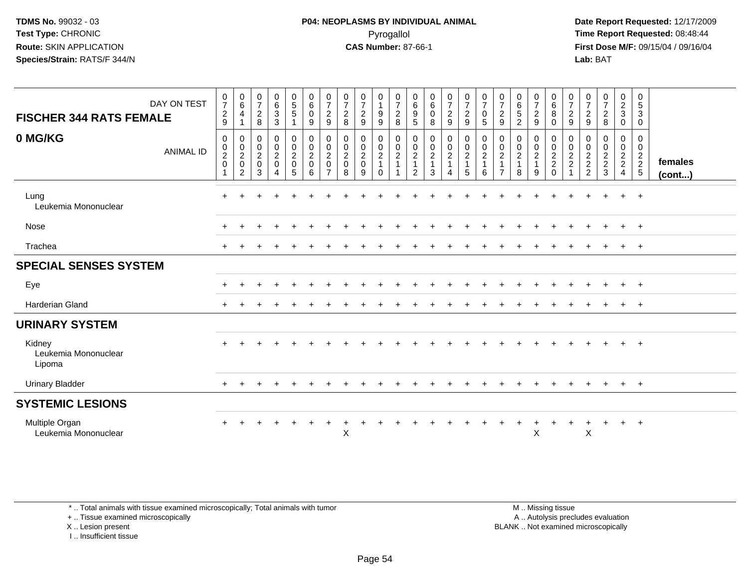**Date Report Requested:** 12/17/2009 **First Dose M/F:** 09/15/04 / 09/16/04 Lab: BAT **Lab:** BAT

| <b>FISCHER 344 RATS FEMALE</b>           | DAY ON TEST      | $\frac{0}{7}$<br>$\overline{c}$<br>$\boldsymbol{9}$ | $\begin{array}{c} 0 \\ 6 \end{array}$<br>$\overline{a}$<br>$\overline{1}$        | $\frac{0}{7}$<br>$\overline{c}$<br>8            | $\begin{matrix} 0 \\ 6 \end{matrix}$<br>3<br>$\mathbf{3}$         | $\begin{array}{c} 0 \\ 5 \\ 5 \end{array}$<br>$\mathbf{1}$                      | $_{6}^{\rm 0}$<br>$\mathbf 0$<br>9                           | $\frac{0}{7}$<br>$\overline{c}$<br>$9\,$                        | $\begin{array}{c} 0 \\ 7 \end{array}$<br>$\boldsymbol{2}$<br>$\,8\,$ | $\frac{0}{7}$<br>$\sqrt{2}$<br>$\boldsymbol{9}$  | $\begin{smallmatrix}0\\1\end{smallmatrix}$<br>$\boldsymbol{9}$<br>$9\,$ | $\frac{0}{7}$<br>$\boldsymbol{2}$<br>8                    | $\begin{matrix} 0 \\ 6 \end{matrix}$<br>$\boldsymbol{9}$<br>$\sqrt{5}$ | $\begin{array}{c} 0 \\ 6 \end{array}$<br>$\pmb{0}$<br>8   | $\begin{smallmatrix}0\\7\end{smallmatrix}$<br>$\overline{c}$<br>$\boldsymbol{9}$ | $\frac{0}{7}$<br>$\overline{c}$<br>9                | $\frac{0}{7}$<br>$\mathbf 0$<br>5         | $\frac{0}{7}$<br>$\boldsymbol{2}$<br>$\mathsf g$                                    | $\begin{array}{c} 0 \\ 6 \end{array}$<br>5<br>$\overline{2}$ | $\frac{0}{7}$<br>$\overline{c}$<br>$\boldsymbol{9}$ | $\begin{array}{c} 0 \\ 6 \end{array}$<br>$\, 8$<br>$\mathbf 0$ | $\frac{0}{7}$<br>$\overline{2}$<br>$\boldsymbol{9}$ | $\frac{0}{7}$<br>$\boldsymbol{2}$<br>$9\,$        | $\frac{0}{7}$<br>$\overline{c}$<br>$\,8\,$ | $\frac{0}{2}$<br>$\mathfrak{S}$<br>$\mathbf 0$      | $\boldsymbol{0}$<br>$\sqrt{5}$<br>$\sqrt{3}$<br>$\mathbf 0$ |                         |
|------------------------------------------|------------------|-----------------------------------------------------|----------------------------------------------------------------------------------|-------------------------------------------------|-------------------------------------------------------------------|---------------------------------------------------------------------------------|--------------------------------------------------------------|-----------------------------------------------------------------|----------------------------------------------------------------------|--------------------------------------------------|-------------------------------------------------------------------------|-----------------------------------------------------------|------------------------------------------------------------------------|-----------------------------------------------------------|----------------------------------------------------------------------------------|-----------------------------------------------------|-------------------------------------------|-------------------------------------------------------------------------------------|--------------------------------------------------------------|-----------------------------------------------------|----------------------------------------------------------------|-----------------------------------------------------|---------------------------------------------------|--------------------------------------------|-----------------------------------------------------|-------------------------------------------------------------|-------------------------|
| 0 MG/KG                                  | <b>ANIMAL ID</b> | 0<br>$\pmb{0}$<br>$\boldsymbol{2}$<br>$\pmb{0}$     | $\mathbf 0$<br>$\begin{smallmatrix} 0\\2\\0 \end{smallmatrix}$<br>$\overline{2}$ | $\mathbf 0$<br>$_{2}^{\rm 0}$<br>$\pmb{0}$<br>3 | 0<br>$\mathbf 0$<br>$\overline{2}$<br>$\pmb{0}$<br>$\overline{4}$ | $\mathbf 0$<br>$\begin{smallmatrix} 0\\2 \end{smallmatrix}$<br>$\mathsf 0$<br>5 | $\mathbf 0$<br>$\pmb{0}$<br>$\overline{c}$<br>$\pmb{0}$<br>6 | 0<br>$\pmb{0}$<br>$\overline{c}$<br>$\pmb{0}$<br>$\overline{7}$ | 0<br>$\begin{smallmatrix} 0\\2 \end{smallmatrix}$<br>$\pmb{0}$<br>8  | 0<br>$\mathbf 0$<br>$\sqrt{2}$<br>$\pmb{0}$<br>9 | $\mathbf 0$<br>$\pmb{0}$<br>$\frac{2}{1}$<br>$\Omega$                   | 0<br>$\boldsymbol{0}$<br>$\boldsymbol{2}$<br>$\mathbf{1}$ | 0<br>0<br>$\sqrt{2}$<br>$\mathbf{1}$<br>2                              | $\pmb{0}$<br>$\pmb{0}$<br>$\sqrt{2}$<br>$\mathbf{1}$<br>3 | $\mathbf 0$<br>$\pmb{0}$<br>$\frac{2}{1}$<br>$\overline{4}$                      | 0<br>$\mathbf 0$<br>$\frac{2}{1}$<br>$5\phantom{1}$ | 0<br>$\mathbf 0$<br>$\boldsymbol{2}$<br>6 | 0<br>$\begin{smallmatrix} 0\\2 \end{smallmatrix}$<br>$\mathbf{1}$<br>$\overline{7}$ | 0<br>$\frac{0}{2}$<br>$\mathbf{1}$<br>8                      | 0<br>$_2^0$<br>$\mathbf{1}$<br>9                    | 0<br>$\frac{0}{2}$<br>$\mathbf 0$                              | 0<br>0<br>$\frac{2}{2}$                             | 0<br>$\pmb{0}$<br>$\frac{2}{2}$<br>$\overline{2}$ | 0<br>$\mathbf 0$<br>$\frac{2}{2}$<br>3     | 0<br>$\mathbf 0$<br>$\frac{2}{2}$<br>$\overline{4}$ | 0<br>$\mathbf 0$<br>$\frac{2}{2}$                           | females<br>$($ cont $)$ |
| Lung<br>Leukemia Mononuclear             |                  | $\ddot{}$                                           |                                                                                  |                                                 |                                                                   |                                                                                 |                                                              |                                                                 |                                                                      |                                                  |                                                                         |                                                           |                                                                        |                                                           |                                                                                  |                                                     |                                           |                                                                                     |                                                              |                                                     |                                                                |                                                     |                                                   |                                            | $+$                                                 | $+$                                                         |                         |
| Nose                                     |                  | $\pm$                                               |                                                                                  |                                                 |                                                                   |                                                                                 |                                                              |                                                                 |                                                                      |                                                  |                                                                         |                                                           |                                                                        |                                                           |                                                                                  |                                                     |                                           |                                                                                     |                                                              |                                                     |                                                                |                                                     |                                                   |                                            | $+$                                                 | $+$                                                         |                         |
| Trachea                                  |                  | $\pm$                                               |                                                                                  |                                                 |                                                                   |                                                                                 |                                                              |                                                                 |                                                                      |                                                  |                                                                         |                                                           |                                                                        |                                                           |                                                                                  |                                                     |                                           |                                                                                     |                                                              |                                                     |                                                                |                                                     |                                                   |                                            |                                                     | $^{+}$                                                      |                         |
| <b>SPECIAL SENSES SYSTEM</b>             |                  |                                                     |                                                                                  |                                                 |                                                                   |                                                                                 |                                                              |                                                                 |                                                                      |                                                  |                                                                         |                                                           |                                                                        |                                                           |                                                                                  |                                                     |                                           |                                                                                     |                                                              |                                                     |                                                                |                                                     |                                                   |                                            |                                                     |                                                             |                         |
| Eye                                      |                  | $\pm$                                               |                                                                                  |                                                 |                                                                   |                                                                                 |                                                              |                                                                 |                                                                      |                                                  |                                                                         |                                                           |                                                                        |                                                           |                                                                                  |                                                     |                                           |                                                                                     |                                                              |                                                     |                                                                |                                                     |                                                   |                                            | $+$                                                 | $+$                                                         |                         |
| Harderian Gland                          |                  | $\ddot{}$                                           |                                                                                  |                                                 |                                                                   |                                                                                 |                                                              |                                                                 |                                                                      |                                                  |                                                                         |                                                           |                                                                        |                                                           |                                                                                  |                                                     |                                           |                                                                                     |                                                              |                                                     |                                                                |                                                     |                                                   |                                            | $+$                                                 | $\ddot{}$                                                   |                         |
| <b>URINARY SYSTEM</b>                    |                  |                                                     |                                                                                  |                                                 |                                                                   |                                                                                 |                                                              |                                                                 |                                                                      |                                                  |                                                                         |                                                           |                                                                        |                                                           |                                                                                  |                                                     |                                           |                                                                                     |                                                              |                                                     |                                                                |                                                     |                                                   |                                            |                                                     |                                                             |                         |
| Kidney<br>Leukemia Mononuclear<br>Lipoma |                  |                                                     |                                                                                  |                                                 |                                                                   |                                                                                 |                                                              |                                                                 |                                                                      |                                                  |                                                                         |                                                           |                                                                        |                                                           |                                                                                  |                                                     |                                           |                                                                                     |                                                              |                                                     |                                                                |                                                     |                                                   |                                            | $+$                                                 | $\overline{+}$                                              |                         |
| <b>Urinary Bladder</b>                   |                  | $\pm$                                               |                                                                                  |                                                 |                                                                   |                                                                                 |                                                              |                                                                 |                                                                      |                                                  |                                                                         |                                                           |                                                                        |                                                           |                                                                                  |                                                     |                                           |                                                                                     |                                                              |                                                     |                                                                |                                                     |                                                   |                                            | $+$                                                 | $+$                                                         |                         |
| <b>SYSTEMIC LESIONS</b>                  |                  |                                                     |                                                                                  |                                                 |                                                                   |                                                                                 |                                                              |                                                                 |                                                                      |                                                  |                                                                         |                                                           |                                                                        |                                                           |                                                                                  |                                                     |                                           |                                                                                     |                                                              |                                                     |                                                                |                                                     |                                                   |                                            |                                                     |                                                             |                         |
| Multiple Organ<br>Leukemia Mononuclear   |                  | $+$                                                 |                                                                                  |                                                 |                                                                   |                                                                                 | $\ddot{}$                                                    | $\pm$                                                           | X                                                                    |                                                  |                                                                         |                                                           |                                                                        |                                                           |                                                                                  |                                                     |                                           |                                                                                     | $\mathbf +$                                                  | +<br>X                                              |                                                                |                                                     | X                                                 | $\ddot{}$                                  | $+$                                                 | $+$                                                         |                         |

\* .. Total animals with tissue examined microscopically; Total animals with tumor

+ .. Tissue examined microscopically

X .. Lesion present

I .. Insufficient tissue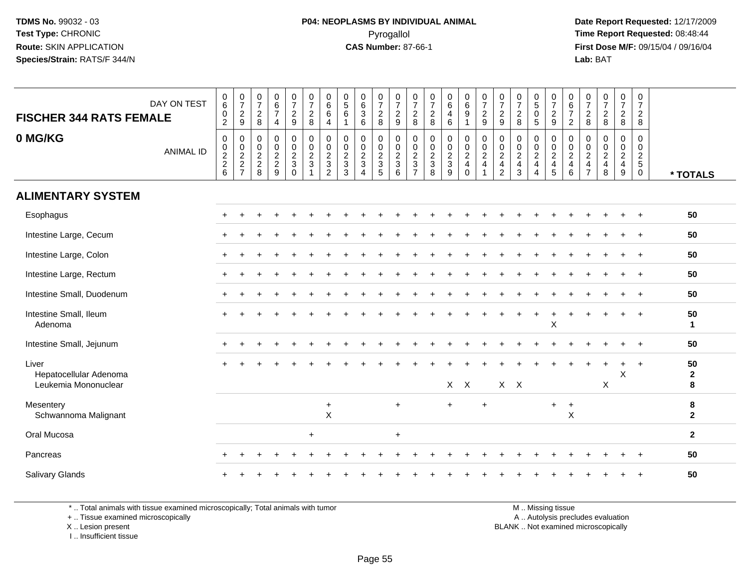**Date Report Requested:** 12/17/2009 **First Dose M/F:** 09/15/04 / 09/16/04 Lab: BAT **Lab:** BAT

| <b>FISCHER 344 RATS FEMALE</b>                          | DAY ON TEST      | $\begin{array}{c} 0 \\ 6 \end{array}$<br>$\pmb{0}$<br>$\overline{2}$ | $\frac{0}{7}$<br>$\frac{2}{9}$ | $\frac{0}{7}$<br>$\overline{c}$<br>8      | $\begin{array}{c} 0 \\ 6 \end{array}$<br>$\overline{7}$<br>$\overline{4}$ | $\frac{0}{7}$<br>$\boldsymbol{2}$<br>$\boldsymbol{9}$ | $\frac{0}{7}$<br>$\frac{2}{8}$                                  | $\begin{matrix} 0 \ 6 \end{matrix}$<br>6<br>4               | $\begin{array}{c} 0 \\ 5 \end{array}$<br>6<br>$\mathbf{1}$ | $\begin{matrix} 0 \\ 6 \\ 3 \end{matrix}$<br>$6\phantom{a}$ | $\frac{0}{7}$<br>$_{\rm 8}^2$                                       | $\frac{0}{7}$<br>$\frac{2}{9}$                      | $\frac{0}{7}$<br>$\sqrt{2}$<br>8                  | $\frac{0}{7}$<br>$\frac{2}{8}$                                 | $_{6}^{\rm 0}$<br>$\overline{4}$<br>6                           | $_{6}^{\rm 0}$<br>9            | 0729                                                              | $\frac{0}{7}$<br>$\sqrt{2}$<br>$\boldsymbol{9}$                            | $\begin{array}{c} 0 \\ 7 \end{array}$<br>$\overline{2}$<br>$\boldsymbol{8}$ | $\begin{smallmatrix}0\0\5\end{smallmatrix}$<br>$\pmb{0}$<br>5 | $\frac{0}{7}$<br>$\frac{2}{9}$       | $_{6}^{\rm 0}$<br>$\overline{7}$<br>$\overline{2}$                     | 0<br>$\boldsymbol{7}$<br>$_{\rm 8}^2$                                                   | $\frac{0}{7}$<br>$\overline{c}$<br>$\boldsymbol{8}$                        | $\frac{0}{7}$<br>$\frac{2}{8}$            | 0<br>$\overline{7}$<br>$\overline{2}$<br>$\bf 8$       |                         |
|---------------------------------------------------------|------------------|----------------------------------------------------------------------|--------------------------------|-------------------------------------------|---------------------------------------------------------------------------|-------------------------------------------------------|-----------------------------------------------------------------|-------------------------------------------------------------|------------------------------------------------------------|-------------------------------------------------------------|---------------------------------------------------------------------|-----------------------------------------------------|---------------------------------------------------|----------------------------------------------------------------|-----------------------------------------------------------------|--------------------------------|-------------------------------------------------------------------|----------------------------------------------------------------------------|-----------------------------------------------------------------------------|---------------------------------------------------------------|--------------------------------------|------------------------------------------------------------------------|-----------------------------------------------------------------------------------------|----------------------------------------------------------------------------|-------------------------------------------|--------------------------------------------------------|-------------------------|
| 0 MG/KG                                                 | <b>ANIMAL ID</b> | $\mathsf 0$<br>$\frac{0}{2}$<br>6                                    | $0002$<br>$227$                | $\mathbf 0$<br>$\pmb{0}$<br>$\frac{2}{8}$ | $\mathbf 0$<br>$0$<br>$2$<br>$9$                                          | $\mathbf 0$<br>$\pmb{0}$<br>$\frac{2}{3}$<br>$\Omega$ | $\mathsf 0$<br>$\pmb{0}$<br>$\overline{2}$<br>$\mathbf{3}$<br>1 | $\mathbf 0$<br>$\pmb{0}$<br>$\frac{2}{3}$<br>$\overline{a}$ | 0<br>0<br>$\frac{2}{3}$                                    | $\pmb{0}$<br>$\frac{0}{2}$<br>$\overline{4}$                | $\boldsymbol{0}$<br>$\begin{array}{c} 0 \\ 2 \\ 3 \\ 5 \end{array}$ | $\mathsf 0$<br>$\frac{0}{2}$<br>$\overline{3}$<br>6 | 0<br>$\pmb{0}$<br>$\frac{2}{3}$<br>$\overline{7}$ | $\mathsf 0$<br>$\begin{array}{c} 0 \\ 2 \\ 3 \\ 8 \end{array}$ | $\mathsf{O}$<br>$\begin{array}{c} 0 \\ 2 \\ 3 \\ 9 \end{array}$ | 0<br>$\frac{0}{2}$<br>$\Omega$ | $\begin{smallmatrix} 0\\0\\2 \end{smallmatrix}$<br>$\overline{4}$ | $\mathbf 0$<br>$\pmb{0}$<br>2<br>$\overline{\mathbf{4}}$<br>$\overline{2}$ | $\mathbf 0$<br>$\pmb{0}$<br>$\overline{2}$<br>$\overline{\mathbf{4}}$<br>3  | $\mathbf 0$<br>$\pmb{0}$<br>$\frac{2}{4}$<br>$\overline{4}$   | 0<br>$\frac{0}{2}$<br>$\overline{5}$ | $\mathbf 0$<br>$_{2}^{\rm 0}$<br>$\begin{array}{c} 4 \\ 6 \end{array}$ | $\mathbf 0$<br>$\pmb{0}$<br>$\overline{c}$<br>$\overline{\mathbf{4}}$<br>$\overline{7}$ | $\mathbf 0$<br>$\pmb{0}$<br>$\overline{c}$<br>$\overline{\mathbf{4}}$<br>8 | $\mathbf 0$<br>$\pmb{0}$<br>$\frac{2}{4}$ | $\mathsf 0$<br>$\pmb{0}$<br>$rac{2}{5}$<br>$\mathbf 0$ | * TOTALS                |
| <b>ALIMENTARY SYSTEM</b>                                |                  |                                                                      |                                |                                           |                                                                           |                                                       |                                                                 |                                                             |                                                            |                                                             |                                                                     |                                                     |                                                   |                                                                |                                                                 |                                |                                                                   |                                                                            |                                                                             |                                                               |                                      |                                                                        |                                                                                         |                                                                            |                                           |                                                        |                         |
| Esophagus                                               |                  |                                                                      |                                |                                           |                                                                           |                                                       |                                                                 |                                                             |                                                            |                                                             |                                                                     |                                                     |                                                   |                                                                |                                                                 |                                |                                                                   |                                                                            |                                                                             |                                                               |                                      |                                                                        |                                                                                         |                                                                            |                                           |                                                        | 50                      |
| Intestine Large, Cecum                                  |                  |                                                                      |                                |                                           |                                                                           |                                                       |                                                                 |                                                             |                                                            |                                                             |                                                                     |                                                     |                                                   |                                                                |                                                                 |                                |                                                                   |                                                                            |                                                                             |                                                               |                                      |                                                                        |                                                                                         |                                                                            |                                           |                                                        | 50                      |
| Intestine Large, Colon                                  |                  | $+$                                                                  |                                |                                           |                                                                           |                                                       |                                                                 |                                                             |                                                            |                                                             |                                                                     |                                                     |                                                   |                                                                |                                                                 |                                |                                                                   |                                                                            |                                                                             |                                                               |                                      |                                                                        |                                                                                         |                                                                            |                                           |                                                        | 50                      |
| Intestine Large, Rectum                                 |                  |                                                                      |                                |                                           |                                                                           |                                                       |                                                                 |                                                             |                                                            |                                                             |                                                                     |                                                     |                                                   |                                                                |                                                                 |                                |                                                                   |                                                                            |                                                                             |                                                               |                                      |                                                                        |                                                                                         |                                                                            |                                           |                                                        | 50                      |
| Intestine Small, Duodenum                               |                  |                                                                      |                                |                                           |                                                                           |                                                       |                                                                 |                                                             |                                                            |                                                             |                                                                     |                                                     |                                                   |                                                                |                                                                 |                                |                                                                   |                                                                            |                                                                             |                                                               |                                      |                                                                        |                                                                                         |                                                                            |                                           |                                                        | 50                      |
| Intestine Small, Ileum<br>Adenoma                       |                  |                                                                      |                                |                                           |                                                                           |                                                       |                                                                 |                                                             |                                                            |                                                             |                                                                     |                                                     |                                                   |                                                                |                                                                 |                                |                                                                   |                                                                            |                                                                             |                                                               | $\sf X$                              |                                                                        |                                                                                         |                                                                            | $\ddot{}$                                 | $\overline{+}$                                         | 50<br>$\mathbf{1}$      |
| Intestine Small, Jejunum                                |                  |                                                                      |                                |                                           |                                                                           |                                                       |                                                                 |                                                             |                                                            |                                                             |                                                                     |                                                     |                                                   |                                                                |                                                                 |                                |                                                                   |                                                                            |                                                                             |                                                               |                                      |                                                                        |                                                                                         |                                                                            |                                           | $+$                                                    | 50                      |
| Liver<br>Hepatocellular Adenoma<br>Leukemia Mononuclear |                  |                                                                      |                                |                                           |                                                                           |                                                       |                                                                 |                                                             |                                                            |                                                             |                                                                     |                                                     |                                                   |                                                                | X                                                               | $\mathsf{X}$                   |                                                                   |                                                                            | $X$ $X$                                                                     |                                                               |                                      |                                                                        |                                                                                         | $\boldsymbol{\mathsf{X}}$                                                  | $\times$                                  | $\ddot{}$                                              | 50<br>$\mathbf{2}$<br>8 |
| Mesentery<br>Schwannoma Malignant                       |                  |                                                                      |                                |                                           |                                                                           |                                                       |                                                                 | $\ddot{}$<br>$\sf X$                                        |                                                            |                                                             |                                                                     | $+$                                                 |                                                   |                                                                | $+$                                                             |                                |                                                                   |                                                                            |                                                                             |                                                               | $+$                                  | $\ddot{}$<br>X                                                         |                                                                                         |                                                                            |                                           |                                                        | 8<br>$\mathbf{2}$       |
| Oral Mucosa                                             |                  |                                                                      |                                |                                           |                                                                           |                                                       | $\ddot{}$                                                       |                                                             |                                                            |                                                             |                                                                     | $\ddot{}$                                           |                                                   |                                                                |                                                                 |                                |                                                                   |                                                                            |                                                                             |                                                               |                                      |                                                                        |                                                                                         |                                                                            |                                           |                                                        | $\mathbf{2}$            |
| Pancreas                                                |                  |                                                                      |                                |                                           |                                                                           |                                                       |                                                                 |                                                             |                                                            |                                                             |                                                                     |                                                     |                                                   |                                                                |                                                                 |                                |                                                                   |                                                                            |                                                                             |                                                               |                                      |                                                                        |                                                                                         |                                                                            |                                           |                                                        | 50                      |
| Salivary Glands                                         |                  |                                                                      |                                |                                           |                                                                           |                                                       |                                                                 |                                                             |                                                            |                                                             |                                                                     |                                                     |                                                   |                                                                |                                                                 |                                |                                                                   |                                                                            |                                                                             |                                                               |                                      |                                                                        |                                                                                         |                                                                            |                                           |                                                        | 50                      |

\* .. Total animals with tissue examined microscopically; Total animals with tumor

+ .. Tissue examined microscopically

X .. Lesion present

I .. Insufficient tissue

M .. Missing tissue

y the contract of the contract of the contract of the contract of the contract of the contract of the contract of  $A$ . Autolysis precludes evaluation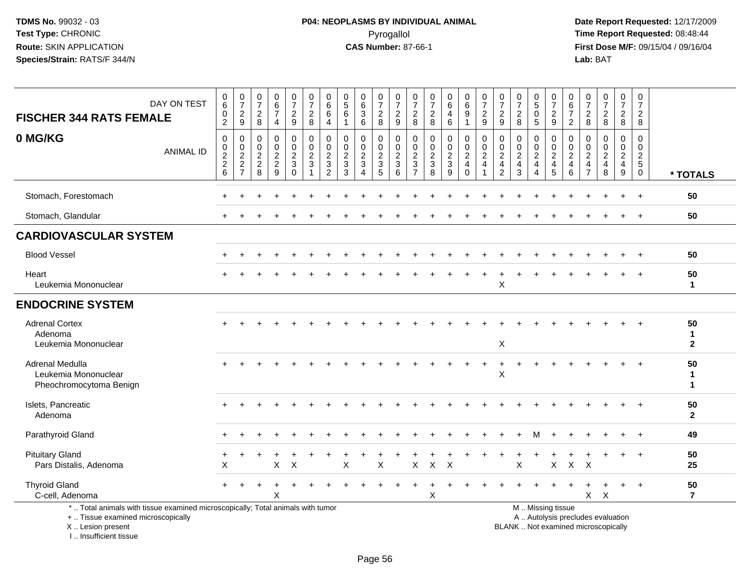| <b>FISCHER 344 RATS FEMALE</b>                                                                                                                                       | DAY ON TEST      | 0<br>6<br>0<br>$\overline{a}$                               | $\begin{array}{c} 0 \\ 7 \end{array}$<br>$\sqrt{2}$<br>9 | $\pmb{0}$<br>$\overline{7}$<br>$\sqrt{2}$<br>8                     | $\begin{array}{c} 0 \\ 6 \end{array}$<br>$\overline{7}$<br>$\overline{4}$ | $\frac{0}{7}$<br>$\overline{c}$<br>9                         | $\frac{0}{7}$<br>$\sqrt{2}$<br>8                                             | 0<br>$\overline{6}$<br>6<br>$\overline{4}$                                     | 0<br>$\overline{5}$<br>$\,6$<br>$\mathbf{1}$                                           | $\begin{array}{c} 0 \\ 6 \end{array}$<br>$\ensuremath{\mathsf{3}}$<br>$\,6\,$                | $\begin{array}{c} 0 \\ 7 \end{array}$<br>$_{\rm 8}^2$       | $\frac{0}{7}$<br>$\frac{2}{9}$                                | 0<br>$\overline{7}$<br>$\sqrt{2}$<br>8                                   | $\frac{0}{7}$<br>$\overline{\mathbf{c}}$<br>8                                  | $\begin{array}{c} 0 \\ 6 \end{array}$<br>4<br>$\,6\,$     | $\begin{array}{c} 0 \\ 6 \end{array}$<br>$\overline{9}$<br>$\mathbf{1}$ | $\frac{0}{7}$<br>$\sqrt{2}$<br>$\boldsymbol{9}$ | 0<br>$\overline{7}$<br>$\overline{c}$<br>9                             | $\frac{0}{7}$<br>$\sqrt{2}$<br>8                                | $^{\rm 0}_{\rm 5}$<br>$\pmb{0}$<br>5                                              | $\frac{0}{7}$<br>$\frac{2}{9}$      | $\begin{array}{c} 0 \\ 6 \end{array}$<br>$\overline{7}$<br>$\overline{2}$ | 0<br>$\overline{7}$<br>$\sqrt{2}$<br>8                                 | $\begin{array}{c} 0 \\ 7 \end{array}$<br>$\sqrt{2}$<br>$\,8\,$           | $\begin{smallmatrix}0\\7\end{smallmatrix}$<br>$\sqrt{2}$<br>8 | 0<br>$\overline{7}$<br>$\overline{c}$<br>8                                    |                                           |
|----------------------------------------------------------------------------------------------------------------------------------------------------------------------|------------------|-------------------------------------------------------------|----------------------------------------------------------|--------------------------------------------------------------------|---------------------------------------------------------------------------|--------------------------------------------------------------|------------------------------------------------------------------------------|--------------------------------------------------------------------------------|----------------------------------------------------------------------------------------|----------------------------------------------------------------------------------------------|-------------------------------------------------------------|---------------------------------------------------------------|--------------------------------------------------------------------------|--------------------------------------------------------------------------------|-----------------------------------------------------------|-------------------------------------------------------------------------|-------------------------------------------------|------------------------------------------------------------------------|-----------------------------------------------------------------|-----------------------------------------------------------------------------------|-------------------------------------|---------------------------------------------------------------------------|------------------------------------------------------------------------|--------------------------------------------------------------------------|---------------------------------------------------------------|-------------------------------------------------------------------------------|-------------------------------------------|
| 0 MG/KG                                                                                                                                                              | <b>ANIMAL ID</b> | $\mathbf 0$<br>$\pmb{0}$<br>$\overline{c}$<br>$\frac{2}{6}$ | 0<br>$_{2}^{\rm 0}$<br>$\frac{2}{7}$                     | 0<br>$\begin{smallmatrix} 0\\2 \end{smallmatrix}$<br>$\frac{2}{8}$ | $\pmb{0}$<br>$\mathsf{O}\xspace$<br>$\frac{2}{9}$                         | 0<br>$\mathbf 0$<br>$\overline{2}$<br>$\sqrt{3}$<br>$\Omega$ | $\mathbf 0$<br>$\mathbf 0$<br>$\overline{2}$<br>$\sqrt{3}$<br>$\overline{1}$ | $\mathbf 0$<br>$\mathbf 0$<br>$\overline{c}$<br>$\mathbf{3}$<br>$\overline{2}$ | $\mathbf 0$<br>$\mathsf{O}\xspace$<br>$\overline{2}$<br>$\ensuremath{\mathsf{3}}$<br>3 | $\mathbf 0$<br>$\mathsf{O}\xspace$<br>$\overline{2}$<br>$\sqrt{3}$<br>$\boldsymbol{\Lambda}$ | $\mathbf 0$<br>$\mathbf 0$<br>$\sqrt{2}$<br>$\sqrt{3}$<br>5 | $\mathbf 0$<br>$\pmb{0}$<br>$\overline{2}$<br>$\sqrt{3}$<br>6 | $\mathbf 0$<br>$\mathbf 0$<br>$\sqrt{2}$<br>$\sqrt{3}$<br>$\overline{7}$ | $\mathbf 0$<br>$\mathbf 0$<br>$\overline{c}$<br>$\ensuremath{\mathsf{3}}$<br>8 | 0<br>$\mathbf 0$<br>$\overline{a}$<br>$\mathfrak{S}$<br>9 | 0<br>$\frac{0}{2}$<br>$\overline{4}$<br>$\mathbf 0$                     | 0<br>$\frac{0}{2}$<br>$\overline{\mathbf{4}}$   | 0<br>$\mathbf 0$<br>$\overline{2}$<br>$\overline{4}$<br>$\overline{2}$ | $\mathbf 0$<br>$\mathbf 0$<br>$\sqrt{2}$<br>$\overline{4}$<br>3 | 0<br>$\mathbf 0$<br>$\boldsymbol{2}$<br>$\overline{4}$<br>$\overline{\mathbf{4}}$ | 0<br>$\frac{0}{2}$<br>$\frac{4}{5}$ | 0<br>$^{\rm 0}_{\rm 2}$<br>$\overline{4}$<br>6                            | $\mathbf 0$<br>0<br>$\overline{c}$<br>$\overline{4}$<br>$\overline{7}$ | $\mathbf 0$<br>$\pmb{0}$<br>$\boldsymbol{2}$<br>$\overline{4}$<br>8      | 0<br>$\mathbf 0$<br>$\overline{2}$<br>$\overline{4}$<br>9     | $\mathbf 0$<br>$\mathbf 0$<br>$\overline{2}$<br>$\overline{5}$<br>$\mathbf 0$ | * TOTALS                                  |
| Stomach, Forestomach                                                                                                                                                 |                  |                                                             |                                                          |                                                                    |                                                                           |                                                              |                                                                              |                                                                                |                                                                                        |                                                                                              |                                                             |                                                               |                                                                          |                                                                                |                                                           |                                                                         |                                                 |                                                                        |                                                                 |                                                                                   |                                     |                                                                           |                                                                        |                                                                          |                                                               |                                                                               | 50                                        |
| Stomach, Glandular                                                                                                                                                   |                  |                                                             |                                                          |                                                                    |                                                                           |                                                              |                                                                              |                                                                                |                                                                                        |                                                                                              |                                                             |                                                               |                                                                          |                                                                                |                                                           |                                                                         |                                                 |                                                                        |                                                                 |                                                                                   |                                     |                                                                           |                                                                        |                                                                          |                                                               |                                                                               | 50                                        |
| <b>CARDIOVASCULAR SYSTEM</b>                                                                                                                                         |                  |                                                             |                                                          |                                                                    |                                                                           |                                                              |                                                                              |                                                                                |                                                                                        |                                                                                              |                                                             |                                                               |                                                                          |                                                                                |                                                           |                                                                         |                                                 |                                                                        |                                                                 |                                                                                   |                                     |                                                                           |                                                                        |                                                                          |                                                               |                                                                               |                                           |
| <b>Blood Vessel</b>                                                                                                                                                  |                  |                                                             |                                                          |                                                                    |                                                                           |                                                              |                                                                              |                                                                                |                                                                                        |                                                                                              |                                                             |                                                               |                                                                          |                                                                                |                                                           |                                                                         |                                                 |                                                                        |                                                                 |                                                                                   |                                     |                                                                           |                                                                        |                                                                          |                                                               |                                                                               | 50                                        |
| Heart<br>Leukemia Mononuclear                                                                                                                                        |                  |                                                             |                                                          |                                                                    |                                                                           |                                                              |                                                                              |                                                                                |                                                                                        |                                                                                              |                                                             |                                                               |                                                                          |                                                                                |                                                           |                                                                         |                                                 | X                                                                      |                                                                 |                                                                                   |                                     |                                                                           |                                                                        |                                                                          |                                                               |                                                                               | 50<br>$\mathbf{1}$                        |
| <b>ENDOCRINE SYSTEM</b>                                                                                                                                              |                  |                                                             |                                                          |                                                                    |                                                                           |                                                              |                                                                              |                                                                                |                                                                                        |                                                                                              |                                                             |                                                               |                                                                          |                                                                                |                                                           |                                                                         |                                                 |                                                                        |                                                                 |                                                                                   |                                     |                                                                           |                                                                        |                                                                          |                                                               |                                                                               |                                           |
| <b>Adrenal Cortex</b><br>Adenoma<br>Leukemia Mononuclear                                                                                                             |                  |                                                             |                                                          |                                                                    |                                                                           |                                                              |                                                                              |                                                                                |                                                                                        |                                                                                              |                                                             |                                                               |                                                                          |                                                                                |                                                           |                                                                         |                                                 | X                                                                      |                                                                 |                                                                                   |                                     |                                                                           |                                                                        |                                                                          |                                                               |                                                                               | 50<br>$\mathbf{1}$<br>$\mathbf{2}$        |
| Adrenal Medulla<br>Leukemia Mononuclear<br>Pheochromocytoma Benign                                                                                                   |                  |                                                             |                                                          |                                                                    |                                                                           |                                                              |                                                                              |                                                                                |                                                                                        |                                                                                              |                                                             |                                                               |                                                                          |                                                                                |                                                           |                                                                         |                                                 | $\ddot{}$<br>$\pmb{\times}$                                            |                                                                 |                                                                                   |                                     |                                                                           |                                                                        |                                                                          |                                                               |                                                                               | 50<br>$\mathbf 1$<br>$\blacktriangleleft$ |
| Islets, Pancreatic<br>Adenoma                                                                                                                                        |                  |                                                             |                                                          |                                                                    |                                                                           |                                                              |                                                                              |                                                                                |                                                                                        |                                                                                              |                                                             |                                                               |                                                                          |                                                                                |                                                           |                                                                         |                                                 |                                                                        |                                                                 |                                                                                   |                                     |                                                                           |                                                                        |                                                                          |                                                               |                                                                               | 50<br>$\mathbf{2}$                        |
| Parathyroid Gland                                                                                                                                                    |                  |                                                             |                                                          |                                                                    |                                                                           |                                                              |                                                                              |                                                                                |                                                                                        |                                                                                              |                                                             |                                                               |                                                                          |                                                                                |                                                           |                                                                         |                                                 |                                                                        |                                                                 | M                                                                                 |                                     |                                                                           |                                                                        |                                                                          |                                                               |                                                                               | 49                                        |
| <b>Pituitary Gland</b><br>Pars Distalis, Adenoma                                                                                                                     |                  | X                                                           |                                                          |                                                                    | Χ                                                                         | $\times$                                                     |                                                                              |                                                                                | Χ                                                                                      |                                                                                              | X                                                           |                                                               | X                                                                        | $\mathsf{X}$                                                                   | $\boldsymbol{\mathsf{X}}$                                 |                                                                         |                                                 |                                                                        | Χ                                                               |                                                                                   | X                                   | $\mathsf{X}$                                                              | Χ                                                                      |                                                                          | $\ddot{}$                                                     | $\overline{1}$                                                                | 50<br>25                                  |
| <b>Thyroid Gland</b><br>C-cell, Adenoma                                                                                                                              |                  |                                                             |                                                          |                                                                    | X                                                                         |                                                              |                                                                              |                                                                                |                                                                                        |                                                                                              |                                                             |                                                               |                                                                          | X                                                                              |                                                           |                                                                         |                                                 |                                                                        |                                                                 |                                                                                   |                                     |                                                                           | X                                                                      | $\mathsf{X}$                                                             | $+$                                                           | $^{+}$                                                                        | 50<br>$\overline{7}$                      |
| *  Total animals with tissue examined microscopically; Total animals with tumor<br>+  Tissue examined microscopically<br>X  Lesion present<br>L. Insufficient tissue |                  |                                                             |                                                          |                                                                    |                                                                           |                                                              |                                                                              |                                                                                |                                                                                        |                                                                                              |                                                             |                                                               |                                                                          |                                                                                |                                                           |                                                                         |                                                 |                                                                        |                                                                 |                                                                                   | M  Missing tissue                   |                                                                           |                                                                        | A  Autolysis precludes evaluation<br>BLANK  Not examined microscopically |                                                               |                                                                               |                                           |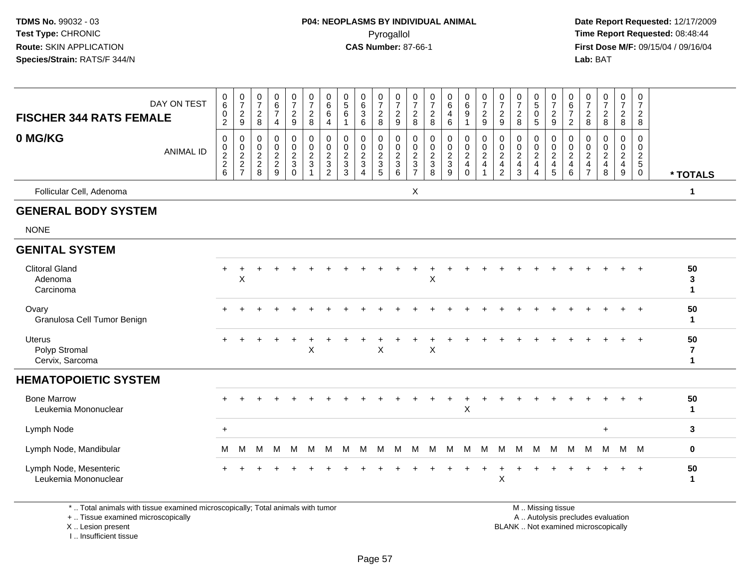**Date Report Requested:** 12/17/2009 **First Dose M/F:** 09/15/04 / 09/16/04<br>Lab: BAT **Lab:** BAT

|                                                                                                                                            | DAY ON TEST      | $_{6}^{\rm 0}$                      | $\frac{0}{7}$                                             | 0<br>$\overline{7}$                                                         | 0<br>6                                                         | $\frac{0}{7}$                                          | $\frac{0}{7}$                                                                  | 0<br>$\overline{6}$                                                 | $\begin{array}{c} 0 \\ 5 \end{array}$                           | $\begin{array}{c} 0 \\ 6 \end{array}$                          | $\frac{0}{7}$                                             | $\frac{0}{7}$                                    | 0<br>$\overline{7}$                                                         | $\frac{0}{7}$                                   | $_6^0$                                                | $_{6}^{\rm 0}$                                                       | $\begin{array}{c} 0 \\ 7 \end{array}$   | 0<br>$\overline{7}$                                                | $\frac{0}{7}$                                                    | $\begin{array}{c} 0 \\ 5 \end{array}$                              | 0<br>$\overline{7}$                                             | $\boldsymbol{0}$<br>6                                                    | $\frac{0}{7}$                                                   | $\begin{smallmatrix}0\\7\end{smallmatrix}$                                        | 0<br>$\overline{7}$                                                                        | 0<br>$\overline{7}$                                   |                         |
|--------------------------------------------------------------------------------------------------------------------------------------------|------------------|-------------------------------------|-----------------------------------------------------------|-----------------------------------------------------------------------------|----------------------------------------------------------------|--------------------------------------------------------|--------------------------------------------------------------------------------|---------------------------------------------------------------------|-----------------------------------------------------------------|----------------------------------------------------------------|-----------------------------------------------------------|--------------------------------------------------|-----------------------------------------------------------------------------|-------------------------------------------------|-------------------------------------------------------|----------------------------------------------------------------------|-----------------------------------------|--------------------------------------------------------------------|------------------------------------------------------------------|--------------------------------------------------------------------|-----------------------------------------------------------------|--------------------------------------------------------------------------|-----------------------------------------------------------------|-----------------------------------------------------------------------------------|--------------------------------------------------------------------------------------------|-------------------------------------------------------|-------------------------|
| <b>FISCHER 344 RATS FEMALE</b>                                                                                                             |                  | $\boldsymbol{0}$<br>$\overline{2}$  | $\overline{c}$<br>9                                       | $\overline{2}$<br>8                                                         | $\overline{7}$<br>4                                            | $\overline{c}$<br>9                                    | $\overline{a}$<br>8                                                            | 6<br>$\overline{4}$                                                 | $\,6\,$<br>$\overline{1}$                                       | $\sqrt{3}$<br>6                                                | $\overline{c}$<br>8                                       | $\frac{2}{9}$                                    | $\overline{2}$<br>8                                                         | $\boldsymbol{2}$<br>8                           | 4<br>6                                                | $\boldsymbol{9}$<br>$\mathbf{1}$                                     | $\overline{c}$<br>9                     | $\overline{2}$<br>9                                                | $\boldsymbol{2}$<br>8                                            | $\mathbf 0$<br>5                                                   | $\frac{2}{9}$                                                   | $\boldsymbol{7}$<br>$\overline{2}$                                       | $\boldsymbol{2}$<br>8                                           | $\overline{c}$<br>8                                                               | $\overline{2}$<br>8                                                                        | $\overline{c}$<br>8                                   |                         |
| 0 MG/KG                                                                                                                                    | <b>ANIMAL ID</b> | $\mathbf 0$<br>0<br>$\frac{2}{2}$ 6 | $\mathbf 0$<br>$\mathbf 0$<br>$\sqrt{2}$<br>$\frac{2}{7}$ | $\mathbf 0$<br>0<br>$\overline{2}$<br>$\begin{array}{c} 2 \\ 8 \end{array}$ | $\Omega$<br>$\mathbf 0$<br>$\boldsymbol{2}$<br>$\sqrt{2}$<br>9 | $\mathbf 0$<br>0<br>$\overline{c}$<br>3<br>$\mathbf 0$ | $\mathbf 0$<br>$\mathbf 0$<br>$\overline{c}$<br>$\mathbf{3}$<br>$\overline{1}$ | $\mathbf 0$<br>$\mathbf 0$<br>$\overline{c}$<br>3<br>$\overline{2}$ | $\mathbf 0$<br>$\mathbf 0$<br>$\overline{c}$<br>$\sqrt{3}$<br>3 | $\mathbf 0$<br>0<br>$\sqrt{2}$<br>$\sqrt{3}$<br>$\overline{4}$ | $\mathbf 0$<br>$\mathbf 0$<br>$\sqrt{2}$<br>$\frac{3}{5}$ | $\mathbf 0$<br>$\boldsymbol{0}$<br>$\frac{2}{3}$ | $\mathbf 0$<br>$\Omega$<br>$\overline{2}$<br>$\mathbf{3}$<br>$\overline{7}$ | $\mathbf 0$<br>0<br>$\sqrt{2}$<br>$\frac{3}{8}$ | $\mathbf 0$<br>0<br>$\sqrt{2}$<br>3<br>$\overline{9}$ | 0<br>$\mathbf 0$<br>$\overline{2}$<br>$\overline{4}$<br>$\mathsf{O}$ | $\mathbf 0$<br>0<br>$\overline{c}$<br>4 | $\mathbf 0$<br>0<br>$\sqrt{2}$<br>$\overline{4}$<br>$\overline{c}$ | $\mathbf 0$<br>0<br>$\sqrt{2}$<br>$\overline{4}$<br>$\mathbf{3}$ | $\mathbf 0$<br>0<br>$\sqrt{2}$<br>$\overline{4}$<br>$\overline{4}$ | $\mathbf 0$<br>$\mathbf 0$<br>$\sqrt{2}$<br>$\overline{4}$<br>5 | $\mathbf 0$<br>0<br>$\boldsymbol{2}$<br>$\overline{4}$<br>$\overline{6}$ | $\Omega$<br>0<br>$\sqrt{2}$<br>$\overline{4}$<br>$\overline{7}$ | $\mathbf 0$<br>$\mathbf 0$<br>$\sqrt{2}$<br>$\begin{array}{c} 4 \\ 8 \end{array}$ | $\Omega$<br>$\mathbf 0$<br>$\boldsymbol{2}$<br>$\overline{\mathbf{4}}$<br>$\boldsymbol{9}$ | 0<br>0<br>$\overline{c}$<br>$\sqrt{5}$<br>$\mathbf 0$ | * TOTALS                |
| Follicular Cell, Adenoma                                                                                                                   |                  |                                     |                                                           |                                                                             |                                                                |                                                        |                                                                                |                                                                     |                                                                 |                                                                |                                                           |                                                  | $\boldsymbol{\mathsf{X}}$                                                   |                                                 |                                                       |                                                                      |                                         |                                                                    |                                                                  |                                                                    |                                                                 |                                                                          |                                                                 |                                                                                   |                                                                                            |                                                       | $\mathbf{1}$            |
| <b>GENERAL BODY SYSTEM</b>                                                                                                                 |                  |                                     |                                                           |                                                                             |                                                                |                                                        |                                                                                |                                                                     |                                                                 |                                                                |                                                           |                                                  |                                                                             |                                                 |                                                       |                                                                      |                                         |                                                                    |                                                                  |                                                                    |                                                                 |                                                                          |                                                                 |                                                                                   |                                                                                            |                                                       |                         |
| <b>NONE</b>                                                                                                                                |                  |                                     |                                                           |                                                                             |                                                                |                                                        |                                                                                |                                                                     |                                                                 |                                                                |                                                           |                                                  |                                                                             |                                                 |                                                       |                                                                      |                                         |                                                                    |                                                                  |                                                                    |                                                                 |                                                                          |                                                                 |                                                                                   |                                                                                            |                                                       |                         |
| <b>GENITAL SYSTEM</b>                                                                                                                      |                  |                                     |                                                           |                                                                             |                                                                |                                                        |                                                                                |                                                                     |                                                                 |                                                                |                                                           |                                                  |                                                                             |                                                 |                                                       |                                                                      |                                         |                                                                    |                                                                  |                                                                    |                                                                 |                                                                          |                                                                 |                                                                                   |                                                                                            |                                                       |                         |
| <b>Clitoral Gland</b><br>Adenoma<br>Carcinoma                                                                                              |                  | $+$                                 | X                                                         |                                                                             |                                                                |                                                        |                                                                                |                                                                     |                                                                 |                                                                |                                                           |                                                  |                                                                             | X                                               |                                                       |                                                                      |                                         |                                                                    |                                                                  |                                                                    |                                                                 |                                                                          |                                                                 |                                                                                   |                                                                                            |                                                       | 50<br>3<br>1            |
| Ovary<br>Granulosa Cell Tumor Benign                                                                                                       |                  |                                     |                                                           |                                                                             |                                                                |                                                        |                                                                                |                                                                     |                                                                 |                                                                |                                                           |                                                  |                                                                             |                                                 |                                                       |                                                                      |                                         |                                                                    |                                                                  |                                                                    |                                                                 |                                                                          |                                                                 |                                                                                   |                                                                                            | $\ddot{}$                                             | 50<br>$\mathbf 1$       |
| <b>Uterus</b><br>Polyp Stromal<br>Cervix, Sarcoma                                                                                          |                  |                                     |                                                           |                                                                             |                                                                |                                                        | X                                                                              |                                                                     |                                                                 |                                                                | $\mathsf X$                                               |                                                  |                                                                             | Χ                                               |                                                       |                                                                      |                                         |                                                                    |                                                                  |                                                                    |                                                                 |                                                                          |                                                                 |                                                                                   |                                                                                            | $\div$                                                | 50<br>7<br>$\mathbf{1}$ |
| <b>HEMATOPOIETIC SYSTEM</b>                                                                                                                |                  |                                     |                                                           |                                                                             |                                                                |                                                        |                                                                                |                                                                     |                                                                 |                                                                |                                                           |                                                  |                                                                             |                                                 |                                                       |                                                                      |                                         |                                                                    |                                                                  |                                                                    |                                                                 |                                                                          |                                                                 |                                                                                   |                                                                                            |                                                       |                         |
| <b>Bone Marrow</b><br>Leukemia Mononuclear                                                                                                 |                  |                                     |                                                           |                                                                             |                                                                |                                                        |                                                                                |                                                                     |                                                                 |                                                                |                                                           |                                                  |                                                                             |                                                 |                                                       | X                                                                    |                                         |                                                                    |                                                                  |                                                                    |                                                                 |                                                                          |                                                                 |                                                                                   |                                                                                            |                                                       | 50<br>$\mathbf{1}$      |
| Lymph Node                                                                                                                                 |                  | $\ddot{}$                           |                                                           |                                                                             |                                                                |                                                        |                                                                                |                                                                     |                                                                 |                                                                |                                                           |                                                  |                                                                             |                                                 |                                                       |                                                                      |                                         |                                                                    |                                                                  |                                                                    |                                                                 |                                                                          |                                                                 | $\ddot{}$                                                                         |                                                                                            |                                                       | 3                       |
| Lymph Node, Mandibular                                                                                                                     |                  | м                                   | м                                                         | M                                                                           | M                                                              | M                                                      | M                                                                              | M                                                                   | M                                                               | м                                                              | M                                                         | M                                                | M                                                                           | M                                               | M                                                     | M                                                                    | M                                       | M                                                                  | M                                                                | M                                                                  | м                                                               | М                                                                        | M                                                               | M                                                                                 |                                                                                            | M M                                                   | 0                       |
| Lymph Node, Mesenteric<br>Leukemia Mononuclear                                                                                             |                  |                                     |                                                           |                                                                             |                                                                |                                                        |                                                                                |                                                                     |                                                                 |                                                                |                                                           |                                                  |                                                                             |                                                 |                                                       |                                                                      |                                         | X                                                                  |                                                                  |                                                                    |                                                                 |                                                                          |                                                                 |                                                                                   |                                                                                            | $\overline{ }$                                        | 50<br>1                 |
| *  Total animals with tissue examined microscopically; Total animals with tumor<br>+  Tissue examined microscopically<br>X  Lesion present |                  |                                     |                                                           |                                                                             |                                                                |                                                        |                                                                                |                                                                     |                                                                 |                                                                |                                                           |                                                  |                                                                             |                                                 |                                                       |                                                                      |                                         |                                                                    | BLANK  Not examined microscopically                              |                                                                    | M  Missing tissue<br>A  Autolysis precludes evaluation          |                                                                          |                                                                 |                                                                                   |                                                                                            |                                                       |                         |

I .. Insufficient tissue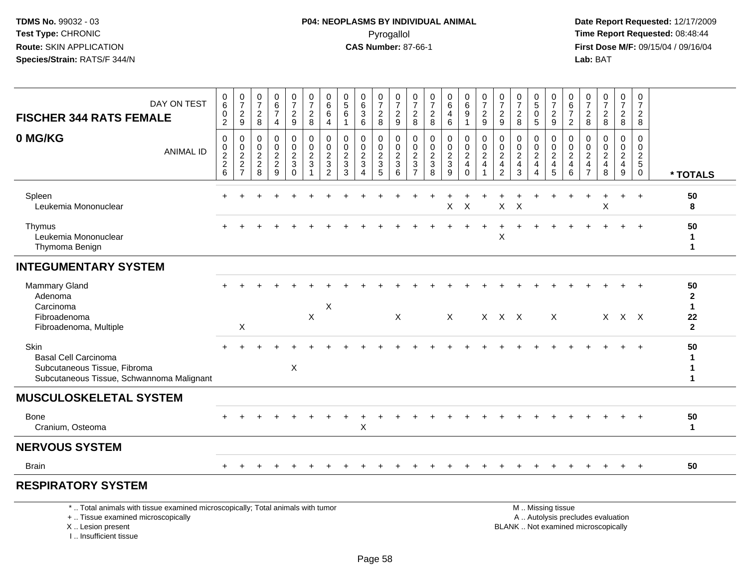**Date Report Requested:** 12/17/2009 **First Dose M/F:** 09/15/04 / 09/16/04<br>Lab: BAT **Lab:** BAT

| DAY ON TEST                                                                                                           | 0<br>6                                           | 0<br>$\overline{7}$                                                      | 0<br>$\overline{7}$                       | $_6^0$                                              | $\begin{smallmatrix}0\\7\end{smallmatrix}$        | 0<br>$\overline{7}$                                                         | 0<br>$\,6\,$                                                                  | 0<br>$\overline{5}$                              | 0<br>$6\phantom{a}$                               | 0<br>$\overline{7}$               | 0<br>$\overline{7}$                | 0<br>$\overline{7}$                                                               | $\frac{0}{7}$                                             | $\begin{array}{c} 0 \\ 6 \end{array}$     | 0<br>6                                                                             | 0<br>$\overline{7}$             | $\frac{0}{7}$                     | 0<br>$\overline{7}$                             | $0$<br>$5$<br>$0$                                           | 0<br>$\overline{7}$                             | 0<br>6                                                             | $\frac{0}{7}$                                                                     | 0<br>$\overline{7}$                       | 0<br>$\overline{7}$                                                         | 0<br>$\overline{7}$                                        |                                                  |
|-----------------------------------------------------------------------------------------------------------------------|--------------------------------------------------|--------------------------------------------------------------------------|-------------------------------------------|-----------------------------------------------------|---------------------------------------------------|-----------------------------------------------------------------------------|-------------------------------------------------------------------------------|--------------------------------------------------|---------------------------------------------------|-----------------------------------|------------------------------------|-----------------------------------------------------------------------------------|-----------------------------------------------------------|-------------------------------------------|------------------------------------------------------------------------------------|---------------------------------|-----------------------------------|-------------------------------------------------|-------------------------------------------------------------|-------------------------------------------------|--------------------------------------------------------------------|-----------------------------------------------------------------------------------|-------------------------------------------|-----------------------------------------------------------------------------|------------------------------------------------------------|--------------------------------------------------|
| <b>FISCHER 344 RATS FEMALE</b>                                                                                        | 0<br>$\overline{2}$                              | $\overline{2}$<br>$\boldsymbol{9}$                                       | $\overline{2}$<br>8                       | $\overline{7}$<br>4                                 | $\overline{c}$<br>9                               | $\boldsymbol{2}$<br>8                                                       | 6<br>$\overline{4}$                                                           | $\,6\,$<br>1                                     | $\sqrt{3}$<br>6                                   | $\sqrt{2}$<br>8                   | $\overline{c}$<br>9                | $\overline{2}$<br>$\bf 8$                                                         | $\boldsymbol{2}$<br>8                                     | 4<br>$\,6\,$                              | 9<br>$\mathbf{1}$                                                                  | $\overline{2}$<br>9             | $\overline{2}$<br>9               | $\overline{c}$<br>8                             | $\overline{5}$                                              | $\sqrt{2}$<br>9                                 | $\overline{7}$<br>2                                                | $\overline{2}$<br>8                                                               | $\overline{a}$<br>8                       | $\overline{2}$<br>8                                                         | $\overline{2}$<br>8                                        |                                                  |
| 0 MG/KG<br><b>ANIMAL ID</b>                                                                                           | $\mathbf 0$<br>$\mathbf 0$<br>$\frac{2}{2}$<br>6 | 0<br>$\mathbf 0$<br>$\overline{c}$<br>$\boldsymbol{2}$<br>$\overline{7}$ | 0<br>0<br>$\overline{c}$<br>$\frac{2}{8}$ | 0<br>$\mathbf 0$<br>$\overline{c}$<br>$\frac{2}{9}$ | $\pmb{0}$<br>0<br>$\frac{2}{3}$<br>$\overline{0}$ | $\mathbf 0$<br>$\mathbf 0$<br>$\boldsymbol{2}$<br>$\ensuremath{\mathsf{3}}$ | 0<br>$\mathbf 0$<br>$\sqrt{2}$<br>$\ensuremath{\mathsf{3}}$<br>$\overline{2}$ | $\mathbf 0$<br>$\mathbf 0$<br>$\frac{2}{3}$<br>3 | 0<br>0<br>$\frac{2}{3}$<br>$\boldsymbol{\Lambda}$ | 0<br>$\mathbf 0$<br>$\frac{2}{3}$ | 0<br>0<br>$\overline{c}$<br>3<br>6 | 0<br>$\mathbf 0$<br>$\overline{c}$<br>$\ensuremath{\mathsf{3}}$<br>$\overline{7}$ | $\mathbf 0$<br>0<br>$\overline{2}$<br>$\overline{3}$<br>8 | $\pmb{0}$<br>$\mathbf 0$<br>$\frac{2}{3}$ | $\mathbf 0$<br>$\mathbf 0$<br>$\sqrt{2}$<br>$\overline{\mathbf{4}}$<br>$\mathbf 0$ | 0<br>0<br>$\boldsymbol{2}$<br>4 | 0<br>$\mathbf 0$<br>$\frac{2}{4}$ | 0<br>0<br>$\overline{c}$<br>$\overline{4}$<br>3 | 0<br>$\mathbf 0$<br>$\frac{2}{4}$<br>$\boldsymbol{\Lambda}$ | 0<br>$\mathbf 0$<br>$\sqrt{2}$<br>$\frac{4}{5}$ | 0<br>$\mathbf 0$<br>$\sqrt{2}$<br>$\overline{4}$<br>$6\phantom{1}$ | 0<br>$\mathbf 0$<br>$\boldsymbol{2}$<br>$\overline{\mathbf{4}}$<br>$\overline{7}$ | 0<br>0<br>$\overline{a}$<br>$\frac{4}{8}$ | 0<br>$\mathbf 0$<br>$\overline{c}$<br>$\begin{array}{c} 4 \\ 9 \end{array}$ | $\Omega$<br>$\Omega$<br>$\overline{2}$<br>5<br>$\mathbf 0$ | * TOTALS                                         |
| Spleen<br>Leukemia Mononuclear                                                                                        | +                                                |                                                                          |                                           |                                                     |                                                   |                                                                             |                                                                               |                                                  |                                                   |                                   |                                    |                                                                                   |                                                           | $\sf X$                                   | X                                                                                  |                                 | X                                 | X                                               |                                                             |                                                 |                                                                    |                                                                                   | Χ                                         |                                                                             | $\ddot{}$                                                  | 50<br>8                                          |
| Thymus<br>Leukemia Mononuclear<br>Thymoma Benign                                                                      |                                                  |                                                                          |                                           |                                                     |                                                   |                                                                             |                                                                               |                                                  |                                                   |                                   |                                    |                                                                                   |                                                           |                                           |                                                                                    |                                 | X                                 |                                                 |                                                             |                                                 |                                                                    |                                                                                   |                                           |                                                                             | $\overline{1}$                                             | 50<br>-1<br>1                                    |
| <b>INTEGUMENTARY SYSTEM</b>                                                                                           |                                                  |                                                                          |                                           |                                                     |                                                   |                                                                             |                                                                               |                                                  |                                                   |                                   |                                    |                                                                                   |                                                           |                                           |                                                                                    |                                 |                                   |                                                 |                                                             |                                                 |                                                                    |                                                                                   |                                           |                                                                             |                                                            |                                                  |
| <b>Mammary Gland</b><br>Adenoma<br>Carcinoma<br>Fibroadenoma                                                          |                                                  |                                                                          |                                           |                                                     |                                                   | X                                                                           | X                                                                             |                                                  |                                                   |                                   | $\mathsf{X}$                       |                                                                                   |                                                           | $\mathsf{X}$                              |                                                                                    |                                 | $X$ $X$ $X$                       |                                                 |                                                             | X                                               |                                                                    |                                                                                   |                                           | $+$<br>$X$ $X$ $X$                                                          | $+$                                                        | 50<br>$\mathbf{2}$<br>$\blacktriangleleft$<br>22 |
| Fibroadenoma, Multiple                                                                                                |                                                  | X                                                                        |                                           |                                                     |                                                   |                                                                             |                                                                               |                                                  |                                                   |                                   |                                    |                                                                                   |                                                           |                                           |                                                                                    |                                 |                                   |                                                 |                                                             |                                                 |                                                                    |                                                                                   |                                           |                                                                             |                                                            | $\mathbf{2}$                                     |
| Skin<br><b>Basal Cell Carcinoma</b><br>Subcutaneous Tissue, Fibroma<br>Subcutaneous Tissue, Schwannoma Malignant      |                                                  |                                                                          |                                           |                                                     | X                                                 |                                                                             |                                                                               |                                                  |                                                   |                                   |                                    |                                                                                   |                                                           |                                           |                                                                                    |                                 |                                   |                                                 |                                                             |                                                 |                                                                    |                                                                                   |                                           |                                                                             |                                                            | 50<br>1                                          |
| <b>MUSCULOSKELETAL SYSTEM</b>                                                                                         |                                                  |                                                                          |                                           |                                                     |                                                   |                                                                             |                                                                               |                                                  |                                                   |                                   |                                    |                                                                                   |                                                           |                                           |                                                                                    |                                 |                                   |                                                 |                                                             |                                                 |                                                                    |                                                                                   |                                           |                                                                             |                                                            |                                                  |
| Bone<br>Cranium, Osteoma                                                                                              |                                                  |                                                                          |                                           |                                                     |                                                   |                                                                             |                                                                               |                                                  | X                                                 |                                   |                                    |                                                                                   |                                                           |                                           |                                                                                    |                                 |                                   |                                                 |                                                             |                                                 |                                                                    |                                                                                   |                                           |                                                                             |                                                            | 50<br>1                                          |
| <b>NERVOUS SYSTEM</b>                                                                                                 |                                                  |                                                                          |                                           |                                                     |                                                   |                                                                             |                                                                               |                                                  |                                                   |                                   |                                    |                                                                                   |                                                           |                                           |                                                                                    |                                 |                                   |                                                 |                                                             |                                                 |                                                                    |                                                                                   |                                           |                                                                             |                                                            |                                                  |
| <b>Brain</b>                                                                                                          |                                                  |                                                                          |                                           |                                                     |                                                   |                                                                             |                                                                               |                                                  |                                                   |                                   |                                    |                                                                                   |                                                           |                                           |                                                                                    |                                 |                                   |                                                 |                                                             |                                                 |                                                                    |                                                                                   |                                           |                                                                             | $+$                                                        | 50                                               |
| <b>RESPIRATORY SYSTEM</b>                                                                                             |                                                  |                                                                          |                                           |                                                     |                                                   |                                                                             |                                                                               |                                                  |                                                   |                                   |                                    |                                                                                   |                                                           |                                           |                                                                                    |                                 |                                   |                                                 |                                                             |                                                 |                                                                    |                                                                                   |                                           |                                                                             |                                                            |                                                  |
| *  Total animals with tissue examined microscopically; Total animals with tumor<br>+  Tissue examined microscopically |                                                  |                                                                          |                                           |                                                     |                                                   |                                                                             |                                                                               |                                                  |                                                   |                                   |                                    |                                                                                   |                                                           |                                           |                                                                                    |                                 |                                   |                                                 |                                                             | M  Missing tissue                               |                                                                    |                                                                                   | A  Autolysis precludes evaluation         |                                                                             |                                                            |                                                  |

X .. Lesion present

I .. Insufficient tissue

 A .. Autolysis precludes evaluationLesion present BLANK .. Not examined microscopically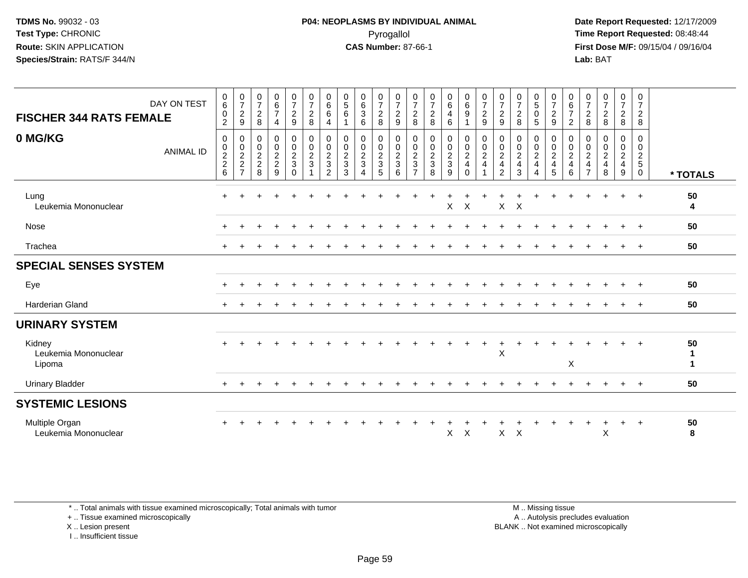**Date Report Requested:** 12/17/2009 **First Dose M/F:** 09/15/04 / 09/16/04 Lab: BAT **Lab:** BAT

| <b>FISCHER 344 RATS FEMALE</b>           | DAY ON TEST      | $\begin{array}{c} 0 \\ 6 \end{array}$<br>$\pmb{0}$<br>$\overline{2}$ | $\frac{0}{7}$<br>$\boldsymbol{2}$<br>9 | $\frac{0}{7}$<br>$\boldsymbol{2}$<br>8                                     | $_6^0$<br>$\overline{7}$<br>4 | $\begin{smallmatrix}0\\7\end{smallmatrix}$<br>$\overline{a}$<br>9 | $\frac{0}{7}$<br>$\overline{c}$<br>$\,8\,$ | $\begin{array}{c} 0 \\ 6 \end{array}$<br>$\,6\,$<br>$\overline{4}$                | $\begin{array}{c} 0 \\ 5 \end{array}$<br>$\,6\,$<br>$\overline{1}$ | $\begin{array}{c} 0 \\ 6 \end{array}$<br>$\mathbf{3}$<br>6 | $\frac{0}{7}$<br>$\boldsymbol{2}$<br>8                 | $\frac{0}{7}$<br>$\overline{c}$<br>$\boldsymbol{9}$ | $\frac{0}{7}$<br>$\boldsymbol{2}$<br>$\,8\,$                           | $\begin{array}{c} 0 \\ 7 \end{array}$<br>$\boldsymbol{2}$<br>8 | $_{6}^{\rm 0}$<br>$\overline{\mathbf{4}}$<br>6            | $\begin{array}{c} 0 \\ 6 \\ 9 \end{array}$<br>$\mathbf{1}$        | $\begin{smallmatrix}0\\7\end{smallmatrix}$<br>$\overline{c}$<br>9            | $\frac{0}{7}$<br>$\boldsymbol{2}$<br>$\boldsymbol{9}$                   | $\frac{0}{7}$<br>$\boldsymbol{2}$<br>8             | $\begin{array}{c} 0 \\ 5 \end{array}$<br>$\pmb{0}$<br>$\overline{5}$                  | $\frac{0}{7}$<br>$\overline{a}$<br>9        | $_{6}^{\rm 0}$<br>$\overline{7}$<br>$\overline{c}$                 | $\frac{0}{7}$<br>$\overline{c}$<br>8            | $\begin{array}{c} 0 \\ 7 \end{array}$<br>$\frac{2}{8}$                                      | $\frac{0}{7}$<br>$\frac{2}{8}$                                                    | $\mathbf 0$<br>$\overline{7}$<br>$\overline{a}$<br>8                  |               |
|------------------------------------------|------------------|----------------------------------------------------------------------|----------------------------------------|----------------------------------------------------------------------------|-------------------------------|-------------------------------------------------------------------|--------------------------------------------|-----------------------------------------------------------------------------------|--------------------------------------------------------------------|------------------------------------------------------------|--------------------------------------------------------|-----------------------------------------------------|------------------------------------------------------------------------|----------------------------------------------------------------|-----------------------------------------------------------|-------------------------------------------------------------------|------------------------------------------------------------------------------|-------------------------------------------------------------------------|----------------------------------------------------|---------------------------------------------------------------------------------------|---------------------------------------------|--------------------------------------------------------------------|-------------------------------------------------|---------------------------------------------------------------------------------------------|-----------------------------------------------------------------------------------|-----------------------------------------------------------------------|---------------|
| 0 MG/KG                                  | <b>ANIMAL ID</b> | $\pmb{0}$<br>$\pmb{0}$<br>$\begin{array}{c} 2 \\ 2 \\ 6 \end{array}$ | 0<br>$\pmb{0}$<br>$\frac{2}{2}$<br>7   | $\mathbf 0$<br>$\boldsymbol{0}$<br>$\overline{2}$<br>$\boldsymbol{2}$<br>8 | 0<br>$0$<br>$2$<br>$9$        | $\boldsymbol{0}$<br>$\frac{0}{2}$<br>$\Omega$                     | $\pmb{0}$<br>$\frac{0}{2}$<br>$\sqrt{3}$   | 0<br>$\mathbf 0$<br>$\overline{2}$<br>$\ensuremath{\mathsf{3}}$<br>$\overline{2}$ | $\mathbf 0$<br>$\pmb{0}$<br>$\overline{2}$<br>$\mathbf{3}$<br>3    | 0<br>$\mathbf 0$<br>$\frac{2}{3}$<br>$\overline{4}$        | 0<br>$\begin{array}{c}\n0 \\ 2 \\ 3 \\ 5\n\end{array}$ | 0<br>$\frac{0}{2}$<br>6                             | 0<br>$\begin{smallmatrix} 0\\2\\3 \end{smallmatrix}$<br>$\overline{7}$ | $\pmb{0}$<br>$\frac{0}{2}$<br>8                                | 0<br>$\begin{smallmatrix} 0\\2\\3 \end{smallmatrix}$<br>9 | $\pmb{0}$<br>$\frac{0}{2}$<br>$\overline{\mathbf{4}}$<br>$\Omega$ | $\pmb{0}$<br>$\pmb{0}$<br>$\overline{c}$<br>$\overline{4}$<br>$\overline{ }$ | 0<br>0<br>$\boldsymbol{2}$<br>$\overline{\mathbf{4}}$<br>$\overline{2}$ | 0<br>$\frac{0}{2}$<br>$\overline{\mathbf{4}}$<br>3 | 0<br>$\begin{smallmatrix} 0\\2 \end{smallmatrix}$<br>$\overline{4}$<br>$\overline{4}$ | 0<br>$_2^0$<br>$\overline{\mathbf{4}}$<br>5 | 0<br>$\mathbf 0$<br>$\overline{a}$<br>$\overline{\mathbf{4}}$<br>6 | 0<br>$_2^0$<br>$\overline{4}$<br>$\overline{7}$ | $\mathbf 0$<br>$\begin{smallmatrix} 0\\2 \end{smallmatrix}$<br>$\overline{\mathbf{4}}$<br>8 | 0<br>$\begin{smallmatrix} 0\\2 \end{smallmatrix}$<br>$\overline{\mathbf{4}}$<br>9 | $\mathbf 0$<br>$\mathbf 0$<br>$\sqrt{2}$<br>$\sqrt{5}$<br>$\mathbf 0$ | * TOTALS      |
| Lung<br>Leukemia Mononuclear             |                  | $\div$                                                               |                                        |                                                                            |                               |                                                                   |                                            |                                                                                   |                                                                    |                                                            |                                                        |                                                     |                                                                        |                                                                | X                                                         | $\times$                                                          |                                                                              | $\mathsf{X}$                                                            | $\boldsymbol{\mathsf{X}}$                          |                                                                                       |                                             |                                                                    |                                                 |                                                                                             | $\ddot{}$                                                                         | $+$                                                                   | 50<br>4       |
| Nose                                     |                  |                                                                      |                                        |                                                                            |                               |                                                                   |                                            |                                                                                   |                                                                    |                                                            |                                                        |                                                     |                                                                        |                                                                |                                                           |                                                                   |                                                                              |                                                                         |                                                    |                                                                                       |                                             |                                                                    |                                                 |                                                                                             | $\ddot{}$                                                                         | $+$                                                                   | 50            |
| Trachea                                  |                  | $\ddot{}$                                                            |                                        |                                                                            |                               |                                                                   |                                            |                                                                                   |                                                                    |                                                            |                                                        |                                                     |                                                                        |                                                                |                                                           |                                                                   |                                                                              |                                                                         |                                                    |                                                                                       |                                             |                                                                    |                                                 |                                                                                             |                                                                                   | $+$                                                                   | 50            |
| <b>SPECIAL SENSES SYSTEM</b>             |                  |                                                                      |                                        |                                                                            |                               |                                                                   |                                            |                                                                                   |                                                                    |                                                            |                                                        |                                                     |                                                                        |                                                                |                                                           |                                                                   |                                                                              |                                                                         |                                                    |                                                                                       |                                             |                                                                    |                                                 |                                                                                             |                                                                                   |                                                                       |               |
| Eye                                      |                  |                                                                      |                                        |                                                                            |                               |                                                                   |                                            |                                                                                   |                                                                    |                                                            |                                                        |                                                     |                                                                        |                                                                |                                                           |                                                                   |                                                                              |                                                                         |                                                    |                                                                                       |                                             |                                                                    |                                                 |                                                                                             | $\pm$                                                                             | $\overline{ }$                                                        | 50            |
| <b>Harderian Gland</b>                   |                  |                                                                      |                                        |                                                                            |                               |                                                                   |                                            |                                                                                   |                                                                    |                                                            |                                                        |                                                     |                                                                        |                                                                |                                                           |                                                                   |                                                                              |                                                                         |                                                    |                                                                                       |                                             |                                                                    |                                                 |                                                                                             |                                                                                   |                                                                       | 50            |
| <b>URINARY SYSTEM</b>                    |                  |                                                                      |                                        |                                                                            |                               |                                                                   |                                            |                                                                                   |                                                                    |                                                            |                                                        |                                                     |                                                                        |                                                                |                                                           |                                                                   |                                                                              |                                                                         |                                                    |                                                                                       |                                             |                                                                    |                                                 |                                                                                             |                                                                                   |                                                                       |               |
| Kidney<br>Leukemia Mononuclear<br>Lipoma |                  |                                                                      |                                        |                                                                            |                               |                                                                   |                                            |                                                                                   |                                                                    |                                                            |                                                        |                                                     |                                                                        |                                                                |                                                           |                                                                   |                                                                              | $\boldsymbol{\mathsf{X}}$                                               |                                                    |                                                                                       |                                             | $\boldsymbol{\mathsf{X}}$                                          |                                                 |                                                                                             |                                                                                   |                                                                       | 50<br>-1<br>1 |
| <b>Urinary Bladder</b>                   |                  | $\ddot{}$                                                            |                                        |                                                                            |                               |                                                                   |                                            |                                                                                   |                                                                    |                                                            |                                                        |                                                     |                                                                        |                                                                |                                                           |                                                                   |                                                                              |                                                                         |                                                    |                                                                                       |                                             |                                                                    |                                                 |                                                                                             | $+$                                                                               | $+$                                                                   | 50            |
| <b>SYSTEMIC LESIONS</b>                  |                  |                                                                      |                                        |                                                                            |                               |                                                                   |                                            |                                                                                   |                                                                    |                                                            |                                                        |                                                     |                                                                        |                                                                |                                                           |                                                                   |                                                                              |                                                                         |                                                    |                                                                                       |                                             |                                                                    |                                                 |                                                                                             |                                                                                   |                                                                       |               |
| Multiple Organ<br>Leukemia Mononuclear   |                  |                                                                      |                                        |                                                                            |                               |                                                                   |                                            |                                                                                   |                                                                    |                                                            |                                                        |                                                     |                                                                        |                                                                | X                                                         | $\boldsymbol{\mathsf{X}}$                                         |                                                                              | X                                                                       | $\times$                                           |                                                                                       |                                             |                                                                    |                                                 | X                                                                                           | $\ddot{}$                                                                         | $+$                                                                   | 50<br>8       |

\* .. Total animals with tissue examined microscopically; Total animals with tumor

+ .. Tissue examined microscopically

X .. Lesion present

I .. Insufficient tissue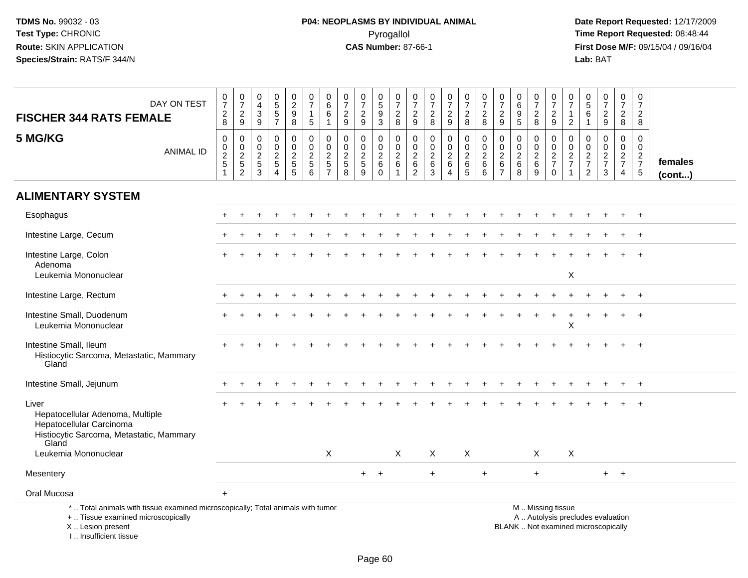**Date Report Requested:** 12/17/2009 **First Dose M/F:** 09/15/04 / 09/16/04<br>Lab: BAT **Lab:** BAT

| DAY ON TEST<br><b>FISCHER 344 RATS FEMALE</b>                                                                                              | 0<br>$\boldsymbol{7}$<br>$_{8}^2$  | $\frac{0}{7}$<br>$\frac{2}{9}$                                 | 0<br>$\overline{\mathbf{4}}$<br>$\mathbf{3}$<br>$9\,$           | 0<br>$\sqrt{5}$<br>$\frac{5}{7}$                                                     | $\begin{array}{c} 0 \\ 2 \\ 9 \end{array}$<br>8              | $\frac{0}{7}$<br>$\mathbf{1}$<br>$\overline{5}$             | $_{6}^{\rm 0}$<br>6<br>$\mathbf{1}$                         | 0<br>$\overline{7}$<br>$\frac{2}{9}$                            | $\frac{0}{7}$<br>$\frac{2}{9}$                                      | $\begin{array}{c} 0 \\ 5 \end{array}$<br>$\boldsymbol{9}$<br>$\mathbf{3}$ | 0<br>$\overline{7}$<br>$_{\rm 8}^2$                             | 0<br>$\overline{7}$<br>$\frac{2}{9}$                                    | 0<br>$\overline{7}$<br>$\frac{2}{8}$                           | $\frac{0}{7}$<br>$\frac{2}{9}$                                        | $\mathbf 0$<br>$\overline{7}$<br>$\frac{2}{8}$     | $\frac{0}{7}$<br>$\boldsymbol{2}$<br>$\,8\,$                                | $\pmb{0}$<br>$\overline{7}$<br>$\frac{2}{9}$                                      | 0<br>$\,6\,$<br>9<br>$\overline{5}$                          | $\frac{0}{7}$<br>$\overline{a}$<br>8               | $\frac{0}{7}$<br>$\frac{2}{9}$                   | $\boldsymbol{0}$<br>$\overline{7}$<br>$\mathbf{1}$<br>$\sqrt{2}$ | $\begin{matrix} 0 \\ 5 \end{matrix}$<br>6<br>$\overline{1}$   | $\begin{smallmatrix}0\\7\end{smallmatrix}$<br>$rac{2}{9}$                | $\frac{0}{7}$<br>$\frac{2}{8}$                    | 0<br>$\boldsymbol{7}$<br>$_{8}^{\rm 2}$              |                         |
|--------------------------------------------------------------------------------------------------------------------------------------------|------------------------------------|----------------------------------------------------------------|-----------------------------------------------------------------|--------------------------------------------------------------------------------------|--------------------------------------------------------------|-------------------------------------------------------------|-------------------------------------------------------------|-----------------------------------------------------------------|---------------------------------------------------------------------|---------------------------------------------------------------------------|-----------------------------------------------------------------|-------------------------------------------------------------------------|----------------------------------------------------------------|-----------------------------------------------------------------------|----------------------------------------------------|-----------------------------------------------------------------------------|-----------------------------------------------------------------------------------|--------------------------------------------------------------|----------------------------------------------------|--------------------------------------------------|------------------------------------------------------------------|---------------------------------------------------------------|--------------------------------------------------------------------------|---------------------------------------------------|------------------------------------------------------|-------------------------|
| 5 MG/KG<br><b>ANIMAL ID</b>                                                                                                                | 0<br>$\mathsf{O}$<br>$\frac{2}{5}$ | 0<br>$\mathbf 0$<br>$\begin{array}{c} 2 \\ 5 \\ 2 \end{array}$ | $\mathbf 0$<br>$\mathbf 0$<br>$\overline{2}$<br>$\sqrt{5}$<br>3 | $\mathbf 0$<br>$\mathbf 0$<br>$\sqrt{2}$<br>$\overline{5}$<br>$\boldsymbol{\Lambda}$ | 0<br>$\overline{0}$<br>$\overline{2}$<br>$\overline{5}$<br>5 | 0<br>$\mathbf 0$<br>$\boldsymbol{2}$<br>$\overline{5}$<br>6 | 0<br>$\mathbf 0$<br>$\boldsymbol{2}$<br>5<br>$\overline{7}$ | $\mathbf 0$<br>$\mathbf 0$<br>$\overline{2}$<br>$\sqrt{5}$<br>8 | $\mathbf 0$<br>$\mathbf 0$<br>$\overline{2}$<br>$\overline{5}$<br>9 | 0<br>$\mathbf 0$<br>$\overline{2}$<br>$\,6\,$<br>$\mathbf 0$              | 0<br>$\mathbf 0$<br>$\overline{2}$<br>$\,6\,$<br>$\overline{1}$ | $\mathbf 0$<br>$\mathbf 0$<br>$\mathbf{2}$<br>$\,6\,$<br>$\overline{2}$ | $\mathbf 0$<br>$\mathbf 0$<br>$\boldsymbol{2}$<br>$\,6\,$<br>3 | $\mathbf 0$<br>$\mathbf 0$<br>$\boldsymbol{2}$<br>$\,6\,$<br>$\Delta$ | 0<br>$\mathbf 0$<br>$\overline{2}$<br>$\,6\,$<br>5 | $\mathbf 0$<br>$\mathbf 0$<br>$\boldsymbol{2}$<br>$\,6\,$<br>$6\phantom{1}$ | $\mathbf 0$<br>$\mathbf 0$<br>$\overline{2}$<br>$6\phantom{1}6$<br>$\overline{7}$ | $\mathbf 0$<br>$\mathbf 0$<br>$\overline{2}$<br>$\,6\,$<br>8 | 0<br>$\mathbf 0$<br>$\overline{c}$<br>$\,6\,$<br>9 | 0<br>$\mathbf 0$<br>$\frac{2}{7}$<br>$\mathbf 0$ | $\mathbf 0$<br>$\mathbf 0$<br>$\frac{2}{7}$                      | $\mathbf 0$<br>$\mathbf 0$<br>$\frac{2}{7}$<br>$\overline{2}$ | $\mathbf 0$<br>$\mathbf 0$<br>$\frac{2}{7}$<br>$\mathbf{3}$              | 0<br>$\mathbf 0$<br>$rac{2}{7}$<br>$\overline{4}$ | 0<br>$\mathbf 0$<br>$\frac{2}{7}$<br>$5\phantom{.0}$ | females<br>$($ cont $)$ |
| <b>ALIMENTARY SYSTEM</b>                                                                                                                   |                                    |                                                                |                                                                 |                                                                                      |                                                              |                                                             |                                                             |                                                                 |                                                                     |                                                                           |                                                                 |                                                                         |                                                                |                                                                       |                                                    |                                                                             |                                                                                   |                                                              |                                                    |                                                  |                                                                  |                                                               |                                                                          |                                                   |                                                      |                         |
| Esophagus                                                                                                                                  |                                    |                                                                |                                                                 |                                                                                      |                                                              |                                                             |                                                             |                                                                 |                                                                     |                                                                           |                                                                 |                                                                         |                                                                |                                                                       |                                                    |                                                                             |                                                                                   |                                                              |                                                    |                                                  |                                                                  |                                                               |                                                                          |                                                   | $\ddot{}$                                            |                         |
| Intestine Large, Cecum                                                                                                                     |                                    |                                                                |                                                                 |                                                                                      |                                                              |                                                             |                                                             |                                                                 |                                                                     |                                                                           |                                                                 |                                                                         |                                                                |                                                                       |                                                    |                                                                             |                                                                                   |                                                              |                                                    |                                                  |                                                                  |                                                               |                                                                          |                                                   |                                                      |                         |
| Intestine Large, Colon<br>Adenoma<br>Leukemia Mononuclear                                                                                  |                                    |                                                                |                                                                 |                                                                                      |                                                              |                                                             |                                                             |                                                                 |                                                                     |                                                                           |                                                                 |                                                                         |                                                                |                                                                       |                                                    |                                                                             |                                                                                   |                                                              |                                                    |                                                  | $\mathsf X$                                                      |                                                               |                                                                          |                                                   |                                                      |                         |
|                                                                                                                                            |                                    |                                                                |                                                                 |                                                                                      |                                                              |                                                             |                                                             |                                                                 |                                                                     |                                                                           |                                                                 |                                                                         |                                                                |                                                                       |                                                    |                                                                             |                                                                                   |                                                              |                                                    |                                                  |                                                                  |                                                               |                                                                          |                                                   |                                                      |                         |
| Intestine Large, Rectum                                                                                                                    |                                    |                                                                |                                                                 |                                                                                      |                                                              |                                                             |                                                             |                                                                 |                                                                     |                                                                           |                                                                 |                                                                         |                                                                |                                                                       |                                                    |                                                                             |                                                                                   |                                                              |                                                    |                                                  |                                                                  |                                                               |                                                                          |                                                   |                                                      |                         |
| Intestine Small, Duodenum<br>Leukemia Mononuclear                                                                                          |                                    |                                                                |                                                                 |                                                                                      |                                                              |                                                             |                                                             |                                                                 |                                                                     |                                                                           |                                                                 |                                                                         |                                                                |                                                                       |                                                    |                                                                             |                                                                                   |                                                              |                                                    |                                                  | X                                                                |                                                               |                                                                          |                                                   |                                                      |                         |
| Intestine Small, Ileum<br>Histiocytic Sarcoma, Metastatic, Mammary<br>Gland                                                                |                                    |                                                                |                                                                 |                                                                                      |                                                              |                                                             |                                                             |                                                                 |                                                                     |                                                                           |                                                                 |                                                                         |                                                                |                                                                       |                                                    |                                                                             |                                                                                   |                                                              |                                                    |                                                  |                                                                  |                                                               |                                                                          |                                                   |                                                      |                         |
| Intestine Small, Jejunum                                                                                                                   |                                    |                                                                |                                                                 |                                                                                      |                                                              |                                                             |                                                             |                                                                 |                                                                     |                                                                           |                                                                 |                                                                         |                                                                |                                                                       |                                                    |                                                                             |                                                                                   |                                                              |                                                    |                                                  |                                                                  |                                                               |                                                                          |                                                   |                                                      |                         |
| Liver<br>Hepatocellular Adenoma, Multiple<br>Hepatocellular Carcinoma<br>Histiocytic Sarcoma, Metastatic, Mammary<br>Gland                 |                                    |                                                                |                                                                 |                                                                                      |                                                              |                                                             |                                                             |                                                                 |                                                                     |                                                                           |                                                                 |                                                                         |                                                                |                                                                       |                                                    |                                                                             |                                                                                   |                                                              |                                                    |                                                  |                                                                  |                                                               |                                                                          |                                                   |                                                      |                         |
| Leukemia Mononuclear                                                                                                                       |                                    |                                                                |                                                                 |                                                                                      |                                                              |                                                             | X                                                           |                                                                 |                                                                     |                                                                           | $\boldsymbol{\mathsf{X}}$                                       |                                                                         | X                                                              |                                                                       | X                                                  |                                                                             |                                                                                   |                                                              | X                                                  |                                                  | X                                                                |                                                               |                                                                          |                                                   |                                                      |                         |
| Mesentery                                                                                                                                  |                                    |                                                                |                                                                 |                                                                                      |                                                              |                                                             |                                                             |                                                                 | $+$                                                                 | $+$                                                                       |                                                                 |                                                                         | $+$                                                            |                                                                       |                                                    | $\ddot{}$                                                                   |                                                                                   |                                                              | $+$                                                |                                                  |                                                                  |                                                               |                                                                          | $+$ $+$                                           |                                                      |                         |
| Oral Mucosa                                                                                                                                | $+$                                |                                                                |                                                                 |                                                                                      |                                                              |                                                             |                                                             |                                                                 |                                                                     |                                                                           |                                                                 |                                                                         |                                                                |                                                                       |                                                    |                                                                             |                                                                                   |                                                              |                                                    |                                                  |                                                                  |                                                               |                                                                          |                                                   |                                                      |                         |
| *  Total animals with tissue examined microscopically; Total animals with tumor<br>+  Tissue examined microscopically<br>X  Lesion present |                                    |                                                                |                                                                 |                                                                                      |                                                              |                                                             |                                                             |                                                                 |                                                                     |                                                                           |                                                                 |                                                                         |                                                                |                                                                       |                                                    |                                                                             |                                                                                   |                                                              |                                                    | M  Missing tissue                                |                                                                  |                                                               | A  Autolysis precludes evaluation<br>BLANK  Not examined microscopically |                                                   |                                                      |                         |

I .. Insufficient tissue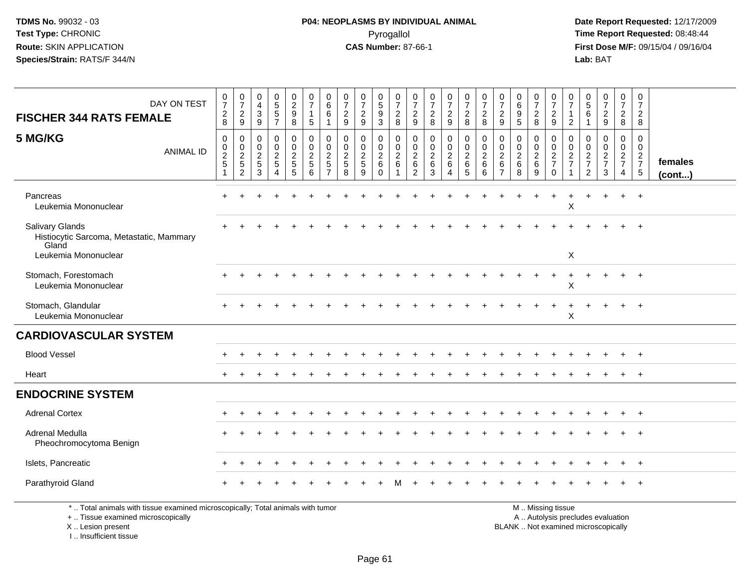**Date Report Requested:** 12/17/2009 **First Dose M/F:** 09/15/04 / 09/16/04<br>Lab: BAT **Lab:** BAT

| DAY ON TEST<br><b>FISCHER 344 RATS FEMALE</b>                                                                                              | $\frac{0}{7}$<br>$\begin{array}{c} 2 \\ 8 \end{array}$                | $\frac{0}{7}$<br>$\overline{c}$<br>9                                         | $\pmb{0}$<br>$\overline{4}$<br>$\sqrt{3}$<br>$9\,$    | $\begin{array}{c} 0 \\ 5 \\ 5 \end{array}$<br>$\overline{7}$      | $\begin{smallmatrix} 0\\2\\9 \end{smallmatrix}$<br>8                    | $\frac{0}{7}$<br>$\mathbf{1}$<br>$\sqrt{5}$                 | $\begin{matrix} 0 \\ 6 \end{matrix}$<br>6<br>-1                               | $\frac{0}{7}$<br>$\overline{c}$<br>9                  | $\frac{0}{7}$<br>$\overline{c}$<br>$9\,$              | $\frac{0}{5}$<br>$\overline{9}$<br>3            | $\frac{0}{7}$<br>$\overline{c}$<br>8                          | $\frac{0}{7}$<br>$\frac{2}{9}$           | $\begin{smallmatrix}0\\7\end{smallmatrix}$<br>$\frac{2}{8}$ | $\frac{0}{7}$<br>$\overline{2}$<br>$\overline{9}$  | $\frac{0}{7}$<br>$\boldsymbol{2}$<br>8                       | $\frac{0}{7}$<br>$\overline{c}$<br>8         | $\frac{0}{7}$<br>$\overline{c}$<br>9                         | $\begin{array}{c} 0 \\ 6 \end{array}$<br>$\boldsymbol{9}$<br>5 | $\frac{0}{7}$<br>$^2_8$                               | $\frac{0}{7}$<br>$\frac{2}{9}$                                                                | 0<br>$\overline{7}$<br>$\mathbf{1}$<br>$\overline{2}$               | 0<br>5<br>6<br>$\overline{1}$                                                    | $\frac{0}{7}$<br>$\frac{2}{9}$                            | $\frac{0}{7}$<br>$\overline{2}$<br>8                                             | 0<br>$\overline{7}$<br>$\overline{a}$<br>8                        |                         |
|--------------------------------------------------------------------------------------------------------------------------------------------|-----------------------------------------------------------------------|------------------------------------------------------------------------------|-------------------------------------------------------|-------------------------------------------------------------------|-------------------------------------------------------------------------|-------------------------------------------------------------|-------------------------------------------------------------------------------|-------------------------------------------------------|-------------------------------------------------------|-------------------------------------------------|---------------------------------------------------------------|------------------------------------------|-------------------------------------------------------------|----------------------------------------------------|--------------------------------------------------------------|----------------------------------------------|--------------------------------------------------------------|----------------------------------------------------------------|-------------------------------------------------------|-----------------------------------------------------------------------------------------------|---------------------------------------------------------------------|----------------------------------------------------------------------------------|-----------------------------------------------------------|----------------------------------------------------------------------------------|-------------------------------------------------------------------|-------------------------|
| 5 MG/KG<br><b>ANIMAL ID</b>                                                                                                                | $\mathbf 0$<br>$\mathbf 0$<br>$\boldsymbol{2}$<br>5<br>$\overline{1}$ | $\mathbf 0$<br>$\mathbf 0$<br>$\overline{c}$<br>$\sqrt{5}$<br>$\overline{c}$ | $\mathbf 0$<br>0<br>$\overline{c}$<br>$\sqrt{5}$<br>3 | $\mathbf 0$<br>0<br>$\overline{a}$<br>5<br>$\boldsymbol{\Lambda}$ | 0<br>$\mathbf 0$<br>$\sqrt{2}$<br>$\begin{array}{c} 5 \\ 5 \end{array}$ | $\mathbf 0$<br>$\mathbf 0$<br>$\sqrt{2}$<br>$\sqrt{5}$<br>6 | $\mathbf{0}$<br>$\mathbf 0$<br>$\overline{c}$<br>$\sqrt{5}$<br>$\overline{7}$ | $\mathbf 0$<br>0<br>$\overline{2}$<br>$\sqrt{5}$<br>8 | $\mathbf 0$<br>0<br>$\overline{c}$<br>$\sqrt{5}$<br>9 | 0<br>$\mathbf 0$<br>$\sqrt{2}$<br>6<br>$\Omega$ | 0<br>$\mathbf 0$<br>$\overline{c}$<br>$\,6$<br>$\overline{ }$ | 0<br>0<br>$\overline{a}$<br>$\,6\,$<br>2 | $\mathbf 0$<br>$\mathbf 0$<br>$\sqrt{2}$<br>$\,6\,$<br>3    | $\mathbf 0$<br>0<br>$\overline{2}$<br>$\,6\,$<br>4 | $\mathbf 0$<br>$\mathbf 0$<br>$\overline{c}$<br>$\,6\,$<br>5 | $\mathbf 0$<br>0<br>$\overline{c}$<br>6<br>6 | $\Omega$<br>0<br>$\overline{c}$<br>$\,6\,$<br>$\overline{7}$ | $\mathbf 0$<br>0<br>$\overline{c}$<br>$\,6$<br>8               | $\mathbf 0$<br>0<br>$\sqrt{2}$<br>$6\phantom{1}$<br>9 | $\mathbf 0$<br>$\mathbf 0$<br>$\sqrt{2}$<br>$\overline{7}$<br>$\mathbf 0$                     | $\mathbf 0$<br>$\mathbf 0$<br>$\overline{c}$<br>$\overline{7}$<br>1 | $\mathbf 0$<br>$\mathbf 0$<br>$\overline{c}$<br>$\overline{7}$<br>$\overline{2}$ | $\mathbf 0$<br>0<br>$\overline{c}$<br>$\overline{7}$<br>3 | $\mathbf 0$<br>$\mathbf 0$<br>$\overline{2}$<br>$\overline{7}$<br>$\overline{4}$ | $\mathbf 0$<br>$\overline{0}$<br>$\frac{2}{7}$<br>$5\phantom{.0}$ | females<br>$($ cont $)$ |
| Pancreas<br>Leukemia Mononuclear                                                                                                           | $\div$                                                                |                                                                              |                                                       | $\div$                                                            |                                                                         |                                                             |                                                                               |                                                       |                                                       |                                                 |                                                               |                                          |                                                             |                                                    |                                                              |                                              |                                                              |                                                                |                                                       |                                                                                               | X                                                                   |                                                                                  |                                                           | $+$                                                                              | $+$                                                               |                         |
| <b>Salivary Glands</b><br>Histiocytic Sarcoma, Metastatic, Mammary<br>Gland<br>Leukemia Mononuclear                                        |                                                                       |                                                                              |                                                       |                                                                   |                                                                         |                                                             |                                                                               |                                                       |                                                       |                                                 |                                                               |                                          |                                                             |                                                    |                                                              |                                              |                                                              |                                                                |                                                       |                                                                                               | X                                                                   |                                                                                  |                                                           |                                                                                  |                                                                   |                         |
| Stomach, Forestomach<br>Leukemia Mononuclear                                                                                               |                                                                       |                                                                              |                                                       |                                                                   |                                                                         |                                                             |                                                                               |                                                       |                                                       |                                                 |                                                               |                                          |                                                             |                                                    |                                                              |                                              |                                                              |                                                                |                                                       |                                                                                               | Χ                                                                   |                                                                                  |                                                           |                                                                                  |                                                                   |                         |
| Stomach, Glandular<br>Leukemia Mononuclear                                                                                                 |                                                                       |                                                                              |                                                       |                                                                   |                                                                         |                                                             |                                                                               |                                                       |                                                       |                                                 |                                                               |                                          |                                                             |                                                    |                                                              |                                              |                                                              |                                                                |                                                       |                                                                                               | X                                                                   |                                                                                  |                                                           |                                                                                  |                                                                   |                         |
| <b>CARDIOVASCULAR SYSTEM</b>                                                                                                               |                                                                       |                                                                              |                                                       |                                                                   |                                                                         |                                                             |                                                                               |                                                       |                                                       |                                                 |                                                               |                                          |                                                             |                                                    |                                                              |                                              |                                                              |                                                                |                                                       |                                                                                               |                                                                     |                                                                                  |                                                           |                                                                                  |                                                                   |                         |
| <b>Blood Vessel</b>                                                                                                                        |                                                                       |                                                                              |                                                       |                                                                   |                                                                         |                                                             |                                                                               |                                                       |                                                       |                                                 |                                                               |                                          |                                                             |                                                    |                                                              |                                              |                                                              |                                                                |                                                       |                                                                                               |                                                                     |                                                                                  |                                                           |                                                                                  |                                                                   |                         |
| Heart                                                                                                                                      |                                                                       |                                                                              |                                                       |                                                                   |                                                                         |                                                             |                                                                               |                                                       |                                                       |                                                 |                                                               |                                          |                                                             |                                                    |                                                              |                                              |                                                              |                                                                |                                                       |                                                                                               |                                                                     |                                                                                  |                                                           |                                                                                  | $+$                                                               |                         |
| <b>ENDOCRINE SYSTEM</b>                                                                                                                    |                                                                       |                                                                              |                                                       |                                                                   |                                                                         |                                                             |                                                                               |                                                       |                                                       |                                                 |                                                               |                                          |                                                             |                                                    |                                                              |                                              |                                                              |                                                                |                                                       |                                                                                               |                                                                     |                                                                                  |                                                           |                                                                                  |                                                                   |                         |
| <b>Adrenal Cortex</b>                                                                                                                      |                                                                       |                                                                              |                                                       |                                                                   |                                                                         |                                                             |                                                                               |                                                       |                                                       |                                                 |                                                               |                                          |                                                             |                                                    |                                                              |                                              |                                                              |                                                                |                                                       |                                                                                               |                                                                     |                                                                                  |                                                           |                                                                                  |                                                                   |                         |
| Adrenal Medulla<br>Pheochromocytoma Benign                                                                                                 |                                                                       |                                                                              |                                                       |                                                                   |                                                                         |                                                             |                                                                               |                                                       |                                                       |                                                 |                                                               |                                          |                                                             |                                                    |                                                              |                                              |                                                              |                                                                |                                                       |                                                                                               |                                                                     |                                                                                  |                                                           |                                                                                  |                                                                   |                         |
| Islets, Pancreatic                                                                                                                         |                                                                       |                                                                              |                                                       |                                                                   |                                                                         |                                                             |                                                                               |                                                       |                                                       |                                                 |                                                               |                                          |                                                             |                                                    |                                                              |                                              |                                                              |                                                                |                                                       |                                                                                               |                                                                     |                                                                                  |                                                           |                                                                                  | $+$                                                               |                         |
| Parathyroid Gland                                                                                                                          |                                                                       |                                                                              |                                                       |                                                                   |                                                                         |                                                             |                                                                               |                                                       |                                                       |                                                 |                                                               |                                          |                                                             |                                                    |                                                              |                                              |                                                              |                                                                |                                                       |                                                                                               |                                                                     |                                                                                  |                                                           |                                                                                  |                                                                   |                         |
| *  Total animals with tissue examined microscopically; Total animals with tumor<br>+  Tissue examined microscopically<br>X  Lesion present |                                                                       |                                                                              |                                                       |                                                                   |                                                                         |                                                             |                                                                               |                                                       |                                                       |                                                 |                                                               |                                          |                                                             |                                                    |                                                              |                                              |                                                              |                                                                |                                                       | M  Missing tissue<br>A  Autolysis precludes evaluation<br>BLANK  Not examined microscopically |                                                                     |                                                                                  |                                                           |                                                                                  |                                                                   |                         |

I .. Insufficient tissue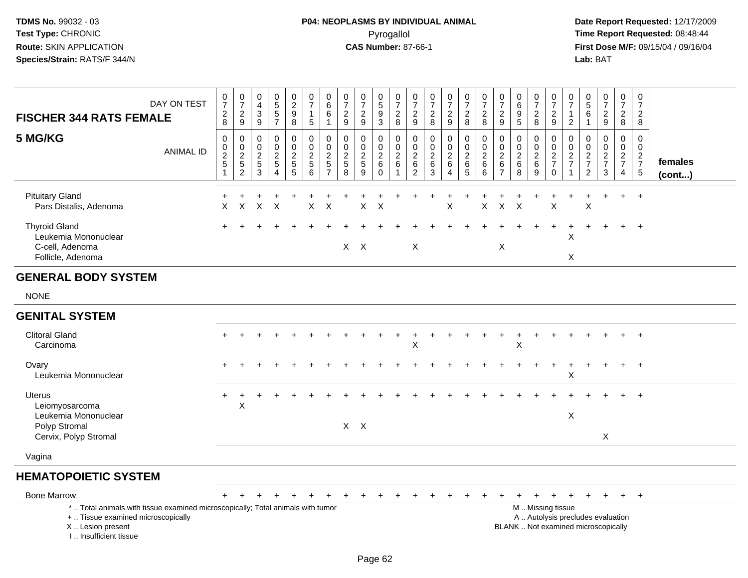| <b>FISCHER 344 RATS FEMALE</b>                                                       | DAY ON TEST                                                                     | $\frac{0}{7}$<br>$_{8}^{2}$                                               | $\begin{smallmatrix}0\\7\end{smallmatrix}$<br>$\frac{2}{9}$ | $\boldsymbol{0}$<br>$\overline{4}$<br>$\frac{3}{9}$ | $\begin{array}{c} 0 \\ 5 \end{array}$<br>$\sqrt{5}$<br>$\overline{7}$  | $\begin{smallmatrix} 0\\2 \end{smallmatrix}$<br>$_{\rm 8}^{\rm 9}$ | $\begin{array}{c} 0 \\ 7 \end{array}$<br>$\mathbf{1}$<br>5                          | 0<br>$\ddot{6}$<br>6<br>$\mathbf{1}$               | $\begin{array}{c} 0 \\ 7 \end{array}$<br>$\overline{2}$<br>$\overline{9}$ | $\begin{array}{c} 0 \\ 7 \end{array}$<br>$\overline{2}$<br>$\overline{9}$ | $\begin{array}{c} 0 \\ 5 \end{array}$<br>9<br>$\overline{3}$ | $\begin{array}{c} 0 \\ 7 \end{array}$<br>$\frac{2}{8}$                             | 0<br>$\overline{7}$<br>$\frac{2}{9}$                                      | $\begin{array}{c} 0 \\ 7 \end{array}$<br>$_{\rm 8}^2$ | $\frac{0}{7}$<br>$\frac{2}{9}$                          | $\begin{smallmatrix}0\\7\end{smallmatrix}$<br>$\boldsymbol{2}$<br>$\overline{8}$ | $\frac{0}{7}$<br>$\sqrt{2}$<br>$\,8\,$                                  | $\begin{array}{c} 0 \\ 7 \end{array}$<br>$\sqrt{2}$<br>$\overline{9}$ | 0<br>$6\phantom{1}6$<br>9<br>$\overline{5}$              | 0<br>$\overline{7}$<br>$_{8}^{\rm 2}$                       | $\frac{0}{7}$<br>$\frac{2}{9}$                             | 0<br>$\overline{7}$<br>$\overline{2}$                  | 0<br>$\overline{5}$<br>6<br>$\mathbf{1}$                       | $\frac{0}{7}$<br>$\frac{2}{9}$                                           | $\begin{smallmatrix}0\\7\end{smallmatrix}$<br>$\frac{2}{8}$ | $\begin{array}{c} 0 \\ 7 \end{array}$<br>$\overline{2}$<br>8 |                   |
|--------------------------------------------------------------------------------------|---------------------------------------------------------------------------------|---------------------------------------------------------------------------|-------------------------------------------------------------|-----------------------------------------------------|------------------------------------------------------------------------|--------------------------------------------------------------------|-------------------------------------------------------------------------------------|----------------------------------------------------|---------------------------------------------------------------------------|---------------------------------------------------------------------------|--------------------------------------------------------------|------------------------------------------------------------------------------------|---------------------------------------------------------------------------|-------------------------------------------------------|---------------------------------------------------------|----------------------------------------------------------------------------------|-------------------------------------------------------------------------|-----------------------------------------------------------------------|----------------------------------------------------------|-------------------------------------------------------------|------------------------------------------------------------|--------------------------------------------------------|----------------------------------------------------------------|--------------------------------------------------------------------------|-------------------------------------------------------------|--------------------------------------------------------------|-------------------|
| 5 MG/KG                                                                              | <b>ANIMAL ID</b>                                                                | $\pmb{0}$<br>$\begin{array}{c} 0 \\ 2 \\ 5 \end{array}$<br>$\overline{1}$ | $\mathsf 0$<br>$\frac{0}{2}$<br>52                          | $\mathbf 0$<br>0<br>$\overline{2}$<br>$\frac{5}{3}$ | $\pmb{0}$<br>$\mathbf 0$<br>$\sqrt{2}$<br>$\sqrt{5}$<br>$\overline{A}$ | 0<br>$\mathbf 0$<br>$rac{2}{5}$                                    | $\pmb{0}$<br>$\mathbf 0$<br>$\overline{2}$<br>$\begin{array}{c} 5 \\ 6 \end{array}$ | 0<br>0<br>$\overline{\mathbf{c}}$<br>$\frac{5}{7}$ | 0<br>$\mathbf 0$<br>$\sqrt{2}$<br>$\begin{array}{c} 5 \\ 8 \end{array}$   | $\mathbf 0$<br>0<br>$\frac{2}{5}$<br>$\overline{9}$                       | $\mathbf 0$<br>0<br>$\frac{2}{6}$<br>$\mathbf 0$             | $\mathbf 0$<br>$\mathbf 0$<br>$\overline{2}$<br>$\,6\,$<br>$\overline{\mathbf{1}}$ | $\mathbf 0$<br>$\mathbf 0$<br>$\overline{c}$<br>$\,6\,$<br>$\overline{c}$ | 0<br>$\mathbf 0$<br>$\overline{c}$<br>$\,6\,$<br>3    | 0<br>0<br>$\overline{2}$<br>6<br>$\boldsymbol{\Lambda}$ | 0<br>$\mathbf 0$<br>$\overline{2}$<br>$\,6\,$<br>$\overline{5}$                  | $\mathbf 0$<br>$\pmb{0}$<br>$\overline{2}$<br>$\,6\,$<br>$\overline{6}$ | $\mathbf 0$<br>0<br>$\sqrt{2}$<br>$\,6\,$<br>$\overline{7}$           | $\mathbf 0$<br>$\mathbf 0$<br>$\sqrt{2}$<br>$\,6\,$<br>8 | 0<br>$\mathbf 0$<br>$\sqrt{2}$<br>$\,6\,$<br>$\overline{9}$ | $\mathbf 0$<br>$\mathbf 0$<br>$\frac{2}{7}$<br>$\mathbf 0$ | 0<br>$\mathbf 0$<br>$\boldsymbol{2}$<br>$\overline{7}$ | 0<br>0<br>$\boldsymbol{2}$<br>$\overline{7}$<br>$\overline{2}$ | 0<br>0<br>$\frac{2}{7}$<br>3                                             | 0<br>$\overline{0}$<br>$\frac{2}{7}$<br>4                   | $\mathbf 0$<br>$\mathbf 0$<br>$\frac{2}{7}$<br>$\sqrt{5}$    | females<br>(cont) |
| <b>Pituitary Gland</b><br>Pars Distalis, Adenoma                                     |                                                                                 | $\ddot{}$<br>X                                                            | X                                                           | $\boldsymbol{\mathsf{X}}$                           | $\times$                                                               |                                                                    | $\mathsf{X}$                                                                        | $\times$                                           |                                                                           | X                                                                         | X                                                            |                                                                                    |                                                                           |                                                       | X                                                       |                                                                                  | X                                                                       | $\mathsf X$                                                           | X                                                        |                                                             | X                                                          |                                                        | Χ                                                              | $\ddot{}$                                                                | $+$                                                         | $+$                                                          |                   |
| <b>Thyroid Gland</b><br>Leukemia Mononuclear<br>C-cell, Adenoma<br>Follicle, Adenoma |                                                                                 |                                                                           |                                                             |                                                     |                                                                        |                                                                    |                                                                                     |                                                    |                                                                           | $X$ $X$                                                                   |                                                              |                                                                                    | X                                                                         |                                                       |                                                         |                                                                                  |                                                                         | $\boldsymbol{\mathsf{X}}$                                             |                                                          |                                                             |                                                            | X<br>$\boldsymbol{\mathsf{X}}$                         |                                                                |                                                                          |                                                             | $\overline{+}$                                               |                   |
| <b>GENERAL BODY SYSTEM</b>                                                           |                                                                                 |                                                                           |                                                             |                                                     |                                                                        |                                                                    |                                                                                     |                                                    |                                                                           |                                                                           |                                                              |                                                                                    |                                                                           |                                                       |                                                         |                                                                                  |                                                                         |                                                                       |                                                          |                                                             |                                                            |                                                        |                                                                |                                                                          |                                                             |                                                              |                   |
| <b>NONE</b>                                                                          |                                                                                 |                                                                           |                                                             |                                                     |                                                                        |                                                                    |                                                                                     |                                                    |                                                                           |                                                                           |                                                              |                                                                                    |                                                                           |                                                       |                                                         |                                                                                  |                                                                         |                                                                       |                                                          |                                                             |                                                            |                                                        |                                                                |                                                                          |                                                             |                                                              |                   |
| <b>GENITAL SYSTEM</b>                                                                |                                                                                 |                                                                           |                                                             |                                                     |                                                                        |                                                                    |                                                                                     |                                                    |                                                                           |                                                                           |                                                              |                                                                                    |                                                                           |                                                       |                                                         |                                                                                  |                                                                         |                                                                       |                                                          |                                                             |                                                            |                                                        |                                                                |                                                                          |                                                             |                                                              |                   |
| <b>Clitoral Gland</b><br>Carcinoma                                                   |                                                                                 |                                                                           |                                                             |                                                     |                                                                        |                                                                    |                                                                                     |                                                    |                                                                           |                                                                           |                                                              |                                                                                    | X                                                                         |                                                       |                                                         |                                                                                  |                                                                         |                                                                       | X                                                        |                                                             |                                                            |                                                        |                                                                |                                                                          |                                                             | $\overline{+}$                                               |                   |
| Ovary<br>Leukemia Mononuclear                                                        |                                                                                 |                                                                           |                                                             |                                                     |                                                                        |                                                                    |                                                                                     |                                                    |                                                                           |                                                                           |                                                              |                                                                                    |                                                                           |                                                       |                                                         |                                                                                  |                                                                         |                                                                       |                                                          |                                                             |                                                            | Χ                                                      |                                                                |                                                                          | $\div$                                                      | $\overline{+}$                                               |                   |
| <b>Uterus</b><br>Leiomyosarcoma<br>Leukemia Mononuclear                              |                                                                                 |                                                                           | X                                                           |                                                     |                                                                        |                                                                    |                                                                                     |                                                    |                                                                           | $X$ $X$                                                                   |                                                              |                                                                                    |                                                                           |                                                       |                                                         |                                                                                  |                                                                         |                                                                       |                                                          |                                                             |                                                            | $\times$                                               |                                                                |                                                                          |                                                             | $\overline{+}$                                               |                   |
| Polyp Stromal<br>Cervix, Polyp Stromal                                               |                                                                                 |                                                                           |                                                             |                                                     |                                                                        |                                                                    |                                                                                     |                                                    |                                                                           |                                                                           |                                                              |                                                                                    |                                                                           |                                                       |                                                         |                                                                                  |                                                                         |                                                                       |                                                          |                                                             |                                                            |                                                        |                                                                | X                                                                        |                                                             |                                                              |                   |
| Vagina                                                                               |                                                                                 |                                                                           |                                                             |                                                     |                                                                        |                                                                    |                                                                                     |                                                    |                                                                           |                                                                           |                                                              |                                                                                    |                                                                           |                                                       |                                                         |                                                                                  |                                                                         |                                                                       |                                                          |                                                             |                                                            |                                                        |                                                                |                                                                          |                                                             |                                                              |                   |
| <b>HEMATOPOIETIC SYSTEM</b>                                                          |                                                                                 |                                                                           |                                                             |                                                     |                                                                        |                                                                    |                                                                                     |                                                    |                                                                           |                                                                           |                                                              |                                                                                    |                                                                           |                                                       |                                                         |                                                                                  |                                                                         |                                                                       |                                                          |                                                             |                                                            |                                                        |                                                                |                                                                          |                                                             |                                                              |                   |
| <b>Bone Marrow</b>                                                                   |                                                                                 | $+$                                                                       | $+$                                                         | $+$                                                 | $\ddot{}$                                                              | $^{+}$                                                             |                                                                                     | ÷                                                  | $+$                                                                       | $^{+}$                                                                    | $+$                                                          | $+$                                                                                | $\ddot{}$                                                                 | $\ddot{}$                                             | $+$                                                     | $+$                                                                              | $\pm$                                                                   | $\ddot{}$                                                             | $\ddot{}$                                                | $+$                                                         | $+$                                                        | $+$                                                    |                                                                | + + + +                                                                  |                                                             |                                                              |                   |
| +  Tissue examined microscopically<br>X  Lesion present<br>I Insufficient tissue     | *  Total animals with tissue examined microscopically; Total animals with tumor |                                                                           |                                                             |                                                     |                                                                        |                                                                    |                                                                                     |                                                    |                                                                           |                                                                           |                                                              |                                                                                    |                                                                           |                                                       |                                                         |                                                                                  |                                                                         |                                                                       |                                                          |                                                             | M  Missing tissue                                          |                                                        |                                                                | A  Autolysis precludes evaluation<br>BLANK  Not examined microscopically |                                                             |                                                              |                   |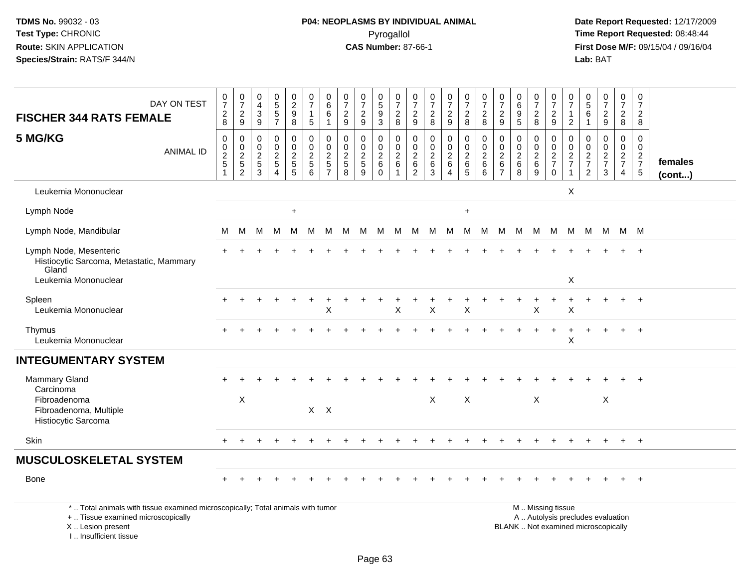| DAY ON TEST<br><b>FISCHER 344 RATS FEMALE</b>                                                                                              | $\pmb{0}$<br>$\overline{7}$<br>$\sqrt{2}$<br>$\,8\,$                     | $\frac{0}{7}$<br>$\frac{2}{9}$                      | 0<br>4<br>$\ensuremath{\mathsf{3}}$<br>$\boldsymbol{9}$ | $\begin{matrix}0\\5\\5\end{matrix}$<br>$\overline{7}$                | $\begin{smallmatrix} 0\\2\\9 \end{smallmatrix}$<br>8          | 0<br>$\overline{7}$<br>$\overline{1}$<br>$\sqrt{5}$           | 0<br>$\,6\,$<br>$\,6\,$<br>$\overline{1}$                                 | 0<br>$\overline{7}$<br>$\overline{c}$<br>9    | $\frac{0}{7}$<br>$\overline{c}$<br>9              | 0<br>$\overline{5}$<br>$\boldsymbol{9}$<br>3           | $\frac{0}{7}$<br>$^2_{\bf 8}$                                  | 0<br>$\overline{7}$<br>$\frac{2}{9}$                             | $\frac{0}{7}$<br>$\sqrt{2}$<br>8                                          | $\frac{0}{7}$<br>$\frac{2}{9}$                 | 0<br>$\overline{7}$<br>$\overline{2}$<br>8                  | $\frac{0}{7}$<br>$\overline{\mathbf{c}}$<br>8                                | $\frac{0}{7}$<br>$\sqrt{2}$<br>9                              | $\begin{array}{c} 0 \\ 6 \end{array}$<br>$\boldsymbol{9}$<br>5 | $\frac{0}{7}$<br>$\frac{2}{8}$                      | 0<br>$\overline{7}$<br>$\sqrt{2}$<br>9                                                        | 0<br>$\overline{7}$<br>$\mathbf{1}$<br>$\sqrt{2}$ | 0<br>$\overline{5}$<br>$\,6\,$<br>$\mathbf{1}$             | $\frac{0}{7}$<br>$\overline{a}$<br>9          | 0<br>$\overline{7}$<br>$\overline{a}$<br>8 | 0<br>$\overline{7}$<br>$\overline{c}$<br>8                     |                         |
|--------------------------------------------------------------------------------------------------------------------------------------------|--------------------------------------------------------------------------|-----------------------------------------------------|---------------------------------------------------------|----------------------------------------------------------------------|---------------------------------------------------------------|---------------------------------------------------------------|---------------------------------------------------------------------------|-----------------------------------------------|---------------------------------------------------|--------------------------------------------------------|----------------------------------------------------------------|------------------------------------------------------------------|---------------------------------------------------------------------------|------------------------------------------------|-------------------------------------------------------------|------------------------------------------------------------------------------|---------------------------------------------------------------|----------------------------------------------------------------|-----------------------------------------------------|-----------------------------------------------------------------------------------------------|---------------------------------------------------|------------------------------------------------------------|-----------------------------------------------|--------------------------------------------|----------------------------------------------------------------|-------------------------|
| 5 MG/KG<br><b>ANIMAL ID</b>                                                                                                                | $\mathbf 0$<br>$\mathbf 0$<br>$\overline{\mathbf{c}}$<br>$\sqrt{5}$<br>1 | 0<br>$\mathbf 0$<br>$\frac{2}{5}$<br>$\overline{2}$ | $\mathbf 0$<br>$\Omega$<br>$\overline{c}$<br>5<br>3     | $\mathbf 0$<br>$\pmb{0}$<br>$\frac{2}{5}$<br>$\overline{\mathbf{4}}$ | $\mathbf 0$<br>$\mathbf 0$<br>$\frac{2}{5}$<br>$\overline{5}$ | $\mathbf 0$<br>$\mathbf 0$<br>$\frac{2}{5}$<br>$6\phantom{a}$ | $\mathbf 0$<br>$\Omega$<br>$\overline{c}$<br>$\sqrt{5}$<br>$\overline{7}$ | $\mathbf 0$<br>$\Omega$<br>$\frac{2}{5}$<br>8 | 0<br>$\mathbf 0$<br>$rac{2}{5}$<br>$\overline{9}$ | $\mathbf 0$<br>$\mathbf 0$<br>$\overline{c}$<br>6<br>0 | $\mathbf 0$<br>$\mathbf 0$<br>$\overline{\mathbf{c}}$<br>$\,6$ | $\mathbf 0$<br>$\mathbf 0$<br>$^2\phantom{0}6$<br>$\overline{2}$ | $\mathbf 0$<br>$\mathbf 0$<br>$\boldsymbol{2}$<br>$\,6\,$<br>$\mathbf{3}$ | $\mathbf 0$<br>$\pmb{0}$<br>$\frac{2}{6}$<br>4 | 0<br>$\mathsf{O}\xspace$<br>$\frac{2}{6}$<br>$\overline{5}$ | $\mathbf 0$<br>$\mathbf 0$<br>$\overline{\mathbf{c}}$<br>6<br>$6\phantom{a}$ | $\Omega$<br>$\Omega$<br>$\overline{c}$<br>6<br>$\overline{7}$ | $\mathbf 0$<br>$\mathbf 0$<br>$^2\phantom{1}6$<br>8            | 0<br>$\mathbf 0$<br>$\frac{2}{6}$<br>$\overline{9}$ | $\mathbf 0$<br>$\Omega$<br>$\frac{2}{7}$<br>$\mathbf 0$                                       | $\mathbf 0$<br>$\Omega$<br>$\frac{2}{7}$<br>1     | $\mathbf 0$<br>$\Omega$<br>$\frac{2}{7}$<br>$\overline{c}$ | $\mathbf 0$<br>$\Omega$<br>$\frac{2}{7}$<br>3 | 0<br>$\mathbf 0$<br>$\frac{2}{7}$<br>4     | $\mathbf 0$<br>$\mathbf 0$<br>$\frac{2}{7}$<br>$5\phantom{.0}$ | females<br>$($ cont $)$ |
| Leukemia Mononuclear                                                                                                                       |                                                                          |                                                     |                                                         |                                                                      |                                                               |                                                               |                                                                           |                                               |                                                   |                                                        |                                                                |                                                                  |                                                                           |                                                |                                                             |                                                                              |                                                               |                                                                |                                                     |                                                                                               | X                                                 |                                                            |                                               |                                            |                                                                |                         |
| Lymph Node                                                                                                                                 |                                                                          |                                                     |                                                         |                                                                      | $\ddot{}$                                                     |                                                               |                                                                           |                                               |                                                   |                                                        |                                                                |                                                                  |                                                                           |                                                | $\ddot{}$                                                   |                                                                              |                                                               |                                                                |                                                     |                                                                                               |                                                   |                                                            |                                               |                                            |                                                                |                         |
| Lymph Node, Mandibular                                                                                                                     | M                                                                        | M                                                   | м                                                       | M                                                                    | M                                                             | M                                                             | M                                                                         | M                                             | - M                                               | M                                                      |                                                                | M M                                                              | M.                                                                        | M.                                             | M                                                           | M                                                                            |                                                               | M M M                                                          |                                                     | M                                                                                             |                                                   | M M M                                                      |                                               |                                            | M M                                                            |                         |
| Lymph Node, Mesenteric<br>Histiocytic Sarcoma, Metastatic, Mammary<br>Gland<br>Leukemia Mononuclear                                        |                                                                          |                                                     |                                                         |                                                                      |                                                               |                                                               |                                                                           |                                               |                                                   |                                                        |                                                                |                                                                  |                                                                           |                                                |                                                             |                                                                              |                                                               |                                                                |                                                     |                                                                                               | X                                                 |                                                            |                                               |                                            | $\overline{+}$                                                 |                         |
| Spleen<br>Leukemia Mononuclear                                                                                                             |                                                                          |                                                     |                                                         |                                                                      |                                                               |                                                               | Χ                                                                         |                                               |                                                   |                                                        | X                                                              |                                                                  | X                                                                         |                                                | $\sf X$                                                     |                                                                              |                                                               |                                                                | $\pmb{\times}$                                      |                                                                                               | Χ                                                 |                                                            |                                               |                                            | $+$                                                            |                         |
| Thymus<br>Leukemia Mononuclear                                                                                                             |                                                                          |                                                     |                                                         |                                                                      |                                                               |                                                               |                                                                           |                                               |                                                   |                                                        |                                                                |                                                                  |                                                                           |                                                |                                                             |                                                                              |                                                               |                                                                |                                                     |                                                                                               | X                                                 |                                                            |                                               |                                            | $+$                                                            |                         |
| <b>INTEGUMENTARY SYSTEM</b>                                                                                                                |                                                                          |                                                     |                                                         |                                                                      |                                                               |                                                               |                                                                           |                                               |                                                   |                                                        |                                                                |                                                                  |                                                                           |                                                |                                                             |                                                                              |                                                               |                                                                |                                                     |                                                                                               |                                                   |                                                            |                                               |                                            |                                                                |                         |
| Mammary Gland<br>Carcinoma<br>Fibroadenoma<br>Fibroadenoma, Multiple<br>Histiocytic Sarcoma                                                |                                                                          | $\boldsymbol{\mathsf{X}}$                           |                                                         |                                                                      |                                                               |                                                               | $X$ $X$                                                                   |                                               |                                                   |                                                        |                                                                |                                                                  | $\sf X$                                                                   |                                                | $\mathsf{X}$                                                |                                                                              |                                                               |                                                                | X                                                   |                                                                                               |                                                   |                                                            | X                                             |                                            |                                                                |                         |
| Skin                                                                                                                                       |                                                                          | $\div$                                              |                                                         |                                                                      |                                                               |                                                               |                                                                           |                                               |                                                   |                                                        |                                                                |                                                                  |                                                                           |                                                |                                                             |                                                                              |                                                               |                                                                | ÷                                                   |                                                                                               |                                                   |                                                            | $\ddot{}$                                     | $+$                                        | $+$                                                            |                         |
| <b>MUSCULOSKELETAL SYSTEM</b>                                                                                                              |                                                                          |                                                     |                                                         |                                                                      |                                                               |                                                               |                                                                           |                                               |                                                   |                                                        |                                                                |                                                                  |                                                                           |                                                |                                                             |                                                                              |                                                               |                                                                |                                                     |                                                                                               |                                                   |                                                            |                                               |                                            |                                                                |                         |
| <b>Bone</b>                                                                                                                                |                                                                          |                                                     |                                                         |                                                                      |                                                               |                                                               |                                                                           |                                               |                                                   |                                                        |                                                                |                                                                  |                                                                           |                                                |                                                             |                                                                              |                                                               |                                                                |                                                     |                                                                                               |                                                   |                                                            |                                               |                                            | $\overline{1}$                                                 |                         |
| *  Total animals with tissue examined microscopically; Total animals with tumor<br>+  Tissue examined microscopically<br>X  Lesion present |                                                                          |                                                     |                                                         |                                                                      |                                                               |                                                               |                                                                           |                                               |                                                   |                                                        |                                                                |                                                                  |                                                                           |                                                |                                                             |                                                                              |                                                               |                                                                |                                                     | M  Missing tissue<br>A  Autolysis precludes evaluation<br>BLANK  Not examined microscopically |                                                   |                                                            |                                               |                                            |                                                                |                         |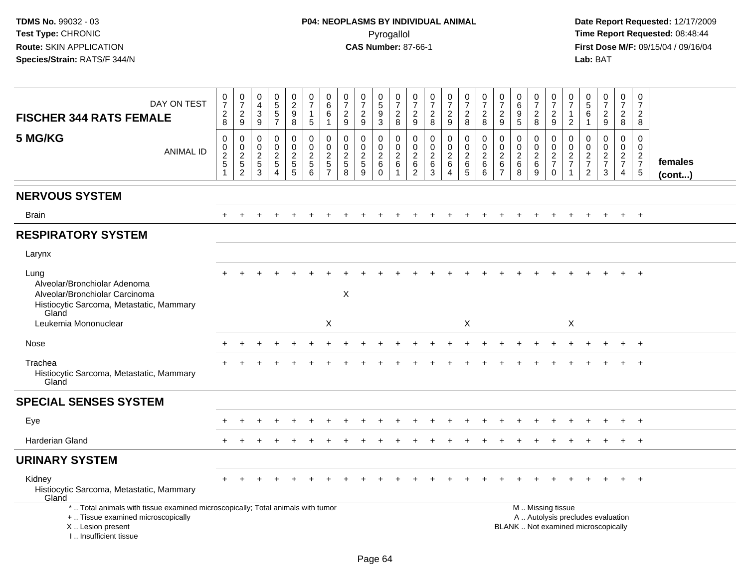| DAY ON TEST<br><b>FISCHER 344 RATS FEMALE</b>                                                                                                                       | $\frac{0}{7}$<br>$_{8}^2$                                                | 0<br>$\overline{7}$<br>$\frac{2}{9}$                          | 0<br>$\overline{4}$<br>3<br>$\overline{9}$                                         | $\pmb{0}$<br>$\sqrt{5}$<br>$\sqrt{5}$<br>$\overline{7}$            | 0<br>$\overline{c}$<br>9<br>$\bf 8$                                      | 0<br>$\overline{7}$<br>1<br>5                   | 0<br>$6\phantom{1}$<br>6<br>$\overline{1}$                         | $\frac{0}{7}$<br>$\overline{2}$<br>9                                | 0<br>$\overline{7}$<br>$\frac{2}{9}$   | 0<br>$\sqrt{5}$<br>$9\,$<br>$\overline{3}$                                             | 0<br>$\overline{7}$<br>$\frac{2}{8}$                         | 0<br>$\overline{7}$<br>$\overline{2}$<br>$9\,$            | $\frac{0}{7}$<br>$_{8}^2$                    | $\frac{0}{7}$<br>$\overline{c}$<br>9                            | $\begin{array}{c} 0 \\ 7 \end{array}$<br>$\overline{2}$<br>8  | $\boldsymbol{0}$<br>$\overline{7}$<br>$_{8}^2$         | $\pmb{0}$<br>$\overline{7}$<br>$\overline{c}$<br>$\overline{9}$     | 0<br>$\,6$<br>$\boldsymbol{9}$<br>$\overline{5}$ | 0<br>$\overline{7}$<br>$_{8}^2$         | 0<br>$\overline{7}$<br>$\overline{\mathbf{c}}$<br>9                                           | 0<br>$\overline{7}$<br>$\mathbf{1}$<br>$\overline{2}$                | $\begin{array}{c} 0 \\ 5 \end{array}$<br>6<br>$\mathbf{1}$ | $\begin{smallmatrix}0\\7\end{smallmatrix}$<br>$\frac{2}{9}$ | $\pmb{0}$<br>$\overline{7}$<br>$\overline{2}$<br>8 | 0<br>$\overline{7}$<br>2<br>8                              |                         |
|---------------------------------------------------------------------------------------------------------------------------------------------------------------------|--------------------------------------------------------------------------|---------------------------------------------------------------|------------------------------------------------------------------------------------|--------------------------------------------------------------------|--------------------------------------------------------------------------|-------------------------------------------------|--------------------------------------------------------------------|---------------------------------------------------------------------|----------------------------------------|----------------------------------------------------------------------------------------|--------------------------------------------------------------|-----------------------------------------------------------|----------------------------------------------|-----------------------------------------------------------------|---------------------------------------------------------------|--------------------------------------------------------|---------------------------------------------------------------------|--------------------------------------------------|-----------------------------------------|-----------------------------------------------------------------------------------------------|----------------------------------------------------------------------|------------------------------------------------------------|-------------------------------------------------------------|----------------------------------------------------|------------------------------------------------------------|-------------------------|
| 5 MG/KG<br><b>ANIMAL ID</b>                                                                                                                                         | $\pmb{0}$<br>$\pmb{0}$<br>$\overline{c}$<br>$\sqrt{5}$<br>$\overline{1}$ | $\mathbf 0$<br>$\mathbf 0$<br>$\frac{2}{5}$<br>$\overline{c}$ | $\mathbf 0$<br>$\mathsf{O}\xspace$<br>$\overline{2}$<br>$\sqrt{5}$<br>$\mathbf{3}$ | 0<br>$\mathbf 0$<br>$\sqrt{2}$<br>$\overline{5}$<br>$\overline{4}$ | 0<br>$\mathbf 0$<br>$\boldsymbol{2}$<br>$\overline{5}$<br>$\overline{5}$ | 0<br>0<br>$\overline{c}$<br>5<br>$6\phantom{a}$ | 0<br>$\mathbf 0$<br>$\overline{c}$<br>$\sqrt{5}$<br>$\overline{7}$ | $\mathbf 0$<br>$\mathbf 0$<br>$\overline{2}$<br>$\overline{5}$<br>8 | 0<br>$\mathbf 0$<br>$\frac{2}{5}$<br>9 | $\mathbf 0$<br>$\mathsf{O}\xspace$<br>$\overline{2}$<br>$6\phantom{1}6$<br>$\mathbf 0$ | $\mathbf 0$<br>$\mathbf 0$<br>2<br>$\,6\,$<br>$\overline{1}$ | 0<br>$\mathbf 0$<br>$\overline{c}$<br>6<br>$\overline{2}$ | 0<br>$\mathbf 0$<br>$\overline{a}$<br>6<br>3 | 0<br>$\mathbf 0$<br>$\overline{2}$<br>$\,6\,$<br>$\overline{4}$ | 0<br>$\pmb{0}$<br>$\overline{c}$<br>$\,6\,$<br>$\overline{5}$ | 0<br>$\mathbf 0$<br>$\sqrt{2}$<br>6<br>$6\phantom{1}6$ | $\mathbf 0$<br>$\mathbf 0$<br>$\overline{c}$<br>6<br>$\overline{7}$ | 0<br>$\pmb{0}$<br>$\frac{2}{6}$<br>8             | 0<br>$\pmb{0}$<br>$^2\phantom{1}6$<br>9 | 0<br>0<br>$\frac{2}{7}$<br>$\mathbf 0$                                                        | 0<br>$\mathbf 0$<br>$\overline{c}$<br>$\overline{7}$<br>$\mathbf{1}$ | 0<br>$\mathbf 0$<br>$\frac{2}{7}$<br>$\overline{2}$        | 0<br>$\mathbf 0$<br>$\frac{2}{7}$<br>3                      | 0<br>$\mathbf 0$<br>$rac{2}{7}$<br>$\overline{4}$  | $\Omega$<br>$\overline{0}$<br>$\frac{2}{7}$<br>$\,$ 5 $\,$ | females<br>$($ cont $)$ |
| <b>NERVOUS SYSTEM</b>                                                                                                                                               |                                                                          |                                                               |                                                                                    |                                                                    |                                                                          |                                                 |                                                                    |                                                                     |                                        |                                                                                        |                                                              |                                                           |                                              |                                                                 |                                                               |                                                        |                                                                     |                                                  |                                         |                                                                                               |                                                                      |                                                            |                                                             |                                                    |                                                            |                         |
| <b>Brain</b>                                                                                                                                                        | $\ddot{}$                                                                |                                                               |                                                                                    |                                                                    |                                                                          |                                                 |                                                                    |                                                                     |                                        |                                                                                        |                                                              |                                                           |                                              |                                                                 |                                                               |                                                        |                                                                     |                                                  |                                         |                                                                                               |                                                                      |                                                            |                                                             | $\ddot{}$                                          | $+$                                                        |                         |
| <b>RESPIRATORY SYSTEM</b>                                                                                                                                           |                                                                          |                                                               |                                                                                    |                                                                    |                                                                          |                                                 |                                                                    |                                                                     |                                        |                                                                                        |                                                              |                                                           |                                              |                                                                 |                                                               |                                                        |                                                                     |                                                  |                                         |                                                                                               |                                                                      |                                                            |                                                             |                                                    |                                                            |                         |
| Larynx                                                                                                                                                              |                                                                          |                                                               |                                                                                    |                                                                    |                                                                          |                                                 |                                                                    |                                                                     |                                        |                                                                                        |                                                              |                                                           |                                              |                                                                 |                                                               |                                                        |                                                                     |                                                  |                                         |                                                                                               |                                                                      |                                                            |                                                             |                                                    |                                                            |                         |
| Lung<br>Alveolar/Bronchiolar Adenoma<br>Alveolar/Bronchiolar Carcinoma<br>Histiocytic Sarcoma, Metastatic, Mammary<br>Gland                                         |                                                                          |                                                               |                                                                                    |                                                                    |                                                                          |                                                 |                                                                    | X                                                                   |                                        |                                                                                        |                                                              |                                                           |                                              |                                                                 |                                                               |                                                        |                                                                     |                                                  |                                         |                                                                                               |                                                                      |                                                            |                                                             |                                                    | $\ddot{}$                                                  |                         |
| Leukemia Mononuclear                                                                                                                                                |                                                                          |                                                               |                                                                                    |                                                                    |                                                                          |                                                 | X                                                                  |                                                                     |                                        |                                                                                        |                                                              |                                                           |                                              |                                                                 | X                                                             |                                                        |                                                                     |                                                  |                                         |                                                                                               | X                                                                    |                                                            |                                                             |                                                    |                                                            |                         |
| Nose                                                                                                                                                                |                                                                          |                                                               |                                                                                    |                                                                    |                                                                          |                                                 |                                                                    |                                                                     |                                        |                                                                                        |                                                              |                                                           |                                              |                                                                 |                                                               |                                                        |                                                                     |                                                  |                                         |                                                                                               |                                                                      |                                                            |                                                             |                                                    |                                                            |                         |
| Trachea<br>Histiocytic Sarcoma, Metastatic, Mammary<br>Gland                                                                                                        |                                                                          |                                                               |                                                                                    |                                                                    |                                                                          |                                                 |                                                                    |                                                                     |                                        |                                                                                        |                                                              |                                                           |                                              |                                                                 |                                                               |                                                        |                                                                     |                                                  |                                         |                                                                                               |                                                                      |                                                            |                                                             |                                                    |                                                            |                         |
| <b>SPECIAL SENSES SYSTEM</b>                                                                                                                                        |                                                                          |                                                               |                                                                                    |                                                                    |                                                                          |                                                 |                                                                    |                                                                     |                                        |                                                                                        |                                                              |                                                           |                                              |                                                                 |                                                               |                                                        |                                                                     |                                                  |                                         |                                                                                               |                                                                      |                                                            |                                                             |                                                    |                                                            |                         |
| Eye                                                                                                                                                                 |                                                                          |                                                               |                                                                                    |                                                                    |                                                                          |                                                 |                                                                    |                                                                     |                                        |                                                                                        |                                                              |                                                           |                                              |                                                                 |                                                               |                                                        |                                                                     |                                                  |                                         |                                                                                               |                                                                      |                                                            |                                                             |                                                    |                                                            |                         |
| Harderian Gland                                                                                                                                                     |                                                                          |                                                               |                                                                                    |                                                                    |                                                                          |                                                 |                                                                    |                                                                     |                                        |                                                                                        |                                                              |                                                           |                                              |                                                                 |                                                               |                                                        |                                                                     |                                                  |                                         |                                                                                               |                                                                      |                                                            |                                                             |                                                    | $\div$                                                     |                         |
| <b>URINARY SYSTEM</b>                                                                                                                                               |                                                                          |                                                               |                                                                                    |                                                                    |                                                                          |                                                 |                                                                    |                                                                     |                                        |                                                                                        |                                                              |                                                           |                                              |                                                                 |                                                               |                                                        |                                                                     |                                                  |                                         |                                                                                               |                                                                      |                                                            |                                                             |                                                    |                                                            |                         |
| Kidney<br>Histiocytic Sarcoma, Metastatic, Mammary<br>Gland                                                                                                         |                                                                          |                                                               |                                                                                    |                                                                    |                                                                          |                                                 |                                                                    |                                                                     |                                        |                                                                                        |                                                              |                                                           |                                              |                                                                 |                                                               |                                                        |                                                                     |                                                  |                                         |                                                                                               |                                                                      |                                                            |                                                             |                                                    | $+$                                                        |                         |
| *  Total animals with tissue examined microscopically; Total animals with tumor<br>+  Tissue examined microscopically<br>X  Lesion present<br>I Insufficient tissue |                                                                          |                                                               |                                                                                    |                                                                    |                                                                          |                                                 |                                                                    |                                                                     |                                        |                                                                                        |                                                              |                                                           |                                              |                                                                 |                                                               |                                                        |                                                                     |                                                  |                                         | M  Missing tissue<br>A  Autolysis precludes evaluation<br>BLANK  Not examined microscopically |                                                                      |                                                            |                                                             |                                                    |                                                            |                         |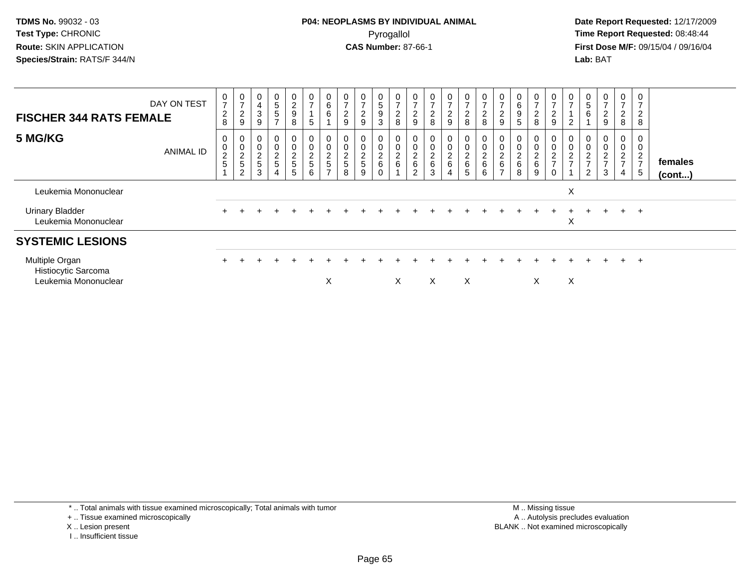**Date Report Requested:** 12/17/2009 **First Dose M/F:** 09/15/04 / 09/16/04 Lab: BAT **Lab:** BAT

| <b>FISCHER 344 RATS FEMALE</b>                                | DAY ON TEST      | $\frac{0}{7}$<br>$\overline{c}$<br>8             | $\frac{0}{7}$<br>$\frac{2}{9}$                                    | 0<br>4<br>$\ensuremath{\mathsf{3}}$<br>9                   | $\begin{array}{c} 0 \\ 5 \end{array}$<br>5 | 0<br>$\frac{2}{9}$<br>8              | $\frac{0}{7}$<br>5                     | $\begin{matrix}0\0\0\0\end{matrix}$ | $\rightarrow$<br>$\boldsymbol{2}$<br>9 | $\frac{0}{7}$<br>$\sqrt{2}$<br>9     | $\begin{array}{c} 0 \\ 5 \end{array}$<br>$\boldsymbol{9}$<br>3 | $\frac{0}{7}$<br>$_{\rm 8}^2$ | 0<br>$\rightarrow$<br>$\overline{\mathbf{c}}$<br>9 | $\frac{0}{7}$<br>$\overline{c}$<br>8 | $\frac{0}{7}$<br>$\overline{2}$<br>9 | $\frac{0}{7}$<br>$\overline{c}$<br>8 | $\frac{0}{7}$<br>$\sqrt{2}$<br>$\,8\,$                           | $\frac{0}{7}$<br>$\overline{c}$<br>9            | 0<br>$\,6$<br>$\boldsymbol{9}$<br>5     | 0<br>$\rightarrow$<br>$\overline{\mathbf{c}}$<br>8 | $\frac{0}{7}$<br>$\overline{\mathbf{c}}$<br>9 | $\frac{0}{7}$<br>$\overline{2}$   | $\sqrt{5}$<br>6                                  | $\mathbf 0$<br>$\rightarrow$<br>$\boldsymbol{2}$<br>$9\,$ | $\frac{0}{7}$<br>$\overline{c}$<br>8 | 0<br>$\overline{7}$<br>$\overline{2}$<br>$\bf8$                  |                   |
|---------------------------------------------------------------|------------------|--------------------------------------------------|-------------------------------------------------------------------|------------------------------------------------------------|--------------------------------------------|--------------------------------------|----------------------------------------|-------------------------------------|----------------------------------------|--------------------------------------|----------------------------------------------------------------|-------------------------------|----------------------------------------------------|--------------------------------------|--------------------------------------|--------------------------------------|------------------------------------------------------------------|-------------------------------------------------|-----------------------------------------|----------------------------------------------------|-----------------------------------------------|-----------------------------------|--------------------------------------------------|-----------------------------------------------------------|--------------------------------------|------------------------------------------------------------------|-------------------|
| 5 MG/KG                                                       | <b>ANIMAL ID</b> | 0<br>$\mathbf 0$<br>$\overline{\mathbf{c}}$<br>5 | 0<br>$\begin{array}{c} 0 \\ 2 \\ 5 \end{array}$<br>$\overline{2}$ | $\begin{matrix} 0 \\ 0 \end{matrix}$<br>$\frac{2}{5}$<br>3 | 00025<br>$\overline{4}$                    | 0<br>$\pmb{0}$<br>$\frac{2}{5}$<br>5 | 0<br>$\mathbf 0$<br>$\frac{2}{5}$<br>6 | 0<br>0<br>2<br>5<br>$\rightarrow$   | $\frac{2}{5}$<br>8                     | 0<br>$\pmb{0}$<br>$\frac{2}{5}$<br>9 | 0<br>$\pmb{0}$<br>$\frac{2}{6}$<br>0                           | 00026                         | $\,0\,$<br>$\frac{2}{6}$<br>$\mathcal{D}$          | $\pmb{0}$<br>$\frac{2}{6}$<br>3      | 0<br>$\pmb{0}$<br>$\frac{2}{6}$<br>4 | 0<br>0<br>$\frac{2}{6}$<br>5         | $\begin{matrix} 0 \\ 0 \end{matrix}$<br>$\frac{2}{6}$<br>$\,6\,$ | $\pmb{0}$<br>$^2\phantom{1}6$<br>$\overline{ }$ | 0<br>$\pmb{0}$<br>$^2\phantom{1}6$<br>8 | 0<br>$\pmb{0}$<br>$\frac{2}{6}$<br>9               | $\pmb{0}$<br>$\frac{2}{7}$                    | 0<br>$\mathbf 0$<br>$\frac{2}{7}$ | $\,0\,$<br>$\overline{c}$<br>$\overline{ }$<br>2 | 0<br>$\pmb{0}$<br>$\overline{c}$<br>$\overline{ }$<br>3   | 0<br>0<br>$\frac{2}{7}$<br>4         | 0<br>$\pmb{0}$<br>$\overline{2}$<br>$\overline{7}$<br>$\sqrt{5}$ | females<br>(cont) |
| Leukemia Mononuclear                                          |                  |                                                  |                                                                   |                                                            |                                            |                                      |                                        |                                     |                                        |                                      |                                                                |                               |                                                    |                                      |                                      |                                      |                                                                  |                                                 |                                         |                                                    |                                               | X                                 |                                                  |                                                           |                                      |                                                                  |                   |
| <b>Urinary Bladder</b><br>Leukemia Mononuclear                |                  |                                                  |                                                                   |                                                            |                                            |                                      |                                        |                                     |                                        |                                      |                                                                |                               |                                                    |                                      |                                      |                                      |                                                                  |                                                 |                                         |                                                    |                                               | X                                 |                                                  |                                                           | $+$                                  | $+$                                                              |                   |
| <b>SYSTEMIC LESIONS</b>                                       |                  |                                                  |                                                                   |                                                            |                                            |                                      |                                        |                                     |                                        |                                      |                                                                |                               |                                                    |                                      |                                      |                                      |                                                                  |                                                 |                                         |                                                    |                                               |                                   |                                                  |                                                           |                                      |                                                                  |                   |
| Multiple Organ<br>Histiocytic Sarcoma<br>Leukemia Mononuclear |                  |                                                  |                                                                   |                                                            |                                            |                                      |                                        | X                                   |                                        |                                      |                                                                | X                             |                                                    | X                                    |                                      | X                                    |                                                                  |                                                 |                                         | X.                                                 |                                               | X                                 |                                                  |                                                           | $+$                                  | $+$                                                              |                   |

\* .. Total animals with tissue examined microscopically; Total animals with tumor

+ .. Tissue examined microscopically

X .. Lesion present

I .. Insufficient tissue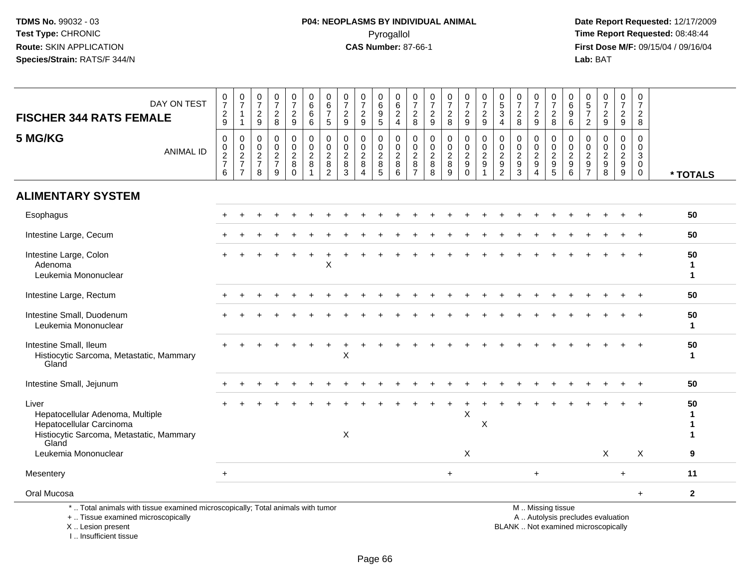**Date Report Requested:** 12/17/2009 **First Dose M/F:** 09/15/04 / 09/16/04<br>Lab: BAT **Lab:** BAT

| DAY ON TEST<br><b>FISCHER 344 RATS FEMALE</b>                                                                                              | $\mathbf 0$<br>$\overline{7}$<br>$\frac{2}{9}$ | $\frac{0}{7}$<br>$\overline{1}$<br>$\overline{1}$ | $\pmb{0}$<br>$\overline{7}$<br>$\frac{2}{9}$                        | 0<br>$\overline{7}$<br>$\frac{2}{8}$                                  | $\frac{0}{7}$<br>$\frac{2}{9}$                      | $\pmb{0}$<br>6<br>6<br>6                | $\pmb{0}$<br>$\,6$<br>$\overline{7}$<br>5                                         | $\frac{0}{7}$<br>$\frac{2}{9}$                          | $\frac{0}{7}$<br>$\boldsymbol{2}$<br>$\overline{9}$     | $\pmb{0}$<br>$^6_9$<br>$\overline{5}$               | 0<br>6<br>$\frac{2}{4}$                            | 0<br>$\overline{7}$<br>$_{8}^2$                                           | 0<br>$\boldsymbol{7}$<br>$\frac{2}{9}$             | $\frac{0}{7}$<br>$\frac{2}{8}$                                              | $\frac{0}{7}$<br>$\frac{2}{9}$                   | $\frac{0}{7}$<br>$\frac{2}{9}$                            | $\begin{array}{c} 0 \\ 5 \end{array}$<br>3<br>4                                    | $\frac{0}{7}$<br>$\overline{c}$<br>$\,8\,$                                         | $\frac{0}{7}$<br>$\overline{2}$<br>9                   | 0<br>$\overline{7}$<br>$_{8}^2$                                                               | 0<br>$\,6\,$<br>$9\,$<br>$6\phantom{1}$                                         | 0<br>$\sqrt{5}$<br>$\overline{7}$<br>$\overline{2}$                       | $\frac{0}{7}$<br>$\frac{2}{9}$                                    | $\frac{0}{7}$<br>$\frac{2}{9}$                                           | $\mathbf 0$<br>$\overline{7}$<br>$\overline{2}$<br>8 |                                        |
|--------------------------------------------------------------------------------------------------------------------------------------------|------------------------------------------------|---------------------------------------------------|---------------------------------------------------------------------|-----------------------------------------------------------------------|-----------------------------------------------------|-----------------------------------------|-----------------------------------------------------------------------------------|---------------------------------------------------------|---------------------------------------------------------|-----------------------------------------------------|----------------------------------------------------|---------------------------------------------------------------------------|----------------------------------------------------|-----------------------------------------------------------------------------|--------------------------------------------------|-----------------------------------------------------------|------------------------------------------------------------------------------------|------------------------------------------------------------------------------------|--------------------------------------------------------|-----------------------------------------------------------------------------------------------|---------------------------------------------------------------------------------|---------------------------------------------------------------------------|-------------------------------------------------------------------|--------------------------------------------------------------------------|------------------------------------------------------|----------------------------------------|
| 5 MG/KG<br><b>ANIMAL ID</b>                                                                                                                | 0<br>0<br>$\frac{2}{7}$<br>$6\phantom{1}$      | 0<br>$\frac{0}{2}$<br>$\overline{7}$              | $\mathbf 0$<br>$\mathbf 0$<br>$\overline{2}$<br>$\overline{7}$<br>8 | $\mathbf 0$<br>$\mathbf 0$<br>$\boldsymbol{2}$<br>$\overline{7}$<br>9 | 0<br>$\mathbf 0$<br>$\overline{2}$<br>8<br>$\Omega$ | 0<br>$\mathbf 0$<br>$\overline{2}$<br>8 | $\mathbf 0$<br>$\mathsf{O}\xspace$<br>$\overline{2}$<br>$\bf 8$<br>$\overline{2}$ | $\mathbf 0$<br>$\mathbf 0$<br>$\sqrt{2}$<br>$\bf8$<br>3 | $\mathbf 0$<br>$\mathbf 0$<br>$\sqrt{2}$<br>$\bf8$<br>4 | 0<br>$\mathbf 0$<br>$\boldsymbol{2}$<br>$\, 8$<br>5 | 0<br>$\mathbf 0$<br>$\overline{2}$<br>$\,8\,$<br>6 | $\mathbf 0$<br>$\mathbf 0$<br>$\overline{c}$<br>$\,8\,$<br>$\overline{7}$ | 0<br>$\mathbf 0$<br>$\overline{c}$<br>$\bf 8$<br>8 | $\mathbf 0$<br>$\mathbf 0$<br>$\boldsymbol{2}$<br>$\bf 8$<br>$\overline{9}$ | 0<br>$\mathbf 0$<br>$\frac{2}{9}$<br>$\mathbf 0$ | $\pmb{0}$<br>$\mathbf 0$<br>$\frac{2}{9}$<br>$\mathbf{1}$ | $\mathbf 0$<br>$\mathbf 0$<br>$\overline{c}$<br>$\boldsymbol{9}$<br>$\overline{2}$ | $\mathbf 0$<br>$\mathbf 0$<br>$\overline{2}$<br>$\boldsymbol{9}$<br>$\overline{3}$ | 0<br>$\mathbf 0$<br>$\overline{2}$<br>$\mathsf g$<br>4 | 0<br>0<br>$\overline{2}$<br>$\boldsymbol{9}$<br>$\overline{5}$                                | $\mathbf 0$<br>$\mathbf 0$<br>$\sqrt{2}$<br>$\boldsymbol{9}$<br>$6\phantom{1}6$ | 0<br>$\mathbf{0}$<br>$\overline{2}$<br>$\boldsymbol{9}$<br>$\overline{7}$ | $\mathbf 0$<br>$\mathbf 0$<br>$\sqrt{2}$<br>$\boldsymbol{9}$<br>8 | $\mathbf 0$<br>$\overline{0}$<br>$\overline{2}$<br>$\boldsymbol{9}$<br>9 | 0<br>$\mathbf 0$<br>3<br>$\mathbf 0$<br>$\mathbf 0$  | * TOTALS                               |
| <b>ALIMENTARY SYSTEM</b>                                                                                                                   |                                                |                                                   |                                                                     |                                                                       |                                                     |                                         |                                                                                   |                                                         |                                                         |                                                     |                                                    |                                                                           |                                                    |                                                                             |                                                  |                                                           |                                                                                    |                                                                                    |                                                        |                                                                                               |                                                                                 |                                                                           |                                                                   |                                                                          |                                                      |                                        |
| Esophagus                                                                                                                                  |                                                |                                                   |                                                                     |                                                                       |                                                     |                                         |                                                                                   |                                                         |                                                         |                                                     |                                                    |                                                                           |                                                    |                                                                             |                                                  |                                                           |                                                                                    |                                                                                    |                                                        |                                                                                               |                                                                                 |                                                                           |                                                                   |                                                                          | $\ddot{}$                                            | 50                                     |
| Intestine Large, Cecum                                                                                                                     |                                                |                                                   |                                                                     |                                                                       |                                                     |                                         |                                                                                   |                                                         |                                                         |                                                     |                                                    |                                                                           |                                                    |                                                                             |                                                  |                                                           |                                                                                    |                                                                                    |                                                        |                                                                                               |                                                                                 |                                                                           |                                                                   |                                                                          |                                                      | 50                                     |
| Intestine Large, Colon<br>Adenoma<br>Leukemia Mononuclear                                                                                  |                                                |                                                   |                                                                     |                                                                       |                                                     |                                         | $\boldsymbol{\mathsf{X}}$                                                         |                                                         |                                                         |                                                     |                                                    |                                                                           |                                                    |                                                                             |                                                  |                                                           |                                                                                    |                                                                                    |                                                        |                                                                                               |                                                                                 |                                                                           |                                                                   |                                                                          |                                                      | 50<br>$\mathbf 1$<br>$\mathbf 1$       |
| Intestine Large, Rectum                                                                                                                    |                                                |                                                   |                                                                     |                                                                       |                                                     |                                         |                                                                                   |                                                         |                                                         |                                                     |                                                    |                                                                           |                                                    |                                                                             |                                                  |                                                           |                                                                                    |                                                                                    |                                                        |                                                                                               |                                                                                 |                                                                           |                                                                   |                                                                          |                                                      | 50                                     |
| Intestine Small, Duodenum<br>Leukemia Mononuclear                                                                                          |                                                |                                                   |                                                                     |                                                                       |                                                     |                                         |                                                                                   |                                                         |                                                         |                                                     |                                                    |                                                                           |                                                    |                                                                             |                                                  |                                                           |                                                                                    |                                                                                    |                                                        |                                                                                               |                                                                                 |                                                                           |                                                                   |                                                                          |                                                      | 50<br>$\mathbf 1$                      |
| Intestine Small, Ileum<br>Histiocytic Sarcoma, Metastatic, Mammary<br>Gland                                                                |                                                |                                                   |                                                                     |                                                                       |                                                     |                                         |                                                                                   | X                                                       |                                                         |                                                     |                                                    |                                                                           |                                                    |                                                                             |                                                  |                                                           |                                                                                    |                                                                                    |                                                        |                                                                                               |                                                                                 |                                                                           |                                                                   |                                                                          |                                                      | 50<br>$\blacktriangleleft$             |
| Intestine Small, Jejunum                                                                                                                   |                                                |                                                   |                                                                     |                                                                       |                                                     |                                         |                                                                                   |                                                         |                                                         |                                                     |                                                    |                                                                           |                                                    |                                                                             |                                                  |                                                           |                                                                                    |                                                                                    |                                                        |                                                                                               |                                                                                 |                                                                           |                                                                   |                                                                          |                                                      | 50                                     |
| Liver<br>Hepatocellular Adenoma, Multiple<br>Hepatocellular Carcinoma<br>Histiocytic Sarcoma, Metastatic, Mammary<br>Gland                 |                                                |                                                   |                                                                     |                                                                       |                                                     |                                         |                                                                                   | X                                                       |                                                         |                                                     |                                                    |                                                                           |                                                    |                                                                             | X                                                | X                                                         |                                                                                    |                                                                                    |                                                        |                                                                                               |                                                                                 |                                                                           |                                                                   |                                                                          |                                                      | 50<br>-1<br>$\mathbf 1$<br>$\mathbf 1$ |
| Leukemia Mononuclear                                                                                                                       |                                                |                                                   |                                                                     |                                                                       |                                                     |                                         |                                                                                   |                                                         |                                                         |                                                     |                                                    |                                                                           |                                                    |                                                                             | X                                                |                                                           |                                                                                    |                                                                                    |                                                        |                                                                                               |                                                                                 |                                                                           | X                                                                 |                                                                          | X                                                    | 9                                      |
| Mesentery                                                                                                                                  | $\ddot{}$                                      |                                                   |                                                                     |                                                                       |                                                     |                                         |                                                                                   |                                                         |                                                         |                                                     |                                                    |                                                                           |                                                    | $\ddot{}$                                                                   |                                                  |                                                           |                                                                                    |                                                                                    | $\ddot{}$                                              |                                                                                               |                                                                                 |                                                                           |                                                                   | $\ddot{}$                                                                |                                                      | 11                                     |
| Oral Mucosa                                                                                                                                |                                                |                                                   |                                                                     |                                                                       |                                                     |                                         |                                                                                   |                                                         |                                                         |                                                     |                                                    |                                                                           |                                                    |                                                                             |                                                  |                                                           |                                                                                    |                                                                                    |                                                        |                                                                                               |                                                                                 |                                                                           |                                                                   |                                                                          | $+$                                                  | $\mathbf{2}$                           |
| *  Total animals with tissue examined microscopically; Total animals with tumor<br>+  Tissue examined microscopically<br>X  Lesion present |                                                |                                                   |                                                                     |                                                                       |                                                     |                                         |                                                                                   |                                                         |                                                         |                                                     |                                                    |                                                                           |                                                    |                                                                             |                                                  |                                                           |                                                                                    |                                                                                    |                                                        | M  Missing tissue<br>A  Autolysis precludes evaluation<br>BLANK  Not examined microscopically |                                                                                 |                                                                           |                                                                   |                                                                          |                                                      |                                        |

X .. Lesion present

I .. Insufficient tissue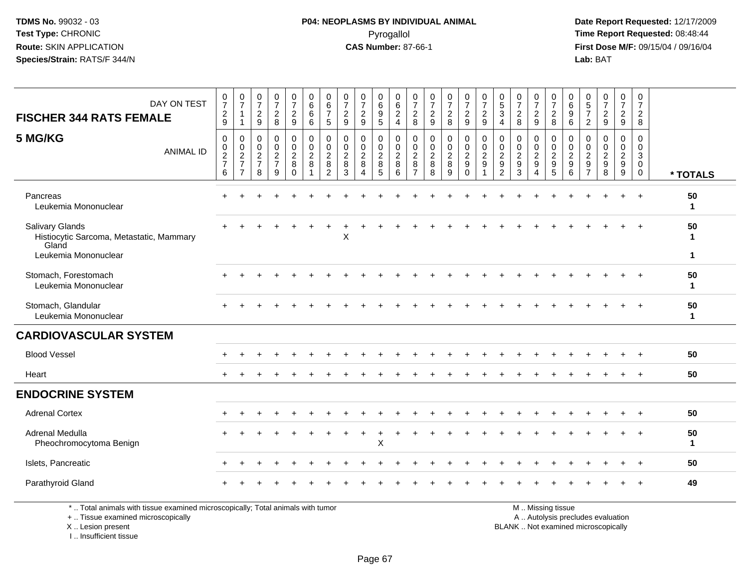**Date Report Requested:** 12/17/2009 **First Dose M/F:** 09/15/04 / 09/16/04<br>Lab: BAT **Lab:** BAT

| DAY ON TEST                                                                                                           | 0<br>$\overline{7}$                                                 | $\frac{0}{7}$                                       | $\frac{0}{7}$                                                       | $\begin{array}{c} 0 \\ 7 \end{array}$                               | $\frac{0}{7}$                                          | $\begin{array}{c} 0 \\ 6 \end{array}$                                  | 0<br>$\,6\,$                                                        | $\frac{0}{7}$                                              | $\frac{0}{7}$                                                               |                                                         |                                                  | 0<br>$\overline{7}$                                    | $\frac{0}{7}$                                           | $\frac{0}{7}$                                | $\frac{0}{7}$                                       | $\frac{0}{7}$                                                      | $\begin{array}{c} 0 \\ 5 \\ 3 \end{array}$                               | $\frac{0}{7}$                                                     | $\frac{0}{7}$                                                             | $\frac{0}{7}$                                               | 0<br>6                                    | $\begin{array}{c} 0 \\ 5 \\ 7 \end{array}$          | $\begin{smallmatrix}0\\7\end{smallmatrix}$ | $\frac{0}{7}$                                   | 0<br>$\overline{7}$                                                      |                         |
|-----------------------------------------------------------------------------------------------------------------------|---------------------------------------------------------------------|-----------------------------------------------------|---------------------------------------------------------------------|---------------------------------------------------------------------|--------------------------------------------------------|------------------------------------------------------------------------|---------------------------------------------------------------------|------------------------------------------------------------|-----------------------------------------------------------------------------|---------------------------------------------------------|--------------------------------------------------|--------------------------------------------------------|---------------------------------------------------------|----------------------------------------------|-----------------------------------------------------|--------------------------------------------------------------------|--------------------------------------------------------------------------|-------------------------------------------------------------------|---------------------------------------------------------------------------|-------------------------------------------------------------|-------------------------------------------|-----------------------------------------------------|--------------------------------------------|-------------------------------------------------|--------------------------------------------------------------------------|-------------------------|
| <b>FISCHER 344 RATS FEMALE</b>                                                                                        | $\frac{2}{9}$                                                       | $\mathbf{1}$<br>1                                   | $\frac{2}{9}$                                                       | $\frac{2}{8}$                                                       | $\frac{2}{9}$                                          | 6<br>6                                                                 | $\overline{7}$<br>5                                                 | $\frac{2}{9}$                                              | $\overline{a}$<br>9                                                         | 0<br>0<br>0<br>5                                        | $\begin{matrix} 0 \\ 6 \\ 2 \\ 4 \end{matrix}$   | $\frac{2}{8}$                                          | $\frac{2}{9}$                                           | $\frac{2}{8}$                                | $\frac{2}{9}$                                       | $\frac{2}{9}$                                                      | $\overline{4}$                                                           | $\boldsymbol{2}$<br>8                                             | $\frac{2}{9}$                                                             | $\frac{2}{8}$                                               | 9<br>6                                    | $\overline{2}$                                      | $\frac{2}{9}$                              | $\frac{2}{9}$                                   | $\overline{c}$<br>8                                                      |                         |
| 5 MG/KG<br><b>ANIMAL ID</b>                                                                                           | $\mathbf 0$<br>$\pmb{0}$<br>$\boldsymbol{2}$<br>$\overline{7}$<br>6 | 0<br>$\mathbf 0$<br>$\frac{2}{7}$<br>$\overline{7}$ | $\mathbf 0$<br>$\mathbf 0$<br>$\overline{c}$<br>$\overline{7}$<br>8 | $\mathbf 0$<br>$\pmb{0}$<br>$\boldsymbol{2}$<br>$\overline{7}$<br>9 | $\mathbf 0$<br>$\mathbf 0$<br>$\sqrt{2}$<br>$_{0}^{8}$ | $\mathbf 0$<br>$\mathbf 0$<br>$\overline{c}$<br>$\bf8$<br>$\mathbf{1}$ | $\mathbf 0$<br>$\mathbf 0$<br>$\overline{2}$<br>8<br>$\overline{2}$ | $\mathbf 0$<br>$\pmb{0}$<br>$\overline{2}$<br>$\,8\,$<br>3 | $\mathbf 0$<br>$\mathbf 0$<br>$\overline{a}$<br>8<br>$\boldsymbol{\Lambda}$ | 0<br>$\pmb{0}$<br>$\overline{c}$<br>8<br>$\overline{5}$ | $\mathbf 0$<br>$\mathbf 0$<br>$\frac{2}{8}$<br>6 | 0<br>$\Omega$<br>$\overline{2}$<br>8<br>$\overline{7}$ | $\mathbf 0$<br>$\mathbf 0$<br>$\sqrt{2}$<br>$\bf8$<br>8 | 0<br>$\mathbf 0$<br>$\overline{c}$<br>8<br>9 | 0<br>$\mathbf 0$<br>$\overline{2}$<br>9<br>$\Omega$ | $\mathbf 0$<br>$\mathbf 0$<br>$\boldsymbol{2}$<br>$\boldsymbol{9}$ | 0<br>$\mathbf 0$<br>$\overline{2}$<br>$\boldsymbol{9}$<br>$\overline{2}$ | $\mathbf 0$<br>$\mathbf 0$<br>$\sqrt{2}$<br>$\boldsymbol{9}$<br>3 | 0<br>$\boldsymbol{0}$<br>$\sqrt{2}$<br>$\boldsymbol{9}$<br>$\overline{4}$ | 0<br>$\mathbf 0$<br>$\overline{c}$<br>$\boldsymbol{9}$<br>5 | 0<br>$\Omega$<br>$\overline{c}$<br>9<br>6 | 0<br>$\mathbf 0$<br>$\overline{c}$<br>$\frac{9}{7}$ | 0<br>$\mathsf{O}\xspace$<br>$\frac{2}{9}$  | 0<br>$\overline{0}$<br>$\overline{2}$<br>$^9_9$ | $\mathbf 0$<br>$\mathbf 0$<br>$\mathbf{3}$<br>$\mathbf 0$<br>$\mathbf 0$ | * TOTALS                |
| Pancreas<br>Leukemia Mononuclear                                                                                      |                                                                     |                                                     |                                                                     |                                                                     |                                                        |                                                                        |                                                                     |                                                            |                                                                             |                                                         |                                                  |                                                        |                                                         |                                              |                                                     |                                                                    |                                                                          |                                                                   |                                                                           |                                                             |                                           |                                                     |                                            |                                                 |                                                                          | 50<br>1                 |
| <b>Salivary Glands</b><br>Histiocytic Sarcoma, Metastatic, Mammary<br>Gland<br>Leukemia Mononuclear                   |                                                                     |                                                     |                                                                     |                                                                     |                                                        |                                                                        |                                                                     | X                                                          |                                                                             |                                                         |                                                  |                                                        |                                                         |                                              |                                                     |                                                                    |                                                                          |                                                                   |                                                                           |                                                             |                                           |                                                     |                                            |                                                 |                                                                          | 50<br>$\mathbf{1}$<br>1 |
| Stomach, Forestomach<br>Leukemia Mononuclear                                                                          |                                                                     |                                                     |                                                                     |                                                                     |                                                        |                                                                        |                                                                     |                                                            |                                                                             |                                                         |                                                  |                                                        |                                                         |                                              |                                                     |                                                                    |                                                                          |                                                                   |                                                                           |                                                             |                                           |                                                     |                                            |                                                 |                                                                          | 50<br>$\mathbf 1$       |
| Stomach, Glandular<br>Leukemia Mononuclear                                                                            |                                                                     |                                                     |                                                                     |                                                                     |                                                        |                                                                        |                                                                     |                                                            |                                                                             |                                                         |                                                  |                                                        |                                                         |                                              |                                                     |                                                                    |                                                                          |                                                                   |                                                                           |                                                             |                                           |                                                     |                                            |                                                 |                                                                          | 50<br>$\mathbf{1}$      |
| <b>CARDIOVASCULAR SYSTEM</b>                                                                                          |                                                                     |                                                     |                                                                     |                                                                     |                                                        |                                                                        |                                                                     |                                                            |                                                                             |                                                         |                                                  |                                                        |                                                         |                                              |                                                     |                                                                    |                                                                          |                                                                   |                                                                           |                                                             |                                           |                                                     |                                            |                                                 |                                                                          |                         |
| <b>Blood Vessel</b>                                                                                                   |                                                                     |                                                     |                                                                     |                                                                     |                                                        |                                                                        |                                                                     |                                                            |                                                                             |                                                         |                                                  |                                                        |                                                         |                                              |                                                     |                                                                    |                                                                          |                                                                   |                                                                           |                                                             |                                           |                                                     |                                            |                                                 |                                                                          | 50                      |
| Heart                                                                                                                 |                                                                     |                                                     |                                                                     |                                                                     |                                                        |                                                                        |                                                                     |                                                            |                                                                             |                                                         |                                                  |                                                        |                                                         |                                              |                                                     |                                                                    |                                                                          |                                                                   |                                                                           |                                                             |                                           |                                                     |                                            |                                                 |                                                                          | 50                      |
| <b>ENDOCRINE SYSTEM</b>                                                                                               |                                                                     |                                                     |                                                                     |                                                                     |                                                        |                                                                        |                                                                     |                                                            |                                                                             |                                                         |                                                  |                                                        |                                                         |                                              |                                                     |                                                                    |                                                                          |                                                                   |                                                                           |                                                             |                                           |                                                     |                                            |                                                 |                                                                          |                         |
| <b>Adrenal Cortex</b>                                                                                                 |                                                                     |                                                     |                                                                     |                                                                     |                                                        |                                                                        |                                                                     |                                                            |                                                                             |                                                         |                                                  |                                                        |                                                         |                                              |                                                     |                                                                    |                                                                          |                                                                   |                                                                           |                                                             |                                           |                                                     |                                            |                                                 |                                                                          | 50                      |
| Adrenal Medulla<br>Pheochromocytoma Benign                                                                            |                                                                     |                                                     |                                                                     |                                                                     |                                                        |                                                                        |                                                                     |                                                            | $\ddot{}$                                                                   | $\ddot{}$<br>X                                          |                                                  |                                                        |                                                         |                                              |                                                     |                                                                    |                                                                          |                                                                   |                                                                           |                                                             |                                           |                                                     |                                            |                                                 |                                                                          | 50<br>$\mathbf 1$       |
| Islets, Pancreatic                                                                                                    |                                                                     |                                                     |                                                                     |                                                                     |                                                        |                                                                        |                                                                     |                                                            |                                                                             |                                                         |                                                  |                                                        |                                                         |                                              |                                                     |                                                                    |                                                                          |                                                                   |                                                                           |                                                             |                                           |                                                     |                                            |                                                 | $\overline{+}$                                                           | 50                      |
| Parathyroid Gland                                                                                                     |                                                                     |                                                     |                                                                     |                                                                     |                                                        |                                                                        |                                                                     |                                                            |                                                                             |                                                         |                                                  |                                                        |                                                         |                                              |                                                     |                                                                    |                                                                          |                                                                   |                                                                           |                                                             |                                           |                                                     |                                            |                                                 |                                                                          | 49                      |
| *  Total animals with tissue examined microscopically; Total animals with tumor<br>+  Tissue examined microscopically |                                                                     |                                                     |                                                                     |                                                                     |                                                        |                                                                        |                                                                     |                                                            |                                                                             |                                                         |                                                  |                                                        |                                                         |                                              |                                                     |                                                                    |                                                                          |                                                                   |                                                                           | M  Missing tissue                                           |                                           |                                                     | A  Autolysis precludes evaluation          |                                                 |                                                                          |                         |

 Lesion present BLANK .. Not examined microscopicallyX .. Lesion present

I .. Insufficient tissue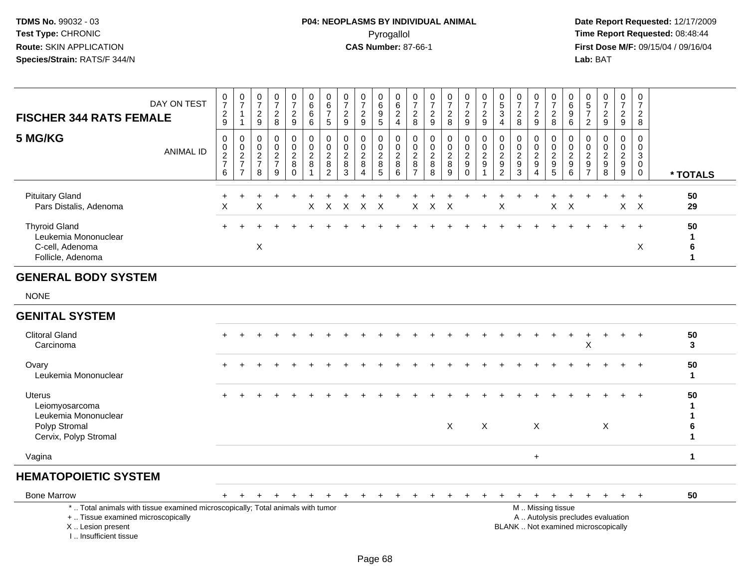**Date Report Requested:** 12/17/2009 **First Dose M/F:** 09/15/04 / 09/16/04<br>Lab: BAT **Lab:** BAT

| <b>FISCHER 344 RATS FEMALE</b>                                                       | DAY ON TEST | 0<br>$\overline{ }$<br>$\overline{c}$<br>9                                 | $\overline{0}$<br>$\rightarrow$               | 0<br>$\overline{c}$<br>9                                        | 0<br>$\overline{ }$<br>$\frac{2}{8}$           | 0<br>$\overline{\phantom{a}}$<br>$\overline{c}$<br>9 | 0<br>6<br>6<br>6                      | 0<br>6<br>$\overline{ }$<br>5                     | 0<br>$\overline{c}$<br>9       | 0<br>$\overline{ }$<br>$\frac{2}{9}$                          | $\mathbf{0}$<br>6<br>9<br>$5\overline{)}$ | 0<br>$\,6\,$<br>$\sqrt{2}$<br>$\overline{4}$                     | 0<br>$\overline{ }$<br>$\sim$<br>$\epsilon$<br>8 | 0<br>$\overline{ }$<br>$\frac{2}{9}$ | $\mathbf{0}$<br>$\overline{2}$<br>8      | 0<br>$\overline{ }$<br>$\frac{2}{9}$                     | 0<br>$\overline{z}$<br>$\frac{2}{9}$             | 0<br>5<br>3<br>4                                         | $\overline{ }$<br>$\overline{c}$<br>8                  | 0<br>$\overline{ }$<br>$\frac{2}{9}$       | $\mathbf{0}$<br>$\rightarrow$<br>$\overline{c}$<br>8        | 0<br>$6\phantom{1}6$<br>$\boldsymbol{9}$<br>$\,6\,$          | 0<br>$\sqrt{5}$<br>$\rightarrow$<br>2             | 0<br>$\overline{ }$<br>$\overline{2}$<br>9                | $\mathbf{0}$<br>$\overline{ }$<br>$\overline{2}$<br>9 | 0<br>$\overline{ }$<br>$\overline{c}$<br>8 |          |
|--------------------------------------------------------------------------------------|-------------|----------------------------------------------------------------------------|-----------------------------------------------|-----------------------------------------------------------------|------------------------------------------------|------------------------------------------------------|---------------------------------------|---------------------------------------------------|--------------------------------|---------------------------------------------------------------|-------------------------------------------|------------------------------------------------------------------|--------------------------------------------------|--------------------------------------|------------------------------------------|----------------------------------------------------------|--------------------------------------------------|----------------------------------------------------------|--------------------------------------------------------|--------------------------------------------|-------------------------------------------------------------|--------------------------------------------------------------|---------------------------------------------------|-----------------------------------------------------------|-------------------------------------------------------|--------------------------------------------|----------|
| 5 MG/KG                                                                              | ANIMAL ID   | 0<br>$\begin{smallmatrix} 0 \\ 2 \end{smallmatrix}$<br>$\overline{7}$<br>6 | 0<br>$\pmb{0}$<br>$\sqrt{2}$<br>$\rightarrow$ | 0<br>$\pmb{0}$<br>$\Omega$<br>$\epsilon$<br>$\overline{ }$<br>8 | $\mathbf 0$<br>$\pmb{0}$<br>$\frac{2}{7}$<br>9 | 0<br>$\pmb{0}$<br>$_{8}^{\rm 2}$<br>$\mathbf 0$      | 0<br>$\pmb{0}$<br>$\overline{a}$<br>8 | 0<br>0<br>$\boldsymbol{2}$<br>8<br>$\overline{2}$ | 0<br>$\epsilon$<br>$\bf8$<br>3 | 0<br>$\pmb{0}$<br>$\overline{c}$<br>$\bf 8$<br>$\overline{4}$ | 0<br>0<br>2<br>8<br>5                     | $\mathbf 0$<br>$\pmb{0}$<br>$\overline{2}$<br>$\bf 8$<br>$\,6\,$ | 0<br>$\sim$<br>$\epsilon$<br>8<br>$\overline{ }$ | $\Omega$<br>∠<br>8<br>8              | 0<br>0<br>$\overline{c}$<br>$\bf 8$<br>9 | 0<br>$\pmb{0}$<br>$\overline{c}$<br>$9\,$<br>$\mathbf 0$ | 0<br>$\pmb{0}$<br>$\sqrt{2}$<br>$\boldsymbol{9}$ | 0<br>0<br>$\overline{\mathbf{c}}$<br>9<br>$\overline{2}$ | $\mathbf 0$<br>$\overline{c}$<br>$\boldsymbol{9}$<br>3 | 0<br>$\pmb{0}$<br>$\overline{a}$<br>9<br>4 | $\mathbf{0}$<br>0<br>$\overline{c}$<br>9<br>$5\overline{)}$ | 0<br>$\boldsymbol{0}$<br>$\sqrt{2}$<br>$\boldsymbol{9}$<br>6 | U<br>0<br>$\boldsymbol{2}$<br>9<br>$\overline{ }$ | 0<br>$\pmb{0}$<br>$\overline{c}$<br>$\boldsymbol{9}$<br>8 | 0<br>0<br>$\overline{2}$<br>9<br>9                    | $\mathbf 0$<br>3<br>$\mathbf 0$            | * TOTALS |
| <b>Pituitary Gland</b><br>Pars Distalis, Adenoma                                     |             | X                                                                          |                                               | X                                                               |                                                |                                                      | X.                                    | X                                                 | X                              | X.                                                            | $\times$                                  |                                                                  | X.                                               | $X \times$                           |                                          |                                                          |                                                  | X                                                        |                                                        |                                            | $X \times$                                                  |                                                              |                                                   | ÷.                                                        | $\times$                                              | $\mathsf{X}$                               | 50<br>29 |
| <b>Thyroid Gland</b><br>Leukemia Mononuclear<br>C-cell, Adenoma<br>Follicle, Adenoma |             |                                                                            |                                               | X                                                               |                                                |                                                      |                                       |                                                   |                                |                                                               |                                           |                                                                  |                                                  |                                      |                                          |                                                          |                                                  |                                                          |                                                        |                                            |                                                             |                                                              |                                                   |                                                           | $+$                                                   | $+$<br>X                                   | 50<br>6  |

### **GENERAL BODY SYSTEM**

NONE

### **GENITAL SYSTEM**

| <b>Clitoral Gland</b><br>Carcinoma                                                                | $+$ | ÷ |  |  |  |  | ÷   | $+$ |          |  |   |  | X |   | $+$ |         | $+$ | 50<br>3 |  |
|---------------------------------------------------------------------------------------------------|-----|---|--|--|--|--|-----|-----|----------|--|---|--|---|---|-----|---------|-----|---------|--|
| Ovary<br>Leukemia Mononuclear                                                                     | $+$ |   |  |  |  |  | $+$ |     |          |  |   |  |   |   |     | $+$ $+$ |     | 50      |  |
| <b>Uterus</b><br>Leiomyosarcoma<br>Leukemia Mononuclear<br>Polyp Stromal<br>Cervix, Polyp Stromal | $+$ |   |  |  |  |  |     | X   | $\times$ |  | X |  |   | X |     | $+$ $+$ |     | 50<br>6 |  |
| Vagina                                                                                            |     |   |  |  |  |  |     |     |          |  | ÷ |  |   |   |     |         |     |         |  |

### **HEMATOPOIETIC SYSTEM**

| <b>Bone Marrow</b>                                                                                                    |  |  |  |  |  |  |  |  |  |                  |  |                                     |  | 50 |
|-----------------------------------------------------------------------------------------------------------------------|--|--|--|--|--|--|--|--|--|------------------|--|-------------------------------------|--|----|
| *  Total animals with tissue examined microscopically; Total animals with tumor<br>+  Tissue examined microscopically |  |  |  |  |  |  |  |  |  | M Missing tissue |  | A  Autolysis precludes evaluation   |  |    |
| X  Lesion present<br>Insufficient tissue                                                                              |  |  |  |  |  |  |  |  |  |                  |  | BLANK  Not examined microscopically |  |    |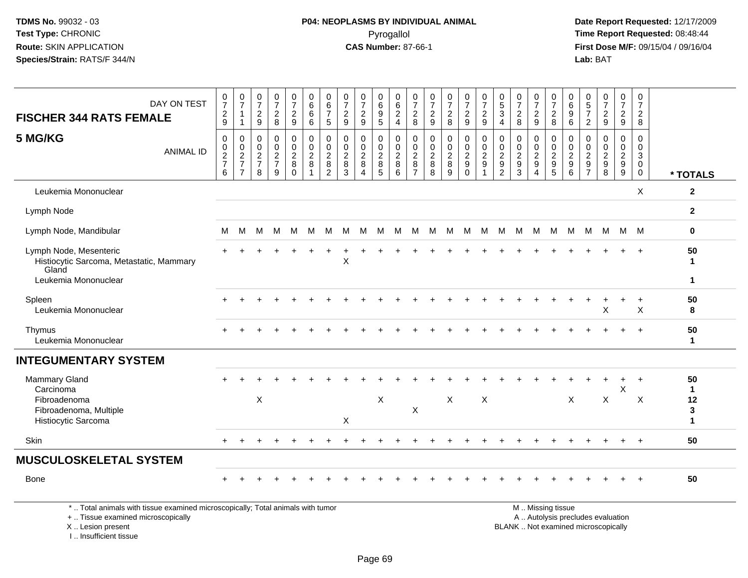**Date Report Requested:** 12/17/2009 **First Dose M/F:** 09/15/04 / 09/16/04<br>Lab: BAT **Lab:** BAT

|                                                                                                                                            | DAY ON TEST      | $\frac{0}{7}$                                  | $\begin{array}{c} 0 \\ 7 \end{array}$               | $\frac{0}{7}$                                    | $\frac{0}{7}$                                    | $\begin{smallmatrix}0\\7\end{smallmatrix}$                  | 0<br>$\,6$                                       | 0<br>$6\phantom{a}$                                            | 0<br>$\overline{7}$                               | $\frac{0}{7}$                                                       | 0<br>$\,6\,$                                               | 0<br>$\,6\,$                                       | 0<br>$\overline{7}$                                             | 0<br>$\overline{7}$                                                 | $\frac{0}{7}$                           | $\frac{0}{7}$                                                                 | $\frac{0}{7}$                                                    | $\begin{array}{c} 0 \\ 5 \end{array}$                                    | $\frac{0}{7}$                                                   | $\pmb{0}$<br>$\overline{7}$                         | 0<br>$\overline{7}$                           | 0<br>$\,6$                             | 0<br>$\sqrt{5}$                                                    | $\frac{0}{7}$                                                            | $\mathbf 0$<br>$\overline{7}$                       | 0<br>$\overline{7}$                                     |                                               |
|--------------------------------------------------------------------------------------------------------------------------------------------|------------------|------------------------------------------------|-----------------------------------------------------|--------------------------------------------------|--------------------------------------------------|-------------------------------------------------------------|--------------------------------------------------|----------------------------------------------------------------|---------------------------------------------------|---------------------------------------------------------------------|------------------------------------------------------------|----------------------------------------------------|-----------------------------------------------------------------|---------------------------------------------------------------------|-----------------------------------------|-------------------------------------------------------------------------------|------------------------------------------------------------------|--------------------------------------------------------------------------|-----------------------------------------------------------------|-----------------------------------------------------|-----------------------------------------------|----------------------------------------|--------------------------------------------------------------------|--------------------------------------------------------------------------|-----------------------------------------------------|---------------------------------------------------------|-----------------------------------------------|
| <b>FISCHER 344 RATS FEMALE</b>                                                                                                             |                  | $\frac{2}{9}$                                  | $\mathbf{1}$<br>$\overline{1}$                      | $\frac{2}{9}$                                    | $\sqrt{2}$<br>8                                  | $\frac{2}{9}$                                               | 6<br>6                                           | $\overline{7}$<br>5                                            | $\overline{c}$<br>9                               | $\overline{c}$<br>9                                                 | $\boldsymbol{9}$<br>$\overline{5}$                         | $\sqrt{2}$<br>$\overline{4}$                       | $\overline{c}$<br>8                                             | $\overline{c}$<br>9                                                 | $\frac{2}{8}$                           | $\overline{c}$<br>9                                                           | $\boldsymbol{2}$<br>$\boldsymbol{9}$                             | $\sqrt{3}$<br>$\overline{4}$                                             | $\overline{c}$<br>8                                             | $\frac{2}{9}$                                       | $\overline{c}$<br>8                           | 9<br>6                                 | $\overline{7}$<br>$\overline{2}$                                   | $\frac{2}{9}$                                                            | $\frac{2}{9}$                                       | $\overline{2}$<br>8                                     |                                               |
| 5 MG/KG                                                                                                                                    | <b>ANIMAL ID</b> | $\mathbf 0$<br>$\pmb{0}$<br>$\frac{2}{7}$<br>6 | 0<br>$\mathbf 0$<br>$\frac{2}{7}$<br>$\overline{7}$ | $\mathbf 0$<br>$\mathbf 0$<br>$\frac{2}{7}$<br>8 | $\mathbf 0$<br>$\mathbf 0$<br>$\frac{2}{7}$<br>9 | $\mathbf 0$<br>$\mathbf 0$<br>$_{8}^{\rm 2}$<br>$\mathbf 0$ | $\mathbf 0$<br>$\mathbf 0$<br>$\frac{2}{8}$<br>1 | $\mathbf 0$<br>$\mathbf 0$<br>$_{8}^{\rm 2}$<br>$\overline{2}$ | $\mathbf 0$<br>$\mathbf 0$<br>$_{8}^{\rm 2}$<br>3 | $\mathbf 0$<br>$\mathbf 0$<br>$\overline{2}$<br>$\overline{8}$<br>4 | $\mathbf 0$<br>$\mathbf 0$<br>$_{8}^{\rm 2}$<br>$\sqrt{5}$ | $\mathbf 0$<br>$\mathbf 0$<br>$\sqrt{2}$<br>8<br>6 | $\mathbf 0$<br>$\overline{0}$<br>$^2_{\bf 8}$<br>$\overline{7}$ | $\mathbf 0$<br>$\mathbf 0$<br>$\overline{c}$<br>$\overline{8}$<br>8 | 0<br>$\mathbf 0$<br>$_{8}^{\rm 2}$<br>9 | $\mathbf 0$<br>$\overline{0}$<br>$\overline{c}$<br>$\overline{9}$<br>$\Omega$ | $\mathbf 0$<br>$\mathbf 0$<br>$\boldsymbol{2}$<br>$\overline{9}$ | $\mathbf 0$<br>$\mathbf 0$<br>$\begin{array}{c} 2 \\ 9 \\ 2 \end{array}$ | $\Omega$<br>$\Omega$<br>$\overline{2}$<br>$\boldsymbol{9}$<br>3 | 0<br>$\mathbf 0$<br>$\frac{2}{9}$<br>$\overline{4}$ | $\Omega$<br>$\mathbf 0$<br>$\frac{2}{9}$<br>5 | 0<br>$\mathbf 0$<br>$\frac{2}{9}$<br>6 | $\Omega$<br>$\Omega$<br>$\begin{array}{c} 2 \\ 9 \\ 7 \end{array}$ | 0<br>$\mathbf 0$<br>$\begin{array}{c} 2 \\ 9 \\ 8 \end{array}$           | $\mathbf 0$<br>$\overline{0}$<br>$\frac{2}{9}$<br>9 | $\Omega$<br>$\Omega$<br>3<br>$\mathbf 0$<br>$\mathbf 0$ | * TOTALS                                      |
| Leukemia Mononuclear                                                                                                                       |                  |                                                |                                                     |                                                  |                                                  |                                                             |                                                  |                                                                |                                                   |                                                                     |                                                            |                                                    |                                                                 |                                                                     |                                         |                                                                               |                                                                  |                                                                          |                                                                 |                                                     |                                               |                                        |                                                                    |                                                                          |                                                     | X                                                       | $\mathbf{2}$                                  |
| Lymph Node                                                                                                                                 |                  |                                                |                                                     |                                                  |                                                  |                                                             |                                                  |                                                                |                                                   |                                                                     |                                                            |                                                    |                                                                 |                                                                     |                                         |                                                                               |                                                                  |                                                                          |                                                                 |                                                     |                                               |                                        |                                                                    |                                                                          |                                                     |                                                         | $\mathbf{2}$                                  |
| Lymph Node, Mandibular                                                                                                                     |                  | M                                              | M                                                   |                                                  |                                                  |                                                             | M M M M M M M M                                  |                                                                |                                                   |                                                                     |                                                            | M                                                  |                                                                 | M M M M                                                             |                                         |                                                                               |                                                                  |                                                                          |                                                                 |                                                     |                                               |                                        |                                                                    | MMMMMMMMMM                                                               |                                                     |                                                         | 0                                             |
| Lymph Node, Mesenteric<br>Histiocytic Sarcoma, Metastatic, Mammary<br>Gland<br>Leukemia Mononuclear                                        |                  |                                                |                                                     |                                                  |                                                  |                                                             |                                                  |                                                                | X                                                 |                                                                     |                                                            |                                                    |                                                                 |                                                                     |                                         |                                                                               |                                                                  |                                                                          |                                                                 |                                                     |                                               |                                        |                                                                    |                                                                          |                                                     | $+$                                                     | 50<br>$\mathbf 1$<br>$\mathbf{1}$             |
| Spleen<br>Leukemia Mononuclear                                                                                                             |                  |                                                |                                                     |                                                  |                                                  |                                                             |                                                  |                                                                |                                                   |                                                                     |                                                            |                                                    |                                                                 |                                                                     |                                         |                                                                               |                                                                  |                                                                          |                                                                 |                                                     |                                               |                                        |                                                                    | X                                                                        |                                                     | X                                                       | 50<br>8                                       |
| Thymus<br>Leukemia Mononuclear                                                                                                             |                  |                                                |                                                     |                                                  |                                                  |                                                             |                                                  |                                                                |                                                   |                                                                     |                                                            |                                                    |                                                                 |                                                                     |                                         |                                                                               |                                                                  |                                                                          |                                                                 |                                                     |                                               |                                        |                                                                    |                                                                          |                                                     |                                                         | 50<br>$\mathbf{1}$                            |
| <b>INTEGUMENTARY SYSTEM</b>                                                                                                                |                  |                                                |                                                     |                                                  |                                                  |                                                             |                                                  |                                                                |                                                   |                                                                     |                                                            |                                                    |                                                                 |                                                                     |                                         |                                                                               |                                                                  |                                                                          |                                                                 |                                                     |                                               |                                        |                                                                    |                                                                          |                                                     |                                                         |                                               |
| Mammary Gland<br>Carcinoma<br>Fibroadenoma<br>Fibroadenoma, Multiple<br>Histiocytic Sarcoma                                                |                  |                                                |                                                     | $\times$                                         |                                                  |                                                             |                                                  |                                                                | X                                                 |                                                                     | $\pmb{\times}$                                             |                                                    | X                                                               |                                                                     | $\mathsf{X}$                            |                                                                               | X                                                                |                                                                          |                                                                 |                                                     |                                               | X                                      |                                                                    | X                                                                        | X                                                   | $\div$<br>X                                             | 50<br>$\mathbf{1}$<br>12<br>3<br>$\mathbf{1}$ |
| Skin                                                                                                                                       |                  | $+$                                            | $\ddot{}$                                           |                                                  |                                                  |                                                             |                                                  |                                                                |                                                   |                                                                     |                                                            |                                                    |                                                                 |                                                                     |                                         |                                                                               |                                                                  |                                                                          |                                                                 |                                                     |                                               |                                        |                                                                    | $\ddot{}$                                                                | $\ddot{}$                                           | $+$                                                     | 50                                            |
| <b>MUSCULOSKELETAL SYSTEM</b>                                                                                                              |                  |                                                |                                                     |                                                  |                                                  |                                                             |                                                  |                                                                |                                                   |                                                                     |                                                            |                                                    |                                                                 |                                                                     |                                         |                                                                               |                                                                  |                                                                          |                                                                 |                                                     |                                               |                                        |                                                                    |                                                                          |                                                     |                                                         |                                               |
| <b>Bone</b>                                                                                                                                |                  |                                                |                                                     |                                                  |                                                  |                                                             |                                                  |                                                                |                                                   |                                                                     |                                                            |                                                    |                                                                 |                                                                     |                                         |                                                                               |                                                                  |                                                                          |                                                                 |                                                     |                                               |                                        |                                                                    |                                                                          |                                                     |                                                         | 50                                            |
| *  Total animals with tissue examined microscopically; Total animals with tumor<br>+  Tissue examined microscopically<br>X  Lesion present |                  |                                                |                                                     |                                                  |                                                  |                                                             |                                                  |                                                                |                                                   |                                                                     |                                                            |                                                    |                                                                 |                                                                     |                                         |                                                                               |                                                                  |                                                                          |                                                                 |                                                     | M  Missing tissue                             |                                        |                                                                    | A  Autolysis precludes evaluation<br>BLANK  Not examined microscopically |                                                     |                                                         |                                               |

X .. Lesion present

I .. Insufficient tissue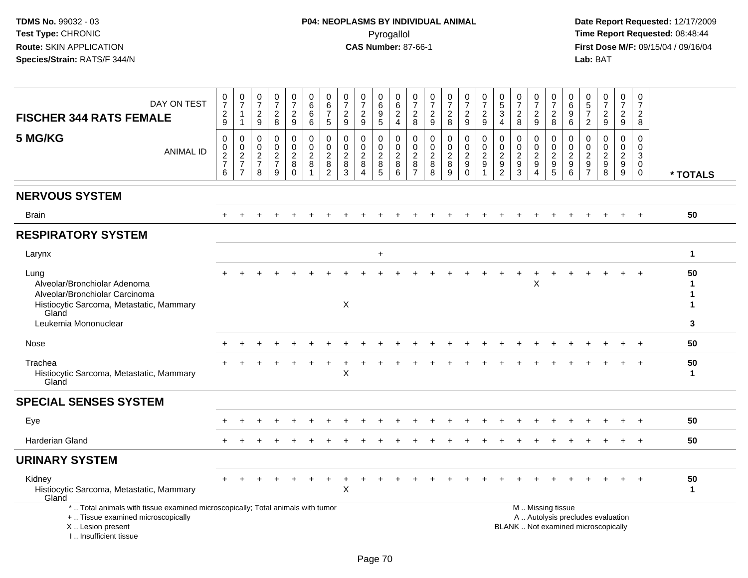| DAY ON TEST<br><b>FISCHER 344 RATS FEMALE</b><br>5 MG/KG<br><b>ANIMAL ID</b>                                                                                          | 0<br>$\overline{7}$<br>$\frac{2}{9}$<br>$\mathsf 0$<br>0<br>$\frac{2}{7}$<br>6 | $\pmb{0}$<br>$\overline{7}$<br>$\mathbf{1}$<br>$\overline{1}$<br>$\mathbf 0$<br>$\mathbf 0$<br>$\frac{2}{7}$<br>$\overline{7}$ | $\pmb{0}$<br>$\overline{7}$<br>$\overline{c}$<br>$\boldsymbol{9}$<br>$\mathbf 0$<br>$\mathbf 0$<br>$\frac{2}{7}$<br>8 | $\frac{0}{7}$<br>$\overline{a}$<br>8<br>0<br>$\Omega$<br>$\frac{2}{7}$<br>9 | $\pmb{0}$<br>$\overline{7}$<br>$\frac{2}{9}$<br>$\pmb{0}$<br>$\mathbf 0$<br>$\overline{2}$<br>8<br>$\Omega$ | $\boldsymbol{0}$<br>$\,6\,$<br>$\,6\,$<br>6<br>$\pmb{0}$<br>$\mathbf 0$<br>$\frac{2}{8}$<br>-1 | $\boldsymbol{0}$<br>$\,6\,$<br>$\overline{7}$<br>$\sqrt{5}$<br>$\boldsymbol{0}$<br>$\mathbf 0$<br>$\overline{c}$<br>8<br>$\overline{2}$ | 0<br>$\overline{7}$<br>$\sqrt{2}$<br>9<br>$\mathbf 0$<br>$\mathbf 0$<br>$\sqrt{2}$<br>8<br>3 | 0<br>$\overline{7}$<br>$\boldsymbol{2}$<br>$9\,$<br>0<br>$\Omega$<br>$_{8}^{\rm 2}$<br>4 | 0<br>6<br>$\begin{array}{c} 9 \\ 5 \end{array}$<br>0<br>$\mathbf 0$<br>$\overline{2}$<br>8<br>5 | 0<br>$\,6$<br>$\overline{c}$<br>$\overline{4}$<br>$\pmb{0}$<br>$\mathbf 0$<br>$\overline{c}$<br>8<br>6 | 0<br>$\overline{7}$<br>$_{8}^2$<br>$\pmb{0}$<br>$\mathbf 0$<br>$\sqrt{2}$<br>8<br>$\overline{7}$ | $\frac{0}{7}$<br>$\frac{2}{9}$<br>$\pmb{0}$<br>$\mathsf{O}\xspace$<br>$\frac{2}{8}$<br>8 | $\frac{0}{7}$<br>$\overline{c}$<br>$\bf 8$<br>0<br>$\mathbf 0$<br>$\frac{2}{8}$<br>9 | 0<br>$\overline{7}$<br>$\boldsymbol{2}$<br>9<br>$\mathbf 0$<br>$\pmb{0}$<br>$\sqrt{2}$<br>$\boldsymbol{9}$<br>$\Omega$ | 0<br>$\overline{7}$<br>$\overline{c}$<br>9<br>0<br>$\mathbf 0$<br>$\boldsymbol{2}$<br>$\boldsymbol{9}$ | 0<br>$\sqrt{5}$<br>$\sqrt{3}$<br>$\overline{4}$<br>0<br>$\Omega$<br>$\sqrt{2}$<br>$\boldsymbol{9}$<br>$\overline{2}$ | $\frac{0}{7}$<br>$\overline{2}$<br>8<br>0<br>$\mathbf 0$<br>$\boldsymbol{2}$<br>$\boldsymbol{9}$<br>3 | 0<br>$\overline{7}$<br>$\frac{2}{9}$<br>0<br>$\mathbf 0$<br>$\frac{2}{9}$<br>$\overline{4}$ | 0<br>$\overline{7}$<br>$\boldsymbol{2}$<br>8<br>$\mathbf 0$<br>$\mathbf 0$<br>$\overline{c}$<br>$\boldsymbol{9}$<br>5 | 0<br>6<br>9<br>$\,6\,$<br>$\mathbf 0$<br>$\mathbf 0$<br>$\boldsymbol{2}$<br>$\boldsymbol{9}$<br>6 | 0<br>$\sqrt{5}$<br>$\overline{7}$<br>$\overline{2}$<br>0<br>$\Omega$<br>$\boldsymbol{2}$<br>9<br>$\overline{7}$ | $\frac{0}{7}$<br>$\overline{a}$<br>$\boldsymbol{9}$<br>0<br>$\mathbf 0$<br>$\frac{2}{9}$<br>8 | $\pmb{0}$<br>$\overline{7}$<br>$\overline{a}$<br>$9\,$<br>$\pmb{0}$<br>$\mathbf 0$<br>$\frac{2}{9}$<br>9 | 0<br>$\overline{7}$<br>$\overline{2}$<br>8<br>0<br>$\mathbf 0$<br>$\mathbf{3}$<br>$\mathbf 0$<br>0 |                        |
|-----------------------------------------------------------------------------------------------------------------------------------------------------------------------|--------------------------------------------------------------------------------|--------------------------------------------------------------------------------------------------------------------------------|-----------------------------------------------------------------------------------------------------------------------|-----------------------------------------------------------------------------|-------------------------------------------------------------------------------------------------------------|------------------------------------------------------------------------------------------------|-----------------------------------------------------------------------------------------------------------------------------------------|----------------------------------------------------------------------------------------------|------------------------------------------------------------------------------------------|-------------------------------------------------------------------------------------------------|--------------------------------------------------------------------------------------------------------|--------------------------------------------------------------------------------------------------|------------------------------------------------------------------------------------------|--------------------------------------------------------------------------------------|------------------------------------------------------------------------------------------------------------------------|--------------------------------------------------------------------------------------------------------|----------------------------------------------------------------------------------------------------------------------|-------------------------------------------------------------------------------------------------------|---------------------------------------------------------------------------------------------|-----------------------------------------------------------------------------------------------------------------------|---------------------------------------------------------------------------------------------------|-----------------------------------------------------------------------------------------------------------------|-----------------------------------------------------------------------------------------------|----------------------------------------------------------------------------------------------------------|----------------------------------------------------------------------------------------------------|------------------------|
|                                                                                                                                                                       |                                                                                |                                                                                                                                |                                                                                                                       |                                                                             |                                                                                                             |                                                                                                |                                                                                                                                         |                                                                                              |                                                                                          |                                                                                                 |                                                                                                        |                                                                                                  |                                                                                          |                                                                                      |                                                                                                                        |                                                                                                        |                                                                                                                      |                                                                                                       |                                                                                             |                                                                                                                       |                                                                                                   |                                                                                                                 |                                                                                               |                                                                                                          |                                                                                                    | * TOTALS               |
| <b>NERVOUS SYSTEM</b>                                                                                                                                                 |                                                                                |                                                                                                                                |                                                                                                                       |                                                                             |                                                                                                             |                                                                                                |                                                                                                                                         |                                                                                              |                                                                                          |                                                                                                 |                                                                                                        |                                                                                                  |                                                                                          |                                                                                      |                                                                                                                        |                                                                                                        |                                                                                                                      |                                                                                                       |                                                                                             |                                                                                                                       |                                                                                                   |                                                                                                                 |                                                                                               |                                                                                                          |                                                                                                    |                        |
| <b>Brain</b>                                                                                                                                                          |                                                                                |                                                                                                                                |                                                                                                                       |                                                                             |                                                                                                             |                                                                                                |                                                                                                                                         |                                                                                              |                                                                                          |                                                                                                 |                                                                                                        |                                                                                                  |                                                                                          |                                                                                      |                                                                                                                        |                                                                                                        |                                                                                                                      |                                                                                                       |                                                                                             |                                                                                                                       |                                                                                                   |                                                                                                                 |                                                                                               |                                                                                                          | $+$                                                                                                | 50                     |
| <b>RESPIRATORY SYSTEM</b>                                                                                                                                             |                                                                                |                                                                                                                                |                                                                                                                       |                                                                             |                                                                                                             |                                                                                                |                                                                                                                                         |                                                                                              |                                                                                          |                                                                                                 |                                                                                                        |                                                                                                  |                                                                                          |                                                                                      |                                                                                                                        |                                                                                                        |                                                                                                                      |                                                                                                       |                                                                                             |                                                                                                                       |                                                                                                   |                                                                                                                 |                                                                                               |                                                                                                          |                                                                                                    |                        |
| Larynx                                                                                                                                                                |                                                                                |                                                                                                                                |                                                                                                                       |                                                                             |                                                                                                             |                                                                                                |                                                                                                                                         |                                                                                              |                                                                                          | $\ddot{}$                                                                                       |                                                                                                        |                                                                                                  |                                                                                          |                                                                                      |                                                                                                                        |                                                                                                        |                                                                                                                      |                                                                                                       |                                                                                             |                                                                                                                       |                                                                                                   |                                                                                                                 |                                                                                               |                                                                                                          |                                                                                                    | $\mathbf 1$            |
| Lung<br>Alveolar/Bronchiolar Adenoma<br>Alveolar/Bronchiolar Carcinoma<br>Histiocytic Sarcoma, Metastatic, Mammary<br>Gland<br>Leukemia Mononuclear                   |                                                                                |                                                                                                                                |                                                                                                                       |                                                                             |                                                                                                             |                                                                                                |                                                                                                                                         | $\boldsymbol{\mathsf{X}}$                                                                    |                                                                                          |                                                                                                 |                                                                                                        |                                                                                                  |                                                                                          |                                                                                      |                                                                                                                        |                                                                                                        |                                                                                                                      |                                                                                                       | X                                                                                           |                                                                                                                       |                                                                                                   |                                                                                                                 |                                                                                               |                                                                                                          |                                                                                                    | 50<br>1<br>1<br>1<br>3 |
| Nose                                                                                                                                                                  |                                                                                |                                                                                                                                |                                                                                                                       |                                                                             |                                                                                                             |                                                                                                |                                                                                                                                         |                                                                                              |                                                                                          |                                                                                                 |                                                                                                        |                                                                                                  |                                                                                          |                                                                                      |                                                                                                                        |                                                                                                        |                                                                                                                      |                                                                                                       |                                                                                             |                                                                                                                       |                                                                                                   |                                                                                                                 |                                                                                               |                                                                                                          | $\div$                                                                                             | 50                     |
| Trachea<br>Histiocytic Sarcoma, Metastatic, Mammary<br>Gland                                                                                                          |                                                                                |                                                                                                                                |                                                                                                                       |                                                                             |                                                                                                             |                                                                                                |                                                                                                                                         | X                                                                                            |                                                                                          |                                                                                                 |                                                                                                        |                                                                                                  |                                                                                          |                                                                                      |                                                                                                                        |                                                                                                        |                                                                                                                      |                                                                                                       |                                                                                             |                                                                                                                       |                                                                                                   |                                                                                                                 |                                                                                               |                                                                                                          |                                                                                                    | 50<br>1                |
| <b>SPECIAL SENSES SYSTEM</b>                                                                                                                                          |                                                                                |                                                                                                                                |                                                                                                                       |                                                                             |                                                                                                             |                                                                                                |                                                                                                                                         |                                                                                              |                                                                                          |                                                                                                 |                                                                                                        |                                                                                                  |                                                                                          |                                                                                      |                                                                                                                        |                                                                                                        |                                                                                                                      |                                                                                                       |                                                                                             |                                                                                                                       |                                                                                                   |                                                                                                                 |                                                                                               |                                                                                                          |                                                                                                    |                        |
| Eye                                                                                                                                                                   |                                                                                |                                                                                                                                |                                                                                                                       |                                                                             |                                                                                                             |                                                                                                |                                                                                                                                         |                                                                                              |                                                                                          |                                                                                                 |                                                                                                        |                                                                                                  |                                                                                          |                                                                                      |                                                                                                                        |                                                                                                        |                                                                                                                      |                                                                                                       |                                                                                             |                                                                                                                       |                                                                                                   |                                                                                                                 |                                                                                               |                                                                                                          |                                                                                                    | 50                     |
| <b>Harderian Gland</b>                                                                                                                                                |                                                                                |                                                                                                                                |                                                                                                                       |                                                                             |                                                                                                             |                                                                                                |                                                                                                                                         |                                                                                              |                                                                                          |                                                                                                 |                                                                                                        |                                                                                                  |                                                                                          |                                                                                      |                                                                                                                        |                                                                                                        |                                                                                                                      |                                                                                                       |                                                                                             |                                                                                                                       |                                                                                                   |                                                                                                                 |                                                                                               |                                                                                                          | $+$                                                                                                | 50                     |
| <b>URINARY SYSTEM</b>                                                                                                                                                 |                                                                                |                                                                                                                                |                                                                                                                       |                                                                             |                                                                                                             |                                                                                                |                                                                                                                                         |                                                                                              |                                                                                          |                                                                                                 |                                                                                                        |                                                                                                  |                                                                                          |                                                                                      |                                                                                                                        |                                                                                                        |                                                                                                                      |                                                                                                       |                                                                                             |                                                                                                                       |                                                                                                   |                                                                                                                 |                                                                                               |                                                                                                          |                                                                                                    |                        |
| Kidney<br>Histiocytic Sarcoma, Metastatic, Mammary<br>Gland                                                                                                           |                                                                                |                                                                                                                                |                                                                                                                       |                                                                             |                                                                                                             |                                                                                                |                                                                                                                                         | Χ                                                                                            |                                                                                          |                                                                                                 |                                                                                                        |                                                                                                  |                                                                                          |                                                                                      |                                                                                                                        |                                                                                                        |                                                                                                                      |                                                                                                       |                                                                                             |                                                                                                                       |                                                                                                   |                                                                                                                 |                                                                                               |                                                                                                          |                                                                                                    | 50<br>1                |
| *  Total animals with tissue examined microscopically; Total animals with tumor<br>+  Tissue examined microscopically<br>X  Lesion present<br>I., Insufficient tissue |                                                                                |                                                                                                                                |                                                                                                                       |                                                                             |                                                                                                             |                                                                                                |                                                                                                                                         |                                                                                              |                                                                                          |                                                                                                 |                                                                                                        |                                                                                                  |                                                                                          |                                                                                      |                                                                                                                        |                                                                                                        |                                                                                                                      |                                                                                                       |                                                                                             | M  Missing tissue                                                                                                     |                                                                                                   |                                                                                                                 | A  Autolysis precludes evaluation<br>BLANK  Not examined microscopically                      |                                                                                                          |                                                                                                    |                        |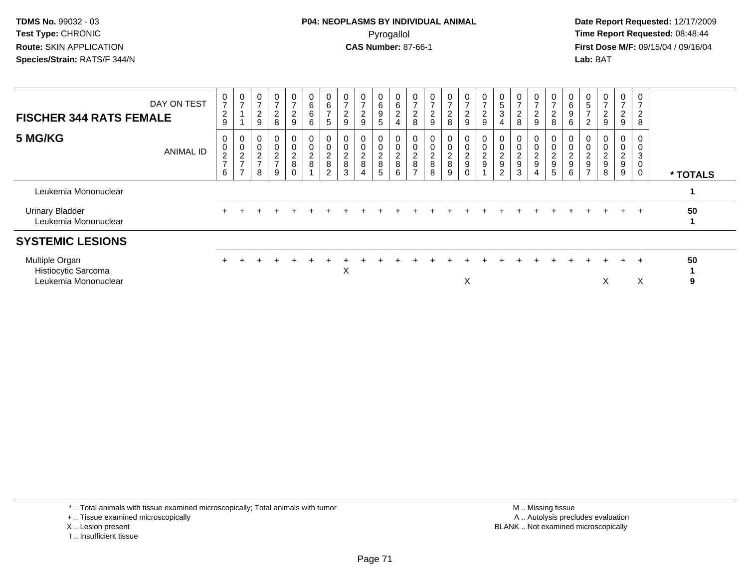**Date Report Requested:** 12/17/2009 **First Dose M/F:** 09/15/04 / 09/16/04 Lab: BAT **Lab:** BAT

| <b>FISCHER 344 RATS FEMALE</b>                                | DAY ON TEST | $\frac{0}{7}$<br>$\overline{2}$<br>9 | 0<br>$\overline{7}$                                                      | $\rightarrow$<br>$\overline{c}$<br>9 | 0<br>$\overline{ }$<br>$\boldsymbol{2}$<br>8 | 0<br>$\rightarrow$<br>$\overline{2}$<br>$\boldsymbol{9}$ | 0<br>6<br>6<br>6                | 0<br>$\,6\,$<br>$\overline{z}$<br>$\sqrt{5}$      | 0<br>$\overline{ }$<br>$\overline{2}$<br>9   | $\overline{7}$<br>$\overline{c}$<br>9 | 6<br>9<br>$\overline{5}$ | $\begin{matrix} 0 \\ 6 \end{matrix}$<br>$\overline{2}$<br>$\overline{4}$ | 0<br>$\overline{ }$<br>$\overline{c}$<br>8        | $\frac{0}{7}$<br>$\frac{2}{9}$                       | 0<br>$\overline{7}$<br>$\boldsymbol{2}$<br>8 | 0<br>$\overline{ }$<br>$\overline{2}$<br>9  | 0<br>$\overline{7}$<br>$\overline{a}$<br>$\boldsymbol{9}$ | 0<br>5<br>3<br>4                     | $\overline{ }$<br>$\overline{c}$<br>8 | 0<br>$\overline{ }$<br>$\overline{c}$<br>$\boldsymbol{9}$ | $\frac{0}{7}$<br>$_{\rm 8}^2$                                 | 0<br>$\,6$<br>$\boldsymbol{9}$<br>6                   | 0<br>5<br>$\rightarrow$<br>2                                      | $\overline{7}$<br>$\overline{\mathbf{c}}$<br>9   | 0<br>$\overline{ }$<br>$\overline{2}$<br>9 | 0<br>$\overline{ }$<br>$\overline{c}$<br>8 |          |
|---------------------------------------------------------------|-------------|--------------------------------------|--------------------------------------------------------------------------|--------------------------------------|----------------------------------------------|----------------------------------------------------------|---------------------------------|---------------------------------------------------|----------------------------------------------|---------------------------------------|--------------------------|--------------------------------------------------------------------------|---------------------------------------------------|------------------------------------------------------|----------------------------------------------|---------------------------------------------|-----------------------------------------------------------|--------------------------------------|---------------------------------------|-----------------------------------------------------------|---------------------------------------------------------------|-------------------------------------------------------|-------------------------------------------------------------------|--------------------------------------------------|--------------------------------------------|--------------------------------------------|----------|
| 5 MG/KG                                                       | ANIMAL ID   | 0<br>$\pmb{0}$<br>$\frac{2}{7}$<br>6 | 0<br>$\mathbf 0$<br>$\boldsymbol{2}$<br>$\overline{ }$<br>$\overline{ }$ | $\frac{2}{7}$<br>8                   | $\Omega$<br>∠<br>$\overline{7}$<br>9         | 0<br>0<br>$_{8}^{\rm 2}$<br>$\mathbf 0$                  | 0<br>$\pmb{0}$<br>$\frac{2}{8}$ | 0<br>$\pmb{0}$<br>$\frac{2}{8}$<br>$\overline{2}$ | $\pmb{0}$<br>$\pmb{0}$<br>$\frac{2}{8}$<br>3 | $\overline{c}$<br>8                   | $\frac{2}{8}$<br>5       | $\pmb{0}$<br>$\frac{2}{8}$<br>6                                          | 0<br>$\boldsymbol{2}$<br>$\,8\,$<br>$\rightarrow$ | 0<br>$\begin{array}{c} 0 \\ 2 \\ 8 \end{array}$<br>8 | $\frac{0}{2}$<br>9                           | 0<br>$\pmb{0}$<br>$\frac{2}{9}$<br>$\Omega$ | $\mathbf 0$<br>$\frac{2}{9}$                              | 0<br>$\frac{2}{9}$<br>$\overline{2}$ | $\frac{2}{9}$<br>3                    | 0<br>$\pmb{0}$<br>$\frac{2}{9}$<br>$\overline{4}$         | $\begin{array}{c} 0 \\ 0 \\ 2 \\ 9 \end{array}$<br>$\sqrt{5}$ | 0<br>$\pmb{0}$<br>$\sqrt{2}$<br>$\boldsymbol{9}$<br>6 | $\pmb{0}$<br>$\overline{c}$<br>$\boldsymbol{9}$<br>$\overline{ }$ | $\overline{\mathbf{c}}$<br>$\boldsymbol{9}$<br>8 | 0<br>0<br>$\frac{2}{9}$<br>9               | 0<br>3<br>$\mathbf 0$<br>0                 | * TOTALS |
| Leukemia Mononuclear                                          |             |                                      |                                                                          |                                      |                                              |                                                          |                                 |                                                   |                                              |                                       |                          |                                                                          |                                                   |                                                      |                                              |                                             |                                                           |                                      |                                       |                                                           |                                                               |                                                       |                                                                   |                                                  |                                            |                                            |          |
| <b>Urinary Bladder</b><br>Leukemia Mononuclear                |             |                                      |                                                                          |                                      |                                              |                                                          |                                 |                                                   |                                              |                                       |                          |                                                                          |                                                   |                                                      |                                              |                                             |                                                           |                                      |                                       |                                                           |                                                               |                                                       |                                                                   |                                                  | $+$                                        | $+$                                        | 50       |
| <b>SYSTEMIC LESIONS</b>                                       |             |                                      |                                                                          |                                      |                                              |                                                          |                                 |                                                   |                                              |                                       |                          |                                                                          |                                                   |                                                      |                                              |                                             |                                                           |                                      |                                       |                                                           |                                                               |                                                       |                                                                   |                                                  |                                            |                                            |          |
| Multiple Organ<br>Histiocytic Sarcoma<br>Leukemia Mononuclear |             |                                      |                                                                          |                                      |                                              |                                                          |                                 |                                                   | X                                            |                                       |                          |                                                                          |                                                   |                                                      |                                              | X                                           |                                                           |                                      |                                       |                                                           |                                                               |                                                       |                                                                   | X                                                | $+$                                        | $\pm$<br>X                                 | 50<br>9  |

\* .. Total animals with tissue examined microscopically; Total animals with tumor

+ .. Tissue examined microscopically

X .. Lesion present

I .. Insufficient tissue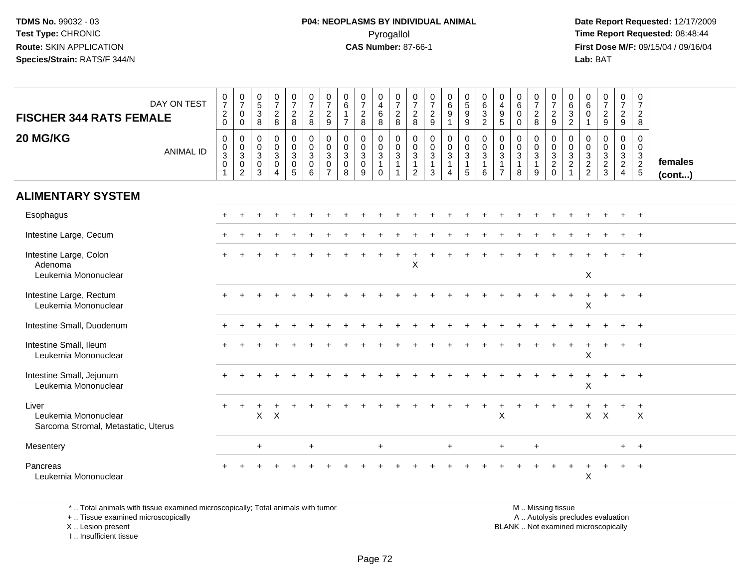**Date Report Requested:** 12/17/2009 **First Dose M/F:** 09/15/04 / 09/16/04 Lab: BAT **Lab:** BAT

| DAY ON TEST<br><b>FISCHER 344 RATS FEMALE</b>                        |                  | $\begin{array}{c} 0 \\ 7 \end{array}$<br>$\sqrt{2}$<br>$\mathbf 0$                       | $\frac{0}{7}$<br>$\mathbf 0$<br>0                                | $\begin{array}{c} 0 \\ 5 \\ 3 \end{array}$<br>8      | $\frac{0}{7}$<br>$\overline{2}$<br>8                                          | $\frac{0}{7}$<br>$\overline{2}$<br>8                           | $\frac{0}{7}$<br>$\frac{2}{8}$                                                     | $\pmb{0}$<br>$\overline{7}$<br>$\sqrt{2}$<br>9                              | $\pmb{0}$<br>$\,6\,$<br>$\mathbf{1}$<br>$\overline{7}$         | $\frac{0}{7}$<br>$\frac{2}{8}$             | $\begin{array}{c} 0 \\ 4 \\ 6 \end{array}$<br>8                         | $\begin{array}{c} 0 \\ 7 \end{array}$<br>$\overline{2}$<br>8 | $\begin{smallmatrix}0\\7\end{smallmatrix}$<br>$\frac{2}{8}$               | $\begin{smallmatrix} 0\\7 \end{smallmatrix}$<br>$\frac{2}{9}$ | $\begin{matrix} 0 \\ 6 \\ 9 \end{matrix}$<br>$\mathbf{1}$          | $\begin{array}{c} 0 \\ 5 \\ 9 \end{array}$<br>$\boldsymbol{9}$               | $\begin{matrix} 0 \\ 6 \\ 3 \end{matrix}$<br>$\overline{2}$ | $\begin{smallmatrix}0\0\4\end{smallmatrix}$<br>$\frac{9}{5}$                 | $\pmb{0}$<br>$6\phantom{a}$<br>$\ddot{\mathbf{0}}$<br>$\mathsf{O}\xspace$ | $\begin{array}{c} 0 \\ 7 \\ 2 \\ 8 \end{array}$       | $\frac{0}{7}$<br>$\overline{2}$<br>$\boldsymbol{9}$                       | $\mathbf 0$<br>6<br>$\sqrt{3}$<br>$\sqrt{2}$                                 | 0<br>6<br>$\mathbf 0$<br>$\mathbf{1}$       | $\frac{0}{7}$<br>$\frac{2}{9}$                              | $\begin{array}{c} 0 \\ 7 \end{array}$<br>$rac{2}{9}$ | 0<br>$\overline{7}$<br>$\overline{c}$<br>8  |                   |
|----------------------------------------------------------------------|------------------|------------------------------------------------------------------------------------------|------------------------------------------------------------------|------------------------------------------------------|-------------------------------------------------------------------------------|----------------------------------------------------------------|------------------------------------------------------------------------------------|-----------------------------------------------------------------------------|----------------------------------------------------------------|--------------------------------------------|-------------------------------------------------------------------------|--------------------------------------------------------------|---------------------------------------------------------------------------|---------------------------------------------------------------|--------------------------------------------------------------------|------------------------------------------------------------------------------|-------------------------------------------------------------|------------------------------------------------------------------------------|---------------------------------------------------------------------------|-------------------------------------------------------|---------------------------------------------------------------------------|------------------------------------------------------------------------------|---------------------------------------------|-------------------------------------------------------------|------------------------------------------------------|---------------------------------------------|-------------------|
| 20 MG/KG                                                             | <b>ANIMAL ID</b> | $\boldsymbol{0}$<br>$\boldsymbol{0}$<br>$\mathbf{3}$<br>$\boldsymbol{0}$<br>$\mathbf{1}$ | $\mathbf 0$<br>$\mathbf 0$<br>3<br>$\mathbf 0$<br>$\overline{c}$ | 0<br>$\mathbf 0$<br>$\mathbf{3}$<br>$\mathbf 0$<br>3 | $\mathsf{O}$<br>$\mathsf{O}$<br>$\mathbf{3}$<br>$\mathsf 0$<br>$\overline{4}$ | 0<br>$\mathbf 0$<br>3<br>$\begin{array}{c} 0 \\ 5 \end{array}$ | $\begin{smallmatrix} 0\\0 \end{smallmatrix}$<br>$\overline{3}$<br>$\mathbf 0$<br>6 | $\mathbf 0$<br>$\mathbf 0$<br>$\mathbf{3}$<br>$\mathbf 0$<br>$\overline{7}$ | $\mathbf 0$<br>$\mathbf 0$<br>$\mathbf{3}$<br>$\mathbf 0$<br>8 | 0<br>$\mathbf 0$<br>$\mathbf{3}$<br>0<br>9 | $\pmb{0}$<br>$\mathbf 0$<br>$\mathbf{3}$<br>$\mathbf{1}$<br>$\mathbf 0$ | $\,0\,$<br>$\mathbf 0$<br>$\mathsf 3$<br>$\mathbf{1}$<br>1   | $\mathbf 0$<br>$\mathbf 0$<br>$\sqrt{3}$<br>$\mathbf 1$<br>$\overline{2}$ | $\pmb{0}$<br>$\pmb{0}$<br>$\sqrt{3}$<br>$\mathbf{1}$<br>3     | 0<br>$\mathbf 0$<br>$\mathbf{3}$<br>$\mathbf{1}$<br>$\overline{4}$ | $\pmb{0}$<br>$\mathbf 0$<br>$\mathfrak{S}$<br>$\mathbf{1}$<br>$\overline{5}$ | 0<br>$\pmb{0}$<br>$\mathbf{3}$<br>1<br>6                    | $\mathbf 0$<br>$\mathbf 0$<br>$\mathbf{3}$<br>$\mathbf{1}$<br>$\overline{7}$ | 0<br>$\mathsf{O}\xspace$<br>$\mathbf{3}$<br>8                             | 0<br>$\pmb{0}$<br>$\mathbf{3}$<br>$\overline{1}$<br>9 | $\mathbf 0$<br>$\mathbf 0$<br>$\sqrt{3}$<br>$\overline{2}$<br>$\mathbf 0$ | $\mathbf 0$<br>$\mathbf 0$<br>$\mathbf{3}$<br>$\overline{2}$<br>$\mathbf{1}$ | $\mathbf 0$<br>$\mathbf 0$<br>$\frac{3}{2}$ | $\mathbf 0$<br>$\mathbf 0$<br>$\mathbf{3}$<br>$\frac{2}{3}$ | 0<br>$\mathbf 0$<br>$\frac{3}{2}$                    | $\mathbf 0$<br>$\mathbf 0$<br>$\frac{3}{2}$ | females<br>(cont) |
| <b>ALIMENTARY SYSTEM</b>                                             |                  |                                                                                          |                                                                  |                                                      |                                                                               |                                                                |                                                                                    |                                                                             |                                                                |                                            |                                                                         |                                                              |                                                                           |                                                               |                                                                    |                                                                              |                                                             |                                                                              |                                                                           |                                                       |                                                                           |                                                                              |                                             |                                                             |                                                      |                                             |                   |
| Esophagus                                                            |                  |                                                                                          |                                                                  |                                                      |                                                                               |                                                                |                                                                                    |                                                                             |                                                                |                                            |                                                                         |                                                              |                                                                           |                                                               |                                                                    |                                                                              |                                                             |                                                                              |                                                                           |                                                       |                                                                           |                                                                              |                                             |                                                             |                                                      | $+$                                         |                   |
| Intestine Large, Cecum                                               |                  |                                                                                          |                                                                  |                                                      |                                                                               |                                                                |                                                                                    |                                                                             |                                                                |                                            |                                                                         |                                                              |                                                                           |                                                               |                                                                    |                                                                              |                                                             |                                                                              |                                                                           |                                                       |                                                                           |                                                                              |                                             |                                                             |                                                      | $^+$                                        |                   |
| Intestine Large, Colon<br>Adenoma<br>Leukemia Mononuclear            |                  |                                                                                          |                                                                  |                                                      |                                                                               |                                                                |                                                                                    |                                                                             |                                                                |                                            |                                                                         |                                                              | X                                                                         |                                                               |                                                                    |                                                                              |                                                             |                                                                              |                                                                           |                                                       |                                                                           |                                                                              | $\boldsymbol{\mathsf{X}}$                   |                                                             |                                                      | $+$                                         |                   |
| Intestine Large, Rectum<br>Leukemia Mononuclear                      |                  |                                                                                          |                                                                  |                                                      |                                                                               |                                                                |                                                                                    |                                                                             |                                                                |                                            |                                                                         |                                                              |                                                                           |                                                               |                                                                    |                                                                              |                                                             |                                                                              |                                                                           |                                                       |                                                                           |                                                                              | X                                           |                                                             |                                                      | $\overline{1}$                              |                   |
| Intestine Small, Duodenum                                            |                  |                                                                                          |                                                                  |                                                      |                                                                               |                                                                |                                                                                    |                                                                             |                                                                |                                            |                                                                         |                                                              |                                                                           |                                                               |                                                                    |                                                                              |                                                             |                                                                              |                                                                           |                                                       |                                                                           |                                                                              |                                             |                                                             |                                                      | $+$                                         |                   |
| Intestine Small, Ileum<br>Leukemia Mononuclear                       |                  |                                                                                          |                                                                  |                                                      |                                                                               |                                                                |                                                                                    |                                                                             |                                                                |                                            |                                                                         |                                                              |                                                                           |                                                               |                                                                    |                                                                              |                                                             |                                                                              |                                                                           |                                                       |                                                                           |                                                                              | $\mathsf X$                                 |                                                             | $\ddot{}$                                            | $+$                                         |                   |
| Intestine Small, Jejunum<br>Leukemia Mononuclear                     |                  |                                                                                          |                                                                  |                                                      |                                                                               |                                                                |                                                                                    |                                                                             |                                                                |                                            |                                                                         |                                                              |                                                                           |                                                               |                                                                    |                                                                              |                                                             |                                                                              |                                                                           |                                                       |                                                                           |                                                                              | Χ                                           |                                                             | $+$                                                  | $^{+}$                                      |                   |
| Liver<br>Leukemia Mononuclear<br>Sarcoma Stromal, Metastatic, Uterus |                  |                                                                                          |                                                                  | $\mathsf{X}$                                         | $\boldsymbol{\mathsf{X}}$                                                     |                                                                |                                                                                    |                                                                             |                                                                |                                            |                                                                         |                                                              |                                                                           |                                                               |                                                                    |                                                                              |                                                             | $\mathsf{X}$                                                                 |                                                                           |                                                       |                                                                           |                                                                              | X                                           | $\mathsf{X}$                                                |                                                      | $\ddot{}$<br>$\times$                       |                   |
| Mesentery                                                            |                  |                                                                                          |                                                                  | $+$                                                  |                                                                               |                                                                | $+$                                                                                |                                                                             |                                                                |                                            | $+$                                                                     |                                                              |                                                                           |                                                               | $\ddot{}$                                                          |                                                                              |                                                             | $+$                                                                          |                                                                           | $\ddot{}$                                             |                                                                           |                                                                              |                                             |                                                             | $+$                                                  | $+$                                         |                   |
| Pancreas<br>Leukemia Mononuclear                                     |                  |                                                                                          |                                                                  |                                                      |                                                                               |                                                                |                                                                                    |                                                                             |                                                                |                                            |                                                                         |                                                              |                                                                           |                                                               |                                                                    |                                                                              |                                                             |                                                                              |                                                                           |                                                       |                                                                           |                                                                              | X                                           |                                                             |                                                      |                                             |                   |

\* .. Total animals with tissue examined microscopically; Total animals with tumor

+ .. Tissue examined microscopically

X .. Lesion present

I .. Insufficient tissue

 M .. Missing tissuey the contract of the contract of the contract of the contract of the contract of the contract of the contract of  $A$ . Autolysis precludes evaluation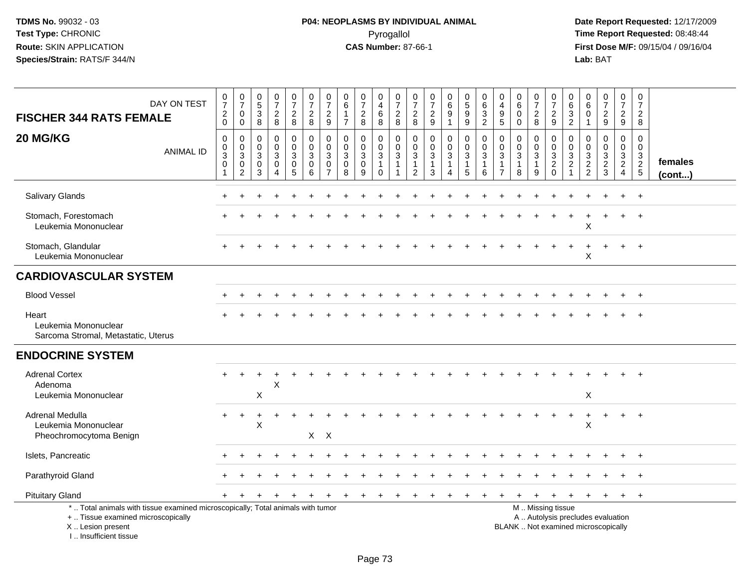| DAY ON TEST<br><b>FISCHER 344 RATS FEMALE</b>                                                                                                                       | $\begin{smallmatrix}0\\7\end{smallmatrix}$<br>$^2_{\rm 0}$             | $\frac{0}{7}$<br>$\mathbf 0$<br>$\mathbf 0$                     | $\frac{0}{5}$<br>$\ensuremath{\mathsf{3}}$<br>$\,8\,$          | $\begin{smallmatrix}0\\7\end{smallmatrix}$<br>$_{8}^2$          | $\frac{0}{7}$<br>$\overline{a}$<br>8               | $\begin{array}{c} 0 \\ 7 \end{array}$<br>$\boldsymbol{2}$<br>8 | $\pmb{0}$<br>$\overline{7}$<br>$\boldsymbol{2}$<br>$9\,$                    | 0<br>$\,6$<br>$\mathbf{1}$<br>$\overline{7}$                     | $\pmb{0}$<br>$\overline{7}$<br>$\frac{2}{8}$                                | 0<br>$\overline{\mathbf{4}}$<br>$\,6\,$<br>8                  | $\frac{0}{7}$<br>$_{8}^2$                                | $\pmb{0}$<br>$\overline{7}$<br>$_{\rm 8}^2$                                | $\begin{array}{c} 0 \\ 7 \end{array}$<br>$\frac{2}{9}$        | $\begin{array}{c} 0 \\ 6 \end{array}$<br>9<br>$\overline{1}$                              | $\begin{array}{c} 0 \\ 5 \end{array}$<br>$\boldsymbol{9}$<br>$\boldsymbol{9}$ | 0<br>$6\phantom{1}6$<br>$\sqrt{3}$<br>$\overline{2}$ | 0<br>$\overline{4}$<br>$9\,$<br>$\overline{5}$                             | 0<br>$\overline{6}$<br>$\mathbf 0$<br>$\mathbf 0$  | $\frac{0}{7}$<br>$_{8}^2$                                          | 0<br>$\overline{7}$<br>$\frac{2}{9}$                                                          | 0<br>$\,6\,$<br>$\mathbf{3}$<br>$\overline{2}$                                          | $\mathbf 0$<br>6<br>$\mathbf 0$<br>$\mathbf{1}$ | $\frac{0}{7}$<br>$\overline{a}$<br>9             | $\pmb{0}$<br>$\overline{7}$<br>$\overline{a}$<br>9                  | $\pmb{0}$<br>$\overline{7}$<br>$\overline{2}$<br>8 |                   |
|---------------------------------------------------------------------------------------------------------------------------------------------------------------------|------------------------------------------------------------------------|-----------------------------------------------------------------|----------------------------------------------------------------|-----------------------------------------------------------------|----------------------------------------------------|----------------------------------------------------------------|-----------------------------------------------------------------------------|------------------------------------------------------------------|-----------------------------------------------------------------------------|---------------------------------------------------------------|----------------------------------------------------------|----------------------------------------------------------------------------|---------------------------------------------------------------|-------------------------------------------------------------------------------------------|-------------------------------------------------------------------------------|------------------------------------------------------|----------------------------------------------------------------------------|----------------------------------------------------|--------------------------------------------------------------------|-----------------------------------------------------------------------------------------------|-----------------------------------------------------------------------------------------|-------------------------------------------------|--------------------------------------------------|---------------------------------------------------------------------|----------------------------------------------------|-------------------|
| 20 MG/KG<br>ANIMAL ID                                                                                                                                               | $\pmb{0}$<br>$\mathbf 0$<br>$\mathbf{3}$<br>$\mathbf 0$<br>$\mathbf 1$ | $\mathbf 0$<br>$\mathbf 0$<br>$\sqrt{3}$<br>0<br>$\overline{c}$ | $\mathbf 0$<br>$\mathbf 0$<br>$\mathbf{3}$<br>$\mathbf 0$<br>3 | $\pmb{0}$<br>$\overline{0}$<br>$\mathbf{3}$<br>$\mathbf 0$<br>4 | 0<br>$\mathbf 0$<br>$\sqrt{3}$<br>$\mathbf 0$<br>5 | $\pmb{0}$<br>$\pmb{0}$<br>$\sqrt{3}$<br>$\mathbf 0$<br>6       | $\mathbf 0$<br>$\mathbf 0$<br>$\mathbf{3}$<br>$\mathbf 0$<br>$\overline{7}$ | $\mathbf 0$<br>$\mathbf 0$<br>$\mathfrak{Z}$<br>$\mathbf 0$<br>8 | $\mathbf 0$<br>$\mathbf 0$<br>$\ensuremath{\mathsf{3}}$<br>$\mathbf 0$<br>9 | 0<br>$\mathbf 0$<br>$\sqrt{3}$<br>$\mathbf{1}$<br>$\mathbf 0$ | $\pmb{0}$<br>$\mathbf 0$<br>$\mathbf{3}$<br>$\mathbf{1}$ | $\pmb{0}$<br>$\mathbf 0$<br>$\mathbf{3}$<br>$\mathbf{1}$<br>$\overline{2}$ | $\mathbf 0$<br>$\mathbf 0$<br>$\sqrt{3}$<br>$\mathbf{1}$<br>3 | $\mathbf 0$<br>$\mathbf 0$<br>$\ensuremath{\mathsf{3}}$<br>$\mathbf{1}$<br>$\overline{4}$ | $\pmb{0}$<br>$\mathbf 0$<br>$\overline{3}$<br>5                               | $\mathbf 0$<br>$\mathbf 0$<br>3<br>1<br>6            | $\mathbf 0$<br>$\mathbf 0$<br>$\sqrt{3}$<br>$\mathbf{1}$<br>$\overline{7}$ | 0<br>$\Omega$<br>$\mathbf{3}$<br>$\mathbf{1}$<br>8 | 0<br>$\mathbf 0$<br>$\ensuremath{\mathsf{3}}$<br>$\mathbf{1}$<br>9 | $\pmb{0}$<br>$\mathbf 0$<br>$\frac{3}{2}$ <sub>0</sub>                                        | $\mathbf 0$<br>$\mathbf 0$<br>$\ensuremath{\mathsf{3}}$<br>$\sqrt{2}$<br>$\overline{1}$ | $\mathbf 0$<br>$\mathbf 0$<br>$\frac{3}{2}$     | $\mathbf 0$<br>$\mathbf 0$<br>$\frac{3}{2}$<br>3 | $\pmb{0}$<br>$\mathsf{O}\xspace$<br>$\frac{3}{2}$<br>$\overline{4}$ | $\mathbf 0$<br>$\mathbf 0$<br>$\frac{3}{2}$        | females<br>(cont) |
| Salivary Glands                                                                                                                                                     |                                                                        |                                                                 |                                                                |                                                                 |                                                    |                                                                |                                                                             |                                                                  |                                                                             |                                                               |                                                          |                                                                            |                                                               |                                                                                           |                                                                               |                                                      |                                                                            |                                                    |                                                                    |                                                                                               |                                                                                         |                                                 |                                                  |                                                                     | $\overline{+}$                                     |                   |
| Stomach, Forestomach<br>Leukemia Mononuclear                                                                                                                        |                                                                        |                                                                 |                                                                |                                                                 |                                                    |                                                                |                                                                             |                                                                  |                                                                             |                                                               |                                                          |                                                                            |                                                               |                                                                                           |                                                                               |                                                      |                                                                            |                                                    |                                                                    |                                                                                               |                                                                                         | Χ                                               |                                                  |                                                                     | $\overline{+}$                                     |                   |
| Stomach, Glandular<br>Leukemia Mononuclear                                                                                                                          |                                                                        |                                                                 |                                                                |                                                                 |                                                    |                                                                |                                                                             |                                                                  |                                                                             |                                                               |                                                          |                                                                            |                                                               |                                                                                           |                                                                               |                                                      |                                                                            |                                                    |                                                                    |                                                                                               |                                                                                         | Χ                                               |                                                  |                                                                     | $\overline{ }$                                     |                   |
| <b>CARDIOVASCULAR SYSTEM</b>                                                                                                                                        |                                                                        |                                                                 |                                                                |                                                                 |                                                    |                                                                |                                                                             |                                                                  |                                                                             |                                                               |                                                          |                                                                            |                                                               |                                                                                           |                                                                               |                                                      |                                                                            |                                                    |                                                                    |                                                                                               |                                                                                         |                                                 |                                                  |                                                                     |                                                    |                   |
| <b>Blood Vessel</b>                                                                                                                                                 |                                                                        |                                                                 |                                                                |                                                                 |                                                    |                                                                |                                                                             |                                                                  |                                                                             |                                                               |                                                          |                                                                            |                                                               |                                                                                           |                                                                               |                                                      |                                                                            |                                                    |                                                                    |                                                                                               |                                                                                         |                                                 |                                                  |                                                                     | $+$                                                |                   |
| Heart<br>Leukemia Mononuclear<br>Sarcoma Stromal, Metastatic, Uterus                                                                                                |                                                                        |                                                                 |                                                                |                                                                 |                                                    |                                                                |                                                                             |                                                                  |                                                                             |                                                               |                                                          |                                                                            |                                                               |                                                                                           |                                                                               |                                                      |                                                                            |                                                    |                                                                    |                                                                                               |                                                                                         |                                                 |                                                  |                                                                     |                                                    |                   |
| <b>ENDOCRINE SYSTEM</b>                                                                                                                                             |                                                                        |                                                                 |                                                                |                                                                 |                                                    |                                                                |                                                                             |                                                                  |                                                                             |                                                               |                                                          |                                                                            |                                                               |                                                                                           |                                                                               |                                                      |                                                                            |                                                    |                                                                    |                                                                                               |                                                                                         |                                                 |                                                  |                                                                     |                                                    |                   |
| <b>Adrenal Cortex</b><br>Adenoma<br>Leukemia Mononuclear                                                                                                            |                                                                        |                                                                 | X                                                              | Χ                                                               |                                                    |                                                                |                                                                             |                                                                  |                                                                             |                                                               |                                                          |                                                                            |                                                               |                                                                                           |                                                                               |                                                      |                                                                            |                                                    |                                                                    |                                                                                               |                                                                                         | X                                               |                                                  |                                                                     |                                                    |                   |
| Adrenal Medulla<br>Leukemia Mononuclear<br>Pheochromocytoma Benign                                                                                                  |                                                                        |                                                                 | X                                                              |                                                                 |                                                    | $X$ $X$                                                        |                                                                             |                                                                  |                                                                             |                                                               |                                                          |                                                                            |                                                               |                                                                                           |                                                                               |                                                      |                                                                            |                                                    |                                                                    |                                                                                               |                                                                                         | $\mathsf X$                                     |                                                  |                                                                     | $\overline{+}$                                     |                   |
| Islets, Pancreatic                                                                                                                                                  |                                                                        |                                                                 |                                                                |                                                                 |                                                    |                                                                |                                                                             |                                                                  |                                                                             |                                                               |                                                          |                                                                            |                                                               |                                                                                           |                                                                               |                                                      |                                                                            |                                                    |                                                                    |                                                                                               |                                                                                         |                                                 |                                                  |                                                                     | $\overline{+}$                                     |                   |
| Parathyroid Gland                                                                                                                                                   |                                                                        |                                                                 |                                                                |                                                                 |                                                    |                                                                |                                                                             |                                                                  |                                                                             |                                                               |                                                          |                                                                            |                                                               |                                                                                           |                                                                               |                                                      |                                                                            |                                                    |                                                                    |                                                                                               |                                                                                         |                                                 |                                                  |                                                                     | $\div$                                             |                   |
| <b>Pituitary Gland</b>                                                                                                                                              |                                                                        | $\div$                                                          |                                                                |                                                                 |                                                    |                                                                |                                                                             |                                                                  | $\pm$                                                                       |                                                               |                                                          |                                                                            |                                                               |                                                                                           |                                                                               |                                                      |                                                                            | $\ddot{}$                                          | $\ddot{}$                                                          | $\ddot{}$                                                                                     | $\ddot{}$                                                                               | $\ddot{}$                                       | $+$                                              | $+$                                                                 | $+$                                                |                   |
| *  Total animals with tissue examined microscopically; Total animals with tumor<br>+  Tissue examined microscopically<br>X  Lesion present<br>I Insufficient tissue |                                                                        |                                                                 |                                                                |                                                                 |                                                    |                                                                |                                                                             |                                                                  |                                                                             |                                                               |                                                          |                                                                            |                                                               |                                                                                           |                                                                               |                                                      |                                                                            |                                                    |                                                                    | M  Missing tissue<br>A  Autolysis precludes evaluation<br>BLANK  Not examined microscopically |                                                                                         |                                                 |                                                  |                                                                     |                                                    |                   |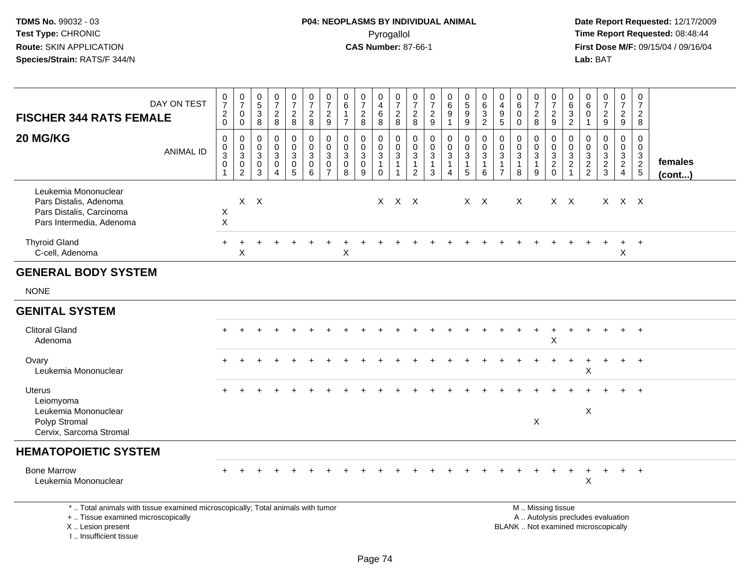| <b>FISCHER 344 RATS FEMALE</b>                                                                                                                                        | DAY ON TEST      | $\frac{0}{7}$<br>$\frac{2}{0}$                                | $\begin{array}{c} 0 \\ 7 \end{array}$<br>$\pmb{0}$<br>$\mathbf 0$   | $\begin{array}{c} 0 \\ 5 \end{array}$<br>$\sqrt{3}$<br>$\overline{8}$ | $\frac{0}{7}$<br>$\boldsymbol{2}$<br>$\,8\,$                                | $\begin{smallmatrix}0\\7\end{smallmatrix}$<br>$\frac{2}{8}$          | $\frac{0}{7}$<br>$\frac{2}{8}$                                  | $\frac{0}{7}$<br>$\frac{2}{9}$                       | 0<br>6<br>$\mathbf{1}$<br>$\overline{7}$                         | $\frac{0}{7}$<br>$\overline{2}$<br>8               | 0<br>$\overline{4}$<br>$\,6\,$<br>$\bf 8$                     | $\pmb{0}$<br>$\overline{7}$<br>$\frac{2}{8}$                               | $\pmb{0}$<br>$\overline{7}$<br>$\frac{2}{8}$                                               | 0<br>$\overline{7}$<br>$\frac{2}{9}$                                                    | $_{6}^{\rm 0}$<br>$\boldsymbol{9}$<br>$\mathbf{1}$    | $\begin{array}{c} 0 \\ 5 \end{array}$<br>9<br>9                      | $\pmb{0}$<br>6<br>$\sqrt{3}$<br>$\overline{2}$            | $\pmb{0}$<br>$\overline{\mathbf{4}}$<br>$\boldsymbol{9}$<br>$\overline{5}$   | 0<br>$\,6$<br>$\mathbf 0$<br>$\mathbf 0$                                     | $\frac{0}{7}$<br>$\frac{2}{8}$                                             | 0<br>$\overline{7}$<br>$\overline{c}$<br>9                                           | 0<br>$\,6$<br>3<br>$\overline{2}$                                          | 0<br>6<br>0<br>$\mathbf{1}$                               | $\frac{0}{7}$<br>$\frac{2}{9}$                                           | $\mathbf 0$<br>$\overline{7}$<br>$\frac{2}{9}$                | 0<br>$\overline{7}$<br>$\boldsymbol{2}$<br>8 |                   |
|-----------------------------------------------------------------------------------------------------------------------------------------------------------------------|------------------|---------------------------------------------------------------|---------------------------------------------------------------------|-----------------------------------------------------------------------|-----------------------------------------------------------------------------|----------------------------------------------------------------------|-----------------------------------------------------------------|------------------------------------------------------|------------------------------------------------------------------|----------------------------------------------------|---------------------------------------------------------------|----------------------------------------------------------------------------|--------------------------------------------------------------------------------------------|-----------------------------------------------------------------------------------------|-------------------------------------------------------|----------------------------------------------------------------------|-----------------------------------------------------------|------------------------------------------------------------------------------|------------------------------------------------------------------------------|----------------------------------------------------------------------------|--------------------------------------------------------------------------------------|----------------------------------------------------------------------------|-----------------------------------------------------------|--------------------------------------------------------------------------|---------------------------------------------------------------|----------------------------------------------|-------------------|
| 20 MG/KG                                                                                                                                                              | <b>ANIMAL ID</b> | $\pmb{0}$<br>$\pmb{0}$<br>$\overline{3}$<br>0<br>$\mathbf{1}$ | $\pmb{0}$<br>$\pmb{0}$<br>$\sqrt{3}$<br>$\pmb{0}$<br>$\overline{2}$ | $\mathbf 0$<br>$\mathbf 0$<br>$\mathsf 3$<br>0<br>$\mathbf{3}$        | $\mathbf 0$<br>$\mathbf 0$<br>$\mathbf{3}$<br>$\mathbf 0$<br>$\overline{4}$ | $\pmb{0}$<br>$\mathbf 0$<br>$\mathbf 3$<br>$\mathbf 0$<br>$\sqrt{5}$ | $\pmb{0}$<br>$\mathbf 0$<br>$\ensuremath{\mathsf{3}}$<br>0<br>6 | $\pmb{0}$<br>$\mathbf 0$<br>3<br>0<br>$\overline{7}$ | $\mathbf 0$<br>$\mathbf 0$<br>3<br>$\mathbf 0$<br>$\overline{8}$ | $\mathbf 0$<br>$\mathbf 0$<br>$\sqrt{3}$<br>0<br>9 | 0<br>$\mathbf 0$<br>$\sqrt{3}$<br>$\mathbf{1}$<br>$\mathbf 0$ | $\mathbf 0$<br>$\mathbf 0$<br>$\sqrt{3}$<br>$\mathbf{1}$<br>$\overline{1}$ | $\pmb{0}$<br>$\overline{0}$<br>$\ensuremath{\mathsf{3}}$<br>$\mathbf{1}$<br>$\overline{2}$ | $\mathbf 0$<br>$\mathbf 0$<br>$\ensuremath{\mathsf{3}}$<br>$\mathbf{1}$<br>$\mathbf{3}$ | 0<br>$\mathbf 0$<br>$\mathbf{3}$<br>$\mathbf{1}$<br>4 | $\pmb{0}$<br>$\mathsf{O}\xspace$<br>$\mathsf 3$<br>$\mathbf{1}$<br>5 | $\pmb{0}$<br>$\pmb{0}$<br>$\sqrt{3}$<br>$\mathbf{1}$<br>6 | $\mathbf 0$<br>$\mathbf 0$<br>$\sqrt{3}$<br>$\overline{1}$<br>$\overline{7}$ | $\mathbf 0$<br>$\mathbf 0$<br>$\ensuremath{\mathsf{3}}$<br>$\mathbf{1}$<br>8 | $\mathbf 0$<br>$\pmb{0}$<br>$\ensuremath{\mathsf{3}}$<br>$\mathbf{1}$<br>9 | $\mathbf 0$<br>$\mathbf 0$<br>$\ensuremath{\mathsf{3}}$<br>$\sqrt{2}$<br>$\mathbf 0$ | $\mathbf 0$<br>$\mathbf 0$<br>$\mathbf{3}$<br>$\mathbf{2}$<br>$\mathbf{1}$ | $\mathbf 0$<br>$\mathbf 0$<br>$\sqrt{3}$<br>$\frac{2}{2}$ | $\pmb{0}$<br>$\pmb{0}$<br>$\frac{3}{2}$                                  | $\mathbf 0$<br>$\mathbf 0$<br>$\frac{3}{2}$<br>$\overline{4}$ | $\mathbf 0$<br>$\mathbf{0}$<br>$\frac{3}{2}$ | females<br>(cont) |
| Leukemia Mononuclear<br>Pars Distalis, Adenoma<br>Pars Distalis, Carcinoma<br>Pars Intermedia, Adenoma                                                                |                  | Χ<br>$\boldsymbol{\mathsf{X}}$                                |                                                                     | $X$ $X$                                                               |                                                                             |                                                                      |                                                                 |                                                      |                                                                  |                                                    |                                                               | X X X                                                                      |                                                                                            |                                                                                         |                                                       |                                                                      | $X$ $X$                                                   |                                                                              | X                                                                            |                                                                            |                                                                                      | $X$ $X$                                                                    |                                                           |                                                                          | $X$ $X$ $X$                                                   |                                              |                   |
| <b>Thyroid Gland</b><br>C-cell, Adenoma                                                                                                                               |                  | $+$                                                           | X                                                                   |                                                                       |                                                                             |                                                                      |                                                                 |                                                      | X                                                                |                                                    |                                                               |                                                                            |                                                                                            |                                                                                         |                                                       |                                                                      |                                                           |                                                                              |                                                                              |                                                                            |                                                                                      |                                                                            |                                                           |                                                                          | $\ddot{}$<br>X                                                | $+$                                          |                   |
| <b>GENERAL BODY SYSTEM</b>                                                                                                                                            |                  |                                                               |                                                                     |                                                                       |                                                                             |                                                                      |                                                                 |                                                      |                                                                  |                                                    |                                                               |                                                                            |                                                                                            |                                                                                         |                                                       |                                                                      |                                                           |                                                                              |                                                                              |                                                                            |                                                                                      |                                                                            |                                                           |                                                                          |                                                               |                                              |                   |
| <b>NONE</b>                                                                                                                                                           |                  |                                                               |                                                                     |                                                                       |                                                                             |                                                                      |                                                                 |                                                      |                                                                  |                                                    |                                                               |                                                                            |                                                                                            |                                                                                         |                                                       |                                                                      |                                                           |                                                                              |                                                                              |                                                                            |                                                                                      |                                                                            |                                                           |                                                                          |                                                               |                                              |                   |
| <b>GENITAL SYSTEM</b>                                                                                                                                                 |                  |                                                               |                                                                     |                                                                       |                                                                             |                                                                      |                                                                 |                                                      |                                                                  |                                                    |                                                               |                                                                            |                                                                                            |                                                                                         |                                                       |                                                                      |                                                           |                                                                              |                                                                              |                                                                            |                                                                                      |                                                                            |                                                           |                                                                          |                                                               |                                              |                   |
| <b>Clitoral Gland</b><br>Adenoma                                                                                                                                      |                  |                                                               |                                                                     |                                                                       |                                                                             |                                                                      |                                                                 |                                                      |                                                                  |                                                    |                                                               |                                                                            |                                                                                            |                                                                                         |                                                       |                                                                      |                                                           |                                                                              |                                                                              |                                                                            | $\boldsymbol{\mathsf{X}}$                                                            |                                                                            |                                                           |                                                                          |                                                               | $+$                                          |                   |
| Ovary<br>Leukemia Mononuclear                                                                                                                                         |                  |                                                               |                                                                     |                                                                       |                                                                             |                                                                      |                                                                 |                                                      |                                                                  |                                                    |                                                               |                                                                            |                                                                                            |                                                                                         |                                                       |                                                                      |                                                           |                                                                              |                                                                              |                                                                            |                                                                                      |                                                                            | +<br>X                                                    | $\ddot{}$                                                                | $\ddot{}$                                                     | $+$                                          |                   |
| <b>Uterus</b><br>Leiomyoma                                                                                                                                            |                  |                                                               |                                                                     |                                                                       |                                                                             |                                                                      |                                                                 |                                                      |                                                                  |                                                    |                                                               |                                                                            |                                                                                            |                                                                                         |                                                       |                                                                      |                                                           |                                                                              |                                                                              |                                                                            |                                                                                      |                                                                            |                                                           |                                                                          |                                                               | $+$                                          |                   |
| Leukemia Mononuclear<br>Polyp Stromal<br>Cervix, Sarcoma Stromal                                                                                                      |                  |                                                               |                                                                     |                                                                       |                                                                             |                                                                      |                                                                 |                                                      |                                                                  |                                                    |                                                               |                                                                            |                                                                                            |                                                                                         |                                                       |                                                                      |                                                           |                                                                              |                                                                              | $\mathsf{X}$                                                               |                                                                                      |                                                                            | X                                                         |                                                                          |                                                               |                                              |                   |
| <b>HEMATOPOIETIC SYSTEM</b>                                                                                                                                           |                  |                                                               |                                                                     |                                                                       |                                                                             |                                                                      |                                                                 |                                                      |                                                                  |                                                    |                                                               |                                                                            |                                                                                            |                                                                                         |                                                       |                                                                      |                                                           |                                                                              |                                                                              |                                                                            |                                                                                      |                                                                            |                                                           |                                                                          |                                                               |                                              |                   |
| <b>Bone Marrow</b><br>Leukemia Mononuclear                                                                                                                            |                  |                                                               |                                                                     |                                                                       |                                                                             |                                                                      |                                                                 |                                                      |                                                                  |                                                    |                                                               |                                                                            |                                                                                            |                                                                                         |                                                       |                                                                      |                                                           |                                                                              |                                                                              |                                                                            |                                                                                      |                                                                            | X                                                         |                                                                          | $\ddot{}$                                                     | $+$                                          |                   |
| *  Total animals with tissue examined microscopically; Total animals with tumor<br>+  Tissue examined microscopically<br>X  Lesion present<br>I., Insufficient tissue |                  |                                                               |                                                                     |                                                                       |                                                                             |                                                                      |                                                                 |                                                      |                                                                  |                                                    |                                                               |                                                                            |                                                                                            |                                                                                         |                                                       |                                                                      |                                                           |                                                                              |                                                                              | M  Missing tissue                                                          |                                                                                      |                                                                            |                                                           | A  Autolysis precludes evaluation<br>BLANK  Not examined microscopically |                                                               |                                              |                   |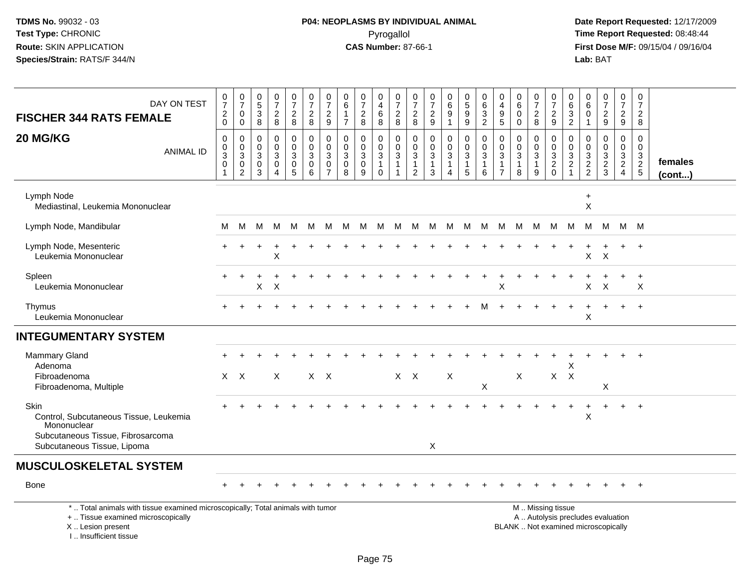I .. Insufficient tissue

## **P04: NEOPLASMS BY INDIVIDUAL ANIMAL**Pyrogallol Pyrogallol **Pyrogallol Time Report Requested:** 08:48:44<br>**CAS Number:** 87-66-1 **Time Report Requested:** 08/15/04 / 09/16/04

| DAY ON TEST<br><b>FISCHER 344 RATS FEMALE</b>                                                                                              | $\frac{0}{7}$<br>$^2_{0}$                             | $\frac{0}{7}$<br>0<br>0                                       | $\begin{array}{c} 0 \\ 5 \end{array}$<br>$\ensuremath{\mathsf{3}}$<br>8 | $\frac{0}{7}$<br>$\frac{2}{8}$                                       | $\frac{0}{7}$<br>$\sqrt{2}$<br>8                                             | 0<br>$\overline{7}$<br>$\sqrt{2}$<br>8                         | 0<br>$\overline{7}$<br>$\sqrt{2}$<br>$\boldsymbol{9}$         | 0<br>6<br>$\mathbf{1}$<br>$\overline{7}$       | $\frac{0}{7}$<br>$\sqrt{2}$<br>8                           | 0<br>$\overline{4}$<br>6<br>8                        | 0<br>$\overline{7}$<br>$\frac{2}{8}$                         | 0<br>$\overline{7}$<br>$\overline{c}$<br>8                     | 0<br>$\boldsymbol{7}$<br>$\sqrt{2}$<br>9       | $\begin{matrix} 0 \\ 6 \end{matrix}$<br>$\boldsymbol{9}$<br>$\mathbf{1}$ | 0<br>$\overline{5}$<br>$\boldsymbol{9}$<br>9                    | 0<br>6<br>$\ensuremath{\mathsf{3}}$<br>$\overline{2}$ | 0<br>$\overline{4}$<br>$\begin{array}{c} 9 \\ 5 \end{array}$        | 0<br>$\,6$<br>$\mathbf 0$<br>$\mathbf 0$          | 0<br>$\overline{7}$<br>$\sqrt{2}$<br>8              | 0<br>$\overline{7}$<br>$\overline{c}$<br>9                       | 0<br>6<br>$\ensuremath{\mathsf{3}}$<br>$\overline{2}$                     | 0<br>6<br>0<br>$\mathbf{1}$                                           | $\frac{0}{7}$<br>$\frac{2}{9}$    | $\mathbf 0$<br>$\overline{7}$<br>$\frac{2}{9}$ | 0<br>$\overline{7}$<br>$\overline{2}$<br>8                            |                         |
|--------------------------------------------------------------------------------------------------------------------------------------------|-------------------------------------------------------|---------------------------------------------------------------|-------------------------------------------------------------------------|----------------------------------------------------------------------|------------------------------------------------------------------------------|----------------------------------------------------------------|---------------------------------------------------------------|------------------------------------------------|------------------------------------------------------------|------------------------------------------------------|--------------------------------------------------------------|----------------------------------------------------------------|------------------------------------------------|--------------------------------------------------------------------------|-----------------------------------------------------------------|-------------------------------------------------------|---------------------------------------------------------------------|---------------------------------------------------|-----------------------------------------------------|------------------------------------------------------------------|---------------------------------------------------------------------------|-----------------------------------------------------------------------|-----------------------------------|------------------------------------------------|-----------------------------------------------------------------------|-------------------------|
| 20 MG/KG<br><b>ANIMAL ID</b>                                                                                                               | $\mathbf 0$<br>$\pmb{0}$<br>$\sqrt{3}$<br>$\mathbf 0$ | 0<br>$\mathbf 0$<br>$\sqrt{3}$<br>$\pmb{0}$<br>$\overline{2}$ | $\mathbf 0$<br>0<br>$\mathbf{3}$<br>0<br>3                              | $\mathbf 0$<br>$\mathsf{O}\xspace$<br>$\sqrt{3}$<br>$\mathbf 0$<br>4 | $\mathbf 0$<br>$\mathbf 0$<br>$\mathbf{3}$<br>$\mathbf 0$<br>$5\phantom{.0}$ | $\mathbf 0$<br>$\mathbf 0$<br>$\mathbf{3}$<br>$\mathbf 0$<br>6 | $\mathbf 0$<br>$\Omega$<br>3<br>$\mathbf 0$<br>$\overline{7}$ | $\Omega$<br>$\Omega$<br>$\mathbf{3}$<br>0<br>8 | $\mathbf 0$<br>$\mathbf 0$<br>$\sqrt{3}$<br>$\pmb{0}$<br>9 | 0<br>$\mathbf 0$<br>3<br>$\mathbf{1}$<br>$\mathbf 0$ | $\mathbf 0$<br>$\mathbf 0$<br>$\mathbf{3}$<br>$\overline{1}$ | $\mathbf 0$<br>$\Omega$<br>3<br>$\mathbf{1}$<br>$\overline{2}$ | $\Omega$<br>$\Omega$<br>3<br>$\mathbf{1}$<br>3 | $\mathbf 0$<br>$\mathbf 0$<br>$\mathbf{3}$<br>$\mathbf{1}$               | $\mathbf 0$<br>$\mathbf 0$<br>$\mathbf{3}$<br>$\mathbf{1}$<br>5 | $\mathbf 0$<br>$\mathbf 0$<br>$\mathbf{3}$<br>1<br>6  | $\mathbf 0$<br>$\mathbf 0$<br>3<br>$\overline{1}$<br>$\overline{7}$ | $\mathbf 0$<br>$\Omega$<br>3<br>$\mathbf{1}$<br>8 | 0<br>$\mathbf 0$<br>$\sqrt{3}$<br>$\mathbf{1}$<br>9 | $\mathbf 0$<br>$\mathbf 0$<br>3<br>$\overline{2}$<br>$\mathbf 0$ | $\mathbf 0$<br>$\Omega$<br>$\mathbf{3}$<br>$\overline{a}$<br>$\mathbf{1}$ | $\mathbf 0$<br>$\Omega$<br>$\ensuremath{\mathsf{3}}$<br>$\frac{2}{2}$ | 0<br>$\mathbf 0$<br>$\frac{3}{2}$ | $\mathbf 0$<br>$\mathbf 0$<br>$\frac{3}{2}$    | $\mathbf 0$<br>$\Omega$<br>$\begin{array}{c} 3 \\ 2 \\ 5 \end{array}$ | females<br>$($ cont $)$ |
| Lymph Node<br>Mediastinal, Leukemia Mononuclear                                                                                            |                                                       |                                                               |                                                                         |                                                                      |                                                                              |                                                                |                                                               |                                                |                                                            |                                                      |                                                              |                                                                |                                                |                                                                          |                                                                 |                                                       |                                                                     |                                                   |                                                     |                                                                  |                                                                           | $\ddot{}$<br>X                                                        |                                   |                                                |                                                                       |                         |
| Lymph Node, Mandibular                                                                                                                     | м                                                     | M                                                             | м                                                                       | M                                                                    | M                                                                            | M                                                              | M                                                             | M                                              | M                                                          | M                                                    | M                                                            | M                                                              | M                                              | M                                                                        | M                                                               | M                                                     | м                                                                   | M                                                 | M                                                   | M                                                                | M                                                                         | M                                                                     | M                                 |                                                | M M                                                                   |                         |
| Lymph Node, Mesenteric<br>Leukemia Mononuclear                                                                                             |                                                       |                                                               |                                                                         | X                                                                    |                                                                              |                                                                |                                                               |                                                |                                                            |                                                      |                                                              |                                                                |                                                |                                                                          |                                                                 |                                                       |                                                                     |                                                   |                                                     |                                                                  |                                                                           | X                                                                     | $\mathsf{X}$                      |                                                | $\ddot{}$                                                             |                         |
| Spleen<br>Leukemia Mononuclear                                                                                                             |                                                       |                                                               | X                                                                       | X                                                                    |                                                                              |                                                                |                                                               |                                                |                                                            |                                                      |                                                              |                                                                |                                                |                                                                          |                                                                 |                                                       | Χ                                                                   |                                                   |                                                     |                                                                  |                                                                           | X                                                                     | X                                 |                                                | $\ddot{}$<br>X                                                        |                         |
| Thymus<br>Leukemia Mononuclear                                                                                                             |                                                       |                                                               |                                                                         |                                                                      |                                                                              |                                                                |                                                               |                                                |                                                            |                                                      |                                                              |                                                                |                                                |                                                                          |                                                                 |                                                       |                                                                     |                                                   |                                                     |                                                                  |                                                                           | X                                                                     | $\ddot{}$                         | $+$                                            | $+$                                                                   |                         |
| <b>INTEGUMENTARY SYSTEM</b>                                                                                                                |                                                       |                                                               |                                                                         |                                                                      |                                                                              |                                                                |                                                               |                                                |                                                            |                                                      |                                                              |                                                                |                                                |                                                                          |                                                                 |                                                       |                                                                     |                                                   |                                                     |                                                                  |                                                                           |                                                                       |                                   |                                                |                                                                       |                         |
| Mammary Gland<br>Adenoma                                                                                                                   |                                                       |                                                               |                                                                         |                                                                      |                                                                              |                                                                |                                                               |                                                |                                                            |                                                      |                                                              |                                                                |                                                |                                                                          |                                                                 |                                                       |                                                                     |                                                   |                                                     |                                                                  | Х                                                                         |                                                                       |                                   |                                                |                                                                       |                         |
| Fibroadenoma<br>Fibroadenoma, Multiple                                                                                                     |                                                       | $X$ $X$                                                       |                                                                         | $\sf X$                                                              |                                                                              |                                                                | $X$ $X$                                                       |                                                |                                                            |                                                      |                                                              | $X$ $X$                                                        |                                                | X                                                                        |                                                                 | X                                                     |                                                                     | X                                                 |                                                     | $\mathsf{X}$                                                     | $\mathsf{X}$                                                              |                                                                       | $\times$                          |                                                |                                                                       |                         |
| <b>Skin</b><br>Control, Subcutaneous Tissue, Leukemia<br>Mononuclear<br>Subcutaneous Tissue, Fibrosarcoma                                  |                                                       |                                                               |                                                                         |                                                                      |                                                                              |                                                                |                                                               |                                                |                                                            |                                                      |                                                              |                                                                |                                                |                                                                          |                                                                 |                                                       |                                                                     |                                                   |                                                     |                                                                  |                                                                           | X                                                                     |                                   |                                                | $\overline{+}$                                                        |                         |
| Subcutaneous Tissue, Lipoma                                                                                                                |                                                       |                                                               |                                                                         |                                                                      |                                                                              |                                                                |                                                               |                                                |                                                            |                                                      |                                                              |                                                                | X                                              |                                                                          |                                                                 |                                                       |                                                                     |                                                   |                                                     |                                                                  |                                                                           |                                                                       |                                   |                                                |                                                                       |                         |
| <b>MUSCULOSKELETAL SYSTEM</b>                                                                                                              |                                                       |                                                               |                                                                         |                                                                      |                                                                              |                                                                |                                                               |                                                |                                                            |                                                      |                                                              |                                                                |                                                |                                                                          |                                                                 |                                                       |                                                                     |                                                   |                                                     |                                                                  |                                                                           |                                                                       |                                   |                                                |                                                                       |                         |
| <b>Bone</b>                                                                                                                                |                                                       |                                                               |                                                                         |                                                                      |                                                                              |                                                                |                                                               |                                                |                                                            |                                                      |                                                              |                                                                |                                                |                                                                          |                                                                 |                                                       |                                                                     |                                                   |                                                     |                                                                  |                                                                           |                                                                       |                                   |                                                | $+$                                                                   |                         |
| *  Total animals with tissue examined microscopically; Total animals with tumor<br>+  Tissue examined microscopically<br>X  Lesion present |                                                       |                                                               |                                                                         |                                                                      |                                                                              |                                                                |                                                               |                                                |                                                            |                                                      |                                                              |                                                                |                                                |                                                                          |                                                                 |                                                       |                                                                     |                                                   |                                                     | M  Missing tissue                                                | A  Autolysis precludes evaluation<br>BLANK  Not examined microscopically  |                                                                       |                                   |                                                |                                                                       |                         |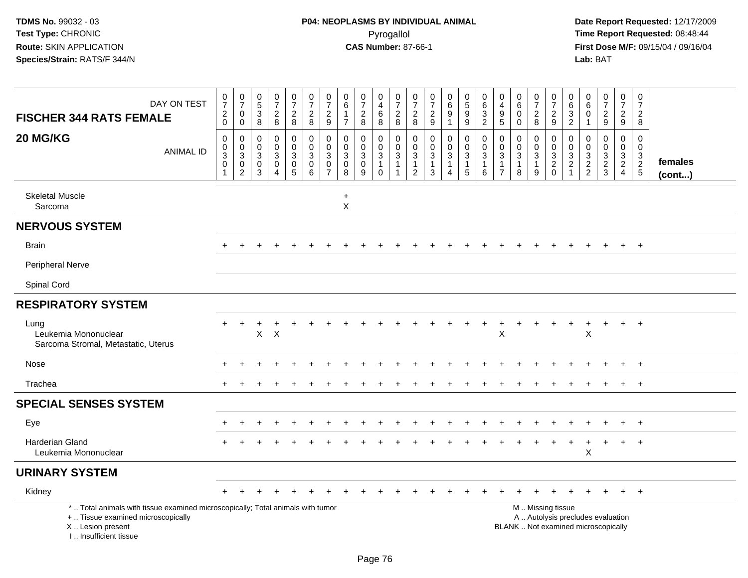| DAY ON TEST<br><b>FISCHER 344 RATS FEMALE</b>                                                                                                                       | $\begin{array}{c} 0 \\ 7 \end{array}$<br>$^2_{\rm 0}$             | $\frac{0}{7}$<br>$\mathbf 0$<br>$\mathbf 0$                       | $\begin{array}{c} 0 \\ 5 \end{array}$<br>$\sqrt{3}$<br>$\boldsymbol{8}$ | $\frac{0}{7}$<br>$\overline{2}$<br>8                 | $\frac{0}{7}$<br>$\overline{a}$<br>8                          | $\frac{0}{7}$<br>$\sqrt{2}$<br>8                                 | $\frac{0}{7}$<br>$\sqrt{2}$<br>9                              | $\begin{array}{c} 0 \\ 6 \end{array}$<br>$\overline{1}$<br>$\overline{7}$ | $\frac{0}{7}$<br>$\sqrt{2}$<br>8                     | 0<br>$\overline{a}$<br>$\,6\,$<br>8                                  | $\frac{0}{7}$<br>$\overline{c}$<br>8 | $\frac{0}{7}$<br>$\sqrt{2}$<br>8                                 | $\frac{0}{7}$<br>$\overline{c}$<br>9                              | $\begin{array}{c} 0 \\ 6 \end{array}$<br>9<br>$\overline{1}$ | $\begin{array}{c} 0 \\ 5 \\ 9 \end{array}$<br>$\boldsymbol{9}$             | 0<br>$\,6\,$<br>$\ensuremath{\mathsf{3}}$<br>$\overline{2}$ | 0<br>$\overline{4}$<br>$\boldsymbol{9}$<br>5                      | 0<br>$6\phantom{a}$<br>$\pmb{0}$<br>$\mathbf 0$ | $\frac{0}{7}$<br>$\overline{c}$<br>8                                   | $\frac{0}{7}$<br>$\boldsymbol{2}$<br>9                                                        | 0<br>$\,6\,$<br>$\sqrt{3}$<br>$\sqrt{2}$     | $\begin{array}{c} 0 \\ 6 \end{array}$<br>$\boldsymbol{0}$<br>$\mathbf{1}$ | $\frac{0}{7}$<br>$\overline{2}$<br>9              | $\frac{0}{7}$<br>$\overline{2}$<br>9                          | 0<br>$\overline{7}$<br>$\overline{2}$<br>8 |                         |
|---------------------------------------------------------------------------------------------------------------------------------------------------------------------|-------------------------------------------------------------------|-------------------------------------------------------------------|-------------------------------------------------------------------------|------------------------------------------------------|---------------------------------------------------------------|------------------------------------------------------------------|---------------------------------------------------------------|---------------------------------------------------------------------------|------------------------------------------------------|----------------------------------------------------------------------|--------------------------------------|------------------------------------------------------------------|-------------------------------------------------------------------|--------------------------------------------------------------|----------------------------------------------------------------------------|-------------------------------------------------------------|-------------------------------------------------------------------|-------------------------------------------------|------------------------------------------------------------------------|-----------------------------------------------------------------------------------------------|----------------------------------------------|---------------------------------------------------------------------------|---------------------------------------------------|---------------------------------------------------------------|--------------------------------------------|-------------------------|
| 20 MG/KG<br><b>ANIMAL ID</b>                                                                                                                                        | $\boldsymbol{0}$<br>$\mathbf 0$<br>$\mathbf{3}$<br>$\pmb{0}$<br>1 | 0<br>$\mathbf 0$<br>$\mathbf{3}$<br>$\mathbf 0$<br>$\overline{c}$ | $\mathbf 0$<br>$\mathbf 0$<br>3<br>$\mathbf 0$<br>3                     | 0<br>$\mathbf 0$<br>$\mathbf{3}$<br>$\mathsf 0$<br>4 | 0<br>$\mathbf 0$<br>$\sqrt{3}$<br>$\pmb{0}$<br>$\overline{5}$ | $\mathbf 0$<br>$\mathbf 0$<br>$\sqrt{3}$<br>$\pmb{0}$<br>$\,6\,$ | $\mathbf 0$<br>$\Omega$<br>3<br>$\mathbf 0$<br>$\overline{7}$ | $\mathbf 0$<br>$\mathbf 0$<br>$\mathbf 3$<br>$\mathbf 0$<br>8             | 0<br>$\mathbf 0$<br>$\mathbf{3}$<br>$\mathbf 0$<br>9 | $\pmb{0}$<br>$\mathbf 0$<br>$\sqrt{3}$<br>$\overline{1}$<br>$\Omega$ | 0<br>$\Omega$<br>3<br>$\mathbf{1}$   | 0<br>$\mathbf 0$<br>$\sqrt{3}$<br>$\mathbf{1}$<br>$\overline{2}$ | 0<br>$\mathsf{O}$<br>$\mathbf{3}$<br>$\mathbf{1}$<br>$\mathbf{3}$ | 0<br>$\overline{0}$<br>3<br>1<br>$\overline{4}$              | $\pmb{0}$<br>$\mathbf 0$<br>$\overline{3}$<br>$\overline{1}$<br>$\sqrt{5}$ | $\mathbf 0$<br>$\Omega$<br>3<br>$\overline{1}$<br>6         | $\mathbf 0$<br>$\mathbf 0$<br>3<br>$\mathbf{1}$<br>$\overline{7}$ | 0<br>$\mathbf 0$<br>$\mathbf{3}$<br>1<br>8      | 0<br>$\mathbf 0$<br>$\overline{3}$<br>$\mathbf{1}$<br>$\boldsymbol{9}$ | $\mathbf 0$<br>$\mathbf 0$<br>$\ensuremath{\mathsf{3}}$<br>$\frac{2}{0}$                      | 0<br>$\mathbf 0$<br>$\sqrt{3}$<br>$\sqrt{2}$ | $\boldsymbol{0}$<br>$\mathbf 0$<br>$\frac{3}{2}$                          | 0<br>$\mathbf 0$<br>$\mathbf{3}$<br>$\frac{2}{3}$ | $\mathbf 0$<br>$\mathbf 0$<br>$\frac{3}{2}$<br>$\overline{4}$ | 0<br>$\mathbf 0$<br>3<br>$rac{2}{5}$       | females<br>$($ cont $)$ |
| <b>Skeletal Muscle</b><br>Sarcoma                                                                                                                                   |                                                                   |                                                                   |                                                                         |                                                      |                                                               |                                                                  |                                                               | $\ddot{}$<br>$\pmb{\times}$                                               |                                                      |                                                                      |                                      |                                                                  |                                                                   |                                                              |                                                                            |                                                             |                                                                   |                                                 |                                                                        |                                                                                               |                                              |                                                                           |                                                   |                                                               |                                            |                         |
| <b>NERVOUS SYSTEM</b>                                                                                                                                               |                                                                   |                                                                   |                                                                         |                                                      |                                                               |                                                                  |                                                               |                                                                           |                                                      |                                                                      |                                      |                                                                  |                                                                   |                                                              |                                                                            |                                                             |                                                                   |                                                 |                                                                        |                                                                                               |                                              |                                                                           |                                                   |                                                               |                                            |                         |
| <b>Brain</b>                                                                                                                                                        |                                                                   |                                                                   |                                                                         |                                                      |                                                               |                                                                  |                                                               |                                                                           |                                                      |                                                                      |                                      |                                                                  |                                                                   |                                                              |                                                                            |                                                             |                                                                   |                                                 |                                                                        |                                                                                               |                                              |                                                                           |                                                   |                                                               | $+$                                        |                         |
| <b>Peripheral Nerve</b>                                                                                                                                             |                                                                   |                                                                   |                                                                         |                                                      |                                                               |                                                                  |                                                               |                                                                           |                                                      |                                                                      |                                      |                                                                  |                                                                   |                                                              |                                                                            |                                                             |                                                                   |                                                 |                                                                        |                                                                                               |                                              |                                                                           |                                                   |                                                               |                                            |                         |
| Spinal Cord                                                                                                                                                         |                                                                   |                                                                   |                                                                         |                                                      |                                                               |                                                                  |                                                               |                                                                           |                                                      |                                                                      |                                      |                                                                  |                                                                   |                                                              |                                                                            |                                                             |                                                                   |                                                 |                                                                        |                                                                                               |                                              |                                                                           |                                                   |                                                               |                                            |                         |
| <b>RESPIRATORY SYSTEM</b>                                                                                                                                           |                                                                   |                                                                   |                                                                         |                                                      |                                                               |                                                                  |                                                               |                                                                           |                                                      |                                                                      |                                      |                                                                  |                                                                   |                                                              |                                                                            |                                                             |                                                                   |                                                 |                                                                        |                                                                                               |                                              |                                                                           |                                                   |                                                               |                                            |                         |
| Lung<br>Leukemia Mononuclear<br>Sarcoma Stromal, Metastatic, Uterus                                                                                                 | $+$                                                               | $\ddot{}$                                                         | X                                                                       | $\times$                                             |                                                               |                                                                  |                                                               |                                                                           |                                                      |                                                                      |                                      |                                                                  |                                                                   |                                                              |                                                                            | $\ddot{}$                                                   | $\ddot{}$<br>X                                                    | $\ddot{}$                                       |                                                                        |                                                                                               | $\pm$                                        | $\ddot{}$<br>X                                                            | $\ddot{}$                                         | $+$                                                           | $+$                                        |                         |
| Nose                                                                                                                                                                |                                                                   |                                                                   |                                                                         |                                                      |                                                               |                                                                  |                                                               |                                                                           |                                                      |                                                                      |                                      |                                                                  |                                                                   |                                                              |                                                                            |                                                             |                                                                   |                                                 |                                                                        |                                                                                               |                                              |                                                                           |                                                   |                                                               | $\div$                                     |                         |
| Trachea                                                                                                                                                             |                                                                   |                                                                   |                                                                         |                                                      |                                                               |                                                                  |                                                               |                                                                           |                                                      |                                                                      |                                      |                                                                  |                                                                   |                                                              |                                                                            |                                                             |                                                                   |                                                 |                                                                        |                                                                                               |                                              |                                                                           |                                                   |                                                               | $+$                                        |                         |
| <b>SPECIAL SENSES SYSTEM</b>                                                                                                                                        |                                                                   |                                                                   |                                                                         |                                                      |                                                               |                                                                  |                                                               |                                                                           |                                                      |                                                                      |                                      |                                                                  |                                                                   |                                                              |                                                                            |                                                             |                                                                   |                                                 |                                                                        |                                                                                               |                                              |                                                                           |                                                   |                                                               |                                            |                         |
| Eye                                                                                                                                                                 |                                                                   |                                                                   |                                                                         |                                                      |                                                               |                                                                  |                                                               |                                                                           |                                                      |                                                                      |                                      |                                                                  |                                                                   |                                                              |                                                                            |                                                             |                                                                   |                                                 |                                                                        |                                                                                               |                                              |                                                                           |                                                   |                                                               | $^{+}$                                     |                         |
| <b>Harderian Gland</b><br>Leukemia Mononuclear                                                                                                                      |                                                                   |                                                                   |                                                                         |                                                      |                                                               |                                                                  |                                                               |                                                                           |                                                      |                                                                      |                                      |                                                                  |                                                                   |                                                              |                                                                            |                                                             |                                                                   |                                                 |                                                                        |                                                                                               |                                              | X                                                                         | $\ddot{}$                                         | $\ddot{}$                                                     | $^{+}$                                     |                         |
| <b>URINARY SYSTEM</b>                                                                                                                                               |                                                                   |                                                                   |                                                                         |                                                      |                                                               |                                                                  |                                                               |                                                                           |                                                      |                                                                      |                                      |                                                                  |                                                                   |                                                              |                                                                            |                                                             |                                                                   |                                                 |                                                                        |                                                                                               |                                              |                                                                           |                                                   |                                                               |                                            |                         |
| Kidney                                                                                                                                                              |                                                                   |                                                                   |                                                                         |                                                      |                                                               |                                                                  |                                                               |                                                                           |                                                      |                                                                      |                                      |                                                                  |                                                                   |                                                              |                                                                            |                                                             |                                                                   |                                                 |                                                                        |                                                                                               |                                              |                                                                           |                                                   |                                                               | $+$                                        |                         |
| *  Total animals with tissue examined microscopically; Total animals with tumor<br>+  Tissue examined microscopically<br>X  Lesion present<br>I Insufficient tissue |                                                                   |                                                                   |                                                                         |                                                      |                                                               |                                                                  |                                                               |                                                                           |                                                      |                                                                      |                                      |                                                                  |                                                                   |                                                              |                                                                            |                                                             |                                                                   |                                                 |                                                                        | M  Missing tissue<br>A  Autolysis precludes evaluation<br>BLANK  Not examined microscopically |                                              |                                                                           |                                                   |                                                               |                                            |                         |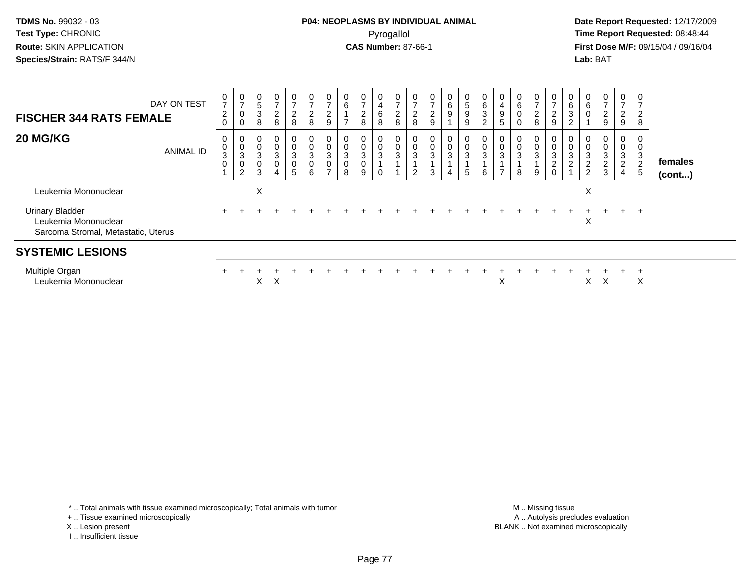**Date Report Requested:** 12/17/2009 **First Dose M/F:** 09/15/04 / 09/16/04 Lab: BAT **Lab:** BAT

| <b>FISCHER 344 RATS FEMALE</b>                                                        | DAY ON TEST | $\frac{0}{7}$<br>$\boldsymbol{2}$<br>0 | $\frac{0}{7}$<br>$\pmb{0}$<br>0                   | $\begin{matrix} 0 \\ 5 \end{matrix}$<br>$\sqrt{3}$<br>8           | $\frac{0}{7}$<br>$\boldsymbol{2}$<br>8                           | 0<br>$\overline{ }$<br>$\frac{2}{8}$                              | $\frac{0}{7}$<br>$\overline{c}$<br>8          | $\frac{0}{7}$<br>$\overline{c}$<br>9                                                       | $\mathsf{o}$<br>6 | $\frac{0}{7}$<br>$\boldsymbol{2}$<br>8                        | 0<br>4<br>6<br>8                       | $\frac{0}{7}$<br>$\frac{2}{8}$                  | $\rightarrow$<br>$\overline{\mathbf{c}}$<br>8 | $\overline{ }$<br>$\overline{c}$<br>9 | 0<br>6<br>9                                        | 0<br>$\sqrt{5}$<br>9<br>9   | $\begin{matrix} 0 \\ 6 \\ 3 \end{matrix}$<br>$\overline{2}$ | $\boldsymbol{0}$<br>$\overline{4}$<br>$\boldsymbol{9}$<br>5 | 6                             | $\rightarrow$<br>2<br>8 | $\frac{0}{7}$<br>$\overline{c}$<br>9          | $\mathbf 0$<br>$\,6\,$<br>3<br>◠ | 0<br>$\,6$<br>$\pmb{0}$                         | $\frac{0}{7}$<br>$\boldsymbol{2}$<br>9   | 0<br>$\overline{ }$<br>$\overline{\mathbf{c}}$<br>9 | 0<br>$\overline{ }$<br>$\overline{\mathbf{c}}$<br>8 |                         |
|---------------------------------------------------------------------------------------|-------------|----------------------------------------|---------------------------------------------------|-------------------------------------------------------------------|------------------------------------------------------------------|-------------------------------------------------------------------|-----------------------------------------------|--------------------------------------------------------------------------------------------|-------------------|---------------------------------------------------------------|----------------------------------------|-------------------------------------------------|-----------------------------------------------|---------------------------------------|----------------------------------------------------|-----------------------------|-------------------------------------------------------------|-------------------------------------------------------------|-------------------------------|-------------------------|-----------------------------------------------|----------------------------------|-------------------------------------------------|------------------------------------------|-----------------------------------------------------|-----------------------------------------------------|-------------------------|
| 20 MG/KG                                                                              | ANIMAL ID   | 0<br>$\frac{0}{3}$<br>$\mathbf 0$      | 0<br>$\frac{0}{3}$<br>$\pmb{0}$<br>$\overline{c}$ | $\begin{smallmatrix} 0\\0\\3 \end{smallmatrix}$<br>$\pmb{0}$<br>3 | $\begin{matrix} 0 \\ 0 \\ 3 \\ 0 \end{matrix}$<br>$\overline{4}$ | 0<br>$\mathsf{O}\xspace$<br>$\mathbf{3}$<br>$\boldsymbol{0}$<br>5 | $\mathbf 0$<br>$\mathbf{3}$<br>$\pmb{0}$<br>6 | $\begin{smallmatrix}0\0\0\end{smallmatrix}$<br>$\mathbf{3}$<br>$\pmb{0}$<br>$\overline{ }$ | 0<br>3<br>8       | 0<br>$\pmb{0}$<br>$\sqrt{3}$<br>$\pmb{0}$<br>$\boldsymbol{9}$ | 0<br>$\mathsf{O}\xspace$<br>$\sqrt{3}$ | $\begin{smallmatrix} 0\\0\\3 \end{smallmatrix}$ | 0<br>$\boldsymbol{0}$<br>3<br>$\overline{2}$  | $\bar{0}$<br>$\sqrt{3}$<br>3          | 0<br>$\mathbf 0$<br>$\ensuremath{\mathsf{3}}$<br>4 | 0<br>0<br>$\mathbf{3}$<br>5 | $\begin{matrix} 0 \\ 0 \\ 3 \end{matrix}$<br>$\,6\,$        | 0<br>$\overline{0}$<br>$\mathbf{3}$<br>$\overline{ }$       | $\pmb{0}$<br>$\mathbf 3$<br>8 | 3<br>9                  | 0<br>$\pmb{0}$<br>$\sqrt{3}$<br>$\frac{2}{0}$ | $\pmb{0}$<br>$\sqrt{3}$<br>◠     | 0<br>$\pmb{0}$<br>$\mathbf{3}$<br>$\frac{2}{2}$ | $\pmb{0}$<br>$\sqrt{3}$<br>$\frac{2}{3}$ | 0<br>0<br>3<br>$\overline{2}$<br>$\overline{4}$     | 0<br>$\mathbf{3}$<br>$\overline{2}$<br>$\sqrt{5}$   | females<br>$($ cont $)$ |
| Leukemia Mononuclear                                                                  |             |                                        |                                                   | X                                                                 |                                                                  |                                                                   |                                               |                                                                                            |                   |                                                               |                                        |                                                 |                                               |                                       |                                                    |                             |                                                             |                                                             |                               |                         |                                               |                                  | X                                               |                                          |                                                     |                                                     |                         |
| <b>Urinary Bladder</b><br>Leukemia Mononuclear<br>Sarcoma Stromal, Metastatic, Uterus |             |                                        |                                                   |                                                                   |                                                                  |                                                                   |                                               |                                                                                            |                   |                                                               |                                        |                                                 |                                               |                                       |                                                    |                             |                                                             |                                                             |                               |                         |                                               |                                  | Χ                                               |                                          | $\pm$                                               | $\pm$                                               |                         |
| <b>SYSTEMIC LESIONS</b>                                                               |             |                                        |                                                   |                                                                   |                                                                  |                                                                   |                                               |                                                                                            |                   |                                                               |                                        |                                                 |                                               |                                       |                                                    |                             |                                                             |                                                             |                               |                         |                                               |                                  |                                                 |                                          |                                                     |                                                     |                         |
| Multiple Organ<br>Leukemia Mononuclear                                                |             |                                        |                                                   | X                                                                 | X                                                                |                                                                   |                                               |                                                                                            |                   |                                                               |                                        |                                                 |                                               |                                       |                                                    |                             |                                                             | X                                                           |                               |                         |                                               |                                  | X                                               | A                                        |                                                     | X                                                   |                         |

\* .. Total animals with tissue examined microscopically; Total animals with tumor

+ .. Tissue examined microscopically

X .. Lesion present

I .. Insufficient tissue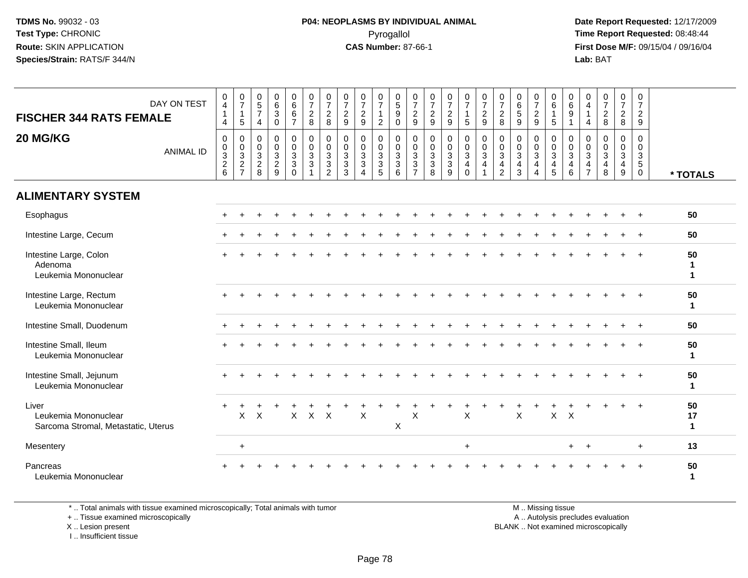**Date Report Requested:** 12/17/2009 **First Dose M/F:** 09/15/04 / 09/16/04 Lab: BAT **Lab:** BAT

| DAY ON TEST<br><b>FISCHER 344 RATS FEMALE</b>                        | 0<br>4<br>4                         | $\frac{0}{7}$<br>$\mathbf{1}$<br>$\sqrt{5}$                  | $\begin{array}{c} 0 \\ 5 \end{array}$<br>$\overline{7}$<br>4     | 0<br>$\overline{6}$<br>3<br>$\mathbf 0$                                          | $\begin{matrix}0\6\6\end{matrix}$<br>$\overline{7}$ | $\begin{smallmatrix}0\\7\end{smallmatrix}$<br>$\overline{2}$<br>8 | $\frac{0}{7}$<br>$\frac{2}{8}$                        | 0<br>$\overline{7}$<br>$\overline{2}$<br>9          | $\frac{0}{7}$<br>$\overline{2}$<br>9                                                        | $\frac{0}{7}$<br>$\overline{2}$                      | $\begin{array}{c} 0 \\ 5 \\ 9 \end{array}$<br>$\mathbf 0$   | $\frac{0}{7}$<br>$\overline{c}$<br>9                                | 0<br>$\overline{7}$<br>$\boldsymbol{2}$<br>9 | $\frac{0}{7}$<br>$\overline{c}$<br>9                             | $\frac{0}{7}$<br>$\mathbf{1}$<br>$\sqrt{5}$                               | $\frac{0}{7}$<br>$\frac{2}{9}$                                                                | $\frac{0}{7}$<br>$\overline{c}$<br>8                                                   | $\begin{array}{c} 0 \\ 6 \\ 5 \end{array}$<br>$\boldsymbol{9}$ | $\frac{0}{7}$<br>$\frac{2}{9}$                                                          | 0<br>$\overline{6}$<br>$\mathbf{1}$<br>$\sqrt{5}$                           | 0<br>$\overline{6}$<br>9<br>$\overline{1}$                                          | 0<br>$\overline{4}$<br>$\overline{4}$                   | $\frac{0}{7}$<br>$\overline{a}$<br>8                                    | $\begin{array}{c} 0 \\ 7 \end{array}$<br>$\overline{a}$<br>$\,8\,$               | 0<br>$\overline{7}$<br>$\overline{c}$<br>9                                           |                          |
|----------------------------------------------------------------------|-------------------------------------|--------------------------------------------------------------|------------------------------------------------------------------|----------------------------------------------------------------------------------|-----------------------------------------------------|-------------------------------------------------------------------|-------------------------------------------------------|-----------------------------------------------------|---------------------------------------------------------------------------------------------|------------------------------------------------------|-------------------------------------------------------------|---------------------------------------------------------------------|----------------------------------------------|------------------------------------------------------------------|---------------------------------------------------------------------------|-----------------------------------------------------------------------------------------------|----------------------------------------------------------------------------------------|----------------------------------------------------------------|-----------------------------------------------------------------------------------------|-----------------------------------------------------------------------------|-------------------------------------------------------------------------------------|---------------------------------------------------------|-------------------------------------------------------------------------|----------------------------------------------------------------------------------|--------------------------------------------------------------------------------------|--------------------------|
| 20 MG/KG<br><b>ANIMAL ID</b>                                         | 0<br>$\mathbf 0$<br>$\frac{3}{2}$ 6 | $\pmb{0}$<br>$\begin{array}{c} 0 \\ 3 \\ 2 \\ 7 \end{array}$ | $\mathbf 0$<br>$\mathbf 0$<br>$\mathbf 3$<br>$\overline{c}$<br>8 | $\pmb{0}$<br>$\mathbf 0$<br>$\overline{3}$<br>$\overline{c}$<br>$\boldsymbol{9}$ | 0<br>$\mathbf 0$<br>$\frac{3}{3}$<br>$\mathbf 0$    | $\pmb{0}$<br>$\mathbf 0$<br>$\frac{3}{3}$<br>$\mathbf{1}$         | $\pmb{0}$<br>$\pmb{0}$<br>$\frac{3}{3}$<br>$\sqrt{2}$ | $\mathbf 0$<br>$\mathbf 0$<br>$\mathbf 3$<br>3<br>3 | $\mathbf 0$<br>$\mathbf 0$<br>$\overline{3}$<br>$\ensuremath{\mathsf{3}}$<br>$\overline{4}$ | $\mathbf 0$<br>$\mathbf 0$<br>3<br>$\mathbf{3}$<br>5 | $\pmb{0}$<br>$\mathbf 0$<br>$\frac{3}{3}$<br>$6\phantom{1}$ | $\pmb{0}$<br>$\mathsf{O}\xspace$<br>$\frac{3}{3}$<br>$\overline{7}$ | 0<br>0<br>$\frac{3}{3}$<br>8                 | $\mathbf 0$<br>$\mathbf 0$<br>$\overline{3}$<br>$\mathbf 3$<br>9 | $\pmb{0}$<br>$\pmb{0}$<br>$\overline{3}$<br>$\overline{4}$<br>$\mathbf 0$ | $\pmb{0}$<br>$\mathsf{O}\xspace$<br>$\overline{3}$<br>$\overline{\mathbf{4}}$<br>$\mathbf{1}$ | $\mathbf 0$<br>$\mathsf{O}\xspace$<br>$\ensuremath{\mathsf{3}}$<br>4<br>$\overline{2}$ | 0<br>0<br>$\sqrt{3}$<br>$\overline{4}$<br>$\sqrt{3}$           | $\mathbf 0$<br>$\pmb{0}$<br>$\overline{3}$<br>$\overline{\mathbf{4}}$<br>$\overline{4}$ | 0<br>$\mathsf 0$<br>$\overline{3}$<br>$\begin{array}{c} 4 \\ 5 \end{array}$ | $\pmb{0}$<br>$\mathbf 0$<br>$\overline{3}$<br>$\begin{array}{c} 4 \\ 6 \end{array}$ | 0<br>$\mathbf 0$<br>$\mathbf{3}$<br>4<br>$\overline{7}$ | $\mathbf 0$<br>$\Omega$<br>$\mathbf{3}$<br>$\overline{\mathbf{4}}$<br>8 | $\mathbf 0$<br>$\pmb{0}$<br>$\overline{3}$<br>$\overline{4}$<br>$\boldsymbol{9}$ | $\mathbf 0$<br>$\mathbf 0$<br>$\ensuremath{\mathsf{3}}$<br>$\sqrt{5}$<br>$\mathbf 0$ | * TOTALS                 |
| <b>ALIMENTARY SYSTEM</b>                                             |                                     |                                                              |                                                                  |                                                                                  |                                                     |                                                                   |                                                       |                                                     |                                                                                             |                                                      |                                                             |                                                                     |                                              |                                                                  |                                                                           |                                                                                               |                                                                                        |                                                                |                                                                                         |                                                                             |                                                                                     |                                                         |                                                                         |                                                                                  |                                                                                      |                          |
| Esophagus                                                            |                                     |                                                              |                                                                  |                                                                                  |                                                     |                                                                   |                                                       |                                                     |                                                                                             |                                                      |                                                             |                                                                     |                                              |                                                                  |                                                                           |                                                                                               |                                                                                        |                                                                |                                                                                         |                                                                             |                                                                                     |                                                         |                                                                         |                                                                                  |                                                                                      | 50                       |
| Intestine Large, Cecum                                               |                                     |                                                              |                                                                  |                                                                                  |                                                     |                                                                   |                                                       |                                                     |                                                                                             |                                                      |                                                             |                                                                     |                                              |                                                                  |                                                                           |                                                                                               |                                                                                        |                                                                |                                                                                         |                                                                             |                                                                                     |                                                         |                                                                         |                                                                                  |                                                                                      | 50                       |
| Intestine Large, Colon<br>Adenoma<br>Leukemia Mononuclear            |                                     |                                                              |                                                                  |                                                                                  |                                                     |                                                                   |                                                       |                                                     |                                                                                             |                                                      |                                                             |                                                                     |                                              |                                                                  |                                                                           |                                                                                               |                                                                                        |                                                                |                                                                                         |                                                                             |                                                                                     |                                                         |                                                                         |                                                                                  |                                                                                      | 50<br>1<br>1             |
| Intestine Large, Rectum<br>Leukemia Mononuclear                      |                                     |                                                              |                                                                  |                                                                                  |                                                     |                                                                   |                                                       |                                                     |                                                                                             |                                                      |                                                             |                                                                     |                                              |                                                                  |                                                                           |                                                                                               |                                                                                        |                                                                |                                                                                         |                                                                             |                                                                                     |                                                         |                                                                         |                                                                                  |                                                                                      | 50<br>$\mathbf{1}$       |
| Intestine Small, Duodenum                                            |                                     |                                                              |                                                                  |                                                                                  |                                                     |                                                                   |                                                       |                                                     |                                                                                             |                                                      |                                                             |                                                                     |                                              |                                                                  |                                                                           |                                                                                               |                                                                                        |                                                                |                                                                                         |                                                                             |                                                                                     |                                                         |                                                                         |                                                                                  | $+$                                                                                  | 50                       |
| Intestine Small, Ileum<br>Leukemia Mononuclear                       |                                     |                                                              |                                                                  |                                                                                  |                                                     |                                                                   |                                                       |                                                     |                                                                                             |                                                      |                                                             |                                                                     |                                              |                                                                  |                                                                           |                                                                                               |                                                                                        |                                                                |                                                                                         |                                                                             |                                                                                     |                                                         |                                                                         |                                                                                  |                                                                                      | 50<br>$\mathbf{1}$       |
| Intestine Small, Jejunum<br>Leukemia Mononuclear                     |                                     |                                                              |                                                                  |                                                                                  |                                                     |                                                                   |                                                       |                                                     |                                                                                             |                                                      |                                                             |                                                                     |                                              |                                                                  |                                                                           |                                                                                               |                                                                                        |                                                                |                                                                                         |                                                                             |                                                                                     |                                                         |                                                                         |                                                                                  |                                                                                      | 50<br>$\mathbf{1}$       |
| Liver<br>Leukemia Mononuclear<br>Sarcoma Stromal, Metastatic, Uterus | $+$                                 | $\pmb{\times}$                                               | $\boldsymbol{\mathsf{X}}$                                        |                                                                                  | $\mathsf{X}$                                        |                                                                   | $X$ $X$                                               |                                                     | X                                                                                           |                                                      | $\mathsf X$                                                 | X                                                                   |                                              |                                                                  | X                                                                         |                                                                                               |                                                                                        | $\pmb{\times}$                                                 |                                                                                         | $\mathsf{X}$                                                                | $\boldsymbol{\mathsf{X}}$                                                           |                                                         |                                                                         |                                                                                  |                                                                                      | 50<br>17<br>$\mathbf{1}$ |
| Mesentery                                                            |                                     | $\ddot{}$                                                    |                                                                  |                                                                                  |                                                     |                                                                   |                                                       |                                                     |                                                                                             |                                                      |                                                             |                                                                     |                                              |                                                                  | $\ddot{}$                                                                 |                                                                                               |                                                                                        |                                                                |                                                                                         |                                                                             | $+$                                                                                 | $\ddot{}$                                               |                                                                         |                                                                                  | $+$                                                                                  | 13                       |
| Pancreas<br>Leukemia Mononuclear                                     |                                     |                                                              |                                                                  |                                                                                  |                                                     |                                                                   |                                                       |                                                     |                                                                                             |                                                      |                                                             |                                                                     |                                              |                                                                  |                                                                           |                                                                                               |                                                                                        |                                                                |                                                                                         |                                                                             |                                                                                     |                                                         |                                                                         |                                                                                  |                                                                                      | 50<br>1                  |

\* .. Total animals with tissue examined microscopically; Total animals with tumor

+ .. Tissue examined microscopically

 Lesion present BLANK .. Not examined microscopicallyX .. Lesion present

I .. Insufficient tissue

M .. Missing tissue

y the contract of the contract of the contract of the contract of the contract of the contract of the contract of  $A$ . Autolysis precludes evaluation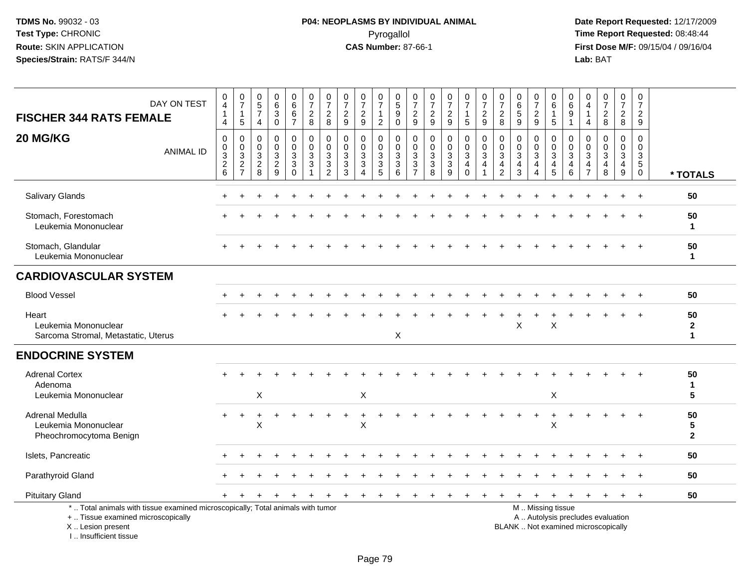| DAY ON TEST<br><b>FISCHER 344 RATS FEMALE</b><br>20 MG/KG                                                                                                           | 0<br>$\overline{4}$<br>$\mathbf{1}$<br>$\overline{4}$<br>$\mathbf 0$ | $\frac{0}{7}$<br>$\mathbf{1}$<br>5<br>$\mathbf 0$         | $\begin{array}{c} 0 \\ 5 \end{array}$<br>$\overline{\mathcal{I}}$<br>$\overline{4}$<br>$\pmb{0}$ | $\pmb{0}$<br>$6\phantom{a}$<br>$\ensuremath{\mathsf{3}}$<br>$\overline{0}$<br>$\boldsymbol{0}$ | 0<br>$6\phantom{a}$<br>6<br>$\overline{7}$<br>$\mathbf 0$ | $\mathbf 0$<br>$\overline{7}$<br>$\frac{2}{8}$<br>$\mathbf 0$ | $\pmb{0}$<br>$\overline{7}$<br>$\overline{c}$<br>8<br>$\mathbf 0$ | 0<br>$\overline{7}$<br>$\overline{2}$<br>$9\,$<br>$\mathbf 0$ | $\frac{0}{7}$<br>$\overline{c}$<br>9<br>0<br>$\Omega$ | $\frac{0}{7}$<br>$\mathbf{1}$<br>$\overline{2}$<br>0 | $\begin{array}{c} 0 \\ 5 \end{array}$<br>$\boldsymbol{9}$<br>$\mathbf 0$<br>$\pmb{0}$<br>$\mathbf 0$ | 0<br>$\overline{7}$<br>$\frac{2}{9}$<br>0        | $\frac{0}{7}$<br>$\frac{2}{9}$<br>$\mathbf 0$             | $\frac{0}{7}$<br>$\frac{2}{9}$<br>$\boldsymbol{0}$ | $\frac{0}{7}$<br>$\mathbf{1}$<br>5<br>0                     | $\begin{array}{c} 0 \\ 7 \end{array}$<br>$\boldsymbol{2}$<br>$\overline{9}$<br>$\pmb{0}$ | $\frac{0}{7}$<br>$\frac{2}{8}$<br>$\pmb{0}$                   | 0<br>$\,6\,$<br>$\sqrt{5}$<br>9<br>$\mathbf 0$ | 0<br>$\overline{7}$<br>$\boldsymbol{2}$<br>$\boldsymbol{9}$<br>0 | 0<br>6<br>$\mathbf{1}$<br>5<br>0                         | 0<br>6<br>9<br>$\mathbf{1}$<br>$\mathbf 0$<br>$\mathbf{0}$               | $\Omega$<br>$\overline{4}$<br>$\overline{4}$<br>$\mathbf 0$ | $\begin{smallmatrix}0\\7\end{smallmatrix}$<br>$\frac{2}{8}$<br>$\mathbf 0$ | $\pmb{0}$<br>$\overline{7}$<br>$\overline{2}$<br>$\bf 8$<br>0 | 0<br>$\overline{7}$<br>$\overline{a}$<br>9<br>$\mathbf 0$   |                                               |
|---------------------------------------------------------------------------------------------------------------------------------------------------------------------|----------------------------------------------------------------------|-----------------------------------------------------------|--------------------------------------------------------------------------------------------------|------------------------------------------------------------------------------------------------|-----------------------------------------------------------|---------------------------------------------------------------|-------------------------------------------------------------------|---------------------------------------------------------------|-------------------------------------------------------|------------------------------------------------------|------------------------------------------------------------------------------------------------------|--------------------------------------------------|-----------------------------------------------------------|----------------------------------------------------|-------------------------------------------------------------|------------------------------------------------------------------------------------------|---------------------------------------------------------------|------------------------------------------------|------------------------------------------------------------------|----------------------------------------------------------|--------------------------------------------------------------------------|-------------------------------------------------------------|----------------------------------------------------------------------------|---------------------------------------------------------------|-------------------------------------------------------------|-----------------------------------------------|
| <b>ANIMAL ID</b>                                                                                                                                                    | $\pmb{0}$<br>$\frac{3}{2}$<br>$6\phantom{a}$                         | $\mathbf 0$<br>$\ensuremath{\mathsf{3}}$<br>$\frac{2}{7}$ | $\mathbf 0$<br>$\sqrt{3}$<br>$_{8}^2$                                                            | $\mathbf 0$<br>$\frac{3}{2}$                                                                   | $\mathbf 0$<br>$\mathfrak{S}$<br>$\mathbf{3}$<br>$\Omega$ | $\mathbf 0$<br>$\mathbf{3}$<br>$\mathbf{3}$<br>$\overline{1}$ | $\mathbf 0$<br>$\mathbf{3}$<br>$\mathbf{3}$<br>$\overline{2}$     | $\mathbf 0$<br>$\sqrt{3}$<br>$\mathbf{3}$<br>$\overline{3}$   | 3<br>3<br>4                                           | $\mathbf 0$<br>$\frac{3}{3}$                         | $\sqrt{3}$<br>$\sqrt{3}$<br>6                                                                        | $\mathbf 0$<br>$\sqrt{3}$<br>3<br>$\overline{7}$ | $\mathbf 0$<br>$\sqrt{3}$<br>$\sqrt{3}$<br>$\overline{8}$ | $\mathbf 0$<br>$\mathbf{3}$<br>$\mathbf{3}$<br>9   | $\mathbf 0$<br>$\mathfrak{S}$<br>$\overline{4}$<br>$\Omega$ | $\pmb{0}$<br>$\sqrt{3}$<br>4                                                             | $\mathbf 0$<br>$\sqrt{3}$<br>$\overline{4}$<br>$\overline{2}$ | $\Omega$<br>$\sqrt{3}$<br>$\overline{4}$<br>3  | $\mathbf 0$<br>$\mathbf{3}$<br>4<br>4                            | $\mathsf{O}\xspace$<br>$\sqrt{3}$<br>$\overline{4}$<br>5 | $\mathbf{3}$<br>4<br>6                                                   | $\Omega$<br>3<br>$\overline{4}$<br>$\overline{7}$           | $\mathbf 0$<br>$\ensuremath{\mathsf{3}}$<br>4<br>8                         | $\mathbf{0}$<br>$\mathsf 3$<br>$\overline{a}$<br>$9\,$        | $\mathbf 0$<br>$\sqrt{3}$<br>$5\phantom{.0}$<br>$\mathbf 0$ | * TOTALS                                      |
| Salivary Glands                                                                                                                                                     |                                                                      |                                                           |                                                                                                  |                                                                                                |                                                           |                                                               |                                                                   |                                                               |                                                       |                                                      |                                                                                                      |                                                  |                                                           |                                                    |                                                             |                                                                                          |                                                               |                                                |                                                                  |                                                          |                                                                          |                                                             |                                                                            |                                                               |                                                             | 50                                            |
| Stomach, Forestomach<br>Leukemia Mononuclear                                                                                                                        |                                                                      |                                                           |                                                                                                  |                                                                                                |                                                           |                                                               |                                                                   |                                                               |                                                       |                                                      |                                                                                                      |                                                  |                                                           |                                                    |                                                             |                                                                                          |                                                               |                                                |                                                                  |                                                          |                                                                          |                                                             |                                                                            |                                                               |                                                             | 50<br>-1                                      |
| Stomach, Glandular<br>Leukemia Mononuclear                                                                                                                          |                                                                      |                                                           |                                                                                                  |                                                                                                |                                                           |                                                               |                                                                   |                                                               |                                                       |                                                      |                                                                                                      |                                                  |                                                           |                                                    |                                                             |                                                                                          |                                                               |                                                |                                                                  |                                                          |                                                                          |                                                             |                                                                            |                                                               |                                                             | 50<br>$\mathbf{1}$                            |
| <b>CARDIOVASCULAR SYSTEM</b>                                                                                                                                        |                                                                      |                                                           |                                                                                                  |                                                                                                |                                                           |                                                               |                                                                   |                                                               |                                                       |                                                      |                                                                                                      |                                                  |                                                           |                                                    |                                                             |                                                                                          |                                                               |                                                |                                                                  |                                                          |                                                                          |                                                             |                                                                            |                                                               |                                                             |                                               |
| <b>Blood Vessel</b>                                                                                                                                                 |                                                                      |                                                           |                                                                                                  |                                                                                                |                                                           |                                                               |                                                                   |                                                               |                                                       |                                                      |                                                                                                      |                                                  |                                                           |                                                    |                                                             |                                                                                          |                                                               |                                                |                                                                  |                                                          |                                                                          |                                                             |                                                                            |                                                               |                                                             | 50                                            |
| Heart<br>Leukemia Mononuclear<br>Sarcoma Stromal, Metastatic, Uterus                                                                                                |                                                                      |                                                           |                                                                                                  |                                                                                                |                                                           |                                                               |                                                                   |                                                               |                                                       |                                                      | X                                                                                                    |                                                  |                                                           |                                                    |                                                             |                                                                                          |                                                               | X                                              |                                                                  | Χ                                                        |                                                                          |                                                             |                                                                            |                                                               |                                                             | 50<br>$\mathbf{2}$<br>$\mathbf{1}$            |
| <b>ENDOCRINE SYSTEM</b>                                                                                                                                             |                                                                      |                                                           |                                                                                                  |                                                                                                |                                                           |                                                               |                                                                   |                                                               |                                                       |                                                      |                                                                                                      |                                                  |                                                           |                                                    |                                                             |                                                                                          |                                                               |                                                |                                                                  |                                                          |                                                                          |                                                             |                                                                            |                                                               |                                                             |                                               |
| <b>Adrenal Cortex</b><br>Adenoma<br>Leukemia Mononuclear                                                                                                            |                                                                      |                                                           | Χ                                                                                                |                                                                                                |                                                           |                                                               |                                                                   |                                                               | X                                                     |                                                      |                                                                                                      |                                                  |                                                           |                                                    |                                                             |                                                                                          |                                                               |                                                |                                                                  | X                                                        |                                                                          |                                                             |                                                                            |                                                               |                                                             | 50<br>$\mathbf{1}$<br>5                       |
| Adrenal Medulla<br>Leukemia Mononuclear<br>Pheochromocytoma Benign                                                                                                  |                                                                      |                                                           | X                                                                                                |                                                                                                |                                                           |                                                               |                                                                   |                                                               | $\mathsf{X}$                                          |                                                      |                                                                                                      |                                                  |                                                           |                                                    |                                                             |                                                                                          |                                                               |                                                |                                                                  | $\sf X$                                                  |                                                                          |                                                             |                                                                            |                                                               |                                                             | 50<br>$\overline{\mathbf{5}}$<br>$\mathbf{2}$ |
| Islets, Pancreatic                                                                                                                                                  |                                                                      |                                                           |                                                                                                  |                                                                                                |                                                           |                                                               |                                                                   |                                                               |                                                       |                                                      |                                                                                                      |                                                  |                                                           |                                                    |                                                             |                                                                                          |                                                               |                                                |                                                                  |                                                          |                                                                          |                                                             |                                                                            |                                                               |                                                             | 50                                            |
| Parathyroid Gland                                                                                                                                                   |                                                                      |                                                           |                                                                                                  |                                                                                                |                                                           |                                                               |                                                                   |                                                               |                                                       |                                                      |                                                                                                      |                                                  |                                                           |                                                    |                                                             |                                                                                          |                                                               |                                                |                                                                  |                                                          |                                                                          |                                                             |                                                                            |                                                               |                                                             | 50                                            |
| <b>Pituitary Gland</b>                                                                                                                                              |                                                                      |                                                           |                                                                                                  |                                                                                                |                                                           |                                                               |                                                                   |                                                               | $\div$                                                |                                                      |                                                                                                      |                                                  |                                                           |                                                    |                                                             |                                                                                          |                                                               |                                                | $\ddot{}$                                                        | $\pm$                                                    | $\ddot{}$                                                                | $\ddot{}$                                                   | $\pm$                                                                      | $+$                                                           | $^{+}$                                                      | 50                                            |
| *  Total animals with tissue examined microscopically; Total animals with tumor<br>+  Tissue examined microscopically<br>X  Lesion present<br>I Insufficient tissue |                                                                      |                                                           |                                                                                                  |                                                                                                |                                                           |                                                               |                                                                   |                                                               |                                                       |                                                      |                                                                                                      |                                                  |                                                           |                                                    |                                                             |                                                                                          |                                                               |                                                |                                                                  | M  Missing tissue                                        | A  Autolysis precludes evaluation<br>BLANK  Not examined microscopically |                                                             |                                                                            |                                                               |                                                             |                                               |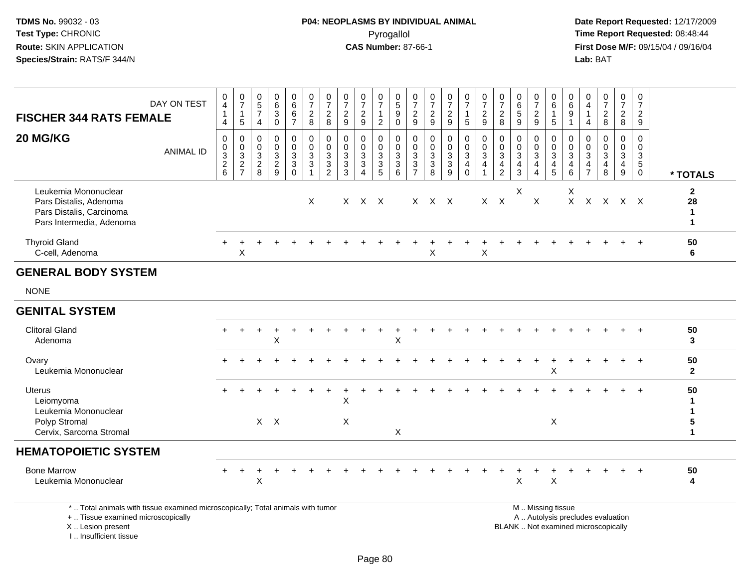**Date Report Requested:** 12/17/2009 **First Dose M/F:** 09/15/04 / 09/16/04<br>Lab: BAT **Lab:** BAT

| <b>FISCHER 344 RATS FEMALE</b>                                                                                                             | DAY ON TEST      | 0<br>$\overline{4}$<br>4           | $\begin{array}{c} 0 \\ 7 \end{array}$<br>$\mathbf{1}$<br>$5\phantom{.0}$ | $\begin{array}{c} 0 \\ 5 \\ 7 \end{array}$<br>$\overline{4}$  | 0<br>$\,6\,$<br>$\mathbf{3}$<br>$\mathbf 0$ | $\begin{array}{c} 0 \\ 6 \end{array}$<br>$\,6$<br>$\overline{7}$    | $\frac{0}{7}$<br>$_{\rm 8}^2$                                   | $\frac{0}{7}$<br>$_{8}^2$                                                     | $\frac{0}{7}$<br>$\frac{2}{9}$                                                          | 0<br>$\overline{7}$<br>$\overline{c}$<br>$\mathsf g$                    | $\frac{0}{7}$<br>$\overline{2}$                       | $\begin{array}{c} 0 \\ 5 \end{array}$<br>9<br>$\mathbf 0$ | $\frac{0}{7}$<br>$\frac{2}{9}$              | 0<br>$\overline{7}$<br>$\frac{2}{9}$            | 0<br>$\overline{7}$<br>$\overline{\mathbf{c}}$<br>9             | $\frac{0}{7}$<br>$\mathbf{1}$<br>5                              | $\frac{0}{7}$<br>$\frac{2}{9}$          | $\frac{0}{7}$<br>$\overline{c}$<br>8                                                          | $\pmb{0}$<br>$\,6\,$<br>$\sqrt{5}$<br>9                           | $\frac{0}{7}$<br>$\overline{2}$<br>$\overline{9}$                        | 0<br>6<br>$\mathbf{1}$<br>5                  | 0<br>$\,6\,$<br>$9\,$<br>$\mathbf{1}$                                          | 0<br>4<br>$\overline{4}$                                   | $\frac{0}{7}$<br>$\frac{2}{8}$                                           | $\frac{0}{7}$<br>$\overline{2}$<br>8      | 0<br>$\overline{7}$<br>$\frac{2}{9}$                              |                                                    |
|--------------------------------------------------------------------------------------------------------------------------------------------|------------------|------------------------------------|--------------------------------------------------------------------------|---------------------------------------------------------------|---------------------------------------------|---------------------------------------------------------------------|-----------------------------------------------------------------|-------------------------------------------------------------------------------|-----------------------------------------------------------------------------------------|-------------------------------------------------------------------------|-------------------------------------------------------|-----------------------------------------------------------|---------------------------------------------|-------------------------------------------------|-----------------------------------------------------------------|-----------------------------------------------------------------|-----------------------------------------|-----------------------------------------------------------------------------------------------|-------------------------------------------------------------------|--------------------------------------------------------------------------|----------------------------------------------|--------------------------------------------------------------------------------|------------------------------------------------------------|--------------------------------------------------------------------------|-------------------------------------------|-------------------------------------------------------------------|----------------------------------------------------|
| 20 MG/KG                                                                                                                                   | <b>ANIMAL ID</b> | 0<br>0<br>3<br>$\overline{2}$<br>6 | $\mathbf 0$<br>0<br>$\overline{3}$<br>$\overline{2}$<br>$\overline{7}$   | 0<br>$\mathsf{O}\xspace$<br>$\sqrt{3}$<br>$\overline{2}$<br>8 | 0<br>$\mathbf 0$<br>3<br>$\sqrt{2}$<br>9    | $\mathbf 0$<br>$\mathbf 0$<br>$\sqrt{3}$<br>$\mathbf 3$<br>$\Omega$ | 0<br>$\mathbf 0$<br>$\mathbf{3}$<br>$\mathsf 3$<br>$\mathbf{1}$ | 0<br>$\mathbf 0$<br>$\sqrt{3}$<br>$\ensuremath{\mathsf{3}}$<br>$\overline{c}$ | 0<br>$\mathsf{O}\xspace$<br>$\ensuremath{\mathsf{3}}$<br>$\overline{3}$<br>$\mathbf{3}$ | $\mathbf 0$<br>$\mathbf 0$<br>$\ensuremath{\mathsf{3}}$<br>$\mathbf{3}$ | $\mathbf 0$<br>0<br>$\sqrt{3}$<br>$\overline{3}$<br>5 | 0<br>$\mathbf 0$<br>3<br>$\mathbf{3}$<br>$6\phantom{1}$   | $\mathbf 0$<br>$\mathbf 0$<br>$\frac{3}{3}$ | $\mathbf 0$<br>$\Omega$<br>3<br>$\sqrt{3}$<br>8 | $\mathbf 0$<br>$\mathbf 0$<br>$\mathbf{3}$<br>$\mathbf{3}$<br>9 | 0<br>$\mathsf{O}$<br>$\mathbf{3}$<br>$\overline{4}$<br>$\Omega$ | 0<br>$\mathbf 0$<br>3<br>$\overline{4}$ | $\mathbf 0$<br>$\mathsf{O}\xspace$<br>$\sqrt{3}$<br>$\overline{\mathbf{4}}$<br>$\overline{2}$ | $\mathbf 0$<br>$\mathbf 0$<br>3<br>$\overline{4}$<br>$\mathbf{3}$ | $\mathbf 0$<br>$\mathbf 0$<br>$\mathbf{3}$<br>$\overline{4}$<br>$\Delta$ | 0<br>$\mathbf 0$<br>3<br>$\overline{4}$<br>5 | $\mathbf 0$<br>$\mathbf 0$<br>$\mathsf 3$<br>$\overline{4}$<br>$6\phantom{1}6$ | 0<br>$\mathbf{0}$<br>3<br>$\overline{4}$<br>$\overline{7}$ | $\mathbf 0$<br>$\mathbf 0$<br>$\sqrt{3}$<br>4<br>8                       | $\mathbf 0$<br>$\mathbf 0$<br>3<br>4<br>9 | $\mathbf 0$<br>$\mathbf 0$<br>3<br>$5\phantom{.0}$<br>$\mathbf 0$ | * TOTALS                                           |
| Leukemia Mononuclear<br>Pars Distalis, Adenoma<br>Pars Distalis, Carcinoma<br>Pars Intermedia, Adenoma                                     |                  |                                    |                                                                          |                                                               |                                             |                                                                     | $\times$                                                        |                                                                               |                                                                                         | X X X                                                                   |                                                       |                                                           |                                             | $X$ $X$ $X$                                     |                                                                 |                                                                 |                                         | $X$ $X$                                                                                       | X                                                                 | X                                                                        |                                              | X<br>$X -$                                                                     |                                                            | X X X X                                                                  |                                           |                                                                   | $\mathbf{2}$<br>28<br>$\mathbf{1}$<br>$\mathbf{1}$ |
| <b>Thyroid Gland</b><br>C-cell, Adenoma                                                                                                    |                  |                                    | $\mathsf X$                                                              |                                                               |                                             |                                                                     |                                                                 |                                                                               |                                                                                         |                                                                         |                                                       |                                                           |                                             | X                                               |                                                                 |                                                                 | $\pmb{\times}$                          |                                                                                               |                                                                   |                                                                          |                                              |                                                                                |                                                            |                                                                          |                                           |                                                                   | 50<br>6                                            |
| <b>GENERAL BODY SYSTEM</b>                                                                                                                 |                  |                                    |                                                                          |                                                               |                                             |                                                                     |                                                                 |                                                                               |                                                                                         |                                                                         |                                                       |                                                           |                                             |                                                 |                                                                 |                                                                 |                                         |                                                                                               |                                                                   |                                                                          |                                              |                                                                                |                                                            |                                                                          |                                           |                                                                   |                                                    |
| <b>NONE</b>                                                                                                                                |                  |                                    |                                                                          |                                                               |                                             |                                                                     |                                                                 |                                                                               |                                                                                         |                                                                         |                                                       |                                                           |                                             |                                                 |                                                                 |                                                                 |                                         |                                                                                               |                                                                   |                                                                          |                                              |                                                                                |                                                            |                                                                          |                                           |                                                                   |                                                    |
| <b>GENITAL SYSTEM</b>                                                                                                                      |                  |                                    |                                                                          |                                                               |                                             |                                                                     |                                                                 |                                                                               |                                                                                         |                                                                         |                                                       |                                                           |                                             |                                                 |                                                                 |                                                                 |                                         |                                                                                               |                                                                   |                                                                          |                                              |                                                                                |                                                            |                                                                          |                                           |                                                                   |                                                    |
| <b>Clitoral Gland</b><br>Adenoma                                                                                                           |                  |                                    |                                                                          |                                                               | X                                           |                                                                     |                                                                 |                                                                               |                                                                                         |                                                                         |                                                       | X                                                         |                                             |                                                 |                                                                 |                                                                 |                                         |                                                                                               |                                                                   |                                                                          |                                              |                                                                                |                                                            |                                                                          |                                           |                                                                   | 50<br>3                                            |
| Ovary<br>Leukemia Mononuclear                                                                                                              |                  |                                    |                                                                          |                                                               |                                             |                                                                     |                                                                 |                                                                               |                                                                                         |                                                                         |                                                       |                                                           |                                             |                                                 |                                                                 |                                                                 |                                         |                                                                                               |                                                                   |                                                                          | $\sf X$                                      |                                                                                |                                                            |                                                                          | $\ddot{}$                                 | $\ddot{}$                                                         | 50<br>$\mathbf{2}$                                 |
| Uterus<br>Leiomyoma<br>Leukemia Mononuclear                                                                                                |                  |                                    |                                                                          |                                                               |                                             |                                                                     |                                                                 |                                                                               | Χ                                                                                       |                                                                         |                                                       |                                                           |                                             |                                                 |                                                                 |                                                                 |                                         |                                                                                               |                                                                   |                                                                          |                                              |                                                                                |                                                            |                                                                          |                                           |                                                                   | 50<br>1<br>$\mathbf{1}$                            |
| Polyp Stromal<br>Cervix, Sarcoma Stromal                                                                                                   |                  |                                    |                                                                          |                                                               | $X$ $X$                                     |                                                                     |                                                                 |                                                                               | X                                                                                       |                                                                         |                                                       | X                                                         |                                             |                                                 |                                                                 |                                                                 |                                         |                                                                                               |                                                                   |                                                                          | X                                            |                                                                                |                                                            |                                                                          |                                           |                                                                   | 5<br>$\mathbf{1}$                                  |
| <b>HEMATOPOIETIC SYSTEM</b>                                                                                                                |                  |                                    |                                                                          |                                                               |                                             |                                                                     |                                                                 |                                                                               |                                                                                         |                                                                         |                                                       |                                                           |                                             |                                                 |                                                                 |                                                                 |                                         |                                                                                               |                                                                   |                                                                          |                                              |                                                                                |                                                            |                                                                          |                                           |                                                                   |                                                    |
| <b>Bone Marrow</b><br>Leukemia Mononuclear                                                                                                 |                  |                                    | $\ddot{}$                                                                | X                                                             |                                             |                                                                     |                                                                 |                                                                               |                                                                                         |                                                                         |                                                       |                                                           |                                             |                                                 |                                                                 |                                                                 |                                         |                                                                                               | X                                                                 |                                                                          | X                                            |                                                                                |                                                            |                                                                          |                                           |                                                                   | 50<br>4                                            |
| *  Total animals with tissue examined microscopically; Total animals with tumor<br>+  Tissue examined microscopically<br>X  Lesion present |                  |                                    |                                                                          |                                                               |                                             |                                                                     |                                                                 |                                                                               |                                                                                         |                                                                         |                                                       |                                                           |                                             |                                                 |                                                                 |                                                                 |                                         |                                                                                               |                                                                   |                                                                          | M  Missing tissue                            |                                                                                |                                                            | A  Autolysis precludes evaluation<br>BLANK  Not examined microscopically |                                           |                                                                   |                                                    |

I .. Insufficient tissue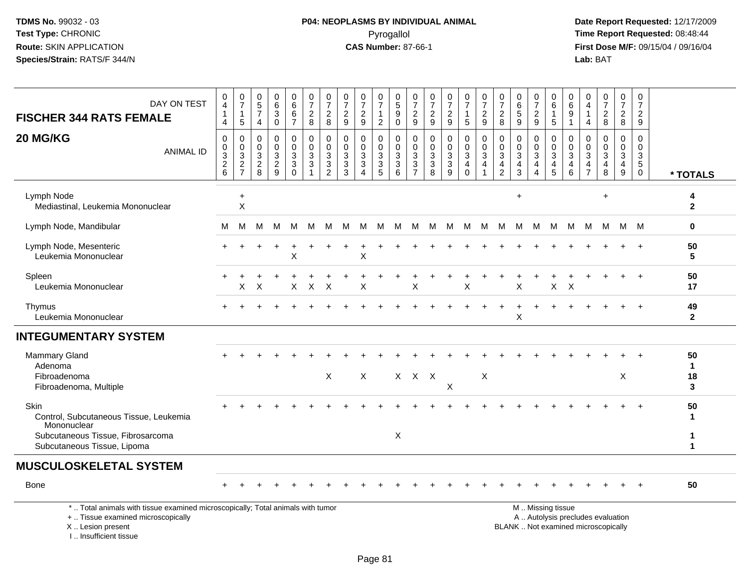I .. Insufficient tissue

## **P04: NEOPLASMS BY INDIVIDUAL ANIMAL**Pyrogallol Pyrogallol **Pyrogallol Time Report Requested:** 08:48:44<br>**CAS Number:** 87-66-1 **Time Report Requested:** 08/15/04 / 09/16/04

| DAY ON TEST<br><b>FISCHER 344 RATS FEMALE</b>                                                                                              | 0<br>$\overline{4}$<br>$\mathbf{1}$<br>$\overline{4}$ | $\frac{0}{7}$<br>$\mathbf{1}$<br>5                                     | $\begin{array}{c} 0 \\ 5 \end{array}$<br>$\overline{7}$<br>$\overline{4}$         | 0<br>$\,6\,$<br>$\sqrt{3}$<br>$\mathbf 0$                | 0<br>$6\phantom{a}$<br>$\,6\,$<br>$\overline{7}$    | 0<br>$\overline{7}$<br>$\overline{a}$<br>8                               | $\frac{0}{7}$<br>$\overline{c}$<br>8                | $\begin{array}{c} 0 \\ 7 \end{array}$<br>$\overline{c}$<br>9 | $\frac{0}{7}$<br>$\boldsymbol{2}$<br>9 | 0<br>$\overline{7}$<br>$\mathbf 1$<br>2 | 0<br>5<br>9<br>$\mathbf 0$                                | 0<br>$\overline{7}$<br>$\overline{c}$<br>9 | 0<br>$\overline{7}$<br>$\sqrt{2}$<br>9                                      | $\frac{0}{7}$<br>$\sqrt{2}$<br>$\overline{9}$                              | $\frac{0}{7}$<br>$\mathbf{1}$<br>$\sqrt{5}$                               | 0<br>$\overline{7}$<br>$\sqrt{2}$<br>9                                  | 0<br>$\overline{7}$<br>$\overline{c}$<br>8          | 0<br>$\,6\,$<br>$\sqrt{5}$<br>9                             | $\frac{0}{7}$<br>$\boldsymbol{2}$<br>9                                         | 0<br>$\,6\,$<br>$\mathbf{1}$<br>$\sqrt{5}$             | 0<br>6<br>$\boldsymbol{9}$<br>$\overline{1}$                               | 0<br>4<br>$\overline{1}$<br>4                                 | 0<br>$\overline{7}$<br>$\overline{2}$<br>8                   | $\frac{0}{7}$<br>$\overline{a}$<br>8                | 0<br>$\overline{7}$<br>$\overline{a}$<br>9                   |                               |
|--------------------------------------------------------------------------------------------------------------------------------------------|-------------------------------------------------------|------------------------------------------------------------------------|-----------------------------------------------------------------------------------|----------------------------------------------------------|-----------------------------------------------------|--------------------------------------------------------------------------|-----------------------------------------------------|--------------------------------------------------------------|----------------------------------------|-----------------------------------------|-----------------------------------------------------------|--------------------------------------------|-----------------------------------------------------------------------------|----------------------------------------------------------------------------|---------------------------------------------------------------------------|-------------------------------------------------------------------------|-----------------------------------------------------|-------------------------------------------------------------|--------------------------------------------------------------------------------|--------------------------------------------------------|----------------------------------------------------------------------------|---------------------------------------------------------------|--------------------------------------------------------------|-----------------------------------------------------|--------------------------------------------------------------|-------------------------------|
| 20 MG/KG<br><b>ANIMAL ID</b>                                                                                                               | $\mathbf 0$<br>0<br>3<br>$\frac{2}{6}$                | $\mathbf 0$<br>$\pmb{0}$<br>$\ensuremath{\mathsf{3}}$<br>$\frac{2}{7}$ | $\mathbf 0$<br>$\mathbf 0$<br>$\sqrt{3}$<br>$\begin{array}{c} 2 \\ 8 \end{array}$ | $\mathbf 0$<br>$\Omega$<br>$\mathbf{3}$<br>$\frac{2}{9}$ | $\mathbf 0$<br>$\mathbf 0$<br>3<br>3<br>$\mathbf 0$ | $\mathbf 0$<br>$\mathbf 0$<br>$\sqrt{3}$<br>$\mathbf{3}$<br>$\mathbf{1}$ | $\mathbf 0$<br>$\Omega$<br>3<br>3<br>$\overline{2}$ | $\mathbf 0$<br>$\Omega$<br>3<br>3<br>3                       | $\mathbf 0$<br>$\Omega$<br>3<br>3<br>4 | 0<br>0<br>3<br>3<br>$\overline{5}$      | $\Omega$<br>$\Omega$<br>$\mathbf{3}$<br>$\mathbf{3}$<br>6 | 0<br>$\Omega$<br>3<br>3<br>$\overline{7}$  | $\mathbf 0$<br>$\Omega$<br>3<br>$\ensuremath{\mathsf{3}}$<br>$\overline{8}$ | $\mathbf 0$<br>$\mathbf 0$<br>$\sqrt{3}$<br>$\mathbf{3}$<br>$\overline{9}$ | $\mathbf 0$<br>$\mathbf 0$<br>$\sqrt{3}$<br>$\overline{4}$<br>$\mathbf 0$ | $\mathbf 0$<br>$\Omega$<br>$\sqrt{3}$<br>$\overline{4}$<br>$\mathbf{1}$ | $\mathbf 0$<br>$\Omega$<br>3<br>4<br>$\overline{2}$ | $\Omega$<br>$\Omega$<br>$\mathbf{3}$<br>4<br>$\overline{3}$ | $\mathbf 0$<br>$\mathbf 0$<br>$\ensuremath{\mathsf{3}}$<br>$\overline{4}$<br>4 | 0<br>$\Omega$<br>3<br>$\overline{4}$<br>$\overline{5}$ | 0<br>$\Omega$<br>$\mathbf 3$<br>$\overline{\mathbf{4}}$<br>$6\phantom{1}6$ | $\Omega$<br>$\Omega$<br>3<br>$\overline{4}$<br>$\overline{7}$ | $\mathbf 0$<br>$\Omega$<br>3<br>$\overline{\mathbf{4}}$<br>8 | $\mathbf 0$<br>$\Omega$<br>3<br>$\overline{4}$<br>9 | $\mathbf 0$<br>$\mathbf 0$<br>3<br>$\sqrt{5}$<br>$\mathbf 0$ | * TOTALS                      |
| Lymph Node<br>Mediastinal, Leukemia Mononuclear                                                                                            |                                                       | $\ddot{}$<br>$\boldsymbol{\mathsf{X}}$                                 |                                                                                   |                                                          |                                                     |                                                                          |                                                     |                                                              |                                        |                                         |                                                           |                                            |                                                                             |                                                                            |                                                                           |                                                                         |                                                     | $\ddot{}$                                                   |                                                                                |                                                        |                                                                            |                                                               | $\ddot{}$                                                    |                                                     |                                                              | 4<br>$\mathbf{2}$             |
| Lymph Node, Mandibular                                                                                                                     | М                                                     | M                                                                      | м                                                                                 | м                                                        | M                                                   | M                                                                        | M                                                   | M                                                            | M                                      | M                                       | M                                                         | M                                          | M                                                                           | M                                                                          | M                                                                         | M                                                                       | M                                                   | M                                                           | M                                                                              | M                                                      | M                                                                          | M                                                             | M                                                            | M                                                   | - M                                                          | $\mathbf 0$                   |
| Lymph Node, Mesenteric<br>Leukemia Mononuclear                                                                                             |                                                       |                                                                        |                                                                                   |                                                          | X                                                   |                                                                          |                                                     |                                                              | X                                      |                                         |                                                           |                                            |                                                                             |                                                                            |                                                                           |                                                                         |                                                     |                                                             |                                                                                |                                                        |                                                                            |                                                               |                                                              |                                                     |                                                              | 50<br>5                       |
| Spleen<br>Leukemia Mononuclear                                                                                                             |                                                       | X                                                                      | X                                                                                 |                                                          | X                                                   | $\boldsymbol{\mathsf{X}}$                                                | $\mathsf{X}$                                        |                                                              | X                                      |                                         |                                                           | X                                          |                                                                             |                                                                            | X                                                                         |                                                                         |                                                     | Χ                                                           |                                                                                | $\boldsymbol{\mathsf{X}}$                              | $\mathsf{X}$                                                               |                                                               |                                                              |                                                     |                                                              | 50<br>17                      |
| Thymus<br>Leukemia Mononuclear                                                                                                             |                                                       |                                                                        |                                                                                   |                                                          |                                                     |                                                                          |                                                     |                                                              |                                        |                                         |                                                           |                                            |                                                                             |                                                                            |                                                                           |                                                                         |                                                     | X                                                           |                                                                                |                                                        |                                                                            |                                                               |                                                              |                                                     |                                                              | 49<br>$\mathbf{2}$            |
| <b>INTEGUMENTARY SYSTEM</b>                                                                                                                |                                                       |                                                                        |                                                                                   |                                                          |                                                     |                                                                          |                                                     |                                                              |                                        |                                         |                                                           |                                            |                                                                             |                                                                            |                                                                           |                                                                         |                                                     |                                                             |                                                                                |                                                        |                                                                            |                                                               |                                                              |                                                     |                                                              |                               |
| <b>Mammary Gland</b><br>Adenoma<br>Fibroadenoma<br>Fibroadenoma, Multiple                                                                  |                                                       |                                                                        |                                                                                   |                                                          |                                                     |                                                                          | X                                                   |                                                              | X                                      |                                         |                                                           | X X X                                      |                                                                             | X                                                                          |                                                                           | $\boldsymbol{\mathsf{X}}$                                               |                                                     |                                                             |                                                                                |                                                        |                                                                            |                                                               |                                                              | X                                                   |                                                              | 50<br>$\mathbf{1}$<br>18<br>3 |
| Skin<br>Control, Subcutaneous Tissue, Leukemia<br>Mononuclear<br>Subcutaneous Tissue, Fibrosarcoma                                         |                                                       |                                                                        |                                                                                   |                                                          |                                                     |                                                                          |                                                     |                                                              |                                        |                                         | $\mathsf{X}$                                              |                                            |                                                                             |                                                                            |                                                                           |                                                                         |                                                     |                                                             |                                                                                |                                                        |                                                                            |                                                               |                                                              |                                                     |                                                              | 50<br>$\mathbf 1$             |
| Subcutaneous Tissue, Lipoma                                                                                                                |                                                       |                                                                        |                                                                                   |                                                          |                                                     |                                                                          |                                                     |                                                              |                                        |                                         |                                                           |                                            |                                                                             |                                                                            |                                                                           |                                                                         |                                                     |                                                             |                                                                                |                                                        |                                                                            |                                                               |                                                              |                                                     |                                                              | 1<br>1                        |
| <b>MUSCULOSKELETAL SYSTEM</b>                                                                                                              |                                                       |                                                                        |                                                                                   |                                                          |                                                     |                                                                          |                                                     |                                                              |                                        |                                         |                                                           |                                            |                                                                             |                                                                            |                                                                           |                                                                         |                                                     |                                                             |                                                                                |                                                        |                                                                            |                                                               |                                                              |                                                     |                                                              |                               |
| <b>Bone</b>                                                                                                                                |                                                       |                                                                        |                                                                                   |                                                          |                                                     |                                                                          |                                                     |                                                              |                                        |                                         |                                                           |                                            |                                                                             |                                                                            |                                                                           |                                                                         |                                                     |                                                             |                                                                                |                                                        |                                                                            |                                                               |                                                              |                                                     |                                                              | 50                            |
| *  Total animals with tissue examined microscopically; Total animals with tumor<br>+  Tissue examined microscopically<br>X  Lesion present |                                                       |                                                                        |                                                                                   |                                                          |                                                     |                                                                          |                                                     |                                                              |                                        |                                         |                                                           |                                            |                                                                             |                                                                            |                                                                           |                                                                         |                                                     |                                                             |                                                                                | M  Missing tissue                                      |                                                                            |                                                               | BLANK  Not examined microscopically                          | A  Autolysis precludes evaluation                   |                                                              |                               |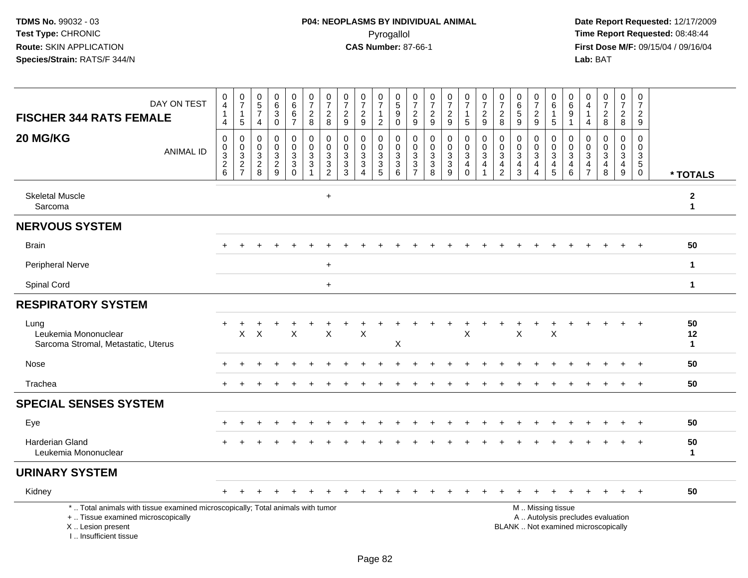| DAY ON TEST<br><b>FISCHER 344 RATS FEMALE</b>                                                                                                                        | $\begin{smallmatrix}0\0\4\end{smallmatrix}$<br>$\mathbf{1}$<br>$\overline{4}$ | $\begin{smallmatrix}0\\7\end{smallmatrix}$<br>$\mathbf{1}$<br>$\overline{5}$ | $\begin{array}{c} 0 \\ 5 \end{array}$<br>$\overline{7}$<br>$\overline{4}$ | $\begin{matrix} 0 \\ 6 \\ 3 \end{matrix}$<br>$\overline{0}$ | $0$<br>6<br>6<br>$\overline{7}$                         | $\frac{0}{7}$<br>$\sqrt{2}$<br>8                              | $\frac{0}{7}$<br>$\overline{2}$<br>8                                           | $\frac{0}{7}$<br>$\frac{2}{9}$                                                         | $\frac{0}{7}$<br>$\overline{2}$<br>9                                                 | $\begin{smallmatrix}0\\7\end{smallmatrix}$<br>$\mathbf{1}$<br>$\overline{2}$ | $\frac{0}{5}$<br>9<br>$\Omega$                    | $\frac{0}{7}$<br>$\overline{2}$<br>$\boldsymbol{9}$                      | $\frac{0}{7}$<br>$\frac{2}{9}$                                                 | $\frac{0}{7}$<br>$\frac{2}{9}$     | $\frac{0}{7}$<br>$\mathbf{1}$<br>$\overline{5}$                   | $\frac{0}{7}$<br>$\frac{2}{9}$                                             | 0<br>$\overline{7}$<br>$\overline{c}$<br>8                                   | 0<br>$\,6\,$<br>5<br>9                                       | 0<br>$\overline{7}$<br>$\overline{c}$<br>9              | 0<br>$6\phantom{a}$<br>$\mathbf{1}$<br>$\overline{5}$      | $\boldsymbol{0}$<br>$6\phantom{a}$<br>$\boldsymbol{9}$<br>$\mathbf{1}$ | 0<br>$\overline{4}$<br>$\overline{1}$<br>$\overline{4}$             | $\frac{0}{7}$<br>$\sqrt{2}$<br>8                                                | 0<br>$\overline{7}$<br>$\overline{2}$<br>8                            | 0<br>$\overline{7}$<br>$\overline{2}$<br>9                                 |                              |
|----------------------------------------------------------------------------------------------------------------------------------------------------------------------|-------------------------------------------------------------------------------|------------------------------------------------------------------------------|---------------------------------------------------------------------------|-------------------------------------------------------------|---------------------------------------------------------|---------------------------------------------------------------|--------------------------------------------------------------------------------|----------------------------------------------------------------------------------------|--------------------------------------------------------------------------------------|------------------------------------------------------------------------------|---------------------------------------------------|--------------------------------------------------------------------------|--------------------------------------------------------------------------------|------------------------------------|-------------------------------------------------------------------|----------------------------------------------------------------------------|------------------------------------------------------------------------------|--------------------------------------------------------------|---------------------------------------------------------|------------------------------------------------------------|------------------------------------------------------------------------|---------------------------------------------------------------------|---------------------------------------------------------------------------------|-----------------------------------------------------------------------|----------------------------------------------------------------------------|------------------------------|
| 20 MG/KG<br><b>ANIMAL ID</b>                                                                                                                                         | $\mathbf 0$<br>$\pmb{0}$<br>$\frac{3}{2}$ 6                                   | 0<br>$\mathbf 0$<br>3<br>$\overline{2}$<br>$\overline{7}$                    | $\mathbf 0$<br>$\mathbf{0}$<br>$\mathbf{3}$<br>$\sqrt{2}$<br>8            | $\mathbf 0$<br>$\mathbf 0$<br>$\frac{3}{2}$<br>9            | 0<br>0<br>3<br>$\ensuremath{\mathsf{3}}$<br>$\mathbf 0$ | $\mathbf 0$<br>$\mathbf 0$<br>$\sqrt{3}$<br>$\mathbf{3}$<br>1 | $\mathbf 0$<br>$\mathbf 0$<br>$\mathbf{3}$<br>$\overline{3}$<br>$\overline{c}$ | $\mathbf 0$<br>$\Omega$<br>$\ensuremath{\mathsf{3}}$<br>$\ensuremath{\mathsf{3}}$<br>3 | $\mathbf 0$<br>$\mathbf 0$<br>$\sqrt{3}$<br>$\overline{3}$<br>$\boldsymbol{\Lambda}$ | 0<br>$\mathbf 0$<br>$\mathsf 3$<br>$\overline{3}$<br>5                       | 0<br>$\mathbf 0$<br>$\sqrt{3}$<br>$\sqrt{3}$<br>6 | $\mathbf 0$<br>$\mathbf 0$<br>$\sqrt{3}$<br>$\sqrt{3}$<br>$\overline{7}$ | $\mathbf 0$<br>$\mathbf 0$<br>$\ensuremath{\mathsf{3}}$<br>$\overline{3}$<br>8 | 0<br>0<br>3<br>$\overline{3}$<br>9 | $\mathbf 0$<br>0<br>$\mathbf{3}$<br>$\overline{4}$<br>$\mathbf 0$ | $\mathbf 0$<br>$\mathbf 0$<br>$\sqrt{3}$<br>$\overline{4}$<br>$\mathbf{1}$ | $\mathbf 0$<br>$\mathbf 0$<br>$\sqrt{3}$<br>$\overline{a}$<br>$\overline{2}$ | $\Omega$<br>$\mathbf 0$<br>$\sqrt{3}$<br>$\overline{4}$<br>3 | 0<br>$\mathbf 0$<br>$\mathbf{3}$<br>$\overline{4}$<br>4 | $\mathbf 0$<br>$\mathbf 0$<br>$\mathsf 3$<br>$\frac{4}{5}$ | $\mathbf 0$<br>$\mathbf 0$<br>$\sqrt{3}$<br>$\overline{4}$<br>6        | $\mathbf 0$<br>$\mathbf 0$<br>3<br>$\overline{4}$<br>$\overline{7}$ | $\mathbf 0$<br>$\mathbf{0}$<br>$\ensuremath{\mathsf{3}}$<br>$\overline{4}$<br>8 | $\mathbf 0$<br>$\mathbf 0$<br>$\mathbf{3}$<br>$\overline{4}$<br>$9\,$ | $\mathbf 0$<br>$\mathbf 0$<br>$\mathsf 3$<br>$\overline{5}$<br>$\mathbf 0$ | * TOTALS                     |
| <b>Skeletal Muscle</b><br>Sarcoma                                                                                                                                    |                                                                               |                                                                              |                                                                           |                                                             |                                                         |                                                               | $\ddot{}$                                                                      |                                                                                        |                                                                                      |                                                                              |                                                   |                                                                          |                                                                                |                                    |                                                                   |                                                                            |                                                                              |                                                              |                                                         |                                                            |                                                                        |                                                                     |                                                                                 |                                                                       |                                                                            | $\mathbf{2}$<br>$\mathbf{1}$ |
| <b>NERVOUS SYSTEM</b>                                                                                                                                                |                                                                               |                                                                              |                                                                           |                                                             |                                                         |                                                               |                                                                                |                                                                                        |                                                                                      |                                                                              |                                                   |                                                                          |                                                                                |                                    |                                                                   |                                                                            |                                                                              |                                                              |                                                         |                                                            |                                                                        |                                                                     |                                                                                 |                                                                       |                                                                            |                              |
| <b>Brain</b>                                                                                                                                                         |                                                                               |                                                                              |                                                                           |                                                             |                                                         |                                                               |                                                                                |                                                                                        |                                                                                      |                                                                              |                                                   |                                                                          |                                                                                |                                    |                                                                   |                                                                            |                                                                              |                                                              |                                                         |                                                            |                                                                        |                                                                     |                                                                                 |                                                                       |                                                                            | 50                           |
| Peripheral Nerve                                                                                                                                                     |                                                                               |                                                                              |                                                                           |                                                             |                                                         |                                                               | $\ddot{}$                                                                      |                                                                                        |                                                                                      |                                                                              |                                                   |                                                                          |                                                                                |                                    |                                                                   |                                                                            |                                                                              |                                                              |                                                         |                                                            |                                                                        |                                                                     |                                                                                 |                                                                       |                                                                            | $\mathbf{1}$                 |
| Spinal Cord                                                                                                                                                          |                                                                               |                                                                              |                                                                           |                                                             |                                                         |                                                               | $+$                                                                            |                                                                                        |                                                                                      |                                                                              |                                                   |                                                                          |                                                                                |                                    |                                                                   |                                                                            |                                                                              |                                                              |                                                         |                                                            |                                                                        |                                                                     |                                                                                 |                                                                       |                                                                            | $\mathbf{1}$                 |
| <b>RESPIRATORY SYSTEM</b>                                                                                                                                            |                                                                               |                                                                              |                                                                           |                                                             |                                                         |                                                               |                                                                                |                                                                                        |                                                                                      |                                                                              |                                                   |                                                                          |                                                                                |                                    |                                                                   |                                                                            |                                                                              |                                                              |                                                         |                                                            |                                                                        |                                                                     |                                                                                 |                                                                       |                                                                            |                              |
| Lung<br>Leukemia Mononuclear<br>Sarcoma Stromal, Metastatic, Uterus                                                                                                  | $\ddot{}$                                                                     | +<br>$\sf X$                                                                 | $\mathsf{X}$                                                              |                                                             | $\sf X$                                                 |                                                               | $\sf X$                                                                        |                                                                                        | $\mathsf{x}$                                                                         |                                                                              | Χ                                                 |                                                                          |                                                                                |                                    | $\times$                                                          |                                                                            |                                                                              | $\times$                                                     | $\ddot{}$                                               | $\ddot{}$<br>$\sf X$                                       |                                                                        |                                                                     |                                                                                 |                                                                       |                                                                            | 50<br>12<br>$\mathbf{1}$     |
| Nose                                                                                                                                                                 |                                                                               |                                                                              |                                                                           |                                                             |                                                         |                                                               |                                                                                |                                                                                        |                                                                                      |                                                                              |                                                   |                                                                          |                                                                                |                                    |                                                                   |                                                                            |                                                                              |                                                              |                                                         |                                                            |                                                                        |                                                                     |                                                                                 |                                                                       |                                                                            | 50                           |
| Trachea                                                                                                                                                              |                                                                               |                                                                              |                                                                           |                                                             |                                                         |                                                               |                                                                                |                                                                                        |                                                                                      |                                                                              |                                                   |                                                                          |                                                                                |                                    |                                                                   |                                                                            |                                                                              |                                                              |                                                         |                                                            |                                                                        |                                                                     |                                                                                 |                                                                       |                                                                            | 50                           |
| <b>SPECIAL SENSES SYSTEM</b>                                                                                                                                         |                                                                               |                                                                              |                                                                           |                                                             |                                                         |                                                               |                                                                                |                                                                                        |                                                                                      |                                                                              |                                                   |                                                                          |                                                                                |                                    |                                                                   |                                                                            |                                                                              |                                                              |                                                         |                                                            |                                                                        |                                                                     |                                                                                 |                                                                       |                                                                            |                              |
| Eye                                                                                                                                                                  |                                                                               |                                                                              |                                                                           |                                                             |                                                         |                                                               |                                                                                |                                                                                        |                                                                                      |                                                                              |                                                   |                                                                          |                                                                                |                                    |                                                                   |                                                                            |                                                                              |                                                              |                                                         |                                                            |                                                                        |                                                                     |                                                                                 |                                                                       |                                                                            | 50                           |
| <b>Harderian Gland</b><br>Leukemia Mononuclear                                                                                                                       |                                                                               |                                                                              |                                                                           |                                                             |                                                         |                                                               |                                                                                |                                                                                        |                                                                                      |                                                                              |                                                   |                                                                          |                                                                                |                                    |                                                                   |                                                                            |                                                                              |                                                              |                                                         |                                                            |                                                                        |                                                                     |                                                                                 |                                                                       | $\overline{1}$                                                             | 50<br>$\mathbf{1}$           |
| <b>URINARY SYSTEM</b>                                                                                                                                                |                                                                               |                                                                              |                                                                           |                                                             |                                                         |                                                               |                                                                                |                                                                                        |                                                                                      |                                                                              |                                                   |                                                                          |                                                                                |                                    |                                                                   |                                                                            |                                                                              |                                                              |                                                         |                                                            |                                                                        |                                                                     |                                                                                 |                                                                       |                                                                            |                              |
| Kidney                                                                                                                                                               |                                                                               |                                                                              |                                                                           |                                                             |                                                         |                                                               |                                                                                |                                                                                        |                                                                                      |                                                                              |                                                   |                                                                          |                                                                                |                                    |                                                                   |                                                                            |                                                                              |                                                              |                                                         |                                                            |                                                                        |                                                                     |                                                                                 |                                                                       | $\overline{+}$                                                             | 50                           |
| *  Total animals with tissue examined microscopically; Total animals with tumor<br>+  Tissue examined microscopically<br>X Lesion present<br>I., Insufficient tissue |                                                                               |                                                                              |                                                                           |                                                             |                                                         |                                                               |                                                                                |                                                                                        |                                                                                      |                                                                              |                                                   |                                                                          |                                                                                |                                    |                                                                   |                                                                            |                                                                              | M  Missing tissue                                            |                                                         |                                                            |                                                                        |                                                                     | A  Autolysis precludes evaluation<br>BLANK  Not examined microscopically        |                                                                       |                                                                            |                              |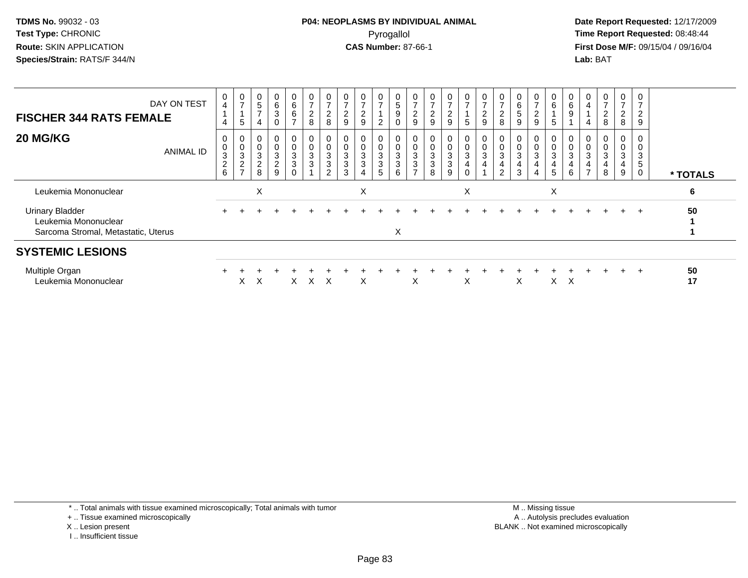**Date Report Requested:** 12/17/2009 **First Dose M/F:** 09/15/04 / 09/16/04 Lab: BAT **Lab:** BAT

| DAY ON TEST<br><b>FISCHER 344 RATS FEMALE</b>                                         |           | 0<br>$\overline{4}$<br>$\overline{A}$<br>4 | $\frac{0}{7}$<br>5                                     | $\begin{matrix} 0 \\ 5 \end{matrix}$<br>$\overline{ }$<br>4      | $\begin{array}{c} 0 \\ 6 \end{array}$<br>$\ensuremath{\mathsf{3}}$<br>$\mathbf 0$ | 0<br>6<br>6                         | $\frac{0}{7}$<br>$\overline{c}$<br>$\,8\,$ | $\frac{0}{7}$<br>$\begin{array}{c} 2 \\ 8 \end{array}$                        | $\overline{c}$<br>9                            | 0<br>$\rightarrow$<br>$\Omega$<br>9 | $\frac{0}{7}$<br>$\overline{c}$                           | 0<br>5<br>$\boldsymbol{9}$                       | $\rightarrow$<br>$\overline{\mathbf{c}}$<br>9 | $\frac{0}{7}$<br>$\boldsymbol{2}$<br>9 | 0<br>$\rightarrow$<br>$\boldsymbol{2}$<br>9   | $\frac{0}{7}$<br>$\sqrt{5}$                                                             | $\frac{0}{7}$<br>$\frac{2}{9}$                                    | $\mathbf 0$<br>$\overline{ }$<br>2<br>8 | 6<br>9 | 0<br>$\rightarrow$<br>$\overline{c}$<br>9 | 0<br>6<br>5                      | $\begin{matrix} 0 \\ 6 \end{matrix}$<br>$9\,$ | 0<br>4<br>4                            | $\overline{ }$<br>$\overline{c}$<br>8 | 0<br>$\overline{ }$<br>$\overline{a}$<br>8 | $\overline{0}$<br>$\overline{ }$<br>$\overline{c}$<br>$\boldsymbol{9}$ |          |
|---------------------------------------------------------------------------------------|-----------|--------------------------------------------|--------------------------------------------------------|------------------------------------------------------------------|-----------------------------------------------------------------------------------|-------------------------------------|--------------------------------------------|-------------------------------------------------------------------------------|------------------------------------------------|-------------------------------------|-----------------------------------------------------------|--------------------------------------------------|-----------------------------------------------|----------------------------------------|-----------------------------------------------|-----------------------------------------------------------------------------------------|-------------------------------------------------------------------|-----------------------------------------|--------|-------------------------------------------|----------------------------------|-----------------------------------------------|----------------------------------------|---------------------------------------|--------------------------------------------|------------------------------------------------------------------------|----------|
| 20 MG/KG                                                                              | ANIMAL ID | 0<br>$_{3}^{\rm 0}$<br>$\frac{2}{6}$       | 0<br>$_{3}^{\rm 0}$<br>$\overline{c}$<br>$\rightarrow$ | $\begin{smallmatrix} 0\\0\\3 \end{smallmatrix}$<br>$\frac{2}{8}$ | $\begin{matrix} 0 \\ 0 \\ 3 \\ 2 \end{matrix}$<br>9                               | 0<br>$\frac{0}{3}$<br>3<br>$\Omega$ | $\pmb{0}$<br>$\mathsf 0$<br>$\frac{3}{3}$  | $\begin{smallmatrix}0\\0\\3\end{smallmatrix}$<br>$\sqrt{3}$<br>$\overline{2}$ | $\ensuremath{\mathsf{3}}$<br>$\mathbf{3}$<br>3 | 0<br>$\frac{0}{3}$                  | 0<br>$\begin{smallmatrix}0\3 \end{smallmatrix}$<br>3<br>5 | $\pmb{0}$<br>$\ensuremath{\mathsf{3}}$<br>3<br>6 | $\pmb{0}$<br>$\ensuremath{\mathsf{3}}$<br>3   | $_{3}^{\rm 0}$<br>$\mathbf{3}$<br>8    | 0<br>$\begin{matrix}0\\3\\3\end{matrix}$<br>9 | $\begin{smallmatrix}0\0\0\3\end{smallmatrix}$<br>$\overline{\mathbf{4}}$<br>$\mathbf 0$ | $\begin{smallmatrix} 0\\0\\3 \end{smallmatrix}$<br>$\overline{4}$ | 0<br>$\pmb{0}$<br>3<br>$\overline{2}$   | 3<br>3 | 0<br>$\mathsf{O}\xspace$<br>3             | 0<br>0<br>$\mathbf{3}$<br>4<br>5 | 0<br>$\,0\,$<br>$\overline{3}$<br>4<br>6      | 0<br>$\mathbf 0$<br>3<br>$\rightarrow$ | 3<br>8                                | 0<br>3<br>4<br>9                           | 0<br>3<br>$\sqrt{5}$<br>0                                              | * TOTALS |
| Leukemia Mononuclear                                                                  |           |                                            |                                                        | X                                                                |                                                                                   |                                     |                                            |                                                                               |                                                | X                                   |                                                           |                                                  |                                               |                                        |                                               | X                                                                                       |                                                                   |                                         |        |                                           | X                                |                                               |                                        |                                       |                                            |                                                                        | 6        |
| <b>Urinary Bladder</b><br>Leukemia Mononuclear<br>Sarcoma Stromal, Metastatic, Uterus |           |                                            |                                                        |                                                                  |                                                                                   |                                     |                                            |                                                                               |                                                |                                     |                                                           | X                                                |                                               |                                        |                                               |                                                                                         |                                                                   |                                         |        |                                           |                                  |                                               |                                        |                                       |                                            | $+$                                                                    | 50       |
| <b>SYSTEMIC LESIONS</b>                                                               |           |                                            |                                                        |                                                                  |                                                                                   |                                     |                                            |                                                                               |                                                |                                     |                                                           |                                                  |                                               |                                        |                                               |                                                                                         |                                                                   |                                         |        |                                           |                                  |                                               |                                        |                                       |                                            |                                                                        |          |
| Multiple Organ<br>Leukemia Mononuclear                                                |           |                                            | X                                                      | X                                                                |                                                                                   | X.                                  | X                                          | X                                                                             |                                                | X                                   |                                                           |                                                  | X                                             |                                        |                                               | X                                                                                       |                                                                   |                                         | X      |                                           |                                  | $X \times$                                    |                                        |                                       |                                            | $+$                                                                    | 50<br>17 |

\* .. Total animals with tissue examined microscopically; Total animals with tumor

+ .. Tissue examined microscopically

X .. Lesion present

I .. Insufficient tissue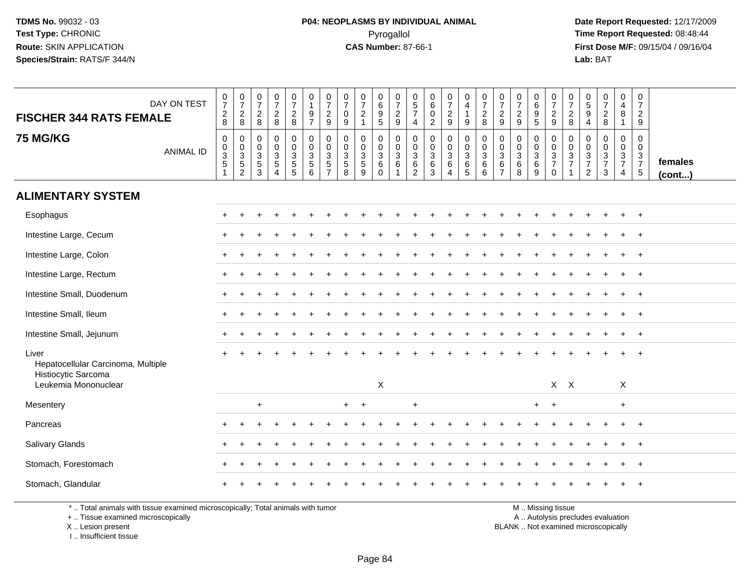**Date Report Requested:** 12/17/2009 **First Dose M/F:** 09/15/04 / 09/16/04<br>Lab: BAT **Lab:** BAT

| DAY ON TEST<br><b>FISCHER 344 RATS FEMALE</b>                                   | $\frac{0}{7}$<br>$_{8}^2$                       | $\frac{0}{7}$<br>$\frac{2}{8}$                                 | $\frac{0}{7}$<br>$\frac{2}{8}$                      | $\frac{0}{7}$<br>$\frac{2}{8}$                                               | $\frac{0}{7}$<br>$\frac{2}{8}$                              | 0<br>$\mathbf{1}$<br>$\boldsymbol{9}$<br>$\overline{7}$ | $\frac{0}{7}$<br>$\frac{2}{9}$                              | $\frac{0}{7}$<br>0<br>$\boldsymbol{9}$                            | $\frac{0}{7}$<br>$\sqrt{2}$<br>$\overline{1}$ | 0<br>$6\phantom{a}$<br>$\boldsymbol{9}$<br>$\overline{5}$ | $\frac{0}{7}$<br>$\frac{2}{9}$                                            | 0<br>$\,$ 5 $\,$<br>$\overline{7}$<br>$\overline{4}$                  | 0<br>$\,6\,$<br>$\mathbf 0$<br>$\overline{c}$               | $\frac{0}{7}$<br>$\frac{2}{9}$                                    | $\mathbf 0$<br>$\overline{4}$<br>$\overline{1}$<br>9          | $\frac{0}{7}$<br>$\frac{2}{8}$                                         | $\pmb{0}$<br>$\overline{7}$<br>$\frac{2}{9}$                               | $\frac{0}{7}$<br>$\frac{2}{9}$                                                 | $\begin{array}{c} 0 \\ 6 \end{array}$<br>$\overline{9}$<br>$\overline{5}$ | $\frac{0}{7}$<br>$\frac{2}{9}$  | $\frac{0}{7}$<br>$^2_8$                                                | $\begin{array}{c} 0 \\ 5 \\ 9 \\ 4 \end{array}$                    | $\frac{0}{7}$<br>$\frac{2}{8}$                              | 0<br>$\overline{4}$<br>8<br>$\mathbf{1}$  | 0<br>$\overline{7}$<br>$\frac{2}{9}$   |                   |
|---------------------------------------------------------------------------------|-------------------------------------------------|----------------------------------------------------------------|-----------------------------------------------------|------------------------------------------------------------------------------|-------------------------------------------------------------|---------------------------------------------------------|-------------------------------------------------------------|-------------------------------------------------------------------|-----------------------------------------------|-----------------------------------------------------------|---------------------------------------------------------------------------|-----------------------------------------------------------------------|-------------------------------------------------------------|-------------------------------------------------------------------|---------------------------------------------------------------|------------------------------------------------------------------------|----------------------------------------------------------------------------|--------------------------------------------------------------------------------|---------------------------------------------------------------------------|---------------------------------|------------------------------------------------------------------------|--------------------------------------------------------------------|-------------------------------------------------------------|-------------------------------------------|----------------------------------------|-------------------|
| <b>75 MG/KG</b><br><b>ANIMAL ID</b>                                             | 0<br>$\begin{array}{c} 0 \\ 3 \\ 5 \end{array}$ | $\mathbf 0$<br>$\begin{array}{c} 0 \\ 3 \\ 5 \\ 2 \end{array}$ | $\mathbf 0$<br>0<br>$\mathbf{3}$<br>$\sqrt{5}$<br>3 | $\mathbf 0$<br>$\pmb{0}$<br>$\mathbf{3}$<br>$\overline{5}$<br>$\overline{4}$ | $\mathbf 0$<br>$\mathbf 0$<br>$\mathsf 3$<br>$\overline{5}$ | 0<br>$\mathbf 0$<br>$\frac{3}{5}$                       | $\mathbf 0$<br>$\pmb{0}$<br>$\overline{3}$<br>$\frac{5}{7}$ | $\mathbf 0$<br>0<br>$\mathbf{3}$<br>$\,$ 5 $\,$<br>$\overline{8}$ | $\mathbf 0$<br>$\mathbf 0$<br>$rac{3}{9}$     | 0<br>$\mathbf 0$<br>$\sqrt{3}$<br>$\,6\,$<br>$\Omega$     | $\mathbf 0$<br>$\mathbf 0$<br>$\overline{3}$<br>$\,6\,$<br>$\overline{1}$ | $\mathbf 0$<br>$\mathbf 0$<br>$\mathbf{3}$<br>$\,6$<br>$\overline{2}$ | $\mathbf 0$<br>$\pmb{0}$<br>$\mathfrak{S}$<br>$\frac{6}{3}$ | $\mathbf 0$<br>$_{3}^{\rm 0}$<br>$6\phantom{a}$<br>$\overline{4}$ | $\mathbf 0$<br>$\mathbf 0$<br>$\overline{3}$<br>$\frac{6}{5}$ | $\mathbf 0$<br>$\mathbf 0$<br>$\mathbf 3$<br>$\,6\,$<br>$6\phantom{1}$ | $\mathbf 0$<br>$\boldsymbol{0}$<br>$\mathbf{3}$<br>$\,6$<br>$\overline{7}$ | $\mathbf 0$<br>$\boldsymbol{0}$<br>$\overline{3}$<br>$\,6\,$<br>$\overline{8}$ | 0<br>$\mathbf 0$<br>$\frac{3}{6}$<br>$\overline{9}$                       | 0<br>$\frac{0}{3}$<br>$\pmb{0}$ | $\mathbf 0$<br>$\mathsf{O}\xspace$<br>$\overline{3}$<br>$\overline{7}$ | $\mathbf 0$<br>$\boldsymbol{0}$<br>$\frac{3}{7}$<br>$\overline{2}$ | $\mathbf 0$<br>$\mathbf 0$<br>$\frac{3}{7}$<br>$\mathbf{3}$ | 0<br>$\overline{0}$<br>$\frac{3}{7}$<br>4 | 0<br>$\boldsymbol{0}$<br>$\frac{3}{7}$ | females<br>(cont) |
| <b>ALIMENTARY SYSTEM</b>                                                        |                                                 |                                                                |                                                     |                                                                              |                                                             |                                                         |                                                             |                                                                   |                                               |                                                           |                                                                           |                                                                       |                                                             |                                                                   |                                                               |                                                                        |                                                                            |                                                                                |                                                                           |                                 |                                                                        |                                                                    |                                                             |                                           |                                        |                   |
| Esophagus                                                                       | $\pm$                                           |                                                                |                                                     |                                                                              |                                                             |                                                         |                                                             |                                                                   |                                               |                                                           |                                                                           |                                                                       |                                                             |                                                                   |                                                               |                                                                        |                                                                            |                                                                                |                                                                           |                                 |                                                                        |                                                                    |                                                             |                                           | $+$                                    |                   |
| Intestine Large, Cecum                                                          |                                                 |                                                                |                                                     |                                                                              |                                                             |                                                         |                                                             |                                                                   |                                               |                                                           |                                                                           |                                                                       |                                                             |                                                                   |                                                               |                                                                        |                                                                            |                                                                                |                                                                           |                                 |                                                                        |                                                                    |                                                             |                                           |                                        |                   |
| Intestine Large, Colon                                                          | $\pm$                                           |                                                                |                                                     |                                                                              |                                                             |                                                         |                                                             |                                                                   |                                               |                                                           |                                                                           |                                                                       |                                                             |                                                                   |                                                               |                                                                        |                                                                            |                                                                                |                                                                           |                                 |                                                                        |                                                                    |                                                             |                                           | $\overline{+}$                         |                   |
| Intestine Large, Rectum                                                         |                                                 |                                                                |                                                     |                                                                              |                                                             |                                                         |                                                             |                                                                   |                                               |                                                           |                                                                           |                                                                       |                                                             |                                                                   |                                                               |                                                                        |                                                                            |                                                                                |                                                                           |                                 |                                                                        |                                                                    |                                                             |                                           |                                        |                   |
| Intestine Small, Duodenum                                                       |                                                 |                                                                |                                                     |                                                                              |                                                             |                                                         |                                                             |                                                                   |                                               |                                                           |                                                                           |                                                                       |                                                             |                                                                   |                                                               |                                                                        |                                                                            |                                                                                |                                                                           |                                 |                                                                        |                                                                    |                                                             |                                           | $+$                                    |                   |
| Intestine Small, Ileum                                                          |                                                 |                                                                |                                                     |                                                                              |                                                             |                                                         |                                                             |                                                                   |                                               |                                                           |                                                                           |                                                                       |                                                             |                                                                   |                                                               |                                                                        |                                                                            |                                                                                |                                                                           |                                 |                                                                        |                                                                    |                                                             |                                           |                                        |                   |
| Intestine Small, Jejunum                                                        | $+$                                             |                                                                |                                                     |                                                                              |                                                             |                                                         |                                                             |                                                                   |                                               |                                                           |                                                                           |                                                                       |                                                             |                                                                   |                                                               |                                                                        |                                                                            |                                                                                |                                                                           |                                 |                                                                        |                                                                    |                                                             |                                           |                                        |                   |
| Liver<br>Hepatocellular Carcinoma, Multiple<br>Histiocytic Sarcoma              |                                                 |                                                                |                                                     |                                                                              |                                                             |                                                         |                                                             |                                                                   |                                               |                                                           |                                                                           |                                                                       |                                                             |                                                                   |                                                               |                                                                        |                                                                            |                                                                                |                                                                           |                                 |                                                                        |                                                                    |                                                             |                                           |                                        |                   |
| Leukemia Mononuclear                                                            |                                                 |                                                                |                                                     |                                                                              |                                                             |                                                         |                                                             |                                                                   |                                               | X                                                         |                                                                           |                                                                       |                                                             |                                                                   |                                                               |                                                                        |                                                                            |                                                                                |                                                                           |                                 | $X$ $X$                                                                |                                                                    |                                                             | $\boldsymbol{\mathsf{X}}$                 |                                        |                   |
| Mesentery                                                                       |                                                 |                                                                | $\ddot{}$                                           |                                                                              |                                                             |                                                         |                                                             | $+$                                                               | $^{+}$                                        |                                                           |                                                                           | $\ddot{}$                                                             |                                                             |                                                                   |                                                               |                                                                        |                                                                            |                                                                                | $+$                                                                       | $+$                             |                                                                        |                                                                    |                                                             | $\ddot{}$                                 |                                        |                   |
| Pancreas                                                                        | $\pm$                                           |                                                                |                                                     |                                                                              |                                                             |                                                         |                                                             |                                                                   |                                               |                                                           |                                                                           |                                                                       |                                                             |                                                                   |                                                               |                                                                        |                                                                            |                                                                                |                                                                           |                                 |                                                                        |                                                                    |                                                             | $\ddot{}$                                 | $+$                                    |                   |
| Salivary Glands                                                                 |                                                 |                                                                |                                                     |                                                                              |                                                             |                                                         |                                                             |                                                                   |                                               |                                                           |                                                                           |                                                                       |                                                             |                                                                   |                                                               |                                                                        |                                                                            |                                                                                |                                                                           |                                 |                                                                        |                                                                    |                                                             |                                           | $\overline{ }$                         |                   |
| Stomach, Forestomach                                                            |                                                 |                                                                |                                                     |                                                                              |                                                             |                                                         |                                                             |                                                                   |                                               |                                                           |                                                                           |                                                                       |                                                             |                                                                   |                                                               |                                                                        |                                                                            |                                                                                |                                                                           |                                 |                                                                        |                                                                    |                                                             |                                           | $\overline{ }$                         |                   |
| Stomach, Glandular                                                              |                                                 |                                                                |                                                     |                                                                              |                                                             |                                                         |                                                             |                                                                   |                                               |                                                           |                                                                           |                                                                       |                                                             |                                                                   |                                                               |                                                                        |                                                                            |                                                                                |                                                                           |                                 |                                                                        |                                                                    |                                                             |                                           |                                        |                   |
| *  Total animals with tissue examined microscopically; Total animals with tumor |                                                 |                                                                |                                                     |                                                                              |                                                             |                                                         |                                                             |                                                                   |                                               |                                                           |                                                                           |                                                                       |                                                             |                                                                   |                                                               |                                                                        |                                                                            |                                                                                |                                                                           | M  Missing tissue               |                                                                        |                                                                    |                                                             |                                           |                                        |                   |

+ .. Tissue examined microscopically

X .. Lesion present

I .. Insufficient tissue

y the contract of the contract of the contract of the contract of the contract of the contract of the contract of  $A$ . Autolysis precludes evaluation

Lesion present BLANK .. Not examined microscopically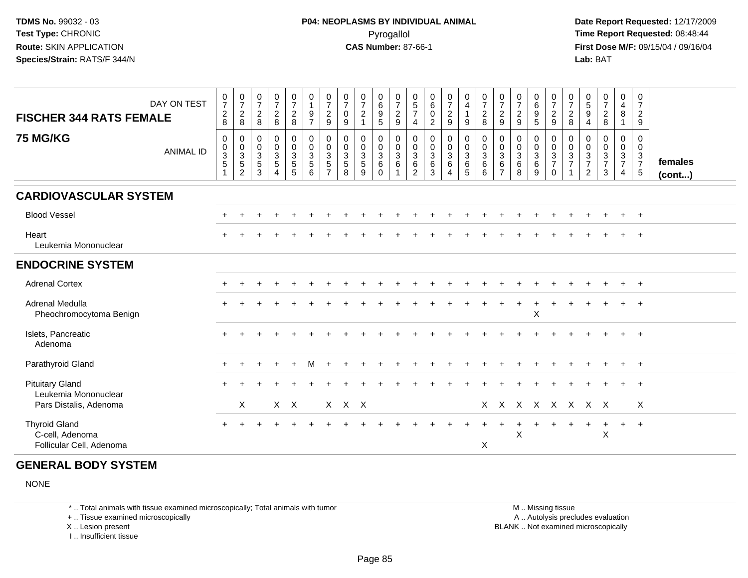**Date Report Requested:** 12/17/2009 **First Dose M/F:** 09/15/04 / 09/16/04 Lab: BAT **Lab:** BAT

| <b>FISCHER 344 RATS FEMALE</b><br><b>75 MG/KG</b>                   | DAY ON TEST<br><b>ANIMAL ID</b> | $\frac{0}{7}$<br>$\boldsymbol{2}$<br>8<br>$\mathbf 0$<br>$\begin{smallmatrix}0\\3\\5\end{smallmatrix}$ | $\frac{0}{7}$<br>$\sqrt{2}$<br>8<br>0<br>$\mathbf 0$<br>$\mathbf{3}$<br>$\overline{5}$<br>$\overline{c}$ | $\frac{0}{7}$<br>$\sqrt{2}$<br>8<br>$\mathbf 0$<br>$\mathbf 0$<br>$\mathbf{3}$<br>$\sqrt{5}$<br>3 | $\frac{0}{7}$<br>$\overline{a}$<br>8<br>$\mathbf 0$<br>$\mathbf 0$<br>$\mathbf{3}$<br>$\overline{5}$<br>4 | $\begin{smallmatrix}0\\7\end{smallmatrix}$<br>$\overline{2}$<br>8<br>$\begin{smallmatrix}0\\0\end{smallmatrix}$<br>$\frac{3}{5}$<br>5 | $\pmb{0}$<br>$\overline{1}$<br>$\boldsymbol{9}$<br>$\overline{7}$<br>$_{\rm 0}^{\rm 0}$<br>$\overline{3}$<br>$\overline{5}$<br>6 | $\frac{0}{7}$<br>$\sqrt{2}$<br>9<br>$\mathbf 0$<br>$\mathbf 0$<br>3<br>$\sqrt{5}$<br>$\overline{7}$ | $\frac{0}{7}$<br>$\pmb{0}$<br>9<br>$\mathbf 0$<br>$\mathbf 0$<br>$\mathbf{3}$<br>$\overline{5}$<br>8 | 0<br>$\overline{7}$<br>$\overline{c}$<br>0<br>$\mathbf 0$<br>$\mathbf{3}$<br>$\overline{5}$<br>9 | 0<br>$\,6\,$<br>$\boldsymbol{9}$<br>5<br>$\begin{smallmatrix}0\\0\end{smallmatrix}$<br>$\overline{3}$<br>6<br>$\Omega$ | $\frac{0}{7}$<br>$\boldsymbol{2}$<br>9<br>$\begin{smallmatrix}0\\0\\3\end{smallmatrix}$<br>$6\phantom{a}$ | $\begin{array}{c} 0 \\ 5 \end{array}$<br>$\overline{7}$<br>$\overline{4}$<br>$\mathbf 0$<br>$\begin{array}{c} 0 \\ 3 \\ 6 \end{array}$<br>$\overline{2}$ | $\begin{array}{c} 0 \\ 6 \end{array}$<br>$\pmb{0}$<br>$\overline{2}$<br>$\pmb{0}$<br>$\ddot{\mathbf{0}}$<br>$\overline{3}$<br>$6\phantom{a}$<br>3 | $\frac{0}{7}$<br>$\overline{a}$<br>9<br>$\begin{smallmatrix} 0\\0 \end{smallmatrix}$<br>3<br>$\,6\,$<br>4 | 0<br>$\overline{4}$<br>$\mathbf{1}$<br>9<br>$\begin{matrix} 0 \\ 0 \\ 3 \\ 6 \end{matrix}$<br>5 | $\begin{smallmatrix}0\\7\end{smallmatrix}$<br>$\sqrt{2}$<br>8<br>$\begin{smallmatrix} 0\\0 \end{smallmatrix}$<br>$\overline{3}$<br>6<br>6 | 0<br>$\boldsymbol{7}$<br>$\boldsymbol{2}$<br>9<br>0<br>0<br>3<br>6<br>$\overline{7}$ | $\frac{0}{7}$<br>$\overline{c}$<br>9<br>$\mathbf 0$<br>$\overline{0}$<br>$\mathbf 3$<br>$6\phantom{1}6$<br>8 | $\pmb{0}$<br>$\,6\,$<br>$\boldsymbol{9}$<br>5<br>0<br>$\mathbf 0$<br>$\mathbf{3}$<br>$\,6\,$<br>9 | 0<br>$\overline{7}$<br>$\overline{a}$<br>9<br>0<br>$\mathbf 0$<br>3<br>$\overline{7}$<br>$\mathbf 0$ | $\frac{0}{7}$<br>$\overline{c}$<br>8<br>0<br>0<br>3<br>$\overline{7}$ | 0<br>$\,$ 5 $\,$<br>$\boldsymbol{9}$<br>$\overline{4}$<br>0<br>0<br>$\frac{3}{7}$<br>$\overline{2}$ | $\begin{smallmatrix}0\\7\end{smallmatrix}$<br>$\sqrt{2}$<br>8<br>$\mathbf 0$<br>$\mathbf 0$<br>$\frac{3}{7}$<br>3 | 0<br>$\overline{4}$<br>8<br>$\overline{\mathbf{1}}$<br>0<br>$\mathbf 0$<br>$\overline{3}$<br>$\overline{7}$<br>$\overline{4}$ | $\mathbf 0$<br>$\overline{7}$<br>$\overline{c}$<br>9<br>$\pmb{0}$<br>$\mathbf 0$<br>$\mathbf{3}$<br>$\overline{7}$<br>$\sqrt{5}$ | females<br>(cont) |
|---------------------------------------------------------------------|---------------------------------|--------------------------------------------------------------------------------------------------------|----------------------------------------------------------------------------------------------------------|---------------------------------------------------------------------------------------------------|-----------------------------------------------------------------------------------------------------------|---------------------------------------------------------------------------------------------------------------------------------------|----------------------------------------------------------------------------------------------------------------------------------|-----------------------------------------------------------------------------------------------------|------------------------------------------------------------------------------------------------------|--------------------------------------------------------------------------------------------------|------------------------------------------------------------------------------------------------------------------------|-----------------------------------------------------------------------------------------------------------|----------------------------------------------------------------------------------------------------------------------------------------------------------|---------------------------------------------------------------------------------------------------------------------------------------------------|-----------------------------------------------------------------------------------------------------------|-------------------------------------------------------------------------------------------------|-------------------------------------------------------------------------------------------------------------------------------------------|--------------------------------------------------------------------------------------|--------------------------------------------------------------------------------------------------------------|---------------------------------------------------------------------------------------------------|------------------------------------------------------------------------------------------------------|-----------------------------------------------------------------------|-----------------------------------------------------------------------------------------------------|-------------------------------------------------------------------------------------------------------------------|-------------------------------------------------------------------------------------------------------------------------------|----------------------------------------------------------------------------------------------------------------------------------|-------------------|
| <b>CARDIOVASCULAR SYSTEM</b>                                        |                                 |                                                                                                        |                                                                                                          |                                                                                                   |                                                                                                           |                                                                                                                                       |                                                                                                                                  |                                                                                                     |                                                                                                      |                                                                                                  |                                                                                                                        |                                                                                                           |                                                                                                                                                          |                                                                                                                                                   |                                                                                                           |                                                                                                 |                                                                                                                                           |                                                                                      |                                                                                                              |                                                                                                   |                                                                                                      |                                                                       |                                                                                                     |                                                                                                                   |                                                                                                                               |                                                                                                                                  |                   |
| <b>Blood Vessel</b>                                                 |                                 |                                                                                                        |                                                                                                          |                                                                                                   |                                                                                                           |                                                                                                                                       |                                                                                                                                  |                                                                                                     |                                                                                                      |                                                                                                  |                                                                                                                        |                                                                                                           |                                                                                                                                                          |                                                                                                                                                   |                                                                                                           |                                                                                                 |                                                                                                                                           |                                                                                      |                                                                                                              |                                                                                                   |                                                                                                      |                                                                       |                                                                                                     |                                                                                                                   |                                                                                                                               | $+$                                                                                                                              |                   |
| Heart<br>Leukemia Mononuclear                                       |                                 |                                                                                                        |                                                                                                          |                                                                                                   |                                                                                                           |                                                                                                                                       |                                                                                                                                  |                                                                                                     |                                                                                                      |                                                                                                  |                                                                                                                        |                                                                                                           |                                                                                                                                                          |                                                                                                                                                   |                                                                                                           |                                                                                                 |                                                                                                                                           |                                                                                      |                                                                                                              |                                                                                                   |                                                                                                      |                                                                       |                                                                                                     |                                                                                                                   |                                                                                                                               |                                                                                                                                  |                   |
| <b>ENDOCRINE SYSTEM</b>                                             |                                 |                                                                                                        |                                                                                                          |                                                                                                   |                                                                                                           |                                                                                                                                       |                                                                                                                                  |                                                                                                     |                                                                                                      |                                                                                                  |                                                                                                                        |                                                                                                           |                                                                                                                                                          |                                                                                                                                                   |                                                                                                           |                                                                                                 |                                                                                                                                           |                                                                                      |                                                                                                              |                                                                                                   |                                                                                                      |                                                                       |                                                                                                     |                                                                                                                   |                                                                                                                               |                                                                                                                                  |                   |
| <b>Adrenal Cortex</b>                                               |                                 |                                                                                                        |                                                                                                          |                                                                                                   |                                                                                                           |                                                                                                                                       |                                                                                                                                  |                                                                                                     |                                                                                                      |                                                                                                  |                                                                                                                        |                                                                                                           |                                                                                                                                                          |                                                                                                                                                   |                                                                                                           |                                                                                                 |                                                                                                                                           |                                                                                      |                                                                                                              |                                                                                                   |                                                                                                      |                                                                       |                                                                                                     |                                                                                                                   |                                                                                                                               | $^{+}$                                                                                                                           |                   |
| <b>Adrenal Medulla</b><br>Pheochromocytoma Benign                   |                                 |                                                                                                        |                                                                                                          |                                                                                                   |                                                                                                           |                                                                                                                                       |                                                                                                                                  |                                                                                                     |                                                                                                      |                                                                                                  |                                                                                                                        |                                                                                                           |                                                                                                                                                          |                                                                                                                                                   |                                                                                                           |                                                                                                 |                                                                                                                                           |                                                                                      |                                                                                                              | $\pmb{\times}$                                                                                    |                                                                                                      |                                                                       |                                                                                                     |                                                                                                                   |                                                                                                                               |                                                                                                                                  |                   |
| Islets, Pancreatic<br>Adenoma                                       |                                 |                                                                                                        |                                                                                                          |                                                                                                   |                                                                                                           |                                                                                                                                       |                                                                                                                                  |                                                                                                     |                                                                                                      |                                                                                                  |                                                                                                                        |                                                                                                           |                                                                                                                                                          |                                                                                                                                                   |                                                                                                           |                                                                                                 |                                                                                                                                           |                                                                                      |                                                                                                              |                                                                                                   |                                                                                                      |                                                                       |                                                                                                     |                                                                                                                   |                                                                                                                               | $+$                                                                                                                              |                   |
| Parathyroid Gland                                                   |                                 |                                                                                                        |                                                                                                          |                                                                                                   |                                                                                                           | $\div$                                                                                                                                | м                                                                                                                                |                                                                                                     |                                                                                                      |                                                                                                  |                                                                                                                        |                                                                                                           |                                                                                                                                                          |                                                                                                                                                   |                                                                                                           |                                                                                                 |                                                                                                                                           |                                                                                      |                                                                                                              |                                                                                                   |                                                                                                      |                                                                       |                                                                                                     |                                                                                                                   | $+$                                                                                                                           | $+$                                                                                                                              |                   |
| <b>Pituitary Gland</b><br>Leukemia Mononuclear                      |                                 |                                                                                                        |                                                                                                          |                                                                                                   |                                                                                                           |                                                                                                                                       |                                                                                                                                  |                                                                                                     |                                                                                                      |                                                                                                  |                                                                                                                        |                                                                                                           |                                                                                                                                                          |                                                                                                                                                   |                                                                                                           |                                                                                                 |                                                                                                                                           |                                                                                      |                                                                                                              |                                                                                                   |                                                                                                      |                                                                       |                                                                                                     |                                                                                                                   |                                                                                                                               | $\ddot{}$                                                                                                                        |                   |
| Pars Distalis, Adenoma                                              |                                 |                                                                                                        | X                                                                                                        |                                                                                                   |                                                                                                           | $X$ $X$                                                                                                                               |                                                                                                                                  |                                                                                                     | X X X                                                                                                |                                                                                                  |                                                                                                                        |                                                                                                           |                                                                                                                                                          |                                                                                                                                                   |                                                                                                           |                                                                                                 |                                                                                                                                           |                                                                                      |                                                                                                              |                                                                                                   | X X X X X X X X                                                                                      |                                                                       |                                                                                                     |                                                                                                                   |                                                                                                                               | X                                                                                                                                |                   |
| <b>Thyroid Gland</b><br>C-cell, Adenoma<br>Follicular Cell, Adenoma |                                 |                                                                                                        |                                                                                                          |                                                                                                   |                                                                                                           |                                                                                                                                       |                                                                                                                                  |                                                                                                     |                                                                                                      |                                                                                                  |                                                                                                                        |                                                                                                           |                                                                                                                                                          |                                                                                                                                                   |                                                                                                           |                                                                                                 | X                                                                                                                                         |                                                                                      | X                                                                                                            |                                                                                                   |                                                                                                      |                                                                       |                                                                                                     | $\overline{+}$<br>X                                                                                               | $+$                                                                                                                           | $+$                                                                                                                              |                   |

## **GENERAL BODY SYSTEM**

NONE

\* .. Total animals with tissue examined microscopically; Total animals with tumor

+ .. Tissue examined microscopically

X .. Lesion present

I .. Insufficient tissue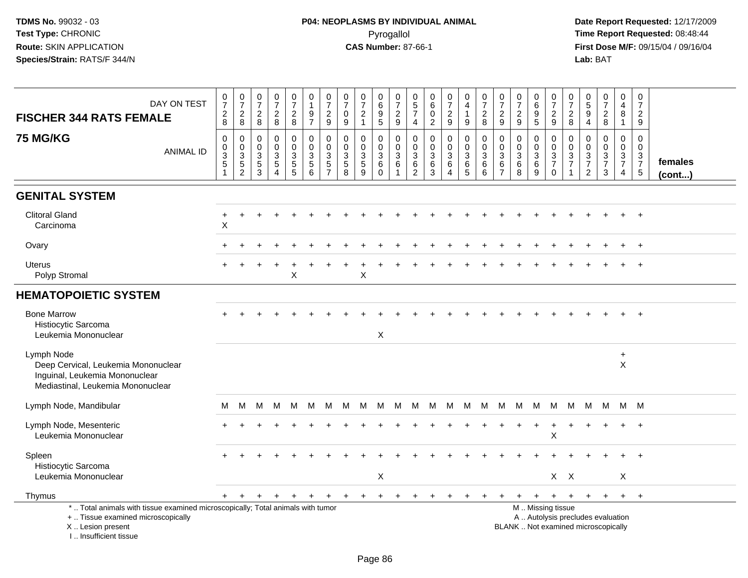| DAY ON TEST<br><b>FISCHER 344 RATS FEMALE</b>                                                                                                                        | $\begin{smallmatrix}0\\7\end{smallmatrix}$<br>$\frac{2}{8}$                | $\frac{0}{7}$<br>$\sqrt{2}$<br>8                                   | $\frac{0}{7}$<br>$\sqrt{2}$<br>8          | $\frac{0}{7}$<br>$_{\rm 8}^2$                             | $\frac{0}{7}$<br>$\overline{2}$<br>8                  | $\pmb{0}$<br>$\mathbf{1}$<br>$\frac{9}{7}$                    | $\frac{0}{7}$<br>$\sqrt{2}$<br>9                                | $\frac{0}{7}$<br>$\boldsymbol{0}$<br>9             | $\frac{0}{7}$<br>$\sqrt{2}$<br>$\mathbf{1}$ | 0<br>$\,6\,$<br>$\boldsymbol{9}$<br>$5\phantom{.0}$  | $\frac{0}{7}$<br>$\frac{2}{9}$               | $\begin{array}{c} 0 \\ 5 \\ 7 \end{array}$<br>$\overline{4}$ | $_{6}^{\rm 0}$<br>$\bar{0}$<br>$\overline{2}$ | $\begin{smallmatrix}0\\7\end{smallmatrix}$<br>$\overline{2}$<br>9 | $\begin{smallmatrix}0\\4\end{smallmatrix}$<br>$\overline{1}$<br>9 | $\frac{0}{7}$<br>$\sqrt{2}$<br>8          | $\frac{0}{7}$<br>$\sqrt{2}$<br>9                       | $\frac{0}{7}$<br>$\boldsymbol{2}$<br>$9\,$ | $\begin{array}{c} 0 \\ 6 \end{array}$<br>$\frac{9}{5}$ | $\begin{array}{c} 0 \\ 7 \end{array}$<br>$\sqrt{2}$<br>$\mathsf g$                            | 0<br>$\overline{7}$<br>$_{\rm 8}^2$               | $\begin{array}{c} 0 \\ 5 \\ 9 \end{array}$<br>$\overline{4}$ | $\begin{array}{c} 0 \\ 7 \end{array}$<br>$\overline{2}$<br>8 | $\pmb{0}$<br>$\overline{4}$<br>$\bf 8$<br>$\mathbf{1}$                         | 0<br>$\overline{7}$<br>$\overline{a}$<br>9                        |                   |
|----------------------------------------------------------------------------------------------------------------------------------------------------------------------|----------------------------------------------------------------------------|--------------------------------------------------------------------|-------------------------------------------|-----------------------------------------------------------|-------------------------------------------------------|---------------------------------------------------------------|-----------------------------------------------------------------|----------------------------------------------------|---------------------------------------------|------------------------------------------------------|----------------------------------------------|--------------------------------------------------------------|-----------------------------------------------|-------------------------------------------------------------------|-------------------------------------------------------------------|-------------------------------------------|--------------------------------------------------------|--------------------------------------------|--------------------------------------------------------|-----------------------------------------------------------------------------------------------|---------------------------------------------------|--------------------------------------------------------------|--------------------------------------------------------------|--------------------------------------------------------------------------------|-------------------------------------------------------------------|-------------------|
| <b>75 MG/KG</b><br><b>ANIMAL ID</b>                                                                                                                                  | $\mathbf 0$<br>$\mathbf 0$<br>$\ensuremath{\mathsf{3}}$<br>$\sqrt{5}$<br>1 | 0<br>$\mathbf 0$<br>$\mathbf{3}$<br>$\sqrt{5}$<br>$\boldsymbol{2}$ | $\mathbf 0$<br>$\mathbf 0$<br>3<br>5<br>3 | 0<br>$\mathsf 0$<br>3<br>$\overline{5}$<br>$\overline{A}$ | 0<br>$\mathbf 0$<br>$\sqrt{3}$<br>$\overline{5}$<br>5 | $\mathbf 0$<br>$\pmb{0}$<br>$\sqrt{3}$<br>$\overline{5}$<br>6 | $\mathbf 0$<br>$\mathbf 0$<br>3<br>$\sqrt{5}$<br>$\overline{7}$ | $\mathbf 0$<br>$\mathbf 0$<br>3<br>$\sqrt{5}$<br>8 | 0<br>$\mathbf 0$<br>3<br>$\sqrt{5}$<br>9    | 0<br>$\mathbf 0$<br>$\mathbf{3}$<br>6<br>$\mathbf 0$ | 0<br>$\mathbf 0$<br>3<br>6<br>$\overline{1}$ | $\mathbf 0$<br>$\mathsf 0$<br>$\mathbf{3}$<br>$\,6\,$<br>2   | 0<br>$\mathsf 0$<br>$\mathbf{3}$<br>6<br>3    | 0<br>$\overline{0}$<br>3<br>$6\phantom{1}$<br>4                   | $\mathbf 0$<br>$\mathsf{O}\xspace$<br>$\sqrt{3}$<br>$\,6\,$<br>5  | $\mathbf 0$<br>$\mathbf 0$<br>3<br>6<br>6 | $\mathbf 0$<br>$\mathbf 0$<br>3<br>6<br>$\overline{7}$ | 0<br>$\mathbf 0$<br>3<br>$\,6\,$<br>8      | 0<br>$\mathbf 0$<br>$\overline{3}$<br>$\,6\,$<br>9     | 0<br>$\mathbf 0$<br>$\frac{3}{7}$<br>$\mathbf 0$                                              | $\mathbf 0$<br>$\mathbf 0$<br>3<br>$\overline{7}$ | 0<br>$\mathbf 0$<br>$\frac{3}{7}$<br>2                       | 0<br>$\mathbf 0$<br>$\mathbf{3}$<br>$\overline{7}$<br>3      | $\mathbf 0$<br>$\mathsf 0$<br>$\mathbf{3}$<br>$\overline{7}$<br>$\overline{4}$ | $\Omega$<br>$\mathbf 0$<br>3<br>$\overline{7}$<br>$5\phantom{.0}$ | females<br>(cont) |
| <b>GENITAL SYSTEM</b>                                                                                                                                                |                                                                            |                                                                    |                                           |                                                           |                                                       |                                                               |                                                                 |                                                    |                                             |                                                      |                                              |                                                              |                                               |                                                                   |                                                                   |                                           |                                                        |                                            |                                                        |                                                                                               |                                                   |                                                              |                                                              |                                                                                |                                                                   |                   |
| <b>Clitoral Gland</b><br>Carcinoma                                                                                                                                   | +<br>$\pmb{\times}$                                                        |                                                                    |                                           |                                                           |                                                       |                                                               |                                                                 |                                                    |                                             |                                                      |                                              |                                                              |                                               |                                                                   |                                                                   |                                           |                                                        |                                            |                                                        |                                                                                               |                                                   |                                                              |                                                              |                                                                                |                                                                   |                   |
| Ovary                                                                                                                                                                |                                                                            |                                                                    |                                           |                                                           |                                                       |                                                               |                                                                 |                                                    |                                             |                                                      |                                              |                                                              |                                               |                                                                   |                                                                   |                                           |                                                        |                                            |                                                        |                                                                                               |                                                   |                                                              |                                                              |                                                                                | $\ddot{}$                                                         |                   |
| <b>Uterus</b><br>Polyp Stromal                                                                                                                                       |                                                                            |                                                                    |                                           |                                                           | X                                                     |                                                               |                                                                 |                                                    | $\mathsf X$                                 |                                                      |                                              |                                                              |                                               |                                                                   |                                                                   |                                           |                                                        |                                            |                                                        |                                                                                               |                                                   |                                                              |                                                              |                                                                                |                                                                   |                   |
| <b>HEMATOPOIETIC SYSTEM</b>                                                                                                                                          |                                                                            |                                                                    |                                           |                                                           |                                                       |                                                               |                                                                 |                                                    |                                             |                                                      |                                              |                                                              |                                               |                                                                   |                                                                   |                                           |                                                        |                                            |                                                        |                                                                                               |                                                   |                                                              |                                                              |                                                                                |                                                                   |                   |
| <b>Bone Marrow</b><br>Histiocytic Sarcoma<br>Leukemia Mononuclear                                                                                                    |                                                                            |                                                                    |                                           |                                                           |                                                       |                                                               |                                                                 |                                                    |                                             | $\boldsymbol{\mathsf{X}}$                            |                                              |                                                              |                                               |                                                                   |                                                                   |                                           |                                                        |                                            |                                                        |                                                                                               |                                                   |                                                              |                                                              |                                                                                |                                                                   |                   |
| Lymph Node<br>Deep Cervical, Leukemia Mononuclear<br>Inguinal, Leukemia Mononuclear<br>Mediastinal, Leukemia Mononuclear                                             |                                                                            |                                                                    |                                           |                                                           |                                                       |                                                               |                                                                 |                                                    |                                             |                                                      |                                              |                                                              |                                               |                                                                   |                                                                   |                                           |                                                        |                                            |                                                        |                                                                                               |                                                   |                                                              |                                                              | $\ddot{}$<br>$\boldsymbol{\mathsf{X}}$                                         |                                                                   |                   |
| Lymph Node, Mandibular                                                                                                                                               | м                                                                          | M                                                                  | M                                         | M                                                         | M                                                     | M                                                             | M                                                               | м                                                  | м                                           | M                                                    | M                                            | M                                                            | M                                             | M                                                                 | M                                                                 | M                                         | M                                                      | M                                          | M                                                      | M                                                                                             | M                                                 | M                                                            | M                                                            |                                                                                | M M                                                               |                   |
| Lymph Node, Mesenteric<br>Leukemia Mononuclear                                                                                                                       |                                                                            |                                                                    |                                           |                                                           |                                                       |                                                               |                                                                 |                                                    |                                             |                                                      |                                              |                                                              |                                               |                                                                   |                                                                   |                                           |                                                        |                                            |                                                        | X                                                                                             |                                                   |                                                              |                                                              |                                                                                |                                                                   |                   |
| Spleen<br>Histiocytic Sarcoma<br>Leukemia Mononuclear                                                                                                                |                                                                            |                                                                    |                                           |                                                           |                                                       |                                                               |                                                                 |                                                    |                                             | X                                                    |                                              |                                                              |                                               |                                                                   |                                                                   |                                           |                                                        |                                            |                                                        | $X$ $X$                                                                                       |                                                   |                                                              |                                                              | X                                                                              |                                                                   |                   |
| Thymus                                                                                                                                                               |                                                                            | $+$                                                                | $+$                                       | $+$                                                       | $+$                                                   | $+$                                                           | $_{+}$                                                          | $+$                                                | $+$                                         | $+$                                                  | $\ddot{}$                                    |                                                              | $\ddot{}$                                     | $\ddot{}$                                                         |                                                                   |                                           |                                                        | $\ddot{}$                                  | $+$                                                    | $+$                                                                                           | $+$                                               | $+$                                                          | $+$                                                          | $+$                                                                            | $+$                                                               |                   |
| *  Total animals with tissue examined microscopically; Total animals with tumor<br>+  Tissue examined microscopically<br>X  Lesion present<br>L. Insufficient tissue |                                                                            |                                                                    |                                           |                                                           |                                                       |                                                               |                                                                 |                                                    |                                             |                                                      |                                              |                                                              |                                               |                                                                   |                                                                   |                                           |                                                        |                                            |                                                        | M  Missing tissue<br>A  Autolysis precludes evaluation<br>BLANK  Not examined microscopically |                                                   |                                                              |                                                              |                                                                                |                                                                   |                   |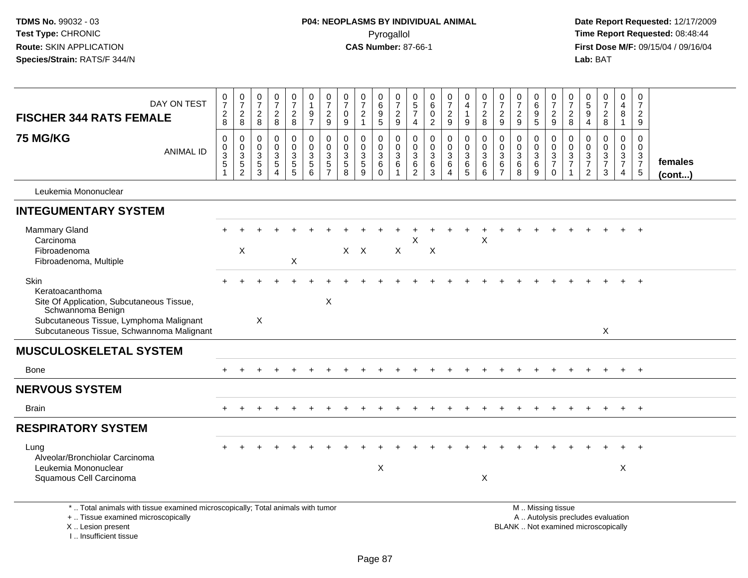| DAY ON TEST                                                                                                                                                                       | $\frac{0}{7}$                                                          | $\frac{0}{7}$                                                   | $\frac{0}{7}$                                       | $\frac{0}{7}$                                                  | $\begin{smallmatrix}0\\7\end{smallmatrix}$         | 0<br>$\mathbf{1}$                                          | $\pmb{0}$<br>$\overline{7}$                                              | 0<br>$\overline{7}$                                           | 0<br>$\overline{7}$                                            | 0<br>$\,6\,$                                          | 0<br>$\overline{7}$                           | 0<br>$\overline{5}$                           | $\begin{array}{c} 0 \\ 6 \end{array}$                     | $\mathbf 0$<br>$\overline{7}$                                 | $\mathbf 0$<br>$\overline{\mathbf{4}}$                                            | 0<br>$\overline{7}$                             | 0<br>$\overline{7}$                                                     | $\frac{0}{7}$                                    | 0<br>$\overline{6}$                            | 0<br>$\overline{7}$                                                                           | $\mathbf 0$<br>$\overline{7}$                                | 0<br>$\overline{5}$                                                       | 0<br>$\overline{7}$                                     | $\mathbf 0$<br>4                                                    | 0<br>$\overline{7}$                    |                   |
|-----------------------------------------------------------------------------------------------------------------------------------------------------------------------------------|------------------------------------------------------------------------|-----------------------------------------------------------------|-----------------------------------------------------|----------------------------------------------------------------|----------------------------------------------------|------------------------------------------------------------|--------------------------------------------------------------------------|---------------------------------------------------------------|----------------------------------------------------------------|-------------------------------------------------------|-----------------------------------------------|-----------------------------------------------|-----------------------------------------------------------|---------------------------------------------------------------|-----------------------------------------------------------------------------------|-------------------------------------------------|-------------------------------------------------------------------------|--------------------------------------------------|------------------------------------------------|-----------------------------------------------------------------------------------------------|--------------------------------------------------------------|---------------------------------------------------------------------------|---------------------------------------------------------|---------------------------------------------------------------------|----------------------------------------|-------------------|
| <b>FISCHER 344 RATS FEMALE</b>                                                                                                                                                    | $\boldsymbol{2}$<br>8                                                  | $\sqrt{2}$<br>8                                                 | $\overline{c}$<br>8                                 | $\overline{\mathbf{c}}$<br>8                                   | $\overline{c}$<br>8                                | $\boldsymbol{9}$<br>$\overline{7}$                         | $\sqrt{2}$<br>9                                                          | $\mathbf 0$<br>9                                              | $\sqrt{2}$<br>$\mathbf{1}$                                     | $\boldsymbol{9}$<br>5                                 | $\boldsymbol{2}$<br>9                         | $\overline{7}$<br>4                           | $\pmb{0}$<br>$\overline{2}$                               | $\overline{c}$<br>9                                           | $\mathbf{1}$<br>9                                                                 | $\sqrt{2}$<br>8                                 | $\overline{c}$<br>9                                                     | $\overline{\mathbf{c}}$<br>$9\,$                 | $\boldsymbol{9}$<br>$\overline{5}$             | $\boldsymbol{2}$<br>$9\,$                                                                     | $\overline{c}$<br>8                                          | $\overline{9}$<br>$\overline{4}$                                          | $\sqrt{2}$<br>8                                         | 8<br>$\mathbf{1}$                                                   | $\overline{c}$<br>9                    |                   |
| <b>75 MG/KG</b><br><b>ANIMAL ID</b>                                                                                                                                               | $\mathbf 0$<br>$\pmb{0}$<br>$\sqrt{3}$<br>$\sqrt{5}$<br>$\overline{1}$ | $\mathbf 0$<br>$\mathbf 0$<br>3<br>$\sqrt{5}$<br>$\overline{c}$ | $\mathbf 0$<br>$\mathbf 0$<br>3<br>$\,$ 5 $\,$<br>3 | 0<br>$\mathbf 0$<br>3<br>$\,$ 5 $\,$<br>$\boldsymbol{\Lambda}$ | 0<br>$\overline{0}$<br>$\sqrt{3}$<br>$\frac{5}{5}$ | $\mathbf 0$<br>$\pmb{0}$<br>$\sqrt{3}$<br>$\mathbf 5$<br>6 | $\mathbf 0$<br>$\mathbf 0$<br>$\ensuremath{\mathsf{3}}$<br>$\frac{5}{7}$ | $\mathbf 0$<br>$\mathbf 0$<br>$\mathbf{3}$<br>$\sqrt{5}$<br>8 | 0<br>$\mathbf 0$<br>$\ensuremath{\mathsf{3}}$<br>$\frac{5}{9}$ | 0<br>$\mathbf 0$<br>$\mathbf{3}$<br>$\,6$<br>$\Omega$ | $\mathbf 0$<br>$\mathbf 0$<br>$\sqrt{3}$<br>6 | $\mathbf 0$<br>$\mathbf 0$<br>3<br>$\,6$<br>2 | $\mathbf 0$<br>$\mathbf 0$<br>$\sqrt{3}$<br>$\frac{6}{3}$ | 0<br>$\mathbf 0$<br>$\mathbf{3}$<br>$\,6\,$<br>$\overline{4}$ | $\mathbf 0$<br>$\mathbf 0$<br>$\sqrt{3}$<br>$\begin{array}{c} 6 \\ 5 \end{array}$ | $\mathbf 0$<br>$\mathbf 0$<br>3<br>$\,6\,$<br>6 | $\mathbf 0$<br>$\mathbf 0$<br>$\mathbf{3}$<br>$\,6\,$<br>$\overline{7}$ | 0<br>$\mathbf 0$<br>$\mathbf{3}$<br>$\,6\,$<br>8 | 0<br>$\mathbf 0$<br>$\sqrt{3}$<br>$\,6\,$<br>9 | 0<br>$\pmb{0}$<br>$\frac{3}{7}$<br>$\mathbf 0$                                                | $\mathbf 0$<br>$\mathbf 0$<br>$\mathbf{3}$<br>$\overline{7}$ | $\mathbf 0$<br>$\Omega$<br>$\sqrt{3}$<br>$\overline{7}$<br>$\overline{2}$ | 0<br>$\mathbf{0}$<br>$\mathsf 3$<br>$\overline{7}$<br>3 | $\mathbf 0$<br>$\mathbf 0$<br>3<br>$\overline{7}$<br>$\overline{4}$ | 0<br>$\mathbf 0$<br>$\frac{3}{7}$<br>5 | females<br>(cont) |
| Leukemia Mononuclear                                                                                                                                                              |                                                                        |                                                                 |                                                     |                                                                |                                                    |                                                            |                                                                          |                                                               |                                                                |                                                       |                                               |                                               |                                                           |                                                               |                                                                                   |                                                 |                                                                         |                                                  |                                                |                                                                                               |                                                              |                                                                           |                                                         |                                                                     |                                        |                   |
| <b>INTEGUMENTARY SYSTEM</b>                                                                                                                                                       |                                                                        |                                                                 |                                                     |                                                                |                                                    |                                                            |                                                                          |                                                               |                                                                |                                                       |                                               |                                               |                                                           |                                                               |                                                                                   |                                                 |                                                                         |                                                  |                                                |                                                                                               |                                                              |                                                                           |                                                         |                                                                     |                                        |                   |
| Mammary Gland<br>Carcinoma<br>Fibroadenoma<br>Fibroadenoma, Multiple                                                                                                              |                                                                        | X                                                               |                                                     |                                                                | $\pmb{\times}$                                     |                                                            |                                                                          |                                                               | $X$ $X$                                                        |                                                       | X                                             | X                                             | Χ                                                         |                                                               |                                                                                   | X                                               |                                                                         |                                                  |                                                |                                                                                               |                                                              |                                                                           |                                                         |                                                                     |                                        |                   |
| Skin<br>Keratoacanthoma<br>Site Of Application, Subcutaneous Tissue,<br>Schwannoma Benign<br>Subcutaneous Tissue, Lymphoma Malignant<br>Subcutaneous Tissue, Schwannoma Malignant |                                                                        |                                                                 | $\boldsymbol{\mathsf{X}}$                           |                                                                |                                                    |                                                            | $\pmb{\times}$                                                           |                                                               |                                                                |                                                       |                                               |                                               |                                                           |                                                               |                                                                                   |                                                 |                                                                         |                                                  |                                                |                                                                                               |                                                              |                                                                           | $\times$                                                |                                                                     |                                        |                   |
| <b>MUSCULOSKELETAL SYSTEM</b>                                                                                                                                                     |                                                                        |                                                                 |                                                     |                                                                |                                                    |                                                            |                                                                          |                                                               |                                                                |                                                       |                                               |                                               |                                                           |                                                               |                                                                                   |                                                 |                                                                         |                                                  |                                                |                                                                                               |                                                              |                                                                           |                                                         |                                                                     |                                        |                   |
| Bone                                                                                                                                                                              |                                                                        |                                                                 |                                                     |                                                                |                                                    |                                                            |                                                                          |                                                               |                                                                |                                                       |                                               |                                               |                                                           |                                                               |                                                                                   |                                                 |                                                                         |                                                  |                                                |                                                                                               |                                                              |                                                                           |                                                         |                                                                     | $+$                                    |                   |
| <b>NERVOUS SYSTEM</b>                                                                                                                                                             |                                                                        |                                                                 |                                                     |                                                                |                                                    |                                                            |                                                                          |                                                               |                                                                |                                                       |                                               |                                               |                                                           |                                                               |                                                                                   |                                                 |                                                                         |                                                  |                                                |                                                                                               |                                                              |                                                                           |                                                         |                                                                     |                                        |                   |
| <b>Brain</b>                                                                                                                                                                      |                                                                        |                                                                 |                                                     |                                                                |                                                    |                                                            |                                                                          |                                                               |                                                                |                                                       |                                               |                                               |                                                           |                                                               |                                                                                   |                                                 |                                                                         |                                                  |                                                |                                                                                               |                                                              |                                                                           |                                                         |                                                                     | $+$                                    |                   |
| <b>RESPIRATORY SYSTEM</b>                                                                                                                                                         |                                                                        |                                                                 |                                                     |                                                                |                                                    |                                                            |                                                                          |                                                               |                                                                |                                                       |                                               |                                               |                                                           |                                                               |                                                                                   |                                                 |                                                                         |                                                  |                                                |                                                                                               |                                                              |                                                                           |                                                         |                                                                     |                                        |                   |
| Lung<br>Alveolar/Bronchiolar Carcinoma<br>Leukemia Mononuclear<br>Squamous Cell Carcinoma                                                                                         |                                                                        |                                                                 |                                                     |                                                                |                                                    |                                                            |                                                                          |                                                               |                                                                | X                                                     |                                               |                                               |                                                           |                                                               |                                                                                   | $\times$                                        |                                                                         |                                                  |                                                |                                                                                               |                                                              |                                                                           |                                                         | X                                                                   |                                        |                   |
| *  Total animals with tissue examined microscopically; Total animals with tumor<br>+  Tissue examined microscopically<br>X  Lesion present<br>L. Insufficient tissue              |                                                                        |                                                                 |                                                     |                                                                |                                                    |                                                            |                                                                          |                                                               |                                                                |                                                       |                                               |                                               |                                                           |                                                               |                                                                                   |                                                 |                                                                         |                                                  |                                                | M  Missing tissue<br>A  Autolysis precludes evaluation<br>BLANK  Not examined microscopically |                                                              |                                                                           |                                                         |                                                                     |                                        |                   |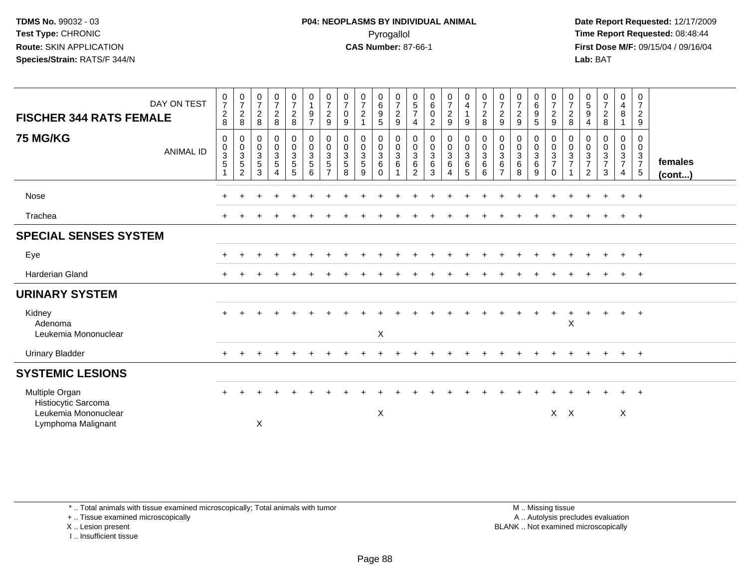**Date Report Requested:** 12/17/2009 **First Dose M/F:** 09/15/04 / 09/16/04 Lab: BAT **Lab:** BAT

| DAY ON TEST<br><b>FISCHER 344 RATS FEMALE</b>                                       |                  | $\frac{0}{7}$<br>$\overline{c}$<br>8 | $\frac{0}{7}$<br>8                                             | $\frac{0}{7}$<br>8                           | $\frac{0}{7}$<br>8                                                  | $\frac{0}{7}$<br>$\frac{2}{8}$                                     | $\begin{smallmatrix}0\1\end{smallmatrix}$<br>$\boldsymbol{9}$<br>$\overline{7}$ | $\frac{0}{7}$<br>9                                | $\frac{0}{7}$<br>$\mathsf{O}\xspace$<br>$\boldsymbol{9}$         | $\begin{array}{c} 0 \\ 7 \\ 2 \\ 1 \end{array}$ | $\begin{matrix} 0 \\ 6 \\ 9 \end{matrix}$<br>$\overline{5}$                              | $\frac{0}{7}$<br>$\overline{c}$<br>9  | $\begin{array}{c} 0 \\ 5 \\ 7 \end{array}$<br>$\overline{4}$ | $\begin{matrix} 0 \\ 6 \\ 0 \end{matrix}$<br>$\overline{2}$ | $\begin{array}{c} 0 \\ 7 \\ 2 \\ 9 \end{array}$                                      | $\begin{array}{c} 0 \\ 4 \\ 1 \end{array}$<br>$9\,$ | $\begin{array}{c} 0 \\ 7 \\ 2 \end{array}$<br>8          | $\frac{0}{7}$<br>9                                      | $\frac{0}{7}$<br>$\overline{a}$<br>9    | 0<br>6<br>9<br>5                                    | $\frac{0}{7}$<br>9                        | $\frac{0}{7}$<br>$\frac{2}{8}$    | $\begin{array}{c} 0 \\ 5 \\ 9 \end{array}$<br>$\overline{4}$ | $\frac{0}{7}$<br>$\frac{2}{8}$         | $\begin{array}{c} 0 \\ 4 \\ 8 \end{array}$<br>$\mathbf{1}$ | $\boldsymbol{0}$<br>$\overline{7}$<br>$\overline{c}$<br>$\boldsymbol{9}$ |                   |
|-------------------------------------------------------------------------------------|------------------|--------------------------------------|----------------------------------------------------------------|----------------------------------------------|---------------------------------------------------------------------|--------------------------------------------------------------------|---------------------------------------------------------------------------------|---------------------------------------------------|------------------------------------------------------------------|-------------------------------------------------|------------------------------------------------------------------------------------------|---------------------------------------|--------------------------------------------------------------|-------------------------------------------------------------|--------------------------------------------------------------------------------------|-----------------------------------------------------|----------------------------------------------------------|---------------------------------------------------------|-----------------------------------------|-----------------------------------------------------|-------------------------------------------|-----------------------------------|--------------------------------------------------------------|----------------------------------------|------------------------------------------------------------|--------------------------------------------------------------------------|-------------------|
| <b>75 MG/KG</b>                                                                     | <b>ANIMAL ID</b> | 0<br>$\mathbf 0$<br>$\frac{3}{5}$    | $\mathbf 0$<br>$\begin{array}{c} 0 \\ 3 \\ 5 \\ 2 \end{array}$ | $\mathbf 0$<br>$\frac{0}{3}$<br>$\mathbf{3}$ | $\pmb{0}$<br>$\mathsf{O}\xspace$<br>$\frac{3}{5}$<br>$\overline{4}$ | $\pmb{0}$<br>$\mathbf 0$<br>$\overline{3}$<br>$5\phantom{.0}$<br>5 | $\mathbf 0$<br>$\mathbf 0$<br>$\frac{3}{5}$<br>6                                | 0<br>$\pmb{0}$<br>$\frac{3}{5}$<br>$\overline{7}$ | $\begin{smallmatrix}0\\0\end{smallmatrix}$<br>$\frac{3}{5}$<br>8 | $\pmb{0}$<br>$\mathbf 0$<br>$\frac{3}{5}$<br>9  | $\begin{smallmatrix} 0\\0 \end{smallmatrix}$<br>$\overline{3}$<br>$\,6\,$<br>$\mathbf 0$ | 0<br>$\mathbf 0$<br>$\mathbf{3}$<br>6 | 0<br>$\frac{0}{3}$<br>$\overline{2}$                         | $\pmb{0}$<br>$\begin{matrix}0\\3\\6\end{matrix}$<br>3       | $\begin{smallmatrix}0\0\0\end{smallmatrix}$<br>$\overline{3}$<br>6<br>$\overline{4}$ | $\boldsymbol{0}$<br>$\frac{0}{3}$<br>5              | $\pmb{0}$<br>$\mathbf 0$<br>$\mathbf{3}$<br>$\,6\,$<br>6 | $\pmb{0}$<br>$\frac{0}{3}$<br>$\,6\,$<br>$\overline{7}$ | 0<br>$\mathsf{O}$<br>$\frac{3}{6}$<br>8 | $\begin{matrix} 0 \\ 0 \\ 3 \\ 6 \end{matrix}$<br>9 | $\pmb{0}$<br>$\frac{0}{3}$<br>$\mathbf 0$ | 0<br>$\mathbf 0$<br>$\frac{3}{7}$ | $\pmb{0}$<br>$\pmb{0}$<br>$\frac{3}{7}$<br>$\overline{2}$    | 0<br>$\mathbf 0$<br>$\frac{3}{7}$<br>3 | 0<br>$\mathbf 0$<br>$\frac{3}{7}$<br>$\overline{4}$        | $\mathbf 0$<br>$\mathbf 0$<br>$\frac{3}{7}$<br>$\sqrt{5}$                | females<br>(cont) |
| Nose                                                                                |                  | $\pm$                                |                                                                |                                              |                                                                     |                                                                    |                                                                                 |                                                   |                                                                  |                                                 |                                                                                          |                                       |                                                              |                                                             |                                                                                      |                                                     |                                                          |                                                         |                                         |                                                     |                                           |                                   |                                                              | $\div$                                 | $+$                                                        | $+$                                                                      |                   |
| Trachea                                                                             |                  |                                      |                                                                |                                              |                                                                     |                                                                    |                                                                                 |                                                   |                                                                  |                                                 |                                                                                          |                                       |                                                              |                                                             |                                                                                      |                                                     |                                                          |                                                         |                                         |                                                     |                                           |                                   |                                                              |                                        |                                                            | $+$                                                                      |                   |
| <b>SPECIAL SENSES SYSTEM</b>                                                        |                  |                                      |                                                                |                                              |                                                                     |                                                                    |                                                                                 |                                                   |                                                                  |                                                 |                                                                                          |                                       |                                                              |                                                             |                                                                                      |                                                     |                                                          |                                                         |                                         |                                                     |                                           |                                   |                                                              |                                        |                                                            |                                                                          |                   |
| Eye                                                                                 |                  | ÷                                    |                                                                |                                              |                                                                     |                                                                    |                                                                                 |                                                   |                                                                  |                                                 |                                                                                          |                                       |                                                              |                                                             |                                                                                      |                                                     |                                                          |                                                         |                                         |                                                     |                                           |                                   |                                                              |                                        | $+$                                                        | $+$                                                                      |                   |
| <b>Harderian Gland</b>                                                              |                  |                                      |                                                                |                                              |                                                                     |                                                                    |                                                                                 |                                                   |                                                                  |                                                 |                                                                                          |                                       |                                                              |                                                             |                                                                                      |                                                     |                                                          |                                                         |                                         |                                                     |                                           |                                   |                                                              |                                        | $+$                                                        | $+$                                                                      |                   |
| <b>URINARY SYSTEM</b>                                                               |                  |                                      |                                                                |                                              |                                                                     |                                                                    |                                                                                 |                                                   |                                                                  |                                                 |                                                                                          |                                       |                                                              |                                                             |                                                                                      |                                                     |                                                          |                                                         |                                         |                                                     |                                           |                                   |                                                              |                                        |                                                            |                                                                          |                   |
| Kidney<br>Adenoma<br>Leukemia Mononuclear                                           |                  | $\div$                               |                                                                |                                              |                                                                     |                                                                    |                                                                                 |                                                   |                                                                  |                                                 | X                                                                                        |                                       |                                                              |                                                             |                                                                                      |                                                     |                                                          |                                                         |                                         |                                                     |                                           | $\boldsymbol{\mathsf{X}}$         |                                                              |                                        | $+$                                                        | $+$                                                                      |                   |
| <b>Urinary Bladder</b>                                                              |                  | $+$                                  | $\ddot{}$                                                      |                                              |                                                                     |                                                                    |                                                                                 |                                                   |                                                                  |                                                 |                                                                                          |                                       |                                                              |                                                             |                                                                                      |                                                     |                                                          |                                                         |                                         |                                                     |                                           |                                   | $\ddot{}$                                                    | $\overline{+}$                         | $+$                                                        | $+$                                                                      |                   |
| <b>SYSTEMIC LESIONS</b>                                                             |                  |                                      |                                                                |                                              |                                                                     |                                                                    |                                                                                 |                                                   |                                                                  |                                                 |                                                                                          |                                       |                                                              |                                                             |                                                                                      |                                                     |                                                          |                                                         |                                         |                                                     |                                           |                                   |                                                              |                                        |                                                            |                                                                          |                   |
| Multiple Organ<br>Histiocytic Sarcoma<br>Leukemia Mononuclear<br>Lymphoma Malignant |                  |                                      |                                                                | X                                            |                                                                     |                                                                    |                                                                                 |                                                   |                                                                  |                                                 | $\boldsymbol{\mathsf{X}}$                                                                |                                       |                                                              |                                                             |                                                                                      |                                                     |                                                          |                                                         |                                         |                                                     | $X \times$                                |                                   |                                                              |                                        | $\boldsymbol{\mathsf{X}}$                                  | $+$                                                                      |                   |
|                                                                                     |                  |                                      |                                                                |                                              |                                                                     |                                                                    |                                                                                 |                                                   |                                                                  |                                                 |                                                                                          |                                       |                                                              |                                                             |                                                                                      |                                                     |                                                          |                                                         |                                         |                                                     |                                           |                                   |                                                              |                                        |                                                            |                                                                          |                   |

\* .. Total animals with tissue examined microscopically; Total animals with tumor

+ .. Tissue examined microscopically

X .. Lesion present

I .. Insufficient tissue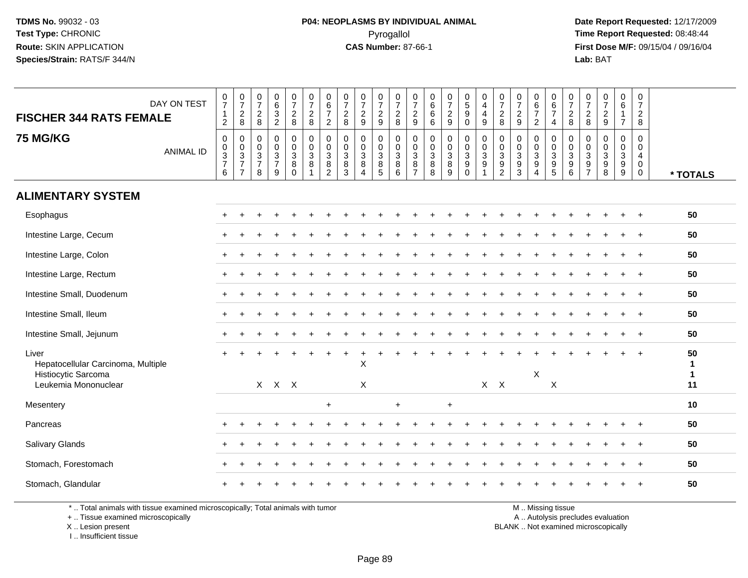**Date Report Requested:** 12/17/2009 **First Dose M/F:** 09/15/04 / 09/16/04 Lab: BAT **Lab:** BAT

| DAY ON TEST<br><b>FISCHER 344 RATS FEMALE</b>                                              | $\frac{0}{7}$<br>$\mathbf{1}$<br>$\overline{2}$                | $\frac{0}{7}$<br>$\overline{c}$<br>8                                        | 0<br>$\overline{7}$<br>$\overline{2}$<br>8          | 0<br>$\,6\,$<br>$\mathbf{3}$<br>$\overline{2}$                 | 0<br>$\overline{7}$<br>$\overline{c}$<br>8 | $\begin{array}{c} 0 \\ 7 \end{array}$<br>$\overline{2}$<br>8 | $\pmb{0}$<br>$6\phantom{a}$<br>$\overline{7}$<br>$\overline{c}$           | $\begin{array}{c} 0 \\ 7 \end{array}$<br>$\boldsymbol{2}$<br>8 | $\frac{0}{7}$<br>$\overline{2}$<br>9                                 | 0<br>$\overline{7}$<br>$\boldsymbol{2}$<br>$\boldsymbol{9}$ | $\frac{0}{7}$<br>$\overline{2}$<br>8                                        | $\pmb{0}$<br>$\overline{7}$<br>$\overline{c}$<br>9                   | 0<br>$\,6\,$<br>$\,6\,$<br>$\,6\,$      | $\begin{smallmatrix}0\\7\end{smallmatrix}$<br>$\overline{c}$<br>$\overline{9}$ | $\begin{array}{c} 0 \\ 5 \end{array}$<br>$\boldsymbol{9}$<br>$\mathbf 0$ | 0<br>$\overline{4}$<br>$\overline{\mathbf{4}}$<br>9    | 0<br>$\overline{7}$<br>$\overline{c}$<br>8                                   | 0<br>$\overline{7}$<br>$\overline{2}$<br>9                            | 0<br>$\,6\,$<br>$\overline{7}$<br>$\overline{2}$                         | $\pmb{0}$<br>$rac{6}{7}$<br>$\overline{4}$                    | 0<br>$\overline{7}$<br>$\overline{c}$<br>8 | 0<br>$\overline{7}$<br>$\overline{2}$<br>8 | $\frac{0}{7}$<br>$\overline{2}$<br>$\boldsymbol{9}$                                 | $\mathsf{O}\xspace$<br>$6\overline{6}$<br>$\mathbf{1}$<br>$\overline{7}$ | $\mathbf 0$<br>$\overline{7}$<br>$\overline{a}$<br>8             |                               |
|--------------------------------------------------------------------------------------------|----------------------------------------------------------------|-----------------------------------------------------------------------------|-----------------------------------------------------|----------------------------------------------------------------|--------------------------------------------|--------------------------------------------------------------|---------------------------------------------------------------------------|----------------------------------------------------------------|----------------------------------------------------------------------|-------------------------------------------------------------|-----------------------------------------------------------------------------|----------------------------------------------------------------------|-----------------------------------------|--------------------------------------------------------------------------------|--------------------------------------------------------------------------|--------------------------------------------------------|------------------------------------------------------------------------------|-----------------------------------------------------------------------|--------------------------------------------------------------------------|---------------------------------------------------------------|--------------------------------------------|--------------------------------------------|-------------------------------------------------------------------------------------|--------------------------------------------------------------------------|------------------------------------------------------------------|-------------------------------|
| <b>75 MG/KG</b><br><b>ANIMAL ID</b>                                                        | $\mathsf 0$<br>$\begin{array}{c} 0 \\ 3 \\ 7 \end{array}$<br>6 | $\mathbf 0$<br>$\begin{array}{c} 0 \\ 3 \\ 7 \end{array}$<br>$\overline{7}$ | $\Omega$<br>$\mathbf 0$<br>3<br>$\overline{7}$<br>8 | $\Omega$<br>$\mathbf 0$<br>$\mathbf{3}$<br>$\overline{7}$<br>9 | 0<br>0<br>3<br>8<br>$\Omega$               | $\mathbf 0$<br>$\mathsf 0$<br>$\mathbf{3}$<br>$\bf8$         | $\mathbf 0$<br>$\mathbf 0$<br>$\overline{3}$<br>$\bf 8$<br>$\overline{c}$ | 0<br>$\pmb{0}$<br>$\sqrt{3}$<br>8<br>$\overline{3}$            | $\Omega$<br>$\mathbf 0$<br>$\sqrt{3}$<br>8<br>$\boldsymbol{\Lambda}$ | $\mathbf 0$<br>$\pmb{0}$<br>3<br>8<br>5                     | $\mathbf 0$<br>$\mathsf{O}\xspace$<br>$\overline{3}$<br>$\overline{8}$<br>6 | $\mathbf 0$<br>0<br>$\ensuremath{\mathsf{3}}$<br>8<br>$\overline{7}$ | $\Omega$<br>0<br>$\mathbf{3}$<br>8<br>8 | $\mathbf 0$<br>$\pmb{0}$<br>$\sqrt{3}$<br>$\bf 8$<br>9                         | 0<br>0<br>$\mathbf{3}$<br>9<br>$\Omega$                                  | $\mathbf 0$<br>$\mathbf 0$<br>$\overline{3}$<br>9<br>1 | $\mathbf 0$<br>$\pmb{0}$<br>$\sqrt{3}$<br>$\boldsymbol{9}$<br>$\overline{2}$ | $\Omega$<br>0<br>$\ensuremath{\mathsf{3}}$<br>$9\,$<br>$\overline{3}$ | $\mathbf 0$<br>0<br>$\mathfrak{Z}$<br>$\boldsymbol{9}$<br>$\overline{4}$ | $\mathbf 0$<br>$\mathbf 0$<br>$\overline{3}$<br>$\frac{9}{5}$ | $\Omega$<br>0<br>$\mathbf{3}$<br>9<br>6    | $\Omega$<br>0<br>3<br>9<br>$\overline{7}$  | 0<br>$\mathbf 0$<br>$\ensuremath{\mathsf{3}}$<br>$\boldsymbol{9}$<br>$\overline{8}$ | 0<br>$\pmb{0}$<br>$\overline{3}$<br>$\boldsymbol{9}$<br>9                | $\mathbf 0$<br>$\mathbf 0$<br>$\overline{4}$<br>$\mathbf 0$<br>0 | * TOTALS                      |
| <b>ALIMENTARY SYSTEM</b>                                                                   |                                                                |                                                                             |                                                     |                                                                |                                            |                                                              |                                                                           |                                                                |                                                                      |                                                             |                                                                             |                                                                      |                                         |                                                                                |                                                                          |                                                        |                                                                              |                                                                       |                                                                          |                                                               |                                            |                                            |                                                                                     |                                                                          |                                                                  |                               |
| Esophagus                                                                                  |                                                                |                                                                             |                                                     |                                                                |                                            |                                                              |                                                                           |                                                                |                                                                      |                                                             |                                                                             |                                                                      |                                         |                                                                                |                                                                          |                                                        |                                                                              |                                                                       |                                                                          |                                                               |                                            |                                            |                                                                                     |                                                                          |                                                                  | 50                            |
| Intestine Large, Cecum                                                                     |                                                                |                                                                             |                                                     |                                                                |                                            |                                                              |                                                                           |                                                                |                                                                      |                                                             |                                                                             |                                                                      |                                         |                                                                                |                                                                          |                                                        |                                                                              |                                                                       |                                                                          |                                                               |                                            |                                            |                                                                                     | $\ddot{}$                                                                | $+$                                                              | 50                            |
| Intestine Large, Colon                                                                     |                                                                |                                                                             |                                                     |                                                                |                                            |                                                              |                                                                           |                                                                |                                                                      |                                                             |                                                                             |                                                                      |                                         |                                                                                |                                                                          |                                                        |                                                                              |                                                                       |                                                                          |                                                               |                                            |                                            |                                                                                     |                                                                          | $\ddot{+}$                                                       | 50                            |
| Intestine Large, Rectum                                                                    | $\ddot{}$                                                      |                                                                             |                                                     |                                                                |                                            |                                                              |                                                                           |                                                                |                                                                      |                                                             |                                                                             |                                                                      |                                         |                                                                                |                                                                          |                                                        |                                                                              |                                                                       |                                                                          |                                                               |                                            |                                            |                                                                                     |                                                                          | $\div$                                                           | 50                            |
| Intestine Small, Duodenum                                                                  |                                                                |                                                                             |                                                     |                                                                |                                            |                                                              |                                                                           |                                                                |                                                                      |                                                             |                                                                             |                                                                      |                                         |                                                                                |                                                                          |                                                        |                                                                              |                                                                       |                                                                          |                                                               |                                            |                                            |                                                                                     |                                                                          |                                                                  | 50                            |
| Intestine Small, Ileum                                                                     |                                                                |                                                                             |                                                     |                                                                |                                            |                                                              |                                                                           |                                                                |                                                                      |                                                             |                                                                             |                                                                      |                                         |                                                                                |                                                                          |                                                        |                                                                              |                                                                       |                                                                          |                                                               |                                            |                                            |                                                                                     |                                                                          | $\ddot{}$                                                        | 50                            |
| Intestine Small, Jejunum                                                                   |                                                                |                                                                             |                                                     |                                                                |                                            |                                                              |                                                                           |                                                                |                                                                      |                                                             |                                                                             |                                                                      |                                         |                                                                                |                                                                          |                                                        |                                                                              |                                                                       |                                                                          |                                                               |                                            |                                            |                                                                                     |                                                                          |                                                                  | 50                            |
| Liver<br>Hepatocellular Carcinoma, Multiple<br>Histiocytic Sarcoma<br>Leukemia Mononuclear | $+$                                                            |                                                                             |                                                     | $X$ $X$ $X$                                                    |                                            |                                                              |                                                                           |                                                                | X<br>$\pmb{\times}$                                                  |                                                             |                                                                             |                                                                      |                                         |                                                                                |                                                                          |                                                        | $X$ $X$                                                                      |                                                                       | X                                                                        | X                                                             |                                            |                                            |                                                                                     |                                                                          |                                                                  | 50<br>1<br>$\mathbf{1}$<br>11 |
| Mesentery                                                                                  |                                                                |                                                                             |                                                     |                                                                |                                            |                                                              | $+$                                                                       |                                                                |                                                                      |                                                             | $\ddot{}$                                                                   |                                                                      |                                         | $\ddot{}$                                                                      |                                                                          |                                                        |                                                                              |                                                                       |                                                                          |                                                               |                                            |                                            |                                                                                     |                                                                          |                                                                  | 10                            |
| Pancreas                                                                                   |                                                                |                                                                             |                                                     |                                                                |                                            |                                                              |                                                                           |                                                                |                                                                      |                                                             |                                                                             |                                                                      |                                         |                                                                                |                                                                          |                                                        |                                                                              |                                                                       |                                                                          |                                                               |                                            |                                            |                                                                                     |                                                                          |                                                                  | 50                            |
| Salivary Glands                                                                            |                                                                |                                                                             |                                                     |                                                                |                                            |                                                              |                                                                           |                                                                |                                                                      |                                                             |                                                                             |                                                                      |                                         |                                                                                |                                                                          |                                                        |                                                                              |                                                                       |                                                                          |                                                               |                                            |                                            |                                                                                     |                                                                          | $\ddot{}$                                                        | 50                            |
| Stomach, Forestomach                                                                       |                                                                |                                                                             |                                                     |                                                                |                                            |                                                              |                                                                           |                                                                |                                                                      |                                                             |                                                                             |                                                                      |                                         |                                                                                |                                                                          |                                                        |                                                                              |                                                                       |                                                                          |                                                               |                                            |                                            |                                                                                     |                                                                          |                                                                  | 50                            |
| Stomach, Glandular                                                                         |                                                                |                                                                             |                                                     |                                                                |                                            |                                                              |                                                                           |                                                                |                                                                      |                                                             |                                                                             |                                                                      |                                         |                                                                                |                                                                          |                                                        |                                                                              |                                                                       |                                                                          |                                                               |                                            |                                            |                                                                                     |                                                                          | $\ddot{}$                                                        | 50                            |
| * Total animals with tissue examined microscopically: Total animals with tumor             |                                                                |                                                                             |                                                     |                                                                |                                            |                                                              |                                                                           |                                                                |                                                                      |                                                             |                                                                             |                                                                      |                                         |                                                                                |                                                                          |                                                        |                                                                              |                                                                       |                                                                          | M Miccinaticaup                                               |                                            |                                            |                                                                                     |                                                                          |                                                                  |                               |

\* .. Total animals with tissue examined microscopically; Total animals with tumor

+ .. Tissue examined microscopically

 Lesion present BLANK .. Not examined microscopicallyX .. Lesion present

I .. Insufficient tissue

M .. Missing tissue

y the contract of the contract of the contract of the contract of the contract of the contract of the contract of  $A$ . Autolysis precludes evaluation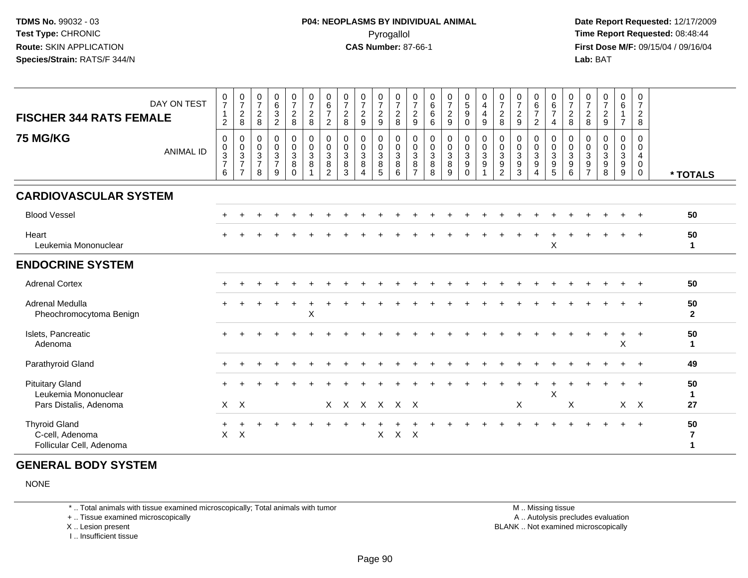**Date Report Requested:** 12/17/2009 **First Dose M/F:** 09/15/04 / 09/16/04 Lab: BAT **Lab:** BAT

| DAY ON TEST<br><b>FISCHER 344 RATS FEMALE</b><br><b>75 MG/KG</b>         | <b>ANIMAL ID</b> | 0<br>$\overline{7}$<br>$\mathbf 1$<br>$\overline{2}$<br>$\mathbf 0$<br>$\pmb{0}$<br>$\ensuremath{\mathsf{3}}$<br>$\overline{7}$<br>6 | $\frac{0}{7}$<br>$\overline{c}$<br>8<br>$\mathbf 0$<br>$\mathbf 0$<br>$\sqrt{3}$<br>$\overline{7}$<br>$\overline{7}$ | 0<br>$\overline{7}$<br>$\overline{c}$<br>8<br>$\mathbf 0$<br>$\mathbf 0$<br>$\mathsf 3$<br>$\overline{7}$<br>8 | $\begin{array}{c} 0 \\ 6 \end{array}$<br>$\overline{3}$<br>$\overline{c}$<br>0<br>$\mathsf{O}$<br>$\sqrt{3}$<br>$\overline{7}$<br>9 | $\frac{0}{7}$<br>$\boldsymbol{2}$<br>8<br>0<br>$\mathsf 0$<br>$\mathbf{3}$<br>8<br>$\Omega$ | $\frac{0}{7}$<br>$\overline{c}$<br>8<br>0<br>$\pmb{0}$<br>$\mathbf{3}$<br>8 | $\begin{array}{c} 0 \\ 6 \end{array}$<br>$\overline{7}$<br>$\overline{2}$<br>$\mathbf 0$<br>$\mathbf 0$<br>$\mathbf 3$<br>$\bf8$<br>$\overline{2}$ | $\frac{0}{7}$<br>$\sqrt{2}$<br>8<br>0<br>$\mathbf 0$<br>$\mathbf{3}$<br>8<br>3 | $\frac{0}{7}$<br>$\boldsymbol{2}$<br>$\boldsymbol{9}$<br>0<br>$\pmb{0}$<br>$\mathbf{3}$<br>8<br>$\overline{4}$ | 0<br>$\overline{7}$<br>$\overline{c}$<br>$\boldsymbol{9}$<br>$\mathbf 0$<br>$\pmb{0}$<br>$\mathbf 3$<br>8<br>$5\phantom{.0}$ | 0<br>$\overline{7}$<br>$\overline{c}$<br>8<br>0<br>$\mathbf 0$<br>$\mathbf{3}$<br>8<br>6 | 0<br>$\overline{7}$<br>$\overline{c}$<br>9<br>0<br>0<br>$\mathsf 3$<br>$\bf 8$<br>$\overline{7}$ | $\begin{array}{c} 0 \\ 6 \end{array}$<br>$6\phantom{a}$<br>6<br>$\mathbf 0$<br>$\frac{0}{3}$<br>$\bf 8$<br>8 | $\frac{0}{7}$<br>$\boldsymbol{2}$<br>9<br>$\mathbf 0$<br>$\frac{0}{3}$<br>$\bf8$<br>9 | $\begin{array}{c} 0 \\ 5 \end{array}$<br>$9\,$<br>$\mathbf 0$<br>$\mathbf 0$<br>$\mathbf 0$<br>$\overline{3}$<br>9<br>$\Omega$ | 0<br>$\overline{4}$<br>4<br>9<br>0<br>$\mathbf 0$<br>3<br>9 | $\frac{0}{7}$<br>$\boldsymbol{2}$<br>8<br>$\mathbf 0$<br>$\pmb{0}$<br>$\ensuremath{\mathsf{3}}$<br>$\boldsymbol{9}$<br>$\overline{2}$ | 0<br>$\overline{7}$<br>$\overline{c}$<br>9<br>$\mathbf 0$<br>$\mathbf 0$<br>$\sqrt{3}$<br>9<br>3 | 0<br>$6^{\circ}$<br>$\overline{7}$<br>$\overline{c}$<br>0<br>0<br>$\mathbf{3}$<br>9<br>4 | 0<br>6<br>$\overline{7}$<br>4<br>$\mathbf 0$<br>$\mathbf 0$<br>$\mathbf 3$<br>$\boldsymbol{9}$<br>5 | 0<br>$\overline{7}$<br>$\overline{2}$<br>8<br>0<br>$\Omega$<br>$\mathbf{3}$<br>9<br>6 | 0<br>$\overline{7}$<br>$\sqrt{2}$<br>8<br>$\mathbf 0$<br>$\mathbf 0$<br>$\mathbf{3}$<br>$9\,$<br>$\overline{7}$ | 0<br>$\overline{7}$<br>$\overline{c}$<br>9<br>0<br>$\mathbf 0$<br>3<br>9<br>8 | 0<br>$6\phantom{1}$<br>1<br>$\overline{7}$<br>0<br>$\pmb{0}$<br>$\overline{3}$<br>$\boldsymbol{9}$<br>9 | 0<br>$\overline{7}$<br>$\overline{2}$<br>8<br>0<br>0<br>4<br>0<br>$\mathbf 0$ | * TOTALS           |
|--------------------------------------------------------------------------|------------------|--------------------------------------------------------------------------------------------------------------------------------------|----------------------------------------------------------------------------------------------------------------------|----------------------------------------------------------------------------------------------------------------|-------------------------------------------------------------------------------------------------------------------------------------|---------------------------------------------------------------------------------------------|-----------------------------------------------------------------------------|----------------------------------------------------------------------------------------------------------------------------------------------------|--------------------------------------------------------------------------------|----------------------------------------------------------------------------------------------------------------|------------------------------------------------------------------------------------------------------------------------------|------------------------------------------------------------------------------------------|--------------------------------------------------------------------------------------------------|--------------------------------------------------------------------------------------------------------------|---------------------------------------------------------------------------------------|--------------------------------------------------------------------------------------------------------------------------------|-------------------------------------------------------------|---------------------------------------------------------------------------------------------------------------------------------------|--------------------------------------------------------------------------------------------------|------------------------------------------------------------------------------------------|-----------------------------------------------------------------------------------------------------|---------------------------------------------------------------------------------------|-----------------------------------------------------------------------------------------------------------------|-------------------------------------------------------------------------------|---------------------------------------------------------------------------------------------------------|-------------------------------------------------------------------------------|--------------------|
| <b>CARDIOVASCULAR SYSTEM</b>                                             |                  |                                                                                                                                      |                                                                                                                      |                                                                                                                |                                                                                                                                     |                                                                                             |                                                                             |                                                                                                                                                    |                                                                                |                                                                                                                |                                                                                                                              |                                                                                          |                                                                                                  |                                                                                                              |                                                                                       |                                                                                                                                |                                                             |                                                                                                                                       |                                                                                                  |                                                                                          |                                                                                                     |                                                                                       |                                                                                                                 |                                                                               |                                                                                                         |                                                                               |                    |
| <b>Blood Vessel</b>                                                      |                  |                                                                                                                                      |                                                                                                                      |                                                                                                                |                                                                                                                                     |                                                                                             |                                                                             |                                                                                                                                                    |                                                                                |                                                                                                                |                                                                                                                              |                                                                                          |                                                                                                  |                                                                                                              |                                                                                       |                                                                                                                                |                                                             |                                                                                                                                       |                                                                                                  |                                                                                          |                                                                                                     |                                                                                       |                                                                                                                 |                                                                               |                                                                                                         |                                                                               | 50                 |
| Heart<br>Leukemia Mononuclear                                            |                  |                                                                                                                                      |                                                                                                                      |                                                                                                                |                                                                                                                                     |                                                                                             |                                                                             |                                                                                                                                                    |                                                                                |                                                                                                                |                                                                                                                              |                                                                                          |                                                                                                  |                                                                                                              |                                                                                       |                                                                                                                                |                                                             |                                                                                                                                       |                                                                                                  |                                                                                          | X                                                                                                   |                                                                                       |                                                                                                                 |                                                                               |                                                                                                         | $+$                                                                           | 50<br>1            |
| <b>ENDOCRINE SYSTEM</b>                                                  |                  |                                                                                                                                      |                                                                                                                      |                                                                                                                |                                                                                                                                     |                                                                                             |                                                                             |                                                                                                                                                    |                                                                                |                                                                                                                |                                                                                                                              |                                                                                          |                                                                                                  |                                                                                                              |                                                                                       |                                                                                                                                |                                                             |                                                                                                                                       |                                                                                                  |                                                                                          |                                                                                                     |                                                                                       |                                                                                                                 |                                                                               |                                                                                                         |                                                                               |                    |
| <b>Adrenal Cortex</b>                                                    |                  |                                                                                                                                      |                                                                                                                      |                                                                                                                |                                                                                                                                     |                                                                                             |                                                                             |                                                                                                                                                    |                                                                                |                                                                                                                |                                                                                                                              |                                                                                          |                                                                                                  |                                                                                                              |                                                                                       |                                                                                                                                |                                                             |                                                                                                                                       |                                                                                                  |                                                                                          |                                                                                                     |                                                                                       |                                                                                                                 |                                                                               |                                                                                                         |                                                                               | 50                 |
| Adrenal Medulla<br>Pheochromocytoma Benign                               |                  |                                                                                                                                      |                                                                                                                      |                                                                                                                |                                                                                                                                     |                                                                                             | $\boldsymbol{\mathsf{X}}$                                                   |                                                                                                                                                    |                                                                                |                                                                                                                |                                                                                                                              |                                                                                          |                                                                                                  |                                                                                                              |                                                                                       |                                                                                                                                |                                                             |                                                                                                                                       |                                                                                                  |                                                                                          |                                                                                                     |                                                                                       |                                                                                                                 |                                                                               |                                                                                                         |                                                                               | 50<br>$\mathbf{2}$ |
| Islets, Pancreatic<br>Adenoma                                            |                  |                                                                                                                                      |                                                                                                                      |                                                                                                                |                                                                                                                                     |                                                                                             |                                                                             |                                                                                                                                                    |                                                                                |                                                                                                                |                                                                                                                              |                                                                                          |                                                                                                  |                                                                                                              |                                                                                       |                                                                                                                                |                                                             |                                                                                                                                       |                                                                                                  |                                                                                          |                                                                                                     |                                                                                       |                                                                                                                 |                                                                               | X                                                                                                       | $\overline{+}$                                                                | 50<br>1            |
| Parathyroid Gland                                                        |                  |                                                                                                                                      |                                                                                                                      |                                                                                                                |                                                                                                                                     |                                                                                             |                                                                             |                                                                                                                                                    |                                                                                |                                                                                                                |                                                                                                                              |                                                                                          |                                                                                                  |                                                                                                              |                                                                                       |                                                                                                                                |                                                             |                                                                                                                                       |                                                                                                  |                                                                                          |                                                                                                     |                                                                                       |                                                                                                                 |                                                                               |                                                                                                         |                                                                               | 49                 |
| <b>Pituitary Gland</b><br>Leukemia Mononuclear<br>Pars Distalis, Adenoma |                  | $\mathsf{X}$                                                                                                                         | $\boldsymbol{\mathsf{X}}$                                                                                            |                                                                                                                |                                                                                                                                     |                                                                                             |                                                                             |                                                                                                                                                    | X X X X X X                                                                    |                                                                                                                |                                                                                                                              |                                                                                          |                                                                                                  |                                                                                                              |                                                                                       |                                                                                                                                |                                                             |                                                                                                                                       | X                                                                                                |                                                                                          | X                                                                                                   | $\times$                                                                              |                                                                                                                 |                                                                               |                                                                                                         | $+$<br>$X$ $X$                                                                | 50<br>1<br>27      |
| <b>Thyroid Gland</b><br>C-cell, Adenoma<br>Follicular Cell, Adenoma      |                  | $\boldsymbol{\mathsf{X}}$                                                                                                            | $\times$                                                                                                             |                                                                                                                |                                                                                                                                     |                                                                                             |                                                                             |                                                                                                                                                    |                                                                                |                                                                                                                | X                                                                                                                            | $\mathsf{X}$                                                                             | X                                                                                                |                                                                                                              |                                                                                       |                                                                                                                                |                                                             |                                                                                                                                       |                                                                                                  |                                                                                          |                                                                                                     |                                                                                       |                                                                                                                 |                                                                               |                                                                                                         | $+$                                                                           | 50<br>7            |

## **GENERAL BODY SYSTEM**

NONE

\* .. Total animals with tissue examined microscopically; Total animals with tumor

+ .. Tissue examined microscopically

X .. Lesion present

I .. Insufficient tissue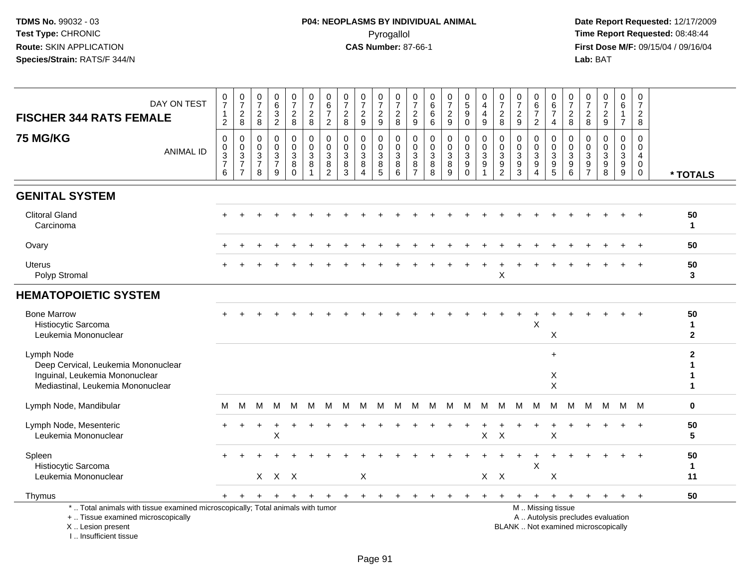| DAY ON TEST<br><b>FISCHER 344 RATS FEMALE</b>                                                                                                                       | $\frac{0}{7}$<br>$\mathbf{1}$<br>$\overline{c}$ | $\frac{0}{7}$<br>$_{\rm 8}^2$                     | $\frac{0}{7}$<br>$\frac{2}{8}$                                    | 0<br>6<br>$\frac{3}{2}$                                         | $\frac{0}{7}$<br>$\overline{c}$<br>8            | $\frac{0}{7}$<br>$\overline{a}$<br>8                  | $0$<br>6<br>7<br>$\overline{c}$                                    | 0<br>$\overline{7}$<br>$\boldsymbol{2}$<br>8                    | $\frac{0}{7}$<br>$\boldsymbol{2}$<br>9                                    | $\frac{0}{7}$<br>$\boldsymbol{2}$<br>$9\,$                                | 0<br>$\overline{7}$<br>$\overline{c}$<br>8                      | 0<br>$\overline{7}$<br>$\overline{c}$<br>9      | 0<br>6<br>6<br>6               | $\begin{smallmatrix}0\\7\end{smallmatrix}$<br>$\frac{2}{9}$             | $\begin{array}{c} 0 \\ 5 \\ 9 \end{array}$<br>$\mathbf 0$ | 0<br>$\overline{4}$<br>4<br>$9\,$                               | $\frac{0}{7}$<br>$\overline{c}$<br>8                               | 0<br>$\overline{7}$<br>$\overline{c}$<br>9                               | $\begin{array}{c} 0 \\ 6 \end{array}$<br>$\overline{7}$<br>$\overline{2}$      | $\begin{array}{c} 0 \\ 6 \end{array}$<br>$\overline{7}$<br>$\overline{4}$ | $\pmb{0}$<br>$\overline{7}$<br>$\frac{2}{8}$                  | 0<br>$\overline{7}$<br>$\overline{c}$<br>8   | $\mathbf 0$<br>$\boldsymbol{7}$<br>$\frac{2}{9}$                         | 0<br>$6\overline{6}$<br>$\mathbf{1}$<br>$\overline{7}$                         | 0<br>$\overline{7}$<br>$\overline{c}$<br>8                                 |                          |
|---------------------------------------------------------------------------------------------------------------------------------------------------------------------|-------------------------------------------------|---------------------------------------------------|-------------------------------------------------------------------|-----------------------------------------------------------------|-------------------------------------------------|-------------------------------------------------------|--------------------------------------------------------------------|-----------------------------------------------------------------|---------------------------------------------------------------------------|---------------------------------------------------------------------------|-----------------------------------------------------------------|-------------------------------------------------|--------------------------------|-------------------------------------------------------------------------|-----------------------------------------------------------|-----------------------------------------------------------------|--------------------------------------------------------------------|--------------------------------------------------------------------------|--------------------------------------------------------------------------------|---------------------------------------------------------------------------|---------------------------------------------------------------|----------------------------------------------|--------------------------------------------------------------------------|--------------------------------------------------------------------------------|----------------------------------------------------------------------------|--------------------------|
| <b>75 MG/KG</b><br><b>ANIMAL ID</b>                                                                                                                                 | 0<br>0<br>3<br>$\overline{7}$<br>6              | 0<br>$\pmb{0}$<br>$\frac{3}{7}$<br>$\overline{7}$ | $\mathbf 0$<br>$\mathbf 0$<br>$\sqrt{3}$<br>$\boldsymbol{7}$<br>8 | $\mathbf 0$<br>$\mathbf 0$<br>$\sqrt{3}$<br>$\overline{7}$<br>9 | 0<br>$\mathbf 0$<br>$\sqrt{3}$<br>8<br>$\Omega$ | 0<br>$\mathbf 0$<br>$\sqrt{3}$<br>8<br>$\overline{1}$ | 0<br>$\pmb{0}$<br>$\ensuremath{\mathsf{3}}$<br>8<br>$\overline{2}$ | $\mathbf 0$<br>$\mathbf 0$<br>$\mathbf{3}$<br>8<br>$\mathbf{3}$ | $\mathbf{0}$<br>$\mathbf 0$<br>$\ensuremath{\mathsf{3}}$<br>8<br>$\Delta$ | 0<br>$\mathbf 0$<br>$\ensuremath{\mathsf{3}}$<br>$\, 8$<br>$\overline{5}$ | 0<br>$\mathsf{O}\xspace$<br>$\ensuremath{\mathsf{3}}$<br>8<br>6 | 0<br>$\overline{0}$<br>3<br>8<br>$\overline{7}$ | 0<br>0<br>$\sqrt{3}$<br>8<br>8 | $\mathbf 0$<br>$\ddot{\mathbf{0}}$<br>$\sqrt{3}$<br>$\overline{8}$<br>9 | 0<br>$\mathbf 0$<br>$\mathbf{3}$<br>9<br>$\mathbf 0$      | $\mathbf 0$<br>$\mathbf 0$<br>$\sqrt{3}$<br>9<br>$\overline{1}$ | 0<br>$\pmb{0}$<br>$\sqrt{3}$<br>$\boldsymbol{9}$<br>$\overline{c}$ | $\mathbf 0$<br>$\mathbf 0$<br>$\ensuremath{\mathsf{3}}$<br>$\frac{9}{3}$ | $\mathbf 0$<br>$\mathbf 0$<br>$\sqrt{3}$<br>$\boldsymbol{9}$<br>$\overline{4}$ | 0<br>$\mathbf 0$<br>$\mathsf 3$<br>$\frac{9}{5}$                          | 0<br>$\mathbf 0$<br>$\sqrt{3}$<br>$\boldsymbol{9}$<br>$\,6\,$ | 0<br>$\mathbf 0$<br>3<br>9<br>$\overline{7}$ | $\mathbf 0$<br>$\mathbf 0$<br>$\sqrt{3}$<br>9<br>8                       | $\mathbf 0$<br>$\mathbf 0$<br>$\ensuremath{\mathsf{3}}$<br>$\overline{9}$<br>9 | $\mathbf 0$<br>$\mathbf 0$<br>$\overline{4}$<br>$\mathbf 0$<br>$\mathbf 0$ | * TOTALS                 |
| <b>GENITAL SYSTEM</b>                                                                                                                                               |                                                 |                                                   |                                                                   |                                                                 |                                                 |                                                       |                                                                    |                                                                 |                                                                           |                                                                           |                                                                 |                                                 |                                |                                                                         |                                                           |                                                                 |                                                                    |                                                                          |                                                                                |                                                                           |                                                               |                                              |                                                                          |                                                                                |                                                                            |                          |
| <b>Clitoral Gland</b><br>Carcinoma                                                                                                                                  |                                                 |                                                   |                                                                   |                                                                 |                                                 |                                                       |                                                                    |                                                                 |                                                                           |                                                                           |                                                                 |                                                 |                                |                                                                         |                                                           |                                                                 |                                                                    |                                                                          |                                                                                |                                                                           |                                                               |                                              |                                                                          |                                                                                |                                                                            | 50<br>1                  |
| Ovary                                                                                                                                                               |                                                 |                                                   |                                                                   |                                                                 |                                                 |                                                       |                                                                    |                                                                 |                                                                           |                                                                           |                                                                 |                                                 |                                |                                                                         |                                                           |                                                                 |                                                                    |                                                                          |                                                                                |                                                                           |                                                               |                                              |                                                                          |                                                                                | $\ddot{}$                                                                  | 50                       |
| <b>Uterus</b><br>Polyp Stromal                                                                                                                                      |                                                 |                                                   |                                                                   |                                                                 |                                                 |                                                       |                                                                    |                                                                 |                                                                           |                                                                           |                                                                 |                                                 |                                |                                                                         |                                                           |                                                                 | X                                                                  |                                                                          |                                                                                |                                                                           |                                                               |                                              |                                                                          |                                                                                |                                                                            | 50<br>3                  |
| <b>HEMATOPOIETIC SYSTEM</b>                                                                                                                                         |                                                 |                                                   |                                                                   |                                                                 |                                                 |                                                       |                                                                    |                                                                 |                                                                           |                                                                           |                                                                 |                                                 |                                |                                                                         |                                                           |                                                                 |                                                                    |                                                                          |                                                                                |                                                                           |                                                               |                                              |                                                                          |                                                                                |                                                                            |                          |
| <b>Bone Marrow</b><br>Histiocytic Sarcoma<br>Leukemia Mononuclear                                                                                                   |                                                 |                                                   |                                                                   |                                                                 |                                                 |                                                       |                                                                    |                                                                 |                                                                           |                                                                           |                                                                 |                                                 |                                |                                                                         |                                                           |                                                                 |                                                                    |                                                                          | X                                                                              | X                                                                         |                                                               |                                              |                                                                          |                                                                                |                                                                            | 50<br>1<br>$\mathbf{2}$  |
| Lymph Node<br>Deep Cervical, Leukemia Mononuclear<br>Inguinal, Leukemia Mononuclear<br>Mediastinal, Leukemia Mononuclear                                            |                                                 |                                                   |                                                                   |                                                                 |                                                 |                                                       |                                                                    |                                                                 |                                                                           |                                                                           |                                                                 |                                                 |                                |                                                                         |                                                           |                                                                 |                                                                    |                                                                          |                                                                                | $\ddot{}$<br>X<br>$\boldsymbol{\mathsf{X}}$                               |                                                               |                                              |                                                                          |                                                                                |                                                                            | $\mathbf{2}$<br>1        |
| Lymph Node, Mandibular                                                                                                                                              | M                                               | м                                                 | м                                                                 | М                                                               | M                                               | M                                                     | M                                                                  | м                                                               | м                                                                         | M                                                                         | M                                                               | M                                               | M                              | M                                                                       | M                                                         | M                                                               | M                                                                  | M                                                                        | M                                                                              | м                                                                         | M                                                             | M                                            | м                                                                        | M M                                                                            |                                                                            | 0                        |
| Lymph Node, Mesenteric<br>Leukemia Mononuclear                                                                                                                      |                                                 |                                                   |                                                                   | X                                                               |                                                 |                                                       |                                                                    |                                                                 |                                                                           |                                                                           |                                                                 |                                                 |                                |                                                                         |                                                           | X                                                               | $\boldsymbol{\mathsf{X}}$                                          |                                                                          |                                                                                | X                                                                         |                                                               |                                              |                                                                          |                                                                                |                                                                            | 50<br>5                  |
| Spleen<br>Histiocytic Sarcoma<br>Leukemia Mononuclear                                                                                                               |                                                 |                                                   |                                                                   | $X$ $X$ $X$                                                     |                                                 |                                                       |                                                                    |                                                                 | X                                                                         |                                                                           |                                                                 |                                                 |                                |                                                                         |                                                           | $X$ $X$                                                         |                                                                    |                                                                          | $\mathsf X$                                                                    | Χ                                                                         |                                                               |                                              |                                                                          |                                                                                |                                                                            | 50<br>$\mathbf{1}$<br>11 |
| Thymus                                                                                                                                                              | $+$                                             | $+$                                               | $+$                                                               | $\ddot{}$                                                       | $+$                                             | $+$                                                   | $\pm$                                                              | $+$                                                             | $+$                                                                       | $+$                                                                       |                                                                 |                                                 |                                |                                                                         |                                                           |                                                                 |                                                                    | $\pm$                                                                    | $\ddot{}$                                                                      | $+$                                                                       | $+$                                                           | $+$                                          | $+$                                                                      | $+$                                                                            | $_{+}$                                                                     | 50                       |
| *  Total animals with tissue examined microscopically; Total animals with tumor<br>+  Tissue examined microscopically<br>X  Lesion present<br>I Insufficient tissue |                                                 |                                                   |                                                                   |                                                                 |                                                 |                                                       |                                                                    |                                                                 |                                                                           |                                                                           |                                                                 |                                                 |                                |                                                                         |                                                           |                                                                 |                                                                    |                                                                          |                                                                                | M  Missing tissue                                                         |                                                               |                                              | A  Autolysis precludes evaluation<br>BLANK  Not examined microscopically |                                                                                |                                                                            |                          |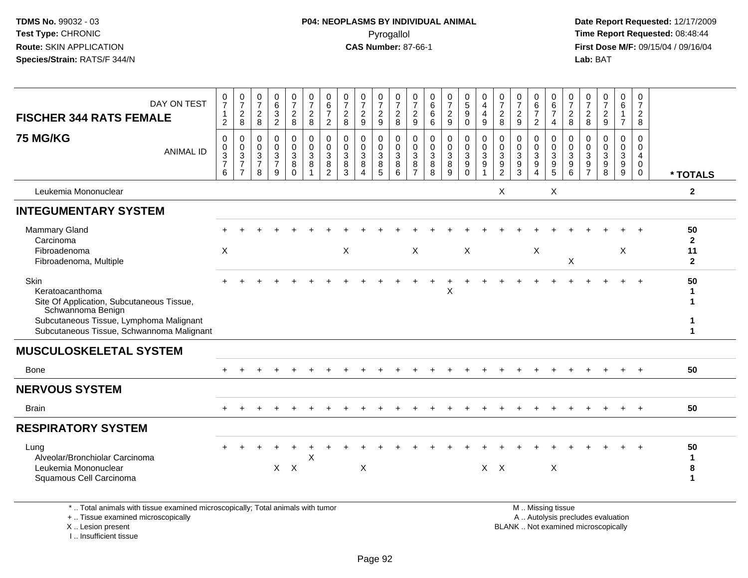**Date Report Requested:** 12/17/2009 **First Dose M/F:** 09/15/04 / 09/16/04<br>Lab: BAT **Lab:** BAT

| DAY ON TEST<br><b>FISCHER 344 RATS FEMALE</b>                                                                                                                                     | $\frac{0}{7}$<br>$\mathbf{1}$<br>$\overline{c}$                      | $\frac{0}{7}$<br>$_{\rm 8}^2$                                                   | 0<br>$\overline{7}$<br>$\overline{c}$<br>8 | 0<br>6<br>$\mathbf{3}$<br>$\overline{2}$              | $\frac{0}{7}$<br>$\overline{c}$<br>8 | $\frac{0}{7}$<br>$\overline{c}$<br>8                | 0<br>$\,6\,$<br>$\overline{7}$<br>$\overline{2}$ | 0<br>$\overline{7}$<br>$\overline{c}$<br>8 | 0<br>$\overline{7}$<br>$\overline{c}$<br>9      | 0<br>$\overline{7}$<br>$\frac{2}{9}$ | 0<br>$\overline{7}$<br>$\overline{\mathbf{c}}$<br>8 | 0<br>$\overline{7}$<br>$\overline{\mathbf{c}}$<br>9 | 0<br>6<br>6<br>6      | $\frac{0}{7}$<br>$\overline{c}$<br>9      | $\begin{array}{c} 0 \\ 5 \\ 9 \end{array}$<br>$\mathbf 0$ | 0<br>4<br>4<br>9                         | 0<br>$\overline{7}$<br>$\overline{c}$<br>8 | $\frac{0}{7}$<br>$\overline{\mathbf{c}}$<br>$\boldsymbol{9}$ | 0<br>6<br>$\overline{7}$<br>$\overline{c}$ | 0<br>$\,6$<br>$\overline{7}$<br>4                          | 0<br>$\overline{7}$<br>$_{\rm 8}^2$              | 0<br>$\overline{7}$<br>$\overline{c}$<br>8 | 0<br>$\overline{7}$<br>$\overline{c}$<br>9 | 0<br>6<br>$\overline{7}$        | 0<br>$\overline{7}$<br>$\overline{a}$<br>8   |                                          |
|-----------------------------------------------------------------------------------------------------------------------------------------------------------------------------------|----------------------------------------------------------------------|---------------------------------------------------------------------------------|--------------------------------------------|-------------------------------------------------------|--------------------------------------|-----------------------------------------------------|--------------------------------------------------|--------------------------------------------|-------------------------------------------------|--------------------------------------|-----------------------------------------------------|-----------------------------------------------------|-----------------------|-------------------------------------------|-----------------------------------------------------------|------------------------------------------|--------------------------------------------|--------------------------------------------------------------|--------------------------------------------|------------------------------------------------------------|--------------------------------------------------|--------------------------------------------|--------------------------------------------|---------------------------------|----------------------------------------------|------------------------------------------|
| <b>75 MG/KG</b><br><b>ANIMAL ID</b>                                                                                                                                               | $\mathbf 0$<br>0<br>$\ensuremath{\mathsf{3}}$<br>$\overline{7}$<br>6 | 0<br>$\pmb{0}$<br>$\ensuremath{\mathsf{3}}$<br>$\overline{7}$<br>$\overline{7}$ | 0<br>0<br>3<br>$\overline{7}$<br>8         | $\mathbf 0$<br>0<br>$\sqrt{3}$<br>$\overline{7}$<br>9 | 0<br>0<br>3<br>8<br>$\Omega$         | 0<br>$\pmb{0}$<br>$\sqrt{3}$<br>8<br>$\overline{1}$ | 0<br>$\pmb{0}$<br>3<br>8<br>$\overline{2}$       | 0<br>0<br>3<br>8<br>3                      | $\mathbf 0$<br>$\mathbf 0$<br>$\mathbf{3}$<br>8 | 0<br>0<br>3<br>8<br>5                | $\mathbf 0$<br>$\mathbf 0$<br>$\sqrt{3}$<br>8<br>6  | $\mathbf 0$<br>0<br>3<br>8<br>$\overline{7}$        | 0<br>0<br>3<br>8<br>8 | $\mathbf 0$<br>$\mathbf 0$<br>3<br>8<br>9 | 0<br>$\mathbf 0$<br>$\mathsf 3$<br>9<br>$\Omega$          | 0<br>$\mathbf 0$<br>$\sqrt{3}$<br>9<br>1 | 0<br>0<br>3<br>9<br>$\overline{2}$         | $\mathbf 0$<br>$\mathbf 0$<br>$\mathbf{3}$<br>9<br>3         | 0<br>$\Omega$<br>3<br>9                    | 0<br>$\mathsf{O}$<br>$\mathbf{3}$<br>$\boldsymbol{9}$<br>5 | $\mathbf{0}$<br>$\Omega$<br>$\sqrt{3}$<br>9<br>6 | 0<br>$\Omega$<br>3<br>9<br>$\overline{7}$  | $\Omega$<br>$\Omega$<br>3<br>9<br>8        | 0<br>$\mathbf 0$<br>3<br>9<br>9 | 0<br>0<br>$\overline{4}$<br>0<br>$\mathbf 0$ | * TOTALS                                 |
| Leukemia Mononuclear                                                                                                                                                              |                                                                      |                                                                                 |                                            |                                                       |                                      |                                                     |                                                  |                                            |                                                 |                                      |                                                     |                                                     |                       |                                           |                                                           |                                          | X                                          |                                                              |                                            | X                                                          |                                                  |                                            |                                            |                                 |                                              | $\overline{\mathbf{2}}$                  |
| <b>INTEGUMENTARY SYSTEM</b>                                                                                                                                                       |                                                                      |                                                                                 |                                            |                                                       |                                      |                                                     |                                                  |                                            |                                                 |                                      |                                                     |                                                     |                       |                                           |                                                           |                                          |                                            |                                                              |                                            |                                                            |                                                  |                                            |                                            |                                 |                                              |                                          |
| Mammary Gland<br>Carcinoma<br>Fibroadenoma<br>Fibroadenoma, Multiple                                                                                                              | X                                                                    |                                                                                 |                                            |                                                       |                                      |                                                     |                                                  | X                                          |                                                 |                                      |                                                     | $\boldsymbol{\mathsf{X}}$                           |                       |                                           | X                                                         |                                          |                                            |                                                              | X                                          |                                                            | Χ                                                |                                            |                                            | X                               |                                              | 50<br>$\mathbf{2}$<br>11<br>$\mathbf{2}$ |
| Skin<br>Keratoacanthoma<br>Site Of Application, Subcutaneous Tissue,<br>Schwannoma Benign<br>Subcutaneous Tissue, Lymphoma Malignant<br>Subcutaneous Tissue, Schwannoma Malignant |                                                                      |                                                                                 |                                            |                                                       |                                      |                                                     |                                                  |                                            |                                                 |                                      |                                                     |                                                     |                       | X                                         |                                                           |                                          |                                            |                                                              |                                            |                                                            |                                                  |                                            |                                            |                                 | $\ddot{+}$                                   | 50                                       |
| <b>MUSCULOSKELETAL SYSTEM</b>                                                                                                                                                     |                                                                      |                                                                                 |                                            |                                                       |                                      |                                                     |                                                  |                                            |                                                 |                                      |                                                     |                                                     |                       |                                           |                                                           |                                          |                                            |                                                              |                                            |                                                            |                                                  |                                            |                                            |                                 |                                              |                                          |
| Bone                                                                                                                                                                              |                                                                      |                                                                                 |                                            |                                                       |                                      |                                                     |                                                  |                                            |                                                 |                                      |                                                     |                                                     |                       |                                           |                                                           |                                          |                                            |                                                              |                                            |                                                            |                                                  |                                            |                                            |                                 | $\div$                                       | 50                                       |
| <b>NERVOUS SYSTEM</b>                                                                                                                                                             |                                                                      |                                                                                 |                                            |                                                       |                                      |                                                     |                                                  |                                            |                                                 |                                      |                                                     |                                                     |                       |                                           |                                                           |                                          |                                            |                                                              |                                            |                                                            |                                                  |                                            |                                            |                                 |                                              |                                          |
| <b>Brain</b>                                                                                                                                                                      |                                                                      |                                                                                 |                                            |                                                       |                                      |                                                     |                                                  |                                            |                                                 |                                      |                                                     |                                                     |                       |                                           |                                                           |                                          |                                            |                                                              |                                            |                                                            |                                                  |                                            |                                            |                                 |                                              | 50                                       |
| <b>RESPIRATORY SYSTEM</b>                                                                                                                                                         |                                                                      |                                                                                 |                                            |                                                       |                                      |                                                     |                                                  |                                            |                                                 |                                      |                                                     |                                                     |                       |                                           |                                                           |                                          |                                            |                                                              |                                            |                                                            |                                                  |                                            |                                            |                                 |                                              |                                          |
| Lung<br>Alveolar/Bronchiolar Carcinoma<br>Leukemia Mononuclear<br>Squamous Cell Carcinoma                                                                                         |                                                                      |                                                                                 |                                            |                                                       | $X$ $X$                              | X                                                   |                                                  |                                            | $\pmb{\times}$                                  |                                      |                                                     |                                                     |                       |                                           |                                                           | $X$ $X$                                  |                                            |                                                              |                                            | X                                                          |                                                  |                                            |                                            |                                 |                                              | 50<br>$\mathbf 1$<br>8<br>$\mathbf 1$    |
| * Total animals with tissue examined microsconically: Total animals with tumor                                                                                                    |                                                                      |                                                                                 |                                            |                                                       |                                      |                                                     |                                                  |                                            |                                                 |                                      |                                                     |                                                     |                       |                                           |                                                           |                                          |                                            |                                                              |                                            | M Miccinaticcup                                            |                                                  |                                            |                                            |                                 |                                              |                                          |

\* .. Total animals with tissue examined microscopically; Total animals with tumor

+ .. Tissue examined microscopically

X .. Lesion present

I .. Insufficient tissue

 M .. Missing tissuey the contract of the contract of the contract of the contract of the contract of the contract of the contract of  $A$ . Autolysis precludes evaluation

Lesion present BLANK .. Not examined microscopically